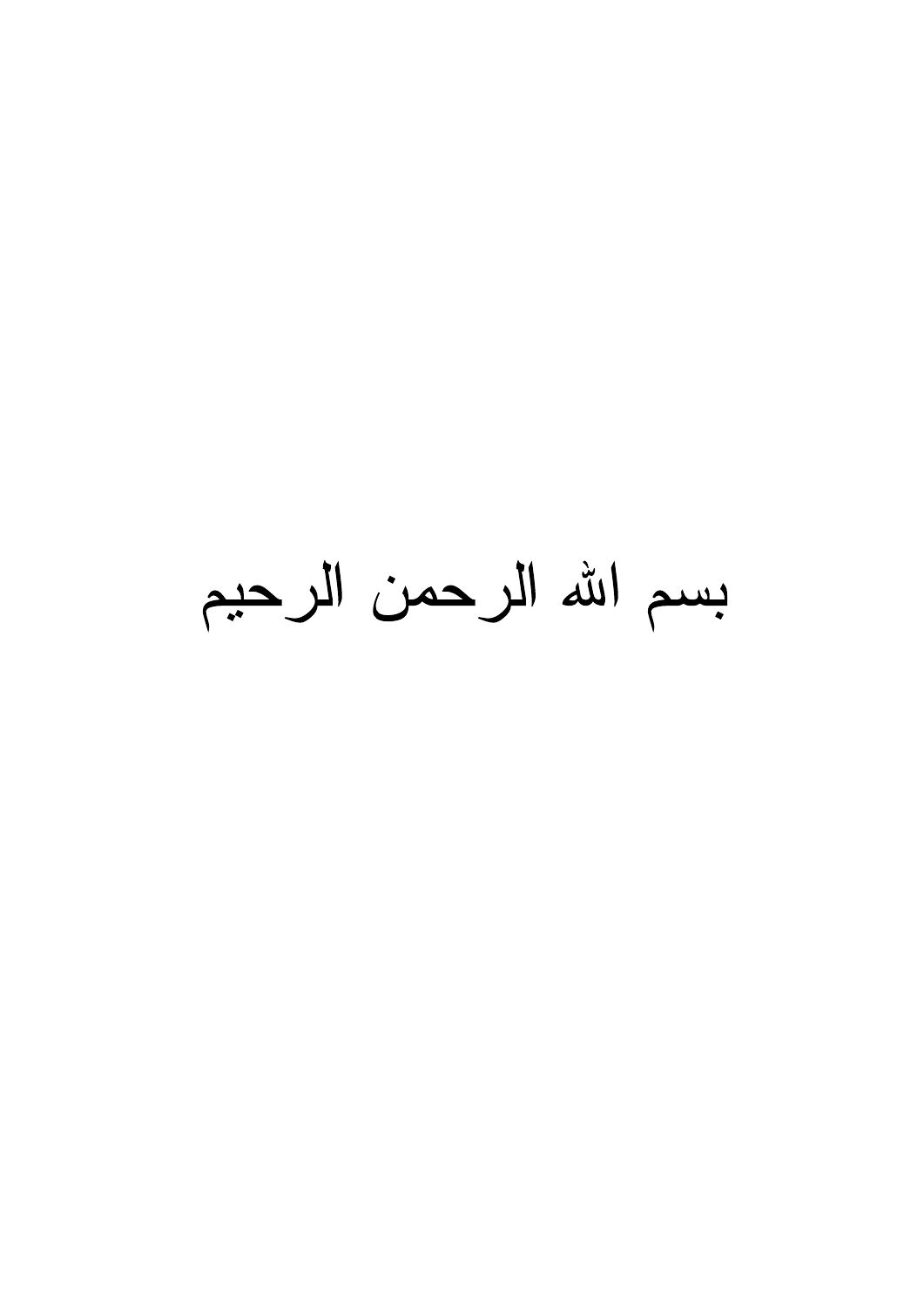بسم الله الرحمن الرحيم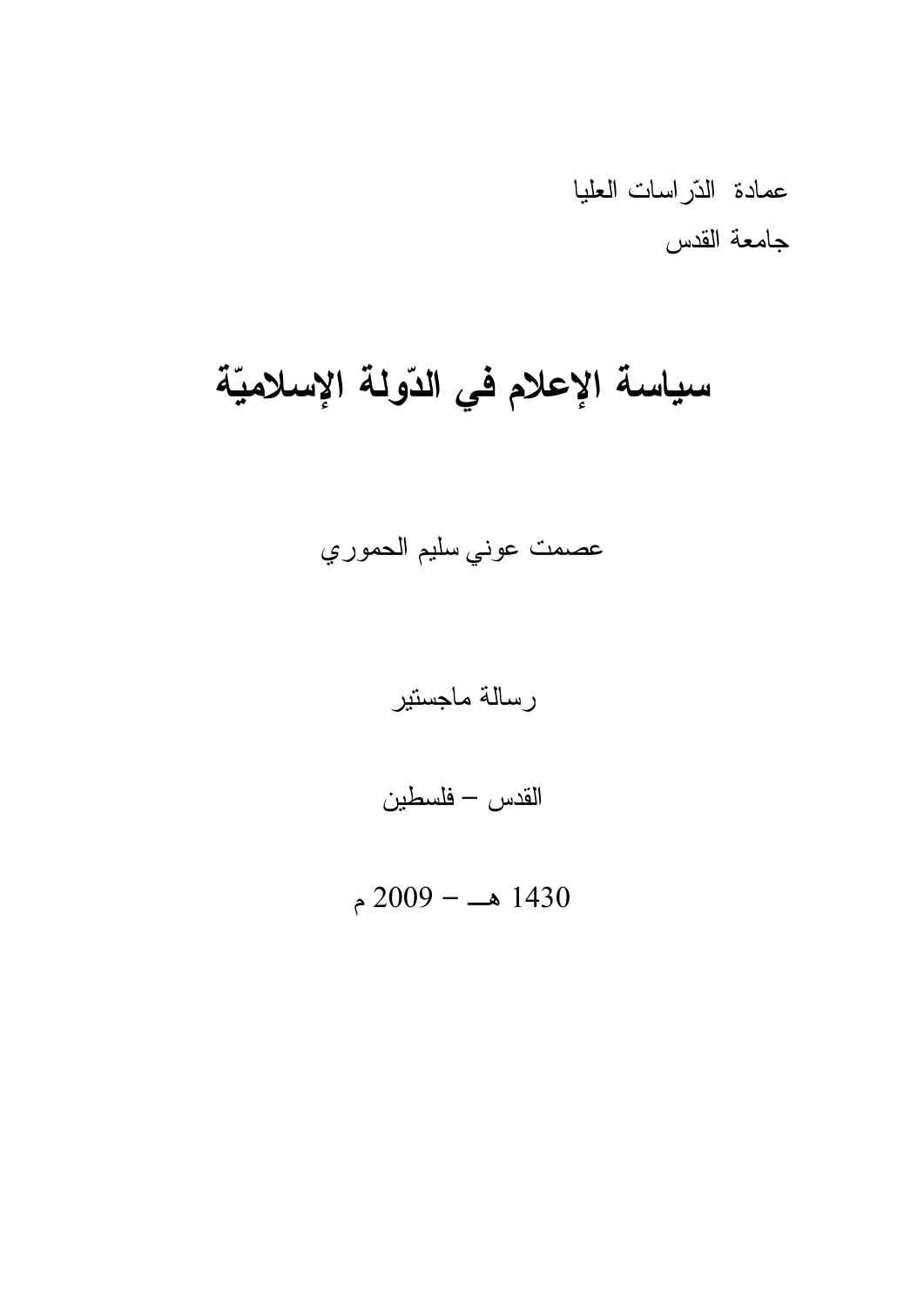عمادة الذّراسات العليا جامعة القدس

# سياسة الإعلام في الدّولة الإسلاميّة

عصمت عوني سليم الحموري

رسالة ماجستير

القدس – فلسطين

 $2009 - 1430$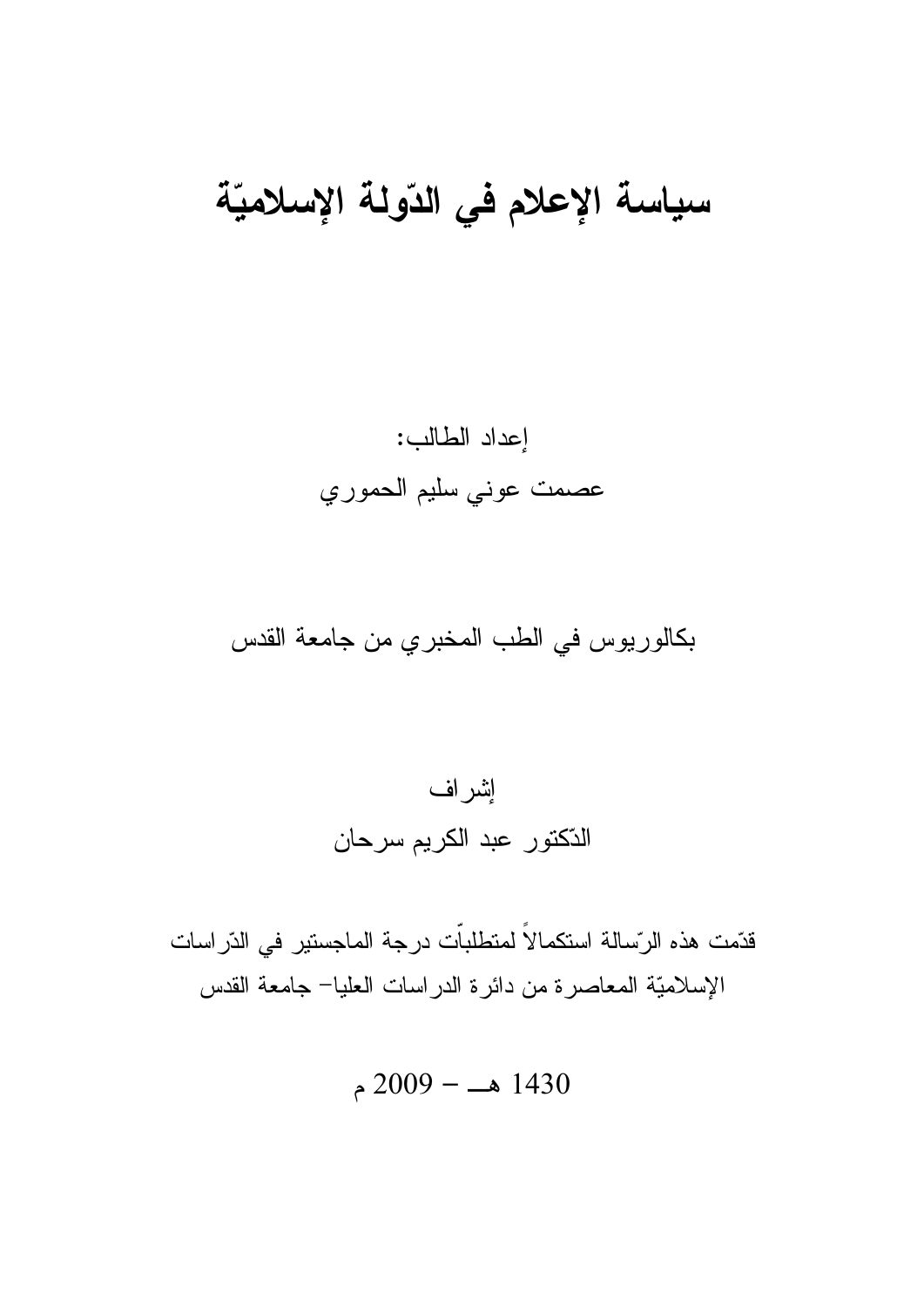# سياسة الإعلام في الدّولة الإسلاميّة

إعداد الطالب: عصمت عوني سليم الحموري

بكالوريوس في الطب المخبري من جامعة القدس



قدّمت هذه الرّسالة استكمالاً لمتطلباّت درجة الماجستير في الدّراسات الإسلاميّة المعاصرة من دائرة الدر اسات العليا– جامعة القدس

$$
2009 - 1430
$$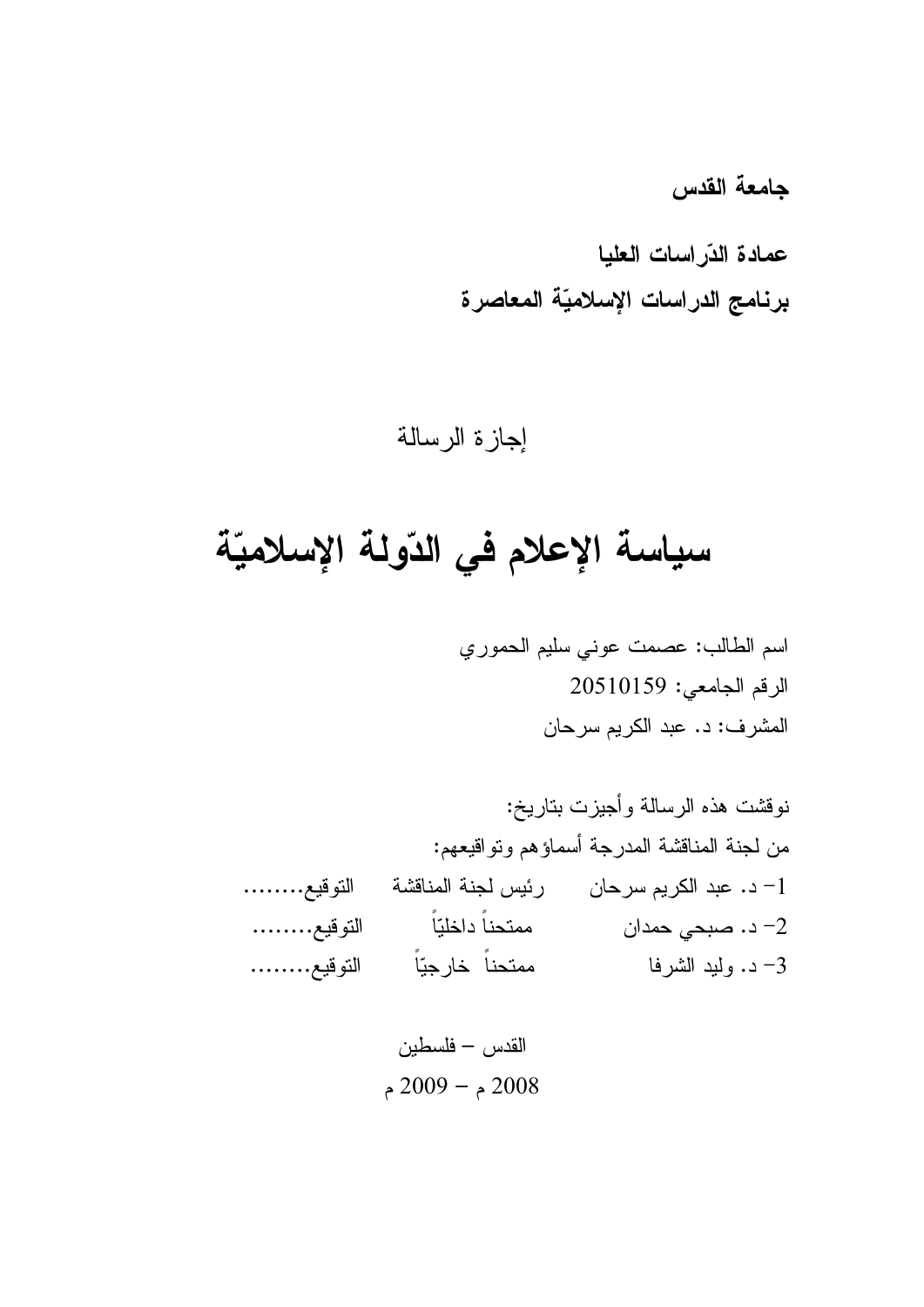جامعة القدس

عمادة الذّراسات العليا برنامج الدراسات الإسلاميّة المعاصرة

إجازة الرسالة

# سياسة الإعلام في الدّولة الإسلاميّة

اسم الطالب: عصمت عوني سليم الحموري الرقم الجامعي: 20510159 المشرف: د. عبد الكريم سرحان

القدس — فلسطين م – 2009 م $-2008$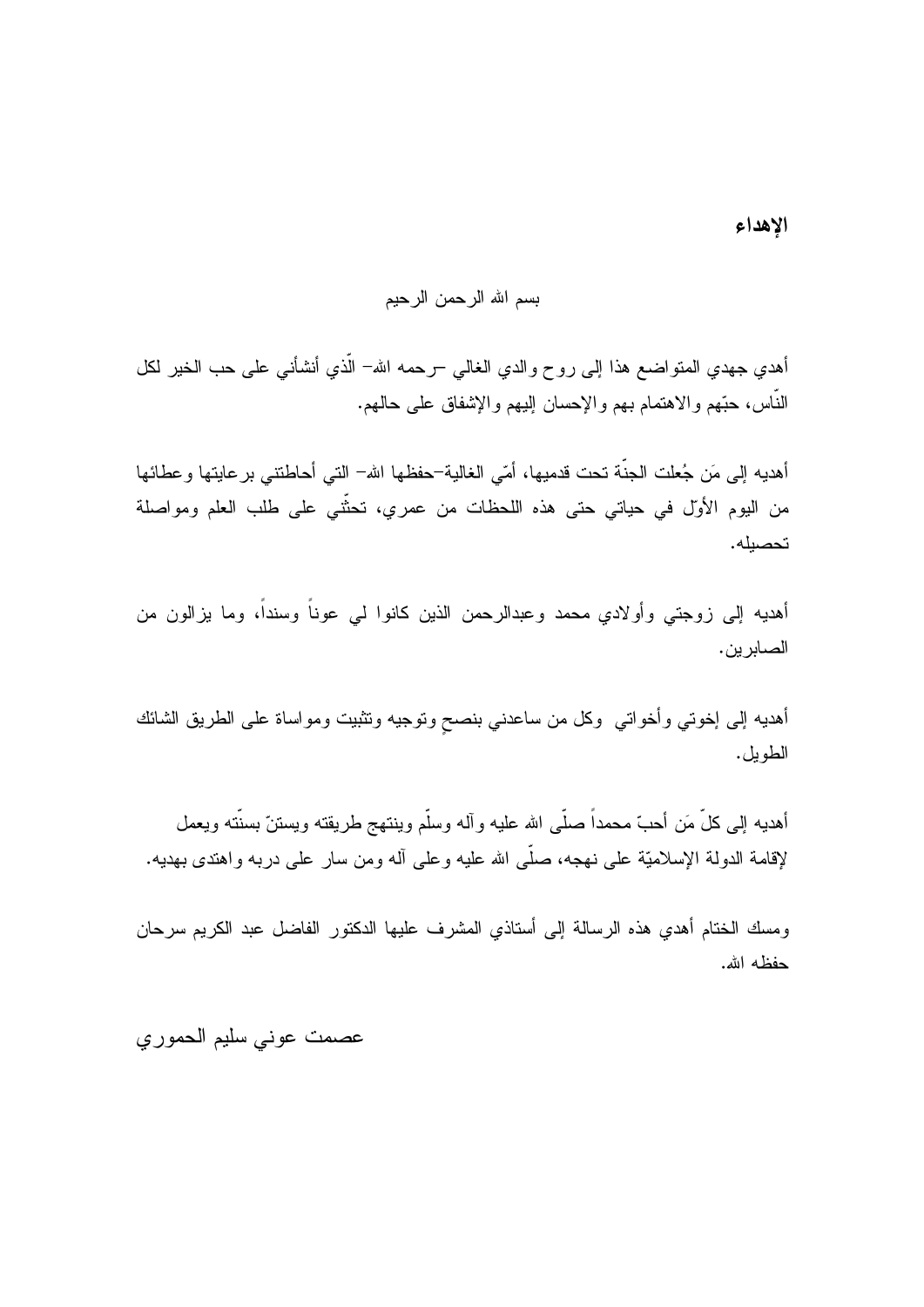الإهداء

## بسم الله الرحمن الرحيم

أهدي جهدي المنواضـع هذا إلـى روح والدي الـغالـي –رحمه الله– الّذي أنشأنـي علـى حب الـخير لكل النَّاس، حبَّهم والاهتمام بـهم والإحسان إليـهم والإشفاق علـي حالـهم.

أهديه إلى مَن جُعلت الجنَّة تحت قدميها، أمّي الغالية–حفظها الله– التي أحاطنتني بر عايتها وعطائها من اليوم الأولّ في حياتي حتى هذه اللحظات من عمري، تحثُّني على طلب العلم ومواصلة تحصيله.

أهديه إلىي زوجتـي وأولادي محمد وعبدالرحمن الذين كانوا لـي عونـاً وسنداً، وما يزالون من الصابرين.

أهديه إلى إخوتي وأخواتي وكل من ساعدني بنصح ونوجيه وتثبيت ومواساة على الطريق الشائك الطويل.

أهديه إلى كلِّ مَن أحبَّ محمداً صلَّى الله عليه و آله وسلَّم وينتهج طريقته ويستنَّ بسنَّته ويعمل لإقامة الدولة الإسلاميّة على نهجه، صلَّى الله عليه وعلى أله ومن سارٍ على دربه واهتدى بهديه.

ومسك الختام أهدي هذه الرسالة إلى أستاذي المشرف عليها الدكتور الفاضل عبد الكريم سرحان حفظه الله.

عصمت عوني سليم الحموري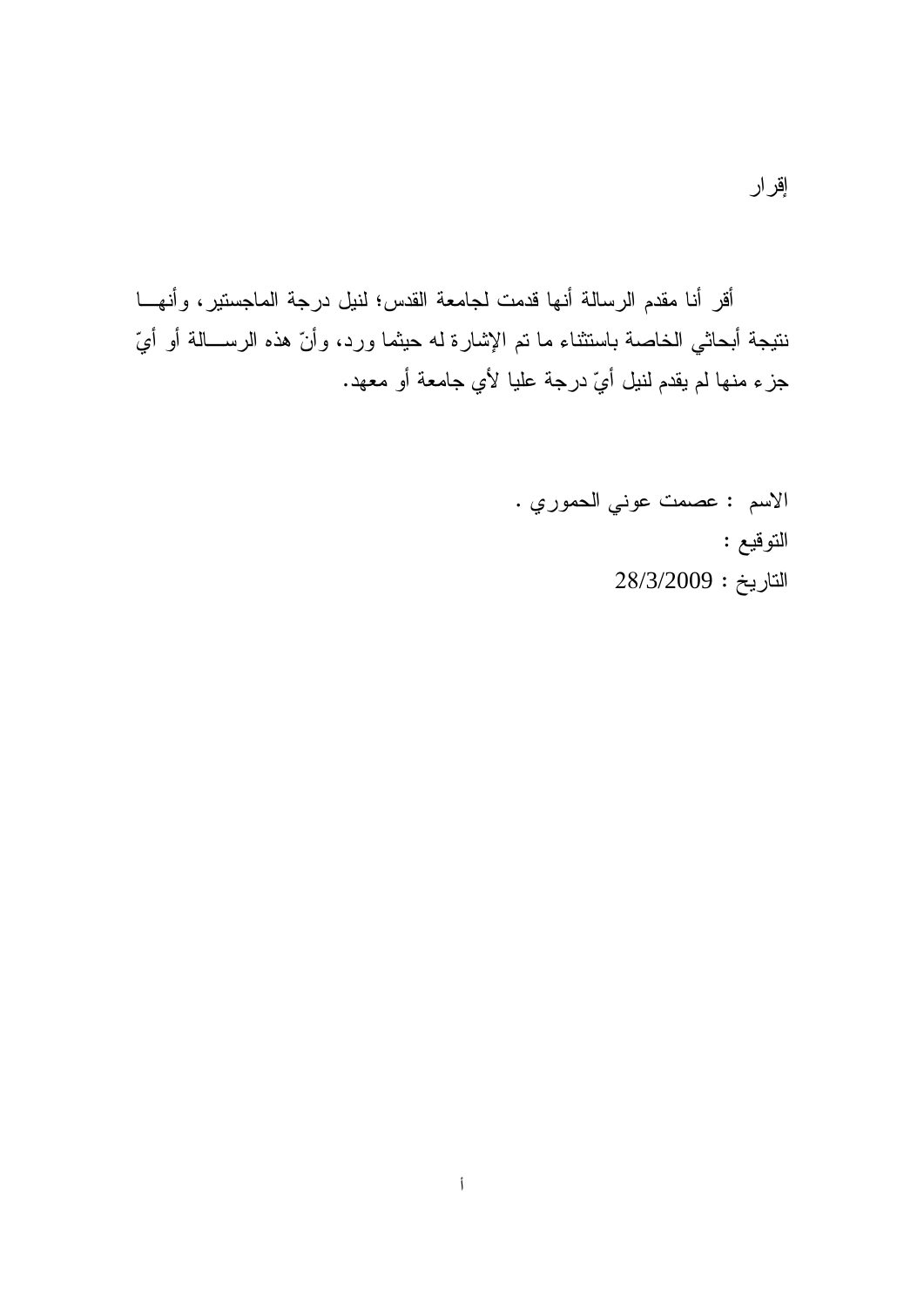أقر أنا مقدم الرسالة أنها قدمت لجامعة القدس؛ لنيل درجة الماجستير، وأنهـــا نتيجة أبحاثي الخاصة باستثناء ما تم الإشارة له حيثما ورد، وأنّ هذه الرســـالـة أو أيّ جزء منها لم يقدم لنيل أيّ درجة عليا لأي جامعة أو معهد.

> الاسم : عصمت عوني الحموري . التوقيع :  $28/3/2009:$ التاريخ: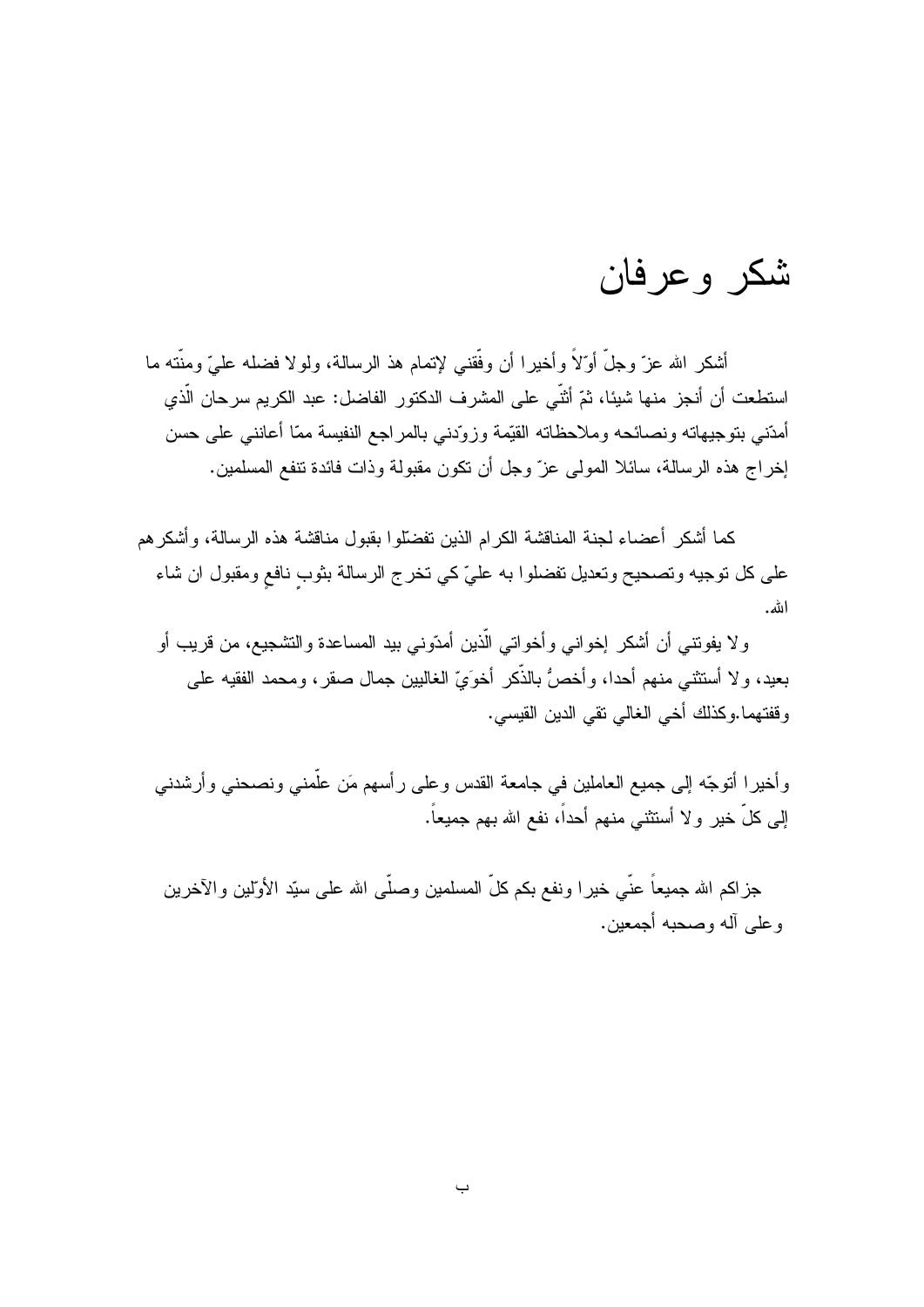# شكر وعرفان

أشكر الله عزّ وجلَّ أوّلاً وأخيرا أن وفّقني لإتمام هذ الرسالة، ولولا فضله عليّ ومنّته ما استطعت أن أنجز منها شيئا، ثمّ أثنّي على المشرف الدكتور الفاضل: عبد الكريم سرحان الّذي أمدّني بتوجيهاته ونصائحه وملاحظاته القيّمة وزوّدني بالمراجع النفيسة ممّا أعانني على حسن إخراج هذه الرسالة، سائلا المولى عزّ وجل أن نكون مقبولة وذات فائدة نتفع المسلمين.

كما أشكر ۖ أعضاء لجنة المناقشة الكر ام الذين تفضَّلوا بقبول مناقشة هذه الر سالة، و أشكر هم على كل توجيه وتصحيح وتعديل تفضلوا به عليّ كي تخرج الرسالة بثوب نافع ومقبول ان شاء الله.

ولا يفونتـي أن أشكر إخوانـي وأخواتـي الَّذين أمدّونـي بيد المساعدة والتشجيع، من قريب أو بعيد، ولا أستثنـي منـهم أحدا، وأخصُّ بالذَّكر أخوَيِّ الغالبيين جمال صـقر ، ومحمد الفقيه علـي وقفتهما وكذلك أخي الغالبي نقي الدين القيسي.

وأخيرا أنوجّه إلى جميع العاملين في جامعة القدس وعلى رأسهم مَن علَّمني ونصحني وأرشدني إلى كلّ خير ولا أستثنى منهم أحداً، نفع الله بهم جميعاً.

جزاكم الله جميعاً عنّي خيرا ونفع بكم كلّ المسلمين وصلّي الله على سبّد الأولّين والآخرين و علي آله وصحبه أجمعين.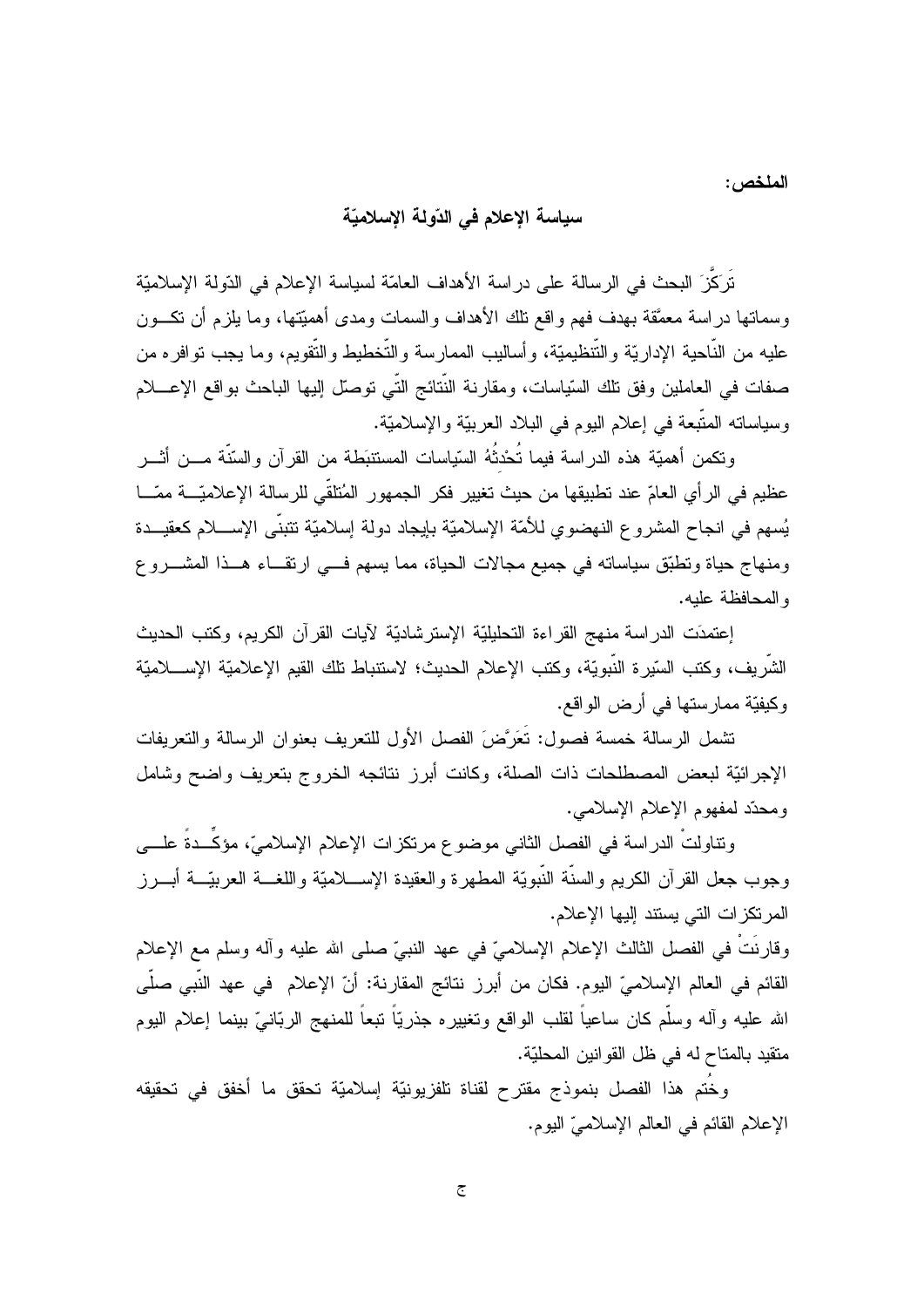الملخص :

# سياسة الإعلام في الدّولة الإسلاميّة

تَرَكَّزَ البحث في الرسالة على در اسة الأهداف العامَّة لسياسة الإعلام في الدّولة الإسلاميَّة وسماتها دراسة معمَّقة بهدف فهم واقع نلك الأهداف والسمات ومدى أهميَّتها، وما بلزم أن نكـــون عليه من النَّاحية الإداريَّة والتَّنظيميَّة، وأساليب الممارسة والتَّخطيط والتُّقويم، وما يجب نوافر ه من صفات في العاملين وفق تلك السّياسات، ومقارنة النّتائج النّي توصل إليها الباحث بواقع الإعــــلام وسياساته المتَّبعة في إعلام اليوم في البلاد العربيّة والإسلاميّة.

و تكمن أهميّة هذه الدر اسة فيما تُحْدثُهُ السّياسات المستتبَطة من القر آن و السّنّة مـــن أثـــر عظيم في الر أي العامّ عند تطبيقها من حيث تغيير فكر الجمهور المُتلقّى للرسالة الإعلاميّـــة ممّـــا يُسهم في انجاح المشروع النهضوي للأمّة الإسلاميّة بإيجاد دولة إسلاميّة تتبنّى الإســــلام كعقيـــدة ومنهاج حياة ونطبَّق سياساته في جميع مجالات الحياة، مما يسهم فـــي ارتقـــاء هـــذا المشــــروع والمحافظة عليه.

إعتمدَت الدراسة منهج القراءة التحليليّة الإسترشاديّة لأيات القرآن الكريم، وكتب الحديث الشَّريف، وكتب السَّيرة النَّبويَّة، وكتب الإعلام الحديث؛ لاستنباط نلك القيم الإعلاميَّة الإســــلاميّة وكيفيّة ممار ستها في أر ض الو اقع.

تشمل الرسالة خمسة فصول: تَعَرَّضَ الفصل الأول للتعريف بعنوان الرسالة والتعريفات الإجرائيّة لبعض المصطلحات ذات الصلة، وكانت أبرز نتائجه الخروج بتعريف واضح وشامل ومحدّد لمفهوم الإعلام الإسلامي.

ونتاولتٌ الدراسة في الفصل الثاني موضوع مرتكزات الإعلام الإسلاميّ، مؤكَّــدةُ علــــي وجوب جعل القرآن الكريم والسنَّة النَّبويَّة المطهرة والعقيدة الإســــلاميَّة واللغــــة العربيّـــة أبــــرز المرتكزات التي يستند إليها الإعلام.

وقارِنَتْ في الفصل الثالث الإعلام الإسلاميّ في عهد النبيّ صلى الله عليه وأله وسلم مع الإعلام القائم في العالم الإسلاميّ اليوم. فكان من أبرز نتائج المقارنة: أنّ الإعلام في عهد النَّبي صلَّى الله عليه وأله وسلَّم كان ساعياً لقلب الواقع وتغييره جذريّاً تبعاً للمنهج الربّانـيّ ببنما إعلام البوم منقيد بالمتاح له في ظل القوانين المحليّة.

وِخَتم هذا الفصل بنموذج مقترح لقناة تلفزيونيّة إسلاميّة تحقق ما أخفق في تحقيقه الإعلام القائم في العالم الإسلاميّ اليوم.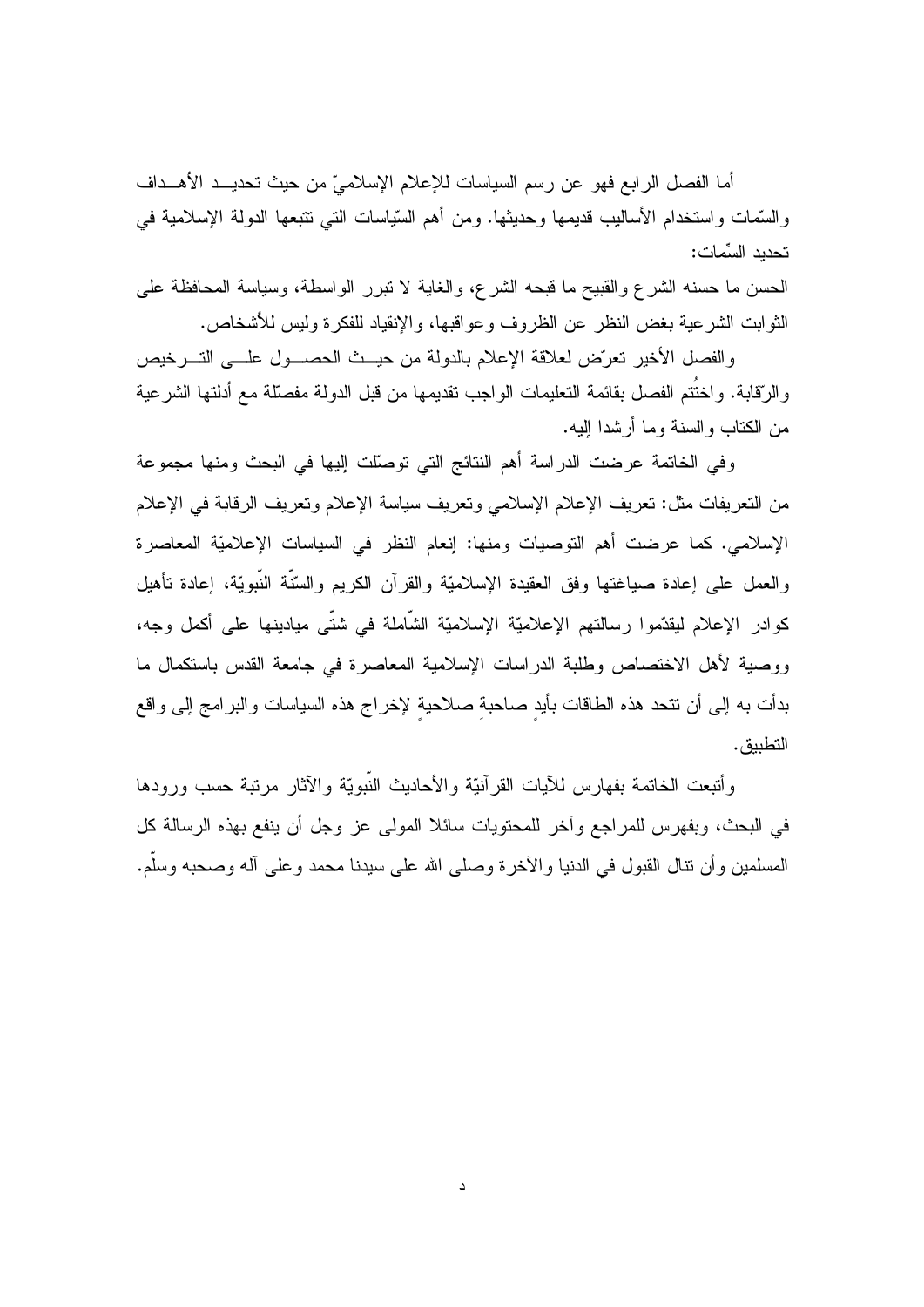أما الفصل الرابع فهو عن رسم السياسات للإعلام الإسلاميّ من حيث تحديـــد الأهـــداف والسَّمات واستخدام الأساليب قديمها وحديثها. ومن أهم السَّياسات التـي نتبعها الدولمة الإسلامية فـي تحديد السِّمات:

الحسن ما حسنه الشرع والقبيح ما قبحه الشرع، والغاية لا نبرر الواسطة، وسياسة المحافظة على الثوابت الشرعية بغض النظر عن الظروف وعواقبها، والإنقياد للفكرة وليس للأشخاص.

والفصل الأخير تعرّض لعلاقة الإعلام بالدولة من حيــث الحصـــول علـــي التـــرخيص والرِّقابة. واختَتم الفصل بقائمة التعليمات الواجب تقديمها من قبل الدولة مفصلّة مع أدلتها الشرعية من الكتاب والسنة وما أرشدا إليه.

وفي الخاتمة عرضت الدراسة أهم النتائج التي توصلت إليها في البحث ومنها مجموعة من التعريفات مثل: تعريف الإعلام الإسلامي وتعريف سياسة الإعلام وتعريف الرقابة في الإعلام الإسلامي. كما عرضت أهم التوصيات ومنها: إنعام النظر في السياسات الإعلاميّة المعاصرة والعمل على إعادة صياغتها وفق العقيدة الإسلاميّة والقرآن الكريم والسّنّة النّبويّة، إعادة نأهيل كوادر الإعلام ليقدِّموا رسالتهم الإعلاميّة الإسلاميّة الشَّاملة في شتَّى ميادينها على أكمل وجه، ووصية لأهل الاختصاص وطلبة الدراسات الإسلامية المعاصرة في جامعة القدس باستكمال ما بدأت به إلى أن نتحد هذه الطاقات بأيد صاحبة صلاحية لإخراج هذه السياسات والبرامج إلى واقع التطبيق.

وأتبعت الخاتمة بفهارس للأيات القرأنيّة والأحاديث النّبويّة والآثار مرتبة حسب ورودها في البحث، وبفهرس للمراجع وأخر للمحتويات سائلا المولى عز وجل أن ينفع بهذه الرسالة كل المسلمين وأن نتال القبول في الدنيا والآخرة وصلى الله على سيدنا محمد وعلى أله وصحبه وسلَّم.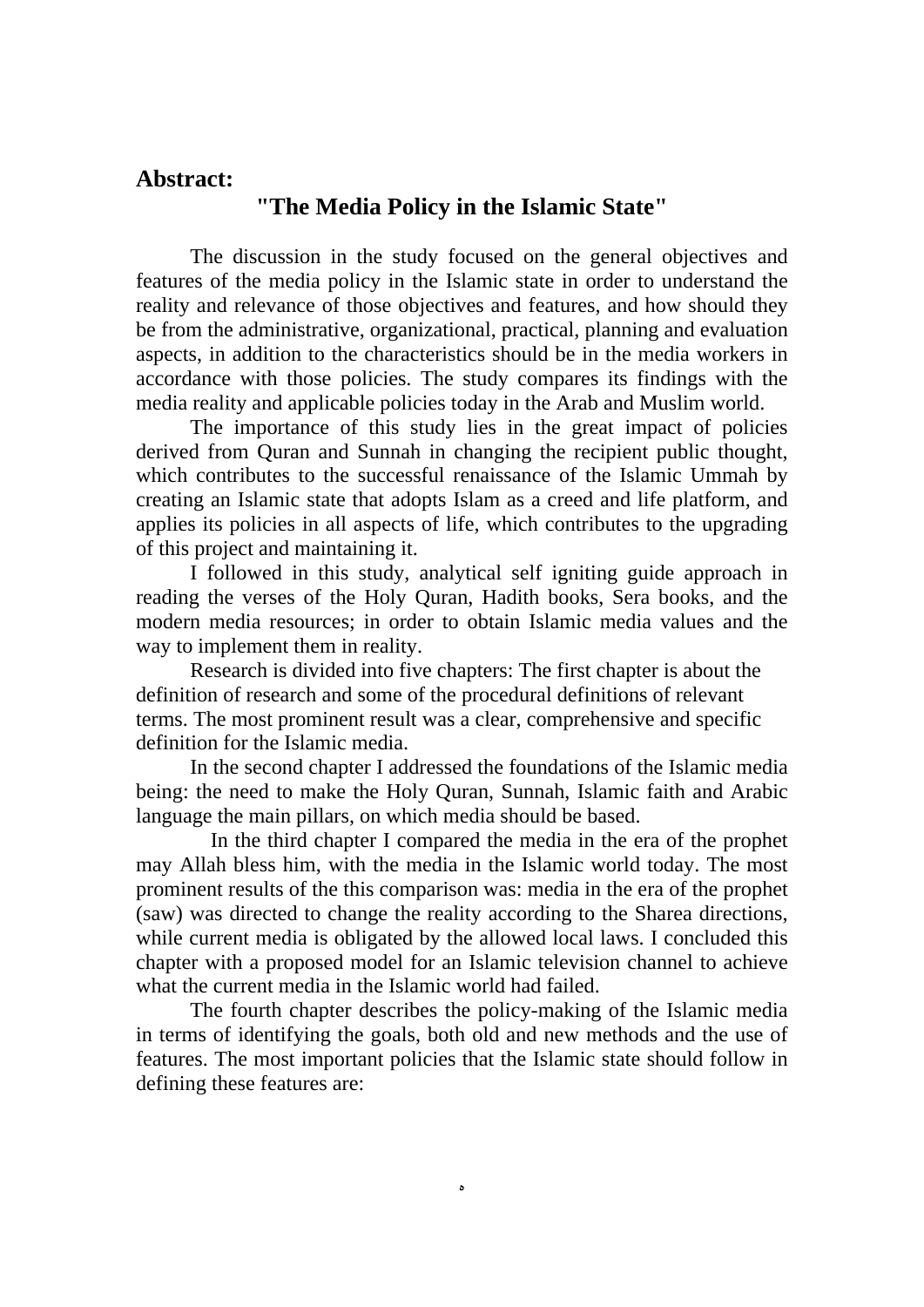# **Abstract:**

# **"The Media Policy in the Islamic State"**

The discussion in the study focused on the general objectives and features of the media policy in the Islamic state in order to understand the reality and relevance of those objectives and features, and how should they be from the administrative, organizational, practical, planning and evaluation aspects, in addition to the characteristics should be in the media workers in accordance with those policies. The study compares its findings with the media reality and applicable policies today in the Arab and Muslim world.

The importance of this study lies in the great impact of policies derived from Quran and Sunnah in changing the recipient public thought, which contributes to the successful renaissance of the Islamic Ummah by creating an Islamic state that adopts Islam as a creed and life platform, and applies its policies in all aspects of life, which contributes to the upgrading of this project and maintaining it.

I followed in this study, analytical self igniting guide approach in reading the verses of the Holy Quran, Hadith books, Sera books, and the modern media resources; in order to obtain Islamic media values and the way to implement them in reality.

Research is divided into five chapters: The first chapter is about the definition of research and some of the procedural definitions of relevant terms. The most prominent result was a clear, comprehensive and specific definition for the Islamic media.

In the second chapter I addressed the foundations of the Islamic media being: the need to make the Holy Quran, Sunnah, Islamic faith and Arabic language the main pillars, on which media should be based.

 In the third chapter I compared the media in the era of the prophet may Allah bless him, with the media in the Islamic world today. The most prominent results of the this comparison was: media in the era of the prophet (saw) was directed to change the reality according to the Sharea directions, while current media is obligated by the allowed local laws. I concluded this chapter with a proposed model for an Islamic television channel to achieve what the current media in the Islamic world had failed.

The fourth chapter describes the policy-making of the Islamic media in terms of identifying the goals, both old and new methods and the use of features. The most important policies that the Islamic state should follow in defining these features are:

 $\lambda$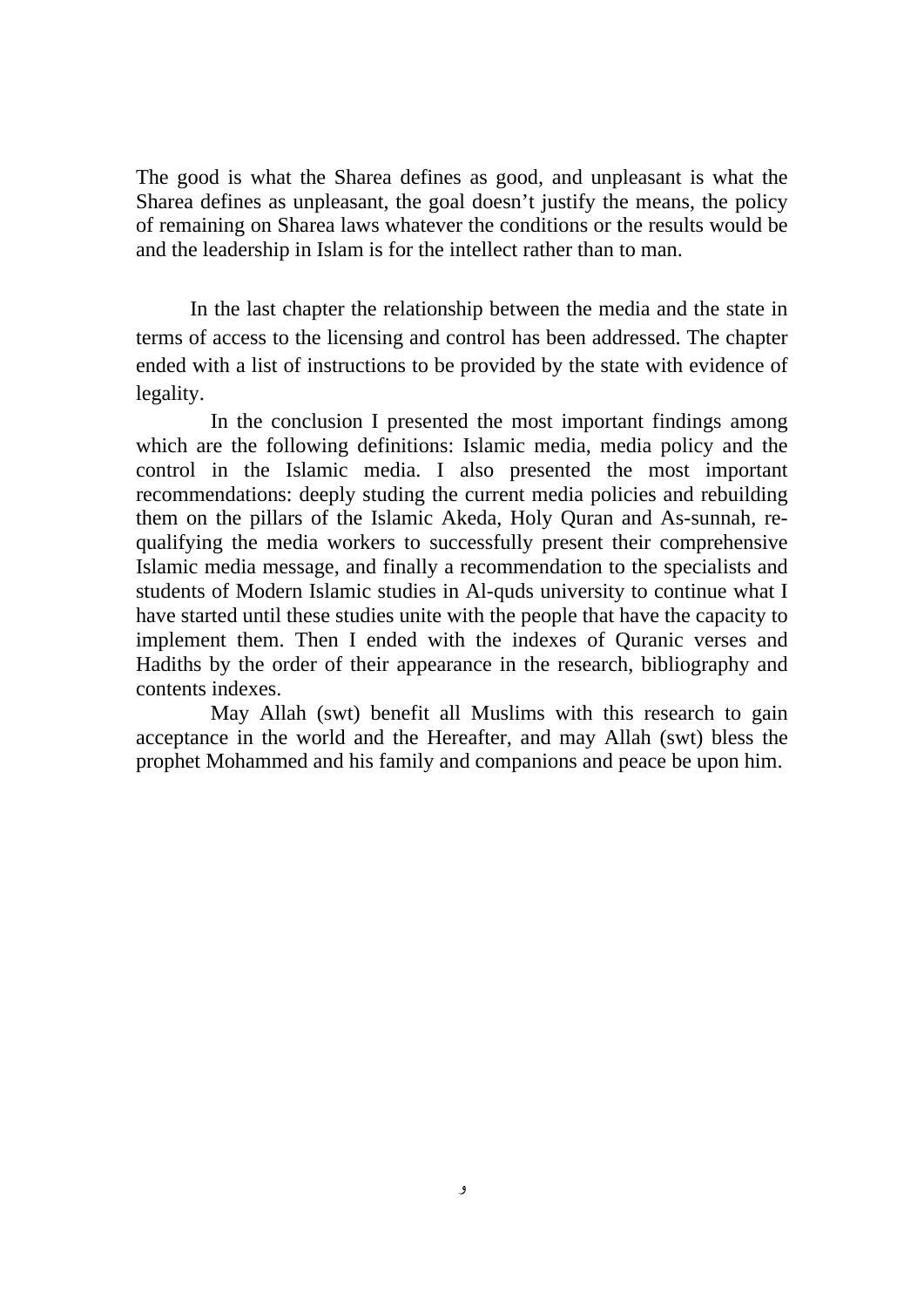The good is what the Sharea defines as good, and unpleasant is what the Sharea defines as unpleasant, the goal doesn't justify the means, the policy of remaining on Sharea laws whatever the conditions or the results would be and the leadership in Islam is for the intellect rather than to man.

In the last chapter the relationship between the media and the state in terms of access to the licensing and control has been addressed. The chapter ended with a list of instructions to be provided by the state with evidence of legality.

 In the conclusion I presented the most important findings among which are the following definitions: Islamic media, media policy and the control in the Islamic media. I also presented the most important recommendations: deeply studing the current media policies and rebuilding them on the pillars of the Islamic Akeda, Holy Quran and As-sunnah, requalifying the media workers to successfully present their comprehensive Islamic media message, and finally a recommendation to the specialists and students of Modern Islamic studies in Al-quds university to continue what I have started until these studies unite with the people that have the capacity to implement them. Then I ended with the indexes of Quranic verses and Hadiths by the order of their appearance in the research, bibliography and contents indexes.

 May Allah (swt) benefit all Muslims with this research to gain acceptance in the world and the Hereafter, and may Allah (swt) bless the prophet Mohammed and his family and companions and peace be upon him.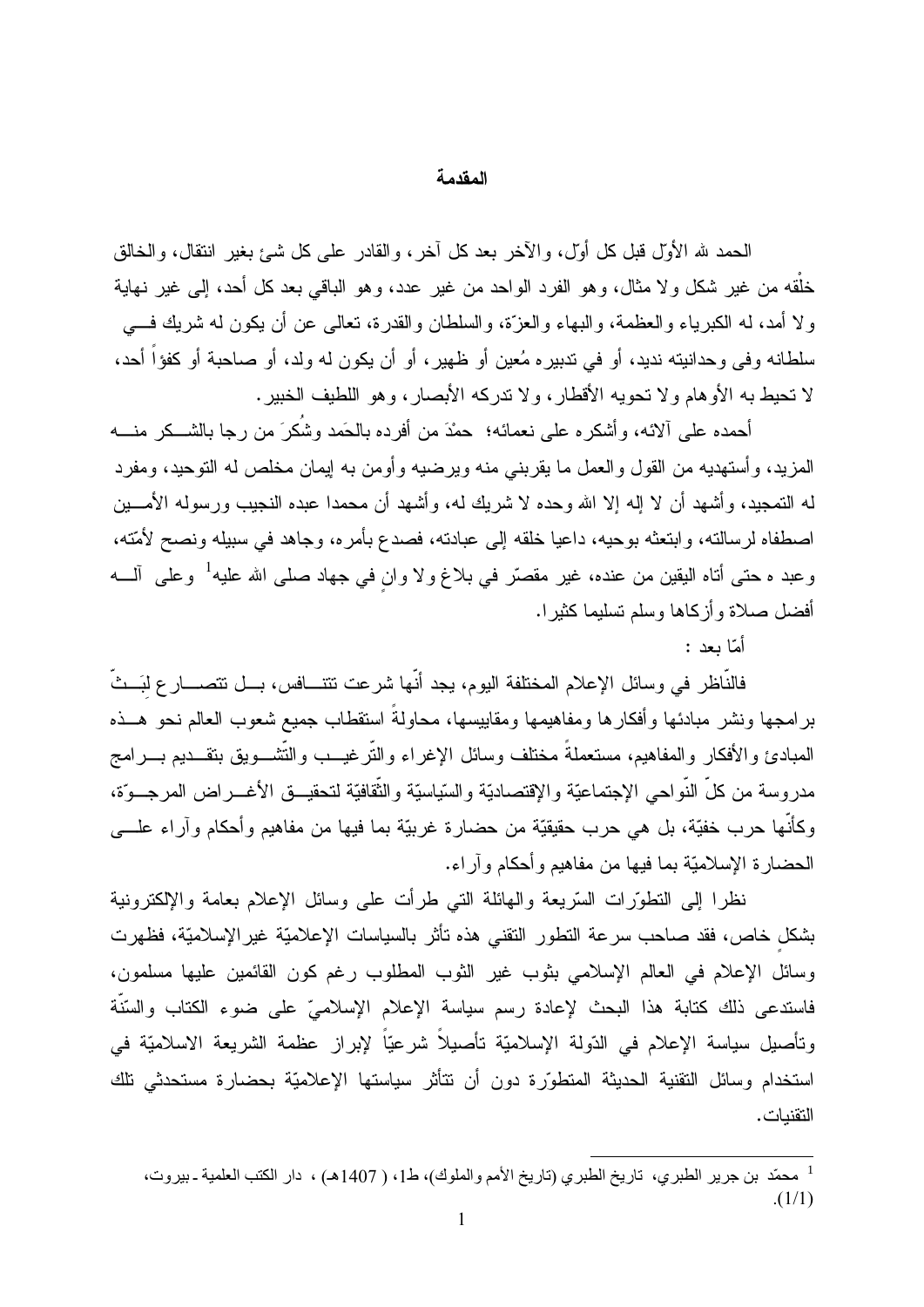### المقدمة

الحمد لله الأوَّل قبل كل أوَّل، والآخر بعد كل آخر، والقادر على كل شئ بغير انتقال، والخالق خلَّقه من غير شكل ولا مثال، وهو الفرد الواحد من غير عدد، وهو الباقي بعد كل أحد، إلى غير نهاية ولا أمد، له الكبرياء والعظمة، والبهاء والعزَّة، والسلطان والقدرة، نعالمي عن أن يكون له شريك فسي سلطانه وفي وحدانيته نديد، أو في تدبيره مُعين أو ظهير ، أو أن يكون له ولد، أو صاحبة أو كفؤاً أحد، لا تحبط به الأو هام و لا تحويه الأقطار ، و لا تدركه الأبصار ، و هو اللطيف الخبير .

أحمده على ألائه، وأشكره على نعمائه؛ حمْدَ من أفرده بالحَمد وشُكرَ من رجا بالشـــكر منــــه المزيد، و أستهديه من القول و العمل ما يقريني منه وير ضيبه و أو من به إيمان مخلص له التوحيد، ومفر د له التمجيد، و أشهد أن لا إله إلا الله و حده لا شر يك له، و أشهد أن محمدا عبده النجيب ور سوله الأمـــين اصطفاه لرسالته، وابتعثه بوحيه، داعيا خلقه إلى عبادته، فصدع بأمره، وجاهد في سبيله ونصح لأمّته، وعبد ہ حتی أتاہ الیقین من عندہ، غیر مقصّر فی بلاغ ولا وان فی جهاد صلّٰی الله علیه<sup>1</sup> وعلّٰی آلــــه أفضل صلاة و أز كاها وسلم تسليما كثير ا.

أمّا ىعد :

فالنَّاظر في وسائل الإعلام المختلفة اليوم، يجد أنَّها شرعت تتتـــافس، بـــل تتصــــار ع لبَـــثَّ برامجها ونشر مبادئها وأفكارها ومفاهيمها ومقاييسها، محاولةً استقطاب جميع شعوب العالم نحو هــذه المبادئ والأفكار والمفاهيم، مستعملةً مختلف وسائل الإغر اء والنَّر غيـــب والنُّشـــويق بتقـــديم بـــر امج مدروسة من كلِّ النَّواحي الإجتماعيَّة والإقتصاديَّة والسَّياسيَّة والثَّقافيَّة لتحقيــق الأغـــراض المرجـــوّة، وكأنَّها حرب خفيَّة، بل هي حرب حقيقيَّة من حضارة غربيَّة بما فيها من مفاهيم وأحكام وآراء علـــي الحضار ة الإسلاميّة بما فيها من مفاهيم و أحكام و آر اء.

نظرًا إلى التطوَّرات السَّريعة والـهائلة التي طرأت على وسائل الإعلام بعامة والإلكترونية بشكل خاص، فقد صاحب سرعة النطور النقنبي هذه نأثر بالسياسات الإعلاميّة غيرالإسلاميّة، فظهرت وسائل الإعلام في العالم الإسلامي بثوب غير الثوب المطلوب رغم كون القائمين عليها مسلمون، فاستدعى ذلك كتابة هذا البحث لإعادة رسم سياسة الإعلام الإسلاميّ على ضوء الكتاب والسّنّة وتأصيل سياسة الإعلام في الدّولة الإسلاميّة تأصيلاً شرعيّاً لإبراز عظمة الشريعة الاسلاميّة في استخدام وسائل التقنية الحديثة المتطوّرة دون أن نتأثر سياستها الإعلاميّة بحضارة مستحدثي تلك التقنيات.

<sup>&</sup>lt;sup>1</sup> محمّد بن جرير الطبري، تاريخ الطبري (تاريخ الأمم والملوك)، ط1، ( 1407هـ) ، دار الكتب العلمية ـ بيروت،  $(1/1)$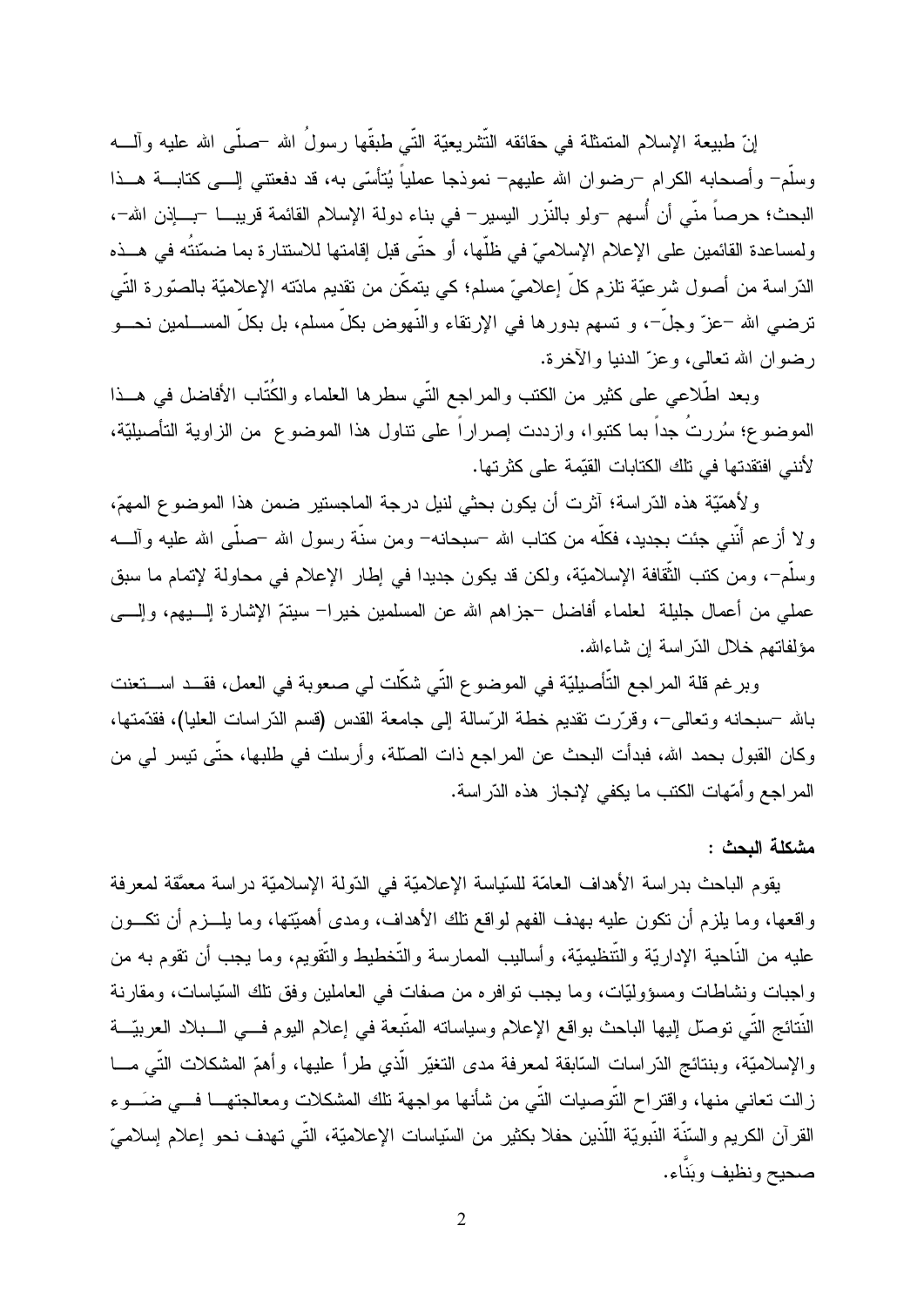إنّ طبيعة الإسلام المتمثّلة في حقائقه التّشريعيّة التّي طبقّها رسولُ الله –صلّـي الله عليه وألــــه وسلَّمٍ ۖ وأصحابه الكرام –رضوان الله عليهم– نموذجا عملياً يُتأسَّى به، قد دفعتني الِسـي كتابــــة هـــذا البحث؛ حرصاً منِّي أن أُسهم –ولو بالنَّزر اليسير – في بناء دولة الإسلام القائمة قريبـــا –بــــإذن الله–، ولمساعدة القائمين على الإعلام الإسلاميّ في ظلّها، أو حتّى قبل إقامتها للاستنارة بما ضمّنتُه في هــذه الدّراسة من أصول شرعيّة تلزم كلّ إعلاميّ مسلم؛ كي يتمكّن من تقديم مادّته الإعلاميّة بالصنّورة التّي ترضـي الله –عزّ وجلّ–، و نسمم بدورها في الإرتقاء والنّهوض بكلّ مسلم، بل بكلّ المســـلمين نحـــو رضوان الله تعالى، وعزَّ الدنيا والآخر ة.

وبعد اطَّلاعي على كثير من الكتب والمراجع النَّى سطرها العلماء والكُنَّاب الأفاضل في هــذا الموضوع؛ سُرِرتُ جداً بما كتبوا، وإزددت إصرِ إراً على تناول هذا الموضوع ٍ من الزَّاوية التأصيليَّة، لأنني افتقدتها في تلك الكتابات القيِّمة على كثر تها.

ولأهمّيّة هذه الدّراسة؛ أثرت أن يكون بحثى لنيل درجة الماجستير ضمن هذا الموضوع المهمّ، ولا أزعم أنَّني جئت بجديد، فكلُّه من كتاب الله –سبحانه– ومن سنَّة رسول الله –صلَّى الله عليه وآلــــه وسلَّم–، ومن كتب الثَّقافة الإسلاميَّة، ولكن قد يكون جديدا في إطار الإعلام في محاولة لإتمام ما سبق عملي من أعمال جليلة لعلماء أفاضل –جزاهم الله عن المسلمين خيرا– سيتمّ الإشارة إلــــيهم، وإلــــي مؤلفاتهم خلال الدّر اسة إن شاءالله.

وبرغم قلة المراجع التَّأصيليّة في الموضوع التّي شكّلت لي صعوبة في العمل، فقــد اســـتعنت بالله –سبحانه وتعالى–، وقرَّرت تقديم خطة الرَّسالة إلى جامعة القدس (قسم الدَّراسات العليا)، فقدَّمتها، وكان القبول بحمد الله، فبدأت البحث عن المراجع ذات الصلَّة، وأرسلت في طلبها، حتَّى نيسر لي من المر اجع و أُمِّهات الكتب ما يكفي لإنجاز ٍ هذه الدّر اسة.

مشكلة البحث :

يقوم الباحث بدراسة الأهداف العامّة للسّياسة الإعلاميّة في الدّولة الإسلاميّة دراسة معمَّقة لمعرفة واقعها، وما يلزم أن نكون عليه بهدف الفهم لواقع نلك الأهداف، ومدى أهميّتها، وما يلـــزم أن نكـــون عليه من النَّاحية الإداريّة والنُّنظيميّة، وأساليب الممارسة والنُّخطيط والنُّقويم، وما يجب أن نقوم به من واجبات ونشاطات ومسؤوليّات، وما يجب نوافره من صفات في العاملين وفق نلك السّياسات، ومقارنة النَّتائج التِّي توصل اليها الباحث بواقع الإعلام وسياساته المتَّبعة في إعلام اليوم فـــي الـــبلاد العربيّـــة والإسلاميَّة، وبنتائج الدَّر اسات السَّابقة لمعرفة مدى التغيَّر الَّذي طرأ عليها، وأهمَّ المشكلات التَّبي مـــا زالت نعاني منها، واقتراح النَّوصيات النَّبي من شأنها مواجهة نلك المشكلات ومعالجتهـــا فـــي ضـَــوء القرآن الكريم والسّنّة النّبويّة اللّذين حفلا بكثير من السّياسات الإعلاميّة، التّي تهدف نحو إعلام إسلاميّ صحيح ونظيف وبَنّاء.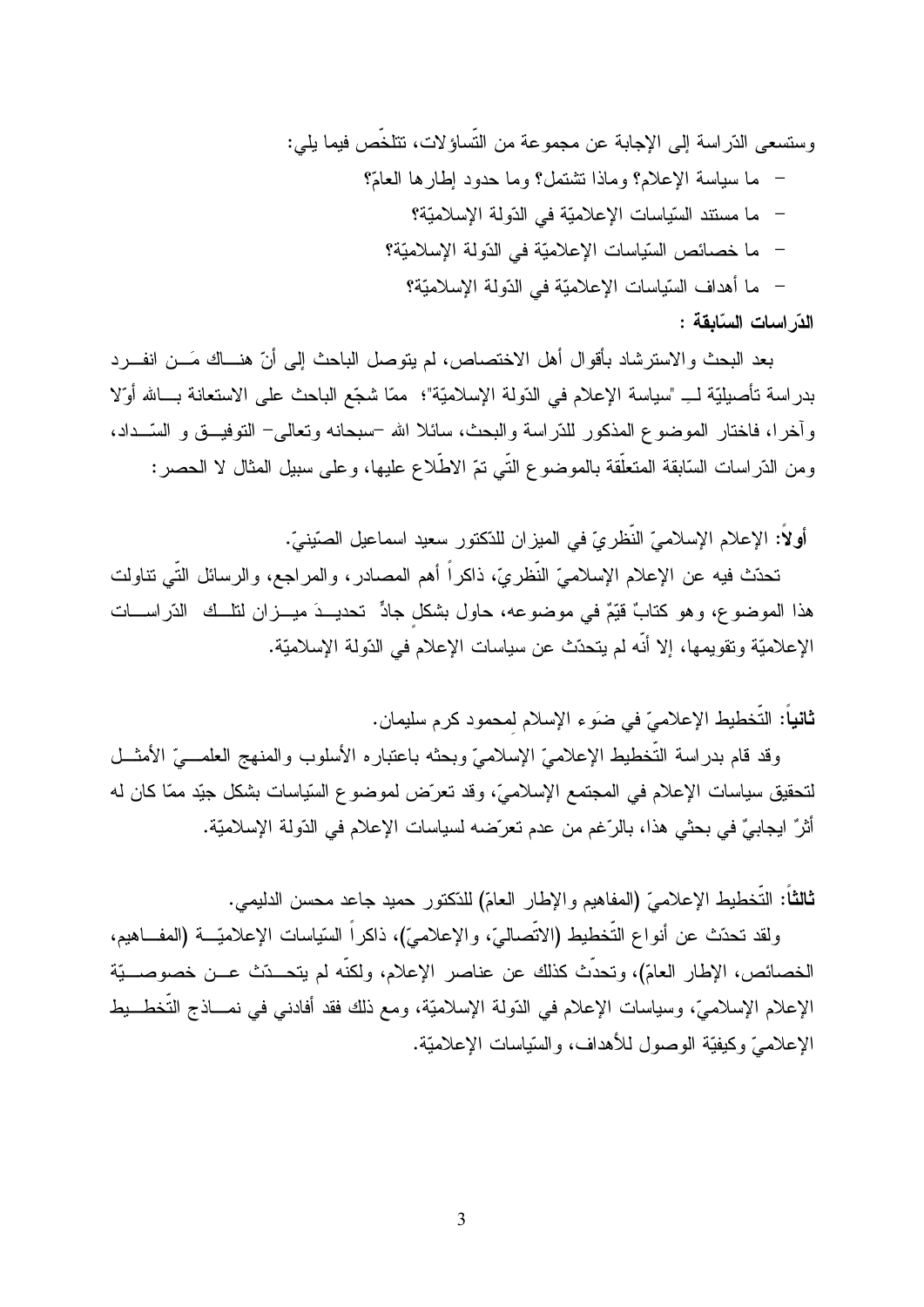وستسعى الدّراسة إلى الإجابة عن مجموعة من التّساؤلات، تتلخّص فيما بلي: – ما سياسة الإعلام؟ وماذا تشتمل؟ وما حدود إطارها العامَّ؟ – ما مستند السّياسات الإعلاميّة في الدّولة الإسلاميّة؟ – ما خصائص السّياسات الإعلاميّة في الدّولة الإسلاميّة؟ – ما أهداف السّياسات الإعلاميّة في الدّولة الإسلاميّة؟ الدّر اسات السّابقة :

بعد البحث والاسترشاد بأقوال أهل الاختصاص، لم يتوصل الباحث إلى أنّ هنــاك مَـــن انفـــرد بدراسة تأصيليّة لـ ِ "سياسة الإعلام في الدّولة الإسلاميّة"؛ ممّا شجّع الباحث على الاستعانة بــالله أوّلا وآخرا، فاختار الموضوع المذكور للدّراسة والبحث، سائلا الله –سبحانه وتعالى– التوفيـــق و السّـــداد، ومن الدَّراسات السَّابقة المتعلَّقة بالموضوع النَّبي نمِّ الاطَّلاع عليها، وعلى سبيل المثال لا الحصر :

أولاً: الإعلام الإسلاميِّ النُّظرِ يِّ في الميزِ ان للدِّكتور سعيد اسماعيل الصِّينيِّ.

تحدّث فيه عن الإعلام الإسلاميّ النّظريّ، ذاكراً أهم المصـادر ، والمراجع، والرسائل التّي نتاولت هذا الموضوع، وهو كتابٌ قيّمٌ في موضوعه، حاول بشكل جادٍّ تحديــدَ ميـــزان لتلــك الدّراســـات الإعلاميّة وتقويمها، إلا أنّه لم يتحدّث عن سياسات الإعلام في الدّولة الإسلاميّة.

ثانياً: التَّخطيط الإعلاميّ في ضوَءِ الإسلام لمحمود كرم سليمان.

وقد قام بدراسة التَّخطيط الإعلاميّ الإسلاميّ وبحثه باعتباره الأسلوب والمنهج العلمـــيّ الأمثـــل لتحقيق سياسات الإعلام في المجتمع الإسلاميّ، وقد تعرّض لموضوع السّياسات بشكل جيّد ممّا كان له أَثْرٌ ايجابيٌّ في بحثي هذا، بالرِّغم من عدم تعرِّضه لسياسات الإعلام في الدِّولة الإسلاميَّة.

ثـالثـَّا: التَّخطيط الإعلامـيّ (المفاهيم والإطـار الـعامّ) للدّكتور حميد جاعد محسن الدليمي.

ولقد تحدّث عن أنواع التُّخطيط (الاتِّصاليّ، والإعلاميّ)، ذاكراً السّياسات الإعلاميّــــة (المفـــاهيم، الخصائص، الإطار العامّ)، وتحدَّث كذلك عن عناصر الإعلام، ولكنَّه لم يتحــدّث عــن خصوصـــيّة الإعلام الإسلاميِّ، وسياسات الإعلام في الدّولة الإسلاميَّة، ومع ذلك فقد أفادني في نمـــاذج التَّخطـــيط الإعلاميِّ وكيفيَّة الوصول للأهداف، والسَّياسات الإعلاميَّة.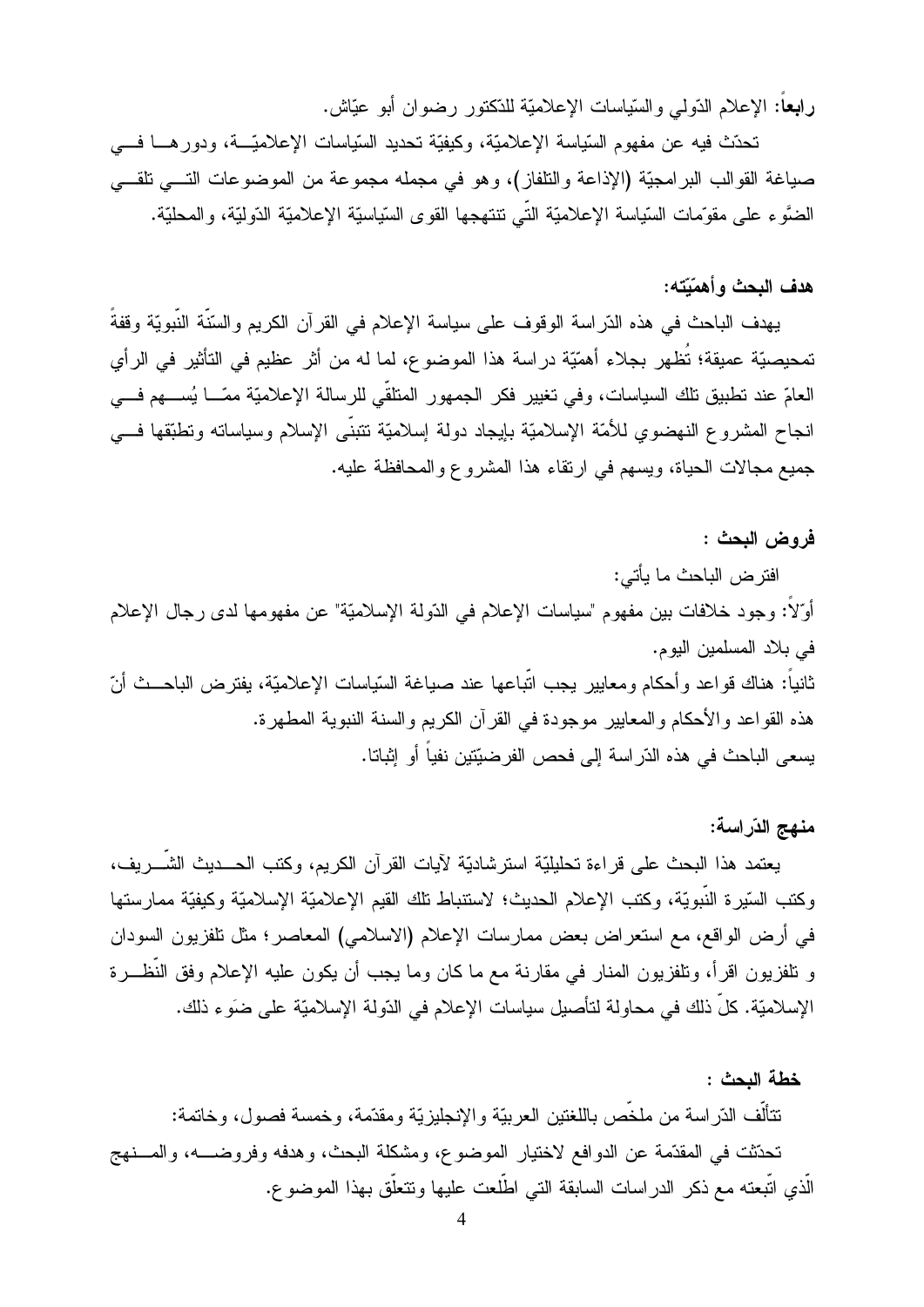**رابعًا:** الإعلام الدّولمي والسّيّاسات الإعلاميّة للدّكتور رضوان أبو عيّاش.

تحدّث فيه عن مفهوم السّياسة الإعلاميّة، وكيفيّة تحديد السّياسات الإعلاميّـــة، ودور هــــا فــــى صياغة القوالب البرامجيّة (الإذاعة والتلفاز)، وهو في مجمله مجموعة من الموضوعات التــــي تلقــــي الضَّوء على مقوَّمات السّياسة الإعلاميّة النّي نتنهجها القوى السّياسيّة الإعلاميّة الدّوليّة، والمحليّة.

### هدف البحث وأهمّيّته:

يهدف الباحث في هذه الدّراسة الوقوف على سياسة الإعلام في القرآن الكريم والسّنّة النّبويّة وقفةً تمحيصيّة عميقة؛ تُظهر بجلاء أهمّيّة دراسة هذا الموضوع، لما له من أثر عظيم في التأثير في الرأي العامّ عند نطبيق نلك السياسات، وفي تغيير فكر الجمهور المنلقّي للرسالة الإعلاميّة ممّـــا يُســـهم فـــي انجاح المشروع النهضوي للأمّة الإسلاميّة بايجاد دولة إسلاميّة نتبنّى الإسلام وسياساته ونطبّقها فسي جميع مجالات الحياة، ويسهم في ارتقاء هذا المشروع والمحافظة عليه.

### فروض البحث :

افتر ض الباحث ما يأتي: أوِّلاً: وجود خلافات بين مفهوم "سياسات الإعلام في الدّولة الإسلاميّة" عن مفهومها لدى رجال الإعلام في بلاد المسلمين اليوم. ثانياً: هناك قواعد وأحكام ومعايير يجب اتّباعها عند صياغة السّياسات الإعلاميّة، يفترض الباحــث أنّ هذه القواعد والأحكام والمعايير موجودة في القرآن الكريم والسنة النبوية المطهرة. يسعى الباحث في هذه الدّراسة إلى فحص الفرضيّتين نفياً أو اِثباتا.

## منهج الدّراسة:

يعتمد هذا البحث على قر اءة تحليليّة استر شاديّة لآيات القر آن الكريم، وكتب الحـــديث الشّــر يف، وكتب السّيرة النّبويّة، وكتب الإعلام الحديث؛ لاستنباط تلك القيم الإعلاميّة الإسلاميّة وكيفيّة ممارستها في أرض الواقع، مع استعراض بعض ممارسات الإعلام (الاسلامي) المعاصر؛ مثل نلفزيون السودان و نلفزيون اقرأ، ونلفزيون المنار في مقارنة مع ما كان وما يجب أن يكون عليه الإعلام وفق النَّظـــرة الإسلاميّة. كلّ ذلك في محاولة لتأصيل سياسات الإعلام في الدّولة الإسلاميّة على ضوء ذلك.

### خطة البحث :

تتألُّف الدّر اسة من ملخِّص باللغتين العربيّة و الإنجليز يّة و مقدَّمة، و خمسة فصول، و خاتمة: تحدّثت في المقدّمة عن الدوافع لاختيار الموضوع، ومشكلة البحث، وهدفه وفروضــــه، والمــــنهج الَّذي اتَّبعته مع ذكر الدر اسات السابقة التي اطَّلعت عليها وتتعلَّق بهذا الموضوع.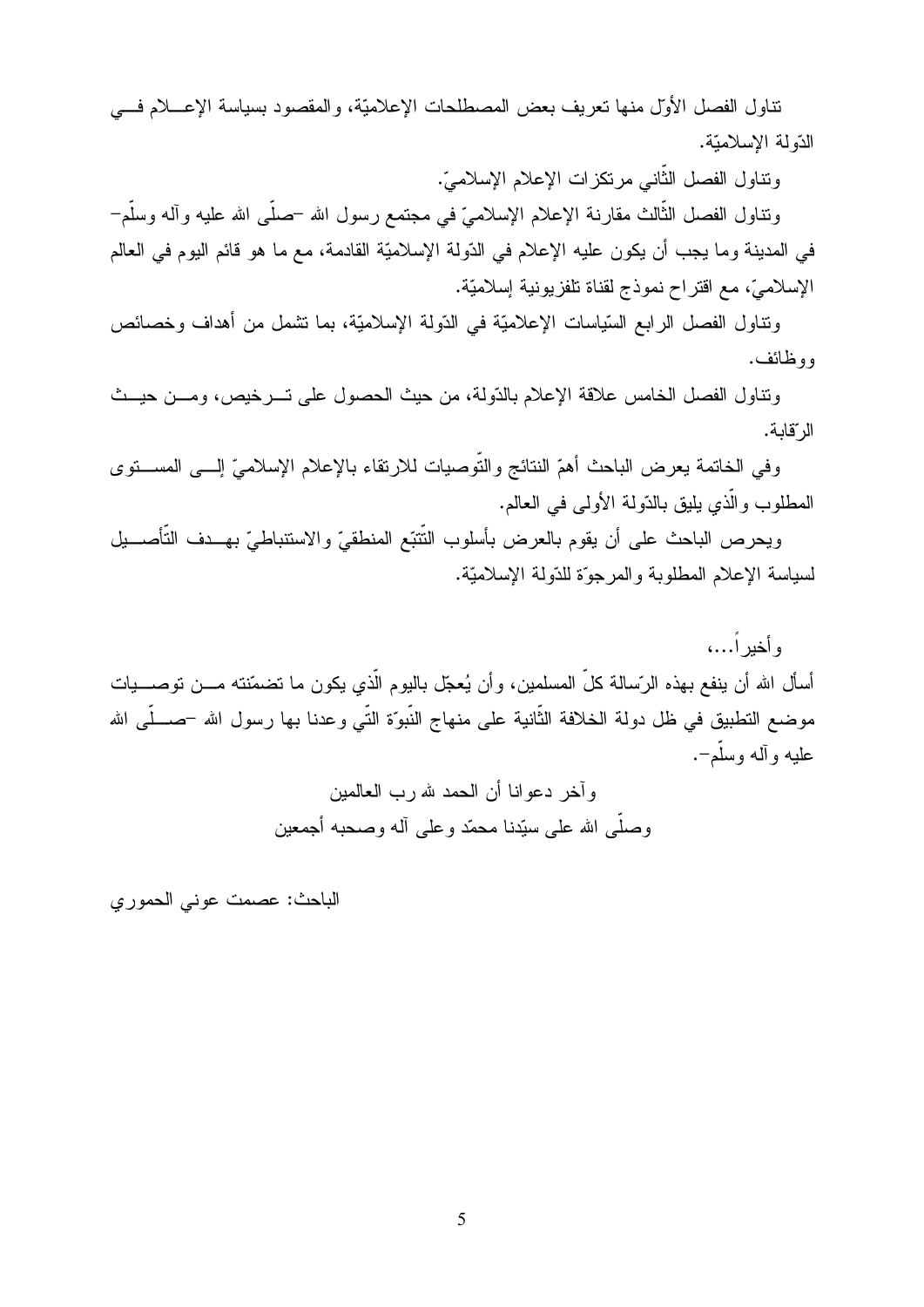تناول الفصل الأول منها نعريف بعض المصطلحات الإعلاميّة، والمقصود بسياسة الإعــــلام فــــي الدّولة الإسلاميّة.

ونتاول الفصل الثاني مرتكزات الإعلام الإسلاميّ.

ونتاول الفصل الثالث مقارنة الإعلام الإسلاميّ في مجتمع رسول الله –صلبي الله عليه وأله وسلَّم– في المدينة وما يجب أن يكون عليه الإعلام في الدّولة الإسلاميّة القادمة، مع ما هو قائم اليوم في العالم الإسلاميّ، مع اقتراح نموذج لقناة تلفزيونية إسلاميّة.

ونتاول الفصل الرابع السّياسات الإعلاميّة في الدّولة الإسلاميّة، بما نشمل من أهداف وخصائص روظائف.

ونتاول الفصل الخامس علاقة الإعلام بالدّولة، من حيث الحصول على تـــرخيص، ومـــن حيـــث الر قالة.

وفي الخاتمة يعرض الباحث أهمّ النتائج والتوصيات للارتقاء بالإعلام الإسلاميّ إلـــي المســـنوي المطلوب والذي يليق بالدّولة الأولى في العالم.

ويحرص الباحث على أن يقوم بالعرض بأسلوب النتتبّع المنطقيّ والاستنباطيّ بهـــدف التأصـــيل لسياسة الإعلام المطلوبة والمرجوّة للدّولة الإسلاميّة.

رأخير ا…، أسأل الله أن ينفع بهذه الرّسالة كلّ المسلمين، وأن يُعجّل باليوم الذي يكون ما تضمّنته مـــن نوصــــيات موضع التطبيق في ظل دولة الخلافة الثانية على منهاج النبوّة التي وعدنا بها رسول الله –صـــلّـي الله عليه وأله وسلم–.

وآخر دعوانا أن الحمد لله رب العالمين وصلَّـى الله علـى سبَّدنـا محمَّد وعلـى آلـه وصـحبـه أجمعين

الباحث: عصمت عوني الحموري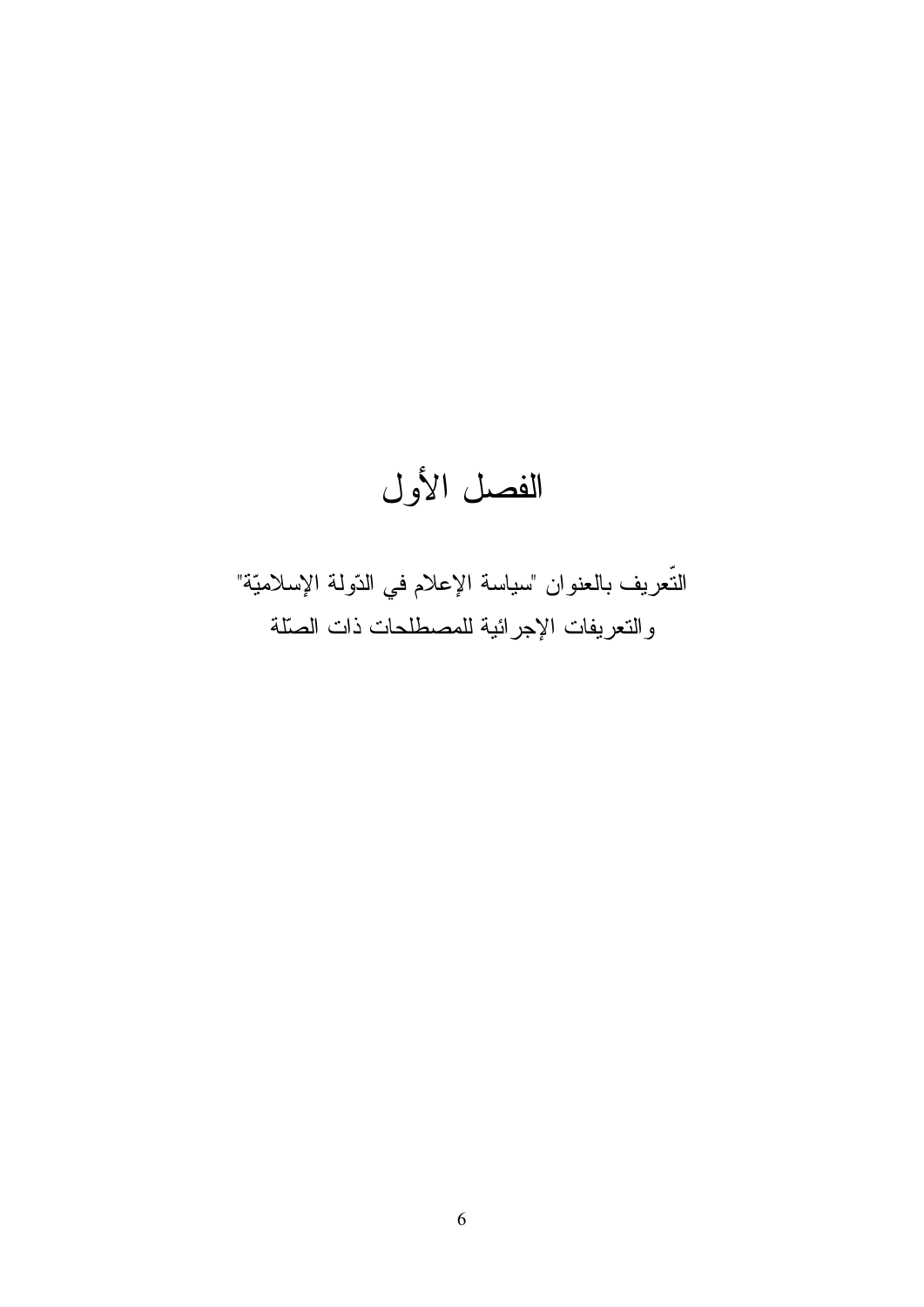# الفصل الأول

التُّعريف بالعنوان "سياسة الإعلام في الدّولة الإسلاميّة" والتعريفات الإجرائية للمصطلحات ذات الصلة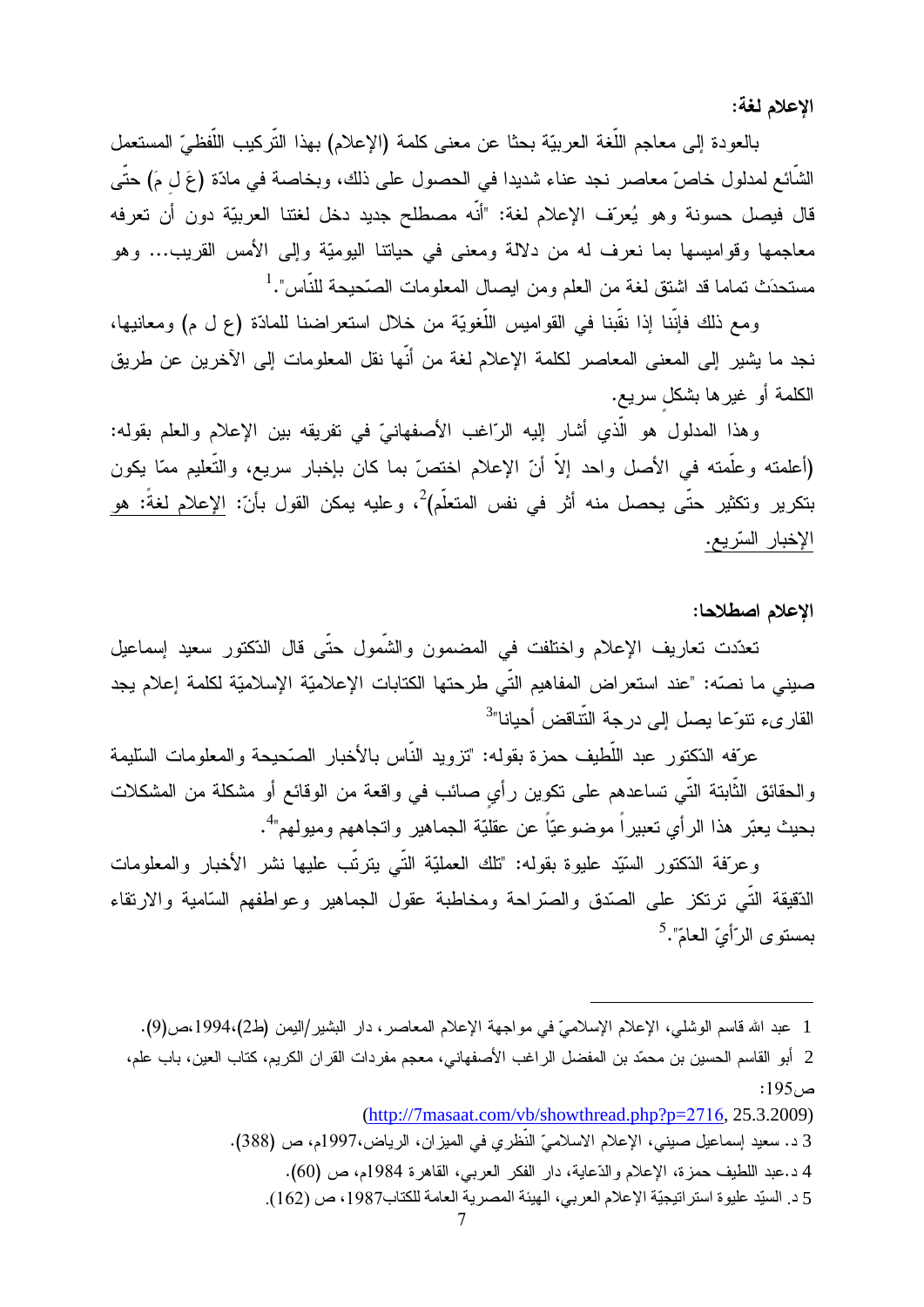الإعلام لغة:

بالعودة إلى معاجم اللُّغة العربيّة بحثا عن معنى كلمة (الإعلام) بهذا التّركيب اللّفظيّ المستعمل الشائع لمدلول خاصٍّ معاصر نجد عناء شديدا في الحصول على ذلك، وبخاصة في مادّة (عَ ل مَ) حتّى قال فيصل حسونة وهو يُعرّف الإعلام لغة: "أنّه مصطلح جديد دخل لغتنا العربيّة دون أن تعرفه معاجمها وقواميسها بما نعرف له من دلالة ومعنى في حياتنا اليوميّة وإلى الأمس القريب... وهو مستحدَث تماما قد اشتق لغة من العلم ومن ايصال المعلومات الصّحيحة للنّاس".<sup>1</sup>

ومع ذلك فإنَّنا إذا نقَّبنا في القواميس اللُّغويَّة من خلال استعراضنا للمادَّة (ع ل م) ومعانيها، نجد ما يشير إلى المعنى المعاصر لكلمة الإعلام لغة من أنَّها نقل المعلومات إلى الآخرين عن طريق الكلمة أو غيرها بشكل سريع.

وهذا المدلول هو الَّذي أشار إليه الرَّاغب الأصفهانيِّ في تفريقه بين الإعلام والعلم بقوله: (أعلمته وعلَّمته في الأصل واحد إلاَّ أنّ الإعلام اختصّ بما كان بإخبار سريع، والتَّعليم ممّا يكون بتكرير وتكثير حتّى يحصل منه أثر في نفس المتعلّم) $^2$ ، وعليه يمكن القول بأنّ: الإعلام لغةً: هو الإخبار السّريع.

الإعلام اصطلاحا:

تعدّدت تعاريف الإعلام واختلفت في المضمون والشّمول حتّى قال الدّكتور سعيد إسماعيل صيني ما نصّه: "عند استعراض المفاهيم النّي طرحتها الكتابات الإعلاميّة الإسلاميّة لكلمة إعلام يجد القارىء تتوّعا يصل إلى درجة النّتاقض أحيانا"<sup>3</sup>

عرّفه الدّكتور عبد اللّطيف حمز ة بقوله: "تزويد النّاس بالأخبار الصّحيحة و المعلومات السّليمة والحقائق الثَّابتة النَّـى تساعدهم على نكوين رأي صـائب فـى واقعة من الوقائـع أو مشكلة من المشكلات بحيث يعبّر هذا الرأي تعبيراً موضوعيّاً عن عقليّة الجماهير واتجاههم وميولهم"<sup>4</sup>.

وعرّفة الدّكتور السّيّد عليوة بقوله: "تلك العمليّة النّي يترنّب عليها نشر الأخبار والمعلومات الدُّقيقة التَّبي ترتكز على الصَّدق والصَّراحة ومخاطبة عقول الجماهير وعواطفهم السَّامية والارتقاء بمستوى الرّأيّ العامّ".<sup>5</sup>

<sup>1</sup> عبد الله قاسم الوشلي، الإعلام الإسلاميّ في مواجهة الإعلام المعاصر ، دار البشير/اليمن (ط2)،1994،ص(9).

<sup>2-</sup> أبو القاسم الحسين بن محمّد بن المفضل الراغب الأصفهاني، معجم مفردات القران الكريم، كتاب العين، باب علم، ص:195:

 $(http://7masaat.com/vb/showthread.php?p=2716, 25.3.2009)$ 

<sup>3</sup> د. سعيد إسماعيل صيني، الإعلام الاسلاميّ النّظري في الميزان، الرياض،1997م، ص (388).

<sup>4</sup> د.عبد اللطيف حمزة، الإعلام والدّعاية، دار الفكر العربي، القاهرة 1984م، ص (60).

<sup>5</sup> د. السيّد عليوة استر اتيجيّة الإعلام العربي، الهيئة المصرية العامة للكتاب1987، ص (162).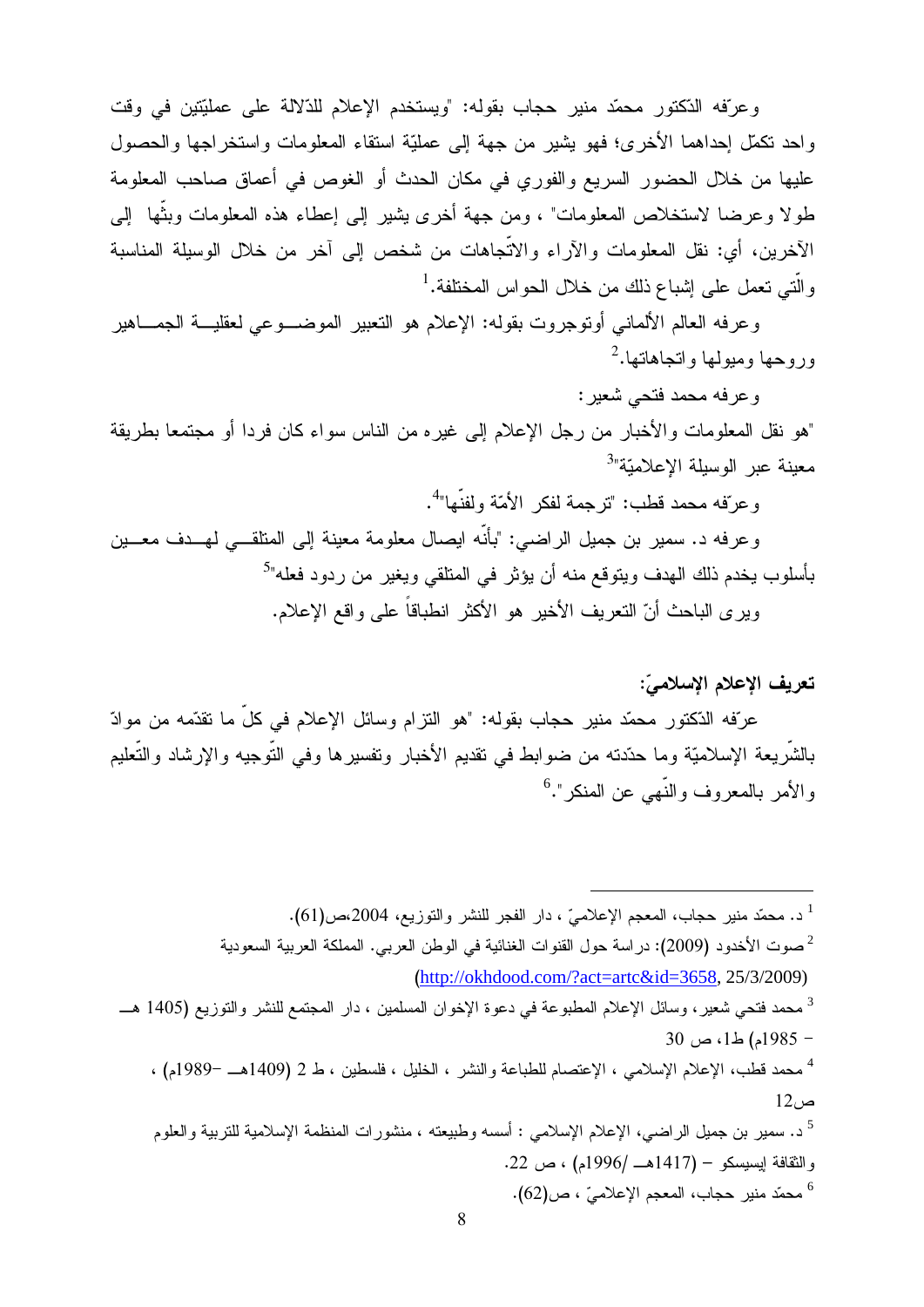وعرّفه الدّكتور محمّد منير حجاب بقوله: "ويستخدم الإعلام للدّلالة على عمليّتين في وقت واحد نكمَّل إحداهما الأخرى؛ فهو يشير من جهة إلى عمليَّة استقاء المعلومات واستخراجها والحصول عليها من خلال الحضور السريع والفوري في مكان الحدث أو الغوص في أعماق صاحب المعلومة طولا وعرضا لاستخلاص المعلومات" ، ومن جهة أخرى بشير إلى إعطاء هذه المعلومات وبثْها ۖ إلى الآخرين، أي: نقل المعلومات والآراء والاتِّجاهات من شخص إلى آخر من خلال الوسيلة المناسبة والَّتـى تعمل علـى إشبـاع ذلك من خلال الـحواس المختلفة.<sup>1</sup>

وعرفه العالم الألماني أونوجروت بقوله: الإعلام هو التعبير الموضـــوعي لعقليـــة الجمـــاهير ور وحها ومبولها وانجاهاتها.<sup>2</sup>

وعرفه محمد فتحي شعير :

"هو نقل المعلومات والأخبار من رجل الإعلام إلى غيره من الناس سواء كان فردا أو مجتمعا بطريقة معبنة عبر الوسيلة الاعلاميّة"<sup>3</sup>

و عرّفه محمد قطب: "ترجمة لفكر الأمّة و لفنّها"<sup>4</sup>.

وعرفه د. سمير بن جميل الراضي: "بأنَّه ايصال معلومة معينة إلى المتلقـــي لمهـــدف معـــين بأسلوب يخدم ذلك الهدف ويتوقع منه أن يؤثر في المتلقى ويغير من ردود فعله"<sup>5</sup> وير ي الباحث أنّ النعريف الأخير هو الأكثر انطباقاً على واقع الإعلام.

# تعريف الإعلام الإسلاميّ:

عرّفه الدّكتور محمّد منير حجاب بقوله: "هو النزام وسائل الإعلام في كلِّ ما نقدّمه من موادّ بالشريعة الإسلاميّة وما حدّدته من ضوابط في نقديم الأخبار ونفسيرها وفي النوجيه والإرشاد والنعليم والأمر بالمعروف والنَّهي عن المنكر".<sup>6</sup>

<sup>1</sup> د. محمّد منير حجاب، المعجم الإعلامـيّ ، دار الفجر للنشر والتوزيع، 2004،ص(61). <sup>2</sup>صوت الأخدود (2009): دراسة حول القنوات الغنائية في الوطن العربي. المملكة العربية السعودية (http://okhdood.com/?act=artc&id=3658, 25/3/2009) <sup>3</sup> محمد فتحى شعير ، وسائل الإعلام المطبوعة في دعوة الإخوان المسلمين ، دار المجتمع للنشر والتوزيع (1405 هـــ - 1985م) ط1، ص 30 <sup>4</sup> محمد قطب، الإعلام الإسلامي ، الإعتصام للطباعة والنشر ، الخليل ، فلسطين ، ط 2 (1409هــ −1989م) ،  $12<sub>0</sub>$ د. سمير بن جميل الراضبي، الإعلام الإسلامي : أسسه وطبيعته ، منشورات المنظمة الإسلامية للتربية والعلوم والثقافة إيسيسكو – (1417هــ /1996م) ، ص 22. محمّد منير حجاب، المعجم الإعلاميّ ، ص $(62)$ .  $\,$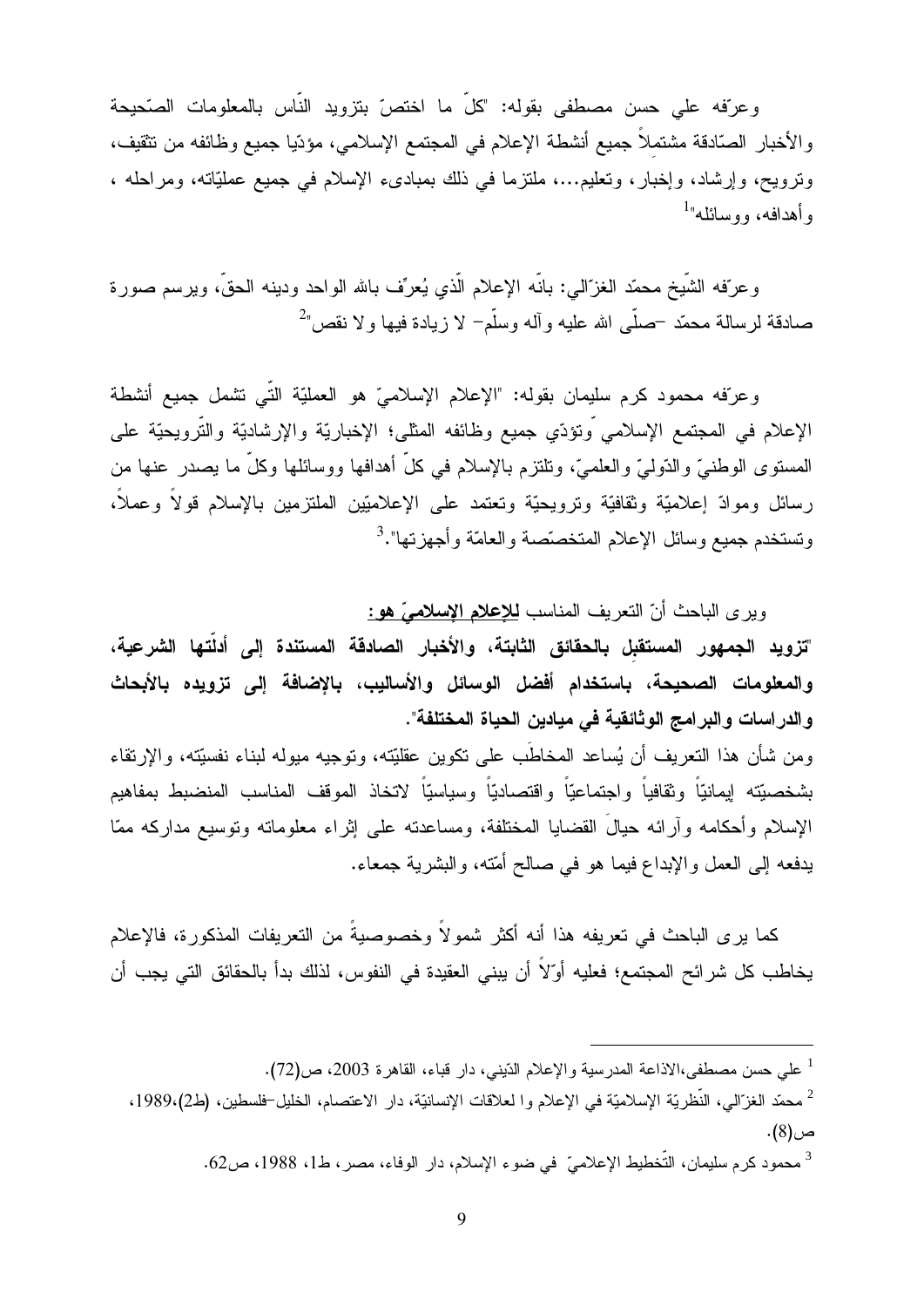وعرّفه على حسن مصطفى بقوله: "كلّ ما اختصّ بتزويد النّاس بالمعلومات الصّحيحة والأخبار الصّادقة مشتملاً جميع أنشطة الإعلام في المجتمع الإسلامي، مؤدّيا جميع وظائفه من نتقيف، ونرويح، وإرشاد، وإخبار، ونعليم...، ملنزما في ذلك بمبادىء الإسلام في جميع عمليَّاته، ومراحله ، وأهدافه، ووسائله"<sup>1</sup>

وعرّفه الشَّبخ محمَّد الغزَّالبي: بانَّه الإعلام الَّذي يُعرِّف بالله الواحد ودينه الحقِّ، ويرسم صورة صادقة لر سالة محمّد –صلّبي الله عليه و آله وسلّم– لا ز يادة فيها و لا نقص"

وعرّفه محمود كرم سليمان بقوله: "الإعلام الإسلاميّ هو العمليّة التّي نتثمل جميع أنشطة الإعلام في المجتمع الإسلامي وتؤدِّي جميع وظائفه المثلي؛ الإخباريَّة والإرشاديَّة والتَّرويحيَّة على المستوى الوطنيّ والدّوليّ والعلميّ، ونلتزم بالإسلام في كلُّ أهدافها ووسائلها وكلُّ ما يصدر عنها من رسائل وموادّ إعلاميّة وثقافيّة وترويحيّة وتعتمد على الإعلاميّين الملتزمين بالإسلام قولاً وعملاً، وتستخدم جميع وسائل الإعلام المتخصّصة والعامّة وأجهزتها".<sup>3</sup>

ويرى الباحث أنّ النعريف المناسب للإعلام الإسلاميّ هو:

"تزويد الجمهور المستقبل بالحقائق الثابتة، والأخبار الصادقة المستندة إلى أدلّتها الشرعية، والمعلومات الصحيحة، باستخدام أفضل الوسائل والأساليب، بالإضافة إلى تزويده بالأبحاث والدراسات والبرامج الوثائقية في ميادين الحياة المختلفة".

و من شأن هذا التعريف أن يُساعد المخاطَب على تكوين عقليّته، وتوجيه ميوله لبناء نفسيّته، والإرتقاء بشخصيّته إيمانيّاً وثقافياً واجتماعيّاً واقتصاديّاً وسياسيّاً لاتخاذ الموقف المناسب المنضبط بمفاهيم الإسلام وأحكامه وآرائه حيالُ القضايا المختلفة، ومساعدته على إثراء معلوماته ونوسيع مداركه ممّا يدفعه إلى العمل والإبداع فيما هو في صالح أمّته، والبشرية جمعاء.

كما يرى الباحث في تعريفه هذا أنه أكثر شمولاً وخصوصيةً من التعريفات المذكورة، فالإعلام يخاطب كل شرائح المجتمع؛ فعليه أوِّلاً أن يبنى العقيدة في النفوس، لذلك بدأ بالحقائق التي يجب أن

<sup>&</sup>lt;sup>1</sup> على حسن مصطفى،الاذاعة المدرسية والإعلام الدّيني، دار قباء، القاهرة 2003، ص(72).

<sup>&</sup>lt;sup>2</sup> محمّد الغزّالي، النّظريّة الإسلاميّة في الإعلام وا لعلاقات الإنسانيّة، دار الاعتصام، الخليل-فلسطين، (ط2)،1989،  $(8).$ ص

<sup>&</sup>lt;sup>3</sup> محمود كر م سليمان، التّخطيط الإعلاميّ في ضو ء الإسلام، دار الوفاء، مصر ، ط1، 1988، ص62.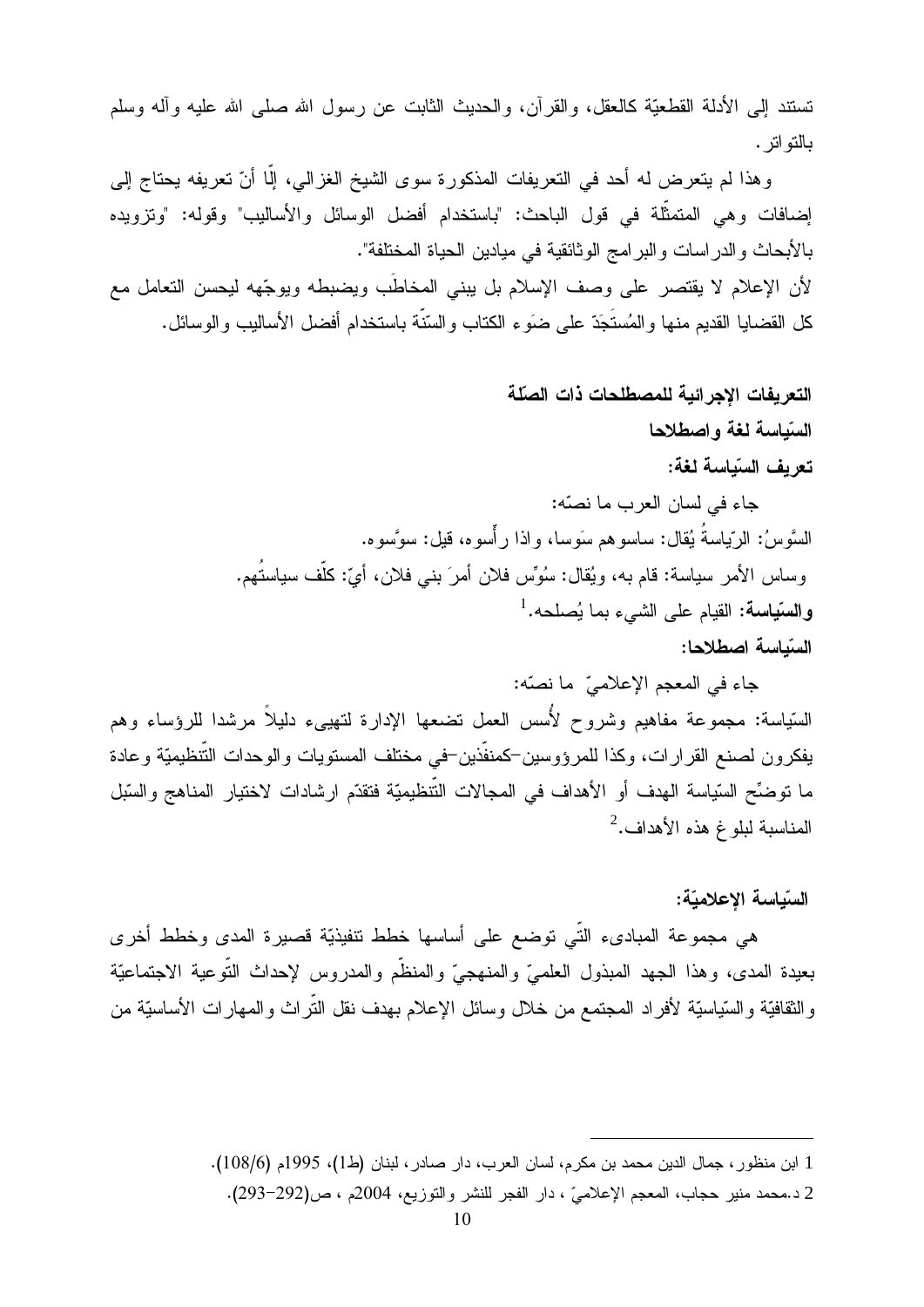نستند إلى الأدلة القطعيَّة كالعقل، والقرآن، والحديث الثابت عن رسول الله صلَّى الله عليه وأله وسلَّم بالتواتر .

وهذا لم يتعرض له أحد في النعريفات المذكورة سوى الشيخ الغزالي، إلَّا أنَّ تعريفه يحتاج إلى إضافات وهي المتمثَّلة في قول الباحث: "باستخدام أفضل الوسائل والأساليب" وقوله: "وتزويده بالأبحاث والدر اسات والبر امج الوثائقية في ميادين الحياة المختلفة". لأن الإعلام لا يقتصر على وصف الإسلام بل يبني المخاطَب ويضبطه ويوجِّهه ليحسن التعامل مع كل القضايا القديم منها و المُستَجَدّ على ضوَ ء الكتاب و السّنّة باستخدام أفضل الأساليب و الوسائل.

# التعريفات الاجرائية للمصطلحات ذات الصلة السّباسة لغة و اصطلاحا تع بف السّباسة لغة:

جاء في لسان العرب ما نصّه: السَّوِسُ: الرَّبِياسةُ يُقال: ساسوهم سَوِسا، و إذا ر أُسوء، قَيل: سوَّسوء. وساس الأمر سياسة: قام به، ويُقال: سُوِّس فلان أمرَ بني فلان، أيّ: كلُّف سياستُهم. وا**لسّياسة:** القيام على الشيء بما يُصلحه.<sup>1</sup> السّباسة اصطلاحا:

جاء في المعجم الإعلاميِّ ما نصَّه: السّياسة: مجموعة مفاهيم وشروح لأُسس العمل نضعها الإدارة لتهيىء دليلاً مرشدا للرؤساء وهم يفكرون لصنع القرارات، وكذا للمرؤوسين–كمنفَّذين–في مختلف المستويات والوحدات التَّنظيميَّة وعادة ما نوضِّح السّياسة الهدف أو الأهداف في المجالات التّنظيميّة فتقدّم ارشادات لاختيار المناهج والسّبل المناسبة لبلوغ هذه الأهداف.

## السّباسة الاعلاميّة:

هي مجموعة المباديء التّي توضع على أساسها خطط نتفيذيّة قصيرة المدى وخطط أخرى بعيدة المدى، وهذا الجهد المبذول العلميّ والمنهجيّ والمنظَّم والمدروس لإحداث النَّوعية الاجتماعيّة والثقافيَّة والسَّياسيَّة لأفراد المجتمع من خلال وسائل الإعلام بهدف نقل النَّراث والمهارات الأساسيَّة من

<sup>1</sup> ابن منظور ، جمال الدين محمد بن مكرم، لسان العرب، دار صادر ، لبنان (ط1)، 1995م (108/6).

<sup>2</sup> د.محمد منير حجاب، المعجم الإعلاميّ ، دار الفجر للنشر والتوزيع، 2004م ، ص(292–293).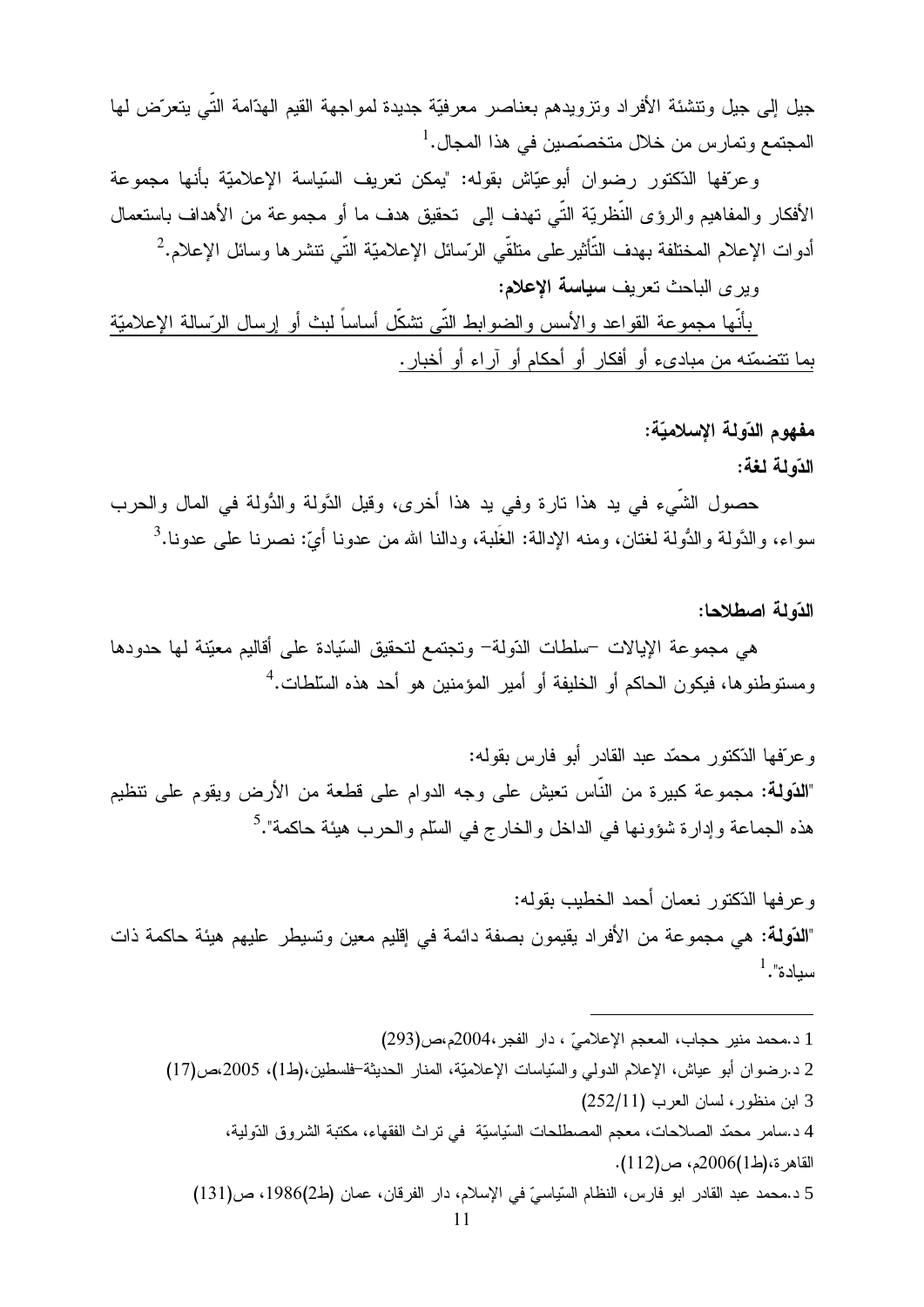جيل إلى جيل ونتشئة الأفراد ونزويدهم بعناصر معرفيّة جديدة لمواجهة القيم الهذامة التّي يتعرّض لمها المجتمع وتمارس من خلال متخصّصين في هذا المجال.<sup>1</sup>

وعرّفها الدّكتور رضوان أبوعيّاش بقوله: "يمكن تعريف السّياسة الإعلاميّة بأنها مجموعة الأفكار والمفاهيم والرؤى النُّظريَّة النَّبي تهدف إلى تحقيق هدف ما أو مجموعة من الأهداف باستعمال أدوات الإعلام المختلفة بهدف التَّأثير على متلقَّى الرّسائل الإعلاميّة التَّى تتشر ها وسائل الإعلام.<sup>2</sup>

وبر ي الباحث تعريف سياسة الاعلام:

بأنَّها مجموعة القواعد والأسس والضوابط النَّبي نتثنكَّل أساساً لبث أو إرسال الرَّسالة الإعلاميّة بما نتضمّنه من مبادىء أو أفكار أو أحكام أو آراء أو أخبار.

### مفهوم الدّولة الإسلاميّة:

### الدّه لمة لغة:

حصولِ الشَّيءِ في يد هذا تارة وفي يد هذا أخرى، وقيل الدَّولة والدُّولة في المال والحرب سواء، والدَّولة والدُّولة لغتان، ومنه الإدالة: الغَلبة، ودالنا الله من عدونا أيّ: نصر نا علي عدونا.<sup>3</sup>

### الدّه لـه اصطلاحا:

هي مجموعة الإيالات –سلطات الدّولة– وتجتمع لتحقيق السّيادة على أقاليم معيّنة لـها حدودها ومستوطنوها، فيكون الحاكم أو الخليفة أو أمير المؤمنين هو أحد هذه السّلطات.<sup>4</sup>

و عرّ فها الذّكتور محمّد عبد القادر أبو فار س بقوله: "**الدّولة:** مجموعة كبيرة من النّاس تعيش على وجه الدوام على قطعة من الأرض ويقوم على تنظيم هذه الجماعة وإدارة شؤونها في الداخل والخارج في السلّم والحرب هيئة حاكمة".<sup>5</sup>

و عر فها الدّكتور نعمان أحمد الخطيب بقوله: "**الدّولـة:** هـي مجموعـة من الأفراد يقيمون بصـفـة دائمـة فـي إقليم معين وتسيطر عليهم هيئـة حاكمـة ذات  $^1.$ "سدادة

1 د.محمد منير حجاب، المعجم الإعلاميّ ، دار الفجر ،2004م،ص(293) 2 د.رضوان أبو عياش، الإعلام الدولمي والسّياسات الإعلاميّة، المنار الحديثة-فلسطين،(ط1)، 2005،ص(17) 3 ابن منظور ، لسان العرب (252/11) 4 د.سامر ً محمّد الصلاحات، معجم المصطلحات السّياسيّة ۖ في تر اث الفقهاء، مكتبة الشروق الدّولية، القاهر ة،(ط1)2006م، ص(112). 5 د.محمد عبد القادر ابو فارس، النظام السّياسيّ في الإسلام، دار الفرقان، عمان (ط2)1986، ص(131)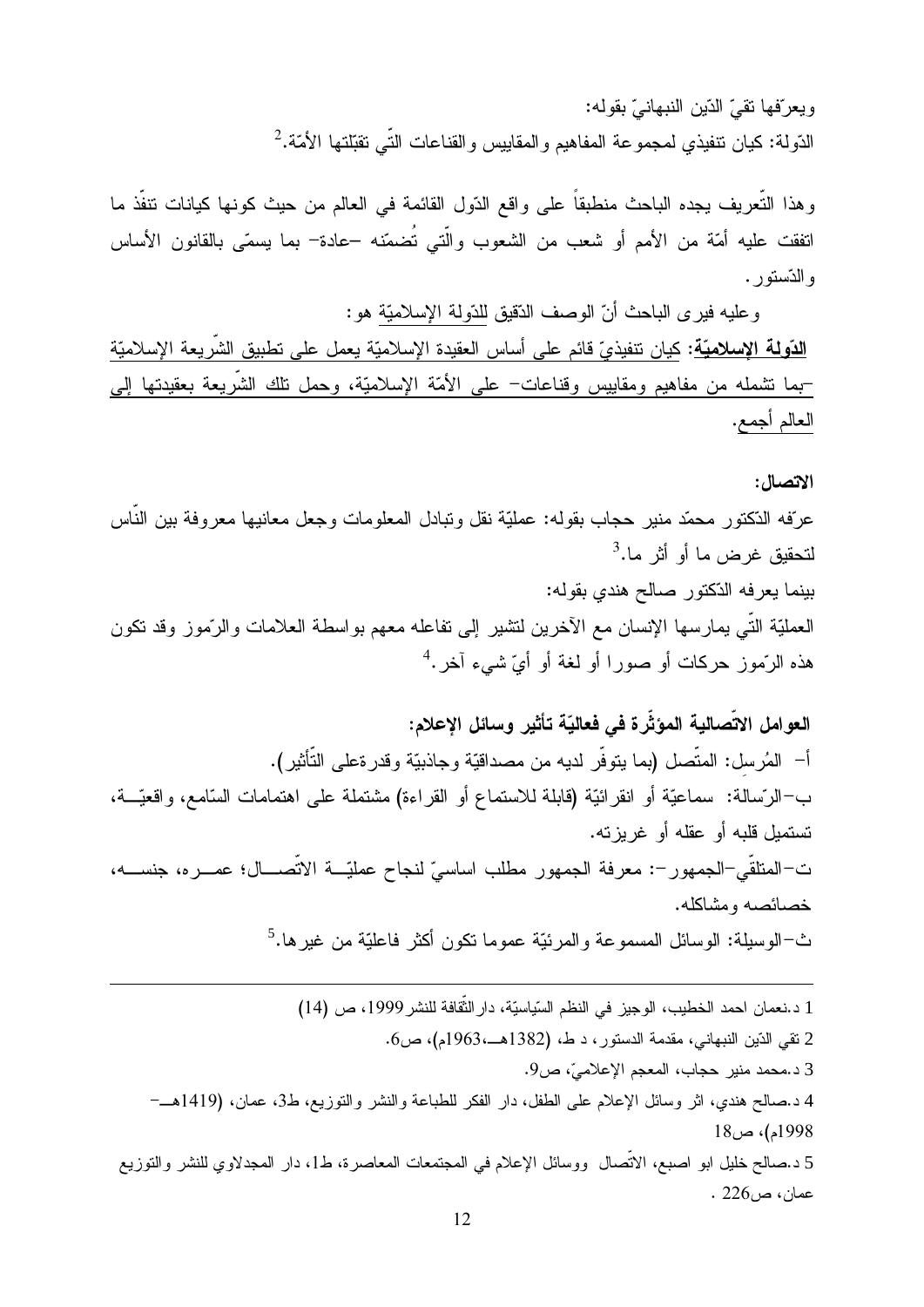ويعرّفها نقيّ الدّين النبهانيّ بقوله: الدّولة: كيان نتفيذي لمجموعة المفاهيم والمقاييس والقناعات التّي تقبّلتها الأمّة.<sup>2</sup>

وهذا التُّعريف يجده الباحث منطبقاً على واقع الدّول القائمة في العالم من حيث كونها كيانات نتفَّذ ما اتفقت عليه أمّة من الأمم أو شعب من الشعوب والّتي تُضمّنه –عادة– بما يسمّى بالقانون الأساس والدّستور .

وعليه فيرى الباحث أنّ الوصف الدّقيق للدّولة الإسلاميّة هو : <mark>الدّولـة الإسلاميّـة</mark>: كيان نتفيذيّ قائم على أساس العقيدة الإسلاميّـة يعمل على نطبيق الشريعة الإسلاميّـة –بما نشمله من مفاهيم ومقاييس وقناعات– على الأمّة الإسلاميّة، وحمل نلك الشّريعة بعقيدتها إلى العالم أجمع.

### الاتصال:

عرّفه الدّكتور محمّد منير حجاب بقوله: عمليّة نقل وتبادل المعلومات وجعل معانيها معروفة بين النّاس  $^3$ . لتحقيق غر ض ما أو أثر ما بينما يعرفه الدّكتور صالح هندي بقوله: العمليّة النّي يمارسها الإنسان مع الآخرين لنتثبير إلى نفاعله معهم بواسطة العلامات والرّموز وقد نكون هذه الرَّموز حركات أو صورا أو لغة أو أيّ شيء آخر.<sup>4</sup>

العوامل الاتِّصالية المؤثِّرة في فعاليّة تأثير وسائل الإعلام: أ– المُرسل: المنصل (بما ينوفر لديه من مصداقيّة وجاذبيّة وقدرةعلى النّأثير). ب–الرّسالة: سماعيّة أو انقرائيّة (قابلة للاستماع أو القراءة) مشتملة على اهتمامات السّامع، واقعيّــة، تستمبل قلبه أو عقله أو غربز ته. ت–المنلقّى–الجمهور–: معرفة الجمهور مطلب اساسيّ لنجاح عمليّـــة الاتّصــــال؛ عصـــره، جنســــه، خصائصه ومشاكله. ث–الوسيلة: الوسائل المسموعة والمرئيّة عموما نكون أكثر فاعليّة من غير ها.<sup>5</sup>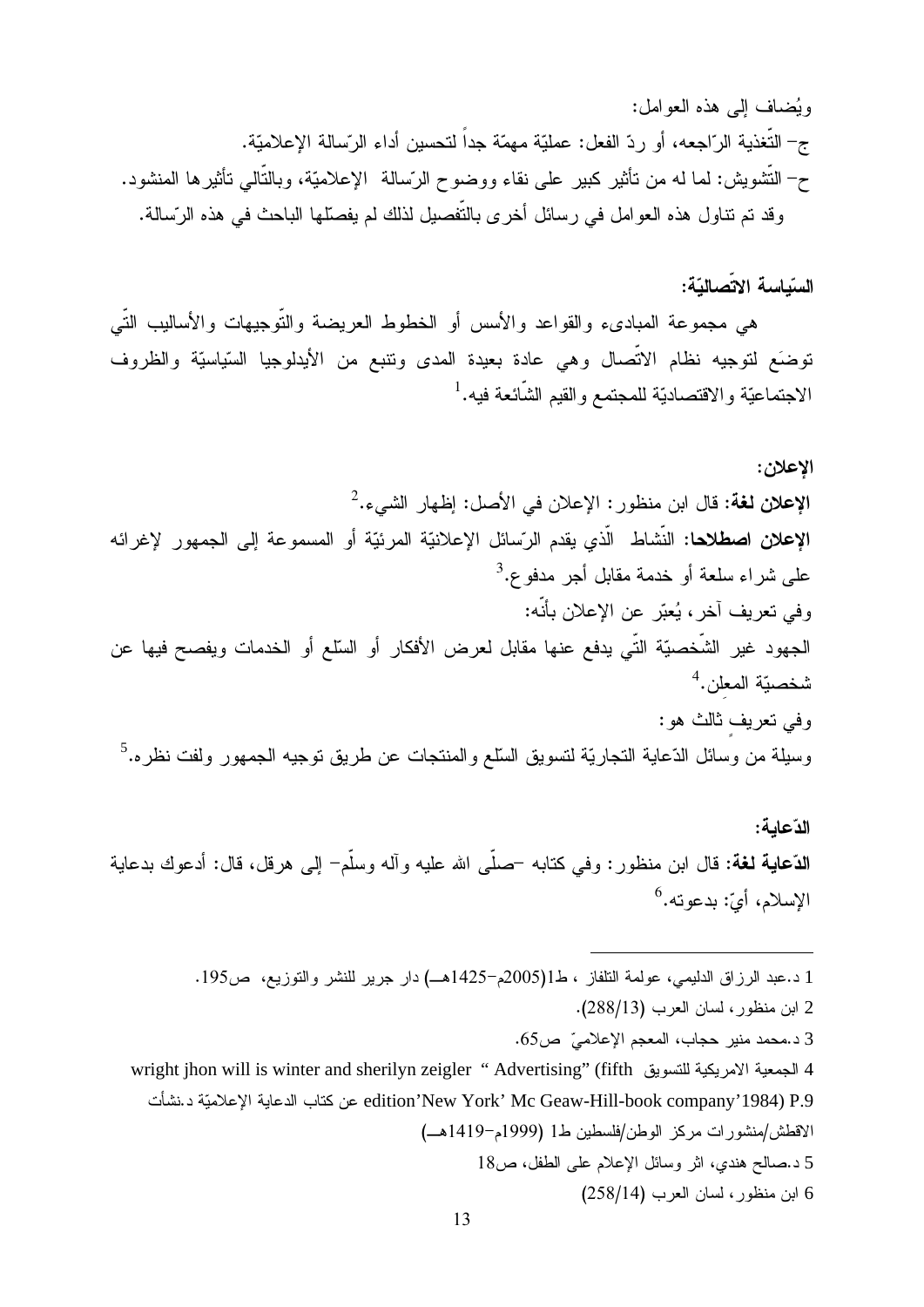ويُضلف إلى هذه العوامل: ج– التُّغذية الرّاجعه، أو ردّ الفعل: عمليّة مهمّة جداً لتحسين أداء الرّسالة الإعلاميّة. ح– التَّشويش: لما له من تأثير كبير على نقاء ووضوح الرَّسالة الإعلاميَّة، وبالنَّالـي تأثيرها المنشود. وقد تم نتـاول هذه الـعوامل فـي رسائل أخرى بالتَّفصيل لذلك لم يفصِّلها البـاحث فـي هذه الرَّسالـة.

السّياسة الاتّصاليّة:

هي مجموعة المبادىء والقواعد والأسس أو الخطوط العريضة والتّوجيهات والأساليب التّي توضَع لتوجيه نظام الاتّصال وهي عادة بعيدة المدى ونتبع من الأيدلوجيا السّياسيّة والظروف الاجتماعيّة والاقتصاديّة للمجتمع والقيم الشّائعة فيه.<sup>1</sup>

الاعلان: الإعلان لغة: قال ابن منظور : الإعلان في الأصل: إظهار الشيء.<sup>2</sup> **الإعلان اصطلاحا:** النّشاط الّذي يقدم الرّسائل الإعلانيّة المرئيّة أو المسموعة إلى الجمهور لإغرائه على شراء سلعة أو خدمة مقابل أجر مدفو ع.<sup>3</sup> وفي تعريف آخر، يُعبّر عن الإعلان بأنّه: الجهود غير الشَّخصيّة التّي يدفع عنها مقابل لعرض الأفكار أو السّلع أو الخدمات ويفصح فيها عن  $^4$ . شخصيّة المعلن وفي تعريف ثالث هو: وسيلة من وسائل الدّعاية التجاريّة لتسويق السّلع والمنتجات عن طريق توجيه الجمهور ولفت نظره.<sup>5</sup>

الدّعامة: **الدّعاية لغة:** قال ابن منظور : وفي كنابه –صلَّى الله عليه وأله وسلَّم– إلى هرقل، قال: أدعوك بدعاية الإسلام، أيّ: بدعوته.<sup>6</sup>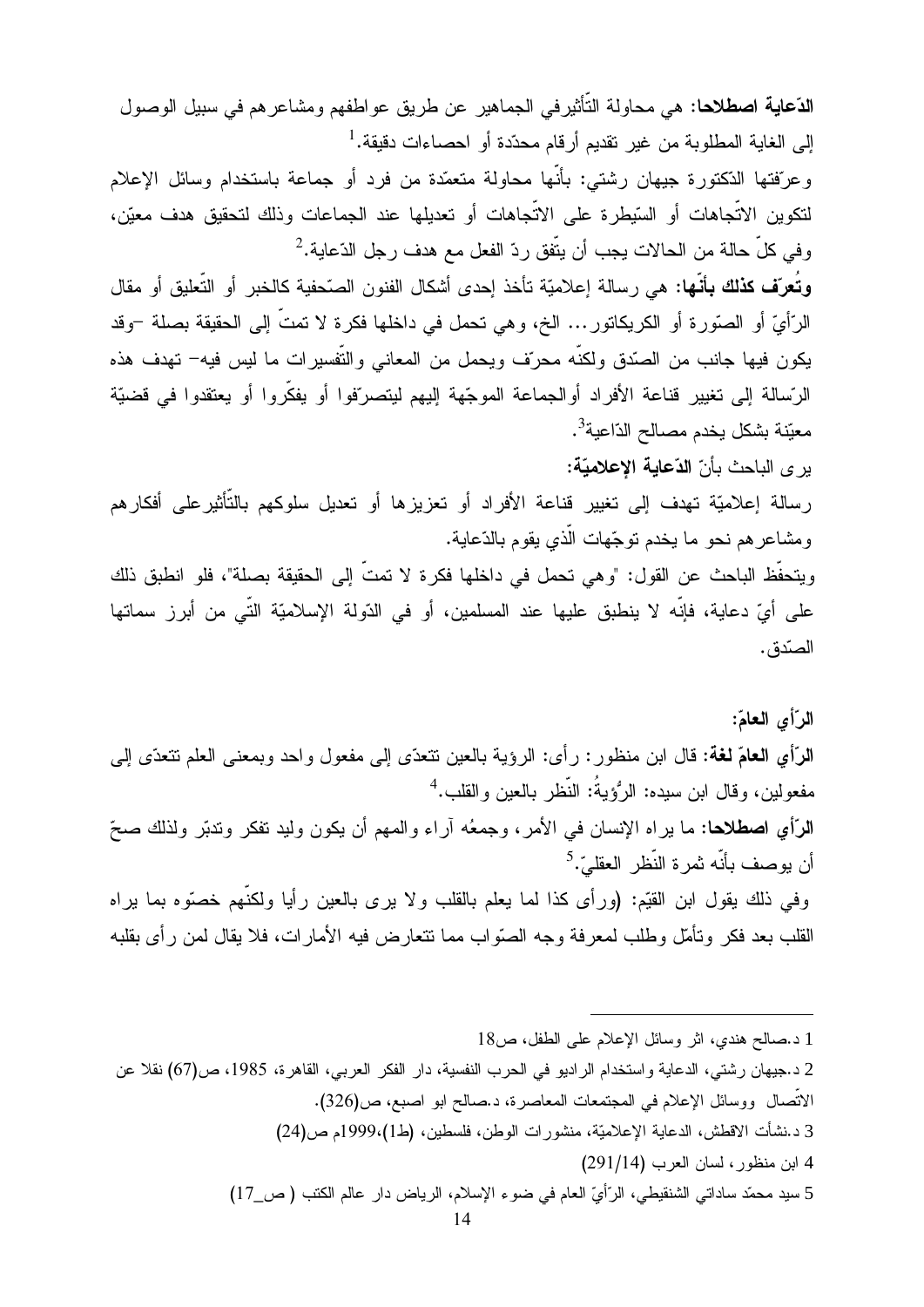**الدّعاية اصطلاحا**: هي محاولة التّأثيرفي الجماهير عن طريق عواطفهم ومشاعرهم في سبيل الوصول إلى الغاية المطلوبة من غير نقديم أرقام محدّدة أو احصـاءات دقيقة.<sup>1</sup>

وعرّفتها الدّكتورة جيهان رشتي: بأنّها محاولة متعمّدة من فرد أو جماعة باستخدام وسائل الإعلام لتكوين الاتّجاهات أو السّيطرة على الاتّجاهات أو تعديلها عند الجماعات وذلك لتحقيق هدف معيّن،  $^2$ وفي كلِّ حالة من الحالات يجب أن يتّفق ردّ الفعل مع هدف رجل الدّعاية.

**وتُعرّف كذلك بأنّها:** هي رسالة إعلاميّة تأخذ إحدى أشكال الفنون الصّحفية كالخبر أو التّعليق أو مقال الرَّأيِّ أو الصّورة أو الكريكاتور … الخ، وهي تحمل في داخلها فكرة لا تمتُّ إلى الحقيقة بصلة –وقد يكون فيها جانب من الصّدق ولكنّه محرّف ويحمل من المعاني والنّفسيرات ما ليس فيه– تهدف هذه الرّسالة إلى تغيير قناعة الأفراد أوالجماعة الموجّهة إليهم ليتصرّفوا أو يفكّروا أو يعتقدوا في قضيّة معيّنة بشكل يخدم مصـالح الدّاعية<sup>3</sup>.

ير ي الباحث بأنّ الدّعابة الإعلاميّة:

رسالة إعلاميّة تهدف إلى تغيير قناعة الأفراد أو تعزيزها أو تعديل سلوكهم بالتّأثيرعلى أفكارهم ومشاعر هم نحو ما يخدم نوجّهات الّذي يقوم بالدّعاية.

ويتحفَّظ الباحث عن القول: "وهي تحمل في داخلها فكرة لا تمتَّ إلى الحقيقة بصلة"، فلو انطبق ذلك على أيّ دعاية، فإنّه لا ينطبق عليها عند المسلمين، أو في الدّولة الإسلاميّة التّي من أبرز سماتها الصّدق.

الرّأى العامّ: الرّأي العامّ لغة: قال ابن منظور : رأي: الرؤية بالعين نتعدّى إلى مفعول واحد وبمعنى العلم نتعدّى إلى مفعولين، وقال ابن سيده: الرُّؤيةُ: النُّظر بالعين و القلب.<sup>4</sup> الرّأي اصطلاحًا: ما يراه الإنسان في الأمر، وجمعُه آراء والمهم أن يكون وليد نفكر وندبّر ولذلك صحّ أن يوصف بأنّه شرة النّظر العقليّ.<sup>5</sup> وفي ذلك يقول ابن القيِّم: (ورأى كذا لما يعلم بالقلب ولا يرى بالعين رأيا ولكنَّهم خصوَّه بما يراه القلب بعد فكر ونأمّل وطلب لمعرفة وجه الصّواب مما نتعارض فيه الأمارات، فلا يقال لمن رأى بقلبه

2 د.جيهان رشتي، الدعاية واستخدام الراديو في الحرب النفسية، دار الفكر العربي، القاهرة، 1985، ص(67) نقلا عن الاتِّصال ووسائل الإعلام في المجتمعات المعاصرة، د.صالح ابو اصبع، ص(326). 3 د.نشأت الاقطش، الدعاية الإعلاميّة، منشور ات الوطن، فلسطين، (ط1)،1999م ص(24) 4 ابن منظور ، لسان العرب (291/14) 5 سيد محمّد ساداتي الشنقيطي، الرّأيّ العام في ضوء الإسلام، الرياض دار عالم الكتب ( ص\_17)

<sup>1</sup> د.صالح هندي، اثر وسائل الإعلام على الطفل، ص18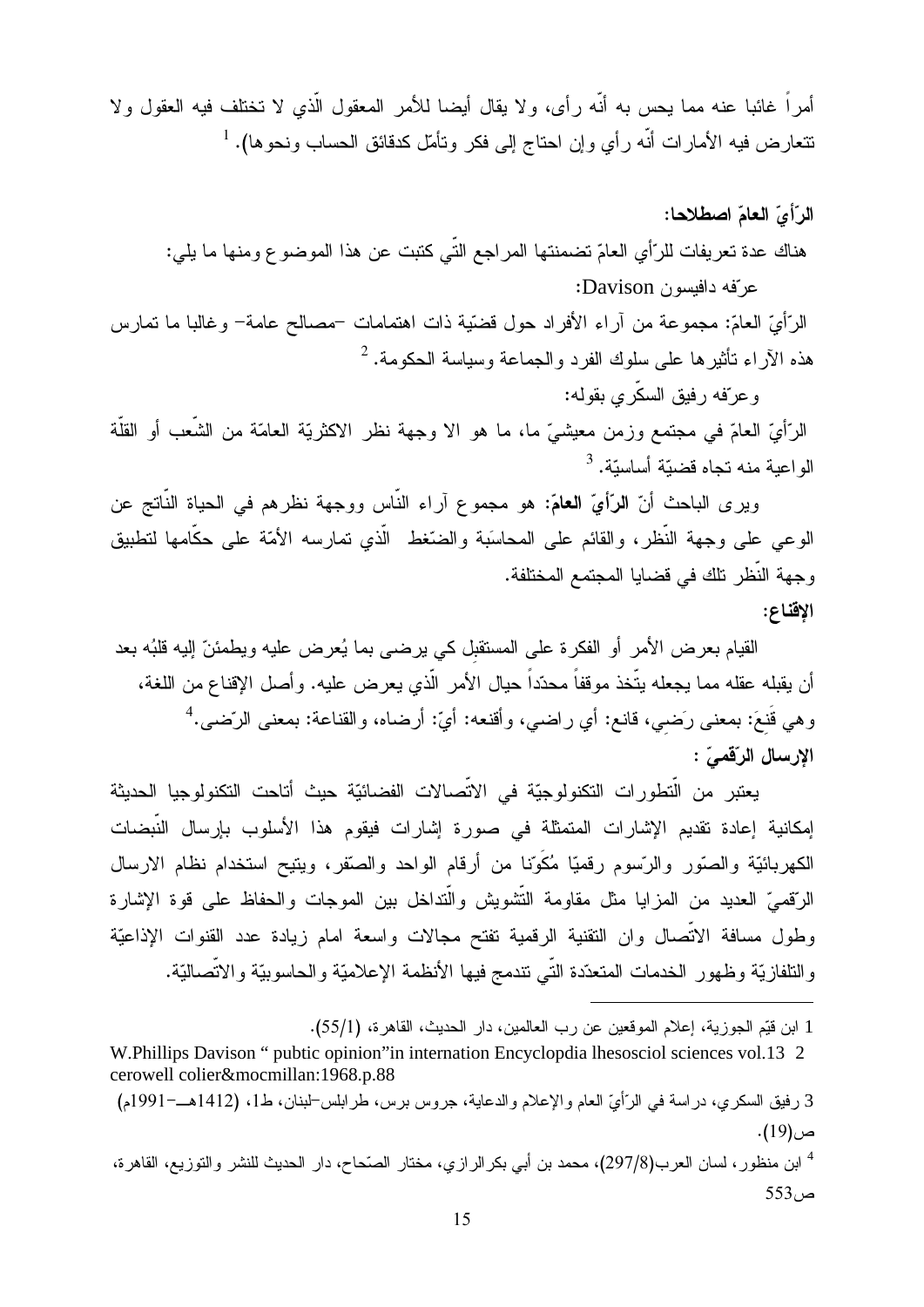أمراً غائبا عنه مما يحس به أنّه رأى، ولا يقال أيضا للأمر المعقول الّذي لا تختلف فيه العقول ولا نتعارض فيه الأمارات أنَّه رأي وإن احتاج إلى فكر وتأمَّل كدقائق الحساب ونحوها). <sup>1</sup>

الرّأىّ العامّ اصطلاحا: هناك عدة تعريفات للرّأي العامّ تضمنتها المراجع التّي كتبت عن هذا الموضوع ومنها ما يلي: عرفه دافيسون Davison:

الرَّأيّ العامّ: مجموعة من أراء الأفراد حول قضيّة ذات اهتمامات –مصـالح عامة– وغالبا ما تمارس هذه الأراء نأثيرها على سلوك الفرد والجماعة وسياسة الحكومة. <sup>2</sup>

و عرّفه رفيق السكّر *ي* بقوله:

الرَّأيّ العامّ في مجتمع وزمن معيشيّ ما، ما هو الا وجهة نظر الاكثريّة العامّة من الشّعب أو القلّة الو اعدة منه تحاه قضيّة أساسيّة. <sup>3</sup>

ويرى الباحث أنّ الرّأيّ العامّ: هو مجموع آراء النّاس ووجهة نظرهم في الحياة النّاتج عن الوعى على وجهة النُّظر، والقائم على المحاسَبة والضُّغط الَّذي نمارسه الأمَّة على حكَّامها لتطبيق وجهة النّظر تلك في قضايا المجتمع المختلفة.

الاقناع:

القيام بعرض الأمر أو الفكرة على المستقبل كي يرضيي بما يُعرض عليه ويطمئنّ إليه قلبُه بعد أن يقبله عقله مما يجعله يتَّخذ موقفاً محدّداً حيال الأمر الَّذي يعرض عليه. وأصل الإقناع من اللغة، وهي قُنعَ: بمعنى رَضيي، قانع: أي راضي، وأقنعه: أيّ: أرضاه، والقناعة: بمعنى الرّضي.<sup>4</sup> الارسال الرّقميّ :

يعتبر من الَّتطورات التكنولوجيّة في الاتِّصالات الفضائيّة حيث أتاحت التكنولوجيا الحديثة إمكانية إعادة تقديم الإشارات المتمثلة في صورة إشارات فيقوم هذا الأسلوب بإرسال النّبضات الكهربائيّة والصّور والرّسوم رقميّا مُكَوّنا من أرقام الواحد والصّقر، ويتيح استخدام نظام الارسال الرّقميّ العديد من المزايا مثل مقاومة التّشويش والّتداخل بين الموجات والحفاظ على قوة الإشارة وطول مسافة الاتّصال وان النقنية الرقمية نفتح مجالات واسعة امام زيادة عدد القنوات الإذاعيّة والنافازيّة وظهور الخدمات المتعدّدة التّى نتدمج فيها الأنظمة الإعلاميّة والحاسوبيّة والاتّصاليّة.

<sup>1</sup> ابن قيِّم الجوزية، إعلام الموقعين عن رب العالمين، دار الحديث، القاهرة، (55/1).

W.Phillips Davison " pubtic opinion" in internation Encyclopdia lhesosciol sciences vol.13 2 cerowell colier&mocmillan:1968.p.88

<sup>3</sup> رفيق السكري، دراسة في الرّأيّ العام والإعلام والدعاية، جروس برس، طرابلس-لبنان، ط1، (1412هــ–1991م) ص(19).

<sup>&</sup>lt;sup>4</sup> ابن منظور ، لسان العرب(297/8)، محمد بن أبي بكر الرازي، مختار الصّحاح، دار الحديث للنشر والتوزيع، القاهرة، ص 553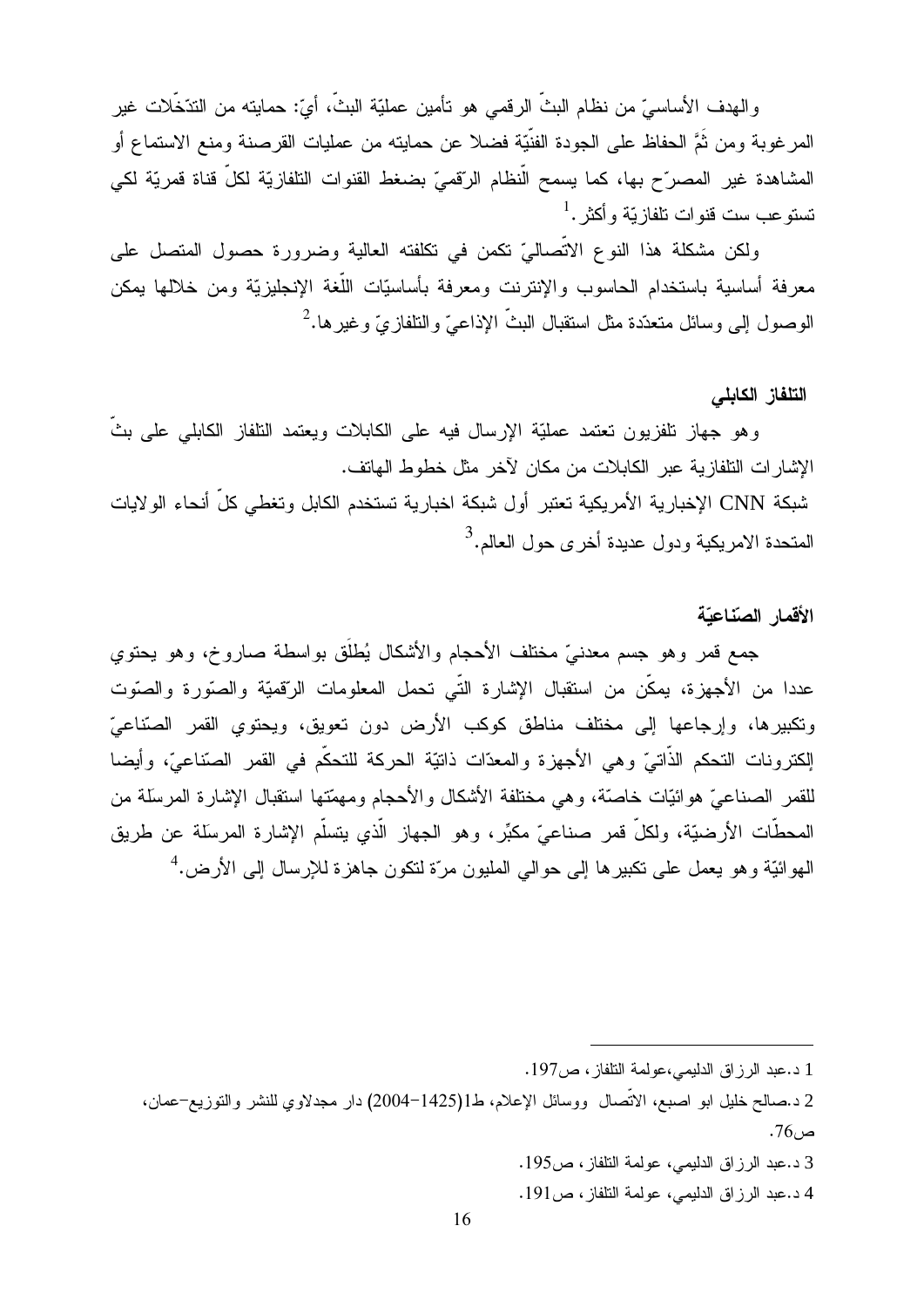والهدف الأساسيِّ من نظام البثَّ الرقمي هو نأمين عمليّة البثَّ، أيّ: حمايته من التدّخَّلات غير المرغوبة ومن ثُمَّ الحفاظ على الجودة الفنَّيّة فضلا عن حمايته من عمليات القرصنة ومنع الاستماع أو المشاهدة غير المصرّح بها، كما يسمح الَّنظام الرِّقميِّ بضغط القنوات النَّلفازيّة لكلِّ قناة قمريّة لكي  $^{-1}.$  نستو عب ست قنو ات نلفاز بّة و أكثر

ولكن مشكلة هذا النوع الاتِّصاليِّ تكمن في تكلَّفته العالية وضرورة حصول المتصل على معرفة أساسية باستخدام الحاسوب والإنترنت ومعرفة بأساسيّات اللّغة الإنجليزيّة ومن خلالها يمكن الوصول إلى وسائل متعدّدة مثل استقبال البثّ الإذاعيّ والنّلفازيّ وغير ها.<sup>2</sup>

### التلفاز الكابلي

و هو جهاز تلفزيون تعتمد عمليّة الإرسال فيه على الكابلات ويعتمد التلفاز الكابلي على بثّ الإشار ات التلفاز بة عبر الكابلات من مكان لآخر ٍ مثل خطوط الهاتف.

شبكة CNN الإخبار ية الأمر يكية تعتبر أول شبكة اخبار ية تستخدم الكابل وتغطي كلِّ أنحاء الو لايات المتحدة الامريكية ودول عديدة أخرى حول العالم.<sup>3</sup>

### الأقمار الصناعيّة

جمع قمر وهو جسم معدنيّ مختلف الأحجام والأشكال يُطلَّق بواسطة صاروخ، وهو يحتوي عددا من الأجهزة، يمكِّن من استقبال الإشارة التِّي تحمل المعلومات الرّقميَّة والصّورة والصّوت وتكبيرها، وإرجاعها إلى مختلف مناطق كوكب الأرض دون تعويق، ويحتوي القمر الصّناعيّ الِكترونات التحكم الذَّاتيّ وهي الأجهزة والمعدَّات ذاتيّة الحركة للتحكّم في القمر الصِّناعيّ، وأيضا للقمر الصناعيّ هوائيّات خاصّة، وهي مختلفة الأشكال والأحجام ومهمّتها استقبال الإشارة المرسلة من المحطَّات الأرضيَّة، ولكلَّ قمر صناعيٍّ مكبِّر، وهو الجهاز الَّذي يتسلَّم الإشارة المرسلة عن طريق المهوائيّة وهو يعمل على تكبيرها إلى حوالي المليون مرّة لتكون جاهزة للإرسال إلى الأرض.<sup>4</sup>

- 3 د.عبد الرزاق الدليمي، عولمة التلفاز، ص195.
- 4 د.عبد الرزاق الدليمي، عولمة النلفاز، ص191.

<sup>1</sup> د.عبد الرزاق الدليمي،عولمة التلفاز، ص197.

<sup>2</sup> د.صالح خليل ابو اصبع، الاتِّصال ووسائل الإعلام، ط1(1425–2004) دار مجدلاوی للنشر والنوزيع–عمان،  $.76 \rightarrow$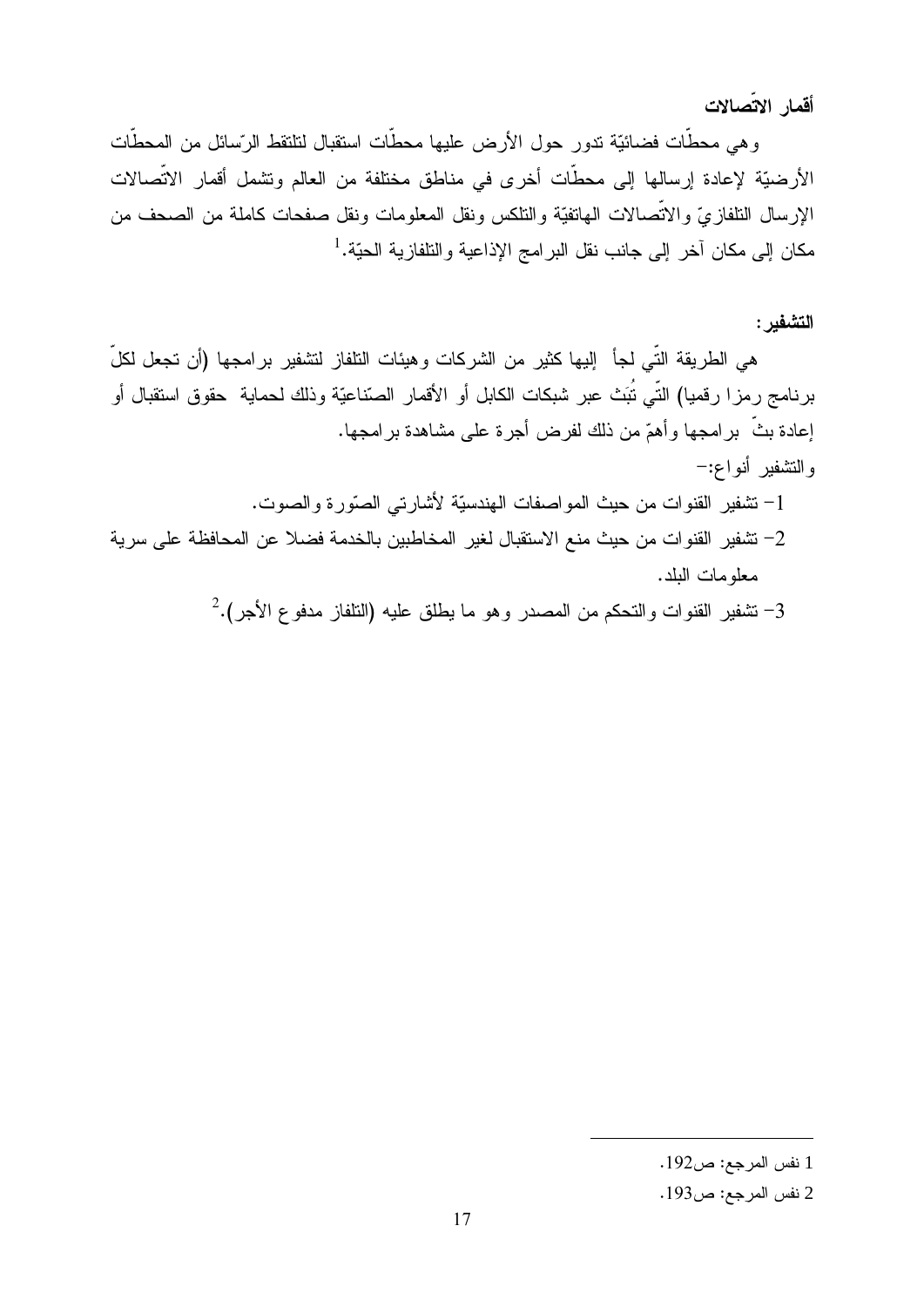أقمار الاتّصالات

و هي محطَّات فضائيَّة تدور حول الأرض عليها محطَّات استقبال لتلتقط الرِّسائل من المحطَّات الأرضيّة لإعادة إرسالها إلى محطَّات أخرى في مناطق مختلفة من العالم وتشمل أقمار الاتِّصالات الإرسال النلفازيّ والاتصالات المهاتفيّة والنلكس ونقل المعلومات ونقل صفحات كاملة من الصحف من مكان إلى مكان آخر إلى جانب نقل البرامج الإذاعية والتلفازية الحيّة.<sup>1</sup>

# التشفير :

هي الطريقة النَّبي لجأ إليها كثير من الشركات وهيئات النلفاز لتشفير برامجها (أن تجعل لكلِّ برنامج رمزا رقميا) التّي تُبَتْ عبر شبكات الكابل أو الأقمار الصّناعيّة وذلك لحماية حقوق استقبال أو إعادة بثَّ برامجها وأهمّ من ذلك لفرض أجرة على مشاهدة برامجها. والتشفير أنواع:-

- 1– نشفير القنوات من حيث المواصفات الهندسيّة لأشارتي الصوّرة والصوت. 2– تشفير القنوات من حيث منع الاستقبال لغير المخاطبين بالخدمة فضلا عن المحافظة على سرية معلومات البلد.
	- $^2$  نشفير القنوات والتحكم من المصدر وهو ما يطلق عليه (التلفاز مدفوع الأجر). $\cdot$

<sup>1</sup> نفس المرجع: ص192.

<sup>2</sup> نفس المرجع: ص193.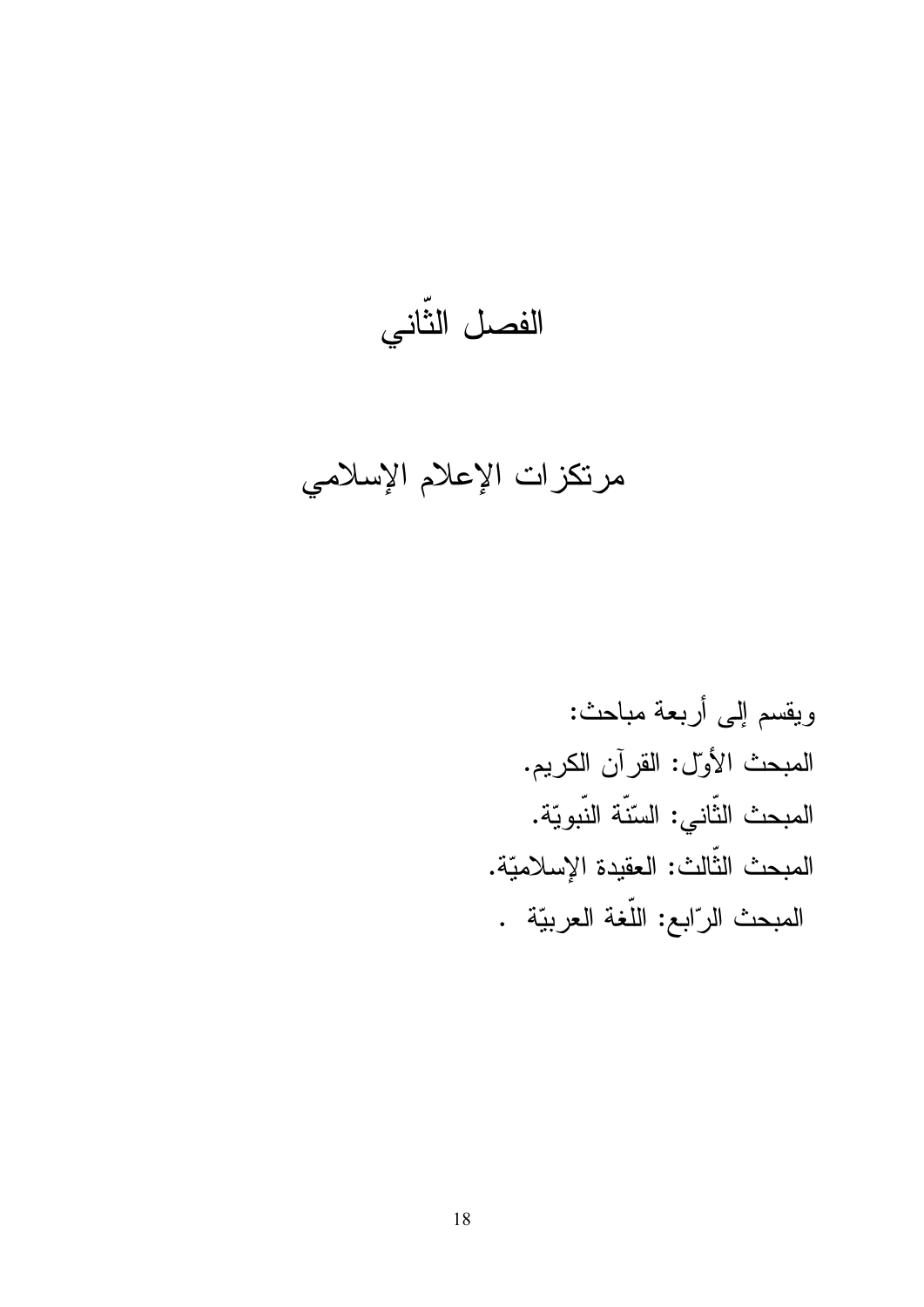الفصل الثَّانى

مرتكزات الإعلام الإسلامي

ويقسم إلى أربعة مباحث: المبحث الأول: القرآن الكريم. المبحث الثّانى: السّنّة النّبويّة. المبحث الثّالث: العقيدة الإسلاميّة. المبحث الرّابع: اللّغة العربيّة .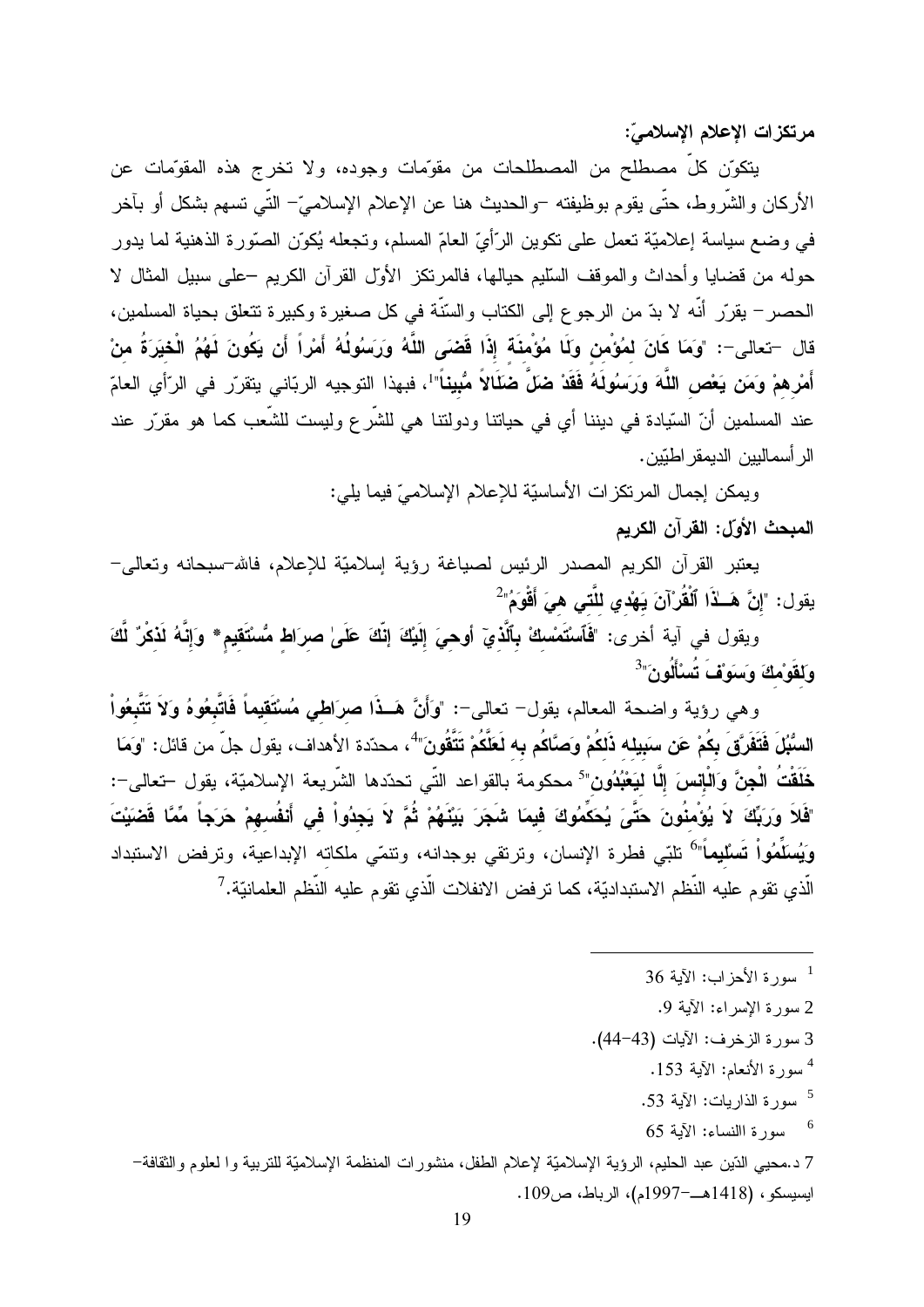مرتكزات الإعلام الإسلاميّ:

يتكوّن كلٍّ مصطلحٍ من المصطلحات من مقوّمات وجوده، ولا تخرج هذه المقوّمات عن الأركان والشَّروط، حتَّى يقوم بوظيفته –والحديث هنا عن الإعلام الإسلاميَّ– النَّـى تسهم بشكل أو بآخر في وضع سياسة إعلاميّة تعمل على نكوين الرّأيّ العامّ المسلم، وتجعله يُكوّن الصّورة الذهنية لما يدور حوله من قضايا وأحداث والموقف السَّليم حيالها، فالمرتكز الأول القرآن الكريم –على سبيل المثال لا الحصر – يقرّر أنّه لا بدّ من الرجو ع إلى الكتاب والسّنّة في كل صغير ة وكبير ة تتعلق بحياة المسلمين، قال –تعالى–: "وَمَا كَانَ لمُؤْمن وَلَا مُؤْمِنَة إِذَا قَضَى اللَّهُ وَرَسَوُلُهُ أَمْراً أَن يَكُونَ لَهُمُ الْخيَرَةُ منْ أَمْرِ همْ وَمَن يَعْص اللَّهَ وَرَسُولَهُ فَقَدْ ضَلَّ ضَلَالاً مُّبِيناً"<sup>1</sup>، فبهذا التوجيه الربّاني يتقرّر في الرّأي العامّ عند المسلمين أنّ السّيادة في ديننا أي في حياتنا ودولتنا هي للشّرع وليست للشّعب كما هو مقرّر عند الر أسماليين الديمقر اطبّين.

> ويمكن إجمال المرتكزات الأساسيّة للإعلام الإسلاميّ فيما بلي: المبحث الأول: القرآن الكريم

يعتبر القرأن الكريم المصدر الرئيس لصياغة رؤية إسلاميّة للإعلام، فالله–سبحانه ونعالمي– يقول: "إنَّ هَــلاًا ٱلْقُرْآنَ يَهْدي للَّتـى هيَ أَقْوَمُ"<sup>2</sup>

ويقول في آية أخرى: "فَٱسْتَمْسكْ بِٱلَّذِيٓ أوهيَ إِلَيْكَ إِنَّكَ عَلَىٰ صرَاط مُّسْتَقيمٍ \* وَإِنَّهُ لَذكْرٌ لَّكَ وَلِقَوْمِكَ وَسَوَيْفَ تَسْأَلُونَ"<sup>3</sup>

وهي رؤية واضحة المعالم، يقول– تعالى–: "وَأَنَّ هَــذَا صرَاطَى مُسْتَقيماً فَاتَّبِعُوهُ وَلاَ تَتَّبِعُواْ السُّبُلَ فَتَفَرَّقَ بِكُمْ عَن سَبِيله ذَلكُمْ وَصَّاكُم بِه لَعَلَّكُمْ تَتَّقُونَ" ُ، محدّدة الأهداف، يقول جلّ من قائل: "ومَا خَلَقْتُ الْجِنَّ وَالْإِنسَ إِلَّا ليَعْبُدُون<sup>"5</sup> محكومة بالقواعد التّي تحدّدها الشّريعة الإسلاميّة، يقول –تعالى–: "فَلاَ وَرَبِّكَ لاَ يُوْمِنُونَ حَتَّىَ يُحَكِّمُوكَ فيمَا شَجَرَ بَيْنَهُمْ ثُمَّ لاَ يَجِدُواْ في أَنفُسهمْ حَرَجاً مِّمَّا قَضَيْتَ وَيُسلِّمُواْ تَسلْيماً"<sup>6</sup> تلبّى فطرة الإنسان، وترتقي بوجدانه، وتنمّي ملكاته الإبداعية، وترفض الاستبداد الَّذي تقوم عليه النَّظم الاستبداديّة، كما تر فض الانفلات الَّذي تقوم عليه النَّظم العلمانيّة. <sup>7</sup>

- 2 سورة الإسراء: الآية 9.
- 3 سورة الزخرف: الآيات (43-44).
	- <sup>4</sup> سورة الأنعام: الآية 153.
	- 5 سورة الذاربات: الآبة 53.
	- $65$  سورة االنساء: الآية  $^{6}$

7 د.محيي الدّين عبد الحليم، الرؤية الإسلاميّة لإعلام الطفل، منشور ات المنظمة الإسلاميّة للتربية وا لعلوم والثقافة– ايسيسكو ، (1418هـــ-1997م)، الرباط، ص109.

<sup>36</sup> سورة الأحز اب: الآبة  $^{-1}$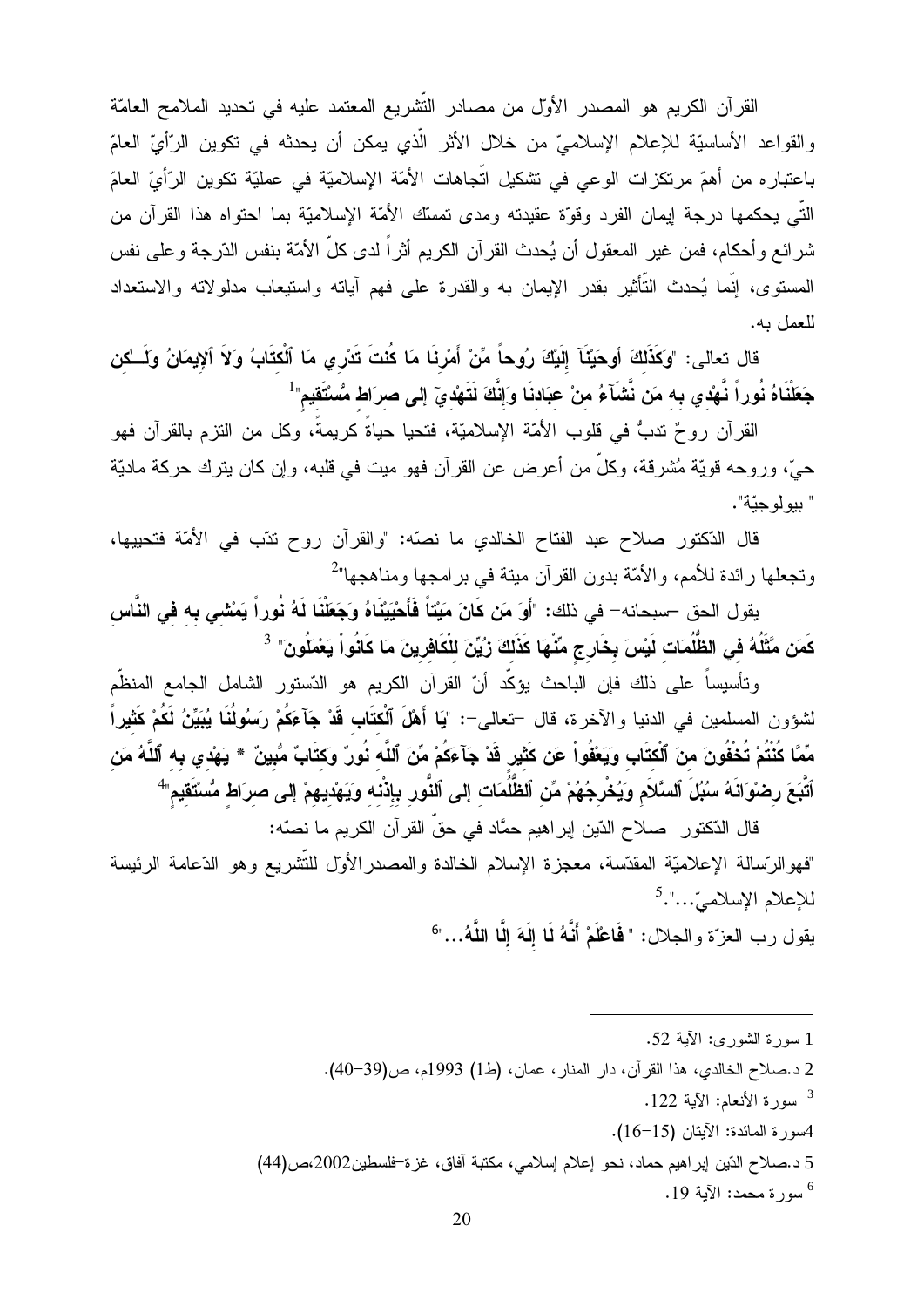القرآن الكريم هو المصدر الأول من مصادر التَّشريع المعتمد عليه في تحديد الملامح العامَّة والقواعد الأساسيّة للإعلام الإسلاميّ من خلال الأثر الّذي يمكن أن يحدثه في تكوين الرّأيّ العامّ باعتبار ه من أهمّ مرتكزات الوعى في تشكيل اتّجاهات الأمّة الإسلاميّة في عمليّة تكوين الرّأيّ العامّ النَّبي يحكمها درجة إيمان الفرد وقوَّة عقيدته ومدى نمسك الأمَّة الإسلاميَّة بما احتواه هذا القرآن من شرائع وأحكام، فمن غير المعقول أن يُحدث القرآن الكريم أثراً لدى كلِّ الأمّة بنفس الذّرجة وعلى نفس المستوى، إنَّما يُحدث التَّأثير بقدر الإيمان به والقدرة على فهم آياته واستيعاب مدلولاته والاستعداد للعمل به.

قال تعالى: "وكَذَلكَ أوحَيْنَآ إِلَيْكَ رِوُحاً مِّنْ أَمْرِنَا مَا كُنتَ تَدْرِي مَا ٱلْكتَابُ وَلَا ٱلإيمَانُ ولَسـٰكن جَعَلْنَاهُ نُوراً نَّهْدي به مَن نَّشَآءُ منْ عبَادنَا وَإِنَّكَ لَتَهْديٓ إِلى صرَاط مُّسْتَقيم"

القرآن روحٌ تدبُّ في قلوب الأمّة الإسلاميّة، فتحيا حياةً كريمةً، وكل من التزم بالقرآن فهو حيّ، وروحه قويّة مُشرقة، وكلّ من أعرض عن القرآن فهو ميت في قلبه، وإن كان يترك حركة ماديّة " بيو لو جيّة".

قال الدّكتور صلاح عبد الفتاح الخالدي ما نصدّه: "والقرآن روح ندّب في الأمّة فتحييها، وتجعلها رائدة للأمم، والأمّة بدون القرآن ميتة في برامجها ومناهجها"

يقول الحق –سبحانه– في ذلك: "أَوَ مَن كَانَ مَيْتاً فَأَحْيَيْنَاهُ وَجَعَلْنَا لَهُ نُوراً يَمْشَى بِه في النَّاس كَمَن مَّثَلُهُ فِي الظُّلُمَات لَيْسَ بِخَارِجٍ مِّنْهَا كَذَلكَ زُيِّنَ للْكَافِرِينَ مَا كَانُواْ يَعْمَلُونَ" <sup>3</sup>

وتأسيساً على ذلك فإن الباحث يؤكّد أنّ القرآن الكريم هو الدّستور الشامل الجامع المنظّم لشؤون المسلمين في الدنيا والآخرة، قال –تعالى–: "يَا أَهْلَ ٱلْكتَابِ قَدْ جَآءَكُمْ رَسُولُنَا يُبَيِّنُ لَكُمْ كَثيراً مِّمَّا كُنْتُمْ تُخْفُونَ منَ ٱلْكتَابِ وَيَعْفُواْ عَن كَثير قَدْ جَآءَكُمْ مِّنَ ٱللَّه نُورٌ وكتَابٌ مُّبينً \* يَهْدي به ٱللَّهُ مَن ٱتَّبِعَ رِصْوَانَهُ سُبُلَ ٱلسَّلاَمِ وَيُخْرِجُهُمْ مِّن ٱلظُّلُمَات إلى ٱلنُّور بإِذْنه وَيَهْديهمْ إلى صرَاط مُسْتَقيم"

قال الدّكتور صلاح الدّين إبراهيم حمَّاد في حقِّ القرآن الكريم ما نصّه: "فهوالرّسالة الإعلاميّة المقدّسة، معجزة الإسلام الخالدة والمصدرالأول للتّشريع وهو الدّعامة الرئيسة للاعلام الاسلاميّ...".<sup>5</sup>

يقول رب العزّة والجلال: " فَاعْلَمْ أَنَّهُ لَمَا إِلَهَ إِلَّا اللَّهُ..."<sup>6</sup>

1 سورة الشورى: الآية 52.

- 2 د.صلاح الخالدي، هذا القرآن، دار المنار، عمان، (ط1) 1993م، ص(39-40).
	- <sup>3</sup> سورة الأنعام: الآبة 122.
	- 4سورة المائدة: الآيتان (15-16).
- 5 د.صلاح الدّين إبراهيم حماد، نحو إعلام إسلامي، مكتبة آفاق، غزة-فلسطين2002،ص(44)

سور ة محمد: الآية 19.  $^6$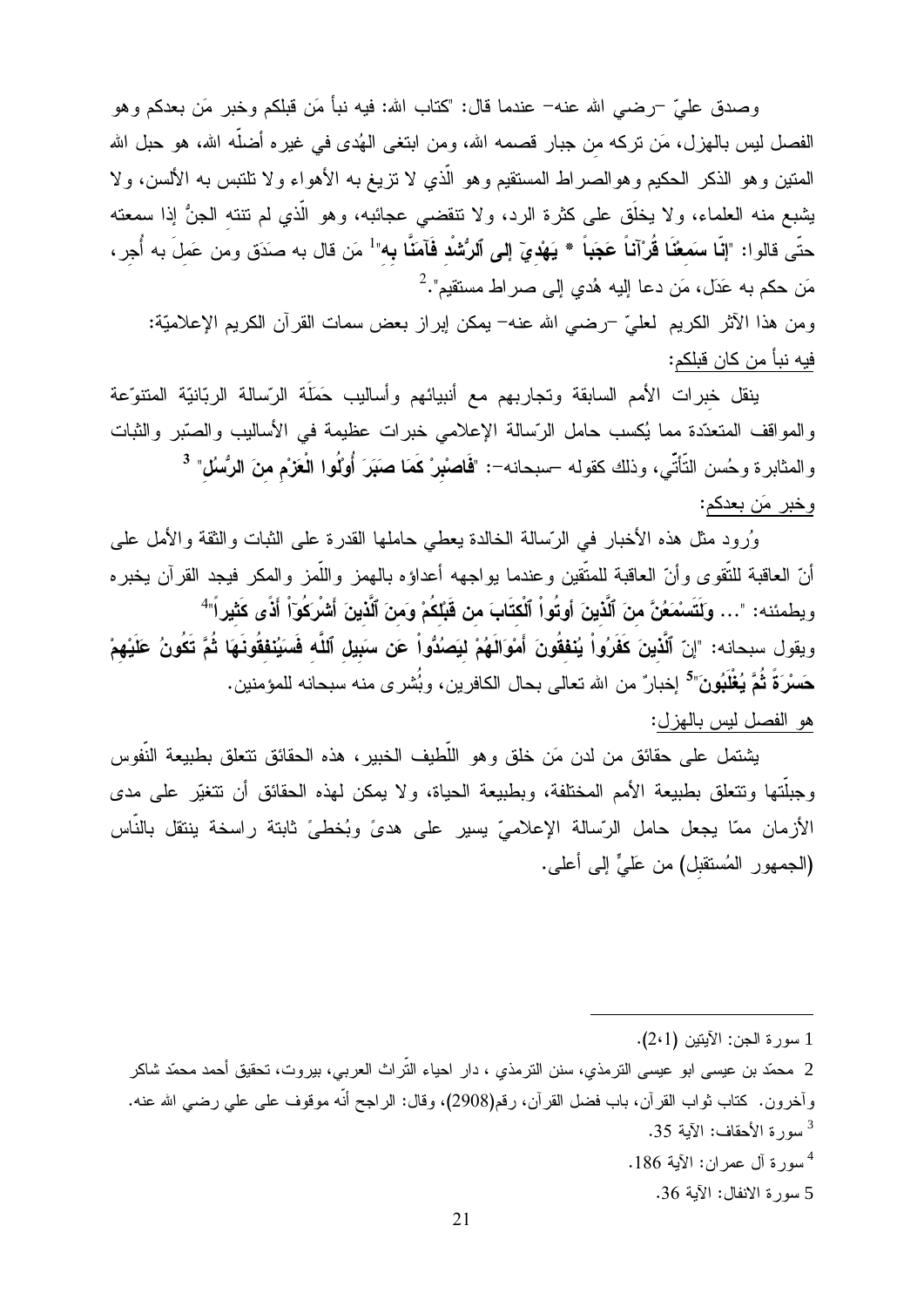وصدق عليّ –رضـي الله عنه– عندما قال: "كتاب الله: فيه نبأ مَن قبلكم وخبر مَن بعدكم وهو الفصل ليس بالهزل، مَن نركه من جبار قصمه الله، ومن ابتغى الهُدى في غيره أضلُّه الله، هو حبل الله المنين وهو الذكر الحكيم وهوالصراط المستقيم وهو الّذي لا نزيغ به الأهواء ولا نلتبس به الألسن، ولا يشبع منه العلماء، ولا يخلَّق على كثرة الرد، ولا نتقضى عجائبه، وهو الَّذي لم تنته الجنُّ إذا سمعته حتّى قالوا: "إ**نّا سمَعْنَا قُرْآناً عَجَباً \* يَهْديّ إلى ٱلرُّشْد فَآمَنَّا به"<sup>1</sup> مَن قال به صدَق ومن عَملَ به أُجر ،** مَن حكم به عَدَل، مَن دعا إليه هُدي إلى صر اط مستقيم". $^2$ ومن هذا الآثر الكريم لعليّ –رضي الله عنه– يمكن إبراز بعض سمات القرآن الكريم الإعلاميّة: فيه نبأ من كان قبلكم:

ينقل خبرات الأمم السابقة وتجاربهم مع أنبيائهم وأساليب حَمَلَة الرّسالة الربّانيّة المتنوّعة والمواقف المتعدّدة مما يُكسب حامل الرّسالة الإعلامي خبرات عظيمة في الأساليب والصّبر والثبات والمثابرة وحُسن التَّأتّي، وذلك كقوله –سبحانه–: "فَاصْبْرْ كَمَا صَبَرَ أُوْلُوا الْعَزْم منَ الرُّسُلْ" <sup>3</sup> وخبر مَن بعدكم:

وُرود مثل هذه الأخبار في الرّسالة الخالدة يعطي حاملها القدرة على الثبات والثقة والأمل على أنّ العاقبة للتّقوى وأنّ العاقبة للمتّقين وعندما بواجهه أعداؤه بالمهمز واللّمز والمكر فيجد القرآن يخبره ويطمئنه: "… وكَتَسمْعَنَّ منَ ٱلَّذينَ أوتُواْ ٱلْكتَابَ من قَبْلكُمْ وَمنَ ٱلَّذينَ أَشْرِكُوٓاْ أَذًى كَثيراً" ويقول سبحانه: "إنّ ٱلَّذينَ كَفَرُواْ يُنفقُونَ أَمْوَالَهُمْ ليَصُدُواْ عَن سَبِيلِ ٱللَّه فَسَيُنفقُونَهَا ثُمَّ تَكُونُ عَلَيْهِمْ حَسْرَةً ثُمَّ يُغْلَبُونَ"<sup>5</sup> إخبار ٌ من الله تعالى بحال الكافرين، وبُشر ى منه سبحانه للمؤمنين. هو الفصل ليس بالهزل:

يشتمل على حقائق من لدن مَن خلق وهو اللُّطيف الخبير ، هذه الحقائق تتعلق بطبيعة النُّفوس وجبلَّتها وتتعلق بطبيعة الأمم المختلفة، وبطبيعة الحياة، ولا يمكن لهذه الحقائق أن نتغيَّر على مدى الأزمان ممّا يجعل حامل الرّسالة الإعلاميّ يسير على هدىً وبُخطيّ ثابتة راسخة ينتقل بالنّاس (الجمهور المُستقبل) من عَلَيٍّ إلى أعلى.

2 محمّد بن عيسى ابو عيسى الترمذي، سنن الترمذي ، دار احياء التّراث العربـي، بيروت، تحقيق أحمد محمّد شاكر وآخرون. كتاب ثواب القرآن، باب فضل القرآن، رقم(2908)، وقال: الراجح أنَّه موقوف على على رضي الله عنه. سورة الأحقاف: الآبة 35.

سورة آل عمر ان: الآية 186.  $^4$ 

5 سورة الانفال: الآية 36.

<sup>1</sup> سورة الجن: الآيتين (2٠1).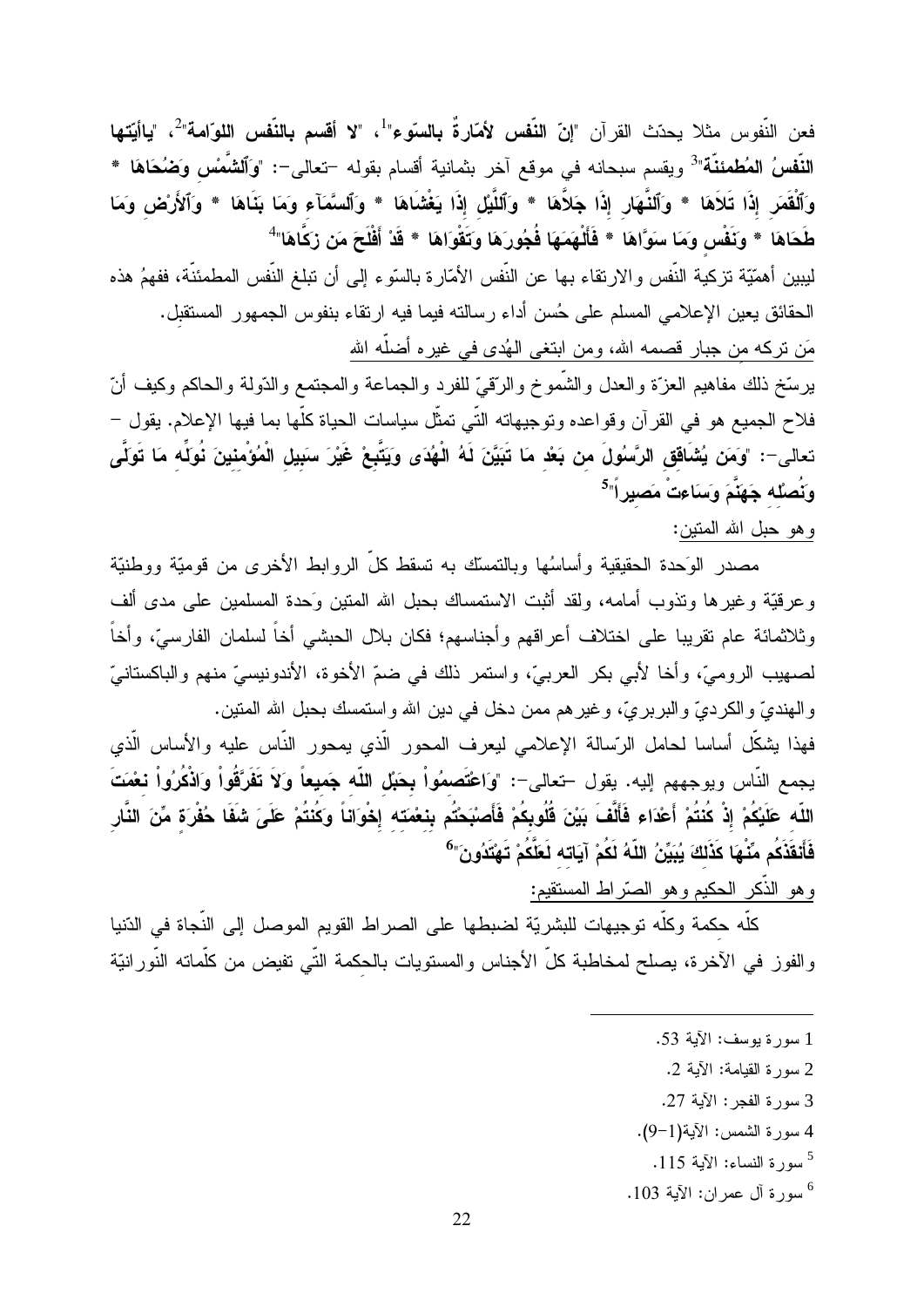فعن النّفوس مثلا يحدّث القرآن "إ**نّ النّفس لأمّارةً بالسوّء**"<sup>1</sup>، "لا أ**قسم بالنّفس اللوّامة**"<sup>2</sup>، "**ياأيّتها** ا**لنَّفسُ المُطمئنَّة**"<sup>3</sup> ويقسم سبحانه في موقع آخر بثمانية أقسام بقوله –تعالى–: "وَٱ**لشَّمْس وَضُحَاهَا** \* وَٱلْقَمَرِ إِذَا تَلاَهَا \* وَٱلنَّهَارِ إِذَا جَلاَّهَا \* وَٱللَّيْلِ إِذَا يَغْشَاهَا \* وَٱلسَّمَآءِ وَمَا بَنَاهَا \* وَٱلأَرْضِ وَمَا طَحَاهَا \* وَنَفْس وَمَا سَوَّاهَا \* فَأَلْهَمَهَا فُجُورَهَا وَتَقُوَاهَا \* قَدْ أَفْلَحَ مَن زَكَّاهَا" ليبين أهمّيّة تزكية النّفس والارتقاء بها عن النّفس الأمّارة بالسّوء إلى أن تبلغ النّفس المطمئنّة، ففهمُ هذه الحقائق يعين الإعلامي المسلم على حُسن أداء رسالته فيما فيه ارتقاء بنفوس الجمهور المستقبل. مَن نركه من جبار قصمه الله، ومن ابتغى المُدى في غيره أضلَه الله برسّخ ذلك مفاهيم العزّة والعدل والشّموخ والرّقيّ للفرد والجماعة والمجتمع والدّولة والحاكم وكيف أنّ

فلاح الجميع هو في القرآن وقواعده وتوجيهاته التّي تمثّل سياسات الحياة كلّها بما فيها الإعلام. يقول – تعالى–: "وَمَن يُشَافَق الرَّسُولَ من بَعْد مَا تَبَيَّنَ لَهُ الْهُدَى وَيَتَّبِعْ غَيْرَ سَبِيل الْمُوْمنينَ نُوَلِّه مَا تَوَلَّى وَتُصلُّه جَهَنَّمَ وَسَاءتْ مَصيراً"<sup>5</sup>

# وهو حبل الله المنين:

مصدر الوَحدة الحقيقية وأساسُها وبالتمسك به تسقط كلِّ الروابط الأخرى من قوميّة ووطنيّة وعرقيَّة وغيرها ونذوب أمامه، ولقد أثبت الاستمساك بحبل الله المنين وَحدة المسلمين على مدى ألف وثلاثمائة عام نقريبا على اختلاف أعراقهم وأجناسهم؛ فكان بلال الحبشى أخاً لسلمان الفارسيّ، وأخاً لصهيب الروميِّ، وأخا لأبي بكر العربيِّ، واستمر ذلك في ضمِّ الأخوة، الأندونيسيِّ منهم والباكستانيِّ والمهنديِّ والكرديِّ والبربريِّ، وغيرهم ممن دخل في دين الله واستمسك بحبل الله المنين. فهذا يشكِّل أساسا لحامل الرّسالة الإعلامي ليعرف المحور الّذي يمحور النّاس عليه والأساس الّذي يجمع النّاس ويوجههم إليه. يقول –تعالى–: "وَاعْتَصمُواْ بِحَبْلِ اللّه جَميعاً وَلاَ تَفَرَّقُواْ وَاذْكُرُواْ نعْمَتَ

اللّه عَلَيْكُمْ إِذْ كُنتُمْ أَعْدَاء فَأَلَّفَ بَيْنَ قُلُوبِكُمْ فَأَصبْحَتُم بِنعْمَتَه إِخْوَاناً وكُنتُمْ عَلَىَ شَفَا حُفْرَة مِّنَ النَّار فَأَنقَذَكُم مِّنْهَا كَذَلكَ يُبَيِّنُ اللّهُ لَكُمْ آيَاته لَعَلَّكُمْ تَهْتَدُونَ"<sup>6</sup>

وهو الذَّكر الحكيم وهو الصَّراط المستقيم:

كلَّه حكمة وكلَّه توجيهات للبشريّة لضبطها على الصراط القويم الموصل إلى النَّجاة في الدّنيا والفوز في الآخرة، يصلح لمخاطبة كلَّ الأجناس والمستويات بالحكمة التَّى تفيض من كلَّماته النَّورانيّة

- 1 سورة يوسف: الآية 53.
- 2 سورة القيامة: الآية 2.
- 3 سورة الفجر : الآية 27.
- 4 سورة الشمس: الآية(1-9).
	- 5 سورة النساء: الآية 115.
- $~\cdot 103$  سورة آل عمران: الآية 103.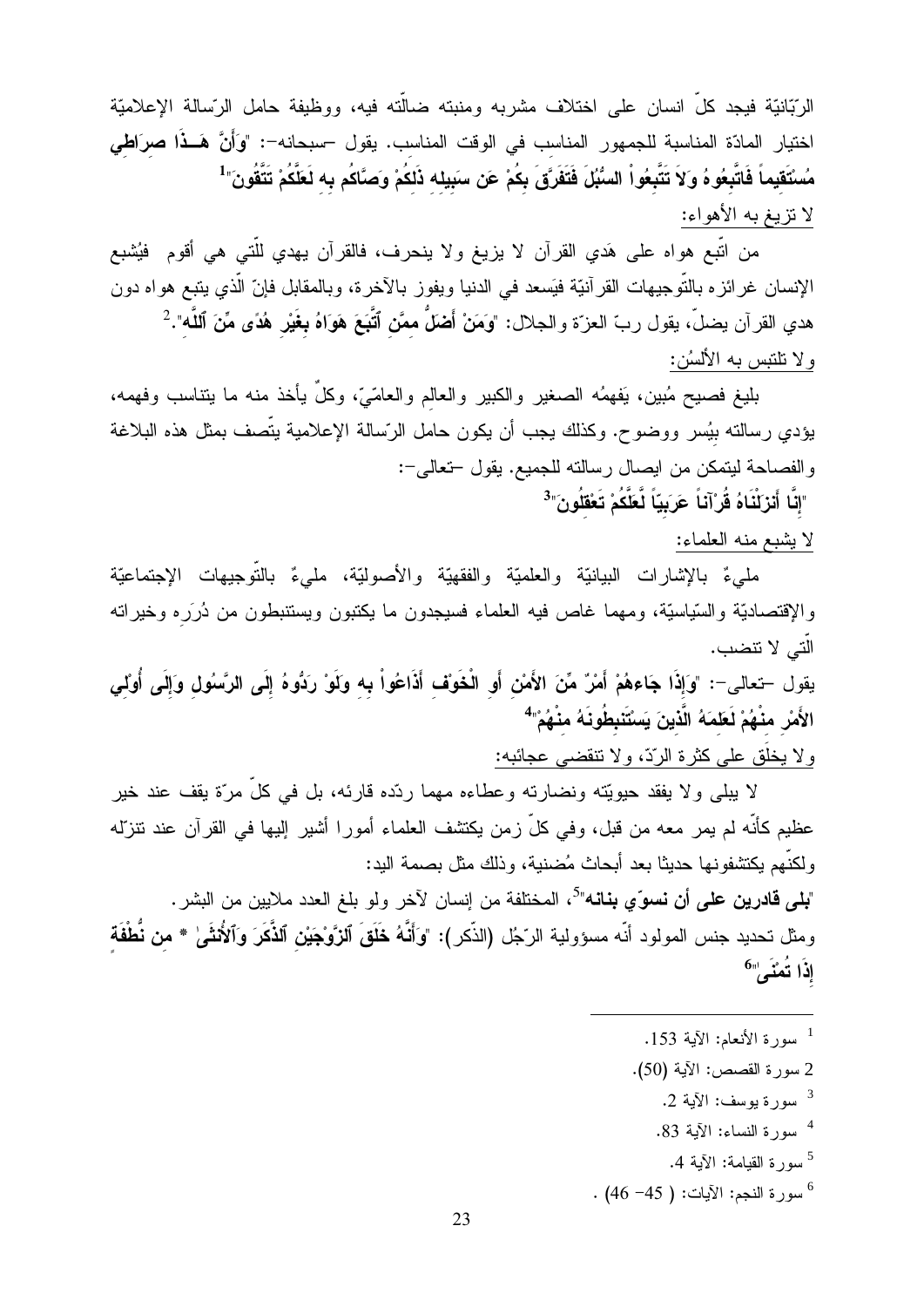الرَّبَانيّة فيجد كلّ انسان على اختلاف مشربه ومنبته ضالَّته فيه، ووظيفة حامل الرّسالة الإعلاميّة اختيار المادّة المناسبة للجمهور المناسب في الوقت المناسب. يقول –سبحانه–: "وَأَنَّ هَــذَا صرَاطي مُسْتَقيماً فَاتَّبِعُو هُ وَلاَ تَتَّبِعُواْ السُّبُلَ فَتَفَرَّقَ بِكُمْ عَن سَبِيله ذَلكُمْ وَصَّاكُم به لَعَلَّكُمْ تَتَّقُونَ"<sup>1</sup> لا نزيغ به الأهواء:

من اتَّبع هواه على هَدي القرآن لا يزيغ ولا ينحرف، فالقرآن يهدي للَّتي هي أقوم ۖ فيُشبع الإنسان غرائزه بالتّوجيهات القرآنيّة فيَسعد في الدنيا ويفوز بالآخرة، وبالمقابل فإنّ الّذي يتبع هواه دون هدي القرآن يضلَّ، يقول ربِّ العزَّة والجلال: "وَمَنْ أَضْلٌ ممَّن ٱتَّبَعَ هَوَاهُ **بغَ**يْر هُدًى مِّنَ ٱللَّه".<sup>2</sup> ولا نلنبس به الألسُن:

بليغ فصيح مُبين، يَفهمُه الصغير والكبير والعالم والعامّيّ، وكلّ يأخذ منه ما يتناسب وفهمه، يؤدي رسالته بيُسر ووضوح. وكذلك يجب أن يكون حامل الرّسالة الإعلامية يتّصف بمثل هذه البلاغة والفصاحة ليتمكن من ايصال رسالته للجميع. يقول –تعالى–:

"إِنَّا أَنزَلْنَاهُ قُرْآنَاً عَرَبِيّاً لَّعَلَّكُمْ تَعْقَلُونَ"<sup>3</sup>

لا يشبع منه العلماء:

مليءٌ بالإشارات البيانيّة والعلميّة والفقهيّة والأصوليّة، مليءٌ بالتّوجيهات الإجتماعيّة والإقتصاديّة والسّياسيّة، ومهما غاص فيه العلماء فسيجدون ما يكتبون ويستنبطون من دُرَره وخيراته الّتي لا تتضب.

يقول –تعالى–: "وَإِذَا جَاءهُمْ أَمْرٌ مِّنَ الأَمْنِ أَوِ الْخَوَفِ أَذَاعُواْ بِهِ وَلَوْ رَدُّوهُ إِلَى الرَّسُولِ وَإِلَى أُولِي الأَمرْ منْهُمْ لَعَلمَهُ الَّذينَ يَسْتَنبطُونَهُ منْهُمْ"

ولا يخلُق على كثرة الرّدّ، ولا نتقضى عجائبه:

لا يبلِّي و لا يفقد حيويَّته ونضارته وعطاءه مهما رئده قارئه، بل في كلِّ مرَّة يقف عند خير عظيم كأنَّه لم يمر معه من قبل، وفي كلَّ زمن يكتشف العلماء أمورا أشير إليها في القرآن عند نتزلَّه ولكنَّهم بكتشفونها حديثًا بعد أبحاث مُضنية، وذلك مثل بصمة البد:

"**بلي قادرين علي أن نسو**ّي **بنانه**"<sup>5</sup>، المختلفة من إنسان لآخر ولو بلغ العدد ملايين من البشر . ومثل تحديد جنس المولود أنّه مسؤولية الرّجُل (الذّكر): "وَأَنَّهُ خَلَقَ ٱلزَّوْجِيْنِ ٱلذَّكَرَ وَٱلأُنثَمِىٰ \* من نُطْفَة إِذَا تُعْنَى'''<sup>6</sup>

- <sup>1</sup> سورة الأنعام: الآية 153.
- 2 سورة القصص: الآية (50).
	- سورة بوسف: الآبة 2.  $^3$
	- <sup>4</sup> سورة النساء: الآية 83.
		- <sup>5</sup>سورة القيامة: الآية 4.
- $\cdot$  (46 –45 سورة النجم: الآيات: ( 45– 46) $^6$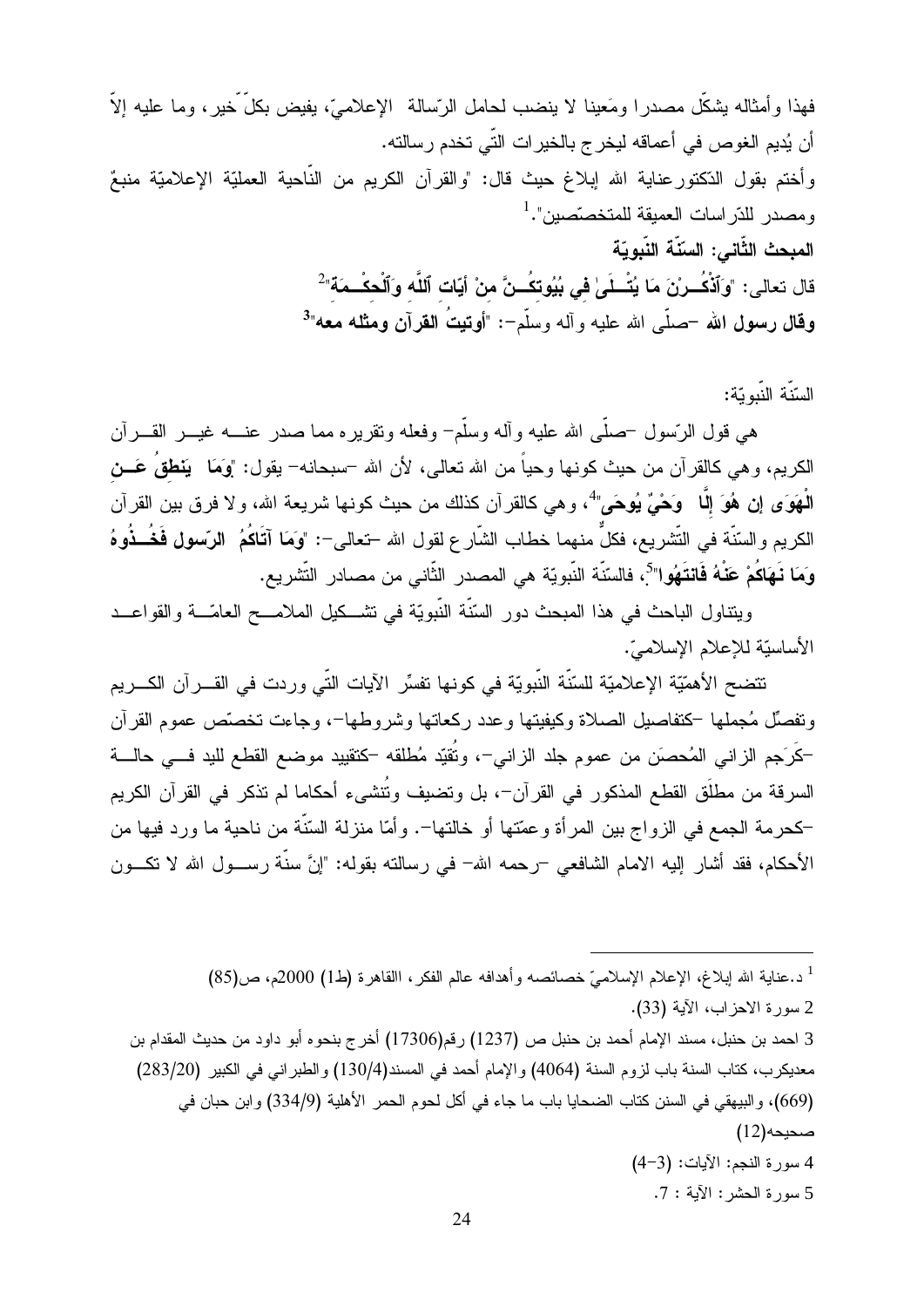فهذا وأمثاله يشكِّل مصدرا ومَعينا لا ينضب لحامل الرّسالة الإعلاميّ، يفيض بكلَّ خير، وما عليه إلاَّ أن يُديم الغوص في أعماقه ليخرج بالخيرات التّي تخدم رسالته. وأختم بقول الدّكتور عناية الله إبلاغ حيث قال: "والقرآن الكريم من النّاحية العمليّة الإعلاميّة منبعٌ ومصدر للدّراسات العميقة للمتخصّصين".<sup>1</sup> المبحث الثَّاني: السّنّة النّبويّة قال تعالى: "وَٱذْكُــرْنَ مَا يُتْــلَىٰ في بُيُوتكُــنَّ منْ أيّات ٱللَّه وَٱلْحكْــمَة" ْ وقال رسول الله –صلَّى الله عليه وأله وسلَّم–: "أوتيتُ القرآن ومثله معه"<sup>3</sup>

### السّنّة النّبويّة:

هي قول الرِّسول –صلَّى الله عليه وأله وسلَّم– وفعله ونقريره مما صدر عنــــه غيــــر القــــرأن الكريم، وهي كالقرآن من حيث كونـها وحياً من الله نـعالـي، لأن الله –سبحانـه– يقول: "وَمَا يَ**نطقُ** عَـــن الْمُهَوَى إِن هُوَ إِلَّا وَحْيٌ يُوحَى"ً، وهي كالقرآن كذلك من حيث كونها شريعة الله، ولا فرق بين القرآن الكريم والسّنّة في التّشريع، فكلَّ منهما خطاب الشّار ع لقول الله –تعالى–: "وَمَا آتَاكُمُ الرّسول فَخُــذُوهُ وَمَا نَـهَاكُمْ عَنْهُ فَانتَهُوا"<sup>5</sup>، فالسّنّة النّبويّة هي المصدر الثّاني من مصـادر التّشريع.

ويتناول الباحث في هذا المبحث دور السُّنَّة النَّبويَّة في نشــكيل الملامـــح العامّـــة والقواعــد الأساسيّة للإعلام الإسلاميّ.

نتضح الأهمّيّة الإعلاميّة للسّنّة النّبويّة في كونها تفسِّر الآيات التّي وردت في القـــرآن الكـــريم ونفصِّل مُجملها –كتفاصيل الصلاة وكيفيتها وعدد ركعاتها وشروطها–، وجاءت تخصَّص عموم القرآن كَرَجم الزانـي المُحصَن من عموم جلد الزانـي−، وتُقيّد مُطلقه −كتقييد موضـع القطع لليد فـــي حالــــة السرقة من مطلَق القطع المذكور في القرآن–، بل وتضبف وتُتشىء أحكاما لم تذكر في القرآن الكريم كحرمة الجمع في الزواج بين المرأة وعمّتها أو خالتها–. وأمّا منزلة السّنّة من ناحية ما ورد فيها من الأحكام، فقد أشار إليه الامام الشافعي –رحمه الله– في رسالته بقوله: "إنَّ سنَّة رســـول الله لا نكـــون

<sup>1</sup> د.عناية الله إبلاغ، الإعلام الإسلاميّ خصائصه وأهدافه عالم الفكر، االقاهرة (ط1) 2000م، ص(85) 2 سورة الاحزاب، الآية (33). 3 احمد بن حنبل، مسند الإمام أحمد بن حنبل ص (1237) رقم(17306) أخرج بنحوه أبو داود من حديث المقدام بن معديكرب، كتاب السنة باب لزوم السنة (4064) والإمام أحمد في المسند(130/4) والطبر اني في الكبير (283/20) (669)، والبيهقي في السنن كتاب الضحايا باب ما جاء في أكل لحوم الحمر الأهلية (334/9) وابن حبان في (12)مىحيحە 4 سورة النجم: الآيات: (3-4) 5 سورة الحشر: الآية : 7.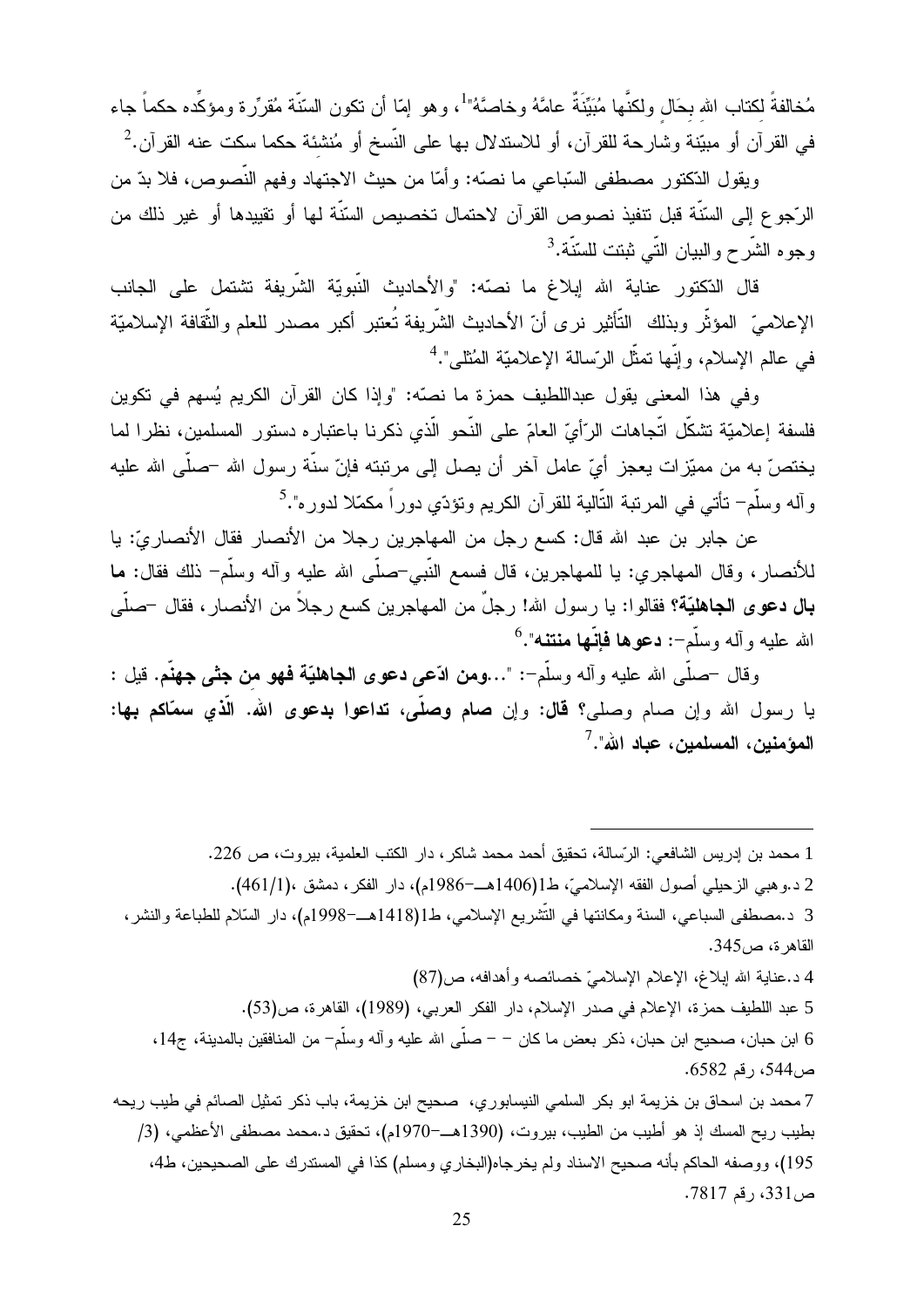مُخالفةً لكتاب الله بحَالِ ولكنَّها مُبَيِّنَةٌ عامَّهُ وخاصَّهُ"<sup>1</sup>، وهو إمّا أن تكون السّنّة مُقرِّرة ومؤكِّده حكماً جاء في القرآن أو مبيّنة وشارحة للقرآن، أو للاستدلال بها على النّسخ أو مُنشئة حكما سكت عنه القرآن. $^2$ 

ويقول الدّكتور مصطفى السّباعي ما نصّه: وأمّا من حيث الاجتهاد وفهم النّصوص، فلا بدّ من الرَّجوع إلى السّنَّة قبل نتفيذ نصوص القرآن لاحتمال تخصيص السّنَّة لمها أو نقييدها أو غير ذلك من وجوم الشّر ح و البيان التّي ثبتت للسّنّة.<sup>3</sup>

قال الدّكتور عناية الله إبلاغ ما نصّه: "والأحاديث النّبويّة الشّريفة تشتمل على الجانب الإعلاميِّ المؤثَّر وبذلك التَّأثير نرى أنّ الأحاديث الشَّريفة تُعتبر أكبر مصدر للعلم والثَّقافة الإسلاميّة في عالم الإسلام، وإنَّها نمثِّل الرِّسالة الإعلاميّة المُثلى".<sup>4</sup>

وفي هذا المعنى يقول عبداللطيف حمزة ما نصَّه: "وإذا كان القرآن الكريم يُسهم في تكوين فلسفة إعلاميّة تشكّل اتّجاهات الرّأيّ العامّ على النّحو الّذي ذكرنا باعتباره دستور المسلمين، نظرا لما يختصّ به من مميّزات يعجز أيّ عامل آخر أن يصل إلى مرتبته فإنّ سنّة رسول الله –صلّى الله عليه وآله وسلَّم– نأتي في المرتبة التَّالية للقرآن الكريم وتؤدّي دوراً مكمّلا لدوره".<sup>5</sup>

عن جابر بن عبد الله قال: كسع رجل من المهاجرين رجلا من الأنصار فقال الأنصار يّ: يا للأنصار ، وقال المهاجر ي: يا للمهاجرين، قال فسمع النَّبي حصلٌي الله عليه وآله وسلَّم– ذلك فقال: ما **بال دعوى الجاهليّة؟ ف**قالوا: يا رسول الله! رجلٌ من المهاجرين كسع رجلاً من الأنصار ، فقال –صلّى  $^6$ . الله عليه و آله وسلّم-: **دعوها فانّها منتنه**".

وقال –صلَّى الله عليه وأله وسلَّم–: "…ومن ادَّعى **دعوى الجاهليَّة فهو من جثى جهنَّم**. قيل : يا رسول الله وإن صام وصلي؟ **قال:** وإن **صام وصلَّى، تداعوا بدعوى الله. الَّذى سمَّاكم بها:** المؤمنين، المسلمين، عباد الله".<sup>7</sup>

1 محمد بن إدريس الشافعي: الرّسالة، تحقيق أحمد محمد شاكر ، دار الكتب العلمية، بيروت، ص 226. 2 د.وهبي الزحيلي أصول الفقه الإسلاميّ، ط1(1406هــ–1986م)، دار الفكر، دمشق ،(1/1461). 3 د.مصطفى السباعي، السنة ومكانتها في التُّشريع الإسلامي، ط1(1418هــ–1998م)، دار السَّلام للطباعة والنشر، القاهر ة، ص345. 4 د.عناية الله إبلاغ، الإعلام الإسلاميّ خصائصه وأهدافه، ص(87) 5 عبد اللطيف حمزة، الإعلام في صدر الإسلام، دار الفكر العربي، (1989)، القاهرة، ص(53). 6 ابن حبان، صـحيح ابن حبان، ذكر بعض ما كان – – صلَّى الله عليه وأله وسلَّم– من المنافقين بالمدينة، ج14، ص544، رقم 6582. 7 محمد بن اسحاق بن خزيمة ابو بكر السلمي النيسابوري، صحيح ابن خزيمة، باب ذكر تمثيل الصائم في طيب ريحه بطيب ريح المسك إذ هو أطيب من الطيب، بيروت، (1390هــ–1970م)، تحقيق د.محمد مصطفى الأعظمى، (3/ 195)، ووصفه الحاكم بأنه صحيح الاسناد ولم يخرجاه(البخاري ومسلم) كذا في المستدرك على الصحيحين، ط4، ص331، رقم 7817.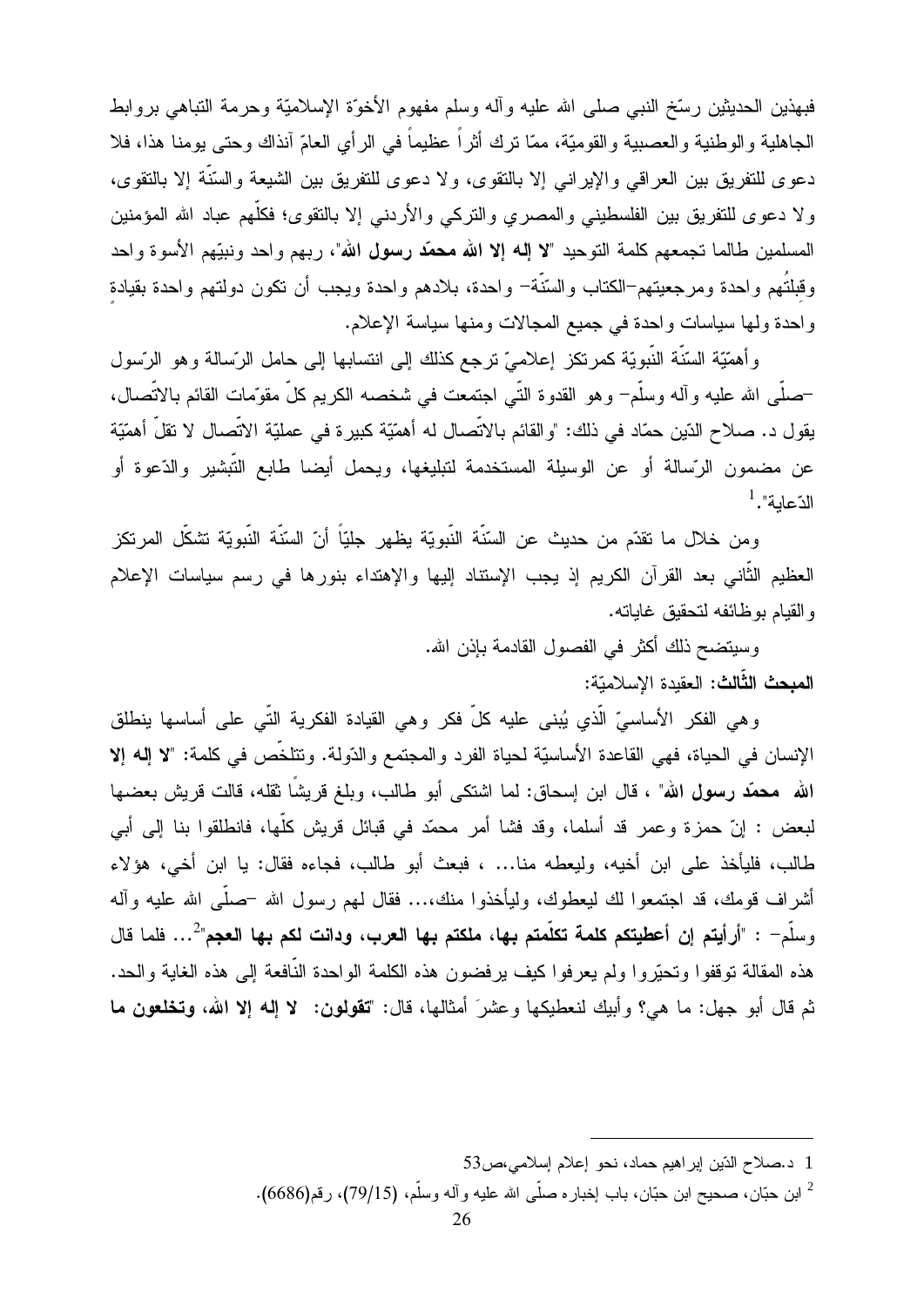فبهذين الحديثين رستخ النبي صلى الله عليه وأله وسلم مفهوم الأخوَّة الإسلاميَّة وحرمة التباهي بروابط الجاهلية والوطنية والعصبية والقوميّة، ممّا نرك أثراً عظيماً في الرأى العامّ آنذاك وحتى بومنا هذا، فلا دعوى للتفريق بين العراقبي والإيرانبي إلا بالتقوى، ولا دعوى للتفريق بين الشيعة والسَّنَّة إلا بالتقوى، ولا دعوى للتفريق بين الفلسطيني والمصري والنركبي والأردنبي إلا بالنقوى؛ فكلُّهم عباد الله المؤمنين المسلمين طالما تجمعهم كلمة التوحيد "لا إله إلا الله محمّد رسول الله"، ربهم واحد ونبيّهم الأسوة واحد وقبلتُهم واحدة ومرجعيتهم–الكتاب والسّنّة– واحدة، بلادهم واحدة ويجب أن نكون دولتهم واحدة بقيادة واحدة ولها سياسات واحدة في جميع المجالات ومنها سياسة الإعلام.

وأهمَّيَّة السَّنَّة النَّبويَّة كمرتكز إعلاميّ نرجع كذلك إلى انتسابها إلى حامل الرِّسالة وهو الرَّسول –صلَّـى الله عليه وآلـه وسلَّم– وهو القدوة النَّـى اجتمعت في شخصـه الكريم كلَّ مقوّمات القائم بالاتّصـال، يقول د. صلاح الدّين حمّاد في ذلك: "والقائم بالاتّصال له أهمّيّة كبيرة في عمليّة الاتّصال لا تقلّ أهمّيّة عن مضمون الرّسالة أو عن الوسيلة المستخدمة لتبليغها، ويحمل أيضا طابع التّبشير والدّعوة أو  $^1.$ "الدّعابة

و من خلال ما نقدّم من حديث عن السّنّة النّبويّة يظهر جليّاً أنّ السّنّة النّبويّة تشكّل المر تكز العظيم الثَّانـى بعد القرآن الكريم إذ يجب الإستناد إليها والإهتداء بنورها في رسم سياسات الإعلام و القيام بو ظائفه لتحقيق غاياته.

> وسيتضح ذلك أكثر في الفصول القادمة بإذن الله. المبحث الثَّالث: العقيدة الإسلاميّة:

وهي الفكر الأساسيِّ الَّذي يُبنى عليه كلَّ فكر وهي القيادة الفكرية التَّى على أساسها ينطلق الإنسان في الحياة، فهي القاعدة الأساسيّة لحياة الفرد والمجتمع والدّولة. وتتلخَّص في كلمة: "لا إله إلا الله محمَّد رسول الله" ، قال ابن إسحاق: لما اشتكى أبو طالب، وبلغ قريشًا ثقله، قالت قريش بعضها لبعض : إنّ حمزة وعمر قد أسلما، وقد فشا أمر محمّد في قبائل قريش كلّها، فانطلقوا بنا إلىي أبي طالب، فليأخذ على ابن أخيه، وليعطه منا... ، فبعث أبو طالب، فجاءه فقال: يا ابن أخي، هؤلاء أشراف قومك، قد اجتمعوا لك ليعطوك، وليأخذوا منك،... فقال لمهم رسول الله –صلَّى الله عليه وأله وسلَّم= : "أرأيتم إن أعطيتكم كلمة تكلَّمتم بها، ملكتم بها العرب، ودانت لكم بها العجم" 2... فلما قال هذه المقالة توقفوا وتحيَّروا ولم يعرفوا كيف يرفضون هذه الكلمة الواحدة النَّافعة إلى هذه الغاية والحد. ثم قال أبو جهل: ما هي؟ وأبيك لنعطيكها وعشرَ أمثالها، قال: "**تقولون: لا إله إلا الله، وتخلعون ما** 

<sup>1</sup> د.صلاح الذّين ابر اهيم حماد، نحو إعلام إسلامي،ص53

ابن حبّان، صحيح ابن حبّان، باب إخباره صلَّى الله عليه وأله وسلَّم، (79/15)، رقم(6686).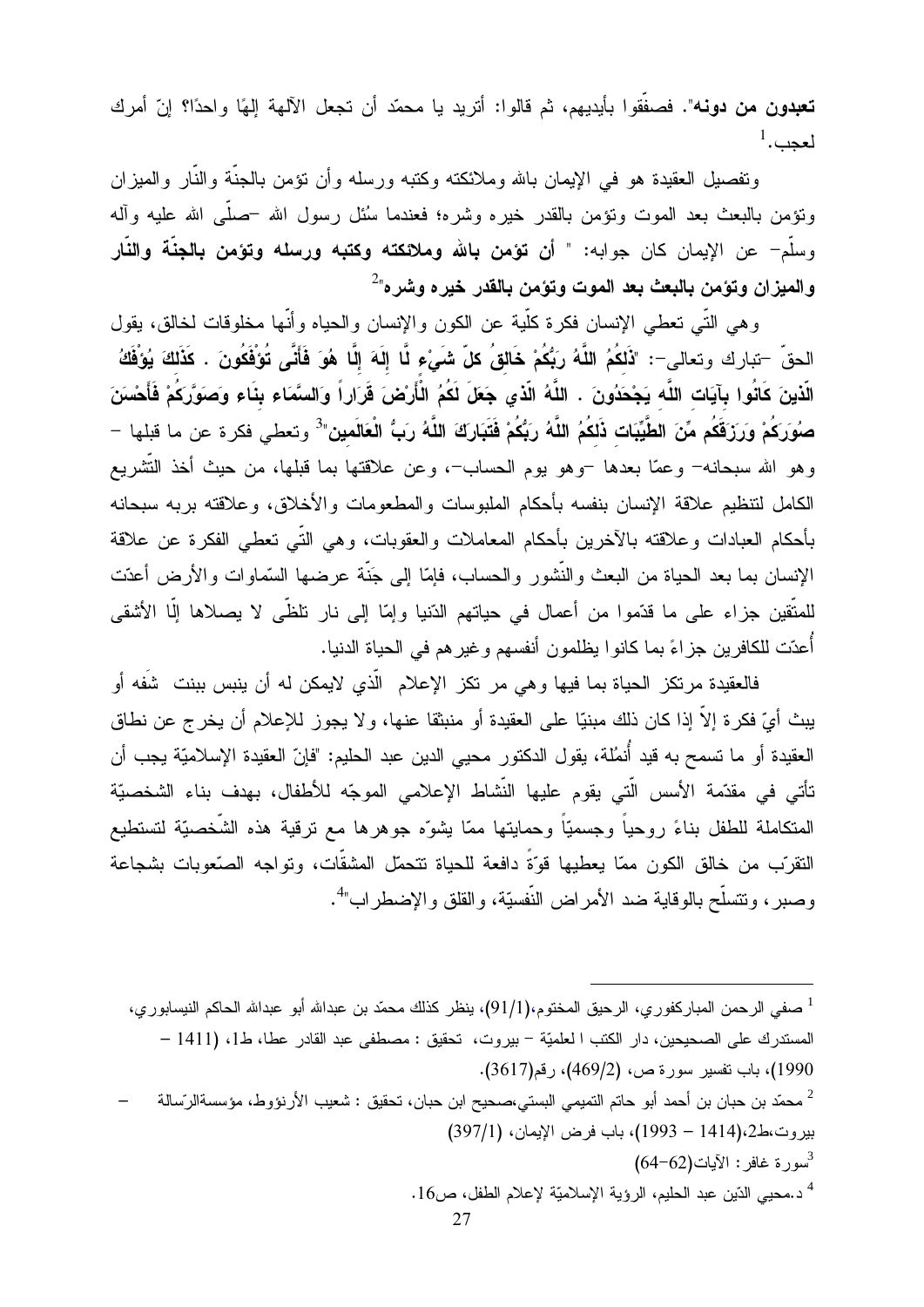**تعبدون من دونه". ف**صفَّقوا بأيديهم، ثم قالوا: أتريد يا محمّد أن تجعل الآلهة إلهًا واحدًا؟ إنّ أمرك  $^1$ لعجب.

ونفصيل العقيدة هو في الإيمان بالله وملائكته وكتبه ورسله وأن نؤمن بالجنة والنار والميزان ونؤمن بالبعث بعد الموت ونؤمن بالقدر خيره وشره؛ فعندما سُئل رسول الله حصلي الله عليه وأله وسلَّم= عن الإيمان كان جوابه: " أ**ن تؤمن بالله وملائكته وكتبه ورسله وتؤمن بالجنَّة والنَّار** والميزان وتؤمن بالبعث بعد الموت وتؤمن بالقدر خيره وشره"<sup>2</sup>

وهي النَّبي تعطي الإنسان فكرة كلَّبة عن الكون والإنسان والحياه وأنَّها مخلوقات لخالق، يقول الحقّ –تبارك وتعالى–: "ذَلكُمُ اللَّهُ رَبُّكُمْ خَالقُ كلّ شَيْء لَّا إلَهَ إلَّا هُوَ فَأَنَّى تُوْفَكُونَ . كَذَلكَ يُوْفَكُ الَّذينَ كَانُوا بِآيَات اللَّه يَجْحَدُونَ . اللَّهُ الَّذي جَعَلَ لَكُمُ الْأَرْضَ قَرَاراً وَالسَّمَاء بنَاء وَصَوَّرَكُمْ فَأَحْسَنَ صوُرَكُمْ وَرَزَقَكُم مِّنَ الطَّيِّبَات ذَلكُمُ اللَّهُ رَبُّكُمْ فَتَبَارَكَ اللَّهُ رَبُّ الْعَالَمين<sup>3</sup> وتعطى فكرة عن ما قبلها – وهو الله سبحانه– وعمّا بعدها –وهو بوم الحساب–، وعن علاقتها بما قبلها، من حيث أخذ التّشريع الكامل لنتظيم علاقة الإنسان بنفسه بأحكام الملبوسات والمطعومات والأخلاق، وعلاقته بربه سبحانه بأحكام العبادات وعلاقته بالآخرين بأحكام المعاملات والعقوبات، وهي النَّبي تعطي الفكرة عن علاقة الإنسان بما بعد الحياة من البعث والنُّشور والحساب، فإمَّا إلى جَنَّة عرضها السَّماوات والأرض أعدَّت للمتَّقين جزاء على ما قدَّموا من أعمال في حياتهم الدّنيا وإمّا إلى نار نلظَّى لا يصلاها إلّا الأشقى أُعدّت للكافرين جزاءً بما كانوا يظلمون أنفسهم وغيرهم في الحياة الدنيا.

فالعقيدة مرتكز الحياة بما فيها وهي مر تكز الإعلام الَّذي لايمكن له أن ينبس ببنت شُفه أو يبث أيّ فكرة إلاّ إذا كان ذلك مبنيّا على العقيدة أو منبثقا عنها، ولا يجوز للإعلام أن يخرج عن نطاق العقيدة أو ما تسمح به قيد أُنمُلة، يقول الدكتور محيى الدين عبد الحليم: "فإنّ العقيدة الإسلاميّة يجب أن تأتى في مقدّمة الأسس الّتي يقوم عليها النّشاط الإعلامي الموجّه للأطفال، بهدف بناء الشخصيّة المتكاملة للطفل بناءً روحياً وجسميّاً وحمايتها ممّا يشوّه جوهرها مع نرقية هذه الشّخصيّة لتستطيع النقر ّب من خالق الكون ممّا بعطبها قوّةً دافعة للحياة نتحمّل المشقّات، وتواجه الصنّعوبات بشجاعة وصبر ، ونتسلَّح بالوقاية ضد الأمراض النَّفسيَّة، والقلق والإضطراب"<sup>4</sup>.

صفى الرحمن المباركفور ٍ، الرحيق المختوم، $(91/1)$ ، ينظر كذلك محمّد بن عبدالله أبو عبدالله الحاكم النيسابور ي،  $^1$ المستدرك على الصحيحين، دار الكتب ا لعلميّة – بيروت، تحقيق : مصطفى عبد القادر عطا، ط1، (1411 – 1990)، باب تفسير سورة ص، (469/2)، رقم(3617). محمّد بن حبان بن أحمد أبو حاتم التميمي البستي،صـحيح ابن حبان، تحقيق : شعيب الأرنؤوط، مؤسسةالرّسالة  $\,$   $\,$ بير وت،ط2،(1414 – 1993)، باب فر ض الإيمان، (397/1)  $(64-62)$ سورة غافر : الآيات د.محيى الدّين عبد الحليم، الرؤية الإسلاميّة لإعلام الطفل، ص16 .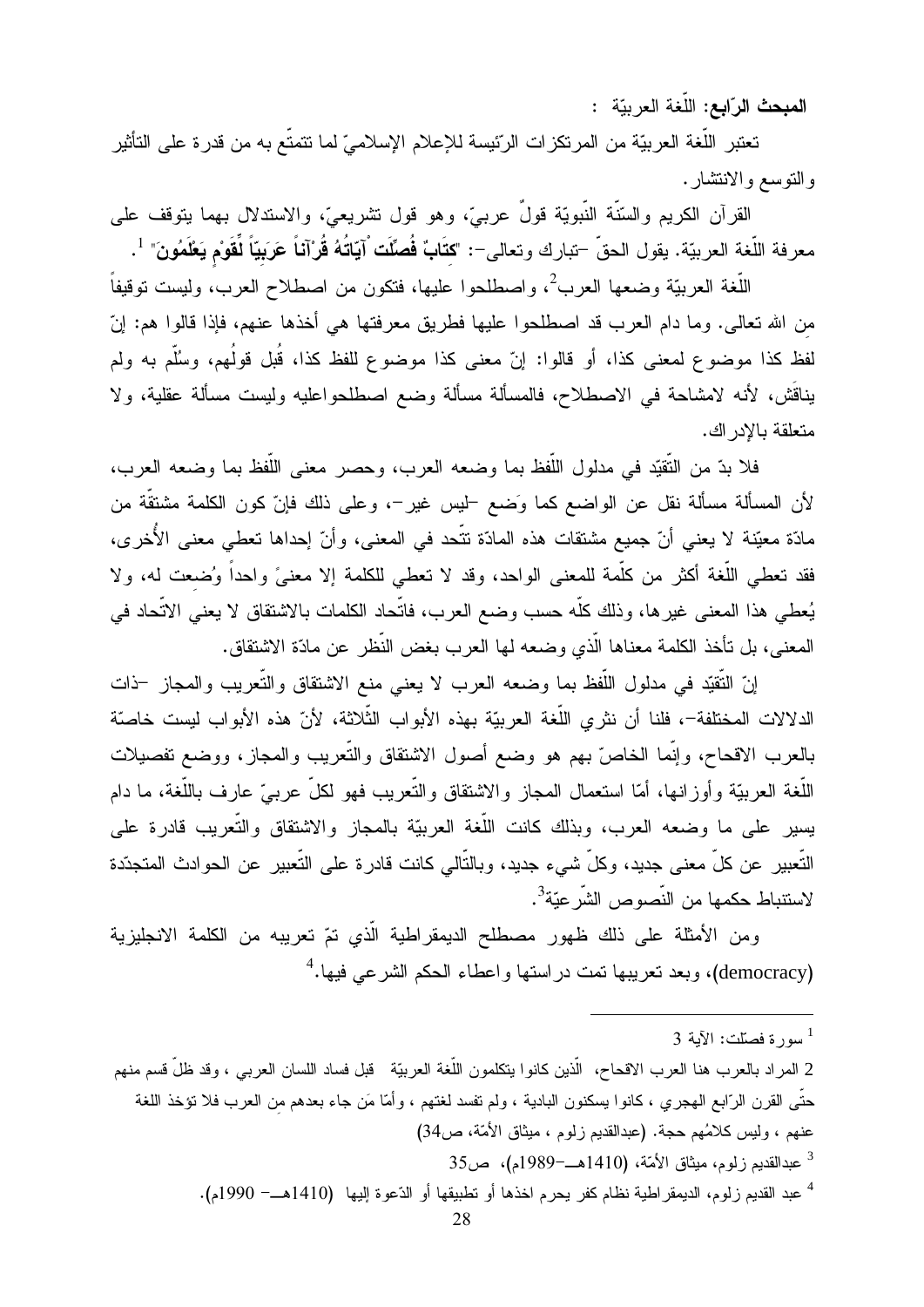المبحث الرّابع: اللُّغة العربيّة :

تعتبر اللُّغة العربيّة من المرتكزات الرّئيسة للإعلام الإسلاميّ لما تتمتّع به من قدرة على التأثير والتوسع والانتشار .

القرآن الكريم والسُّنَّة النَّبويَّة قولٌ عربـيَّ، وهو قول نشريعـيَّ، والاستدلال بـهما يتوقف علـي معرفة اللُّغة العربيّة. يقول الحقّ –تبارك وتعالى–: "كتَابٌ فُصلّت ْآيّاتُهُ قُرْآناً عَرَبيّاً لِّقَوْم يَعْلَمُونَ" <sup>1</sup>.

اللُّغة العربيّة وضعها العرب<sup>2</sup>، واصطلحوا عليها، فتكون من اصطلاح العرب، وليست توقيفاً من الله تعالى. وما دام العرب قد اصطلحوا عليها فطريق معرفتها هي أخذها عنهم، فإذا قالوا هم: إنّ لفظ كذا موضوع لمعنى كذا، أو قالوا: إنّ معنى كذا موضوع للفظ كذا، قُبل قولُهم، وسُلَّم به ولم يناقَش، لأنه لامشاحة في الاصطلاح، فالمسألة مسألة وضع اصطلحواعليه وليست مسألة عقلية، ولا متعلقة بالادر اك.

فلا بدِّ من التَّقيّد في مدلول اللُّفظ بما وضعه العرب، وحصر معنى اللُّفظ بما وضعه العرب، لأن المسألة مسألة نقل عن الواضع كما وَضع <sup>ــ</sup>ليس غير <sup>ــ</sup>، وعلى ذلك فإنّ كون الكلمة مشتقّة من مادّة معيّنة لا يعني أنّ جميع مشتقات هذه المادّة نتّحد في المعنى، وأنّ إحداها تعطي معنى الأُخرى، فقد تعطي اللُّغة أكثر من كلُّمة للمعنى الواحد، وقد لا تعطي للكلمة إلا معنىً واحداً وُضعت له، ولا يُعطي هذا المعنى غيرها، وذلك كلُّه حسب وضع العرب، فاتَّحاد الكلمات بالاشتقاق لا يعني الاتَّحاد في المعنى، بل تأخذ الكلمة معناها الّذي وضعه لها العرب بغض النّظر عن مادّة الاشتقاق.

إنّ التّقيّد في مدلول اللّفظ بما وضعه العرب لا يعني منع الاشتقاق والتّعريب والمجاز ڂات الدلالات المختلفة–، فلنا أن نثري اللُّغة العربيّة بهذه الأبواب الثِّلاثة، لأنّ هذه الأبواب ليست خاصنّة بالعرب الاقحاح، وإنَّما الخاصَّ بهم هو وضع أصول الاشتقاق والتَّعريب والمجاز، ووضع تفصيلات اللُّغة العربيّة وأوزانها، أمّا استعمال المجاز والاشتقاق والتّعريب فهو لكلّ عربـيّ عارف باللُّغة، ما دام يسير على ما وضعه العرب، وبذلك كانت اللُّغة العربيَّة بالمجاز والاشتقاق والتَّعريب قادرة على النّعبير عن كلّ معنى جديد، وكلّ شيء جديد، وبالنّالي كانت قادرة على النّعبير عن الحوادث المتجدّدة لاستنباط حكمها من النّصوص الشّرعيّة<sup>3</sup>.

ومن الأمثلة على ذلك ظهور مصطلح الديمقراطية الّذي تمّ تعريبه من الكلمة الانجليزية (democracy)، وبعد تعريبها تمت در استها واعطاء الحكم الشرعي فيها.<sup>4</sup>

<sup>4</sup> عبد القديم زلوم، الديمقر اطية نظام كفر يحرم اخذها أو تطبيقها أو الدّعوة إليها (1410هـــ- 1990م).

سورة فصلّلت: الآبة 3  $^1$ 

<sup>2</sup> المراد بالعرب هنا العرب الاقحاح، الَّذين كانوا يتكلمون اللُّغة العربيّة قبل فساد اللسان العربـي ، وقد ظلّ قسم منهم حتَّى القرن الرَّابع الـهجري ، كانوا يسكنون البادية ، ولم تفسد لغتهم ، وأمَّا مَن جاء بعدهم من العرب فلا نؤخذ اللغة عنهم ، وليس كلامُهم حجة. (عبدالقديم زلوم ، ميثاق الأمّة، ص34) 3 عبدالقديم زلوم، ميثاق الأمّة، (1410هــ–1989م)، ص35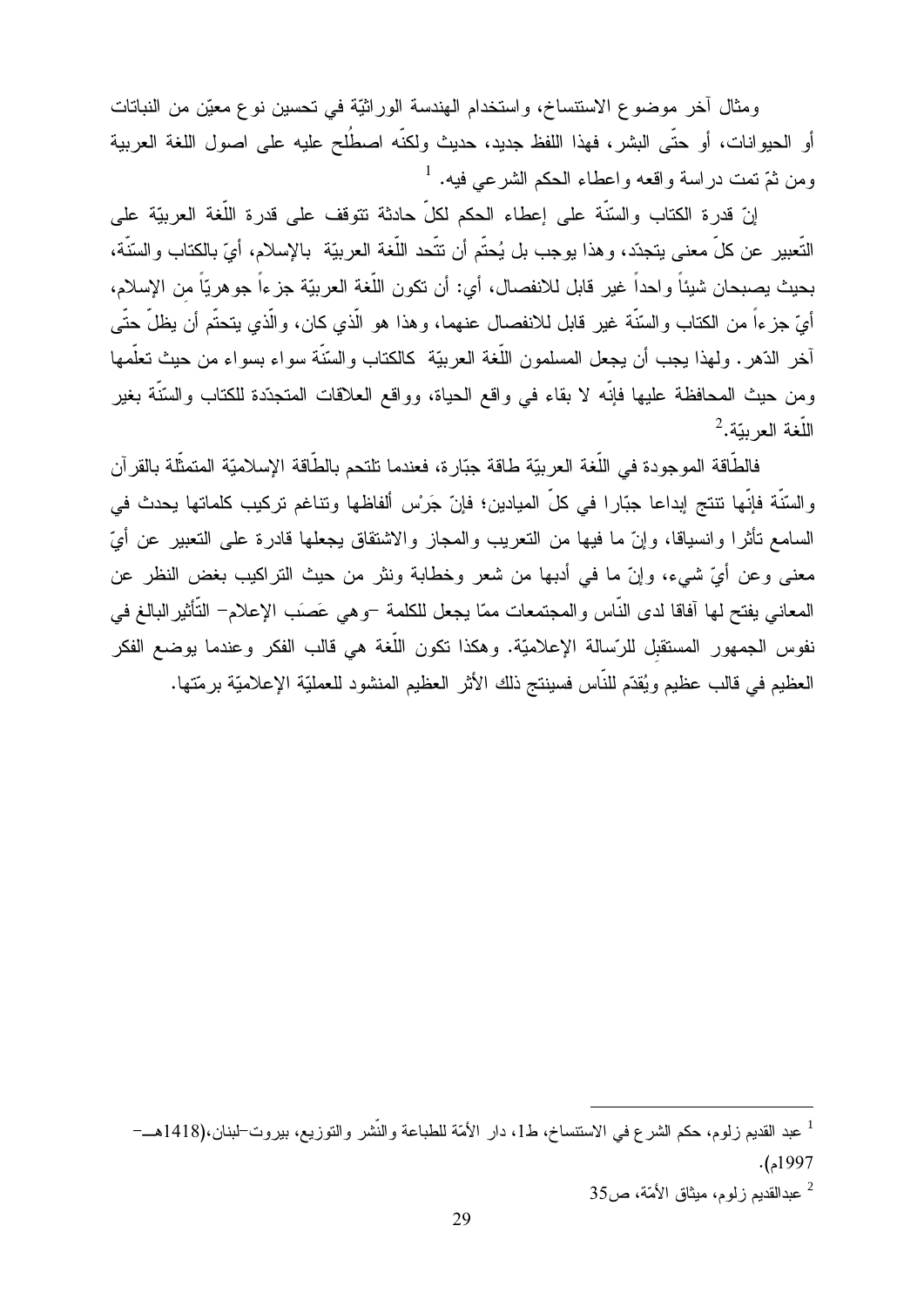ومثال أخر موضوع الاستتساخ، واستخدام الهندسة الوراثيّة في تحسين نوع معيّن من النباتات أو الحيوانات، أو حتَّى البشر، فهذا اللفظ جديد، حديث ولكنَّه اصطُلح عليه على اصول اللغة العربية ومن ثمّ تمت در اسة واقعه واعطاء الحكم الشرعي فيه. <sup>1</sup>

إنّ قدرة الكتاب والسّنّة على إعطاء الحكم لكلّ حادثة نتوقف على قدرة اللّغة العربيّة على النَّعبير عن كلٍّ معنى يتجدّد، وهذا يوجب بل يُحتّم أن تتَّحد اللُّغة العربيّة بالإسلام، أيّ بالكتاب والسّنّة، بحيث بصبحان شيئاً واحداً غير قابل للانفصال، أي: أن نكون اللُّغة العربيّة جزءاً جوهريّاً من الإسلام، أيّ جزءاً من الكتاب والسّنّة غير قابل للانفصال عنهما، وهذا هو الّذي كان، والّذي يتحتّم أن يظلّ حتّى آخر الدّهر. ولهذا يجب أن يجعل المسلمون اللُّغة العربيّة كالكتاب والسّنّة سواء بسواء من حيث تعلّمها ومن حيث المحافظة عليها فإنّه لا بقاء في واقع الحياة، وواقع العلاقات المتجدّدة للكتاب والسّنّة بغير  $^2$ اللَّغة العربيّة.

فالطَّاقة الموجودة في اللُّغة العربيّة طاقة جبّار ة، فعندما تلتحم بالطَّاقة الإسلاميّة المتمثَّلة بالقر آن والسَّنَّة فإنَّها نتنتج إبداعا جبّارا في كلِّ الميادين؛ فإنّ جَرْس ألفاظها ونتاغم نركيب كلماتها يحدث في السامع نأثرًا وانسياقًا، وإنَّ ما فيها من النعريب والمجاز والاشتقاق يجعلها قادرة على النعبير عن أيَّ معنى وعن أيّ شيء، وإنّ ما في أدبها من شعر وخطابة ونثر من حيث التراكيب بغض النظر عن المعاني يفتح لها آفاقا لدى النَّاس والمجتمعات ممّا يجعل للكلمة –وهي عَصَب الإعلام– النَّأثير البالغ في نفوس الجمهور المستقبل للرّسالة الإعلاميّة. وهكذا تكون اللّغة هي قالب الفكر وعندما يوضع الفكر العظيم في قالب عظيم ويُقدّم للنّاس فسينتج ذلك الأثر العظيم المنشود للعمليّة الإعلاميّة برمّتها.

<sup>&</sup>lt;sup>1</sup> عبد القديم زلوم، حكم الشرع في الاستنساخ، ط1، دار الأمّة للطباعة والنّشر والتوزيع، بب<u>رو</u>ت–لبنان،(1418هـــ–  $. (1997$ 

<sup>35</sup> عبدالقديم زلوم، ميثاق الأمّة، ص35  $^2$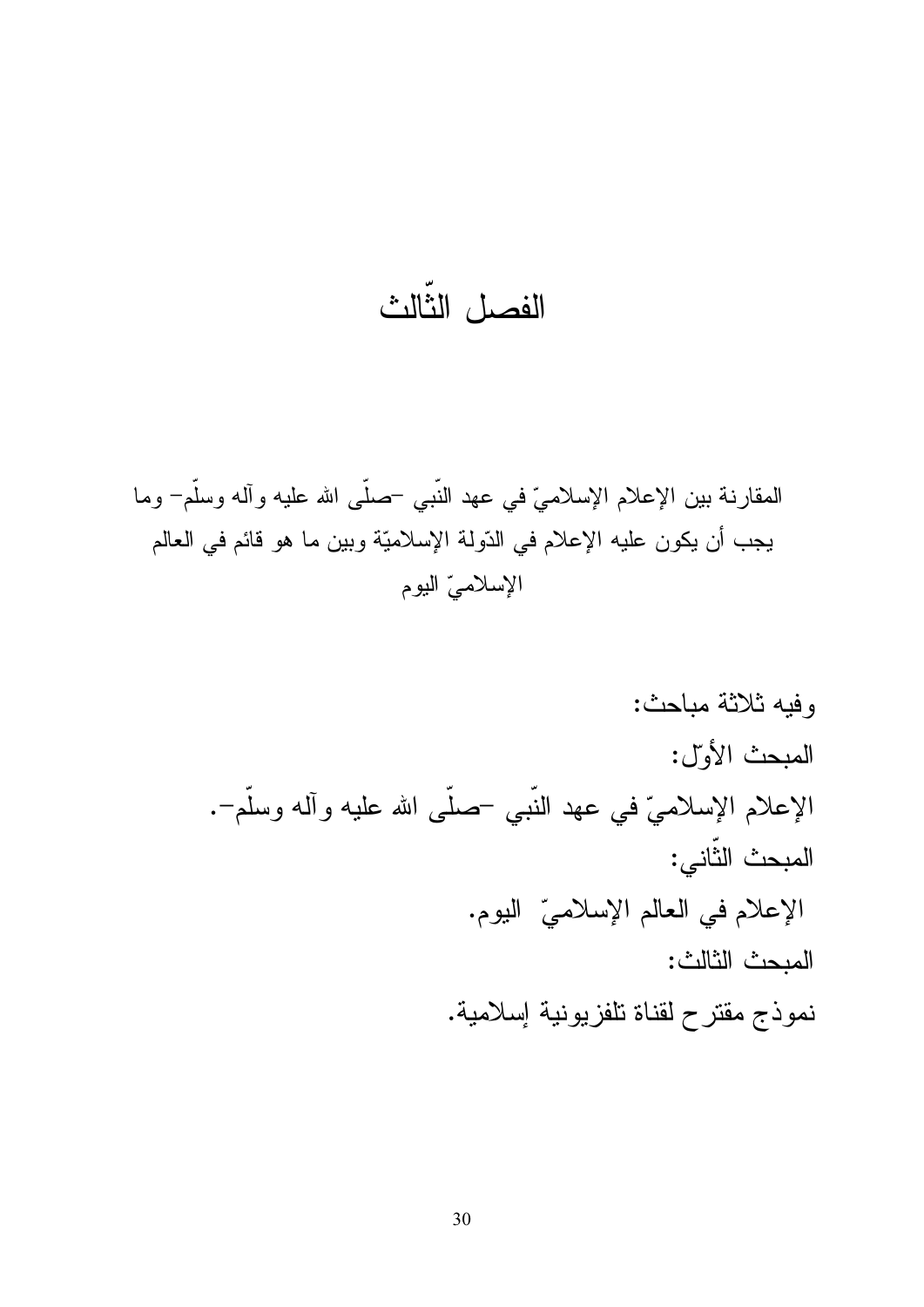# الفصل الثّالث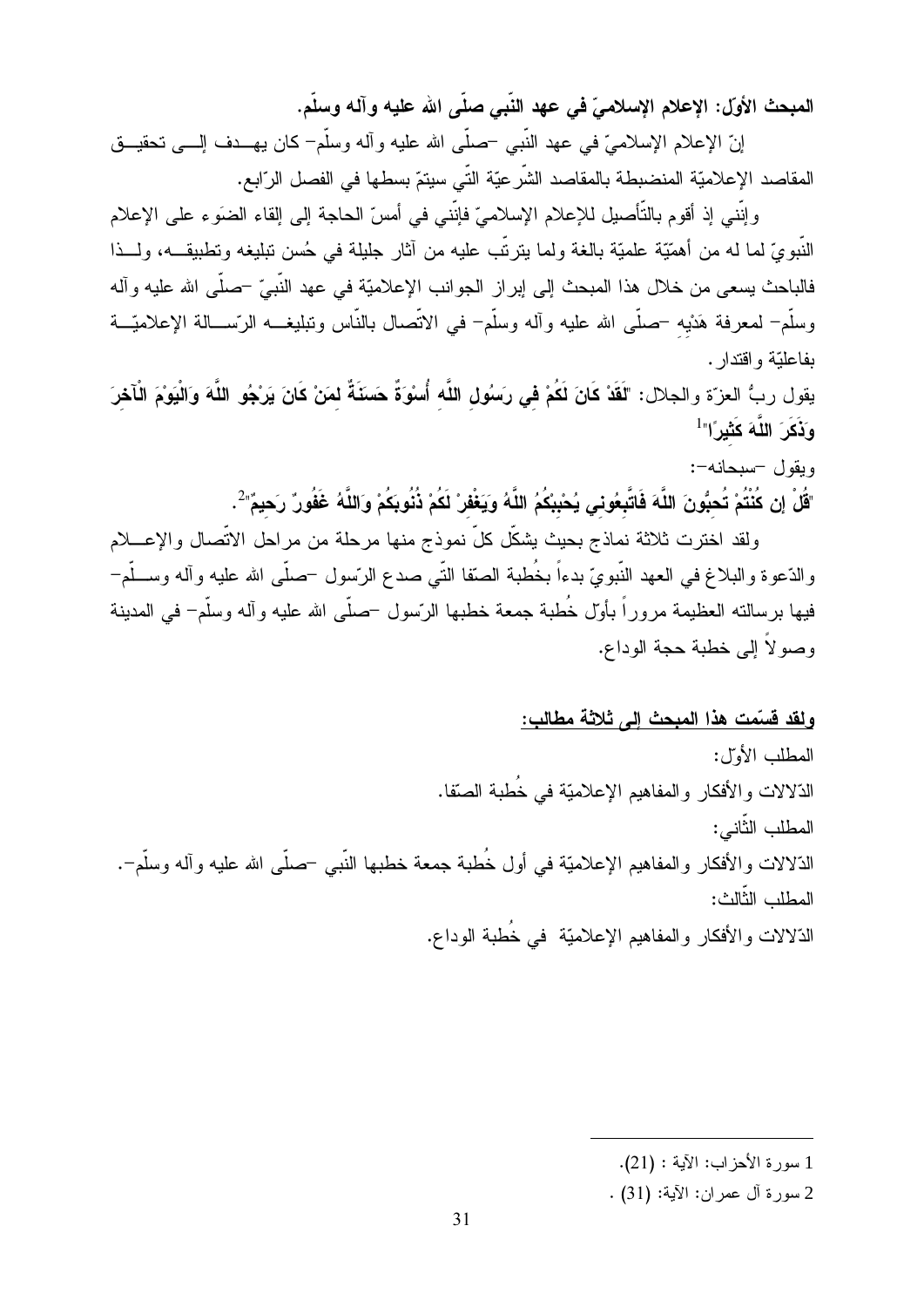المبحث الأول: الإعلام الإسلاميّ في عهد النّبي صلّى الله عليه وآله وسلّم.

إنّ الإعلام الإسلاميّ في عهد النَّبي –صلَّمي الله عليه وأله وسلَّم– كان يهـــدف إلــــي تحقيـــق المقاصد الإعلاميّة المنضبطة بالمقاصد الشِّر عيّة التِّي سيتمّ بسطها في الفصل الرّابع.

وإنني إذ أقوم بالتأصيل للإعلام الإسلاميّ فإنني في أمسّ الحاجة إلى إلقاء الضوء على الإعلام النَّبويّ لما له من أهمّيّة علميّة بالغة ولما ينزنّب عليه من آثار جليلة في حُسن نبليغه ونطبيقـــه، ولـــذا فالباحث يسعى من خلال هذا المبحث إلى إبر از الجوانب الإعلاميّة في عهد النّبيّ –صلّـى الله عليه وآله وسلَّم– لمعرفة هَدْيه –صلَّى الله عليه وأله وسلَّم– في الاتَّصال بالنَّاس وتبليغـــه الرّســـالة الإعلاميّـــة ىفاعلتة واقتدار .

يقول ربُّ العزّة والجلال: "لَقَدْ كَانَ لَكُمْ في رَسُولِ اللَّه أُسْوَةٌ حَسَنَةٌ لمَنْ كَانَ يَرْجُو اللَّهَ وَالْيَوْمَ الْأَخْرَ وَذَكَرَ اللَّهَ كَثَير<sup>َ</sup>ا"<sup>1</sup>

ويقول -سبحانه-:

"قُلْ إِن كُنْتُمْ تُحبُّونَ اللَّهَ فَاتَّبِعُوني يُحْبِبْكُمُ اللَّهُ وَيَغْفِرْ لَكُمْ ذُنُوبِكُمْ وَاللَّهُ غَفُورٌ رَحيمٌ" ُ

ولقد اخترت ثلاثة نماذج بحيث يشكّل كلّ نموذج منها مرحلة من مراحل الاتّصال والإعــــلام والدّعوة والبلاغ في العهد النّبويّ بدءاً بخُطبة الصّقا النّبي صدع الرّسول –صلّبي الله عليه وأله وســلّم– فيها برسالته العظيمة مروراً بأوّل خُطبة جمعة خطبها الرّسول حصلّى الله عليه وآله وسلّم– في المدينة وصولاً إلى خطبة حجة الوداع.

<u>ولقد قسمت هذا المبحث إلى ثلاثة مطالب:</u>

المطلب الأول: الذِّلالات و الأفكار و المفاهيم الإعلاميّة في خُطبة الصنّفا. المطلب الثَّاني: الذّلالات والأفكار والمفاهيم الإعلاميّة في أول خُطبة جمعة خطبها النّبـي –صلّـي الله عليه وآله وسلّم–. المطلب الثّالث: الذّلالات والأفكار والمفاهيم الإعلاميّة ً في خُطبة الوداع.

<sup>1</sup> سور ة الأحز اب: الآية : (21).

<sup>2</sup> سورة آل عمران: الآية: (31) .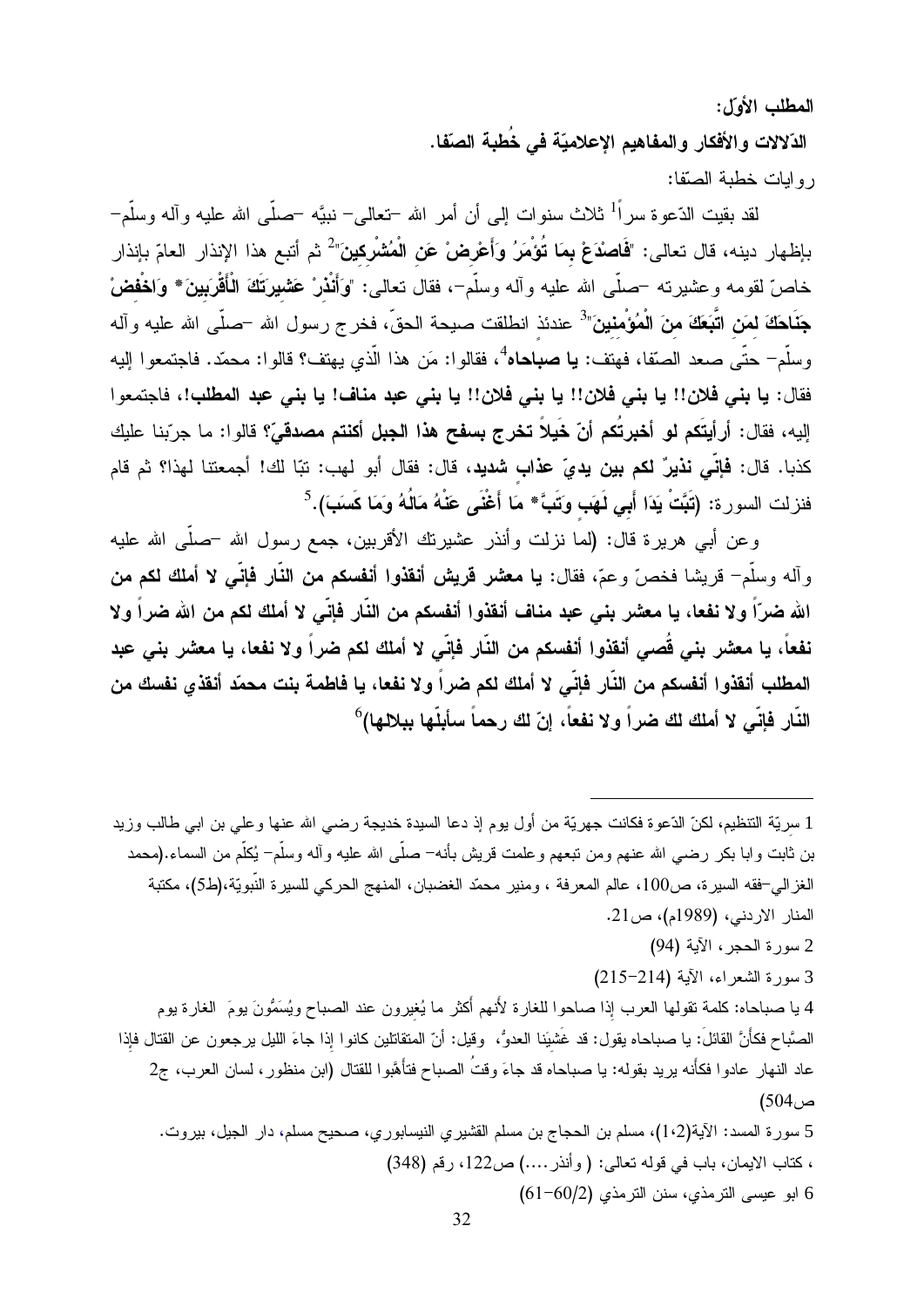المطلب الأول:

الدّلالات والأفكار والمفاهيم الإعلاميّة في خُطبة الصّفا. روابات خطبة الصنّفا:

لقد بقيت الدّعوة سراً<sup>1</sup> ثلاث سنوات إلى أن أمر الله <del>-</del>تعالى– نبيَّه –صلَّى الله عليه وآله وسلَّم– بإظهار دينه، قال تعالى: "**فَاصدَعْ بمَا تُوْمَرُ وَأَعْرِضْ عَنِ الْمُشْرِكينَ"** ثم أتبع هذا الإنذار العامّ بإنذار خاصّ لقومه وعشيرته <sup>ــ</sup>صلّـى الله عليه وأله وسلّم<sup>ــ</sup>، فقال تعالـى: "وَأَنْذُرْ عَشْمِيرَتَكَ الْأَقْرَبينَ\* وَا**خْفضْ** جَنَاحَكَ لمَن اتَّبَعَكَ منَ الْمُؤْمنينَ"<sup>3</sup> عندئذ انطلقت صيحة الحقّ، فخر ج رسول الله –صلّى الله عليه وآله وسلَّم– حتَّى صعد الصِّفا، فهتف: **يا صباحاه**<sup>4</sup>، فقالوا: مَن هذا الَّذي يهتف؟ قالوا: محمَّد. فاجتمعوا إليه فقال: يا بني فلان!! يا بني فلان!! يا بني فلان!! يا بني عبد مناف! يا بني عبد المطلب!، فاجتمعوا إليه، فقال: أرأيتَكم لو أخبرتُكم أنّ خَيلاً تخرج بسفح هذا الجبل أكنتم مصدقيّ؟ قالوا: ما جرّبنا عليك كذبا. قال: **فإنّي نذيرٌ لكم بين يديّ عذاب شديد**، قال: فقال أبو لهب: تبّا لك! أجمعتنا لهذا؟ ثم قام فنزلت السورة: (تَبَّتْ يَدَا أَبِي لَهَبٍ وَتَبَّ\* مَا أَغْنَى عَنْهُ مَالُهُ وَمَا كَسَبَ).<sup>5</sup>

وعن أبـي هريرة قال: (لما نزلت وأنذر عشيرتك الأقربين، جمع رسول الله –صلَّى الله عليه وآله وسلَّمٍ– قريشا فخصَّ وعمَّ، فقال: يا معشر قريش أنقذوا أنفسكم من النَّار فإنَّـى لا أملك لكم من الله ضرّاً ولا نفعا، يا معشر بني عبد مناف أنقذوا أنفسكم من النّار فإنّي لا أملك لكم من الله ضراً ولا نفعاً، يا معشر بني قُصى أنقذوا أنفسكم من النّار فإنّي لا أملك لكم ضراً ولا نفعا، يا معشر بني عبد المطلب أنقذوا أنفسكم من النَّار فإنِّي لا أملك لكم ضراً ولا نفعا، يا فاطمة بنت محمّد أنقذي نفسك من النَّار فإنِّي لا أملك لك ضراً ولا نفعاً، إنّ لك رحماً سأبلَّها ببلالها)<sup>6</sup>

1 سريّة التنظيم، لكنّ الدّعوة فكانت جهريّة من أول يوم إذ دعا السيدة خديجة رضـي الله عنها وعلى بن ابـي طالب وزيد بن ثابت وابا بكر رضـي الله عنـهم ومن نتبعهم وعلمت قريش بأنـه− صلَّى الله عليه وآله وسلَّم− يُكلَّم من السماء.(محمد الغز الي–فقه السيرة، ص100، عالم المعرفة ، ومنير محمّد الغضبان، المنهج الحركي للسيرة النّبويّة،(ط5)، مكتبة المنار الاردني، (1989م)، ص21.

- 2 سورة الحجر ، الآية (94)
- 3 سورة الشعراء، الآية (214-215)

4 يا صباحاه: كلمة نقولها العرب إذا صاحوا للغارة لأنهم أكثر ما يُغيرون عند الصباح ويُسَمُّونَ يومَ الغارة يوم الصَّباح فكأنَّ القائلَ: يا صباحاه يقول: قد غَشيَنا العدوُّ، ۖ وقيل: أنّ المتقاتلين كانوا إذا جاءَ الليل يرجعون عن القتال فإذا عاد النهار عادوا فكأنه يريد بقوله: يا صباحاه قد جاءَ وقتُ الصباح فتأهَّبوا للقتال (ابن منظور ، لسان العرب، ج2  $(504)$ 5 سورة المسد: الآية(1،2)، مسلم بن الحجاج بن مسلم القشيري النيسابوري، صحيح مسلم، دار الجيل، بيروت.

، كتاب الايمان، باب في قوله تعالى: ( وأنذر ....) ص122، رقم (348) 6 ابو عيسى الترمذي، سنن الترمذي (2/00-61)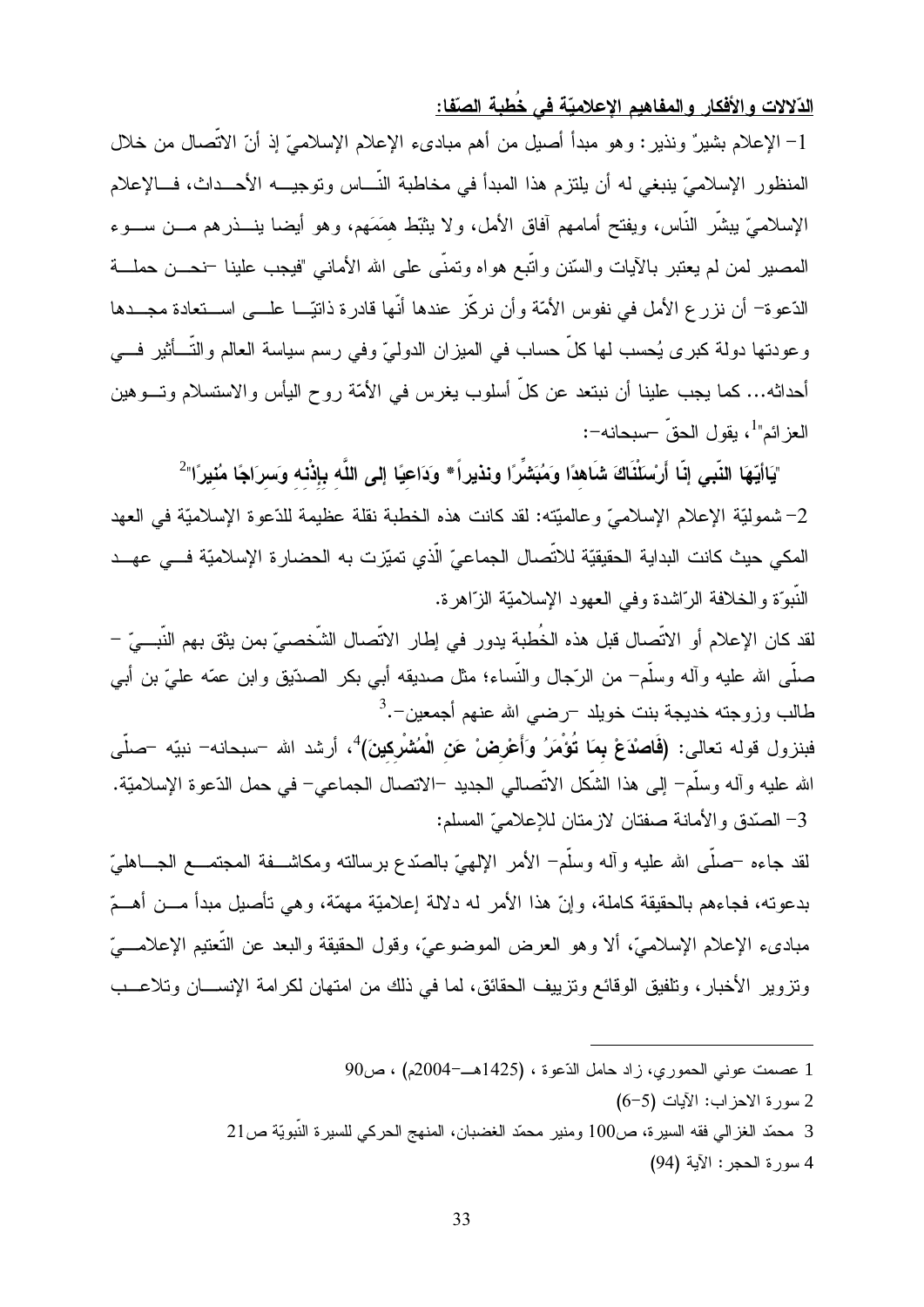الدّلالات والأفكار والمفاهيم الإعلاميّة في خُطبة الصّفا:

1– الإعلام بشيرٌ ونذير : وهو مبدأ أصيل من أهم مبادىء الإعلام الإسلاميّ إذ أنّ الاتَّصـال من خلال المنظور الإسلاميّ ينبغي له أن يلتزم هذا المبدأ في مخاطبة النّـــاس وتوجيـــه الأحـــداث، فـــالإعلام الإسلاميّ يبشَّر النَّاس، ويفتح أمامهم آفاق الأمل، ولا يثبِّط همَمَهم، وهو أيضا ينـــذرهم مـــن ســـوء المصبير لمن لم يعتبر بالآيات والسّنن واتَّبع هواه وتمنَّى علىي الله الأمانـي "فيجب علينا –نـمــــن حملــــة الدّعوة– أن نزر ع الأمل في نفوس الأمّة وأن نركّز عندها أنّها قادرة ذاتيّـــا علــــى اســـتعادة مجـــدها وعودتها دولة كبرى يُحسب لمها كلٍّ حساب في الميزان الدوليّ وفي رسم سياسة العالم والتَّـــأثير فــــي أحداثه… كما يجب علينا أن نبتعد عن كلّ أسلوب يغرس في الأمّة روح اليأس والاستسلام وتـــوهين العز ائم"<sup>1</sup>، بقول الحق<sup>ّ</sup> –سبحانه–:

"يَاأَيُّهَا النَّبِي إنَّا أَرْسَلْنَاكَ شَاهدًا وَمُبَشِّرًا ونذيراً\* ودَاعيًا إلى اللَّه بإذْنه وَسرَاجًا مُنيرًا" 2– شموليّة الإعلام الإسلاميّ وعالميّته: لقد كانت هذه الخطبة نقلة عظيمة للدّعوة الإسلاميّة في العهد المكي حيث كانت البداية الحقيقيّة للاتّصال الجماعيّ الّذي تميّزت به الحضارة الإسلاميّة فـــي عهــد النَّبوَّة والخلافة الرَّاشدة وفي العهود الإسلاميَّة الزَّاهرة.

لقد كان الإعلام أو الاتِّصال قبل هذه الخُطبة يدور في إطار الاتِّصال الشَّخصيِّ بمن يثق بهم النَّبـــيّ – صلَّـى الله عليه وأله وسلَّمٍ – من الرَّجال والنَّساء؛ مثل صديقه أبـى بكر الصدّيق وابن عمّه علـىّ بن أبـى طالب وزوجته خديجة بنت خويلد –رضىي الله عنهم أجمعين–.<sup>3</sup>

فبنزول قوله تعالى: (فَاصْدَعْ بِمَا تُؤْمَرُ وَأَعْرِضْ عَنِ الْمُشْرِكينَ)<sup>4</sup>، أرشد الله –سبحانه– نبيّه –صلّى الله عليه وآله وسلَّم– إلى هذا الشَّكل الاتِّصالي الـجديد –الاتصال الـجماعي– في حمل الدّعوة الإسلاميّة. 3– الصّدق والأمانة صفتان لازمتان للإعلاميّ المسلم:

لقد جاءه –صلَّـى الله عليه وأله وسلَّم– الأمر الإلهيِّ بالصدِّع برسالته ومكاشـــفة المجتمـــع الجــــاهليّ بدعونه، فجاءهم بالحقيقة كاملة، وإنّ هذا الأمر له دلالة إعلاميّة مهمّة، وهي نأصيل مبدأ مـــن أهـــمّ مبادىء الإعلام الإسلاميّ، ألا وهو العرض الموضوعيّ، وقول الحقيقة والبعد عن النُّعتيم الإعلامـــيّ وتزوير الأخبار ، وتلفيق الوقائع وتزييف الحقائق، لما في ذلك من امتهان لكر امة الإنســـان وتلاعـــب

- 1 عصمت عوني الحموري، زاد حامل الذّعوة ، (1425هـ-2004م) ، ص90
	- 2 سورة الاحز اب: الآيات (5-6)
- 

4 سورة الحجر: الآية (94)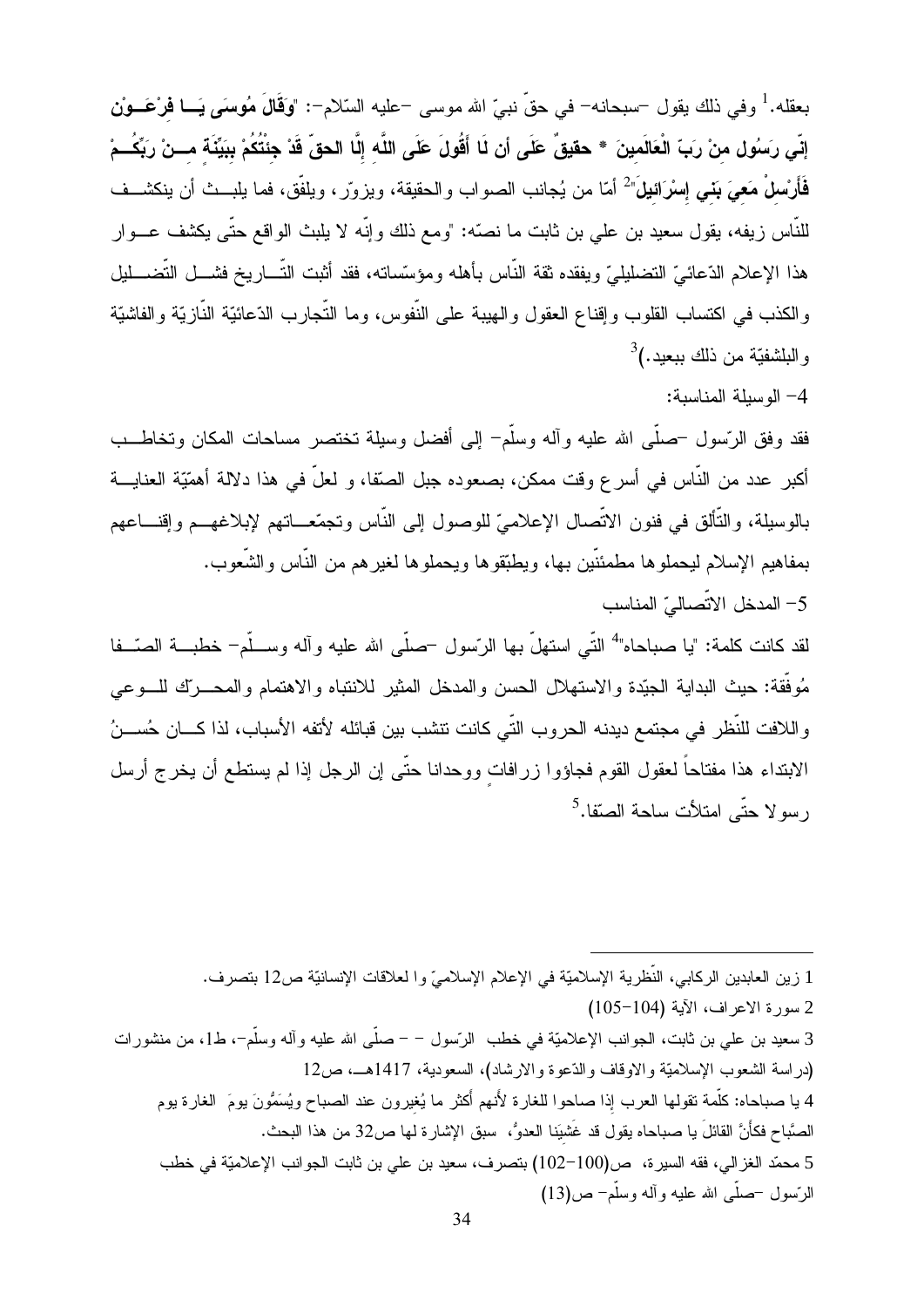بعقله.<sup>1</sup> وفي ذلك يقول –سبحانه– في حقّ نبيّ الله موسى –عليه السّلام–: "وَقَالَ مُوسَى يَـــا فَرْعَـــوْن إِنِّي رَسُولِ منْ رَبِّ الْعَالَمينَ \* حقيقٌ عَلَى أن لَا أَقُولَ عَلَى اللَّه إِلَّا الحقِّ قَدْ جئتُكُمْ ببَيِّنَة مـــنْ ربِّكُــمْ فَأَرْسلْ مَعيَ بَني إسْرَائيلَ" أمّا من يُجانب الصواب والحقيقة، ويزورّ ، ويلفّق، فما يلبــث أن ينكشــف للنَّاس زيفه، يقول سعيد بن علـى بن ثابت ما نصَّه: "ومع ذلك وإنَّه لا يلبث الواقع حتَّى يكثنف عـــوار هذا الإعلام الدّعائيّ التضليليّ ويفقده ثقة النّاس بأهله ومؤسّساته، فقد أثبت التّـــاريخ فشـــل التّضــــليل و الكذب في اكتساب القلوب و إقناع العقول و الهيبة على النَّفوس، وما النَّجار ب الدِّعائيَّة النَّاز يّة و الفاشيّة  $^3$ و البلشفيّة من ذلك ببعيد.)

4- الوسيلة المناسبة:

فقد وفق الرّسول –صلَّـى الله عليه وأله وسلَّم– إلـى أفضل وسيلة نختصر مساحات المكان ونخاطـــب أكبر عدد من النَّاس في أسر ع وقت ممكن، بصعوده جبل الصِّفا، و لعلَّ في هذا دلالة أهمّيّة العنايـــة بالوسيلة، والنَّألق في فنون الاتَّصال الإعلاميّ للوصول إلى النَّاس وتجمَّعـــاتهم لإبلاغهـــم وإقنـــاعهم بمفاهيم الإسلام ليحملوها مطمئنّين بها، ويطبّقوها ويحملوها لغيرهم من النّاس والشّعوب. 5– المدخل الاتصاليّ المناسب

لقد كانت كلمة: "يا صباحاه"<sup>4</sup> التّي استهلّ بها الرّسول <sup>ــ</sup>صلّي الله عليه وآله وســـلّم- خطبـــة الصّـــفا مُوفَّقة: حيث البداية الـجيّدة والاستهلال الـحسن والمدخل المثير للانتباه والاهتمام والمحــــرك للــــوعي واللافت للنّظر في مجتمع ديدنه الحروب التّي كانت تنشب بين قبائله لأتفه الأسباب، لذا كـــان حُســـنُ الابنداء هذا مفتاحاً لعقول القوم فجاؤوا زرافات ووحدانا حتّى إن الرجل إذا لم يستطع أن يخرج أرسل ر سو لا حتّى امتلأت ساحة الصنّفا.<sup>5</sup>

1 زين العابدين الركابي، النُّظرية الإسلاميَّة في الإعلام الإسلاميِّ وا لعلاقات الإنسانيَّة ص12 بتصرف. 2 سورة الاعراف، الآية (104-105) 3 سعيد بن علمي بن ثابت، الجوانب الإعلاميّة في خطب الرّسول – – صلَّى الله عليه وآله وسلَّم–، ط1، من منشورات (دراسة الشعوب الإسلاميّة والاوقاف والدّعوة والارشاد)، السعودية، 1417هــ، ص12 4 يا صباحاه: كلَّمة تقولها العرب إذا صاحوا للغارة لأنهم أكثر ما يُغيرون عند الصباح ويُسَمُّونَ يومَ الغارة يوم الصَّباح فكأَنَّ القائلَ يا صباحاه يقول قد غَشيَنا العدوُّ، سبق الإشار ة لها ص32 من هذا البحث. 5 محمّد الغزالي، فقه السيرة، ص(100–102) بتصرف، سعيد بن علي بن ثابت الجوانب الإعلاميّة في خطب الرَّسول –صلَّـى الله عليه وألـه وسلَّم– ص(13)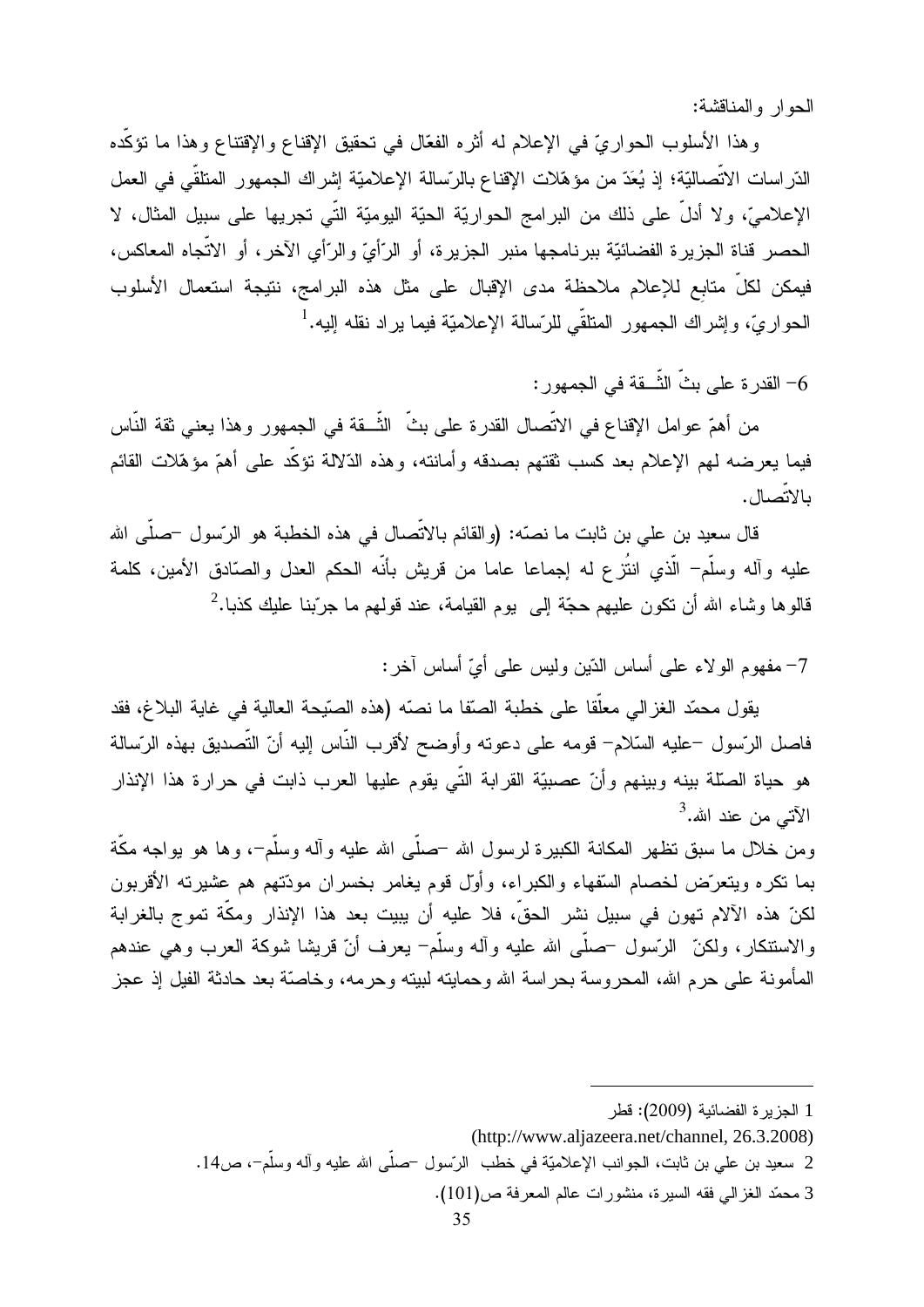الحوار والمناقشة:

وهذا الأسلوب الحواريّ في الإعلام له أثره الفعّال في تحقيق الإقناع والإقتناع وهذا ما نؤكّده الدَّر اسات الاتِّصاليَّة؛ إذ يُعَدُّ من مؤهَّلات الإقناع بالرِّسالة الإعلاميَّة إشراك الجمهور المنلقى في العمل الإعلاميِّ، ولا أدلَّ على ذلك من البرامج الحواريَّة الحيَّة اليوميَّة التي تجريها على سبيل المثال، لا الحصر قناة الجزيرة الفضائيّة ببرنامجها منبر الجزيرة، أو الرّأيّ والرّأي الآخر ، أو الاتّجاه المعاكس، فيمكن لكلِّ متابع للإعلام ملاحظة مدى الإقبال على مثل هذه البرامج، نتيجة استعمال الأسلوب الحواريّ، وإشراك الجمهور المتلقّى للرّسالة الإعلاميّة فيما براد نقله إليه.<sup>1</sup>

6– القدر ة على بثِّ الشُّــقة في الجمهور :

من أهمّ عوامل الإقناع في الاتِّصـال القدرة على بثِّ الشُّــقة في الجمهور وهذا يعني ثقة النَّاس فيما يعرضه لمهم الإعلام بعد كسب ثقتهم بصدقه وأمانته، وهذه الدّلالة نؤكّد على أهمّ مؤهّلات القائم بالاتصال.

قال سعيد بن علي بن ثابت ما نصّه: (والقائم بالاتّصال في هذه الخطبة هو الرّسول –صلّى الله عليه وأله وسلَّم– الَّذي انتُزع له إجماعا عاما من قريش بأنَّه الحكم العدل والصَّادق الأمين، كلمة قالوها وشاء الله أن نكون عليهم حجَّة إلى بوم القيامة، عند قولهم ما جرَّبنا عليك كذبا.<sup>2</sup>

7– مفهوم الولاء على أساس الدّين وليس على أيِّ أساس آخر :

يقول محمّد الغزالي معلّقا على خطبة الصقا ما نصبّه (هذه الصّيحة العالية في غاية البلاغ، فقد فاصل الرّسول –عليه السّلام– قومه على دعوته وأوضح لأقرب النّاس إليه أنّ التّصديق بهذه الرّسالة هو حياة الصَّلة بينه وبينهم وأنّ عصبيّة القرابة النّي يقوم عليها العرب ذابت في حرارة هذا الإنذار الآتي من عند الله.<sup>3</sup>

ومن خلال ما سبق نظهر المكانـة الكبيرة لرسول الله –صلَّى الله عليه وألـه وسلَّم–، وها هو بواجه مكَّة بما نكره ويتعرَّض لخصام السُّفهاء والكبراء، وأوَّل قوم يغامر بخسران مودَّتهم هم عشيرته الأقربون لكنّ هذه الآلام تهون في سبيل نشر الحقِّ، فلا عليه أن يبيت بعد هذا الإنذار ومكَّة تموج بالغرابة والاستنكار، ولكنِّ ۗ الرَّسول –صلَّى الله عليه وأله وسلَّم– يعرف أنَّ قريشا شوكة العرب وهي عندهم المأمونة على حر م الله، المحر وسة بحر اسة الله وحمايته لبيته وحر مه، وخاصنَّة بعد حادثة الفيل إذ عجز

3 محمّد الغزالي فقه السيرة، منشورات عالم المعرفة ص(101).

<sup>1</sup> الجزيرة الفضائية (2009): قطر

<sup>(</sup>http://www.aljazeera.net/channel, 26.3.2008)

<sup>2</sup> سعيد بن علي بن ثابت، الـجوانب الإعلاميّة في خطب الرّسول –صلّـى الله عليه وأله وسلّم–، ص14.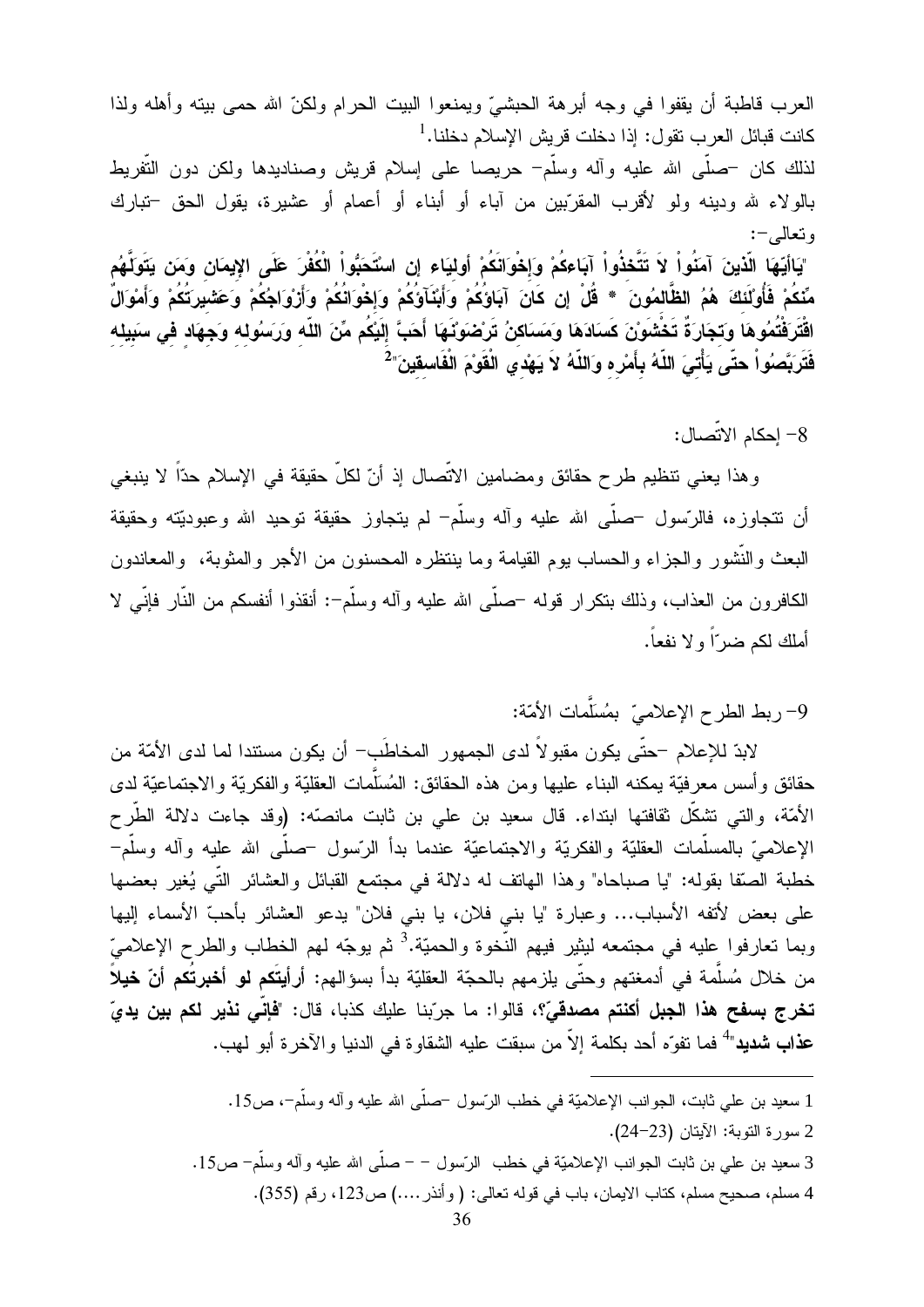العرب قاطبة أن يقفوا في وجه أبرهة الحبشيّ ويمنعوا البيت الحرام ولكنّ الله حمى بيته وأهله ولذا كانت قبائل العر ب تقول: إذا دخلت قر بش الإسلام دخلنا. <sup>1</sup> لذلك كان –صلَّى الله عليه وأله وسلَّم– حريصا على إسلام قريش وصناديدها ولكن دون التَّفريط بالولاء لله ودينه ولو لأقرب المقرّبين من أباء أو أبناء أو أعمام أو عشيرة، يقول الحق –تبارك وتعالم –: "يَاأَيّهَا الّذينَ آمَنُواْ لاَ تَتَّخذُواْ آبَاءكُمْ وَإِخْوَانَكُمْ أُوليَاء إن اسْتَحَبُّواْ الْكُفْرَ عَلَى الإِيمَانِ وَمَن يَتَوَلَّهُم مِّنكُمْ فَأُوْلَئَكَ هُمُ الظَّالمُونَ \* قُلْ إن كَانَ آبَاوُكُمْ وَأَبْنَآوَكُمْ وَإِخْوَانُكُمْ وَأَرْوَاجُكُمْ وَعَشْبِركَتُكُمْ وَأَمْوَالٌ اقْتَرَفْتُمُوهَا وَتَجَارَةً تَخْتْنَونَ كَسَادَهَا وَمَسَاكنُ تَرْضَوَنَّهَا أَحَبَّ إِلَيْكُم مِّنَ اللّه وَرَسُولِهِ وَجِهَادِ فِي سَبِيلِهِ فَتَرَبَّصُواْ حتَّى يَأْتـَىَ اللَّهُ بِأَمْرِه وَاللَّهُ لاَ يَهْدي الْقَوْمَ الْفَاسقينَ" $^2$ 

8– إحكام الاتِّصال:

وهذا يعني نتظيم طرح حقائق ومضامين الاتِّصال إذ أنّ لكلّ حقيقة في الإسلام حدّاً لا ينبغي أن نتجاوزه، فالرّسول –صلّـي الله عليه وأله وسلَّم– لم يتجاوز حقيقة توحيد الله وعبوديّته وحقيقة البعث والنُّشور والجزاء والحساب يوم القيامة وما ينتظره المحسنون من الأجر والمثوبة، ۖ والمعاندون الكافرون من العذاب، وذلك بتكرار قوله –صلَّى الله عليه وأله وسلَّم–: أنقذوا أنفسكم من النَّار فإنَّى لا أملك لكم ضر ًا و لا نفعاً.

9- ربط الطرح الإعلاميّ بمُسَلَّمات الأمّة:

لابدِّ للإعلام –حتَّى يكون مقبوٍ لاَّ لدى الجمهور ِ المخاطَب– أن يكون مستندا لما لدى الأمَّة من حقائق وأسس معرفيّة يمكنه البناء عليها ومن هذه الحقائق: المُسَلَّمات العقليّة والفكريّة والاجتماعيّة لدى الأمّة، والتي تشكّل ثقافتها ابتداء. قال سعيد بن علي بن ثابت مانصّه: (وقد جاءت دلالة الطّرح الإعلاميّ بالمسلَّمات العقليّة والفكريّة والاجتماعيّة عندما بدأ الرّسول –صلَّى الله عليه وأله وسلَّم– خطبة الصَّفا بقوله: "يا صباحاه" وهذا المهاتف له دلالة في مجتمع القبائل والعشائر التَّـي يُغير بعضها على بعض لأتفه الأسباب... وعبارة "يا بني فلان، يا بني فلان" يدعو العشائر بأحبّ الأسماء إليها وبما تعارفوا عليه في مجتمعه ليثير فيهم النُّخوة والحميّة.<sup>3</sup> ثم يوجّه لمهم الخطاب والطرح الإعلاميّ من خلال مُسلَّمة في أدمغتهم وحتَّى بلزمهم بالحجّة العقليّة بدأ بسؤالهم: أرأ**يتَكم ل**و أ**خبِرتُكم أنّ خيلا**ً تخرج بسفح هذا الجبل أكنتم مصدقيّ؟، قالوا: ما جرّبنا عليك كذبا، قال: "فَإِنِّي نَذير لكم بين يديّ **عذاب شديد**"<sup>4</sup> فما تفوِّه أحد بكلمة إلاّ من سبقت عليه الشقاو ة في الدنيا و الآخر ة أبو لهب.

> 1 سعيد بن علي ثابت، الجوانب الإعلاميّة في خطب الرّسول –صلّـى الله عليه وآله وسلَّم–، ص15. 2 سورة التوبة: الآيتان (23-24). 3 سعيد بن علي بن ثابت الجوانب الإعلاميّة في خطب الرّسول – – صلّـى الله عليه وآله وسلّم– ص15. 4 مسلم، صحيح مسلم، كتاب الايمان، باب في قوله تعالى: ( وأنذر ....) ص123، رقم (355).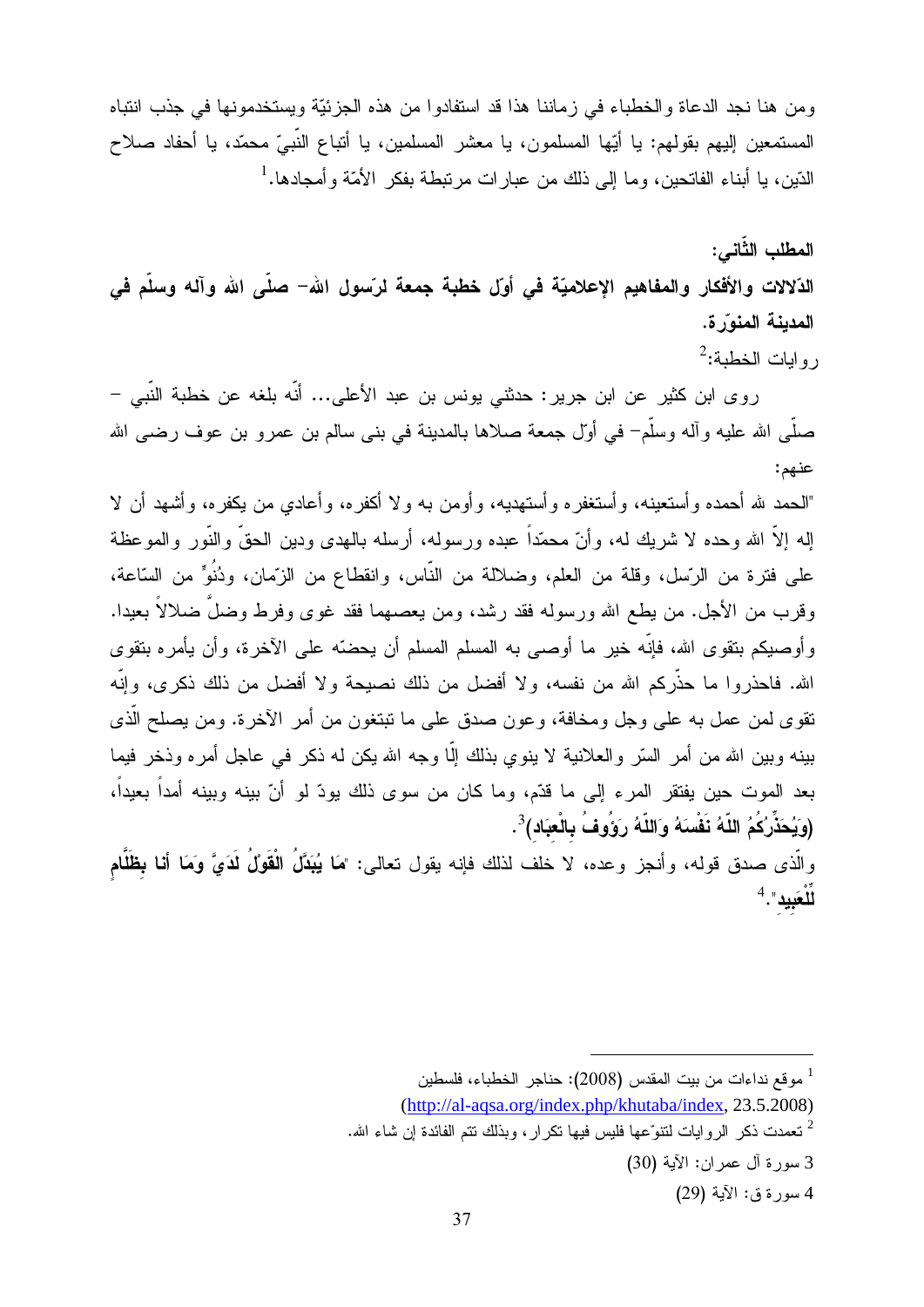ومن هنا نجد الدعاة والخطباء في زماننا هذا قد استفادوا من هذه الجزئيّة ويستخدمونها في جذب انتباه المستمعين ٳليهم بقولهم: يا أيِّها المسلمون، يا معشر المسلمين، يا أنباع النَّبيِّ محمّد، يا أحفاد صلاح الدّين، يا أبناء الفاتحين، وما إلى ذلك من عبار ات مرتبطة بفكر الأمّة و أمجادها.<sup>1</sup>

المطلب الثَّاني: الدّلالات والأفكار والمفاهيم الإعلاميّة في أوّل خطبة جمعة لرّسول الله– صلّى الله وآله وسلّم في المدينة المنوّرة. روايات الخطبة:<sup>2</sup>

روى ابن كثير عن ابن جرير: حدثني يونس بن عبد الأعلى... أنّه بلغه عن خطبة النّبي – صلَّـى الله عليه وأله وسلَّمٍ ۖ في أوَّل جمعة صلاها بالمدينة في بنـى سالم بن عمرو بن عوف رضـى الله عنهم:

"المحمد لله أحمده وأستعينه، وأستغفره وأستهديه، وأومن به ولا أكفره، وأعادي من يكفره، وأشهد أن لا إله إلاَّ الله وحده لا شريك له، وأنَّ محمّداً عبده ورسوله، أرسله بالهدى ودين الحقَّ والنَّور والموعظة على فترة من الرّسل، وقلة من العلم، وضلالة من النّاس، وانقطاع من الزّمان، ودُنُوٍّ من السّاعة، وقرب من الأجل. من يطع الله ورسوله فقد رشد، ومن يعصهما فقد غوى وفرط وضلَّ ضلالاً بعيدا. وأوصبكم بنقوى الله، فإنَّه خيرٍ ما أوصبي به المسلم المسلم أن يحضَّه على الآخرة، وأن يأمره بنقوى الله. فاحذروا ما حذَّركم الله من نفسه، ولا أفضل من ذلك نصيحة ولا أفضل من ذلك ذكرى، وإنَّه نقوي لمن عمل به علمي وجل ومخافة، وعون صدق علمي ما نبتغون من أمر الآخرة. ومن يصلح الَّذي بينه وبين الله من أمر السِّر والعلانية لا ينوى بذلك إلَّا وجه الله يكن له ذكر ً في عاجل أمر ه وذخر ً فيما بعد الموت حين يفتقر المرء إلى ما قدّم، وما كان من سوى ذلك يودّ لو أنّ بينه وبينه أمداً بعيداً، (وَيُحَذِّرُكُمُ اللَّهُ نَفْسَهُ وَاللَّهُ رَوَوُفُ بِالْعِبَادِ)<sup>3</sup>.

والَّذي صدق قوله، وأنجز وعده، لا خلف لذلك فإنه يقول تعالى: "مَا يُبَدَّلُ الْقَوْلُ لَدَيَّ وَمَا أنا بظَّلَّام  $^4$ . "الْعَبِيد

<sup>&</sup>lt;sup>1</sup> موقع نداءات من بيت المقدس (2008): حناجر الخطباء، فلسطين

<sup>(</sup>http://al-aqsa.org/index.php/khutaba/index, 23.5.2008)

نعمدت ذكر الروايات لنتوَّعها فليس فيها نكرار، وبذلك نتم الفائدة إن شاء الله.  $^2$ 

<sup>3</sup> سورة آل عمران: الآية (30)

<sup>4</sup> سورة ق: الآية (29)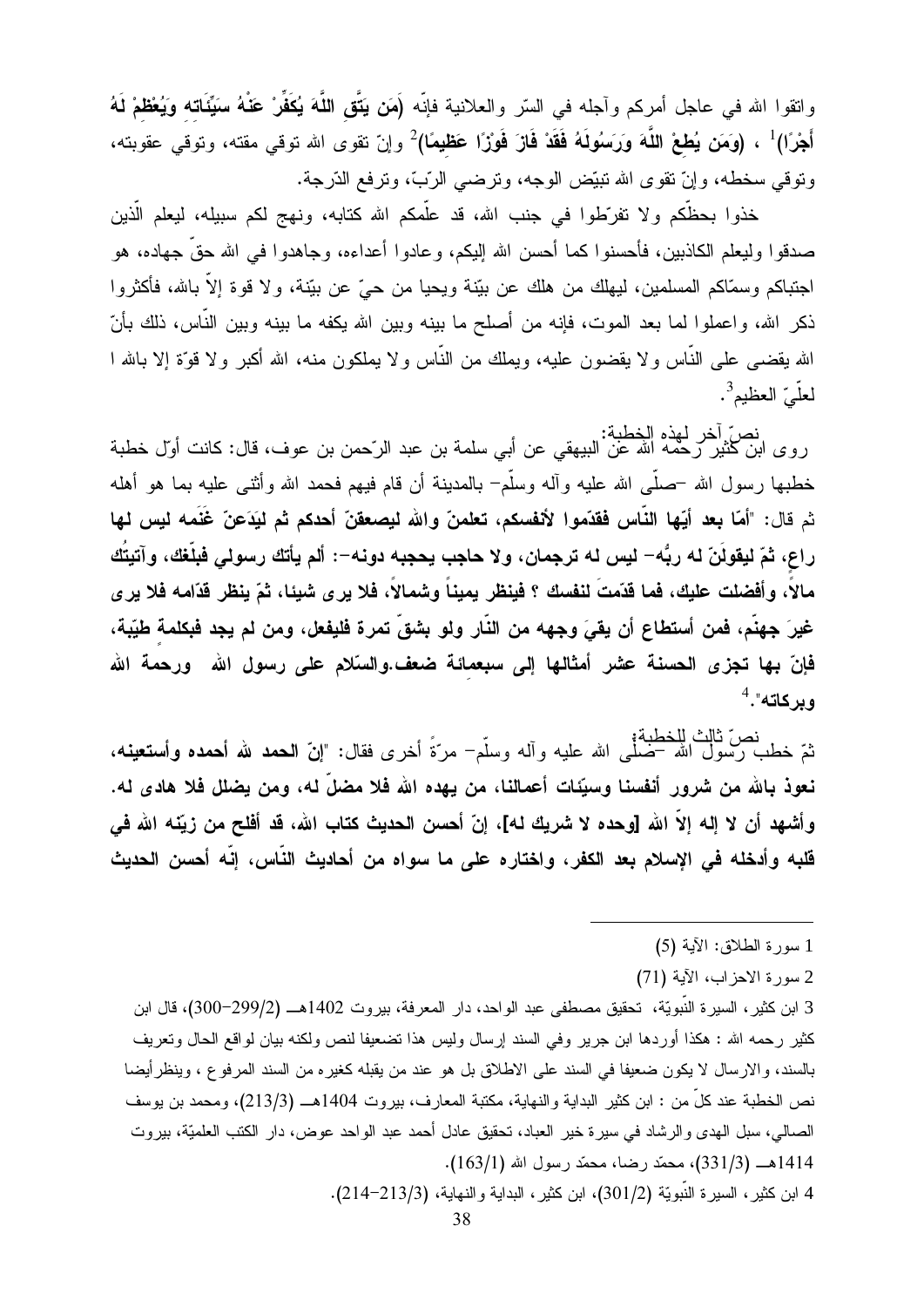واتقوا الله في عاجل أمركم وآجله في السّر والعلانية فإنّه (َمَن يَتَّق اللَّهَ يُكَفِّرْ عَنْهُ سَيِّئَاته وَيُعْظمْ لَهُ أَجْرًا)<sup>1</sup> ، (وَمَ**ن يُطعْ اللَّهَ وَرَسُولَهُ فَقَدْ فَازَ فَوْز**ًا **عَظيمًا)**2 وإنّ تقوى الله توقى مقته، وتوقى عقوبته، وتوقى سخطه، وإنّ تقوى الله تبيّض الوجه، وترضى الرّبّ، وترفع الدّرجة.

خذوا بحظكم ولا تفرَّطوا في جنب الله، قد علَّمكم الله كتابه، ونهج لكم سبيله، ليعلم الَّذين صدقوا وليعلم الكاذبين، فأحسنوا كما أحسن الله إليكم، وعادوا أعداءه، وجاهدوا في الله حقَّ جهاده، هو اجتباكم وسمّاكم المسلمين، ليهلك من هلك عن بيّنة ويحيا من حيّ عن بيّنة، ولا قوة إلاّ بالله، فأكثروا ذكر الله، واعملوا لما بعد الموت، فإنه من أصلح ما بينه وبين الله يكفه ما بينه وبين النَّاس، ذلك بأنّ الله يقضـي علـي النَّـاس ولا يقضـون عليه، ويملك من النَّاس ولا يملكون منـه، الله أكبر ولا قوَّة إلا بـالله ا لعلّيّ العظيم<sup>3</sup>.

نصٌ أخر لهذه الخطبة:<br>روى ابن كثير رحمه الله عن البيهقي عن أبي سلمة بن عبد الرّحمن بن عوف، قال: كانت أول خطبة خطبها رسول الله –صلَّـى الله عليه وأله وسلَّم– بالمدينة أن قام فيهم فحمد الله وأثنـى عليه بما هو أهله ثم قال: "أمّا بعد أيّها النّاس فقدّموا لأنفسكم، تعلمنّ والله ليصعقنّ أحدكم ثم ليَدَعنّ غَنَمه ليس لها راع، ثمّ ليقولَنّ له ربُّه– ليس له ترجمان، ولا حاجب يحجبه دونه–: ألم يأتك رسولي فبلّغك، وآتيتُك مالاً، وأفضلت عليك، فما قدّمتَ لنفسك ؟ فينظر بميناً وشمالاً، فلا يرى شيئا، ثمّ ينظر قدّامه فلا يرى غيرَ جهنَّم، فمن أستطاع أن يقيَ وجهه من النَّار ولو بشقٍّ تمرة فليفعل، ومن لم يجد فبكلمة طيّبة، فإنّ بها تجزى الحسنة عشر أمثالها إلى سبعمائة ضعف.والسّلام على رسول الله ورحمة الله وبركاته".<sup>4</sup>

نعَ خطب رسول الله –صلّٰى الله عليه وأله وسلَّم<sup>–</sup> مرّةً أخرى فقال: "**إنّ الحمد لله أحمده وأستعين**ه،<br>نتمّ خطب رسول الله –صلّٰى الله عليه وأله وسلَّم<sup>–</sup> مرّةً أخرى فقال: "**إنّ الحمد لله أحمده وأستعين**ه، نعوذ بالله من شرور أنفسنا وسيِّئات أعمالنا، من يهده الله فلا مضلَّ له، ومن يضلل فلا هادي له. وأشهد أن لا إله إلاّ الله [وحده لا شريك له]، إنّ أحسن الحديث كتاب الله، قد أفلح من زيّنه الله في قلبه وأدخله في الإسلام بعد الكفر ، واختاره على ما سواه من أحاديث النّاس، إنّه أحسن الحديث

2 سورة الاحزاب، الآية (71)

3 ابن كثير ، السير ة النَّبويَّة، تحقيق مصطفى عبد الواحد، دار المعرفة، بيروت 1402هـــ (299/2–300)، قال ابن كثير رحمه الله : هكذا أوردها ابن جرير وفي السند إرسال وليس هذا نضعيفا لنص ولكنه بيان لواقع الحال ونعريف بالسند، والارسال لا يكون ضعيفا في السند على الاطلاق بل هو عند من يقبله كغيره من السند المرفوع ، وينظر أيضا نص الخطبة عند كلٍّ من : ابن كثير البداية والنهاية، مكتبة المعارف، بيروت 1404هـــ (213/3)، ومحمد بن يوسف الصالبي، سبل الهدي والرشاد في سيرة خير العباد، تحقيق عادل أحمد عبد الواحد عوض، دار الكتب العلميّة، بيروت 1414هـ (331/3)، محمّد رضا، محمّد رسول الله (163/1).

4 ابن كثير، السيرة النَّبويَّة (301/2)، ابن كثير، البداية والنَّهاية، (213/3-214).

<sup>1</sup> سورة الطلاق: الآية (5)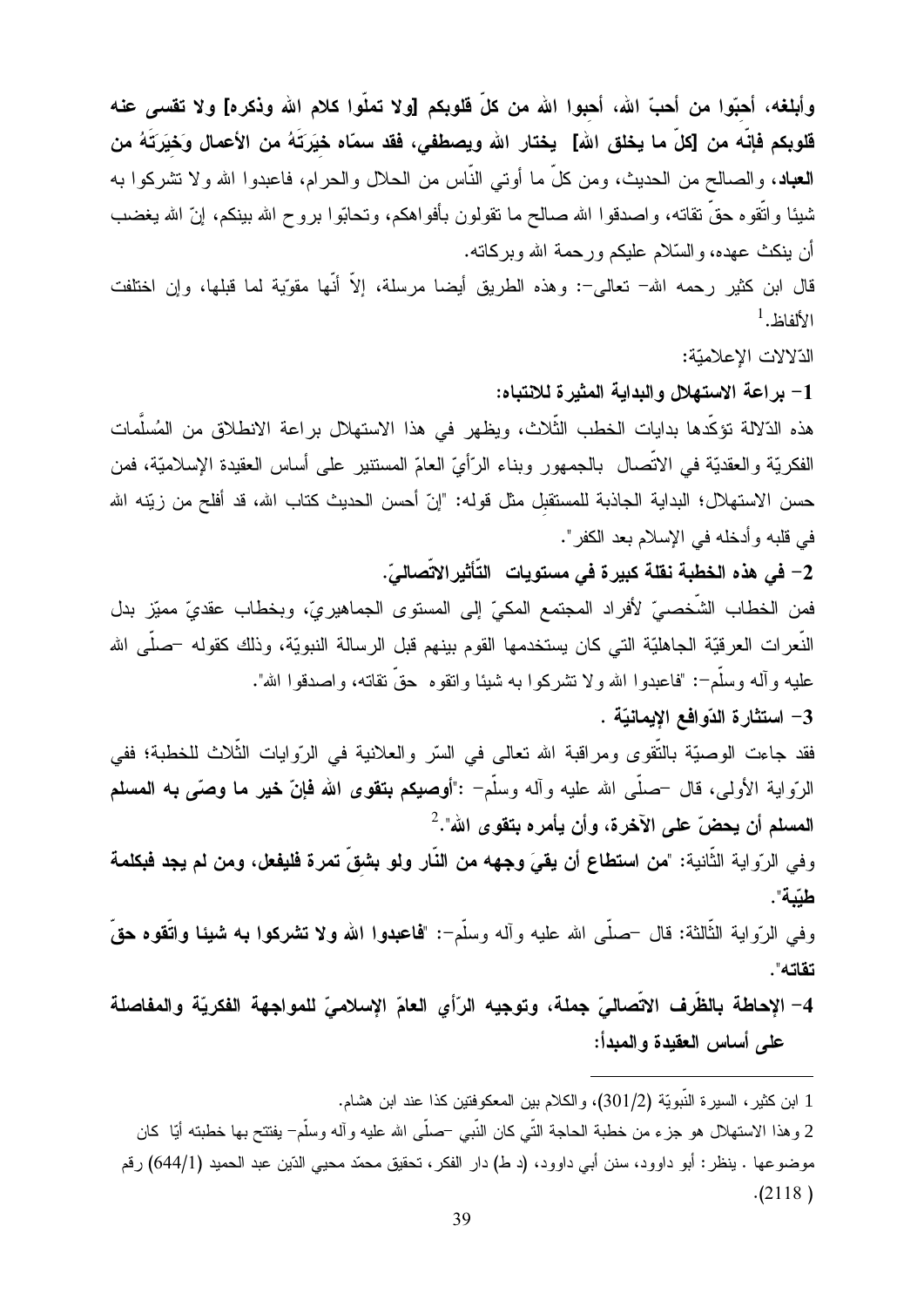وأبلغه، أحبّوا من أحبّ الله، أحبوا الله من كلِّ فلوبكم [ولا تملّوا كلام الله وذكره] ولا تقسى عنه قلوبكم فإنّه من [كلّ ما يخلق الله] يختار الله ويصطفي، فقد سمّاه خيَرتَهُ من الأعمال وَخيَرتَهُ من **العباد**، والصـالح من الـحديث، ومن كلٍّ ما أوتـى النَّاس من الـحلال والـحرام، فاعبدوا الله ولا تشركوا بـه شيئا واتُّقوه حقٌّ نقاته، واصدقوا الله صالح ما نقولون بأفواهكم، ونحابُّوا بروح الله ببنكم، إنَّ الله يغضب أن ينكث عهده، والسَّلام عليكم ورحمة الله وبركاته.

قال ابن كثير رحمه الله– تعالى–: وهذه الطريق أيضا مرسلة، إلاَّ أنَّها مقوِّية لما قبلها، وإن اختلفت  $^1$ الألفاظ.

الذلالات الإعلاميّة:

1- براعة الاستهلال والبداية المثيرة للانتباه:

هذه الدّلالة تؤكّدها بدايات الخطب الثّلاث، ويظهر في هذا الاستهلال بر اعة الانطلاق من المُسلّمات الفكريّة والعقديّة في الاتّصال بالجمهور وبناء الرّأيّ العامّ المستنير على أساس العقيدة الإسلاميّة، فمن حسن الاستهلال؛ البداية الجاذبة للمستقبل مثل قوله: "إنّ أحسن الحديث كتاب الله، قد أفلح من زيّنه الله في قلبه و أدخله في الإسلام بعد الكفر ".

2– في هذه الخطبة نقلة كبيرة في مستويات التَّأثيرالاتِّصاليّ.

فمن الخطاب الشَّخصـيِّ لأفراد المجتمع المكيِّ إلى المستوى الجماهيريِّ، وبخطاب عقديٍّ مميّز بدل النَّعرِ ات العرقيّة الجاهليّة التي كان يستخدمها القوم بينهم قبل الرسالة النبويّة، وذلك كقوله –صلَّى الله عليه وأله وسلَّم-: "فاعبدوا الله ولا نتثىركوا به شيئا وانقوه ً حقَّ نقاته، واصدقوا الله".

3– استثارة الدّوافع الإيمانيّة .

فقد جاءت الوصيّة بالنّقوي ومراقبة الله تعالى في السّر والعلانية في الرّوايات الثّلاث للخطبة؛ ففي الرَّواية الأولى، قال –صلَّى الله عليه وأله وسلَّم<sup>–</sup> :"أ**وصيكم بتقوى الله فإنّ خير ما وص**َّى **به المسلم** المسلم أن يحضّ على الآخرة، وأن يأمره بتقوى الله".<sup>2</sup>

وفي الرّواية الثّانية: "من استطاع أن يقيَ وجهه من النّار ولو بشقّ تمرة فليفعل، ومن لم يجد فبكلمة طبّبة".

وفي الرّواية الثّالثة: قال –صلَّى الله عليه وأله وسلَّم–: "فماعبدوا الله ولا تشركوا بـه شيئا واتَّقوه حقَّ تقاته".

4– الإحاطة بالظَّرف الاتِّصاليّ جملة، وتوجيه الرّأي العامّ الإسلاميّ للمواجهة الفكريّة والمفاصلة على أساس العقيدة والمبدأ:

1 ابن كثير ، السير ة النَّبويَّة (301/2)، والكلام بين المعكوفتين كذا عند ابن هشام. 2 وهذا الاستهلال هو جزء من خطبة الحاجة التّي كان النّبي –صلّبي الله عليه وآله وسلّم– يفتتح بها خطبته أيّا كان موضوعها . ينظر : أبو داوود، سنن أبي داوود، (د ط) دار الفكر ، تحقيق محمّد محيى الدّين عبد الحميد (644/1) رقم  $(2118)$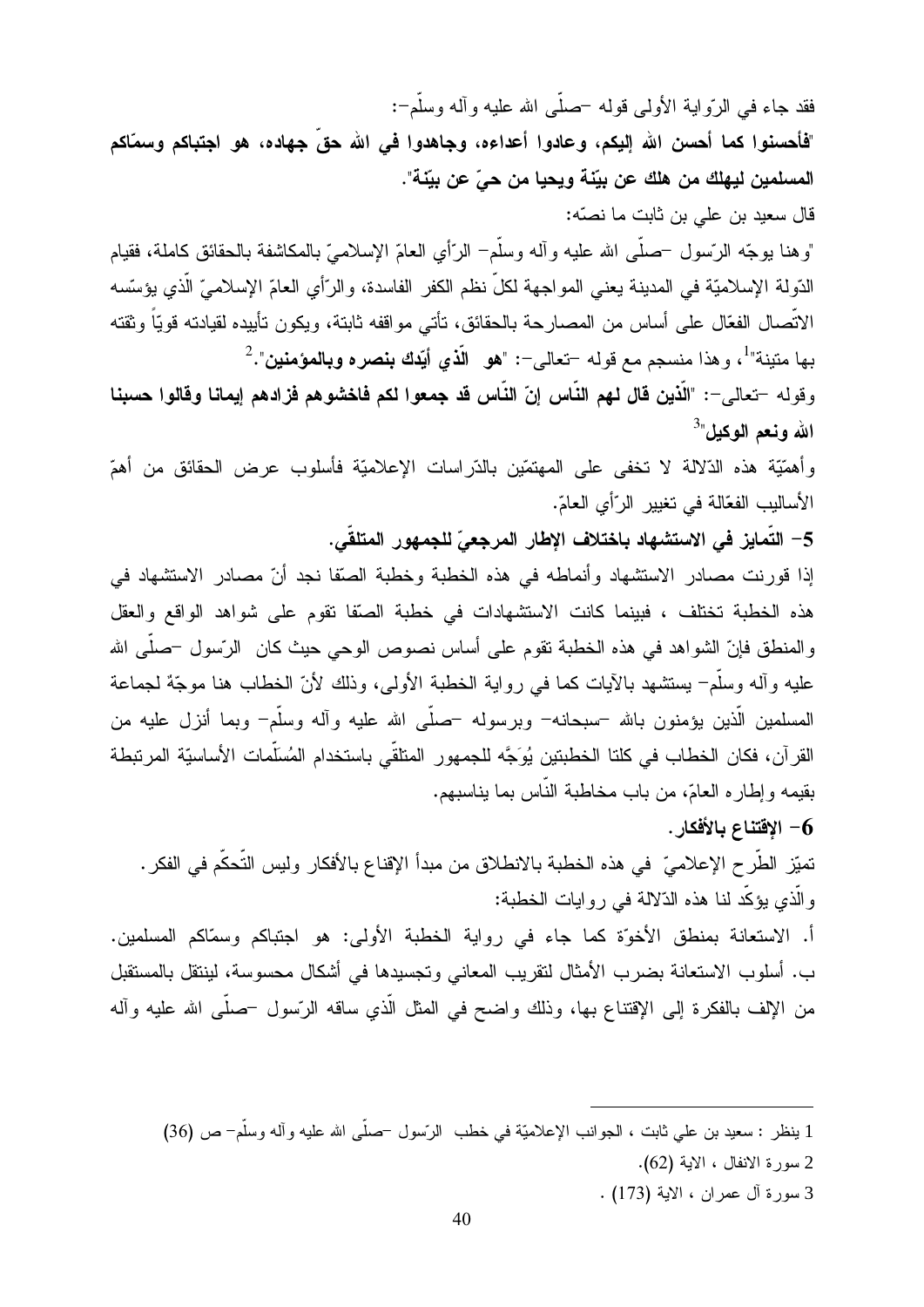فقد جاء فـي الرّواية الأولـي قولـه –صلّـي الله عليه وألـه وسلَّم–:

"فأحسنوا كما أحسن الله اليكم، وعادوا أعداءه، وجاهدوا في الله حقِّ جهاده، هو اجتباكم وسمّاكم المسلمين ليهلك من هلك عن بيِّنة ويحيا من حيٍّ عن بيِّنة".

قال سعيد بن على بن ثابت ما نصّه:

"وهنا بوجّه الرّسول –صلَّى الله عليه وأله وسلَّم– الرّأي العامّ الإسلاميّ بالمكاشفة بالحقائق كاملة، فقيام الدّولة الإسلاميّة في المدينة يعني المواجهة لكلّ نظم الكفر الفاسدة، والرّأي العامّ الإسلاميّ الّذي يؤسّسه الاتِّصـال الفعّال على أساس من المصـارحة بالحقائق، تأتـي مواقفه ثابتة، ويكون تأييده لقيادته قويّاً وثقته بها متينة"<sup>1</sup>، وهذا منسجم مع قوله –تعالى–: "**هو الّذي أيّدك بنصره وبالمؤمنين**".<sup>2</sup>

وقوله –تعالى–: "الَّذين قال لهم النَّاس إنّ النَّاس قد جمعوا لكم فاخشوهم فزادهم إيمانا وقالوا حسبنا الله ونعم الوكيل"<sup>3</sup>

وأهمَّيَّة هذه الذَّلالة لا تخفي على المهتمّين بالدَّراسات الإعلاميَّة فأسلوب عرض الحقائق من أهمّ الأساليب الفعّالة في تغيير الرّأي العامّ.

5– التَّمايز في الاستشهاد باختلاف الإطار المرجعيّ للجمهور المتلقَّى.

إذا قورنت مصادر الاستشهاد وأنماطه في هذه الخطبة وخطبة الصَّفا نجد أنّ مصادر الاستشهاد في هذه الخطبة تختلف ، فبينما كانت الاستشهادات في خطبة الصِّفا تقوم على شواهد الواقع والعقل والمنطق فإنّ الشواهد في هذه الخطبة نقوم على أساس نصوص الوحي حيث كان الرّسول –صلّـى الله عليه وأله وسلَّمٍ – يستشهد بالآيات كما في رواية الخطبة الأولى، وذلك لأنَّ الخطاب هنا موجَّة لجماعة المسلمين الَّذين يؤمنون بالله –سبحانه– وبرسوله –صلَّى الله عليه وأله وسلَّم– وبما أنزل عليه من القرآن، فكان الخطاب في كلتا الخطبتين يُوَجَّه للجمهور المتلقِّي باستخدام المُسَلِّمات الأساسيّة المرتبطة بقيمه و إطار ه العامّ، من باب مخاطبة النّاس بما يناسبهم.

الاقتناع بالأفكار .  $\sim$ 

تميّز الطّرح الإعلاميّ في هذه الخطبة بالانطلاق من مبدأ الإقناع بالأفكار وليس التّحكّم في الفكر . والَّذي يؤكِّد لنا هذه الدِّلالة في روايات الخطبة:

أ. الاستعانة بمنطق الأخوّة كما جاء في رواية الخطبة الأولى: هو اجتباكم وسمّاكم المسلمين. ب. أسلوب الاستعانة بضرب الأمثال لتقريب المعاني وتجسيدها في أشكال محسوسة، لينتقل بالمستقبل من الإلف بالفكرة إلى الإقتناع بها، وذلك واضح في المثل الَّذي ساقه الرَّسول –صلَّى الله عليه وأله

- 1 ينظر : سعيد بن علي ثابت ، الجوانب الإعلاميّة في خطب الرّسول –صلّي الله عليه وأله وسلّم– ص (36)
	- 2 سورة الانفال ، الاية (62).
	- 3 سورة آل عمران ، الاية (173) .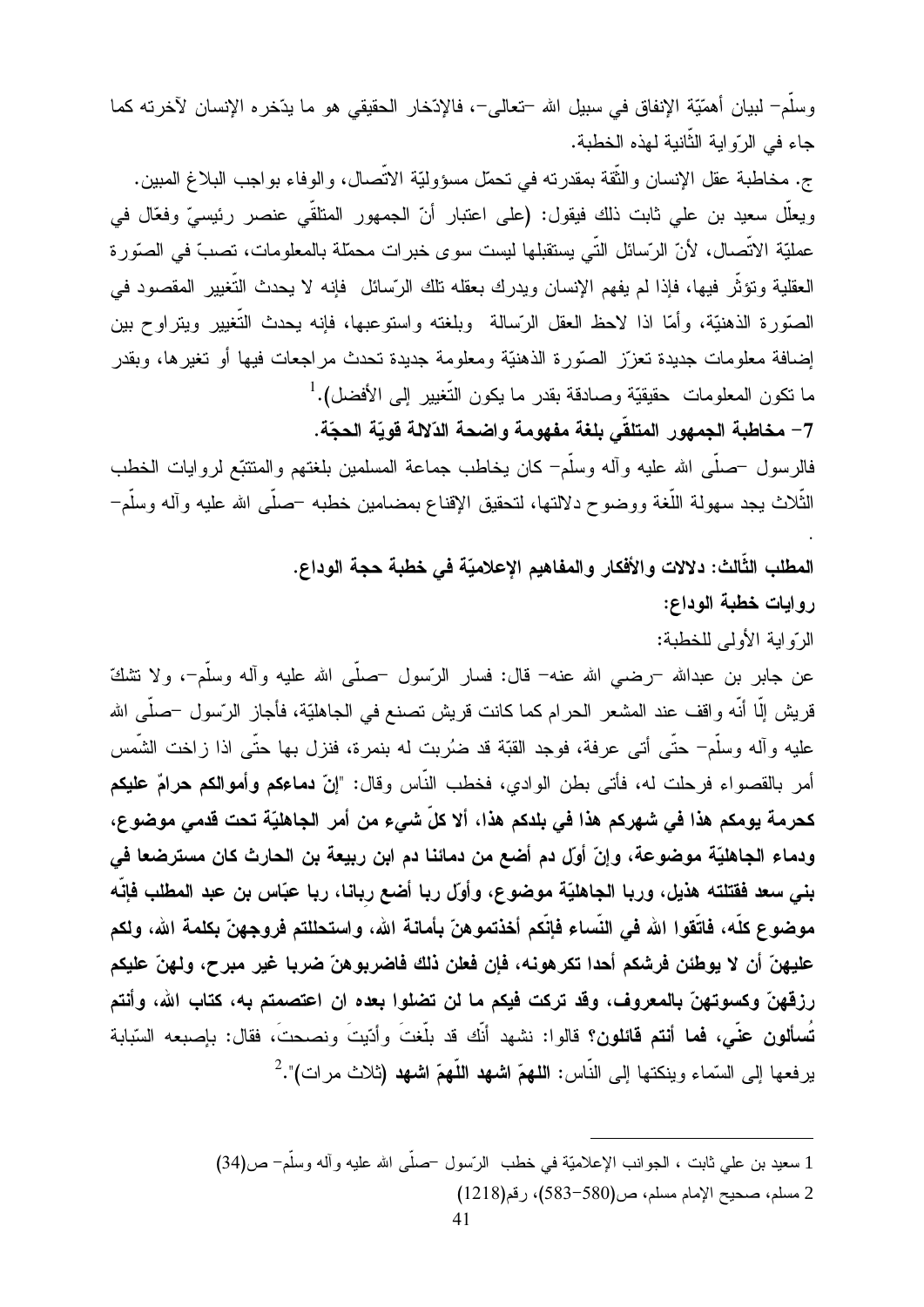وسلَّمٍ لبيانٍ أهمَّيَّة الإنفاق في سبيل الله –تعالى–، فالإذخار الحقيقي هو ما يدِّخره الإنسان لآخرته كما جاء في الرّواية الثّانية لمهذه الخطبة.

ج. مخاطبة عقل الإنسان والثُّقة بمقدرته في تحمَّل مسؤوليَّة الاتِّصال، والوفاء بواجب البلاغ المبين. ويعلَّل سعيد بن على ثابت ذلك فيقول: (على اعتبار أنَّ الجمهور المتلقِّي عنصر رئيسيٍّ وفعَّال في عمليّة الاتّصال، لأنّ الرّسائل التّي يستقبلها ليست سوى خبر ات محمّلة بالمعلومات، تصبّ في الصّورة العقلية وتؤثِّر فيها، فإذا لم يفهم الإنسان ويدرك بعقله تلك الرِّسائل ۖ فإنه لا يحدث التَّغيير المقصود في الصَّورة الذهنيَّة، وأمَّا اذا لاحظ العقل الرَّسالة وبلغته واستوعبها، فإنه بحدث النُّغيير ويتراوح بين إضافة معلومات جديدة تعزّز الصّورة الذهنيّة ومعلومة جديدة تحدث مراجعات فيها أو تغيرها، وبقدر ما نكون المعلومات حقيقيّة وصادقة بقدر ما يكون التّغيير إلى الأفضل).<sup>1</sup>

7– مخاطبة الجمهور المتلقّى بلغة مفهومة واضحة الدّلالة قويّة الحجّة.

فالرسول –صلَّمي الله عليه وأله وسلَّم– كان يخاطب جماعة المسلمين بلغتهم والمنتبَّع لروايات الخطب النَّلاث يجد سهولة اللُّغة ووضوح دلالتها، لتحقيق الإقناع بمضـامين خطبه –صلَّمي الله عليه وآله وسلَّم–

المطلب الثَّالث: دلالات والأفكار والمفاهيم الإعلاميّة في خطبة حجة الوداع.

روايات خطبة الوداع:

الرَّو ابة الأولى للخطبة:

عن جابر بن عبدالله –رضـي الله عنه– قال: فسار الرّسول –صلّـي الله عليه وأله وسلَّم–، ولا نتثلكّ قريش إلَّا أنَّه واقف عند المشعر الحرام كما كانت قريش تصنع في الجاهليّة، فأجاز الرّسول –صلَّى الله عليه وآله وسلَّم– حتَّى أتـى عرفة، فوجد القبَّة قد ضُربت له بنمرة، فنزل بـها حتَّى اذا زاخت الشَّمس أمر بالقصواء فرحلت له، فأتى بطن الوادي، فخطب النَّاس وقال: "إ**نّ دماءكم وأموالكم حرامٌ عليكم** كحرمة يومكم هذا في شهركم هذا في بلدكم هذا، ألا كلِّ شيءٍ من أمر الجاهليّة تحت قدمي موضوع، ودماء الجاهليّة موضوعة، وإنّ أولّ دم أضع من دمائنا دم ابن ربيعة بن الحارث كان مسترضعا في بني سعد فقتلته هذيل، وربا الجاهليّة موضوع، وأولّ ربا أضع ربانا، ربا عبّاس بن عبد المطلب فإنّه موضوع كلَّه، فاتَّقوا الله في النِّساء فإنَّكم أخذتموهنّ بأمانـة الله، واستحللتم فروجهنّ بكلمـة الله، ولكم عليهنّ أن لا يوطئن فرشكم أحدا تكرهونه، فإن فعلن ذلك فاضربوهنّ ضربا غير مبرح، ولهنّ عليكم رزقهنّ وكسوتهنّ بالمعروف، وقد تركت فيكم ما لن تضلوا بعده ان اعتصمتم به، كتاب الله، وأنتم تُسألون عنَّى، فما أنتم فائلون؟ قالوا: نشهد أنَّك قد بلُّغتَ وأدّيتَ ونصحتَ، فقال: بإصبعه السّبابة يرفعها إلى السَّماء وينكتها إلى النَّاس: ا**للهمّ اشهد اللُّهمّ اشهد (**ثلاث مرات)".<sup>2</sup>

2 مسلم، صحيح الإمام مسلم، ص(580-583)، رقم(1218)

<sup>1</sup> سعيد بن علمي ثابت ، الجوانب الإعلاميّة في خطب الرّسول –صلّبي الله عليه و أله وسلّم– ص(34)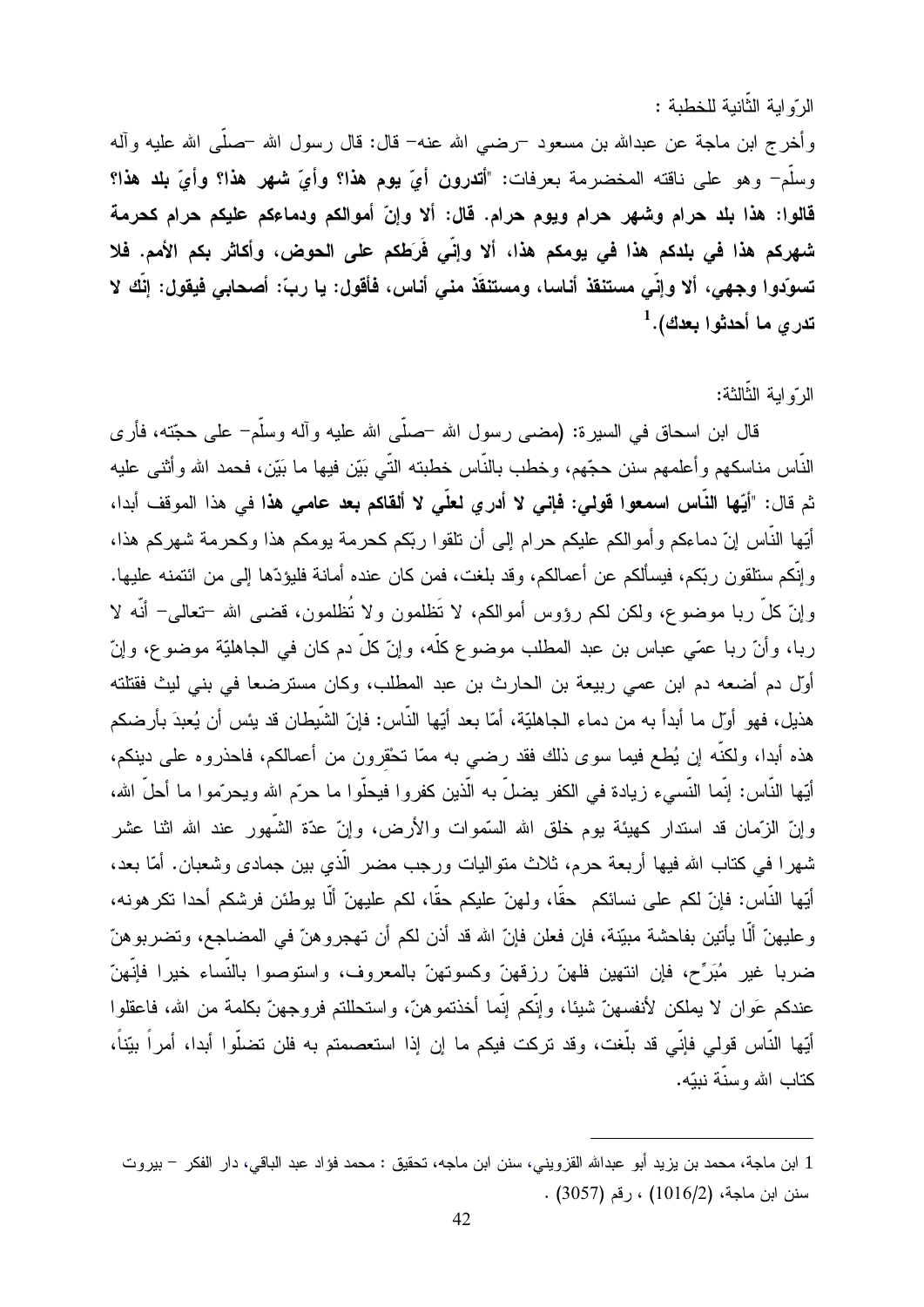الرَّو ابة الثَّانية للخطبة : وأخرج ابن ماجة عن عبدالله بن مسعود ¬رضـي الله عنـه− قال: قال رسول الله ¬صلَّى الله عليه وألـه وسلَّمٍ ۖ وهو على ناقته المخضرمة بعرفات: "أتدرون أيَّ يوم هذا؟ وأيَّ شهر هذا؟ وأيَّ بلد هذا؟ قالوا: هذا بلد حرام وشهر حرام ويوم حرام. قال: ألا وإنّ أموالكم ودماءكم عليكم حرام كحرمة شهركم هذا في بلدكم هذا في يومكم هذا، ألا وإنِّي فَرَطكم على الحوض، وأكاثر بكم الأمم. فلا تسوّدوا وجهي، ألا وإنِّي مستنقذ أناسا، ومستنقَذ مني أناس، فأقول: يا ربِّ: أصحابي فيقول: إنَّك لا تدري ما أحدثوا بعدك).<sup>1</sup>

#### الرّ و ابة الثّالثة:

قال ابن اسحاق في السيرة: (مضبي رسول الله –صلَّى الله عليه و آله وسلَّم– علي حجَّته، فأر ي النَّاس مناسكهم و أعلمهم سنن حجِّهم، وخطب بالنَّاس خطبته النَّبي بَيِّن فيها ما بَيِّن، فحمد الله و أثني عليه ثم قال: "أيّها النّاس اسمعوا قولمي: فإني لا أدري لعلّى لا ألقاكم بعد عامى هذا في هذا الموقف أبدا، أيُّها النَّاس إنَّ دماءكم وأموالكم عليكم حرام إلىي أن نلقوا ربَّكم كحرمة يومكم هذا وكحرمة شهركم هذا، وإنَّكم سنلقون ربَّكم، فيسألكم عن أعمالكم، وقد بلغت، فمن كان عنده أمانـة فلبؤدِّها إلى من ائتمنـه عليها. وإنَّ كلَّ ربا موضوع، ولكن لكم رؤوس أموالكم، لا نَظلمون ولا نُظلمون، قضـي الله –تعالـي– أنَّه لا ربـا، وأنّ ربـا عمّـى عبـاس بن عبد المطلب موضـوع كلّـه، وإنّ كلَّ دم كان فـى الـجاهليّـة موضـوع، وإنّ أوّل دم أضعه دم ابن عمى ربيعة بن الحارث بن عبد المطلب، وكان مسترضعا في بني ليث فقتلته هذيل، فهو أول ما أبدأ به من دماء الجاهليّة، أمّا بعد أيّها النّاس: فإنّ الشّيطان قد يئس أن يُعبدَ بأرضكم هذه أبدا، ولكنَّه إن يُطع فيما سوى ذلك فقد رضبي به ممّا تحْقرون من أعمالكم، فاحذروه على دينكم، أيِّها النَّاس: إنَّما النَّسيء زيادة في الكفر يضلُّ به الَّذين كفروا فيحلُّوا ما حرّم الله ويحرّموا ما أحلّ الله، وإنّ الزّمان قد اسندار كهيئة بوم خلق الله السّموات والأرض، وإنّ عدّة الشّهور عند الله اثنا عشر شهرًا في كتاب الله فيها أربعة حرم، ثلاث متواليات ورجب مضر الَّذي بين جمادي وشعبان. أمَّا بعد، أيِّها النَّاس: فإنّ لكم على نسائكم حقًّا، ولهنّ عليكم حقًّا، لكم عليهنّ ألَّا يوطئن فرشكم أحدا تكر هونه، وعليهنّ ألَّا يأتين بفاحشة مبيّنة، فإن فعلن فإنّ الله قد أذن لكم أن تهجروهنّ في المضاجع، وتضربوهنّ ضربا غير مُبَرِّح، فإن انتهين فلهنّ رزقهنّ وكسوتهنّ بالمعروف، واستوصوا بالنَّساء خيرا فإنَّهنّ عندكم عَوان لا يملكن لأنفسهنّ شيئا، وإنَّكم إنَّما أخذتموهنَّ، واستحللتم فروجهنّ بكلمة من الله، فاعقلوا أيِّها النَّاس قولي فإنِّي قد بلُّغت، وقد تركت فيكم ما إن إذا استعصمتم به فلن تضلُّوا أبدا، أمراً بيّناً، كتاب الله وسنَّة نببّه.

<sup>1</sup> ابن ماجة، محمد بن يزيد أبو عبدالله القزويني، سنن ابن ماجه، تحقيق : محمد فؤاد عبد الباقي، دار الفكر – بيروت سنن ابن ماجة، (1016/2) ، رقم (3057) .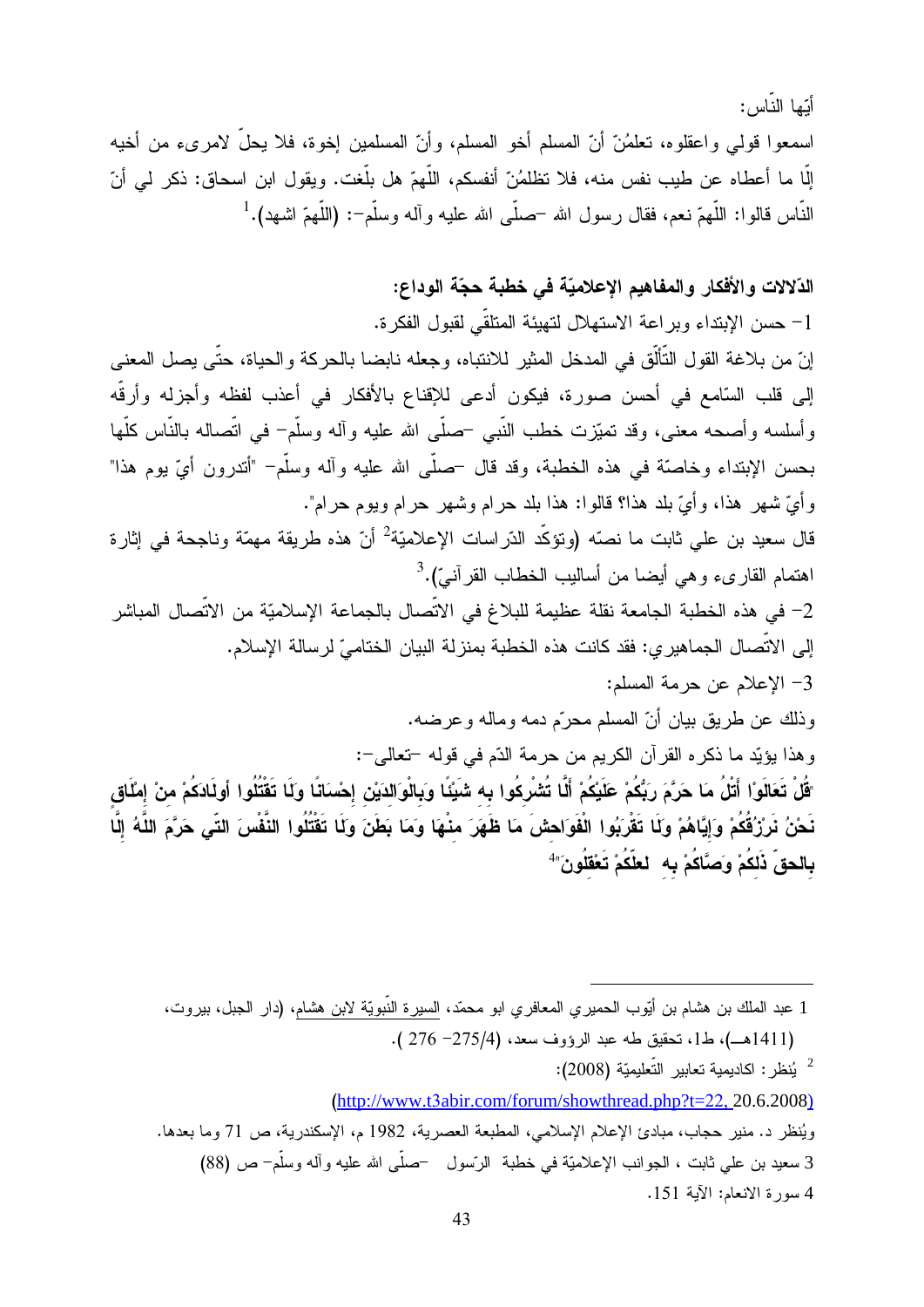أَبِّها النَّاس: اسمعوا قولـى واعقلوه، تعلَّمُنَّ أنَّ المسلَّم أخو المسلَّم، وأنَّ المسلمين إخوة، فلا يحلُّ لامرىء من أخيه إلَّا ما أعطاه عن طيب نفس منه، فلا تظلمُنّ أنفسكم، اللَّهمّ هل بلَّغت. ويقول ابن اسحاق: ذكر لمي أنّ النَّاس قالوا: اللَّهمّ نعم، فقال رسول الله –صلَّى الله عليه وآله وسلَّم–: (اللَّهمّ اشهد).  $^1$ 

#### الدّلالات والأفكار والمفاهيم الإعلاميّة في خطبة حجّة الوداع:

1- حسن الإبتداء وبراعة الاستهلال لتهيئة المتلقّى لقبول الفكرة.

إنّ من بلاغة القول التَّألُّق في المدخل المثير للانتباه، وجعله نابضا بالحركة والحياة، حتَّى يصل المعنى إلى قلب السّامع في أحسن صورة، فيكون أدعى للإقناع بالأفكار في أعذب لفظه وأجزله وأرقّه وأسلسه وأصـحه معنى، وقد تميّزت خطب النّبي –صلّي الله عليه وأله وسلّم– في اتّصاله بالنّاس كلّها بحسن الإبتداء وخاصيّة في هذه الخطبة، وقد قال –صلّى الله عليه وآله وسلّم– "أندرون أيّ بوم هذا" و أيّ شهر ٍ هذا، و أيّ بلد هذا؟ قالو!: هذا بلد حرام وشهر حرام ويوم حرام".

قال سعيد بن على ثابت ما نصّه (وتؤكّد الدّراسات الإعلاميّة<sup>2</sup> أنّ هذه طريقة مهمّة وناجحة في إثارة اهتمام القارىء وهي أيضا من أساليب الخطاب القرآنيّ).<sup>3</sup>

2– في هذه الخطبة الجامعة نقلة عظيمة للبلاغ في الاتِّصال بالجماعة الإسلاميّة من الاتِّصال المباشر إلى الاتِّصال الجماهير ي: فقد كانت هذه الخطبة بمنزلة البيان الختاميِّ لرسالة الإسلام.

## 3– الإعلام عن حرمة المسلم:

وذلك عن طريق بيان أنّ المسلم محرّم دمه وماله وعرضه.

وهذا يؤيِّد ما ذكره القرآن الكريم من حرمة الدّم في قوله –تعالى–:

َّقُلْ تَعَالَوْا أَتْلُ مَا حَرَّمَ رَبُّكُمْ عَلَيْكُمْ أَلَّا تُشْركُوا به شَيْئًا وَبالْوَالذَيْن إحْسَانًا وكَا تَقْتُلُوا أولَادَكُمْ منْ إمْلَاق نَحْنُ نَرِزُقُكُمْ وَإِيَّاهُمْ وَلَا تَقْرَبُوا الْفَوَاحشَ مَا ظَهَرَ منْهَا وَمَا بَطَنَ وَلَا تَقْتُلُوا النَّفْسَ التَّى حَرَّمَ اللَّهُ إِلَّا بِالحقّ ذَلكُمْ وَصَّاكُمْ بِه ۚ لعلَّكُمْ تَعْقَلُونَ" ۖ

- 1 عبد الملك بن هشام بن أُبِّوب الحميري المعافري ابو محمّد، السيرة النَّبويّة لابن هشام، (دار الـجبل، بيروت، (1411هـ)، ط1، نحقيق طه عبد الرؤوف سعد، (274- 276 ).
	- يُنظر : اكاديمية تعابير التّعليميّة (2008):  $^2$

(http://www.t3abir.com/forum/showthread.php?t=22, 20.6.2008)

ويُنظر د. منير حجاب، مبادئ الإعلام الإسلامي، المطبعة العصرية، 1982 م، الإسكندرية، ص 71 وما بعدها. 3 سعيد بن على ثابت ، الجوانب الإعلاميّة في خطبة الرّسول –صلّى الله عليه وآله وسلّم– ص (88) 4 سورة الانعام: الآية 151.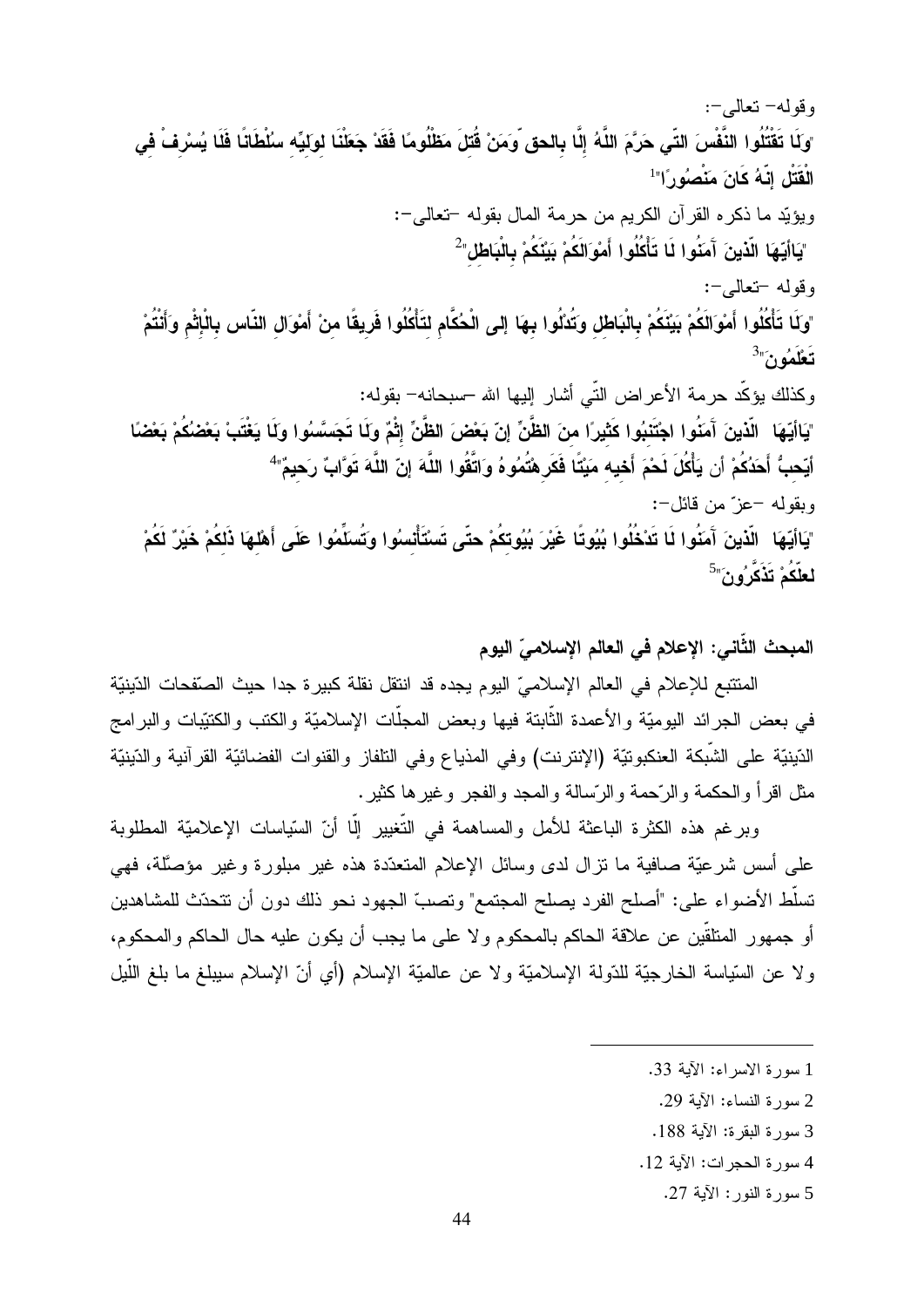وقوله– تعالى–: "وكَا تَقْتُلُوا النَّفْسَ التّي حَرَّمَ اللَّهُ إلَّا بالحق وَمَنْ قُتلَ مَظْلُومًا فَقَدْ جَعَلْنَا لوكيِّه سُلْطَانًا فَلَا يُسْرِفْ في الْقَتْلِ إِنَّهُ كَانَ مَنْصُوْرِ ًا"<sup>1</sup> ويؤيّد ما ذكره القرآن الكريم من حرمة المال بقوله –تعالى–: "يَاأَيّهَا الّذينَ آَمَنُوا لَا تَأْكُلُوا أَمْوَالَكُمْ بَيْنَكُمْ بِالْبَاطْلِ"  $^2$ وقوله -تعالى-: "وكَا تَأْكُلُوا أَمْوَالَكُمْ بَيْنَكُمْ بِالْبَاطْلِ وَتُدْلُوا بِهَا إِلى الْحُكَّام لتَأْكُلُوا فَرِيقًا منْ أَمْوَالِ النّاس بِالْإِثْمِ وَأَنْتُمْ  $3\pi$ تَعْلَمُونَ وكذلك يؤكّد حرمة الأعراض التّـى أشار إليها الله –سبحانه– بقوله: "يَاأَيّهَا الّذينَ آَمَنُوا اجْتَنبُوا كَثيراً منَ الظَّنِّ إنّ بَعْضَ الظَّنِّ إثْمٌ ولَا تَجَسَّسُوا ولَا يَغْتَبْ بَعْضُكُمْ بَعْضًا أيّحبُّ أَحَدُكُمْ أن يَأْكُلَ لَحْمَ أَحْيه مَيْتًا فَكَر هْتُمُوهُ وَاتَّقُوا اللَّهَ إنّ اللَّهَ تَوَّابً رَحيمً" وبقوله –عز ٌ من قائل–: "يَاأيّهَا الّذينَ آمَنُوا لَا تَدْخُلُوا بُيُوتًا غَيْرَ بُيُوتكُمْ حتّى تَسْتَأْتسُوا وَتُسلِّمُوا عَلَى أَهْلهَا ذَلكُمْ خَيْرٌ لَكُمْ لعلّكُمْ تَذَكَّرُونَ"<sup>5</sup>

#### المبحث الثَّاني: الإعلام في العالم الإسلاميّ اليوم

المنتبع للإعلام في العالم الإسلاميِّ اليوم يجده قد اننقل نقلة كبيرة جدا حيث الصقحات الدّينيَّة في بعض الجرائد اليوميّة والأعمدة الثّابتة فيها وبعض المجلّات الإسلاميّة والكتب والكتيّبات والبرامج الدّينيّة على الشّبكة العنكبونيّة (الإنترنت) وفي المذياع وفي النلفاز والقنوات الفضائيّة القرآنية والدّينيّة مثل اقرأ والحكمة والرَّحمة والرِّسالة والمجد والفجر وغيرها كثير .

وبر غم هذه الكثر ة الباعثة للأمل والمساهمة في التَّغيير الَّا أنّ السّياسات الإعلاميّة المطلوبة على أسس شرعيَّة صافية ما نزال لدى وسائل الإعلام المتعدَّدة هذه غير مبلورة وغير مؤصَّلة، فهي تسلُّط الأضواء على: "أصلح الفرد يصلح المجتمع" وتصبَّ الجهود نحو ذلك دون أن تتحدّث للمشاهدين أو جمهور المتلقَّين عن علاقة الحاكم بالمحكوم ولا على ما يجب أن يكون عليه حال الحاكم والمحكوم، ولا عن السَّياسة الخارجيَّة للدَّولة الإسلاميَّة ولا عن عالميَّة الإسلام (أي أنَّ الإسلام سيبلغ ما بلغ اللَّيل

- 1 سورة الاسراء: الآية 33.
	- 2 سورة النساء: الآبة 29.
- 3 سورة البقرة: الآية 188.
- 4 سورة الحجر ات: الآية 12.
	- 5 سورة النور: الآية 27.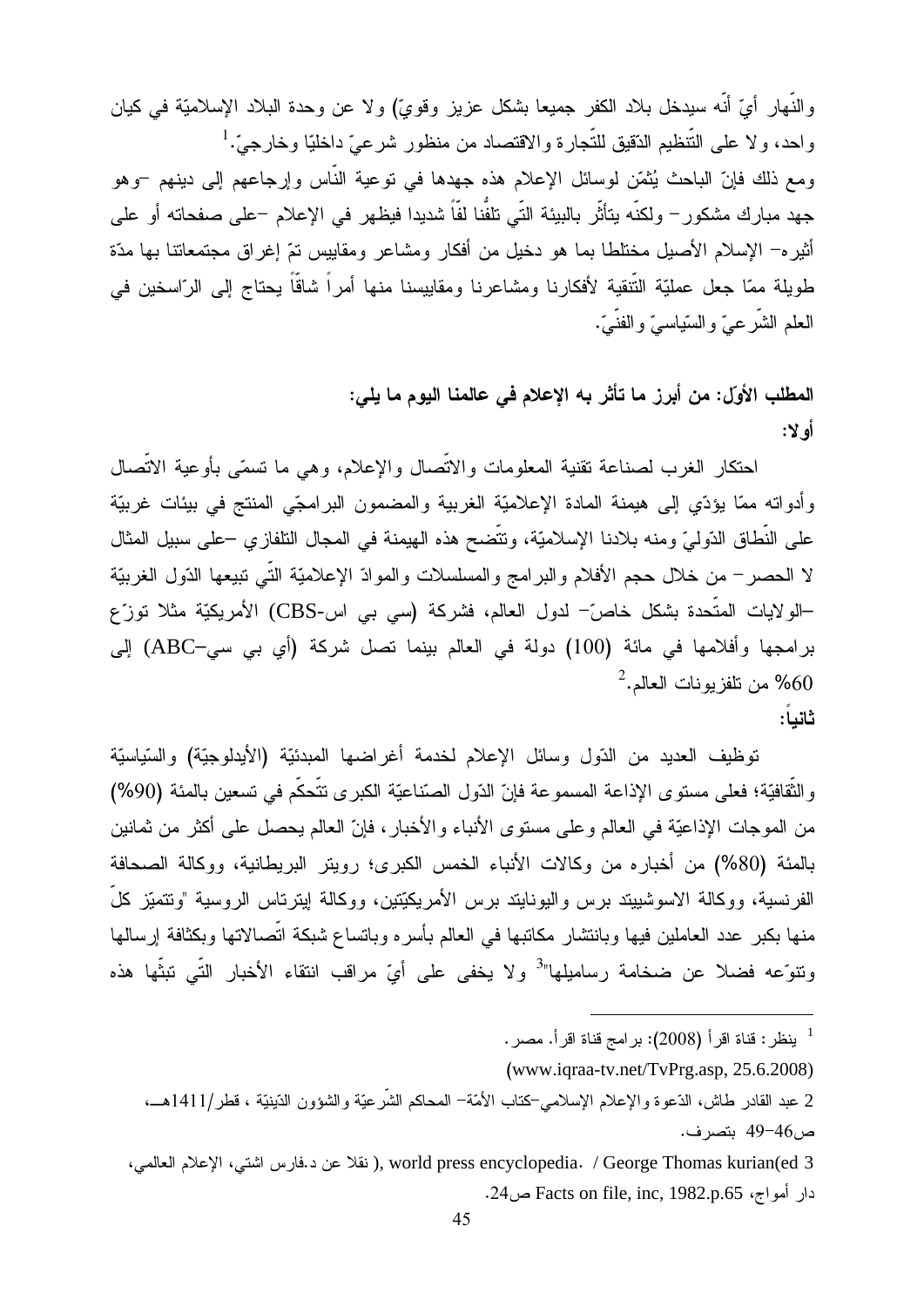والنَّهار أيّ أنَّه سيدخل بلاد الكفر جميعا بشكل عزيز وقويٍّ) ولا عن وحدة البلاد الإسلاميّة في كيان واحد، ولا على النُّنظيم الدُّقيق للنُّجارة والاقتصاد من منظور شرعيّ داخليّا وخارجيّ.<sup>1</sup> ومع ذلك فإنّ الباحث يُثمّن لوسائل الإعلام هذه جهدها في نوعية النّاس وإرجاعهم إلىي دينهم –وهو جهد مبارك مشكور – ولكنَّه يتأثَّر بالبيئة التَّى تلفُّنا لفَّا شديدا فيظهر في الإعلام –على صفحاته أو على أثيره– الإسلام الأصيل مختلطا بما هو دخيل من أفكار ومشاعر ومقاييس تمّ إغراق مجتمعاتنا بها مدّة طويلة ممّا جعل عمليّة النّتقية لأفكارنا ومشاعرنا ومقاييسنا منها أمراً شاقّاً يحتاج إلى الرّاسخين في العلم الشَّرعيُّ والسَّياسيُّ والفنَّبيُّ.

> المطلب الأوّل: من أبرز ما تأثّر به الإعلام في عالمنا اليوم ما يلي: أه لا:

احتكار الغرب لصناعة تقنية المعلومات والاتّصال والإعلام، وهي ما تسمّى بأوعية الاتّصال وأدواته ممّا بؤدّى إلى هيمنة المادة الإعلاميّة الغربية والمضمون البر امجّى المنتج في بيئات غربيّة على النّطاق الدّوليّ ومنه بلادنا الإسلاميّة، ونتّضح هذه الـهيمنة في المجال النلفازي –على سبيل المثال لا الحصـر – من خلال حجم الأفلام والبرامج والمسلسلات والموادّ الإعلاميّة التّي نتبيعها الدّول الغربيّة –الولايات المتَّحدة بشكل خاصَّ– لدول العالم، فشركة (سي بي اس-CBS) الأمريكيَّة مثلا توزِّع برامجها وأفلامها في مائة (100) دولة في العالم بينما نصل شركة (أي بي سي–ABC) إلى  $^2$ من تلفزيونات العالم  $^2$ ثانياً:

توظيف العديد من الدّول وسائل الإعلام لخدمة أغراضها المبدئيّة (الأيدلوجيّة) والسّياسيّة والثَّقافيَّة؛ فعلى مستوى الإذاعة المسموعة فإنّ الدّول الصّناعيّة الكبرى نتَّحكّم في تسعين بالمئة (90%) من الموجات الإذاعيّة في العالم وعلى مستوى الأنباء والأخبار، فإنّ العالم يحصل على أكثر من ثمانين بالمئة (80%) من أخباره من وكالات الأنباء الخمس الكبرى؛ رويتر البريطانية، ووكالة الصحافة الفرنسية، ووكالة الاسوشبيند برس والبونايند برس الأمريكيّتين، ووكالة إيترناس الروسية "ونتميّز كلّ منها بكبر عدد العاملين فيها وبانتشار مكانبها في العالم بأسره وبانساع شبكة اتَّصـالاتها وبكثافة إرسالها ونتوَّعه فضلا عن ضخامة رساميلها"<sup>3</sup> ولا يخفى على أيِّ مراقب انتقاء الأخبار التَّى نبثُّها هذه

3 ,world press encyclopedia. / George Thomas kurian(ed ( نقلا عن د.فارس اشتى، الإعلام العالمي، دار أمواج، Facts on file, inc, 1982.p.65 ص24.

لينظر : قناة اقرأ (2008): برامج قناة اقرأ. مصر .

<sup>(</sup>www.iqraa-tv.net/TvPrg.asp, 25.6.2008)

<sup>2</sup> عبد القادر طاش، الدّعوة والإعلام الإسلامي-كتاب الأمّة– المحاكم الشّرعيّة والشؤون الدّينيّة ، قطر/1411هـــ، ص46-49 بتصرف.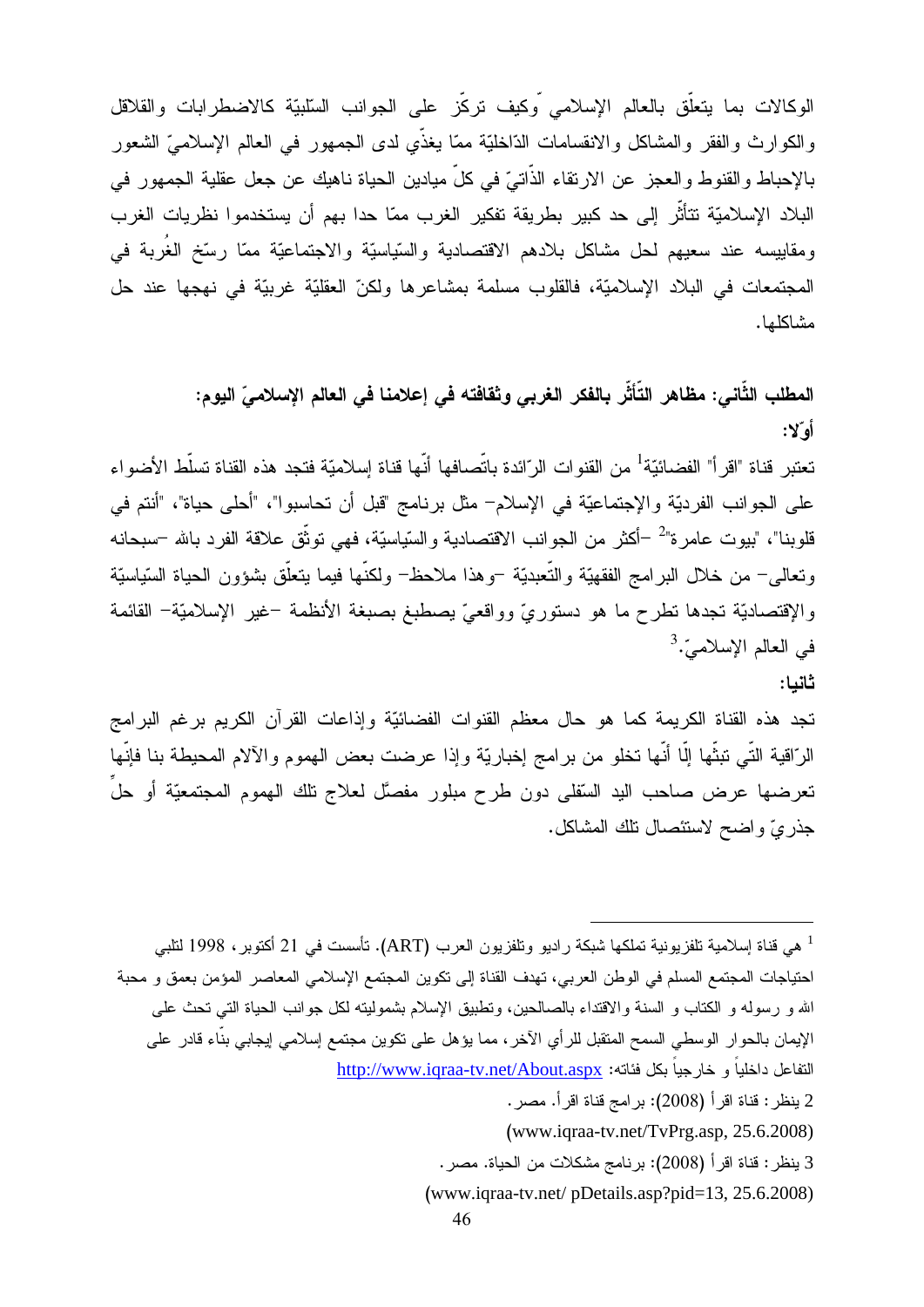الوكالات بما يتعلَّق بالعالم الإسلامي وكيف نركِّز على الجوانب السَّلبيَّة كالاضطرابات والقلاقل والكوارث والفقر والمشاكل والانقسامات الدّاخليّة ممّا يغذّي لدى الجمهور في العالم الإسلاميّ الشعور بالإحباط والقنوط والعجز عن الارتقاء الذاتيّ في كلّ ميادين الحياة ناهيك عن جعل عقلية الجمهور في البلاد الإسلاميّة تتأثَّر إلى حد كبير بطريقة تفكير الغرب ممّا حدا بهم أن يستخدموا نظريات الغرب ومقاييسه عند سعيهم لحل مشاكل بلادهم الاقتصادية والسّياسيّة والاجتماعيّة ممّا رسّخ الغُربة في المجتمعات في البلاد الإسلاميَّة، فالقلوب مسلمة بمشاعرها ولكنِّ العقليَّة غربيَّة في نهجها عند حل مشاكلها.

> المطلب الثَّاني: مظاهر التَّأثُّر بالفكر الغربي وثقافته في إعلامنا في العالم الإسلاميِّ اليوم: أه"لا:

تعتبر قناة "اقر أ" الفضائيّة<sup>1</sup> من القنو ات الر ّائدة باتّصافها أنّها قناة إسلاميّة فتجد هذه القناة تسلّط الأضو اء على الجوانب الفرديّة والإجتماعيّة في الإسلام– مثل برنامج "قبل أن تحاسبوا"، "أحلى حياة"، "أنتم في قلوبنا"، "بيوت عامرة"<sup>2</sup> –أكثر من الجوانب الاقتصادية والسّياسيّة، فهي توثّق علاقة الفرد بالله –سبحانه ونعالى– من خلال البرامج الفقهيّة والتّعبديّة –وهذا ملاحظ– ولكنّها فيما ينعلّق بشؤون الحياة السّياسيّة والإقتصاديّة تجدها نطرح ما هو دستوريّ وواقعيّ يصطبغ بصبغة الأنظمة –غير الإسلاميّة– القائمة في العالم الإسلاميّ.<sup>3</sup>

ثانيا:

تجد هذه القناة الكريمة كما هو حال معظم القنوات الفضائيّة وإذاعات القرآن الكريم برغم البرامج الرّاقية التِّي تبثُّها إلَّا أنَّها تخلو من برامج إخباريَّة وإذا عرضت بعض الهموم والآلام المحيطة بنا فإنّها تعرضها عرض صاحب اليد السَّفلي دون طرح مبلور مفصَّل لعلاج تلك الهموم المجتمعيَّة أو حلَّ جذريّ واضح لاستئصال نلك المشاكل.

<sup>1</sup> هي قناة إسلامية تلفزيونية تملكها شبكة راديو وتلفزيون العرب (ART). تأسست في 21 أكتوبر ، 1998 لتلبي احتياجات المجتمع المسلم في الوطن العربي، تهدف القناة إلى تكوين المجتمع الإسلامي المعاصر المؤمن بعمق و محبة الله و رسوله و الكتاب و السنة والاقتداء بالصالحين، ونطبيق الإسلام بشموليته لكل جوانب الحياة التي تحث علي الإيمان بالحوار الوسطى السمح المتقبل للرأي الآخر ، مما يؤهل على نكوين مجتمع إسلامي إيجابي بناء قادر على التفاعل داخلياً و خارجياً بكل فئاته: http://www.iqraa-tv.net/About.aspx

```
2 ينظر : قناة اقر أ (2008): بر امج قناة اقر أ. مصر .
```
3 ينظر : قناة اقر أ (2008): بر نامج مشكلات من الحياة. مصر .

(www.iqraa-tv.net/pDetails.asp?pid=13, 25.6.2008)

 $(www.iqraa-tv.net/TvPrg.asp, 25.6.2008)$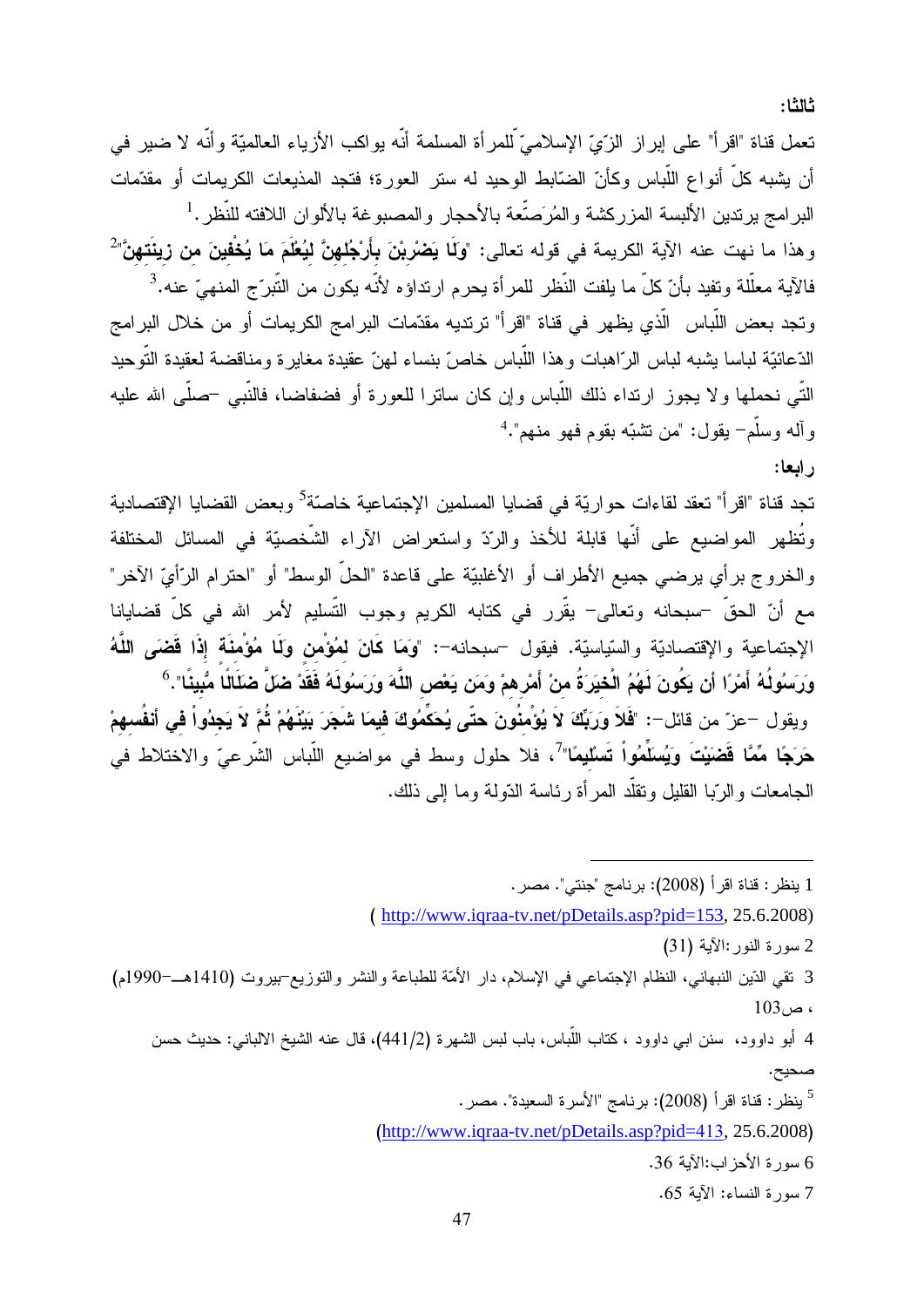تعمل قناة "اقرأ" على إبراز الزّيّ الإسلاميّ للمرأة المسلمة أنّه بواكب الأزياء العالميّة وأنّه لا ضبر في أن يشبه كلِّ أنواع اللَّباس وكأنّ الضَّابط الوحيد له ستر العورة؛ فتجد المذيعات الكريمات أو مقدَّمات البرامج برندين الألبسة المزركشة والمُرَصِّعة بالأحجار والمصبوغة بالألوان اللافته للنُّظر .<sup>1</sup> وهذا ما نهت عنه الآية الكريمة في قوله تعالى: "وَلَما يَصْرْبْنَ بِأَرْجُلهنَّ ليُعْلَمَ مَا يُخْفينَ من زينَتهنَّ" فالآية معلَّلة وتفيد بأنّ كلّ ما يلفت النَّظر للمرأة يحرم ارتداؤه لأنّه يكون من النّبرّج المنهيّ عنه.<sup>3</sup> وتجد بعض اللَّباس الَّذي يظهر في قناة "اقرأ" ترتديه مقدّمات البرامج الكريمات أو من خلال البرامج الدّعائيّة لباسا يشبه لباس الرّاهبات وهذا اللّباس خاصّ بنساء لهنّ عقيدة مغايرة ومناقضة لعقيدة التّوحيد النَّبي نحملها ولا يجوز ارنداء ذلك اللَّباس وإن كان ساترا للعورة أو فضفاضا، فالنَّبي –صلَّى الله عليه و آله وسلَّم- يقول: "من نشبَّه بقوم فهو منهم".<sup>4</sup>

تجد قناة "اقر أ" تعقد لقاءات حو ار يّة في قضايا المسلمين الإجتماعية خاصّة<sup>5</sup> وبعض القضايا الإقتصادية وتُظهِرِ المواضيعِ على أنَّها قابِلة للأخذِ والرِّدِّ واستعرِ اض الآراءِ الشَّخصيَّةِ في المسائلِ المختلفة والخروج بر أي يرضيي جميع الأطراف أو الأغلبيّة على قاعدة "الحلّ الوسط" أو "احترام الرّأيّ الآخر" مع أنّ الحقّ –سبحانه وتعالى– يقّرر في كتابه الكريم وجوب التّسليم لأمر الله في كلّ قضايانا الإجتماعية والإقتصاديّة والسّياسيّة. فيقول –سبحانه–: "وَمَا كَانَ لمُؤْمِن وَلَما مُؤْمِنَة إِذَا قَضَى اللَّهُ وَرَسُولُهُ أَمْرًا أن يَكُونَ لَهُمُ الْخيَرَةُ منْ أَمْرِهمْ وَمَن يَعْص اللَّهَ وَرَسُولَهُ فَقَدْ ضَلَّ ضَلَالًا مُّبِينًا".<sup>6</sup> ويقول –عزّ من قائل–: "فَلاَ وَرَبِّكَ لاَ يُؤْمِنُونَ حتّى يُحَكِّمُوكَ فيمَا شَجَرَ بَيْنَهُمْ ثُمَّ لاَ يَجدُواْ في أنفُسهمْ حَرَجًا مِّمًّا قَضَيْتَ وَيُسَلِّمُواْ تَسْلَيمًا"ً، فلا حلول وسط في مواضيع اللَّباس الشَّرعيّ والاختلاط في الجامعات و الرَّبـا القليل وتقلَّد المر أة رئـاسة الدَّولـة ومـا إلـى ذلك.

1 ينظر : قناة اقرأ (2008): برنامج "جنتي". مصر . (http://www.iqraa-tv.net/pDetails.asp?pid=153, 25.6.2008)

2 سورة النور :الآية (31)

3 نقى الدّين النبهاني، النظام الإجتماعي في الإسلام، دار الأمّة للطباعة والنشر والنوزيع-بيروت (1410هــ-1990م)  $103<sub>u</sub>$ 

4 أبو داوود، سنن ابـي داوود ، كتاب اللَّباس، باب لبس الشـهرة (2/441)، قال عنه الشيخ الالبانـي: حديث حسن صحيح.

 $^5$  بِنظر : قناة اقر أ (2008): بر نامج "الأسر ة السعيدة". مصر .

 $(http://www.iqraa-tv.net/pDetails.asp?pid=413, 25.6.2008)$ 

6 سورة الأحز اب:الآية 36.

7 سورة النساء: الآية 65.

ر ابعا: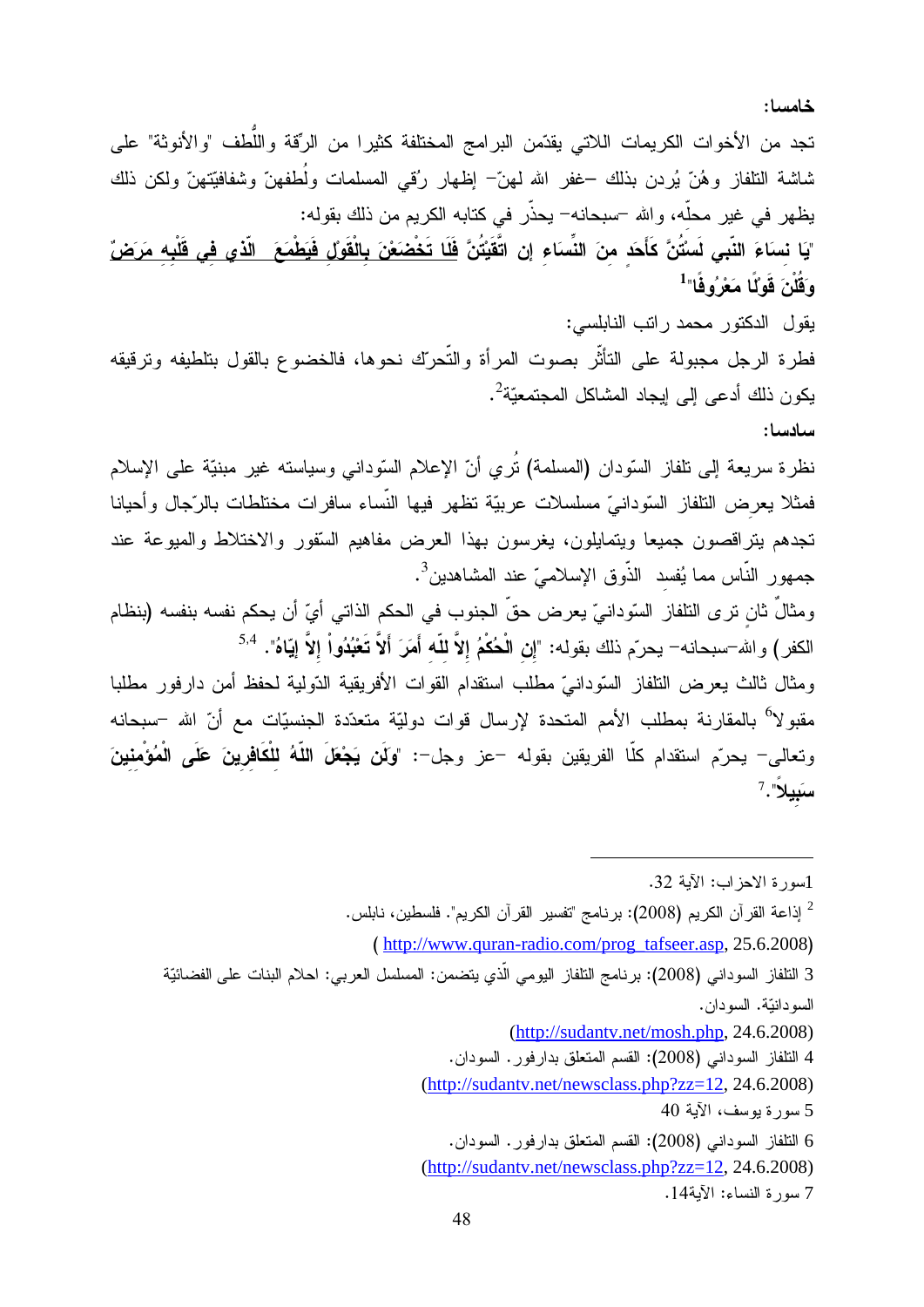خامسا:

تجد من الأخوات الكريمات اللاتي يقدّمن البرامج المختلفة كثيرا من الرّقة واللّطف "والأنوثة" على شاشة النلفاز وهُنّ يُردن بذلك –غفر الله لـهنّ– إظـهار رُقـي المسلمات ولُطفهنّ وشفافيّتهنّ ولكن ذلك يظهر في غير محلَّه، والله –سبحانه– يحذَّر في كتابه الكريم من ذلك بقوله: "يَا نساءَ النّب*ى* لَسنُّنَّ كَأَحَد منَ النِّسَاء إن اتَّقَيْتُنَّ <u>فَلَا تَخْصَعْنَ بِالْقَوْلُ فَيَطْمَعَ الّذي في قَلْبِه مَرَضٍّ</u> وَقُلُنَ قَوْلًا مَعْرُوفًا"<sup>1</sup> يقول الدكتور محمد راتب النابلسي: فطرة الرجل مجبولة على النأثّر بصوت المرأة والتّحرّك نحوها، فالخضوع بالقول بتلطيفه وترقيقه يكون ذلك أدعى إلى إيجاد المشاكل المجتمعيّة<sup>2</sup>. سادسا: نظرة سريعة إلى نلفاز السّودان (المسلمة) تُرمي أنّ الإعلام السّودانـي وسياسته غير مبنيّة علـي الإسلام فمثلا يعرض النثفاز السّودانيّ مسلسلات عربيّة تظهر فيها النّساء سافرات مختلطات بالرّجال وأحيانا تجدهم يتراقصون جميعا ويتمايلون، يغرسون بهذا العرض مفاهيم السُّفور والاختلاط والمبوعة عند جمهور النّاس مما يُفسد الذّوق الإسلاميّ عند المشاهدين<sup>3</sup>. ومثالٌ ثان ترى التلفاز السّودانيّ يعرض حقّ الجنوب في الحكم الذاتي أيّ أن يحكم نفسه بنفسه (بنظام الكفر ) والله-سبحانه- يحرّم ذلك بقوله: "إن الْحُكْمُ إلاَّ للّه أَمَرَ أَلاَّ تَعْبُدُواْ إلاَّ إيّاهُ". <sup>5,4</sup> ومثال ثالث يعرض النلفاز السّودانيّ مطلب استقدام القوات الأفريقية الدّولية لحفظ أمن دارفور مطلبا مقبو لا<sup>6</sup> بالمقارنة بمطلب الأمم المتحدة لإرسال قوات دوليّة متعدّدة الجنسيّات مع أنّ الله –سبحانه وتعالى– يحرّم استقدام كلّا الفريقين بقوله –عز وجل–: "وَلَن يَجْعَلَ اللّهُ للْكَافِرينَ عَلَى الْمُؤْمنينَ  $^{7}$ . سَبِيلاً

<sup>1</sup>سورة الاحز اب: الآية 32.  $^2$  إذاعة القرآن الكريم (2008): برنامج "تفسير القرآن الكريم". فلسطين، نابلس.  $^2$ (http://www.quran-radio.com/prog\_tafseer.asp, 25.6.2008) 3 النلفاز السوداني (2008): برنامج النلفاز اليومي الّذي يتضمن: المسلسل العربي: احلام البنات على الفضائيّة السو دانيّة. السو دان.  $(http://sudantv.net/mosh.php, 24.6.2008)$ 4 النلفاز السوداني (2008): القسم المتعلق بدارفور. السودان. (http://sudantv.net/newsclass.php?zz=12, 24.6.2008) 5 سورة يوسف، الآية 40 6 النلفاز السوداني (2008): القسم المنعلق بدارفور. السودان.  $(\text{http://sudantv.net/newsclass.php?zz=12}, 24.6.2008)$ 7 سورة النساء: الآية14.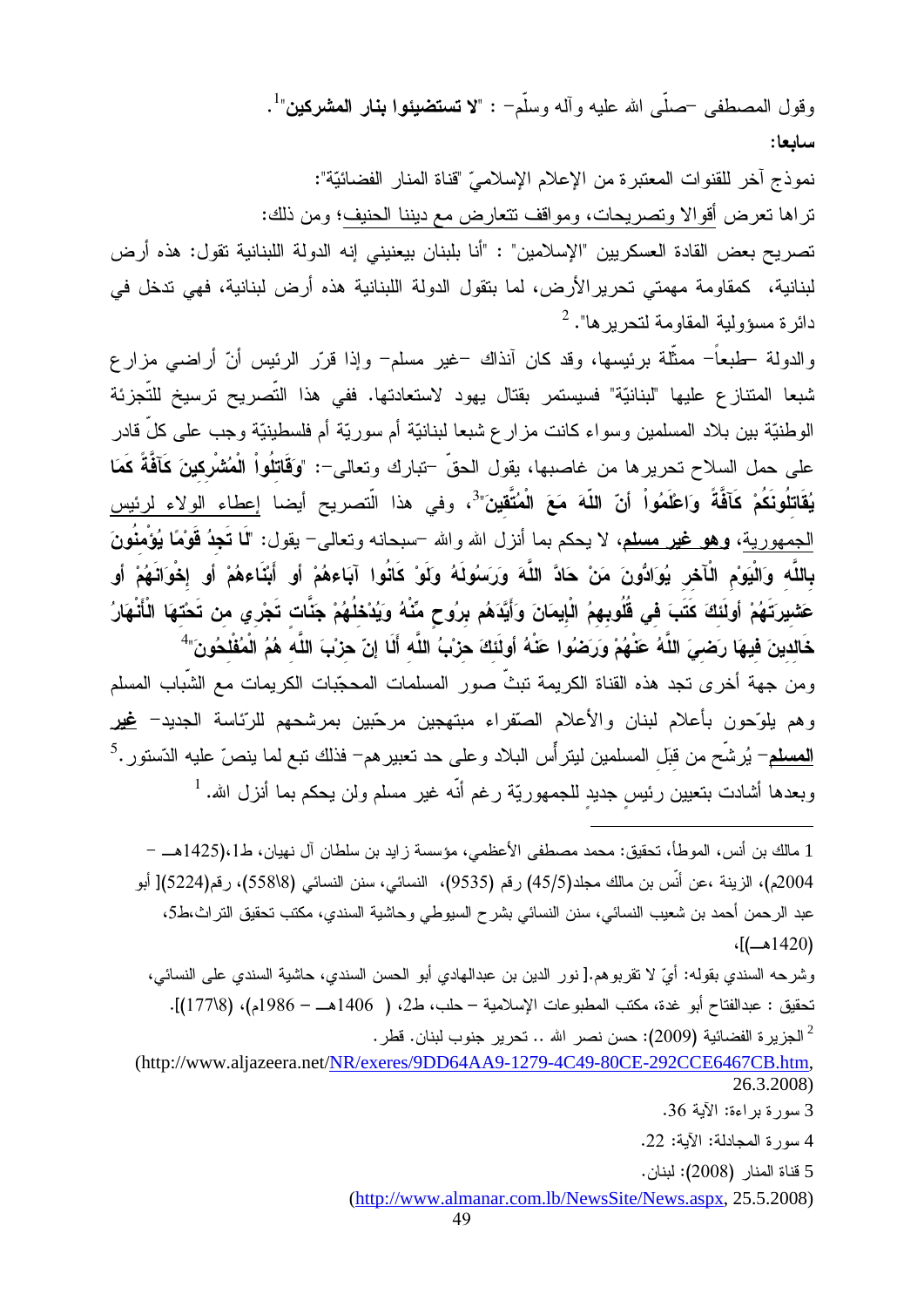وقول المصطفى حصلَّى الله عليه وأله وسلَّمٍ - : "لا تستضيئوا بنار المشركين"<sup>1</sup>. سابعا:

نموذج آخر للقنوات المعتبرة من الإعلام الإسلاميِّ "قناة المنار الفضائيّة": تراها تعرض أقوالا وتصريحات، ومواقف تتعارض مع ديننا الحنيف؛ ومن ذلك: تصريح بعض القادة العسكريين "الإسلامين" : "أنا بلبنان بيعنيني إنه الدولة اللبنانية تقول: هذه أرض

لبنانية، كمقاومة مهمتى تحريرِ الأرض، لما بتقول الدولة اللبنانية هذه أرض لبنانية، فهي تدخل في دائرة مسؤولية المقاومة لتحريرها". <sup>2</sup>

والدولة حلمبعاً– ممثَّلة برئيسها، وقد كان أنذاك –غير مسلم– وإذا قرّر الرئيس أنّ أراضـي مزار ع شبعا المنتازع عليها "لبنانيّة" فسيستمر بقتال يهود لاستعادتها. ففي هذا التّصريح ترسيخ للتّجزئة الوطنيّة بين بلاد المسلمين وسواء كانت مزار ع شبعا لبنانيّة أم سوريّة أم فلسطينيّة وجب على كلّ قادر على حمل السلاح تحريرها من غاصبها، يقول الحقّ –تبارك وتعالى–: "وَقَاتِلُواْ الْمُشْرِكينَ كَأَفَّةً كَمَا **يُقَاتِلُونَكُمْ كَآفَةً وَاعْلَمُواْ أنّ اللّهَ مَعَ الْمُتَّقينَ"<sup>3</sup>، وفي هذا الّتصريح أيضا إعطاء الولاء لرئيس** الجمهورية، وهو غير مسلم، لا يحكم بما أنزل الله والله –سبحانه وتعالى– يقول: "لَما **تَجدُ قَوْمًا يُؤْمنُونَ** بِاللَّه وَالْيَوْمِ الْأَخْرِ يُوَادُونَ مَنْ حَادَّ اللَّهَ وَرَسَوُلَهُ وَلَوْ كَانُوا آبَاءهُمْ أو أبْنَاءهُمْ أو إخْوَانَهُمْ أو عَشْيرتَهُمْ أَولَئَكَ كَتَبَ في قُلُوبهمُ الْإِيمَانَ وَأَيَّدَهُم برُوحٍ مِّنْهُ وَيُدْخِلُهُمْ جَنَّات تَجْري من تَحْتهَا الْأَنْهَارُ خَالدينَ فيهَا رَضمِيَ اللَّهُ عَنْهُمْ وَرَضُوا عَنْهُ أولَٰئَكَ حزْبُ اللَّه أَلَا إنّ حزْبَ اللَّه هُمُ الْمُفْلخُونَ"

ومن جهة أخرى نجد هذه القناة الكريمة نبثٌ صور المسلمات المحجّبات الكريمات مع الشّباب المسلم وهم يلوّحون بأعلام لبنان والأعلام الصّقراء مبتهجين مرحّبين بمرشحهم للرّئاسة الجديد– <u>غير</u> <u>المسلم</u>– يُرشَّح من قبّل المسلمين ليتر أس البلاد و على حد تعبير هم– فذلك تبع لما ينصّ عليه الدّستور .<sup>5</sup> وبعدها أشادت بتعيين رئيس جديد للجمهوريّة رغم أنّه غير مسلم ولن يحكم بما أنزل الله. <sup>1</sup>

1 مالك بن أنس، الموطأ، تحقيق: محمد مصطفى الأعظمى، مؤسسة ز ايد بن سلطان آل نهيان، ط1425).[هـــ – 2004م)، الزينة ،عن أنَّس بن مالك مجلد(45/5) رقم (9535)، النسائي، سنن النسائي (558\8)، رقم(5224)[ أبو عبد الرحمن أحمد بن شعيب النسائي، سنن النسائي بشر ح السيوطي وحاشية السندي، مكتب تحقيق التر اث،ط5،  $($ 1420) $)$ 

وشرحه السندي بقوله: أيّ لا تقربوهم.[ نور الدين بن عبدالهادي أبو الحسن السندي، حاشية السندي على النسائي، تحقيق : عبدالفتاح أبو غدة، مكتب المطبوعات الإسلامية – حلب، ط2، ( 1406هــ – 1986م)، (17788)].  $^2$  الجزير ة الفضائية (2009): حسن نصر الله .. تحرير جنوب لبنان. قطر  $^2$ 

(http://www.aljazeera.net/NR/exeres/9DD64AA9-1279-4C49-80CE-292CCE6467CB.htm. 26.3.2008)

4 سورة المجادلة: الآية: 22.

5 قناة المنار (2008): لبنان.

(http://www.almanar.com.lb/NewsSite/News.aspx, 25.5.2008)

<sup>3</sup> سورة بر اءة: الآية 36.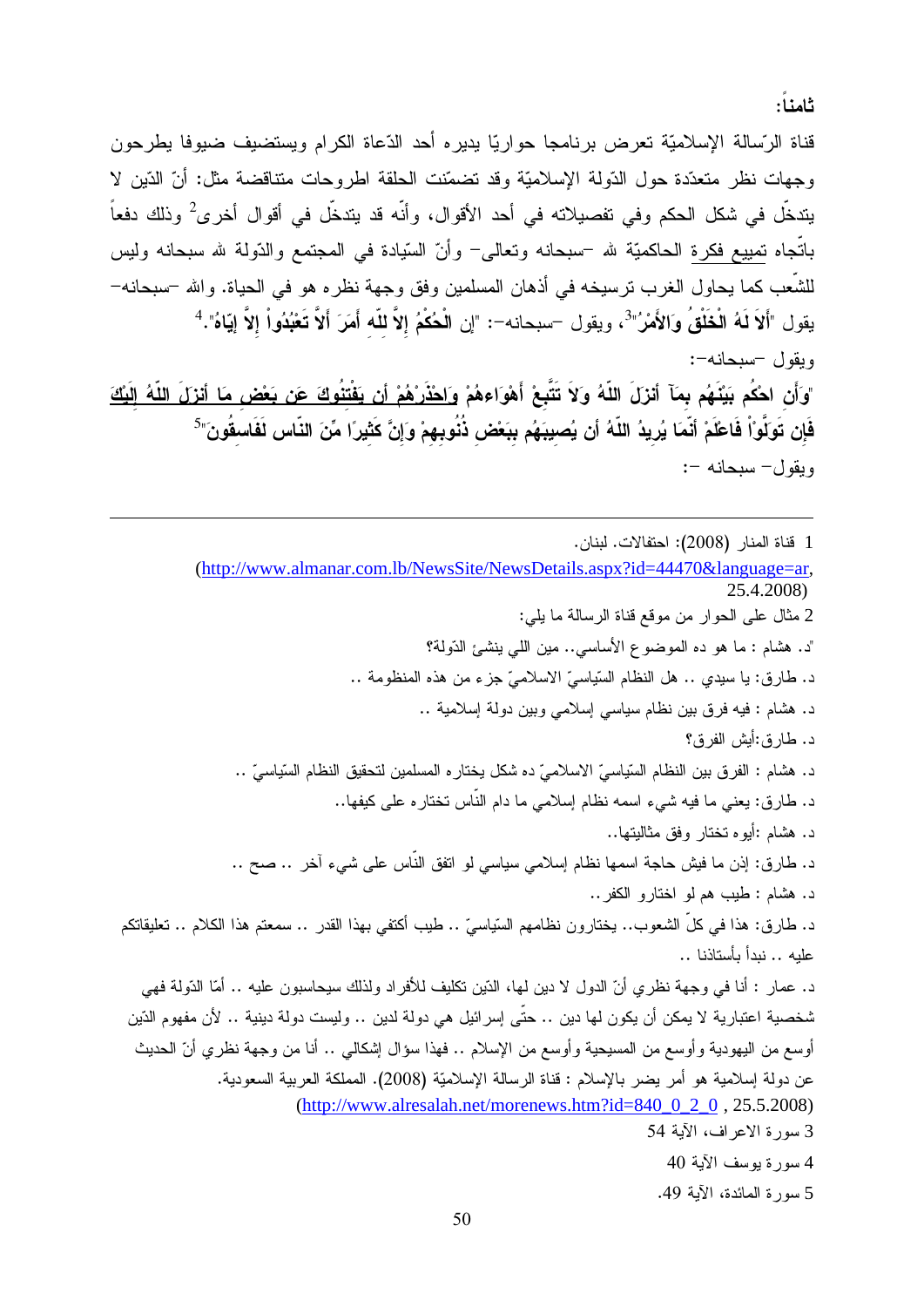ثامنا:

قناة الرّسالة الإسلاميّة تعرض برنامجا حواريّا يديره أحد الدّعاة الكرام ويستضيف ضيوفا يطرحون وجهات نظر متعدّدة حول الدّولة الإسلاميّة وقد تضمّنت الحلقة اطروحات متناقضة مثل: أنّ الدّين لا يتدخَّل في شكل الحكم وفي تفصيلاته في أحد الأقوال، وأنَّه قد يتدخَّل في أقوال أخرى<sup>2</sup> وذلك دفعاً باتَّجاه تمييع فكرة الحاكميَّة لله –سبحانه وتعالى– وأنّ السّيادة في المجتمع والدّولة لله سبحانه وليس للشَّعب كما يحاول الغرب ترسيخه في أذهان المسلمين وفق وجهة نظره هو في الحياة. والله –سبحانه– يقول "أَلاَ لَهُ الْخَلْقُ وَالأَمْرُ"<sup>3</sup>، ويقول –سبحانه–: "إن الْحُكْمُ إلاَّ للّه أَمَرَ أَلاَّ تَعْبُدُواْ إلاَّ إيّاهُ".<sup>4</sup> ويقول -سبحانه-: "وَأَن احْكُم بَيْنَهُم بِمَآ أنزلَ اللّهُ وَلاَ تَتَّبِعْ أَهْوَاءهُمْ <u>وَاحْذَرْهُمْ أَن يَفْتنُوكَ عَن بَعْض مَا أنزلَ اللّهُ إِلَيْك</u>َ فَإِن تَوَلَّوْاْ فَاعْلَمْ أنْمَا يُرِيدُ اللّهُ أن يُصيبَهُم ببَعْض ذُنُوبِهِمْ وَإِنَّ كَثَيرًا مِّنَ النّاس لَفَاسقُونَ"<sup>5</sup>

ويقول – سبحانه –:

1 فَناة المنار (2008): احتفالات. لبنان. (http://www.almanar.com.lb/NewsSite/NewsDetails.aspx?id=44470&language=ar. 25.4.2008) 2 مثال على الحوار من موقع قناة الرسالة ما يلي: "د. هشام : ما هو ده الموضوع الأساسي.. مين اللَّي بنشئ الدُّولة؟ د. طارق: يا سيدي .. هل النظام السَّياسيّ الاسلاميّ جزء من هذه المنظومة .. د. هشام : فيه فرق بين نظام سياسي إسلامي وبين دولة إسلامية .. د. طار ق:أيش الفر ق؟ د. هشام : الفرق بين النظام السّياسيّ الاسلاميّ ده شكل يختاره المسلمين لتحقيق النظام السّياسيّ .. د. طارق: يعني ما فيه شيء اسمه نظام إسلامي ما دام النَّاس نختاره على كيفها.. د. هشام :أيو ه تختار وفق مثاليتها.. د. طارق: إذن ما فيش حاجة اسمها نظام إسلامي سياسي لو اتفق النَّاس على شيء آخر .. صح .. د. هشام : طيب هم لو اختار و الكفر .. د. طارق: هذا في كلِّ الشعوب.. يختارون نظامهم السّياسيِّ .. طيب أكتفي بهذا القدر .. سمعتم هذا الكلام .. تعليقاتكم عليه .. نبدأ بأستاذنا .. د. عمار : أنا في وجهة نظري أنّ الدول لا دين لها، الدّين نكليف للأفراد ولذلك سيحاسبون عليه .. أمّا الدّولة فهي شخصية اعتبارية لا يمكن أن يكون لها دين .. حتَّى إسرائيل هي دولة لدين .. وليست دولة دينية .. لأن مفهوم الدّين أوسع من اليهودية وأوسع من المسيحية وأوسع من الإسلام .. فهذا سؤال إشكالي .. أنا من وجهة نظري أنّ الحديث عن دولة إسلامية هو أمر يضر بالإسلام : قناة الرسالة الإسلاميّة (2008). المملكة العربية السعودية.  $(\text{http://www.alresalah.net/morenews.htm?id=840_0_2_0, 25.5.2008})$ 3 سورة الإعراف، الآية 54 4 سورة يوسف الآية 40 5 سورة المائدة، الآية 49.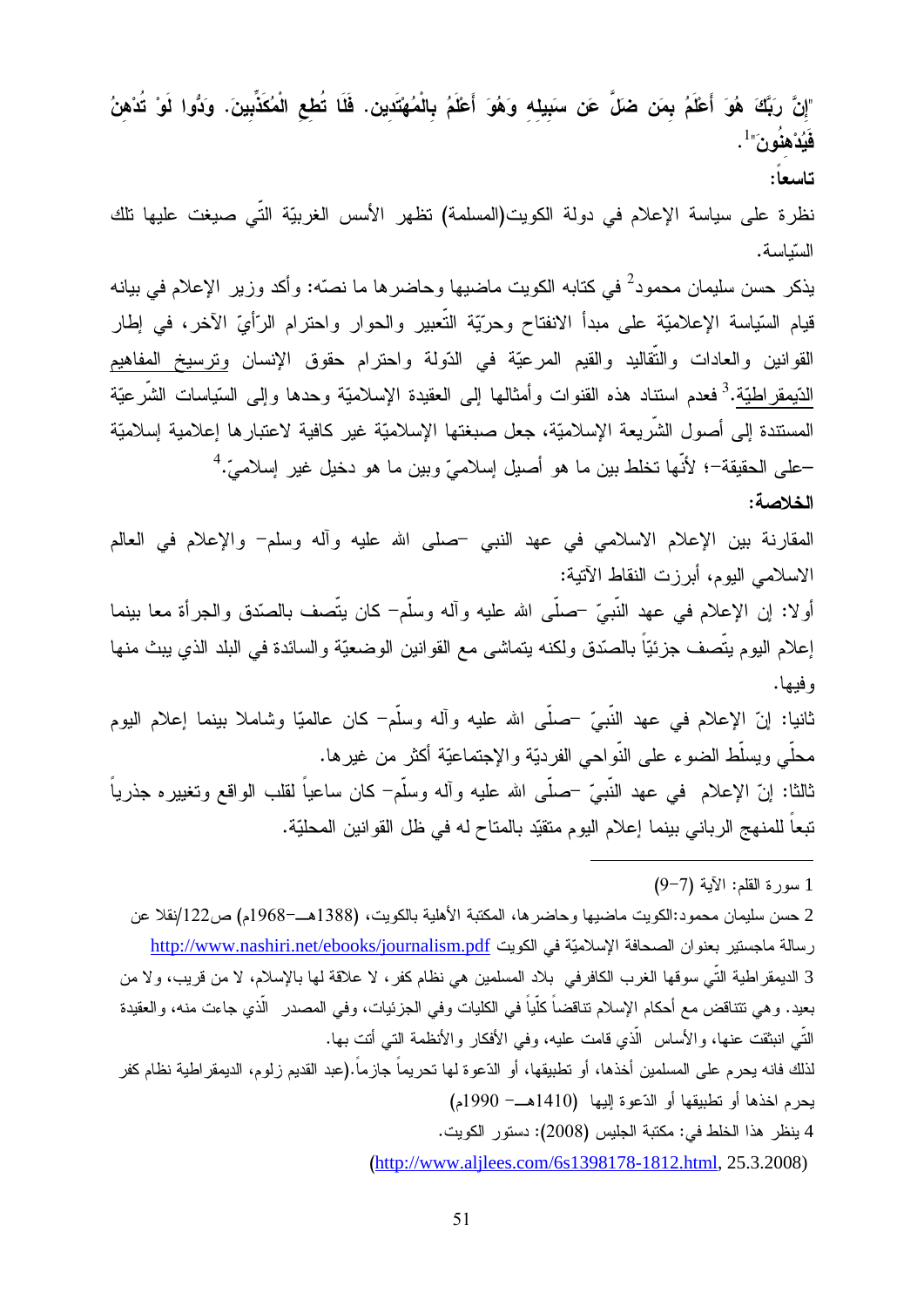"إنَّ رَبَّكَ هُوَ أَعْلَمُ بِمَن ضَلَّ عَن سَبِيله وَهُوَ أَعْلَمُ بِالْمُهْتَدينِ. فَلَا تُطع الْمُكَذِّبينَ. وَدُّوا لَوْ تُدْهنُ  $^{-1}$ فَيُدْهنُونَ" $^{-1}$ . تاسعا: نظرة على سياسة الإعلام في دولة الكويت(المسلمة) نظهر الأسس الغربيّة التّي صيغت عليها نلك السّياسة. يذكر حسن سليمان محمود<sup>2</sup> في كتابه الكويت ماضيها وحاضرها ما نصّه: وأكد وزير الإعلام في بيانه قيام السّياسة الإعلاميّة على مبدأ الانفتاح وحرّيّة النّعبير والحوار واحترام الرّأيّ الآخر، في إطار القوانين والعادات والنُّقاليد والقيم المرعيّة في الدّولة واحترام حقوق الإنسان وِترسيخ المفاهيم الدّيمقراطيّة.<sup>3</sup> فعدم اسنناد هذه القنوات وأمثالها إلى العقيدة الإسلاميّة وحدها وإلى السّياسات الشّرعيّة المستندة إلى أصول الشَّريعة الإسلاميَّة، جعل صبغتها الإسلاميَّة غير كافية لاعتبارها إعلامية إسلاميَّة –على الحقيقة–؛ لأنَّها تخلط بين ما هو أصيل إسلاميِّ وبين ما هو دخيل غير إسلاميٍّ.<sup>4</sup> الخلاصة: المقارنة بين الإعلام الاسلامي في عهد النبي –صلى الله عليه وأله وسلم– والإعلام في العالم الاسلامي اليوم، أبرزت النقاط الآتية: أولا: إن الإعلام في عهد النَّبيِّ –صلَّى الله عليه وآله وسلَّم– كان يتَّصف بالصَّدق والـجرأة معا بينما إعلام اليوم يتَّصف جزئيّاً بالصّدق ولكنه يتماشى مع القوانين الوضعيّة والسائدة في البلد الذي يبث منها و فيها. ثانيا: إنّ الإعلام في عهد النَّبيّ –صلَّى الله عليه وأله وسلَّم– كان عالميّا وشاملا ببنما إعلام اليوم محلَّى ويسلَّط الضوء على النَّواحي الفرديّة والإجتماعيّة أكثر من غيرها. ثالثا: إنَّ الإعلام ۖ في عهد النَّبيِّ –صلَّى الله عليه وأله وسلَّم– كان ساعياً لقلب الواقع وتغييره جذرياً تبعاً للمنهج الرباني بينما إعلام اليوم متقيّد بالمتاح له في ظل القوانين المحليّة. 1 سورة القلم: الآية (7–9) 2 حسن سليمان محمود:الكويت ماضيها وحاضرها، المكتبة الأهلية بالكويت، (1388هــ−1968م) ص122/نقلا عن

رسالة ماجستير بعنوان الصحافة الإسلاميّة في الكويت http://www.nashiri.net/ebooks/journalism.pdf 3 الديمقر اطية التّي سوقها الغرب الكافرفي بلاد المسلمين هي نظام كفر ، لا علاقة لمها بالإسلام، لا من قريب، ولا من بعيد. و هي نتناقض مع أحكام الإسلام نتاقضاً كلّياً في الكليات وفي الجزئيات، وفي المصدر الّذي جاءت منه، والعقيدة النَّبِي انبثقت عنها، والأساس الَّذي قامت عليه، وفي الأفكار والأنظمة التي أتت بها. لذلك فانه يحرم على المسلمين أخذها، أو تطبيقها، أو الدّعوة لها تحريماً جازماً.(عبد القديم زلوم، الديمقر اطية نظام كفر يحرِم اخذها أو تطبيقها أو الدّعوة إليها (1410هـــ- 1990م) 4 ينظر هذا الخلط في: مكتبة الجليس (2008): دستور الكويت.

(http://www.aljlees.com/6s1398178-1812.html, 25.3.2008)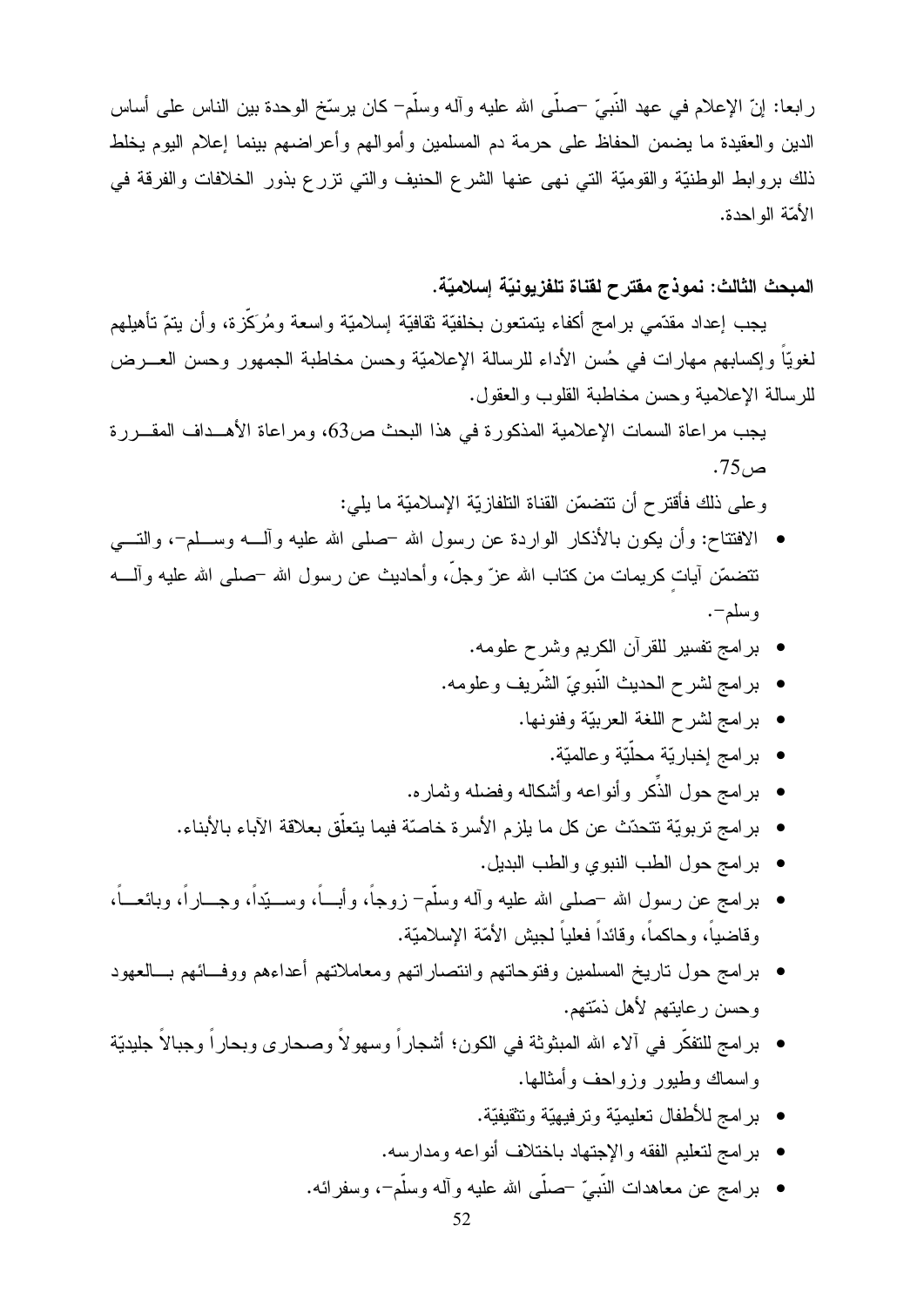رابعا: إنّ الإعلام في عهد النَّبيّ –صلَّى الله عليه وأله وسلَّم– كان يرسِّخ الوحدة بين الناس على أساس الدين والعقيدة ما يضمن الحفاظ على حرمة دم المسلمين وأموالهم وأعراضهم بينما إعلام اليوم يخلط ذلك بروابط الوطنيَّة والقوميَّة التبي نهي عنها الشرع الحنيف والتبي نزرع بذور الخلافات والفرقة في الأمّة الو احدة.

المبحث الثالث: نموذج مفترح لقناة تلفزيونيّة إسلاميّة.

يجب إعداد مقدَّمي برامج أكفاء يتمتعون بخلفيَّة ثقافيَّة إسلاميَّة واسعة ومُرَكَّزة، وأن يتمّ تأهيلهم لغويًّا وإكسابهم مهارات في حُسن الأداء للرسالة الإعلاميّة وحسن مخاطبة الجمهور وحسن العـــرض للرسالة الإعلامية وحسن مخاطبة القلوب والعقول.

يجب مراعاة السمات الإعلامية المذكورة في هذا البحث ص63، ومراعاة الأهــداف المقــررة  $.75<sub>1</sub>$ ص

و على ذلك فأقتر ح أن تتضمّن القناة التلفاز يّة الإسلاميّة ما يلي:

- الافتتاح: وأن يكون بالأذكار الواردة عن رسول الله حملي الله عليه وألــــه وســــلم-، والتــــي نتضمَّن أيات كريمات من كتاب الله عزّ وجلَّ، وأحاديث عن رسول الله –صلى الله عليه وألــــه و سلم–.
	- برامج تفسير للقرآن الكريم وشرح علومه.
	- بر امج لشرح الحديث النَّبويّ الشَّريف وعلومه.
		- برامج لشرح اللغة العربيّة وفنونها.
			- بر امج إخبار يّة محلّيّة و عالميّة.
	- بر امج حول الذِّكر وأنواعه وأشكاله وفضله وثماره.
	- برامج تربويّة تتحدّث عن كل ما يلزم الأسرة خاصّة فيما يتعلّق بعلاقة الآباء بالأبناء.
		- برامج حول الطب النبوي والطب البديل.
- برامج عن رسول الله –صلـى الله عليه وألـه وسلَّم– زوجاً، وأبــــاً، وســــيّداً، وجـــاراً، وبائعـــاً، وقاضياً، وحاكماً، وقائداً فعلياً لـجيش الأمّة الإسلاميّة.
- برامج حول ناريخ المسلمين وفتوحاتهم وانتصاراتهم ومعاملاتهم أعداءهم ووفــائهم بـــالعهود وحسن رعايتهم لأهل ذمّتهم.
- برامج للتفكُّر في ألاء الله المبثوثة في الكون؛ أشجاراً وسهولاً وصحارى وبحاراً وجبالاً جليديّة وإسماك وطيور وزواحف وأمثالها.
	- برامج للأطفال تعليميّة وترفيهيّة وتثقيفيّة.
	- برامج لتعليم الفقه والإجتهاد باختلاف أنواعه ومدارسه.
	- برامج عن معاهدات النَّبيِّ –صلَّى الله عليه وأله وسلَّم–، وسفرائه.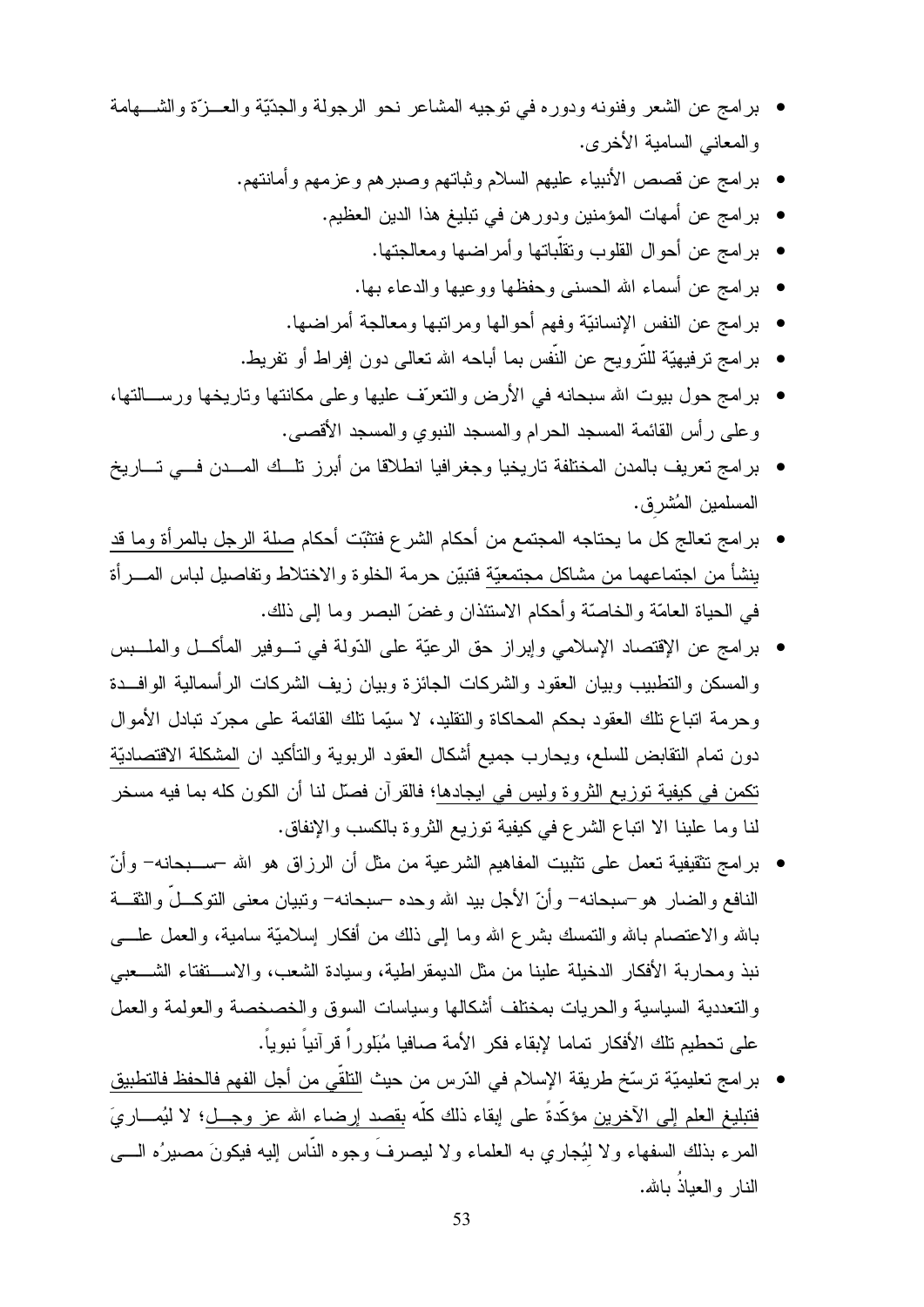- برامج عن الشعر وفنونه ودوره في توجيه المشاعر نحو الرجولة والجدِّيَّة والعـــزَّة والشــــهامة والمعانبي السامية الأخرى.
	- برامج عن قصص الأنبياء عليهم السلام وثباتهم وصبرهم وعزمهم وأمانتهم.
		- برامج عن أمهات المؤمنين ودورهن في نبليغ هذا الدين العظيم.
			- برامج عن أحوال القلوب ونقلَّباتها وأمراضها ومعالجتها.
			- بر امج عن أسماء الله الحسنبي وحفظها ووعيها والدعاء بها.
		- برامج عن النفس الإنسانيّة وفهم أحوالها ومراتبها ومعالجة أمراضها.
	- بر امج ترفيهيَّة للتَّرويح عن النَّفس بما أباحه الله تعالى دون إفراط أو تفريط.
- برامج حول بيوت الله سبحانه في الأرض والنعرّف عليها وعلى مكانتها وتاريخها ورســـالتها، وعلى رأس القائمة المسجد الحرام والمسجد النبوي والمسجد الأقصبي.
- برامج تعريف بالمدن المختلفة تاريخيا وجغرافيا انطلاقا من أبرز نلسك المسدن فسي تساريخ المسلمين المُشرق.
- برامج تعالج كل ما يحتاجه المجتمع من أحكام الشرع فتثبّت أحكام صلة الرجل بالمرأة وما قد ينشأ من اجتماعهما من مشاكل مجتمعيّة فتبيّن حرمة الخلوة والاختلاط وتفاصيل لباس المسرأة في الحياة العامّة والخاصّة وأحكام الاستئذان وغضّ البصر وما إلى ذلك.
- برامج عن الإقتصاد الإسلامي وإبراز حق الرعيّة على الدّولة في تـــوفير المأكـــل والملــــبس والمسكن والنطبيب وبيان العقود والشركات الجائزة وبيان زيف الشركات الرأسمالية الوافىدة وحرمة اتباع تلك العقود بحكم المحاكاة والنقليد، لا سيِّما تلك القائمة على مجرِّد تبادل الأموال دون تمام النقابض للسلع، ويحارب جميع أشكال العقود الربوية والتأكيد ان المشكلة الاقتصاديّة تكمن في كيفية توزيع الثروة وليس في ايجادها؛ فالقرآن فصلَّل لنا أن الكون كله بما فيه مسخر لنا وما علينا الا اتباع الشرع في كيفية توزيع الثروة بالكسب والإنفاق.
- برامج نتقيفية نعمل على نتنبيت المفاهيم الشرعية من مثل أن الرزاق هو الله –ســـبحانـه– وأنّ النافع والضار هو –سبحانه– وأنّ الأجل بيد الله وحده –سبحانه– وتبيان معنى التوكـــلّ والثقـــة بالله والاعتصام بالله والنمسك بشرع الله وما إلى ذلك من أفكار إسلاميّة سامية، والعمل علــــي نبذ ومحاربة الأفكار الدخيلة علينا من مثل الديمقراطية، وسيادة الشعب، والاســـتفتاء الشـــعبـي والتعددية السياسية والحريات بمختلف أشكالها وسياسات السوق والخصخصة والعولمة والعمل على تحطيم تلك الأفكار تماما لإبقاء فكر الأمة صافيا مُبَلّوراً قرآنياً نبوياً.
- بر امج تعليميّة ترسّخ طريقة الإسلام في الدّرس من حيث التلقّي من أجل الفهم فالحفظ فالتطبيق فتبليغ العلم إ<u>لى الأخرين</u> مؤكّدةً على إبقاء ذلك كلّه <u>بقصد إرضاء الله عز وجـــل</u>؛ لا ليُمــــاريَ المرءِ بذلك السفهاء ولا لَيُجارِي به العلماء ولا ليصرفَ وجوهِ النَّاسِ الِيهِ فَيَكونَ مصبرٍ ُه الــــي النار والعباذُ بالله.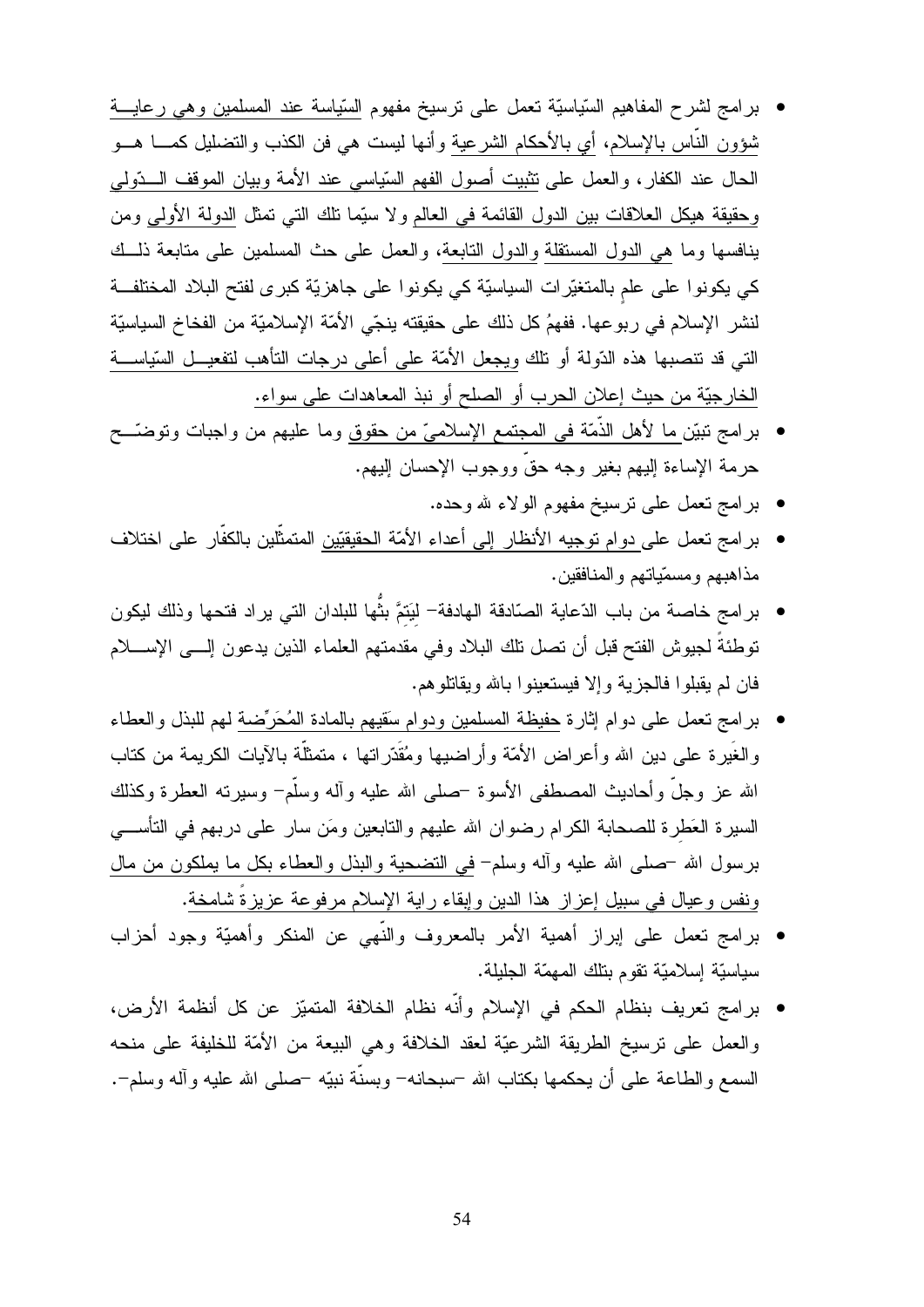- برامج لشرح المفاهيم السّياسيّة نعمل على نرسيخ مفهوم السّياسة عند المسلمين وهي رعايـــة شؤون النَّاس بالإسلام، أي بالأحكام الشرعية وأنـها ليست هـى فن الكذب والنضليل كمــــا هـــو الحال عند الكفار ، والعمل على نثبيت أصول الفهم السّياسي عند الأمة وبيان الموقف الـــدّولمي وحقيقة هيكل العلاقات بين الدول القائمة في العالم ولا سيَّما نلك التي تمثَّل الدولة الأولى ومن ينافسها وما هي الدول المستقلة والدول التابعة، والعمل على حث المسلمين على متابعة ذلــك كي يكونوا على علم بالمتغيّرات السياسيّة كي يكونوا على جاهزيّة كبرى لفتح البلاد المختلفة لنشر الإسلام في ربوعها. ففهمُ كل ذلك على حقيقته ينجِّي الأمَّة الإسلاميَّة من الفخاخ السياسيَّة التي قد تتصبها هذه الدّولة أو نلك وِيجعل الأمّة على أعلى درجات التأهب لتفعيـــل السّياســـة الخارجيّة من حيث إعلان الحرب أو الصلح أو نبذ المعاهدات على سواء.
- برامج نبيّن ما لأهل الذَّمّة في المجتمع الإسلاميّ من حقوق وما عليهم من واجبات وتوضَّــح حرمة الإساءة إليهم بغير وجه حقٌ ووجوب الإحسان إليهم.
	- برامج تعمل على نرسيخ مفهوم الولاء لله وحده.
- برامج تعمل على دوام توجيه الأنظار إلى أعداء الأمّة الحقيقيّين المتمثّلين بالكفّار على اختلاف مذاهبهم ومسمّياتهم والمنافقين.
- برامج خاصة من باب الدّعاية الصّادقة الهادفة— ليَتمَّ بثَّها للبلدان التي يراد فتحها وذلك ليكون نوطئةً لجيوش الفتح قبل أن نصل نلك البلاد وفي مقدمتهم العلماء الذين يدعون إلـــي الإســــلام فان لم يقبلوا فالجزية وإلا فيستعينوا بالله ويقاتلوهم.
- برامج نعمل على دوام إثارة حفيظة المسلمين ودوام سَقيهم بالمادة المُحَرِّضة لمهم للبذل والعطاء و الغُير ة علي دين الله و أعر اض الأمّة و أر اضبها و مُقَدّر اتبها ، متمثلّة بالآيات الكر يمة من كتاب الله عز وجلَّ وأحاديث المصطفى الأسوة –صلى الله عليه وأله وسلَّم– وسيرته العطرة وكذلك السيرة العَطرة للصحابة الكرام رضوان الله عليهم والتابعين ومَن سار على دربهم في التأســـي برسول الله –صلَّى الله عليه وأله وسلَّم– في النَّضـحية والبذل والعطـاء بكل ما يملكون من مال وِنفس وعيال في سبيل إعزاز هذا الدين وإبقاء راية الإسلام مرفوعة عزيزةً شامخة.
- برامج تعمل على إبراز أهمية الأمر بالمعروف والنَّهي عن المنكر وأهميّة وجود أحزاب سياسيّة إسلاميّة نقوم بنلك المهمّة الجليلة.
- برامج نعريف بنظام الحكم في الإسلام وأنه نظام الخلافة المتميّز عن كل أنظمة الأرض، والعمل على نرسيخ الطريقة الشرعيّة لعقد الخلافة وهي البيعة من الأمّة للخليفة على منحه السمع والطاعة على أن يحكمها بكتاب الله –سبحانه– وبسنَّة نبيّه –صلى الله عليه وآله وسلم–.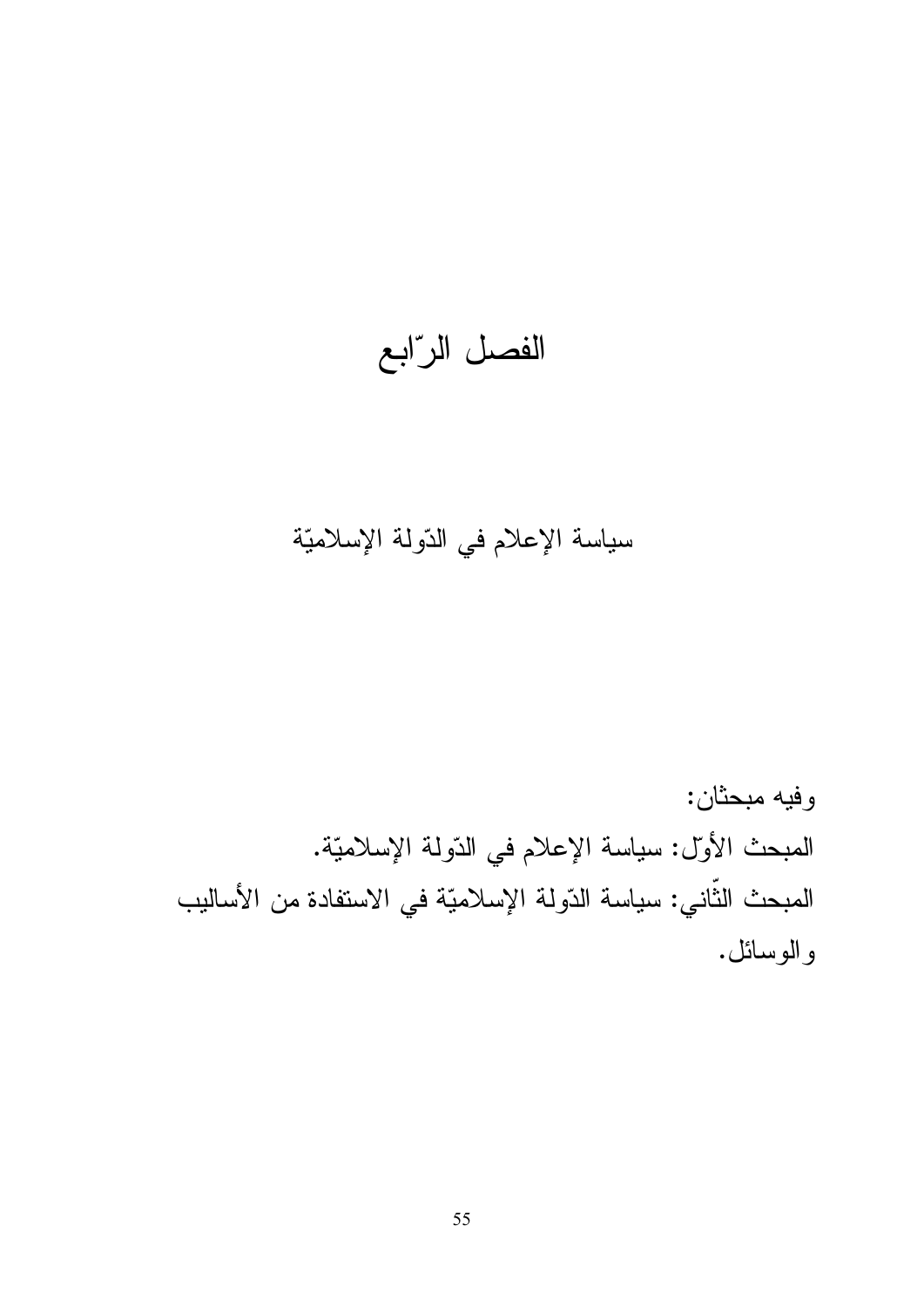الفصل الرّابع

## سياسة الإعلام في الدّولة الإسلاميّة

وفيه مبحثان: المبحث الأول: سياسة الإعلام في الدّولة الإسلاميّة. المبحث الثَّاني: سياسة الدّولة الإسلاميّة في الاستفادة من الأساليب والوسائل.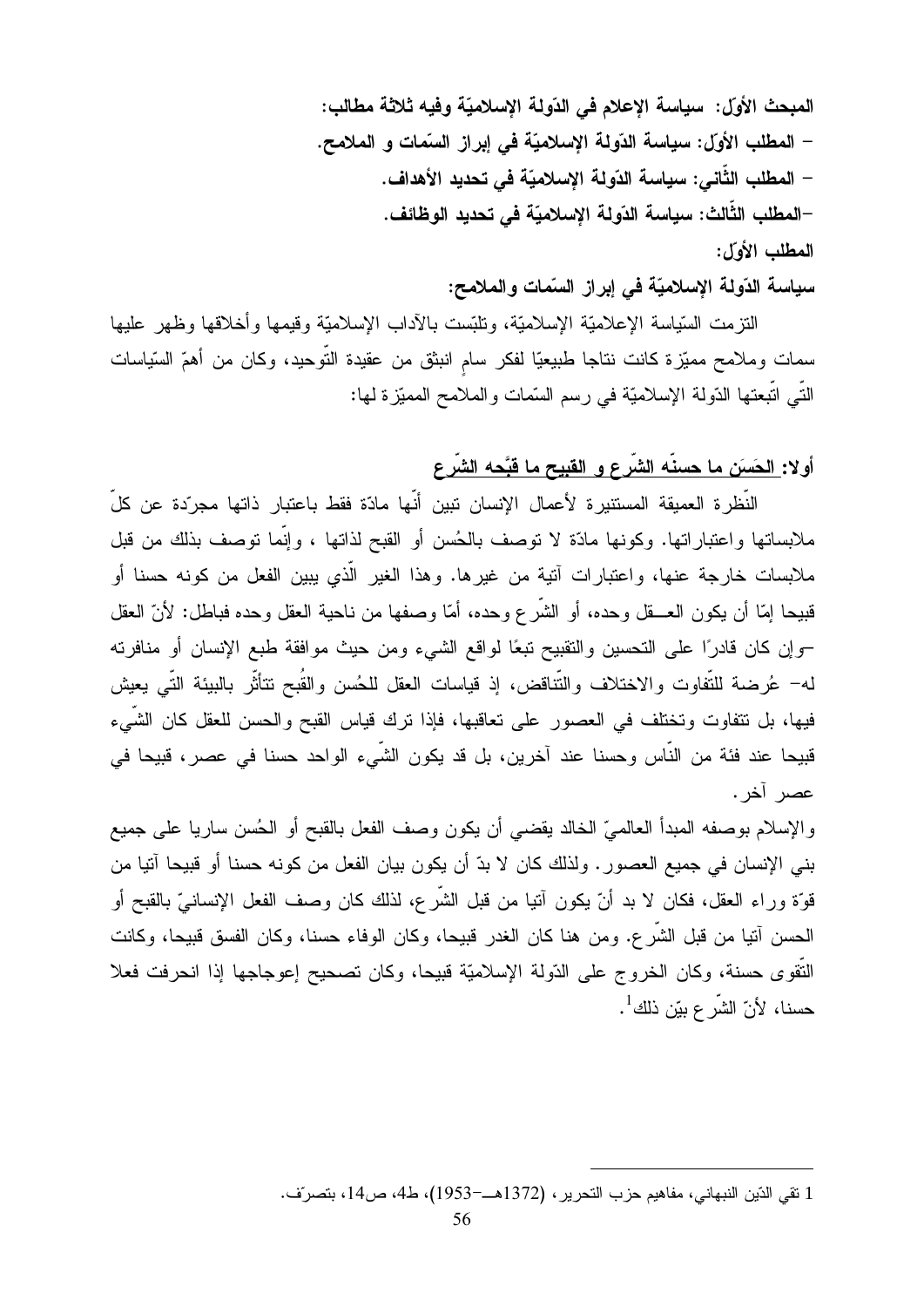المبحث الأول: سياسة الإعلام في الدّولة الإسلاميّة وفيه ثلاثة مطالب: – المطلب الأول: سياسة الدّولة الإسلاميّة في إبراز السّمات و الملامح. – المطلب الثَّاني: سياسة الدّولة الإسلاميّة في تحديد الأهداف. –المطلب الثَّالث: سياسة الدّولة الإسلاميّة في تحديد الوظائف. المطلب الأول:

سياسة الدّولة الإسلاميّة في إبراز السّمات والملامح:

النتزمت السّياسة الإعلاميّة الإسلاميّة، ونلبّست بـالآداب الإسلاميّة وقيمها وأخلاقها وظهر عليها سمات وملامح مميّزة كانت نتاجا طبيعيّا لفكر سام انبثق من عقيدة النّوحيد، وكان من أهمّ السّياسات النَّـى اتَّبعتها الدّولة الإسلاميّة فـى رسم السَّمات والملامح المميّزة لـها:

#### أولا: الحَسَن ما حسنَه الشَّرع و القبيح ما قبَّحه الشَّرع

النَّظرة العميقة المستنيرة لأعمال الإنسان تبين أنَّها مادّة فقط باعتبار ذاتها مجرّدة عن كلِّ ملابساتها واعتباراتها. وكونها مادّة لا توصف بالحُسن أو القبح لذاتها ، وإنّما توصف بذلك من قبل ملابسات خارجة عنها، واعتبارات آنية من غيرها. وهذا الغير الَّذي يبين الفعل من كونه حسنا أو قبيحا إمّا أن يكون العـــقل وحده، أو الشّرع وحده، أمّا وصفها من ناحية العقل وحده فباطل: لأنّ العقل –وإن كان قادرًا على التحسين والنقبيح نبعًا لواقع الشيء ومن حيث موافقة طبع الإنسان أو منافرته له– عُرضة للتُّفاوت والاختلاف والنُّتاقض، إذ قياسات العقل للحُسن والقُبح نتأثَّر بالبيئة النَّبي يعيش فيها، بل نتفاوت وتختلف في العصور على تعاقبها، فإذا نرك قياس القبح والحسن للعقل كان الشيء قبيحا عند فئة من الناس وحسنا عند آخرين، بل قد يكون الشيء الواحد حسنا في عصر، قبيحا في عصر آخر .

والإسلام بوصفه المبدأ العالميّ الخالد يقضيي أن يكون وصف الفعل بالقبح أو الحُسن ساريا علىي جميع بني الإنسان في جميع العصور . ولذلك كان لا بدّ أن يكون بيان الفعل من كونه حسنا أو قبيحا آنيا من قوَّة وراء العقل، فكان لا بد أنَّ يكون آنيا من قبل الشَّرع، لذلك كان وصف الفعل الإنسانيّ بالقبح أو الحسن آتيا من قبل الشَّر ع. ومن هنا كان الغدر قبيحا، وكان الوفاء حسنا، وكان الفسق قبيحا، وكانت النَّقوي حسنة، وكان الخروج على الدّولة الإسلاميّة قبيحا، وكان تصحيح إعوجاجها إذا انحرفت فعلا حسنا، لأنّ الشّر ع بيّن ذلك<sup>1</sup>.

<sup>1</sup> نقى الدّين النبهاني، مفاهيم حزب النحرير ، (1372هــــ-1953)، ط4، ص14، بنصرّف.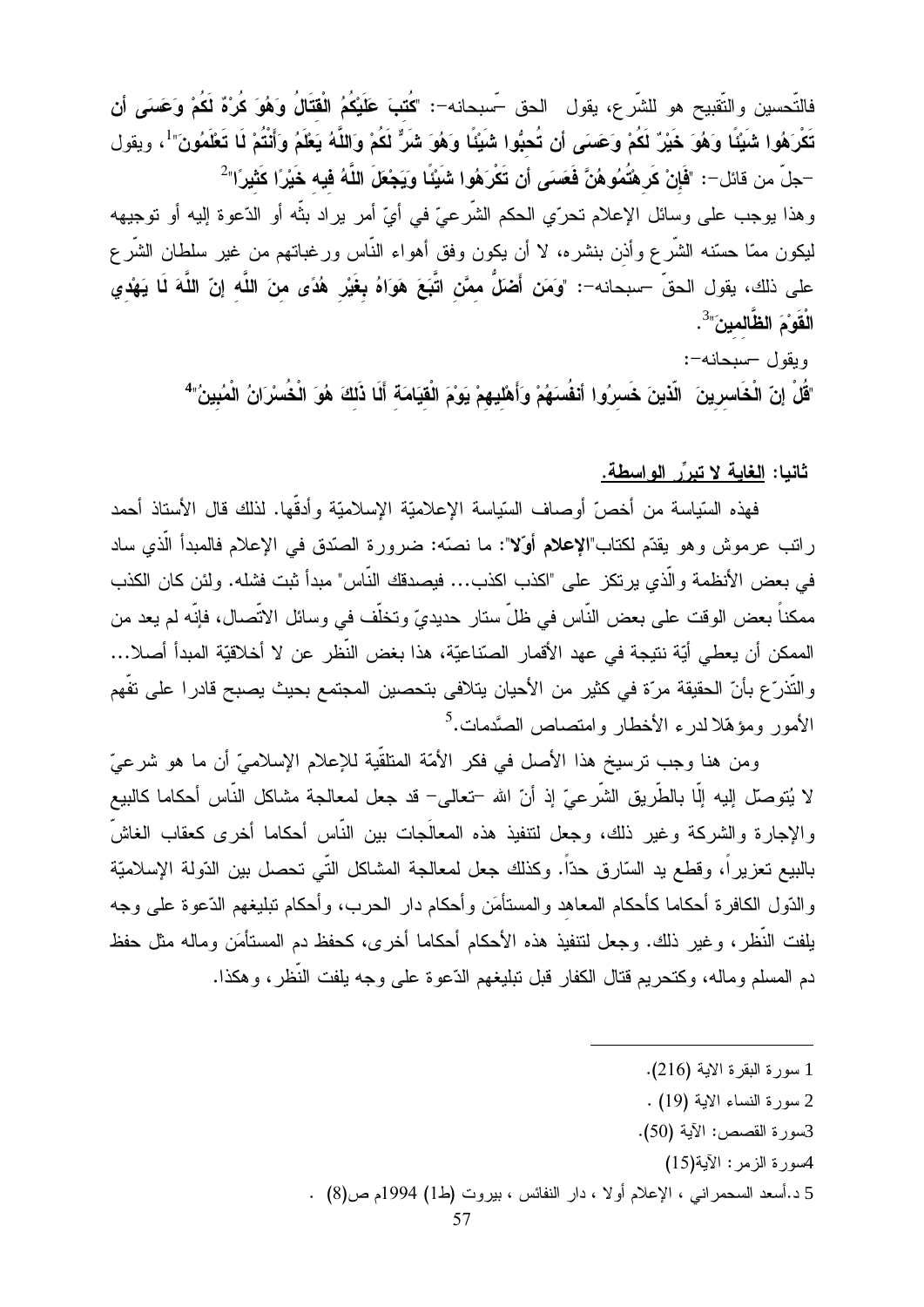فالتّحسين والتّقبيح هو للشّرع، يقول الحق –ّسبحانه–: "كُتبَ عَلَيْكُمُ الْقِتَالُ وَهُوَ كُرْهٌ لَكُمْ وَعَسَى أن تَكْرَهُوا شَبِّئًا وَهُوَ خَيْرٌ لَكُمْ وَعَسَى أَن تُحبُّوا شَبِّئًا وَهُوَ شَرٌّ لَكُمْ وَاللَّهُ يَعْلَمُ وَأَنْتُمْ لَا تَعْلَمُونَ" ، ويقول –جلّ من قائل–: "فَإِنْ كَرِهْتُمُوهُنَّ فَعَ*سَى* أن تَكْر<sup>ِ</sup>هُوا شَبِيَّاً ويَجْعَلَ اللَّهُ فيه خَيْرًا كَثيرًا"<sup>2</sup> وهذا بوجب على وسائل الإعلام تحرّي الحكم الشَّرعيّ في أيّ أمر براد بثُّه أو الدّعوة إليه أو نوجيهه ليكون ممّا حسّنه الشَّرع وأذن بنشره، لا أن يكون وفق أهواء النَّاس ورغباتهم من غير سلطان الشَّرع على ذلك، يقول الحقّ –سبحانه–: "وَمَن أَصْلٌ ممَّن اتَّبَعَ هَوَاهُ **بغ**َيْر هُدًى منَ اللَّه إنّ اللَّهَ لَا يَهْدي الْقَوْمَ الظَّالمينَ"<sup>3</sup>.

ويقول -سبحانه-:

"قُلْ إنّ الْخَاسرينَ ۖ الّذينَ خَسرُوا أنفُسهَمْ وَأَهْليهمْ يَوْمَ الْقِيَامَةَ أَلَا ذَلكَ هُوَ الْخُسْرَانُ الْمُبينُ"

#### ثانيا: الغاية لا تبرِّر الواسطة.

فهذه السّياسة من أخصّ أوصاف السّياسة الإعلاميّة الإسلاميّة وأدقّها. لذلك قال الأستاذ أحمد راتب عرموش وهو يقدّم لكتاب"الإعلام أوّلا": ما نصّه: ضرورة الصّدق في الإعلام فالمبدأ الّذي ساد في بعض الأنظمة والّذي يرتكز على "اكذب اكذب... فيصدقك النّاس" مبدأ ثبت فشله. ولئن كان الكذب ممكناً بعض الوقت على بعض النَّاس في ظلَّ ستار حديديٍّ وتخلَّف في وسائل الاتَّصـال، فإنَّه لم يعد من الممكن أن يعطي أيّة نتيجة في عهد الأقمار الصّناعيّة، هذا بغض النّظر عن لا أخلاقيّة المبدأ أصلا… والتَّذرّ ع بأنّ الحقيقة مرّة في كثير من الأحيان يتلافى بتحصين المجتمع بحيث يصبح قادر ا على تفّهم الأمور ومؤهّلاً لدرء الأخطار وامتصاص الصَّدمات.<sup>5</sup>

ومن هنا وجب ترسيخ هذا الأصل في فكر الأمّة المنلقّية للإعلام الإسلاميّ أن ما هو شرعيّ لا يُتوصِّل إليه إلَّا بالطَّريق الشَّرعيّ إذ أنّ الله –تعالى– قد جعل لمعالجة مشاكل النَّاس أحكاما كالبيع والإجارة والشركة وغير ذلك، وجعل لتنفيذ هذه المعالَجات بين النَّاس أحكاما أخرى كعقاب الغاشّ بالبيع تعزيراً، وقطع يد السّارق حدّاً. وكذلك جعل لمعالجة المشاكل التّي تحصل بين الدّولة الإسلاميّة والدُّول الكافرة أحكاما كأحكام المعاهد والمستأمَن وأحكام دار الحرب، وأحكام نبليغهم الدَّعوة على وجه يلفت النُّظر، وغير ذلك. وجعل لنتفيذ هذه الأحكام أحكاما أخرى، كحفظ دم المستأمَن وماله مثل حفظ دم المسلم و ماله، و كتحر بم قتال الكفار قبل تبليغهم الدّعو ة على و جه يلفت النّظر ، و هكذا.

- 2 سورة النساء الاية (19) .
- 3سورة القصص: الآية (50).
	- 4سورة الزمر : الآية(15)
- 5 د.أسعد السحمرانبي ، الإعلام أولا ، دار النفائس ، بيروت (ط1) 1994م ص(8) .

<sup>1</sup> سورة البقرة الاية (216).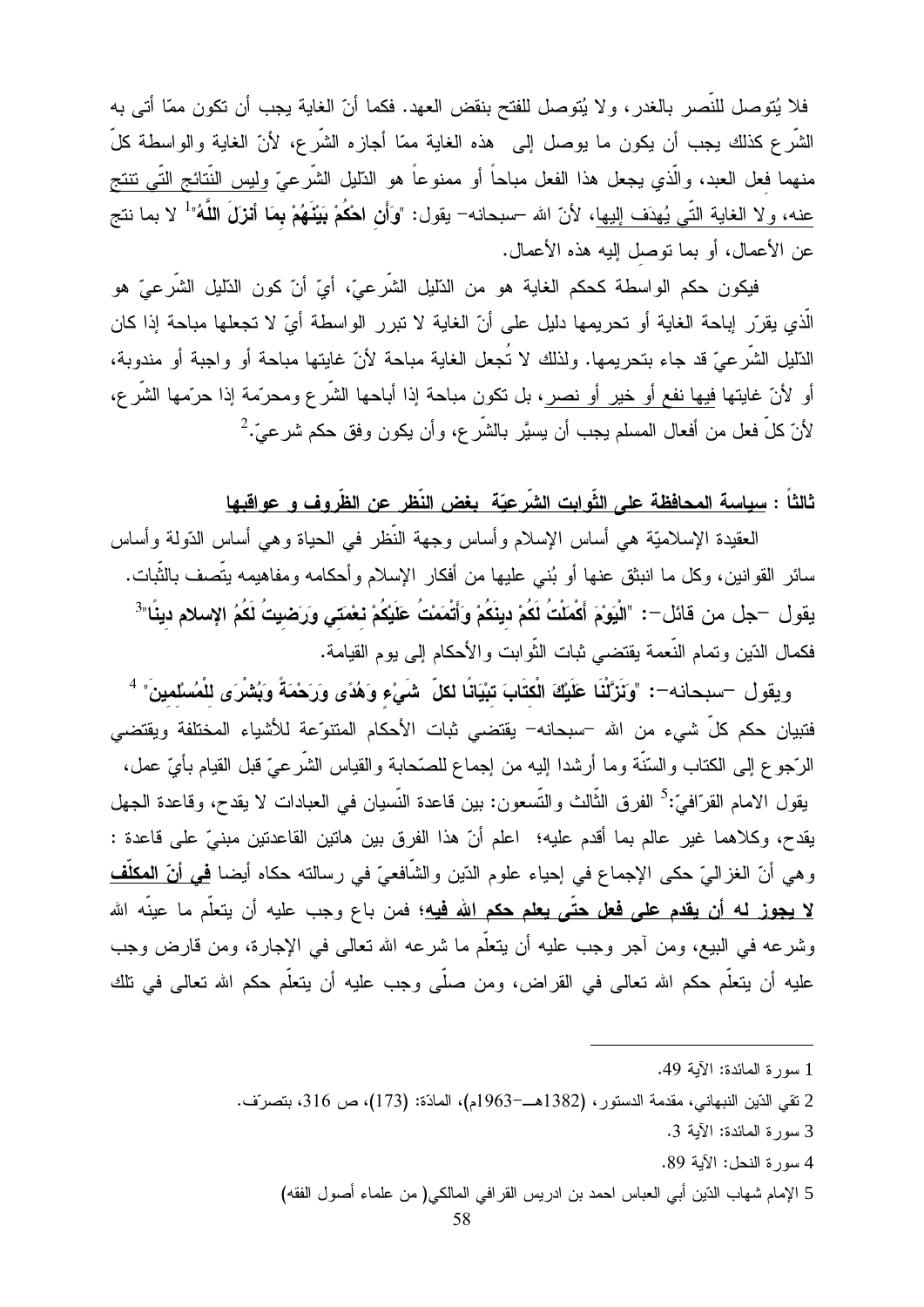فلا يُتوصل للنَّصر بالغدر ، ولا يُتوصل للفتح بنقض العهد. فكما أنّ الغاية يجب أن تكون ممّا أتى به الشَّرع كذلك يجب أن يكون ما يوصل إلى هذه الغاية ممّا أجازه الشَّرع، لأنّ الغاية والواسطة كلَّ منهما فعل العبد، والَّذي يجعل هذا الفعل مباحاً أو ممنوعاً هو الذَّليل الشَّرعيّ وليس النُّتائج التَّى نتتج عنه، ولا الغاية النِّـى يُهدَف إليها، لأنّ الله –سبحانه– يقول: "وَأَن ا**حْكُمْ بَيْنَهُمْ بِمَا أنزلَ اللّ**هُ" لا بما نتج عن الأعمال، أو بما توصل إليه هذه الأعمال.

فيكون حكم الواسطة كحكم الغاية هو من الدّليل الشّرعيّ، أيّ أنّ كون الدّليل الشّرعيّ هو الَّذي يقرِّر إباحة الغاية أو تحريمها دليل على أنّ الغاية لا تبرر الواسطة أيّ لا تجعلها مباحة إذا كان الدّليل الشّرعيّ قد جاء بتحريمها. ولذلك لا تُجعل الغاية مباحة لأنّ غايتها مباحة أو واجبة أو مندوبة، أو لأنّ غايتها فيها نفع أو خير أو نصر، بل تكون مباحة إذا أباحها الشَّرع ومحرَّمة إذا حرَّمها الشَّرع، لأنّ كلّ فعل من أفعال المسلم يجب أن يسيَّر بالشَّر ع، وأن يكون وفق حكم شرعيٌّ.

#### ثالثاً : سِياسة المحافظة على الثَّوابت الشَّرعيّة بغض النِّظر عن الظَّروف و عواقبها

العقيدة الإسلاميّة هي أساس الإسلام وأساس وجهة النّظر في الحياة وهي أساس الدّولة وأساس سائر القوانين، وكل ما انبثق عنها أو بُنبي عليها من أفكار الإسلام وأحكامه ومفاهيمه يتَّصف بالنُّبات. يقول —جل من قائل—: "الْيَوْمَ أَكْمَلْتُ لَكُمْ دينَكُمْ وَأَتْمَمْتُ عَلَيْكُمْ نعْمَت*ى* وَرَضيتُ لَكُمُ الإسلام دينًا"<sup>3</sup> فكمال الدّين وتمام النّعمة يقتضمي ثبات النُّوابت والأحكام إلىي بوم القيامة.

ويقول –سبحانه–: "وَنَزَّلْنَا عَلَيْكَ الْكتَابَ تبْيَانًا لكلّ شَيْءٍ وَهُدًى وَرَحْمَةً وَبُشْرَى للْمُسْلمينَ" <sup>4</sup> فتبيان حكم كلّ شيء من الله –سبحانه– يقتضىي ثبات الأحكام المنتوّعة للأشياء المختلفة ويقتضىي الرَّجوع إلى الكتاب والسّنَّة وما أرشدا إليه من إجماع للصّحابة والقياس الشَّرعيّ قبل القيام بأيّ عمل، يقول الامام القرّافيّ:<sup>5</sup> الفرق الثّالث والتّسعون: بين قاعدة النّسيان في العبادات لا يقدح، وقاعدة الجهل يقدح، وكلاهما غير عالم بما أقدم عليه؛ اعلم أنّ هذا الفرق بين هاتين القاعدتين مبنيّ على قاعدة : و هي أنّ الغزاليّ حكي الإجماع في إحياء علوم الدّين والشَّافعيّ في رسالته حكاه أيضا <u>في أنّ المكلُّف</u> <mark>لا يجوز له أن يقدم على فعل حتّى يعلم حكم الله فيه؛</mark> فمن باع وجب عليه أن يتعلّم ما عينّه الله وشرعه في البيع، ومن أجر وجب عليه أن يتعلَّم ما شرعه الله تعالى في الإجارة، ومن قارض وجب عليه أن يتعلَّم حكم الله تعالى في القراض، ومن صلَّى وجب عليه أن يتعلَّم حكم الله تعالى في تلك

<sup>1</sup> سورة المائدة: الآية 49.

<sup>2</sup> نقى الدّين النبهاني، مقدمة الدستور ، (1382هـ—1963م)، المادّة: (173)، ص 316، بتصرّف.

<sup>3</sup> سورة المائدة: الآية 3.

<sup>4</sup> سورة النحل: الآية 89.

<sup>5</sup> الإمام شهاب الدّين أبي العباس احمد بن ادريس القرافي المالكي( من علماء أصول الفقه)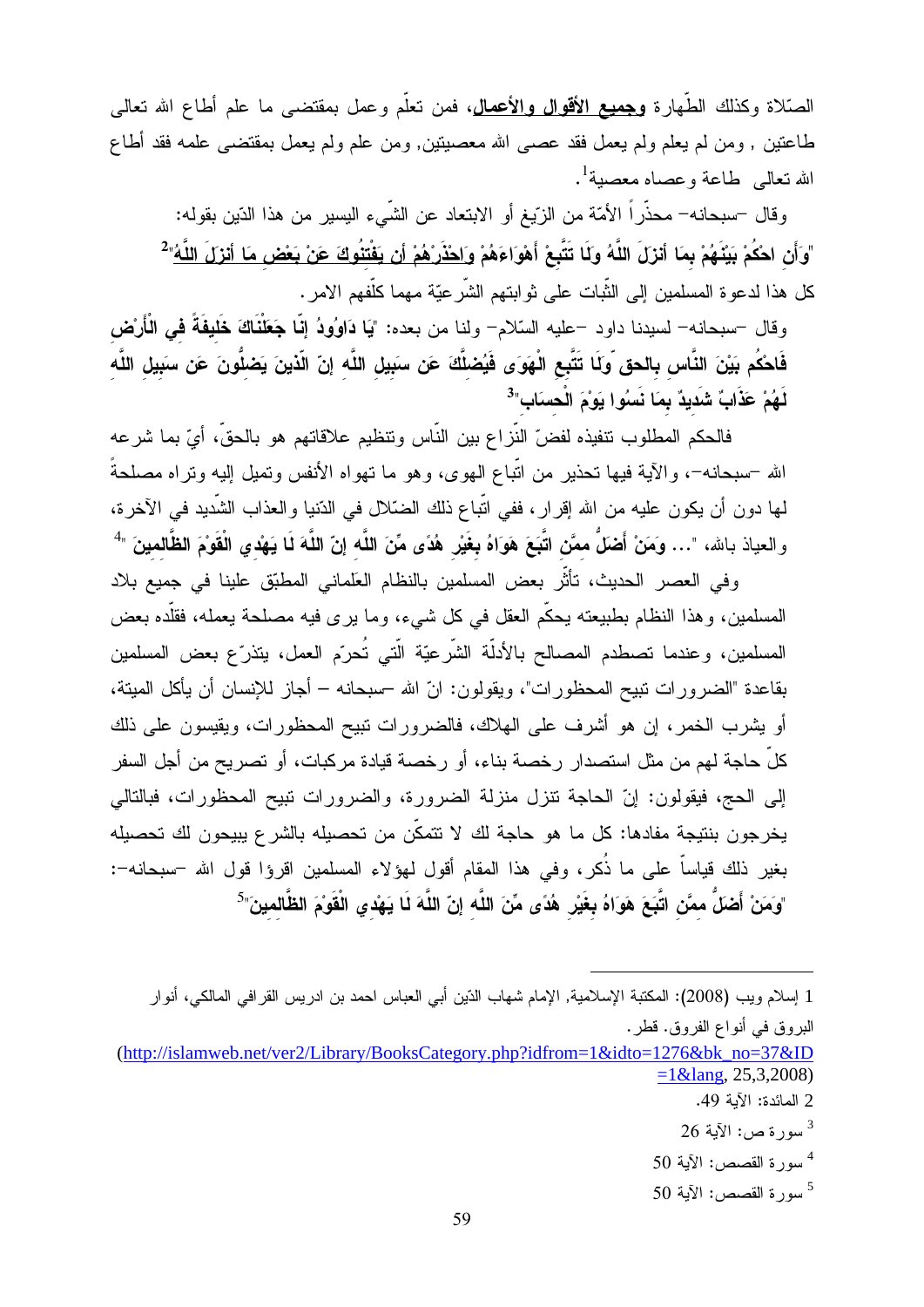الصَّلاة وكذلك الطُّهارة **وجميع الأقوال والأعمال**، فمن تعلُّم وعمل بمقتضـى ما علم أطاع الله تعالى طاعتين , ومن لم يعلم ولم يعمل فقد عصبي الله معصيتين, ومن علم ولم يعمل بمقتضـي علمه فقد أطاع 

وقال –سبحانه– محذَّراً الأمَّة من الزَّيغ أو الابتعاد عن الشَّـىء اليسير من هذا الدّين بقوله: "وَأَن احْكُمْ بَيْنَهُمْ بِمَا أَنزلَ اللَّهُ وَلَا تَتَّبِعْ أَهْوَاءَهُمْ <u>وَاحْذَرْهُمْ أَن يَفْتنُوكَ عَنْ بَعْض مَا أنزلَ اللَّهُ</u>"<sup>2</sup> كل هذا لدعوة المسلمين إلى الثَّبات على ثوابتهم الشَّرعيّة مهما كلَّفهم الامر .

وقال –سبحانه– لسيدنا داود –عليه السّلام– ولنا من بعده: "يَا دَاوُودُ إِنَّا جَعَلْنَاكَ خَليفَةً في الْأَرْض فَاحْكُم بَيْنَ النَّاس بالحق وّلَا تَتَّبِع الْهَوَى فَيُصْلَّكَ عَن سَبِيلِ اللَّهِ إِنّ الَّذينَ يَصْلُّونَ عَن سَبِيلِ اللَّهِ لَهُمْ عَذَابٌ شَديدٌ بِمَا نَسُوا يَوْمَ الْحسَابِ"<sup>3</sup>

فالحكم المطلوب نتفيذه لفضّ النّزاع بين النّاس ونتظيم علاقاتهم هو بالحقّ، أيّ بما شرعه الله –سبحانه–، والأية فيها تحذير من اتّباع الـهوى، وهو ما تـهواه الأنفس وتميل إليه وتراه مصلحةً لمها دون أن يكون عليه من الله إقرار، ففي اتَّباع ذلك الضَّلال في الدُّنيا والعذاب الشَّديد في الأخرة، والعياذ بالله، "… وَمَنْ أَضَلُّ ممَّن اتَّبَعَ هَوَاهُ بغَيْر هُدًى مِّنَ اللَّه إنّ اللَّهَ لَمَا يَهْدي الْقَوْمَ الظَّالمينَ "<sup>4</sup>

وفي العصر الحديث، تأثَّر بعض المسلمين بالنظام العلماني المطبّق علينا في جميع بلاد المسلمين، وهذا النظام بطبيعته يحكَّم العقل في كل شيء، وما يرى فيه مصلحة يعمله، فقلَّده بعض المسلمين، وعندما نصطدم المصالح بالأدلَّة الشَّرعيَّة الَّتـي تُحرّم العمل، يتذرّع بعض المسلمين بقاعدة "الضر ور ات نبيح المحظور ات"، ويقولون: انّ الله –سبحانه – أجاز للإنسان أن يأكل الميتة، أو يشرب الخمر ، إن هو أشرف على الهلاك، فالضرورات نبيح المحظورات، ويقيسون على ذلك كلِّ حاجة لهم من مثل استصدار رخصة بناء، أو رخصة قيادة مركبات، أو تصريح من أجل السفر إلى الحج، فيقولون: إنَّ الحاجة نتزل منزلة الضرورة، والضرورات نبيح المحظورات، فبالتالي يخرجون بنتيجة مفادها: كل ما هو حاجة لك لا تتمكَّن من تحصيله بالشرع يبيحون لك تحصيله بغير ذلك قياساً على ما ذُكرٍ، وفي هذا المقام أقول لهؤلاء المسلمين اقرؤا قول الله –سبحانه–: "وَمَنْ أَضَلٌ ممَّن اتَّبَعَ هَوَاهُ بِغَيْرِ هُدًى مِّنَ اللَّه إنّ اللَّهَ لَا يَهْدي الْقَوْمَ الظَّالمينَ"<sup>5</sup>

البروق في أنواع الفروق. قطر.

- 2 المائدة: الآية 49.
- $26 \mathsf{N}$ سورة ص: الآية 26
- $50$  سورة القصص: الآية  $^4$
- $50$  سور ة القصص: الآية  $^5$

<sup>1</sup> إسلام و يب (2008): المكتبة الإسلامية, الإمام شهاب الدّين أبي العباس احمد بن ادر يس القر افي المالكي، أنو ار

 $(\text{http://islamweb.net/ver2/Library/BooksCategory.php?idfrom=1&idto=1276&bk no=37&ID$  $=1$ &lang, 25,3,2008)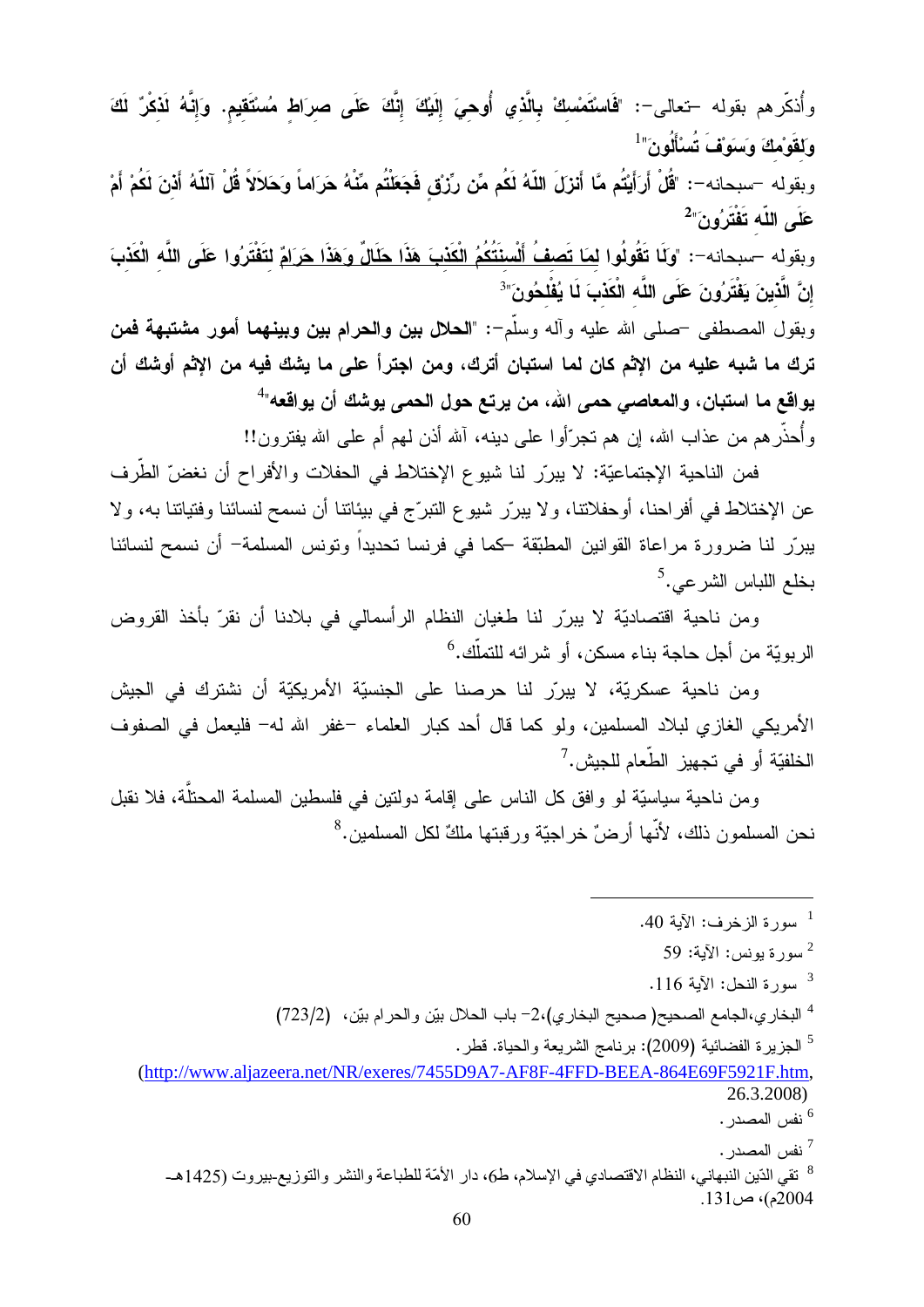وأُذكِّرهم بقوله –تعالى–: "فَاسْتَمْسكْ بِالَّذي أُوهِيَ إِلَيْكَ إِنَّكَ عَلَى صرَاط مُسْتَقيم. وَإِنَّهُ لَذكْرٌ لَكَ وَلِقَوْمِكَ وَسَوَقْ تُسْأَلُونَ" ل وبقوله –سبحانه–: "قُلْ أَرَأَيْتُم مَّا أَنزلَ اللّهُ لَكُم مِّن رِّزْق فَجَعَلْتُم مِّنْهُ حَرَاماً وَحَلاَلاً قُلْ آللّهُ أَذنَ لَكُمْ أَمْ عَلَى اللّه تَفْتَرُونَ" وبقوله –سبحانه–: "وكَا تَقُولُوا <u>لمَا تَصفُ أَلْسنَتُكُمُ الْكَذبَ هَذَا حَلَالٌ وَهَذَا حَرَامٌ</u> لتَفْتَرُوا عَلَى اللَّه الْكَذبَ إِنَّ الَّذِينَ يَفْتَرُونَ عَلَى اللَّه الْكَذْبَ لَـا يُفْلَحُونَ" $^{\circ}$ 

وبقول المصطفى <sup>ــ</sup>صلى الله عليه وأله وسلّم-: "**الحلال بين والحرام بين وبينهما أمور مشتبهة فمن** ترك ما شبه عليه من الإثم كان لما استبان أترك، ومن اجترأ على ما يشك فيه من الإثم أوشك أن يواقع ما استبان، والمعاص*بي* حمي الله، من يرتع حول الحمي يوشك أن يواقعه"<sup>4</sup> وأُحذَّر هم من عذاب الله، إن هم تجرَّأوا على دينه، آلله أذن لمهم أم علمي الله يفترون!!

فمن الناحية الإجتماعيّة: لا يبرّر لنا شيوع الإختلاط في الحفلات والأفراح أن نغضّ الطّرف عن الإختلاط في أفراحنا، أوحفلانتا، ولا يبررّ شيوع النبرّج في بيئاننا أن نسمح لنسائنا وفتياننا به، ولا يبررّ لنا ضرورة مراعاة القوانين المطبّقة كما في فرنسا تحديداً وتونس المسلمة– أن نسمح لنسائنا بخلع اللباس الشرعي.<sup>5</sup>

ومن ناحية اقتصاديّة لا يبررّ لنا طغيان النظام الرأسمالي في بلادنا أن نقرّ بأخذ القروض الربويّة من أجل حاجة بناء مسكن، أو شر ائه للتملّك.<sup>6</sup>

ومن ناحية عسكريّة، لا بيررّ لنا حرصنا على الجنسيّة الأمريكيّة أن نشترك في الجيش الأمريكي الغازي لبلاد المسلمين، ولو كما قال أحد كبار العلماء –غفر الله له– فليعمل في الصفوف الخلفيّة أو في تجهيز الطّعام للجيش.<sup>7</sup>

ومن ناحية سياسيّة لو وافق كل الناس على إقامة دولتين في فلسطين المسلمة المحتلَّة، فلا نقبل نحن المسلمون ذلك، لأنَّها أرضٌ خر اجيّة ور قبتها ملكٌ لكل المسلمين.<sup>8</sup>

- $116$ سورة النحل: الآبة 116.
- <sup>4</sup> البخاري،الجامع الصحيح(صحيح البخاري)،2- باب الحلال بيّن والحرام بيّن، (723/2)

 $^5$  الجزير ة الفضائية (2009): بر نامج الشريعة و الحياة. قطر  $^5$ 

(http://www.aliazeera.net/NR/exeres/7455D9A7-AF8F-4FFD-BEEA-864E69F5921F.htm. 26.3.2008)

<sup>6</sup> نفس المصدر .

<sup>7</sup> نفس المصدر .

<sup>8</sup> تقى الذين النبهاني، النظام الاقتصادي في الإسلام، ط6، دار الأمّة للطباعة والنشر والتوزيع-بيروت (1425هـ-2004م)، ص131.

<sup>&</sup>lt;sup>1</sup> سورة الزخرف: الآية 40.

<sup>59</sup> سورة بونس: الآبة: 59  $^2$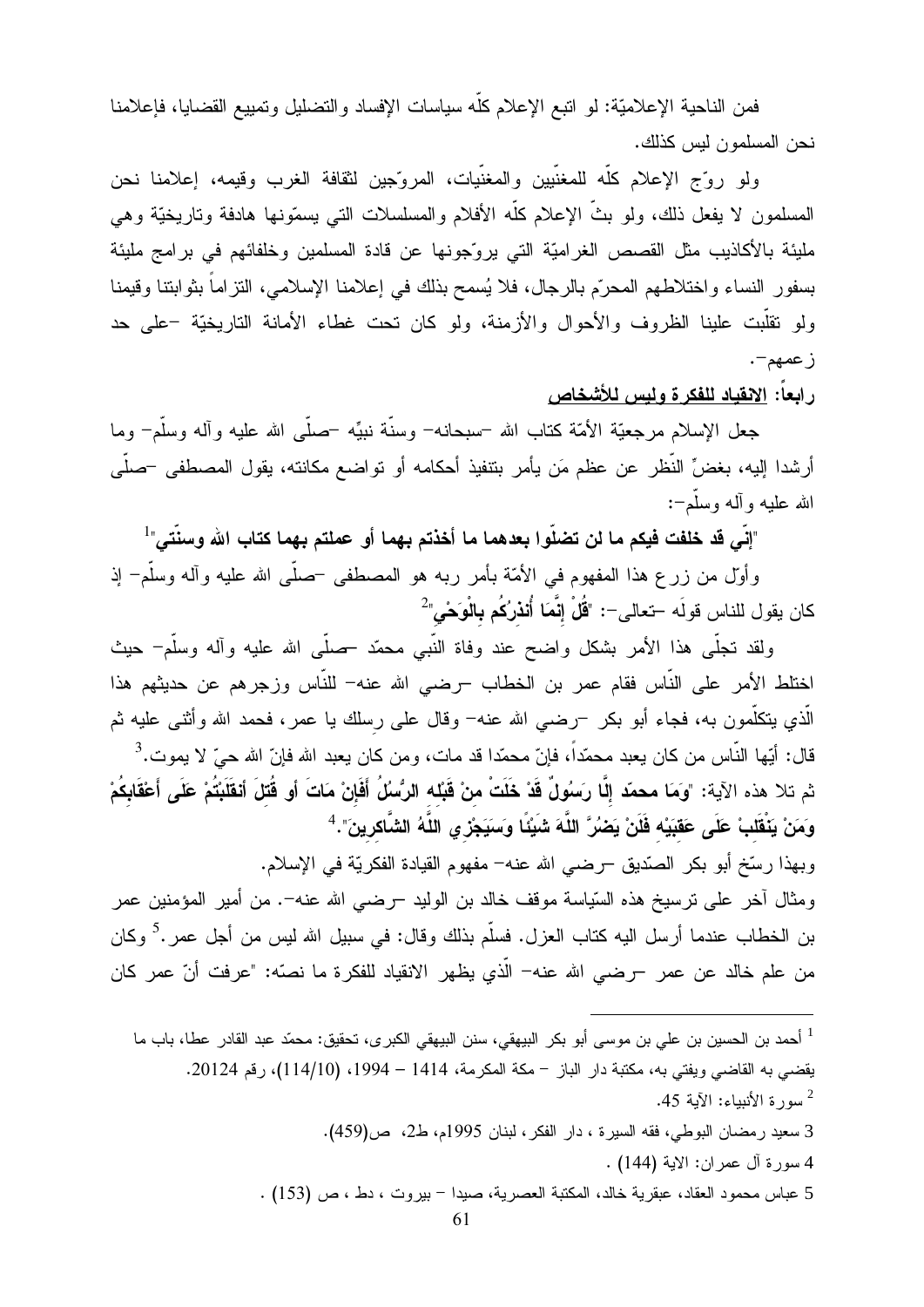فمن الناحية الإعلاميّة: لو انبع الإعلام كلّه سياسات الإفساد والنضليل ونمييع القضايا، فإعلامنا نحن المسلمون ليس كذلك.

ولو روَّج الإعلام كلُّه للمغنيين والمغنيات، المروَّجين لثقافة الغرب وقيمه، إعلامنا نحن المسلمون لا يفعل ذلك، ولو بثَّ الإعلام كلُّه الأفلام والمسلسلات النبي يسمّونها هادفة وتاريخيّة وهي مليئة بالأكاذيب مثل القصص الغراميّة التي يروّجونها عن قادة المسلمين وخلفائهم في برامج مليئة بسفور النساء واختلاطهم المحرّم بالرجال، فلا يُسمح بذلك في إعلامنا الإسلامي، النزاماً بثوابتنا وقيمنا ولو نقلَّبت علينا الظروف والأحوال والأزمنة، ولو كان تحت غطاء الأمانة التاريخيَّة –على حد ز عمهم-.

ر ابعاً: الإنفياد للفكر ة و لبس للأشخاص

جعل الإسلام مرجعيَّة الأمَّة كناب الله –سبحانه– وسنَّة نبيِّه –صلَّى الله عليه وآله وسلَّم– وما أرشدا إليه، بغضِّ النُّظر عن عظم مَن يأمر بنتفيذ أحكامه أو نواضع مكانته، يقول المصطفى –صلَّى الله عليه و أله وسلَّم–:

"إنِّي قد خلفت فيكم ما لن تضلُّوا بعدهما ما أخذتم بهما أو عملتم بهما كتاب الله وسنَّتي"<sup>1</sup>

وأول من زرع هذا المفهوم في الأمّة بأمر ربه هو المصطفى –صلّى الله عليه وأله وسلَّم– إذ كان يقول للناس قولَه –تعالى–: "قُلْ إِنَّمَا أُنذرُكُم بِالْوَحْيِ"<sup>2</sup>

ولقد نـجلَّـى هذا الأمر بشكل واضـح عند وفاة النَّبـى محمَّد حملَّـى الله عليه وآله وسلَّم– حيث اختلط الأمر على النَّاس فقام عمر بن الخطاب –رضـى الله عنه– للنَّاس وزجرهم عن حديثهم هذا الَّذي يتكلَّمون به، فجاء أبو بكر ¬رضـي الله عنه− وقال علـي رسلك يا عمر ، فحمد الله وأثنـي عليه ثم قال: أيّها النّاس من كان يعبد محمّداً، فإنّ محمّدا قد مات، ومن كان يعبد الله فإنّ الله حيّ لا يموت.<sup>3</sup> ثم تلا هذه الآية: "وَمَا محمّد إلَّا رسَوُلٌ قَدْ خَلَتْ منْ قَبْله الرُّسُلُ أَفَإِنْ مَاتَ أو قُتلَ أنقَلَبْتُمْ عَلَى أَعْقَابِكُمْ وَمَنْ يَنْقَلَبْ عَلَى عَقْبَيْه فَلَنْ يَضْرُ ۚ اللَّهَ شَبِيَّا وَسَيَجْزِ يِ اللَّهُ الشَّاكرينَ".  $^4$ 

وبهذا رسَّخ أبو بكر الصَّديق –رضي الله عنه– مفهوم القيادة الفكريَّة في الإسلام. ومثال آخر على ترسيخ هذه السّياسة موقف خالد بن الوليد –رضبي الله عنه–. من أمير المؤمنين عمر بن الخطاب عندما أرسل اليه كتاب العزل. فسلَّم بذلك وقال: في سبيل الله ليس من أجل عمر .<sup>5</sup> وكان من علم خالد عن عمر –رضبي الله عنه– الَّذي يظهر الانقياد للفكرة ما نصهّ: "عرفت أنّ عمر كان

<sup>1</sup> أحمد بن الحسين بن علي بن موسى أبو بكر البيهقي، سنن البيهقي الكبر ى، تحقيق: محمّد عبد القادر عطا، باب ما يقضي به القاضبي ويفتي به، مكتبة دار الباز – مكة المكرمة، 1414 – 1994، (114/10)، رقم 20124. سورة الأنساء: الآبة 45. 3 سعيد رمضان البوطي، فقه السيرة ، دار الفكر ، لبنان 1995م، ط2، ص(459). 4 سورة آل عمر ان: الاية (144) . 5 عباس محمود العقاد، عبقرية خالد، المكتبة العصرية، صيدا – بيروت ، دط ، ص (153) .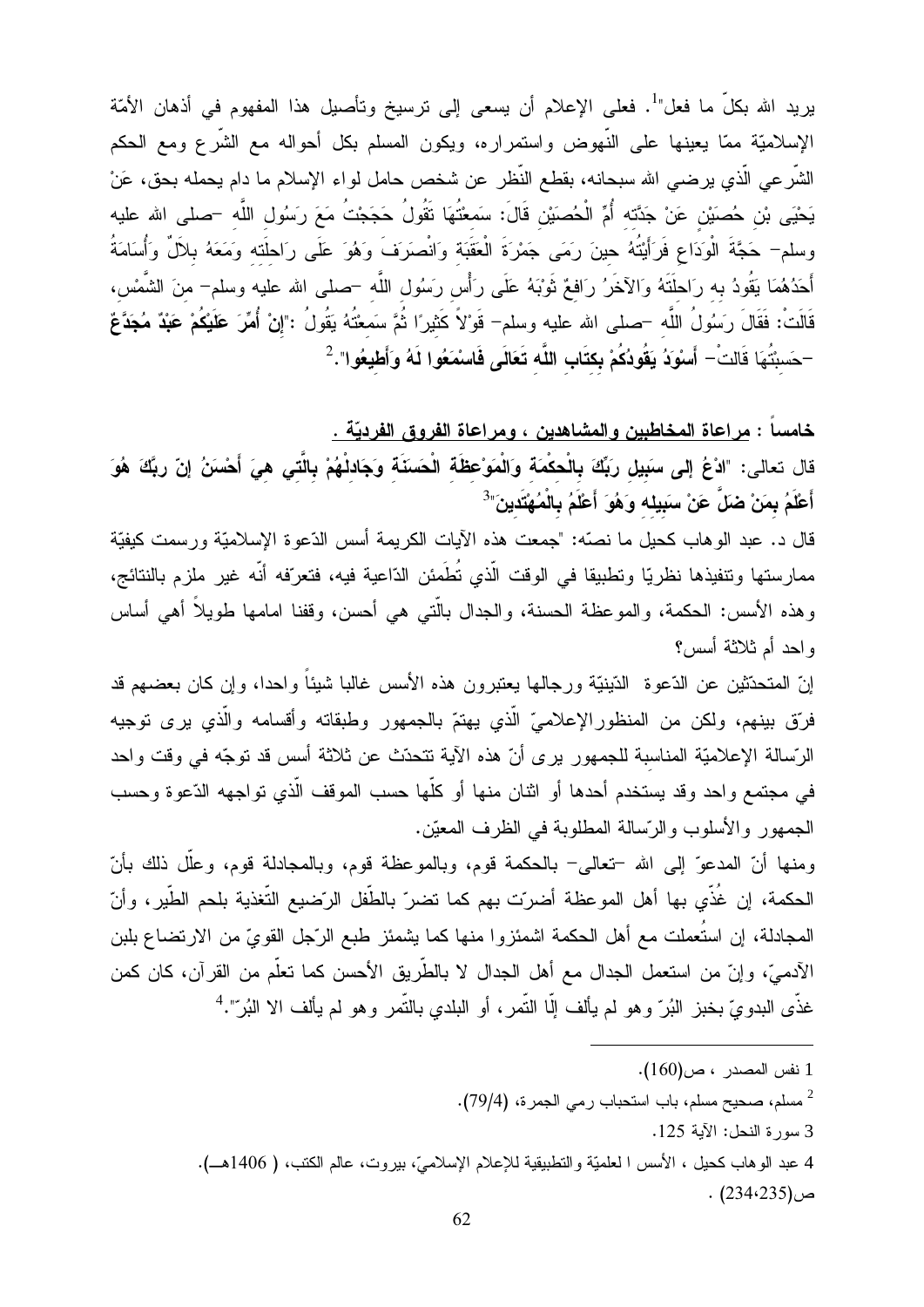يريد الله بكلِّ ما فعل"<sup>1</sup>. فعلى الإعلام أن يسعى إلى ترسيخ وتأصبل هذا المفهوم في أذهان الأمّة الإسلاميّة ممّا يعينها على النّهوض واستمراره، ويكون المسلم بكل أحواله مع الشّرع ومع الحكم الشَّرعي الَّذي يرضـي الله سبحانـه، بقطـع النُّظر عن شخص حامل لواء الإسلام ما دام يحمله بحق، عَنْ يَحْيَى بْنِ حُصَيْنِ عَنْ جَدَّته أُمِّ الْحُصنَيْنِ قَالَ: سَمعْتُهَا تَقُولُ حَجَجْتُ مَعَ رَسُول اللَّه –صلى الله عليه وسلم– حَجَّةَ الْوَدَاعِ فَرَأَيْتُهُ حينَ رَمَى جَمْرَةَ الْعَقَبَة وَانْصرَفَ وَهُوَ عَلَى رَاحلَته وَمَعَهُ بلآلٌ وَأُسَامَةُ أَحَدُهُمَا يَقُودُ به رَاحلَتَهُ وَالآخَرُ رَافعٌ ثَوْبَهُ عَلَى رَأْسٍ رَسُولِ اللَّه –صلى الله عليه وسلم– منَ الشَّمْس، قَالَتْ: فَقَالَ رَسُولُ اللَّه –صلـى الله عليه وسلم– قَوْلاً كَثيرًا ثُمَّ سَمعْتُهُ يَقُولُ :"إنْ أُمِّرَ عَلَيْكُمْ عَبْدٌ مُجَدَّعٌ –حَسبْتُهَا قَالتْ– أَسْوَدُ يَقُودُكُمْ بِكتَابِ اللَّه تَعَالَى فَاسْمَعُوا لَهُ وَأَطْيعُوا".  $^{-2}$ 

خامساً : <u>مراعاة المخاطبين وا</u>لمشاهدين ، ومراعاة الفروق الفرديّة .

قال تعالى: "ادْعُ إلى سبَيل ربِّكَ بالْحكْمَة وَالْمَوْعظَة الْحَسَنَة وَجَادلْهُمْ بِالَّتِي هِيَ أَحْسَنُ إنّ ربَّكَ هُوَ أَعْلَمُ بِمَنْ ضَلِّ عَنْ سَبِيلِه وَهُوَ أَعْلَمُ بِالْمُهْتَدِينَ"<sup>3</sup>

قال د. عبد الوهاب كحيل ما نصَّه: "جمعت هذه الآيات الكريمة أسس الدَّعوة الإسلاميَّة ورسمت كيفيَّة ممارستها ونتفيذها نظريًا وتطبيقا في الوقت الّذي تُطَمئن الدّاعية فيه، فتعرّفه أنّه غير ملزم بالنتائج، وهذه الأسس: الحكمة، والموعظة الحسنة، والجدال بالَّتي هي أحسن، وقفنا امامها طويلاً أهي أساس واحد أم ثلاثة أسس؟

إنّ المتحدّثين عن الدّعوة الدّينيّة ورجالها يعتبرون هذه الأسس غالبا شيئاً واحدا، وإن كان بعضهم قد فرِّق بينهم، ولكن من المنظورِ الإعلاميِّ الَّذي يهتمُّ بالجمهورِ وطبقاته وأقسامه والَّذي يرى توجيه الرّسالة الإعلاميّة المناسبة للجمهور برى أنّ هذه الآية نتحدّث عن ثلاثة أسس قد نوجّه في وقت واحد في مجتمع واحد وقد يستخدم أحدها أو اثنان منها أو كلَّها حسب الموقف الَّذي تواجهه الدِّعوة وحسب الجمهور والأسلوب والرّسالة المطلوبة في الظرف المعيّن.

ومنها أنّ المدعوّ إلى الله –تعالى– بالحكمة قوم، وبالموعظة قوم، وبالمجادلة قوم، وعلَّل ذلك بأنّ الحكمة، إن غُذِّي بها أهل الموعظة أضرّت بهم كما تضرّ بالطَّفل الرّضيع التّغذية بلحم الطّير ، وأنّ المجادلة، إن استُعملت مع أهل الحكمة اشمئزوا منها كما يشمئز طبع الرّجل القويّ من الارتضاع بلبن الآدمـيّ، وإنّ من استعمل الـجدال مـع أهل الـجدال لا بالطَّريق الأحسن كما تعلُّم من القرآن، كان كمن غذَّى البدويِّ بخبز البُرِّ وهو لم يألف إلَّا النَّمر ، أو البلدي بالنَّمر وهو لم يألف الا البُرّ".<sup>4</sup>

1 نفس المصدر ، ص(160).

<sup>2</sup> مسلم، صحيح مسلم، باب استحباب رمي الجمرة، (79/4).

3 سورة النحل: الآية 125.

4 عبد الوهاب كحيل ، الأسس ا لعلميّة والتطبيقية للإعلام الإسلاميّ، بيروت، عالم الكتب، ( 1406هــ). ص(234،235) .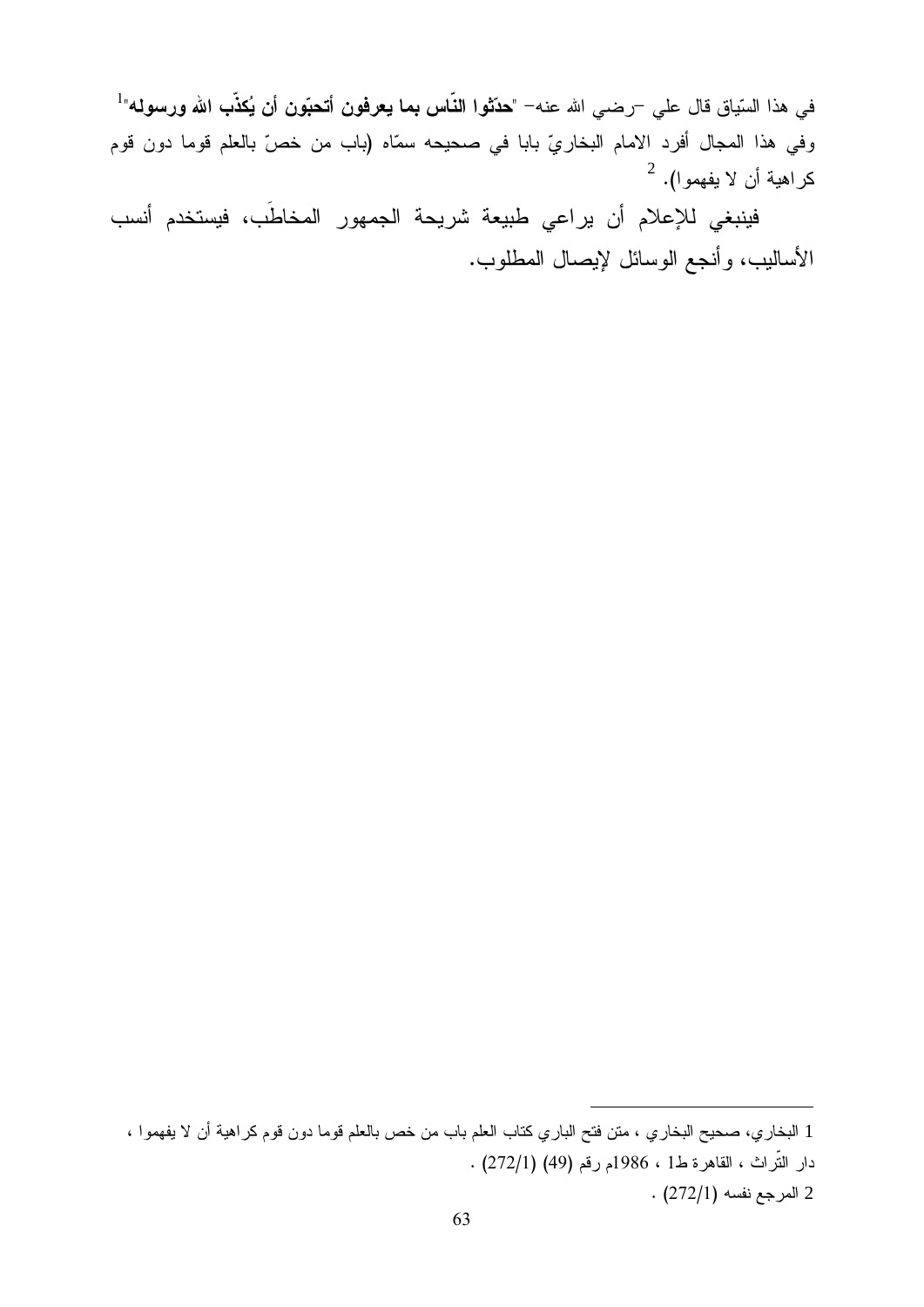في هذا السّياق قال علي ¬رضـي الله عنه− "**حدّثوا النّاس بما يعرفون أتحبّون أن يُكذّب الله ورسوله**"<sup>1</sup> وفي هذا المجال أفرد الامام البخاريِّ بابا في صحيحه سمّاه (باب من خصّ بالعلم قوما دون قوم  $^{-2}$  كراهية أن لا يفهموا).  $^2$ 

فينبغي للإعلام أن يراعى طبيعة شريحة الجمهور المخاطَب، فيستخدم أنسب الأساليب، وأنجع الوسائل لإيصال المطلوب.

<sup>1</sup> البخاري، صحيح البخاري ، متن فتح الباري كتاب العلم باب من خص بالعلم قوما دون قوم كراهية أن لا يفهموا ،

دار التّراث ، القاهرة ط1 ، 1986م رقم (49) (272/1) .

 $(272/1)$  المرجع نفسه  $2$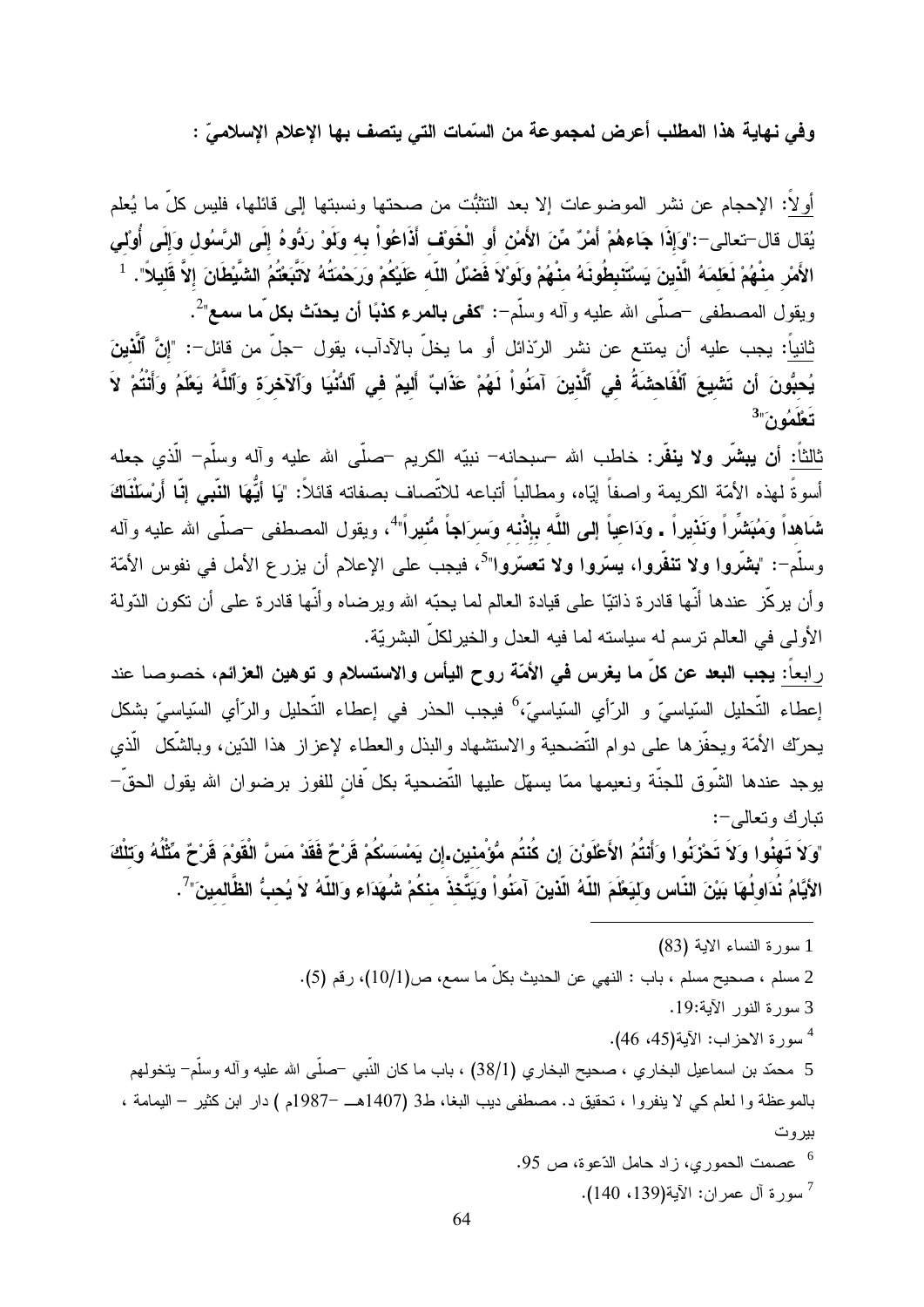وفي نـهايـة هذا المطلب أعرض لمجموعة من السّمات التي يتصف بـها الإعلام الإسلاميّ :

أولاً: الإحجام عن نشر الموضوعات إلا بعد النتثبُّت من صحتها ونسبتها إلى قائلها، فليس كلِّ ما يُعلم يُقال قال–تعالى–:"وَإِذَا جَاءهُمْ أَمْرٌ مِّنَ الأَمْنِ أَو الْخَوْف أَذَاعُواْ بِه وَلَوْ رَدُوهُ إِلَى الرّسُول وَإِلَى أُونْلى الأَمْرِ منْهُمْ لَعَلمَهُ الَّذينَ يَسْتَنبِطُونَهُ منْهُمْ وَلَوْلاَ فَضلُ اللّه عَلَيْكُمْ وَرَحْمَتُهُ لآتَبَعْتُمُ الشَّيْطَانَ إلاَّ قَليلاً". <sup>1</sup> ويقول المصطفى –صلَّى الله عليه وآله وسلَّم-: "كفى بالمرء كذبًا أن يحدِّث بكل ما سمع"<sup>2</sup>. ثانياً: يجب عليه أن يمتنع عن نشر الرّذائل أو ما يخلّ بالآدآب، يقول –جلّ من قائل–: "إنَّ ٱلَّذينَ يُحبُّونَ أن تَشْيِعَ ٱلْفَاحشَةُ في ٱلَّذينَ آمَنُواْ لَهُمْ عَذَابٌ أَليمٌ في ٱلدُّنْيَا وَٱلآخرَة وَٱللَّهُ يَعْلَمُ وَأَنْتُمْ لاَ  $3\%$ : تَعْلَمُو $\zeta$ 

ثالثاً: أ**ن يبشّر ولا ينفّر**: خاطب الله –سبحانه– نبيّه الكريم –صلّى الله عليه وآله وسلّم– الّذي جعله أسوةً لهذه الأمّة الكريمة واصفاً إيّاه، ومطالباً أتباعه للاتّصاف بصفاته قائلاً: "يَا أيُّهَا ا**لنّبى إنّا** أَرسْلَنْاكَ شَاهداً وَمُبَشْراً وَنَذيراً . وَدَاعياً إلى اللَّه بإذْنه وَسرَاجاً مُنْيراً"، ويقول المصطفى –صلَّى الله عليه وآله وسلَّم−: "**بشَّروا ولا تنفَّروا، يستَّروا ولا تعسَّروا**"<sup>5</sup>، فيجب على الإعلام أن يزرع الأمل في نفوس الأمّة و أن يركِّز عندها أنَّها قادرة ذاتيًّا على قيادة العالم لما يحبُّه الله ويرضاه وأنَّها قادرة علمي أن نكون الدّولة الأولى في العالم ترسم له سياسته لما فيه العدل والخير لكلِّ البشريَّة.

ر ابعاً: **يجب البعد عن كلّ ما يغرس في الأمّة روح اليأس والاستسلام و توهين العزائم،** خصوصا عند إعطاء التَّحليل السّياسيّ و الرّأي السّياسيّ،<sup>6</sup> فيجب الحذر في إعطاء التَّحليل والرّأي السّياسيّ بشكل يحرّك الأمّة ويحفّزها على دوام التّضحية والاستشهاد والبذل والعطاء لإعزاز هذا الدّين، وبالشّكل الّذي يوجد عندها الشَّوق للجنَّة ونعيمها ممَّا يسهِّل عليها التَّضحية بكل َّفان للفوز برضوان الله يقول الحقَّ– نبارك وتعالى-:

"وَلاَ تَهِنُوا وَلاَ تَحْزَنُوا وَأَنتُمُ الأَعْلَوْنَ إن كُنتُم مُّؤْمنين إن يَمْسَسْكُمْ قَرْحٌ فَقَدْ مَسَّ الْقَوْمَ قَرْحٌ مِّثْلُهُ وَتلْكَ الأيَّامُ نُدَاولُهَا بَيْنَ النّاس ولَيَعْلَمَ اللّهُ الّذينَ آمَنُواْ وَيَتَّخذَ منكُمْ شُهَدَاء وَاللّهُ لاَ يُحبُّ الظَّالمينَ"<sup>7</sup>.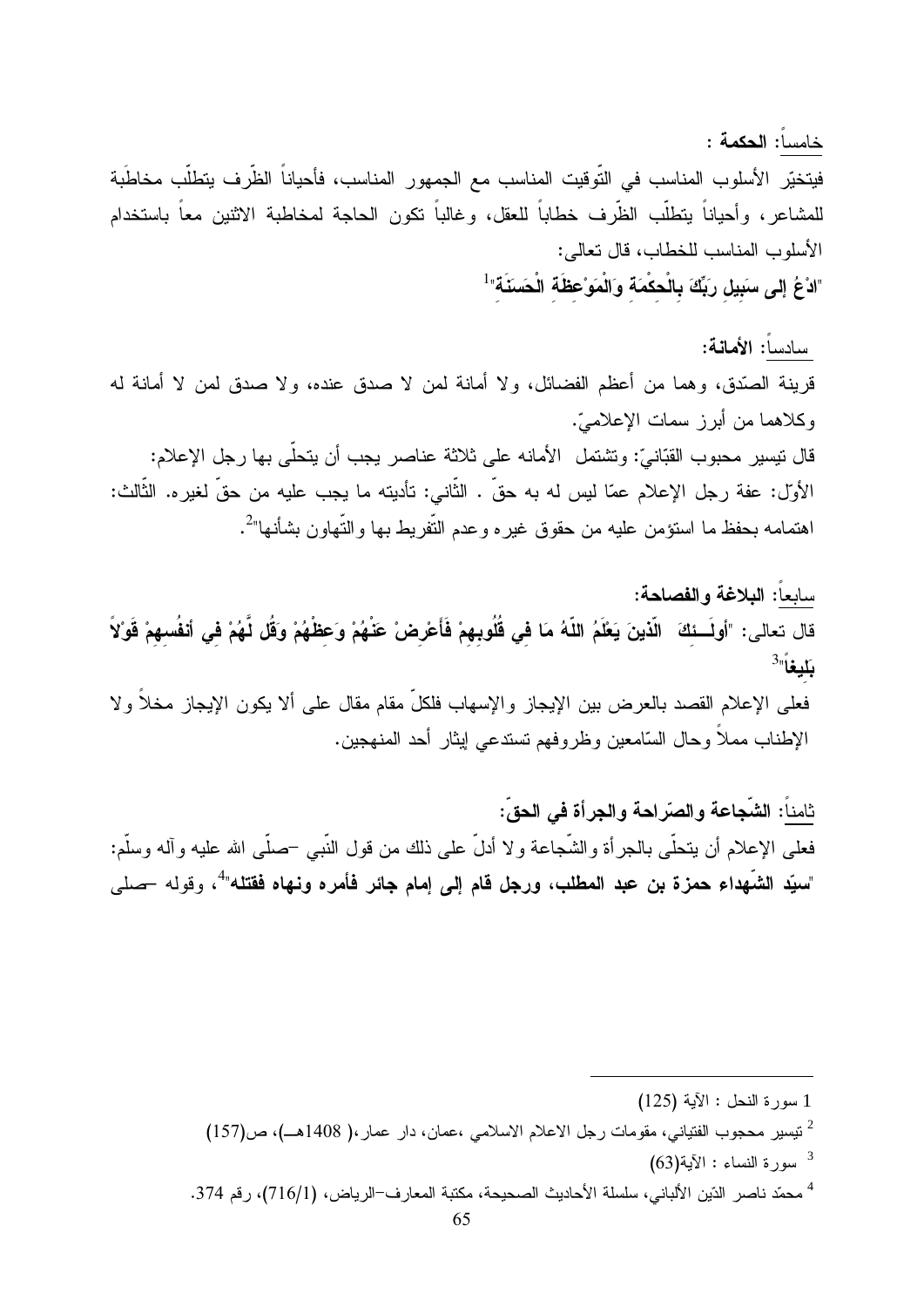خامسا: الحكمة : فيتخيّر الأسلوب المناسب في التّوقيت المناسب مع الجمهور المناسب، فأحياناً الظّرف يتطلّب مخاطَبة للمشاعر، وأحياناً يتطلَّب الظَّرف خطاباً للعقل، وغالباً تكون الحاجة لمخاطبة الاثنين معاً باستخدام الأسلوب المناسب للخطاب، قال تعالى: "ادْعُ إِلى سَبِيلِ رَبِّكَ بِالْحكْمَة وَالْمَوْعِظَة الْحَسَنَة"<sup>1</sup>

سادسا: الأمانية: قرينة الصَّدق، وهما من أعظم الفضائل، ولا أمانة لمن لا صدق عنده، ولا صدق لمن لا أمانة له وكلاهما من أبرز سمات الإعلاميّ. قال نتيسير محبوب القبّانيّ: وتشتمل الأمانه على ثلاثة عناصر يجب أن يتحلّى بها رجل الإعلام: الأول: عفة رجل الإعلام عمّا ليس له به حقّ . الثّاني: تأديته ما يجب عليه من حقّ لغيره. الثّالث: اهتمامه بحفظ ما استؤمن عليه من حقوق غيره وعدم التُّفريط بها والتُّهاون بشأنها"<sup>2</sup>.

سابعاً: البلاغة والفصاحة: قال تعالى: "أولَسنَكَ الّذينَ يَعْلَمُ اللّهُ مَا في قُلُوبهمْ فَأَعْرضْ عَنْهُمْ وَعَظْهُمْ وَقُل لّهُمْ فى أنفُسهمْ قَوْلاً  $^{3}$ بَليغاً فعلى الإعلام القصد بالعرض بين الإيجاز والإسهاب فلكلِّ مقام مقال على ألا يكون الإيجاز مخلاً ولا الإطناب مملاً وحال السَّامعين وظروفهم نستدعى ايثار أحد المنهجين.

ثامناً: الشّجاعة والصّراحة والجِرأة في الحقّ: فعلـى الإعلام أن يتحلَّـى بالـجرأة والشَّـجاعة ولا أدلَّ علـى ذلك من قول النَّبـى –صلَّـى الله عليه وآله وسلَّم: "سبِّد الشَّهداء حمزة بن عبد المطلب، ورجل قام إلى إمام جائر فأمره ونـهاه فقتله"<sup>4</sup>، وقوله حملي

سورة النساء : الآية $(63)^3$ 

<sup>1</sup> سورة النحل : الآية (125)

<sup>&</sup>lt;sup>2</sup> نيسير محجوب الفتياني، مقومات رجل الاعلام الاسلامي ،عمان، دار عمار،( 1408هـ)، ص(157)

<sup>&</sup>lt;sup>4</sup> محمّد ناصر الدّين الألباني، سلسلة الأحاديث الصحيحة، مكتبة المعارف−الرياض، (1/716)، رقم 374.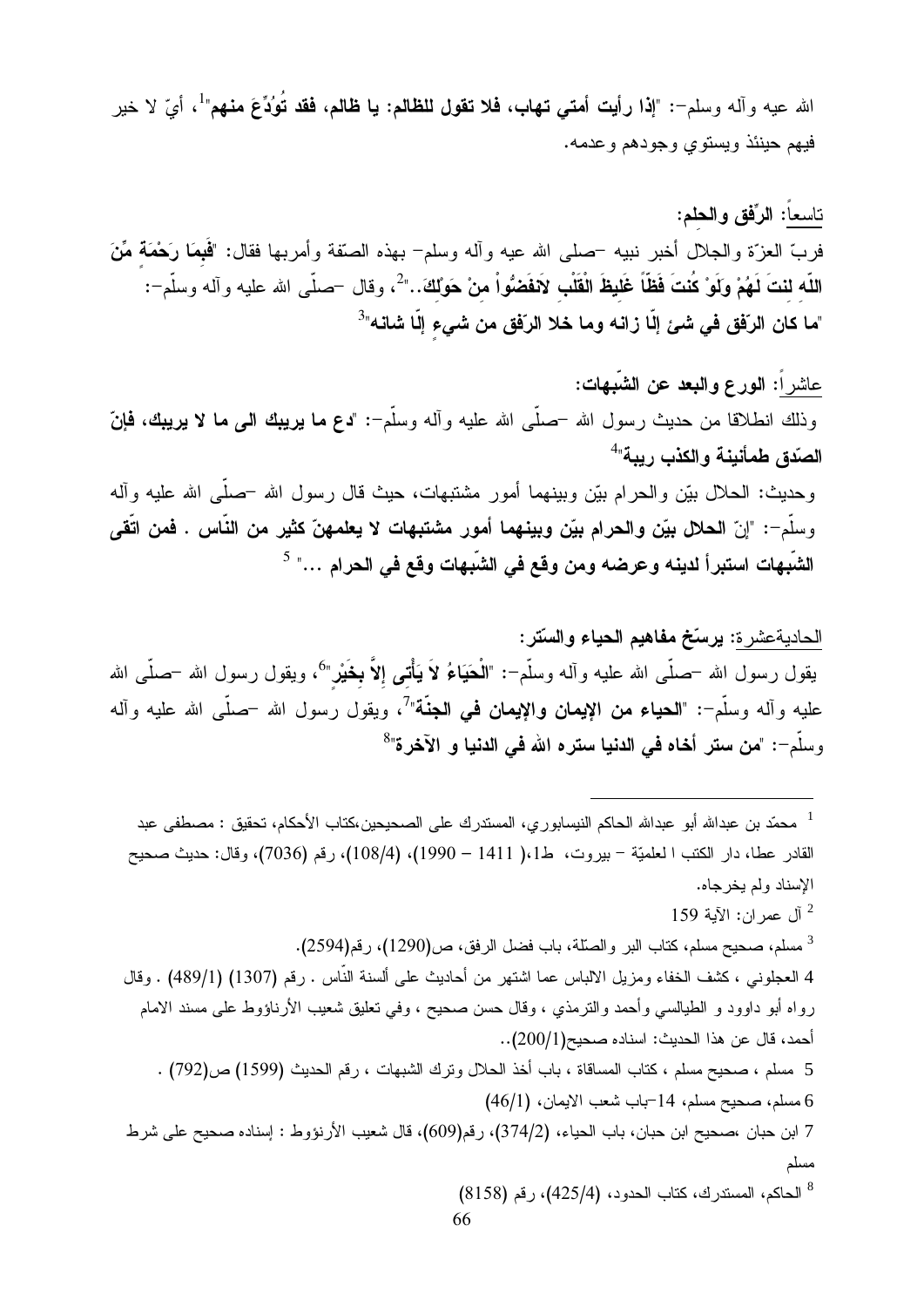الله عيه وآله وسلم–: "إذا رأيت أمتى تهاب، فلا تقول للظالم: يا ظالم، فقد تُوُدِّعَ منهم" ، أيّ لا خير فيهم حينئذ ويستوي وجودهم وعدمه.

ناسعاً: الرَّفق والحلم: فربِّ العزَّة والجلال أخبر نبيه –صلى الله عيه وأله وسلم– بهذه الصَّفة وأمربها فقال: "فَمِمَا رَحْمَةٌ مِّنَ اللّه لنتَ لَهُمْ وَلَوْ كُنتَ فَظَّاً غَليظَ الْقَلْبِ لاَفْفَضُواْ منْ حَوْلكَ.." ُ، وقال –صلّـى الله عليه وآله وسلّم–: "ما كان الرّفق في شئ إلّا زانـه وما خلا الرّفق من شيء إلّا شانـه"<sup>3</sup>

عاشر أ: الورع والبعد عن الشَّبهات: وذلك انطلاقا من حديث رسول الله –صلَّى الله عليه وأله وسلَّم–: "دع ما يريبك الى ما لا يريبك، فإنّ الصّدق طمأنينة والكذب ريبة" وحديث: الحلال بيّن والحرام بيّن وبينهما أمور مشتبهات، حيث قال رسول الله –صلَّى الله عليه وأله وسلَّم–: "إنّ الحلال بيّن والحرام بيّن وبينهما أمور مشتبهات لا يعلمهنّ كثير من النّاس . فمن اتّقى الشّبهات استبرأ لدينه وعرضه ومن وقع في الشّبهات وقع في الحرام …" <sup>5</sup>

الحاديةعشر ة: يرسّخ مفاهيم الحياء والسّتر: يقول رسول الله –صلَّـى الله عليه وألـه وسلَّم–: "**الْحَيَاءُ لاَ يَأْتـى إلاّ بخَيْر**"<sup>6</sup>، ويقول رسول الله –صلَّـى الله عليه وأله وسلَّم–: "**الحياء من الإيمان والإيمان في الجنَّة**"<sup>7</sup>، ويقول رسول الله –صلَّى الله عليه وأله وسلَّم–: "من ستر أخاه في الدنيا ستره الله في الدنيا و الآخرة"<sup>8</sup>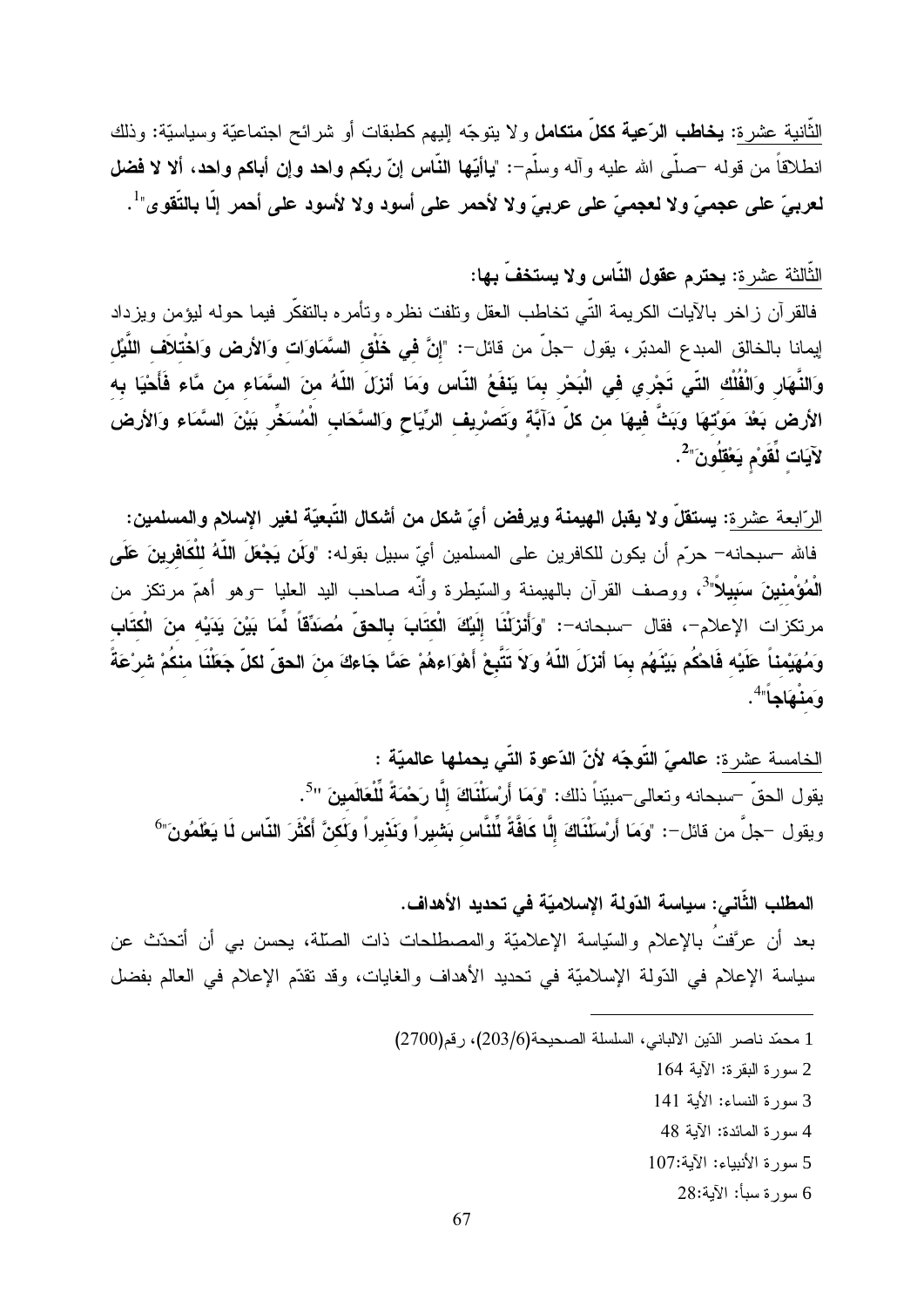الثَّانية عشرة: **يخاطب الرّعية ككلّ متكامل** ولا يتوجّه إليهم كطبقات أو شرائح اجتماعيّة وسياسيّة: وذلك انطلاقاً من قولـه –صلَّـى الله عليه وألـه وسلَّم–: "ياأيُّها النَّـاس إنَّ ربِّكم واهد وإن أبـاكم واهد، ألا لا فمضل لعربيّ على عجميّ ولا لعجميّ على عربيّ ولا لأحمر على أسود ولا لأسود على أحمر إلّا بالتّقوى"<sup>1</sup>.

الثَّالثة عشرة: يحترم عقول النّاس ولا يستخفّ بها:

فالقرآن زاخر بالأيات الكريمة التّي تخاطب العقل ونلفت نظره وتأمره بالتفكّر فيما حوله ليؤمن ويزداد إيمانا بالخالق المبدع المدبّر ، يقول –جلّ من قائل–: "إ**نّ في خَلْق السَّمَاو**َا**ت وَالأرض وَاخْتلاَف اللَّيْل** وَالنَّهَارِ وَالْفُلُك التّى تَجْري فى الْبَحْر بمَا يَنْفَعُ النَّاس وَمَا أنزَلَ اللّهُ منَ السَّمَاء من مَّاء فَأَحْيَا به الأرض بَعْدَ مَوْتَهَا وَبَثَّ فيهَا من كلّ دَآبَّة وتَصَرْيف الرِّيَاح وَالسَّحَابِ الْمُسَخَّرِ بَيْنَ السَّمَاء وَالأرض لآيَات لِمَقَوْم يَعْقَلُونَ" .

الرّ ابعة عشر ة: يستقلّ و لا يقبل الهيمنة ويرفض أيّ شكل من أشكال التّبعيّة لغير الإسلام والمسلمين: فالله –سبحانه– حرّم أن يكون للكافرين على المسلمين أيّ سبيل بقوله: "وكّن يَ**جْعَلَ اللّهُ للْكَافرينَ عَلَى** الْمُؤْمِنينَ سَبِيلاً"<sup>3</sup>، ووصف القرآن بالهيمنة والسّيطرة وأنّه صاحب اليد العليا –وهو أهمّ مرتكز من مرتكزات الإعلام–، فقال –سبحانه–: "وَأَنزَلْنَا إِلَيْكَ الْكتَابَ بِالحقِّ مُصَدِّقّاً لِّمَا بَيْنَ يَدَيْه منَ الْكتَاب وَمُهَيْمناً عَلَيْه فَاحْكُم بَيْنَهُم بِمَا أنزَلَ اللّهُ وَلاَ تَتَّبِعْ أَهْوَاءِهُمْ عَمَّا جَاءكَ منَ الحقّ لكلّ جَعَلْنَا منكُمْ شرْعَةً وَمَنْهَاجاً"<sup>4</sup>.

الخامسة عشرة: عالميّ التّوجّه لأنّ الدّعوة التّي يحملها عالميّة : يقول الحقّ –سبحانه وتعالى–مبيّناً ذلك: "وَمَا أَرْسَلْنَاكَ إِلَّا رَحْمَةً لِّلْعَالَمينَ "<sup>5</sup>. ويقول –جلَّ من قائل–: "وَمَا أَرْسَلْنَاكَ إِلَّا كَافَّةً لِّلْنَّاسِ بَشْيِراً وَنَذِيراً وَلَكِنَّ أَكْثَرَ النّاس لَا يَعْلَمُونَ"<sup>6</sup>

المطلب الثَّاني: سياسة الدّولة الإسلاميّة في تحديد الأهداف. بعد أن عرَّفتُ بالإعلام والسّياسة الإعلاميّة والمصطلحات ذات الصلّة، يحسن بي أن أتحدّث عن سياسة الإعلام في الدّولة الإسلاميّة في تحديد الأهداف والغايات، وقد تقدّم الإعلام في العالم بفضل

- 1 محمّد ناصر الدّين الالباني، السلسلة الصحيحة(203/6)، رقم(2700)
	- 2 سورة البقرة: الآية 164
	- 3 سورة النساء: الأبة 141
	- 4 سورة المائدة: الآية 48
	- 5 سورة الأنبياء: الآية:107
		- 6 سورة سبأ: الآية:28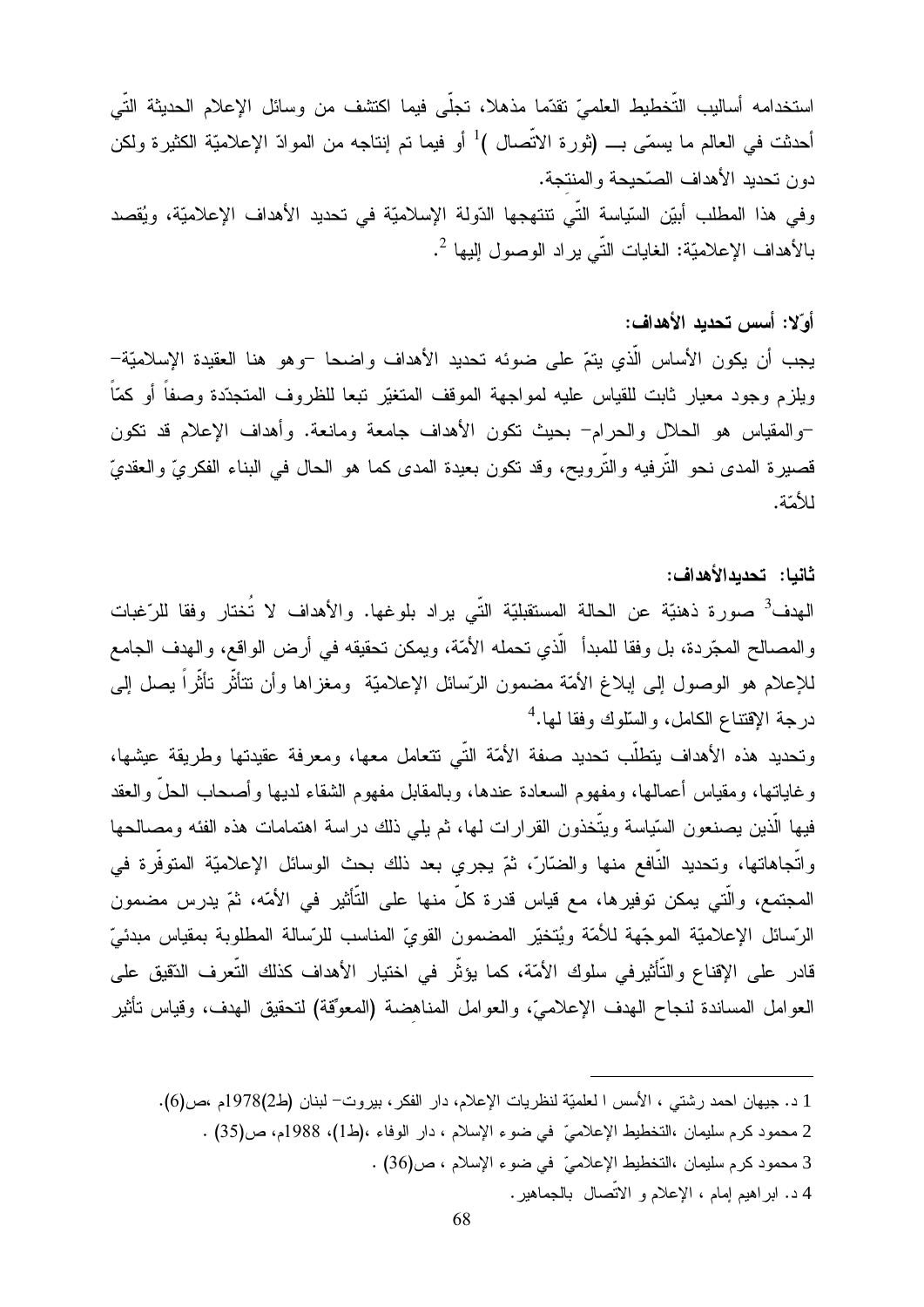استخدامه أساليب التَّخطيط العلميّ نقدّما مذهلا، تجلَّى فيما اكتشف من وسائل الإعلام الحديثة التَّى أحدثت في العالم ما يسمّي بــــ (ثورة الاتّصال )<sup>1</sup> أو فيما تم إنتاجه من الموادّ الإعلاميّة الكثيرة ولكن دون تحديد الأهداف الصّحيحة والمنتجة. وفي هذا المطلب أبيِّن السَّياسة الَّتي تتتهجها الدَّولة الإسلاميَّة في تحديد الأهداف الإعلاميَّة، ويُقصد بالأهداف الإعلاميّة: الغايات النّي يراد الوصول إليها <sup>2</sup>.

### أوّلا: أسس تحديد الأهداف:

يجب أن يكون الأساس الَّذي يتمَّ على ضوئه تحديد الأهداف واضحا –وهو هنا العقيدة الإسلاميَّة– ويلزم وجود معيار ثابت للقياس عليه لمواجهة الموقف المتغيّر تبعا للظروف المتجدّدة وصفاً أو كمّاً –والمقياس هو الحلال والحرام– بحيث نكون الأهداف جامعة ومانعة. وأهداف الإعلام قد نكون قصبيرة المدى نحو النَّرفيه والنَّرويح، وقد نكون بعيدة المدى كما هو الحال في البناء الفكريِّ والعقديّ للأمّة.

#### ثانبا: تحدبدالأهداف:

الهدف<sup>3</sup> صورة ذهنيّة عن الحالة المستقبليّة التّي يراد بلوغها. والأهداف لا تُختار وفقا للرّغبات و المصـالح المجّر دة، بل وفقا للمبدأ الّذي تحمله الأمّة، ويمكن تحقيقه في أرض الواقع، والمهدف الجامع للإعلام هو الوصول إلى إبلاغ الأمّة مضمون الرّسائل الإعلاميّة ومغزاها وأن نتأثّر نأثّراً بصل إلى درجة الإقتناع الكامل، والسلوك وفقا لمها.<sup>4</sup>

وتحديد هذه الأهداف يتطلَّب تحديد صفة الأمَّة التَّبي تتعامل معها، ومعرفة عقيدتها وطريقة عيشها، وغاياتها، ومقياس أعمالها، ومفهوم السعادة عندها، وبالمقابل مفهوم الشقاء لديها وأصحاب الحلَّ والعقد فيها الَّذين يصنعون السَّياسة ويتَّخذون القرارات لمها، ثم يلي ذلك دراسة اهتمامات هذه الفئه ومصالحها واتَّجاهاتها، وتحديد النَّافع منها والضَّارّ، ثمّ يجري بعد ذلك بحث الوسائل الإعلاميّة المتوفَّرة في المجتمع، والَّتى يمكن توفيرها، مع قياس قدرة كلَّ منها على التَّأثير في الأمّه، ثمّ يدرس مضمون الرّسائل الإعلاميّة الموجّهة للأمّة ويُتخيّر المضمون القوىّ المناسب للرّسالة المطلوبة بمقياس مبدئيّ قادر على الإقناع والتَّأثيرفي سلوك الأمّة، كما يؤثّر في اختيار الأهداف كذلك التّعرف الدّقيق على العوامل المساندة لنجاح الهدف الإعلاميّ، والعوامل المناهضة (المعوِّقة) لتحقيق الهدف، وقياس تأثير

1 د. جيهان احمد رشتي ، الأسس ا لعلميّة لنظريات الإعلام، دار الفكر ، بيروت– لبنان (ط2)1978م ،ص(6). 2 محمود كرم سليمان ،التخطيط الإعلاميّ في ضوء الإسلام ، دار الوفاء ،(ط1)، 1988م، ص(35) . 3 محمود كرم سليمان ،التخطيط الإعلاميّ في ضوء الإسلام ، ص(36) . 4 د. ابر اهيم إمام ، الإعلام و الاتصال بالجماهير.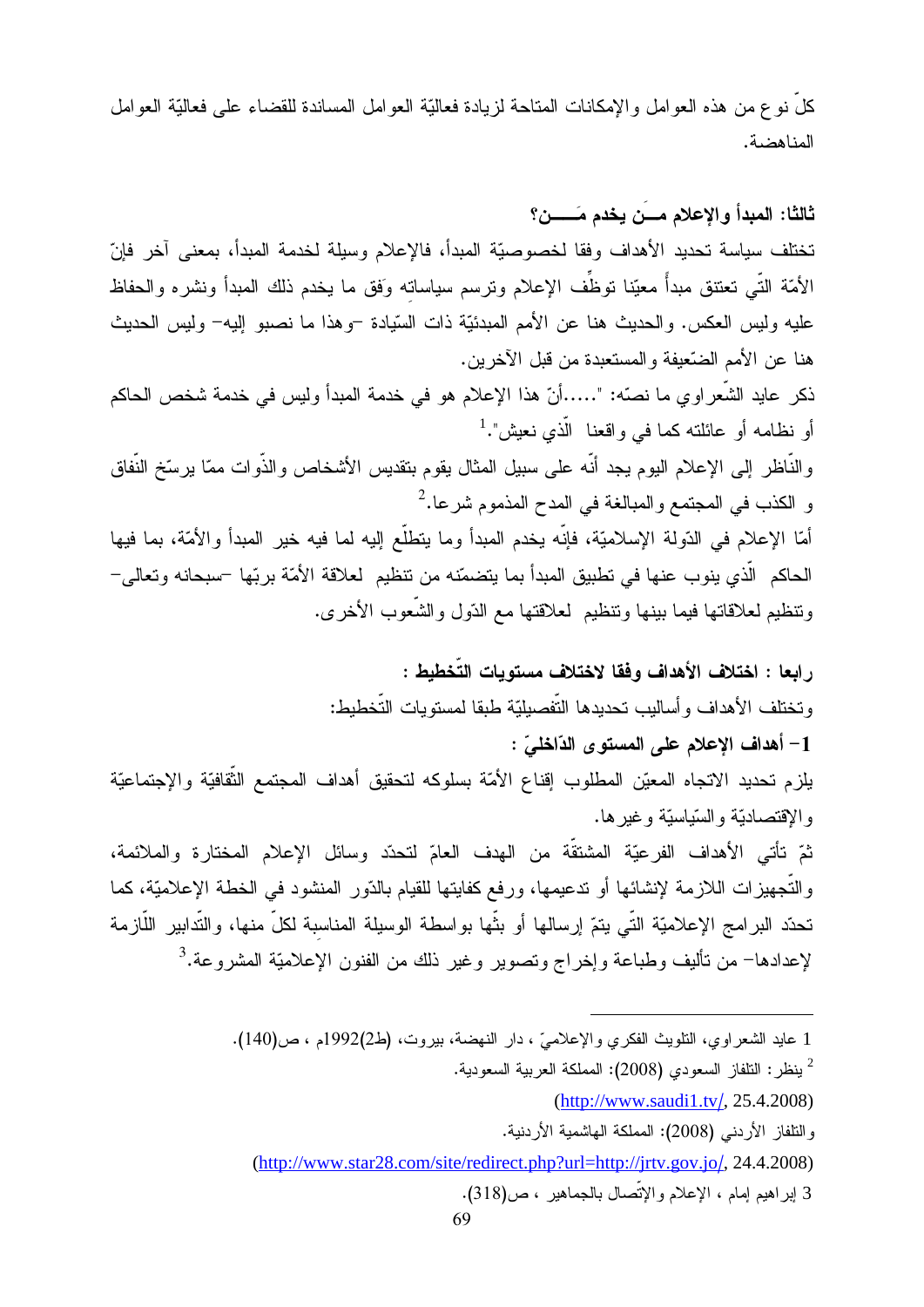كلَّ نوع من هذه العوامل والإمكانات المتاحة لزيادة فعاليَّة العوامل المساندة للقضاء على فعاليَّة العوامل المناهضة.

ثالثًا: المبدأ والإعلام مسن يخدم مَــــــن؟ تختلف سياسة تحديد الأهداف وفقا لخصوصيّة المبدأ، فالإعلام وسيلة لخدمة المبدأ، بمعنى آخر فإنّ الأمّة التّـي تعتنق مبدأً معيّنا توظَّف الإعلام ونرسم سياساته وَفق ما يخدم ذلك المبدأ ونشره والحفاظ عليه وليس العكس. والحديث هنا عن الأمم المبدئيّة ذات السّيادة –وهذا ما نصبو ٳليه– وليس الحديث هنا عن الأمم الضّعيفة والمستعبدة من قبل الآخرين.

ذكر عايد الشَّعراوي ما نصَّه: "……أنّ هذا الإعلام هو في خدمة المبدأ وليس في خدمة شخص الحاكم أو نظامه أو عائلته كما في واقعنا الّذي نعيش".<sup>1</sup>

والنَّاظر إلى الإعلام اليوم يجد أنَّه على سبيل المثال يقوم بتقديس الأشخاص والذَّوات ممَّا يرسِّخ النَّفاق و الكذب في المجتمع والمبالغة في المدح المذموم شرعا.<sup>2</sup>

أمّا الإعلام في الدّولة الإسلاميّة، فإنّه يخدم المبدأ وما يتطلّع إليه لما فيه خير المبدأ والأمّة، بما فيها الحاكم الَّذي ينوب عنها في تطبيق المبدأ بما يتضمّنه من نتظيم لعلاقة الأمّة بربّها –سبحانه وتعالى– وتنظيم لعلاقاتها فيما ببنها وتنظيم لعلاقتها مع الدّول والشّعوب الأخرى.

ر ابعا : اختلاف الأهداف وفقا لاختلاف مستويات التّخطيط : وتختلف الأهداف وأساليب تحديدها التّفصيليّة طبقا لمستويات التّخطيط: 1- أهداف الإعلام على المستوى الدّاخليّ : يلزم تحديد الاتجاه المعيّن المطلوب إقناع الأمّة بسلوكه لتحقيق أهداف المجتمع الثّقافيّة والإجتماعيّة والإقتصاديّة والسّياسيّة وغيرها. ثمّ تأتـى الأهداف الفرعيّة المشتقّة من الـهدف الـعامّ لتحدّد وسائل الإعلام المختارة والملائمة، والتَّجهيزات اللازمة لإنشائها أو ندعيمها، ورفع كفايتها للقيام بالدّور المنشود في الخطة الإعلاميّة، كما تحدّد البرامج الإعلاميّة التّي يتمّ إرسالها أو بثّها بواسطة الوسيلة المناسبة لكلّ منها، والتّدابير اللّازمة لإعدادها– من تأليف وطباعة وإخراج وتصوير وغير ذلك من الفنون الإعلاميّة المشروعة.<sup>3</sup>

<sup>1</sup> عايد الشعراوي، النلويث الفكري والإعلاميّ ، دار النهضة، بيروت، (ط2)1992م ، ص(140).

ينظر : النلفاز السعودي (2008): المملكة العربية السعودية.  $^2$ 

 $(http://www.saudi1.tv/, 25.4.2008)$ 

و التلفاز الأر دني (2008): المملكة الهاشمية الأر دنية.

<sup>(</sup>http://www.star28.com/site/redirect.php?url=http://jrtv.gov.jo/, 24.4.2008)

<sup>3</sup> إبراهيم إمام ، الإعلام والإتّصال بالجماهير ، ص(318).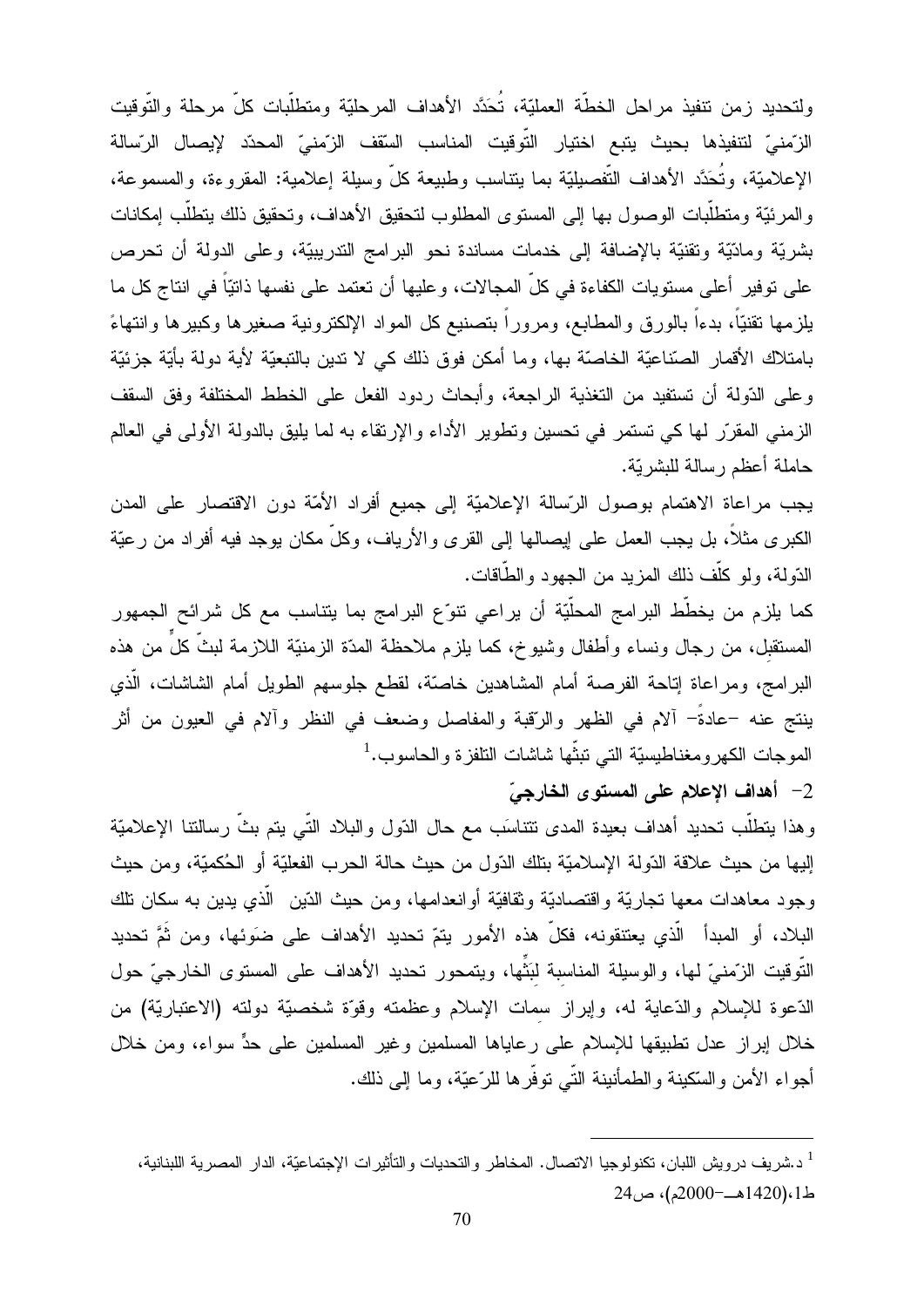ولتحديد زمن نتفيذ مراحل الخطّة العمليّة، تُحَدَّد الأهداف المرحليّة ومتطلّبات كلّ مرحلة والتّوقيت الزِّمنيّ لتتفيذها بحيث يتبع اختيار التَّوقيت المناسب السّقف الزِّمنيّ المحدّد لإيصال الرِّسالة الإعلاميّة، وتُحَدَّد الأهداف النَّفصيليّة بما ينتاسب وطبيعة كلَّ وسيلة إعلامية: المقروءة، والمسموعة، والمرئيّة ومنطلّبات الوصول بها إلىي المستوى المطلوب لتحقيق الأهداف، وتحقيق ذلك يتطلّب إمكانات بشريَّة ومادِّيَّة وتقنيَّة بالإضافة إلى خدمات مساندة نحو البرامج الندريبيَّة، وعلى الدولة أن تحرص على نوفير أعلى مستويات الكفاءة في كلِّ المجالات، وعليها أن نعتمد على نفسها ذاتيّاً في انتاج كل ما يلزمها نقنيّاً، بدءاً بالورق والمطابع، ومروراً بتصنيع كل المواد الإلكترونية صغيرها وكبيرها وانتهاءً بامتلاك الأقمار الصّناعيّة الخاصنّة بها، وما أمكن فوق ذلك كي لا ندين بالتبعيّة لأية دولة بأيّة جزئيّة وعلى الدّولة أن تستفيد من التغذية الراجعة، وأبحاث ردود الفعل على الخطط المختلفة وفق السقف الزمني المقرّر لها كي تستمر في تحسين وتطوير الأداء والإرتقاء به لما يليق بالدولة الأولى في العالم حاملة أعظم ر سالة للبشر يّة.

يجب مراعاة الاهتمام بوصول الرّسالة الإعلاميّة إلى جميع أفراد الأمّة دون الاقتصار على المدن الكبرى مثلاً، بل يجب العمل على إيصالها إلى القرى والأرياف، وكلَّ مكان يوجد فيه أفراد من رعيّة الدّولة، ولو كلّف ذلك المزيد من الجهود والطّاقات.

كما يلزم من يخطِّط البرامج المحلَّيّة أن يراعى نتوِّع البرامج بما يتناسب مع كل شرائح الجمهور المستقبل، من رجال ونساء وأطفال وشيوخ، كما يلزم ملاحظة المدّة الزمنيّة اللازمة لبثّ كلٍّ من هذه البرامج، ومراعاة إناحة الفرصة أمام المشاهدين خاصّة، لقطع جلوسهم الطويل أمام الشاشات، الّذي ينتج عنه –عادةً– ألام في الظهر والرّقبة والمفاصل وضعف في النظر وألام في العيون من أثر المو جات الكهر و مغناطيسيّة التي تبثّها شاشات التلفز ة و الحاسو ب.<sup>1</sup>

2- أهداف الإعلام على المستوى الخارجيّ

وهذا يتطلَّب تحديد أهداف بعيدة المدى نتناسَب مع حال الدّول والبلاد التَّبي يتم بثَّ رسالتنا الإعلاميّة إليها من حيث علاقة الدّولة الإسلاميّة بتلك الدّول من حيث حالة الحرب الفعليّة أو الحُكميّة، ومن حيث وجود معاهدات معها تجاريّة واقتصاديّة وثقافيّة أوانعدامها، ومن حيث الدّين ۖ الّذي يدين به سكان تلك البلاد، أو المبدأ الّذي يعتنقونه، فكلّ هذه الأمور يتمّ تحديد الأهداف على ضوَئها، ومن ثُمَّ تحديد النَّوفيت الزَّمنيّ لمها، والوسيلة المناسبة لبَثِّها، ويتمحور تحديد الأهداف على المستوى الخارجيّ حول الدّعوة للإسلام والدّعاية له، وإبراز سمات الإسلام وعظمته وقوّة شخصيّة دولته (الاعتباريّة) من خلال إبراز عدل تطبيقها للإسلام على رعاياها المسلمين وغير المسلمين على حدٍّ سواء، ومن خلال أجواء الأمن والسَّكينة والطمأنينة التَّـى توفَّرها للرَّعيَّة، وما إلى ذلك.

<sup>&</sup>lt;sup>1</sup> د.شر يف در ويش اللبان، تكنولوجيا الاتصال. المخاطر والتحديات والتأثير ات الإجتماعيّة، الدار المصر ية اللبنانية، ط1،(1420هــ-2000م)، ص24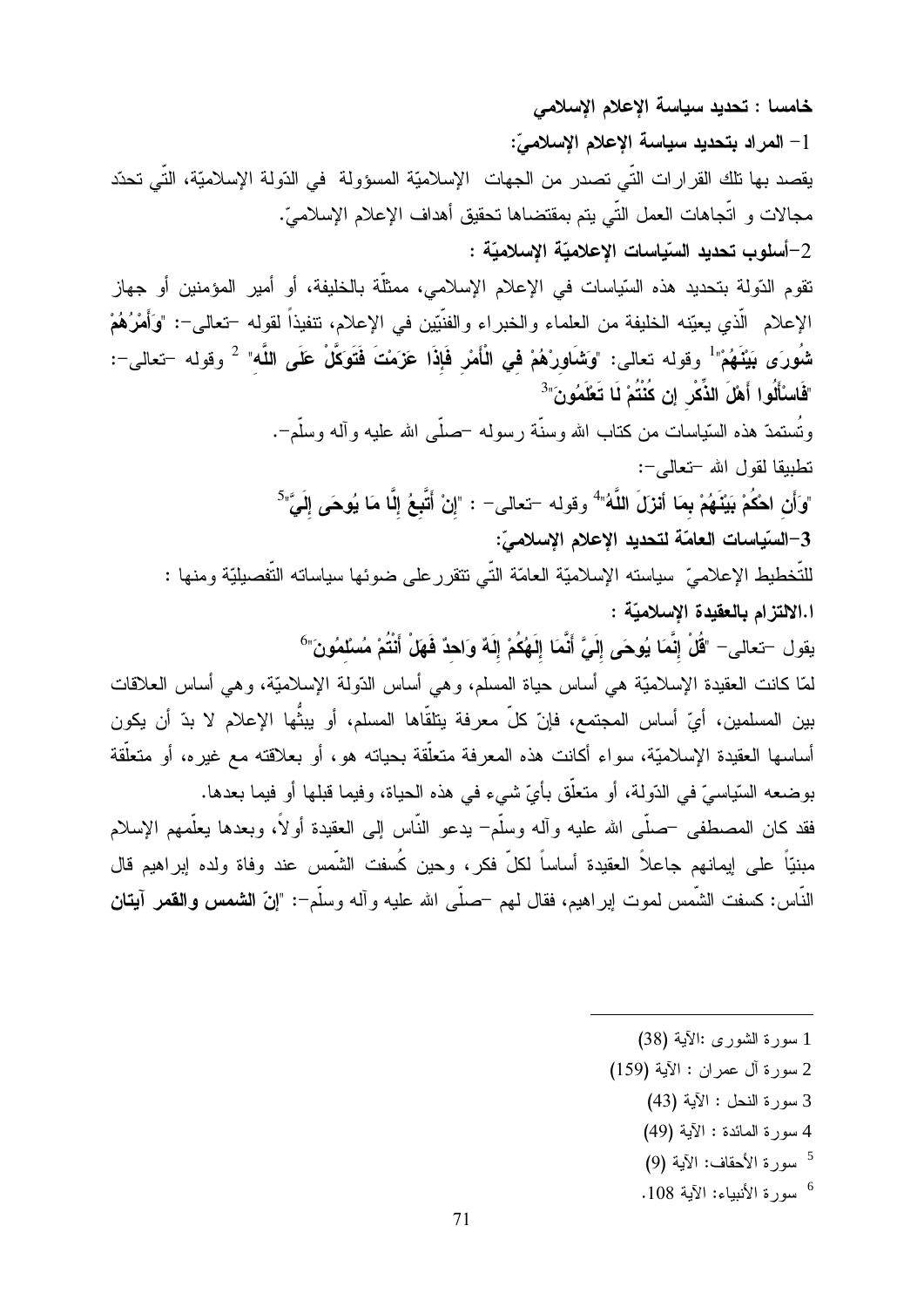خامسا : تحديد سياسة الإعلام الإسلامي 1– المراد بتحديد سياسة الإعلام الإسلاميّ: يقصد بها تلك القرار ات النِّي تصدر من الجهات الإسلاميَّة المسؤولة في الدّولة الإسلاميَّة، النِّي تحدّد مجالات و اتَّجاهات العمل التَّـى يتم بمقتضاها تحقيق أهداف الإعلام الإسلامـيّ. 2–أسلوب تحديد السّياسات الإعلاميّة الإسلاميّة : تقوم الدّولة بتحديد هذه السّياسات في الإعلام الإسلامي، ممثلّة بالخليفة، أو أمير المؤمنين أو جهاز الإعلام الَّذي يعيّنه الخليفة من العلماء والخبراء والفنَّيّين في الإعلام، نتفيذاً لقوله –تعالى–: "وَأَمْرُهُمْ شُورَى بَيْنَهُمْ" وقوله تعالى: "وَشَاوِرْهُمْ في الْأَمْرِ فَإِذَا عَزَمْتَ فَتَوَكَّلْ عَلَى اللَّه" <sup>2</sup> وقوله –تعالى–: "فَاسْأَلُوا أَهْلَ الذِّكْرِ إِن كُنْتُمْ لَا تَعْلَمُونَ"<sup>3</sup> وتُستمدّ هذه السّياسات من كناب الله وسنّة رسوله –صلّى الله عليه وآله وسلّم–. نطيبقا لقول الله -تعالى-: "وَأَن اهْكُمْ بَيْنَهُمْ بِمَا أَنْزَلَ اللَّهُ" وقوله –تعالى– : "إِنْ أَتَّبِعُ إِلَّا مَا يُوهَى إِلَيَّ"<sup>5</sup> 3–السّياسات العامّة لتحديد الإعلام الإسلاميّ: للتَّخطيط الإعلاميّ سياسته الإسلاميّة العامّة التّي نتقرر على ضوئها سياساته التَّفصيليّة ومنها : ا.الالتزام بالعقيدة الإسلاميّة : يقول –تعالى– "قُلْ إِنَّمَا يُوحَى إِلَيَّ أَنَّمَا إِلَهُكُمْ إِلَهٌ وَاحِدٌ فَهَلْ أَنْتُمْ مُسْلَمُونَ"<sup>6</sup> لمَّا كانت العقيدة الإسلاميَّة هي أساس حياة المسلم، وهي أساس الدّولة الإسلاميَّة، وهي أساس الـعلاقات بين المسلمين، أيّ أساس المجتمع، فإنّ كلّ معرفة يتلقّاها المسلم، أو يبثِّها الإعلام لا بدّ أن يكون أساسها العقيدة الإسلاميّة، سواء أكانت هذه المعرفة متعلّقة بحياته هو ، أو بعلاقته مع غير ه، أو متعلّقة بوضعه السّياسيّ في الدّولة، أو متعلّق بأيّ شيء في هذه الحياة، وفيما قبلها أو فيما بعدها. فقد كان المصطفى –صلَّى الله عليه وأله وسلَّم– يدعو النَّاس إلى العقيدة أولاً، وبعدها يعلَّمهم الإسلام مبنيّاً على إيمانهم جاعلاً العقيدة أساساً لكلّ فكر، وحين كُسفت الشَّمس عند وفاة ولده إبراهيم قال النَّاس: كسفت الشَّمس لموت اٍبر اهيم، فقال لمهم حصلٌى الله عليه وآله وسلَّم−: "إنّ **الشمس والقم**ر آ**يتان** 

- 1 سورة الشورى :الآية (38)
- 2 سورة آل عمران : الآية (159)
	- 3 سورة النحل : الآية (43)
	- 4 سورة المائدة : الآية (49)
	- <sup>5</sup> سورة الأحقاف: الآية (9)
	- <sup>6</sup> سورة الأنبياء: الآية 108.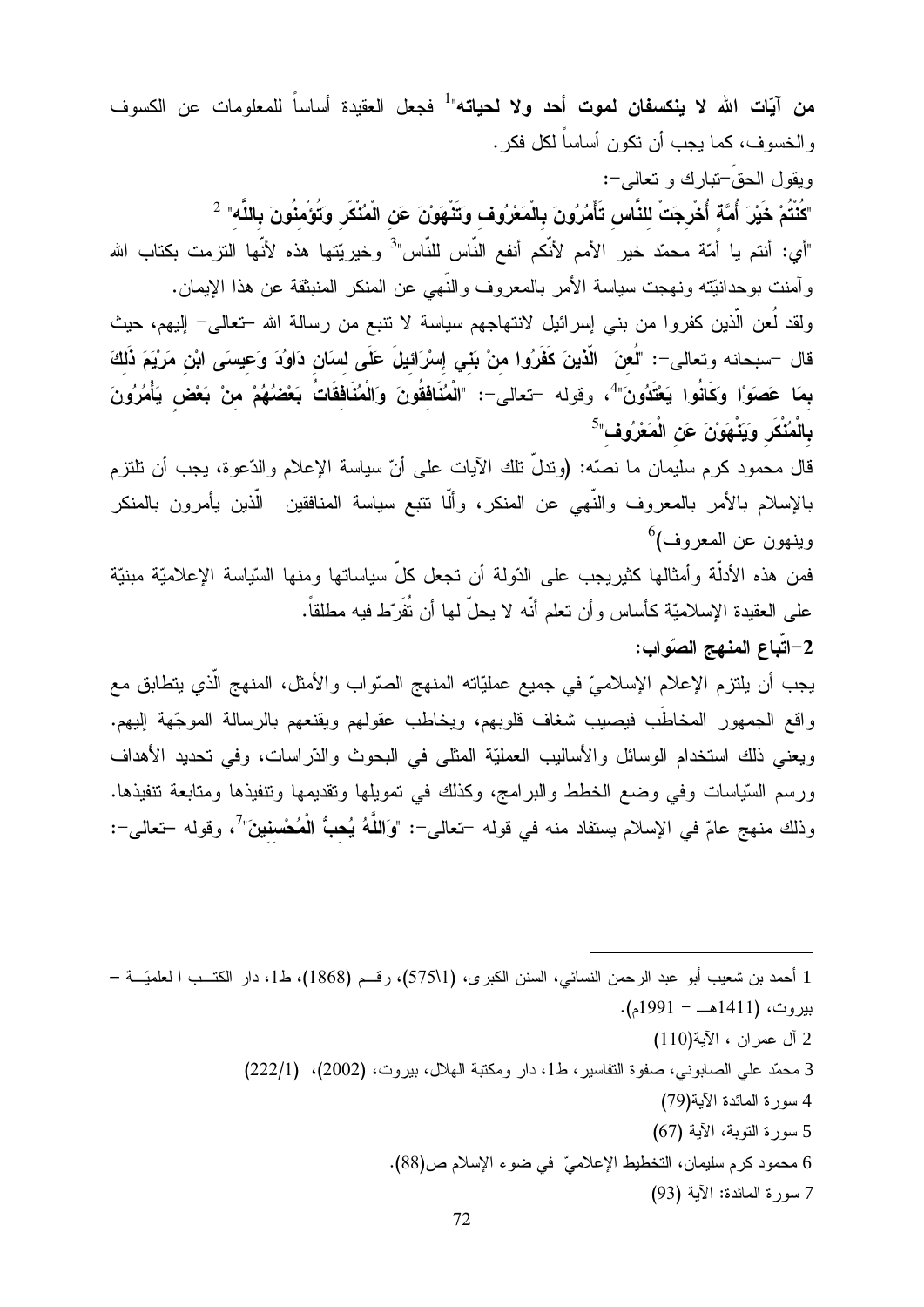**من آيّات الله لا ينكسفان لموت أحد ولا لحياته"<sup>1</sup> فجعل العقيدة أساساً للمعلومات عن الكسوف** والخسوف، كما يجب أن نكون أساساً لكل فكر .

ويقول الحقّ تبارك و تعالى-: "كُنْتُمْ خَيْرَ أُمَّة أُخْرِجَتْ للنَّاس تَأْمُرُونَ بِالْمَعْرُوف وتَنْهَوَنْ عَن الْمُنْكَر وَتُوْمِنُونَ بِاللَّه"  $^2$ "أي: أنتم يا أمّة محمّد خير الأمم لأنّكم أنفع النّاس للنّاس"<sup>3</sup> وخيريّتها هذه لأنّها التزمت بكتاب الله وآمنت بوحدانيّته ونهجت سياسة الأمر بالمعروف والنّهى عن المنكر المنبثقة عن هذا الإيمان. ولقد لَعن الَّذين كفروا من بنـى إسرائيل لانتهاجهم سياسة لا نتبـع من رسالـة الله –تـعالـى– الِيبهم، حيث قال –سبحانه وتعالى–: "لُعِنَ ۖ الَّذينَ كَفَرُوا مِنْ بَنِي إِسْرَائِيلَ عَلَى لِسَانِ دَاوُدَ وَعِيسَى ابْنِ مَرْيَمَ ذَلِكَ بمَا عَصَوَا وَكَانُوا يَعْتَدُونَ" وقوله –تعالى–: "الْمُنَافِقُونَ وَالْمُنَافِقَاتُ بَعْضُهُمْ مِنْ بَعْض يَأْمُرُونَ بِالْمُنْكَرِ وَيَنْهَوْنَ عَنِ الْمَعْرُوفِ"<sup>5</sup>

قال محمود كرم سليمان ما نصّه: (وندلُّ نلك الآيات على أنّ سياسة الإعلام والدّعوة، يجب أن نلتزم بالإسلام بالأمر بالمعروف والنّهي عن المنكر، وألّا نتبع سياسة المنافقين الّذين يأمرون بالمنكر وينهون عن المعروف)<sup>6</sup>

فمن هذه الأدلَّة وأمثالها كثيريجب على الدّولة أن تجعل كلَّ سياساتها ومنها السّياسة الإعلاميّة مبنيّة على العقيدة الإسلاميّة كأساس وأن تعلم أنّه لا يحلّ لها أن تُفَرّط فيه مطلقاً.

2-اتّباع المنهج الصّواب:

يجب أن يلتزم الإعلام الإسلاميّ في جميع عمليّاته المنهج الصّواب والأمثل، المنهج الّذي يتطابق مع واقع الجمهور المخاطَب فيصيب شغاف قلوبهم، ويخاطب عقولهم ويقنعهم بالرسالة الموجّهة إليهم. ويعني ذلك استخدام الوسائل والأساليب العمليّة المثلي في البحوث والدّراسات، وفي تحديد الأهداف ورسم السّياسات وفي وضع الخطط والبر امج، وكذلك في تمويلها ونقديمها وتتفيذها ومتابعة نتفيذها. وذلك منهج عامّ في الإسلام يستفاد منه في قوله –تعالى–: "وَاللَّهُ يُ**حبُّ الْمُحْسنينَ"** ، وقوله –تعالى–:

1 أحمد بن شعيب أبو عبد الرحمن النسائي، السنن الكبرى، (1\575)، رقــم (1868)، ط1، دار الكتــب ا لعلميّـــة – بيروت، (1411هــ - 1991م). 2 آل عمر ان ، الآية(110) 3 محمّد على الصابوني، صفوة التفاسير ، ط1، دار ومكتبة الهلال، بيروت، (2002)، (222/1) 4 سورة المائدة الآية(79) 5 سورة التوبة، الآية (67) 6 محمود كرم سليمان، التخطيط الإعلاميّ في ضوء الإسلام ص(88). 7 سورة المائدة: الآية (93)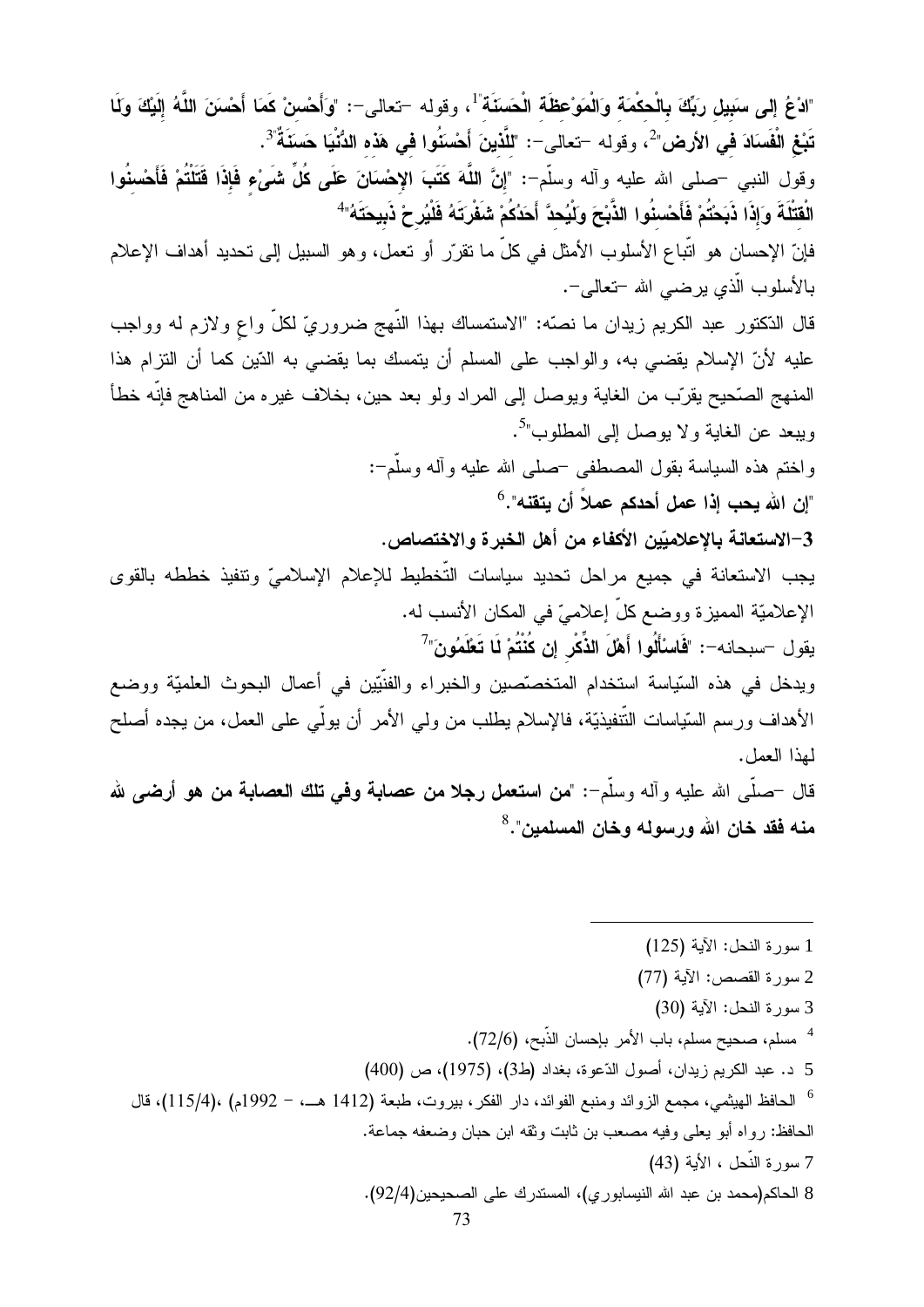"ادْعُ إِلى سَبِيل رَبِّكَ بِالْحكْمَة وَالْمَوْعِظَة الْحَسَنَة"، وقوله –تعالى–: "وَأَحْسِنْ كَمَا أَحْسَنَ اللَّهُ إِلَيْكَ وَلَا تَبْغِ الْفَسَادَ في الأرض" ، وقوله –تعالى–: "للَّذينَ أَحْسَنُوا في هَذه الدُّنْيَا حَسَنَةٌ ۚ 3. وقول النبي –صلى الله عليه وأله وسلَّم–: "إنَّ اللَّهَ كَتَبَ الإِحْسَانَ عَلَى كُلِّ شَيْءٍ فَإِذَا قَتَلْتُمْ فَأَحْسنُوا الْقَتْلَةَ وَإِذَا ذَبَحْتُمْ فَأَحْسِنُوا الذَّبْحَ وَلْيُحدَّ أَحَدُكُمْ شَفْرِتَهُ فَلْيُرِحْ ذَبِيحَتَهُ" فإنّ الإحسان هو اتّباع الأسلوب الأمثل في كلّ ما تقرّر أو تعمل، وهو السبيل إلى تحديد أهداف الإعلام بـالأسلوب الّذي يرضبي الله –تعالمي–. قال الدّكتور عبد الكريم زيدان ما نصّه: "الاستمساك بهذا النّهج ضروريّ لكلّ واع ولازم له وواجب عليه لأنّ الإسلام يقضي به، والواجب على المسلم أن يتمسك بما يقضي به الدّين كما أن النزرام هذا المنهج الصَّحيح يقرَّب من الغاية ويوصل إلى المراد ولو بعد حين، بخلاف غير ه من المناهج فإنَّه خطأ ويبعد عن الغاية ولا يوصل إلى المطلوب"<sup>5</sup>. واختم هذه السياسة بقول المصطفى حصلى الله عليه وأله وسلَّم−: "إن الله يحب إذا عمل أحدكم عملاً أن يتقنه".<sup>6</sup> 3–الاستعانة بالإعلاميّين الأكفاء من أهل الخبرة والاختصاص. يجب الاستعانة في جميع مراحل تحديد سياسات التّخطيط للإعلام الإسلاميّ وتتفيذ خططه بالقوى الإعلاميّة المميزة ووضع كلّ إعلاميّ في المكان الأنسب له. يقول –سبحانه–: "فَاسْأَلُوا أَهْلَ الذِّكْرِ إن كُنْتُمْ لَا تَعْلَمُونَ" ويدخل في هذه السّياسة استخدام المتخصّصين والخبراء والفنّيّين في أعمال البحوث العلميّة ووضع الأهداف ورسم السّياسات النّنفيذيّة، فالإسلام يطلب من ولي الأمر أن يولّي على العمل، من يجده أصلح لمذا العمل. قال حملَّمي الله عليه وآله وسلَّم=: "من استعمل رجلا من عصابة وفي تلك العصابة من هو أرضي لله منه فقد خان الله ورسوله وخان المسلمين".<sup>8</sup>

1 سورة النحل: الآية (125) 2 سورة القصص: الآية (77) 3 سورة النحل: الآية (30) <sup>4</sup> مسلم، صحيح مسلم، باب الأمر بإحسان الذّبح، (72/6). 5 د. عبد الكريم زيدان، أصول الدّعوة، بغداد (ط3)، (1975)، ص (400) <sup>6</sup> الحافظ الهيثمي، مجمع الزوائد ومنبع الفوائد، دار الفكر ، بيروت، طبعة (1412 هـــ، – 1992م) ،(115/4)، قال الحافظ: ر و اه أبو يعلي وفيه مصعب بن ثابت وثقه ابن حبان وضعفه جماعة. 7 سورة النَّحل ، الأية (43) 8 الحاكم(محمد بن عبد الله النيسابوري)، المستدرك على الصحيحين(92/4).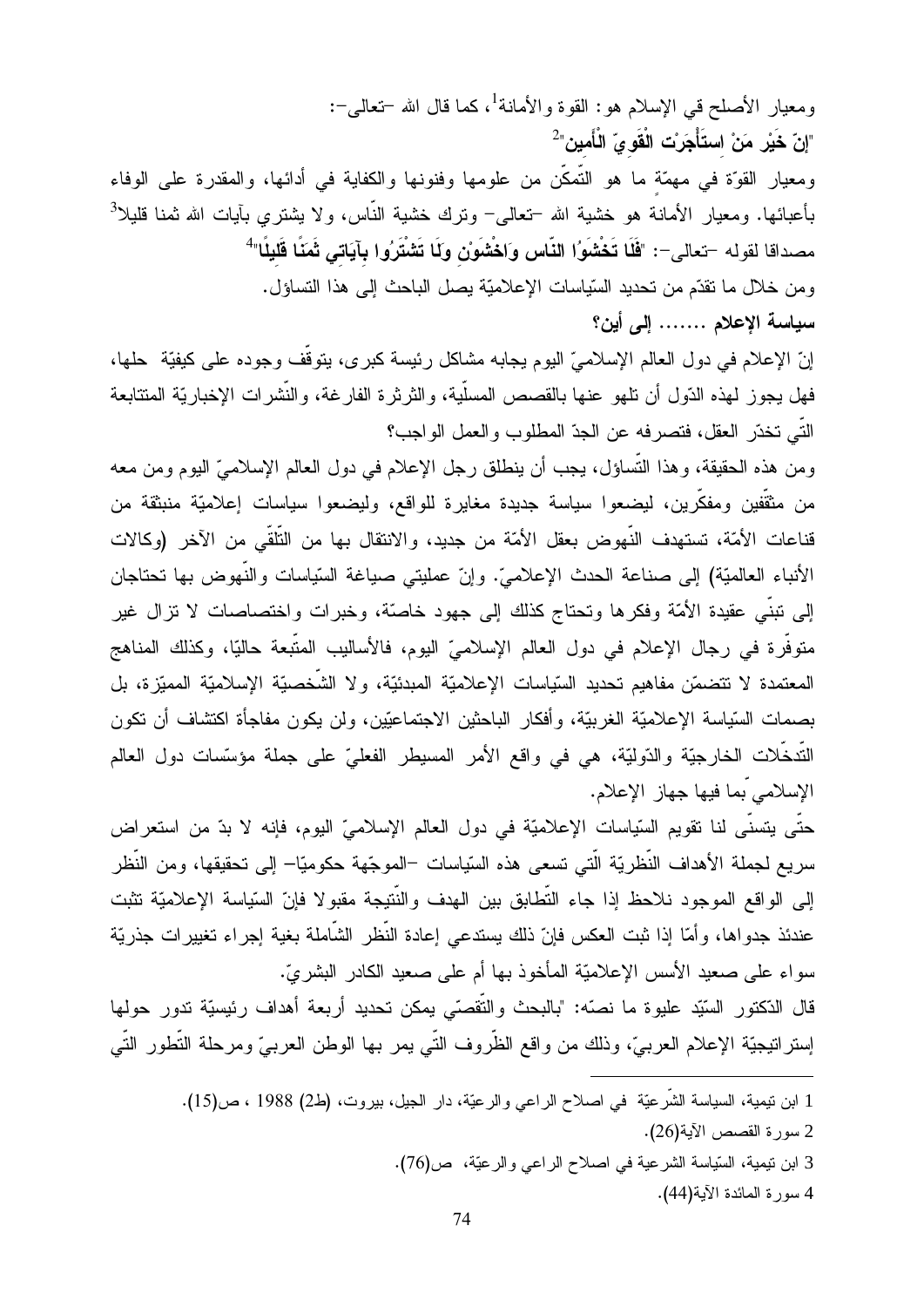ومعيار الأصلح في الإسلام هو: القوة والأمانة<sup>1</sup>، كما قال الله –تعالى–:  $^2$ "إنّ خَيْر مَنْ استَأْجَرِنْت الْقَو يّ الْأَمين" رمعيار القوّة في مهمّة ما هو التمكن من علومها وفنونها والكفاية في أدائها، والمقدرة على الوفاء .<br>بأعبائها. ومعيار الأمانة هو خشية الله –تعالى– ونرك خشية النّاس، ولا يشترى بأيات الله ثمنا قليلا<sup>3</sup> مصداقا لقوله –تعالى–: "فَلَا تَخْشَوُا النّاس وَاخْشَوْن ولَا تَشْتَرُوا بِآيَاتى ثَمَنًا قَليلًا" رمن خلال ما نقدّم من تحديد السّياسات الإعلاميّة يصل الباحث إلى هذا التساؤل. سياسة الإعلام ....... إلى أين؟

إنّ الإعلام في دول العالم الإسلاميّ اليوم يجابه مشاكل رئيسة كبر ي، يتوقف وجوده على كيفيّة حلها، فهل يجوز لمهذه الدّول أن نلـهو عنـها بالقصص المسلية، والثرثرة الفارغة، والنشرات الإخباريّة المنتابعة التَّـى تخدَّر العقل، فتصرفه عن الجدّ المطلوب والعمل الواجب؟

رمن هذه الحقيقة، وهذا التساؤل، يجب أن ينطلق رجل الإعلام في دول العالم الإسلاميّ اليوم ومن معه من مثقفين ومفكَّرين، ليضعوا سياسة جديدة مغايرة للواقع، وليضعوا سياسات إعلاميّة منبثقة من قناعات الأمّة، تستهدف النّهوض بعقل الأمّة من جديد، والانتقال بها من التلقي من الآخر (وكالات الأنباء العالميّة) إلى صناعة الحدث الإعلاميّ. وإنّ عمليتي صياغة السّياسات والنّهوض بها تحتاجان إلى نبني عقيدة الأمّة وفكرها ونحتاج كذلك إلى جهود خاصّة، وخبرات واختصاصات لا نزال غير متوفَّرة في رجال الإعلام في دول العالم الإسلاميّ اليوم، فالأساليب المتَّبعة حاليًا، وكذلك المناهج المعتمدة لا نتضمّن مفاهيم تحديد السّياسات الإعلاميّة المبدئيّة، ولا الشّخصيّة الإسلاميّة المميّزة، بل حسمات السّياسة الإعلاميّة الغربيّة، وأفكار الباحثين الاجتماعيّين، ولن يكون مفاجأة اكتشاف أن تكون التدخلات الخارجيَّة والدّوليَّة، هي في واقع الأمر المسيطر الفعليّ علي جملة مؤسَّسات دول العالم الإسلامي ّبما فيها جهاز الإعلام.

حتَّى يتسنَّى لنا تقويم السَّياسات الإعلاميَّة في دول العالم الإسلاميِّ اليوم، فإنه لا بدَّ من استعراض سريع لجملة الأهداف النُّظريَّة الَّتبي تسعى هذه السّياسات –الموجّهة حكوميّا– إلى تحقيقها، ومن النُّظر إلى الواقع الموجود نلاحظ إذا جاء التطابق بين الهدف والنتيجة مقبولا فإنّ السّياسة الإعلاميّة تثبت عندئذ جدواها، وأمّا إذا ثبت العكس فإنّ ذلك يستدعى إعادة النّظر الشّاملة بغية إجراء تغييرات جذريّة سواء على صعيد الأسس الإعلاميّة المأخوذ بها أم على صعيد الكادر البشريّ.

قال الدّكتور السَّيّد عليوة ما نصَّه: "بالبحث والتقصّي يمكن نحديد أربعة أهداف رئيسيّة ندور حولها إستر انيجيّة الإعلام العربيّ، وذلك من واقع الظّروف التّي يمر بها الوطن العربـيّ ومرحلة التّطور التّي

> —<br>اصلاح الراعي والرعيّة، دار الجيل، بيروت، (ط2) 1988 ، ص(15).  $\frac{1}{2}$   $\frac{1}{2}$   $\frac{1}{2}$   $\frac{1}{2}$   $\frac{1}{2}$   $\frac{1}{2}$   $\frac{1}{2}$   $\frac{1}{2}$   $\frac{1}{2}$   $\frac{1}{2}$   $\frac{1}{2}$   $\frac{1}{2}$   $\frac{1}{2}$   $\frac{1}{2}$   $\frac{1}{2}$   $\frac{1}{2}$   $\frac{1}{2}$   $\frac{1}{2}$   $\frac{1}{2}$   $\frac{1}{2}$   $\frac{1}{2}$   $\frac{1}{2}$   $\sqrt{1}$ 1 ابن نيميه، السياسه الشرعيـ<br>2 سورة القصص الآية(26).<br>2 استقبال تباية الث

> > -

 $\frac{1}{2}$ الرعيّة، ص<mark>(</mark>76). 3 ابن نيمية، السّياسة الشرعية في اصلاح ال

N-

<u>.</u>

 $(44)$   $(5)$   $(1 + 5)$ ياسه الشر.<br>الآية<mark>(44).</mark><br>الآية<mark>(44).</mark> 4 سر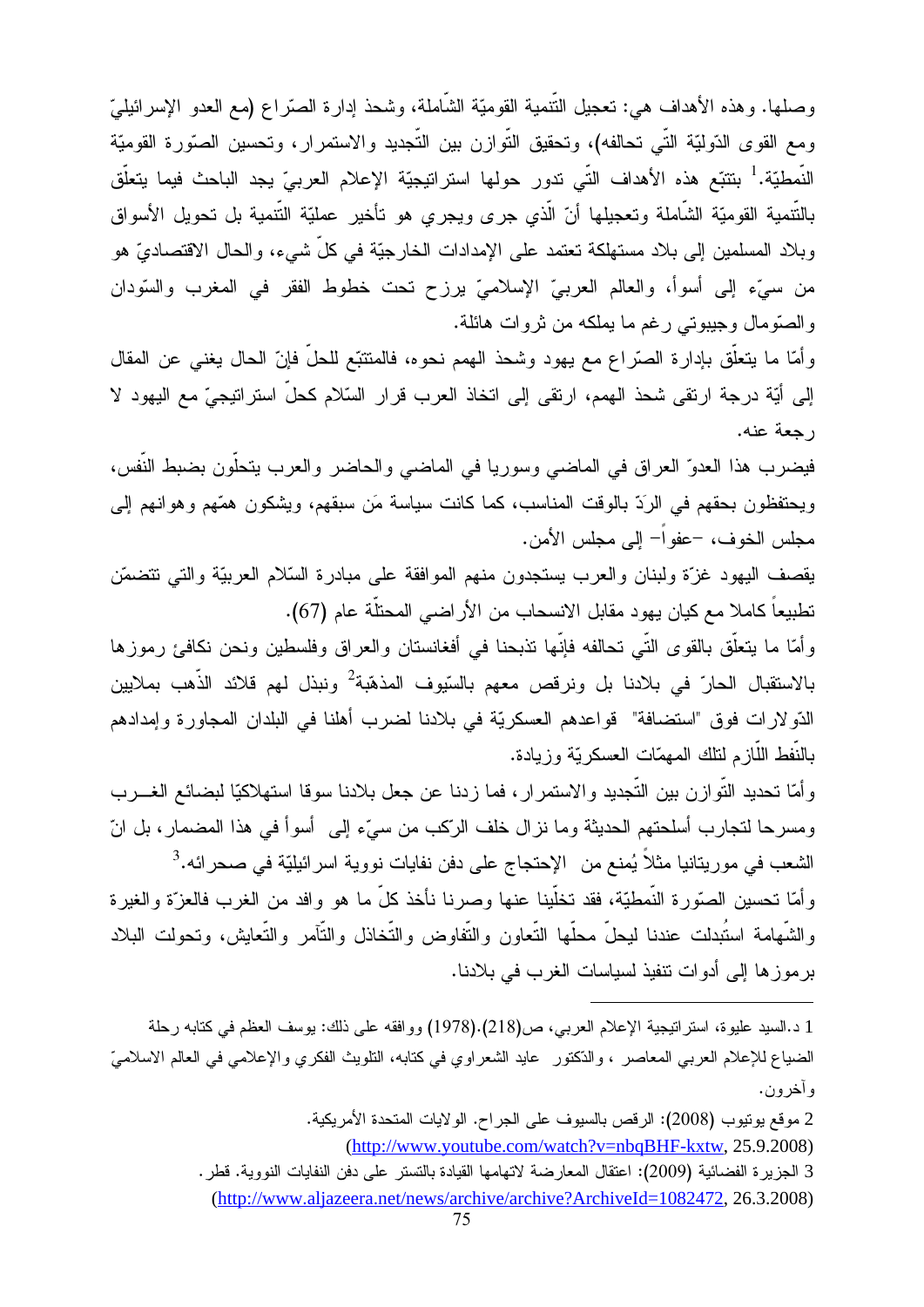وصلها. وهذه الأهداف هي: تعجيل النُّنمية القوميَّة الشَّاملة، وشحذ إدارة الصَّراع (مع العدو الإسرائيليّ ومع القوى الدّوليّة التّي تحالفه)، وتحقيق التّوازن بين التّجديد والاستمرار، وتحسين الصّورة القوميّة النَّمطيّة.<sup>1</sup> بنتبّع هذه الأهداف التّي ندور حولها استراتيجيّة الإعلام العربيّ يجد الباحث فيما يتعلّق بالنّنمية القوميّة الشّاملة وتعجيلها أنّ الّذي جرى ويجري هو تأخير عمليّة النّنمية بل تحويل الأسواق وبلاد المسلمين إلى بلاد مستهلكة تعتمد على الإمدادات الخارجيّة في كلّ شيء، والحال الاقتصاديّ هو من سبيِّء إلى أسوأ، والعالم العربيِّ الإسلاميِّ يرزح تحت خطوط الفقر في المغرب والسَّودان والصَّومال وجيبوتي رغم ما يملكه من نروات هائلة.

وأمّا ما يتعلَّق بإدارة الصَّراع مع يهود وشحذ الهمم نحوه، فالمتتبَّع للحلِّ فإنّ الحال يغني عن المقال إلى أيّة درجة ارتقى شحذ الهمم، ارتقى إلى اتخاذ العرب قرار السّلام كحلّ استراتيجيّ مع اليهود لا ر حعة عنه.

فيضرب هذا العدوّ العراق في الماضي وسوريا في الماضى والحاضر والعرب يتحلَّون بضبط النَّفس، ويحتفظون بحقهم في الرَدّ بالوقت المناسب، كما كانت سياسة مَن سبقهم، ويشكون همّهم وهوانهم إلى مجلس الخو ف، –عفو اً– إلى مجلس الأمن.

يقصف اليهود غزءّ ولبنان والعرب يستجدون منهم الموافقة على مبادرة السّلام العربيّة والتي نتضمّن تطبيعاً كاملا مع كيان يهود مقابل الانسحاب من الأراضـي المحتلَّة عام (67).

وأمّا ما يتعلّق بالقوى التّي تحالفه فإنّها تذبحنا في أفغانستان والعراق وفلسطين ونحن نكافئ رموزها بالاستقبال الحارّ في بلادنا بل ونرقص معهم بالسّيوف المذهّبة<sup>2</sup> ونبذل لمهم قلائد الذّهب بملايين الدّولارات فوق "استضافة" قواعدهم العسكريّة في بلادنا لضرب أهلنا في البلدان المجاورة وإمدادهم بالنَّفط اللَّازِ م لنلك المهمَّات العسكر يّة و ز يادة.

وأمَّا تحديد النَّوازن بين النَّجديد والاستمرار، فما زدنا عن جعل بلادنا سوقا استهلاكيّا لبضائع الغـــرب ومسرحا لتجارب أسلحتهم الحديثة وما نزال خلف الرّكب من سيّء إلى أسوأ في هذا المضمار ، بل انّ الشعب في موريتانيا مثلاً يُمنع من الإحتجاج على دفن نفايات نووية اسرائيليّة في صحرائه.<sup>3</sup> وأمَّا نحسين الصَّورة النَّمطيَّة، فقد نخلَّينا عنها وصرنا نأخذ كلَّ ما هو وافد من الغرب فالعزَّة والغيرة

والشَّهامة استُبدلت عندنا ليحلُّ محلَّها التَّعاون والتُّفاوض والتَّخاذل والتَّأمر والتَّعايش، وتحولت البلاد برموزها إلى أدوات نتفيذ لسياسات الغرب في بلادنا.

- 3 الجزيرة الفضائية (2009): اعتقال المعارضة لاتهامها القيادة بالتستر على دفن النفايات النووية. قطر .
	- (http://www.aljazeera.net/news/archive/archive?ArchiveId=1082472, 26.3.2008)

<sup>1</sup> د.السيد عليوة، استراتيجية الإعلام العربي، ص(218).(1978) ووافقه على ذلك: يوسف العظم في كتابه رحلة الضياع للإعلام العربي المعاصر ، والدَّكتور ً عايد الشعراوي في كتابه، التلويث الفكري والإعلامي في العالم الاسلاميّ وأخرون.

<sup>2</sup> موقع يونيوب (2008): الرقص بالسيوف على الجراح. الولايات المتحدة الأمريكية. (http://www.youtube.com/watch?v=nbqBHF-kxtw, 25.9.2008)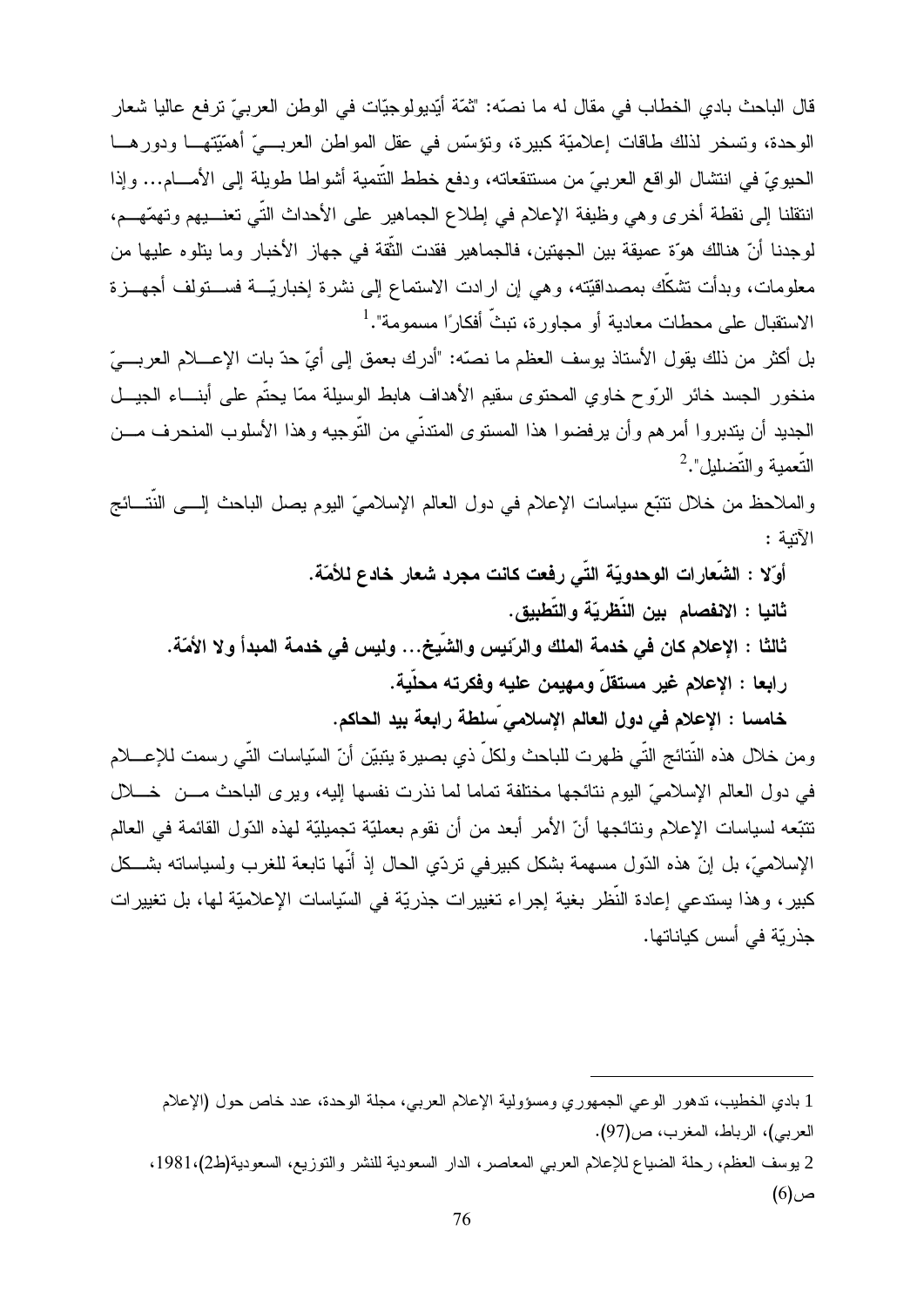قال الباحث بادي الخطاب في مقال له ما نصّه: "ثمّة أيّديولوجيّات في الوطن العربيّ ترفع عاليا شعار الوحدة، وتسخر لذلك طاقات إعلاميّة كبيرة، ونؤسّس في عقل المواطن العربـــيّ أهمّيّتهــــا ودورهــــا الحيويّ في انتشال الواقع العربيّ من مستنقعاته، ودفع خطط النُّنمية أشواطا طويلة إلى الأمــــام... وإذا انتقلنا إلى نقطة أخرى وهي وظيفة الإعلام في إطلاع الجماهير على الأحداث التّي تعنــــبيهم وتهمّهـــم، لوجدنا أنّ هنالك هوّة عميقة بين الجهتين، فالجماهير فقدت الثّقة في جهاز الأخبار وما يتلوه عليها من معلومات، وبدأت نشكَّك بمصداقيِّته، وهي إن ارادت الاستماع إلى نشرة إخباريِّـــة فســـتولف أجهـــزة الاستقبال على محطات معادية أو مجاورة، تبثّ أفكارًا مسمومة". <sup>1</sup>

بل أكثر من ذلك يقول الأستاذ يوسف العظم ما نصّه: "أدرك بعمق إلى أيّ حدّ بات الإعسلام العربـــيّ منخور الجسد خائر الرّوح خاوي المحتوى سقيم الأهداف هابط الوسيلة ممّا يحتّم على أبنـــاء الجيـــل الجديد أن يتدبروا أمرهم وأن يرفضوا هذا المستوى المتدنّى من التّوجيه وهذا الأسلوب المنحرف مـــن التّعمبة والتّضليل".

والملاحظ من خلال نتتبَّع سياسات الإعلام في دول العالم الإسلاميّ اليوم يصل الباحث إلــــى النُّتــــائج الآتنة :

أوّلا : الشّعارات الوحدويّة التّى رفعت كانت مجرد شعار خادع للأمّة.

ثانيا : الانفصام بين النّظريّة والتّطبيق.

ثالثا : الإعلام كان في خدمة الملك والرِّئيس والشَّيخ... وليس فى خدمة المبدأ ولا الأمّة. رابعا : الإعلام غير مستقلٍّ ومهيمن عليه وفكرته محلّية.

خامسا : الإعلام في دول العالم الإسلامي ّسلطة رابعة بيد الحاكم.

ومن خلال هذه النُّتائج التَّى ظهرت للباحث ولكلِّ ذي بصير ة يتبيّن أنّ السّياسات التَّى رسمت للإعسلام في دول العالم الإسلاميّ اليوم نتائجها مختلفة تماما لما نذرت نفسها إليه، ويرى الباحث مـــن خــــلال تتبَّعه لسياسات الإعلام ونتائجها أنّ الأمر أبعد من أن نقوم بعمليّة تجميليّة لمهذه الدّول القائمة في العالم الإسلاميّ، بل إنّ هذه الدّول مسهمة بشكل كبيرفي نردّي الحال إذ أنّها نابعة للغرب ولسياسانه بشــكل كبير، وهذا يستدعى إعادة النُّظر بغية إجراء تغييرات جذريّة في السّياسات الإعلاميّة لمها، بل تغييرات جذر يّة في أسس كياناتها.

<sup>1</sup> بادي الخطيب، ندهور الوعي الجمهوري ومسؤولية الإعلام العربي، مجلة الوحدة، عدد خاص حول (الإعلام العربي)، الرباط، المغرب، ص(97).

<sup>2</sup> يوسف العظم، رحلة الضياع للإعلام العربي المعاصر، الدار السعودية للنشر والتوزيع، السعودية(ط2)،1981، ص(6)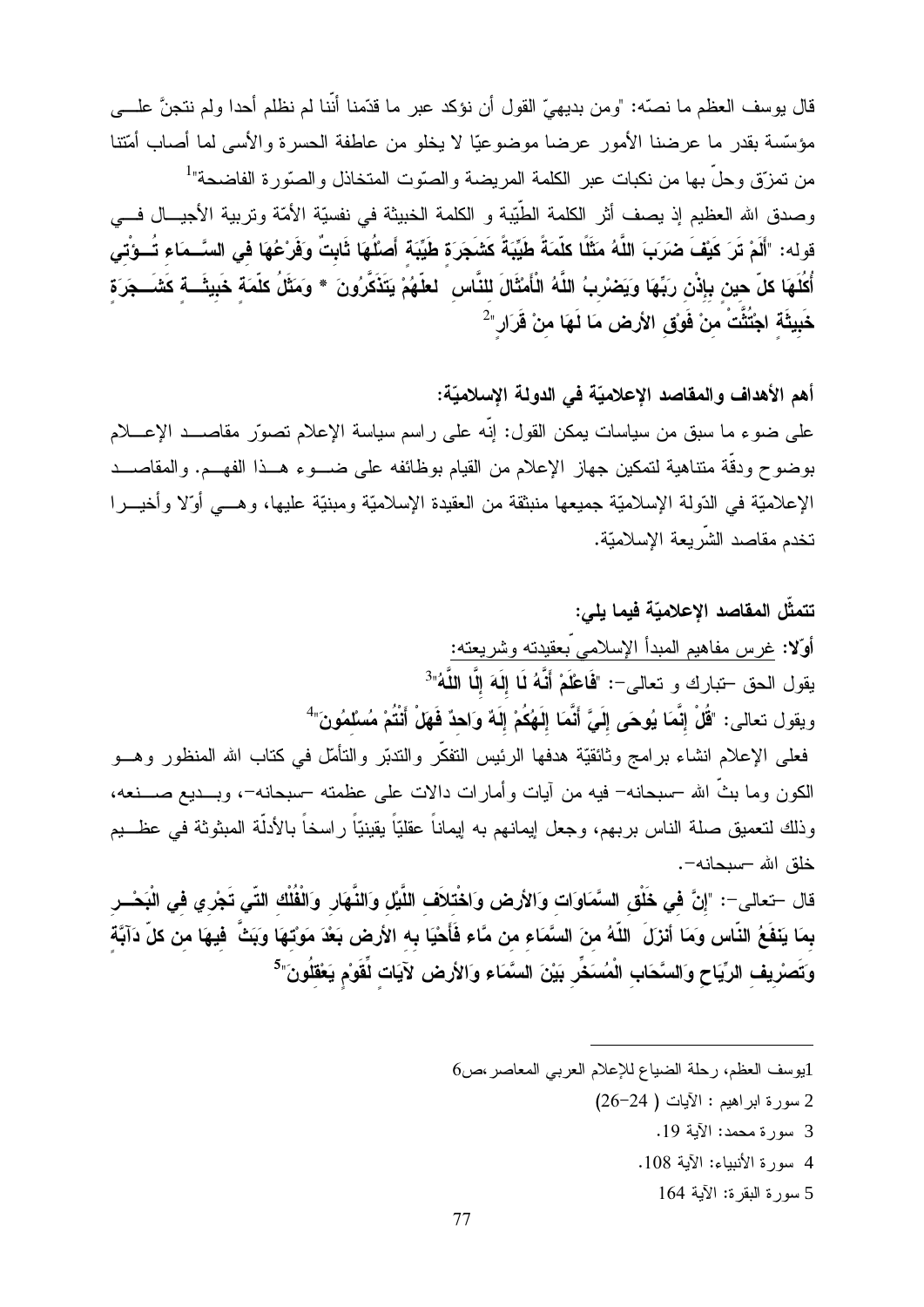قال يوسف العظم ما نصّه: "ومن بديهيِّ القول أن نؤكد عبر ما قدّمنا أنّنا لم نظلم أحدا ولم نتجنَّ علـــي مؤسَّسة بقدر ما عرضنا الأمور عرضا موضوعيًّا لا يخلو من عاطفة الحسرة والأسى لما أصاب أمَّتنا من نمزّق وحلّ بها من نكبات عبر الكلمة المريضة والصّوت المتخاذل والصّورة الفاضحة"<sup>1</sup> وصدق الله العظيم إذ يصف أثر الكلمة الطَّيِّبة و الكلمة الخبيثة في نفسيّة الأمّة وتربية الأجيـــال فـــي قوله: "أَلَمْ تَرَ كَيْفَ ضَرَبَ اللَّهُ مَثَلًا كلَّمَةً طَيِّبَةً كَشَجَرَة طَيِّبَة أَصلُهَا ثَابتٌ وَفَرْعُهَا فى السَّــمَاء تُــوْتى أُكلَهَا كلّ حين بإذْن ربِّهَا ويَضْربُ اللَّهُ الْأَمْثَالَ للنَّاس ۖ لعلّهُمْ يَتَذَكَّرُونَ \* ومَثَلُ كلّمَة خَبيثَـــة كَشَـــجَرَة خَبِيثَةِ اجْتُثِّتْ مِنْ فَوْق الأرض مَا لَهَا منْ قَرَارٍ "-

أهم الأهداف والمقاصد الإعلاميّة في الدولة الإسلاميّة: على ضوء ما سبق من سياسات يمكن القول: إنَّه على راسم سياسة الإعلام تصوَّر مقاصـــد الإعــــلام بوضوح ودقَّة متناهية لتمكين جهاز الإعلام من القيام بوظائفه على ضـــوء هـــذا الفهـــم. والمقاصـــد الإعلاميّة في الدّولة الإسلاميّة جميعها منبثقة من العقيدة الإسلاميّة ومبنيّة عليها، وهـــي أوّلا وأخيـــرا تخدم مقاصد الشّريعة الإسلاميّة.

تتمثِّل المقاصد الاعلاميّة فيما يلي: أوّلا: غرس مفاهيم المبدأ الإسلامي بعقيدته وشريعته: يقول الحق –تبارك و تعالى–: "فَاعْلَمْ أَنَّهُ لَا إِلَهَ إِلَّا اللَّهُ"<sup>3</sup> ويقول تعالى: "قُلْ إِنَّمَا يُوحَى إِلَىَّ أَنَّمَا إِلَهُكُمْ إِلَهٌ وَاحدٌ فَهَلْ أَنْتُمْ مُسْلَمُونَ" فعلى الإعلام انشاء برامج وثائقيّة هدفها الرئيس التفكّر والندبّر والتأمّل في كتاب الله المنظور وهـــو الكون وما بثَّ الله –سبحانه– فيه من آيات وأمارات دالات على عظمته –سبحانه–، وبـــديع صــــنعه، وذلك لتعميق صلة الناس بربهم، وجعل ايمانهم به ايماناً عقليّاً يقينيّاً راسخاً بالأدلّة المبثوثة في عظـــيم خلق الله –سبحانه–. قال –تعالى–: "إنَّ في خَلْق السَّمَاوَات وَالأرض وَاخْتلاَف اللَّيْل وَالنَّهَار وَالْفُلْك التّي تَجْري في الْبَحْس بمَا يَنفَعُ النّاس وَمَا أَنزَلَ اللّهُ منَ السَّمَاء من مَّاء فَأَحْيَا به الأرض بَعْدَ مَونْتهَا وَبَتَّ فيهَا من كلّ دَآبَة

وَتَصرْيف الرِّيَاح وَالسَّحَابِ الْمُسَخِّرِ بَيْنَ السَّمَاء وَالأرض لآيَات لِّقَوْم يَعْقَلُونَ"<sup>5</sup>

- 1يوسف العظم، رحلة الضياع للإعلام العربي المعاصر ،ص6
	- سورة ابر اهيم : الآيات ( 24-26)
		- 3 سورة محمد: الآية 19.
		- 4 سورة الأنبياء: الآية 108.
			- 5 سورة البقرة: الآية 164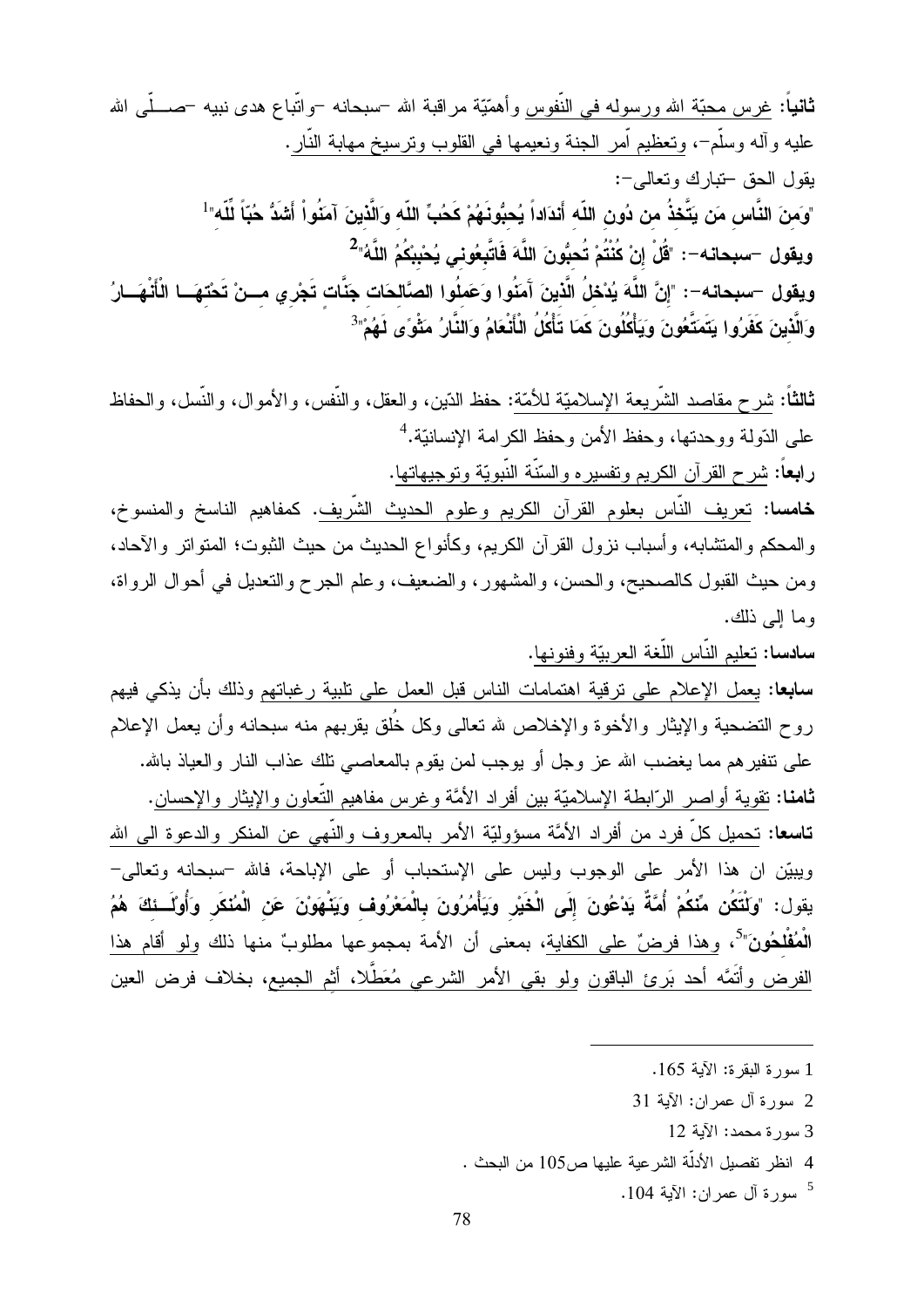**ثانياً**: <u>غر</u>س محبّة الله ورسولـه فـى النّفوس وأهمّيّة مراقبـة الله –سبحانـه –واتّباع هدى نبيـه –صــــلّـى الله عليه وأله وسلَّمٍ-، ونعظيم أمر الجنة ونعيمها في القلوب ونرسيخ مهابة النَّارِ . يقول الحق –تبارك وتعالمي–: "وَمِنَ النَّاسِ مَن يَتَّخذُ من دُونِ اللّه أَندَاداً يُحبُّونَهُمْ كَحُبِّ اللّه وَالَّذينَ آمَنُواْ أَشَدُّ حُبّاً لّلّه"<sup>1</sup> ويقول –سبحانه–: "قُلْ إنْ كُنْتُمْ تُحبُّونَ اللَّهَ فَاتَّبِعُوني يُحْبِبْكُمُ اللَّهُ"<sup>2</sup> ويقول –سبحانه–: "إنَّ اللَّهَ يُدْحْلُ الَّذينَ آَمَنُوا وَعَملُوا الصَّالحَات جَنَّات تَجْرِي مـــنْ تَحْتهَـــا الْأَنْهَـــارُ وَالَّذينَ كَفَرُوا بِتَمَتَّعُونَ وَيَأْكُلُونَ كَمَا تَأْكُلُ الْأَنْعَامُ وَالنَّارُ مَثْوًى لَهُمْ" $^6$ 

ثـالثـأ: شرح مقاصد الشّريعة الإسلاميّة للأمّة: حفظ الدّين، والعقل، والنّفس، والأموال، والنّسل، والـحفاظ على الدّولة ووحدتها، وحفظ الأمن وحفظ الكرامة الإنسانيّة.<sup>4</sup> **رابعاً:** شرح القرآن الكريم وتفسيره والسّنّة النّبويّة وتوجيهاتها. **خامسا:** تعريف النّاس بعلوم القرآن الكريم وعلوم الحديث الشّريف. كمفاهيم الناسخ والمنسوخ، و المحكم و المتشابه، و أسباب نزول القرآن الكريم، وكأنواع الحديث من حيث الثبوت؛ المتواتر والأحاد، ومن حيث القبول كالصحيح، والحسن، والمشهور، والضعيف، وعلم الجرح والنعديل في أحوال الرواة، وما إلى ذلك. سادسا: تعليم النَّاس اللُّغة العربيّة وفنونها. **سابعا**: يعمل الإعلام على نرقية اهتمامات الناس قبل العمل على نلبية رغبانهم وذلك بأن يذكى فيهم روح التضحية والإيثار والأخوة والإخلاص لله تعالى وكل خُلق يقربهم منه سبحانه وأن يعمل الإعلام على نتفير هم مما يغضب الله عز وجل أو يوجب لمن يقوم بالمعاصمي نلك عذاب النار والعياذ بالله. **ثامنـا:** نقويـة أواصـر الرّابطـة الإسلاميّة بين أفراد الأمَّة وغرس مفاهيم النّعاون والإيثار والإحسان. **تاسعا:** تحميل كلّ فرد من أفراد الأمَّة مسؤوليّة الأمر بالمعروف والنَّهى عن المنكر والدعوة الى الله ويبيّن ان هذا الأمر على الوجوب وليس على الإستحباب أو على الإباحة، فالله –سبحانه وتعالى– يقول: "وكنْتَكُن مِّنْكُمْ أُمَّةً يَدْعُونَ إِلَى الْخَيْرِ وَيَأْمُرُونَ بِالْمَعْرُوف وَيَنْهَوْنَ عَن الْمُنكَر وَأُوْلَــئكَ هُمُ الْمُفْلْحُونَ"<sup>5</sup>، وهذا فرضٌ على الكفاية، بمعنى أن الأمة بمجموعها مطلوبٌ منها ذلك ولو أقام هذا

الفرض وأتَمَّه أحد بَرئ الباقون ولو بقي الأمر الشرعي مُعَطَّلا، أثم الجميع، بخلاف فرض العين

- 2 سورة آل عمر ان: الآية 31
	- $12$  سورة محمد: الآية 12
- 4 انظر تفصيل الأدلَّة الشر عية عليها ص105 من البحث .
	- سور ة آل عمر ان: الآية 104.  $^5$

<sup>1</sup> سورة البقرة: الآية 165.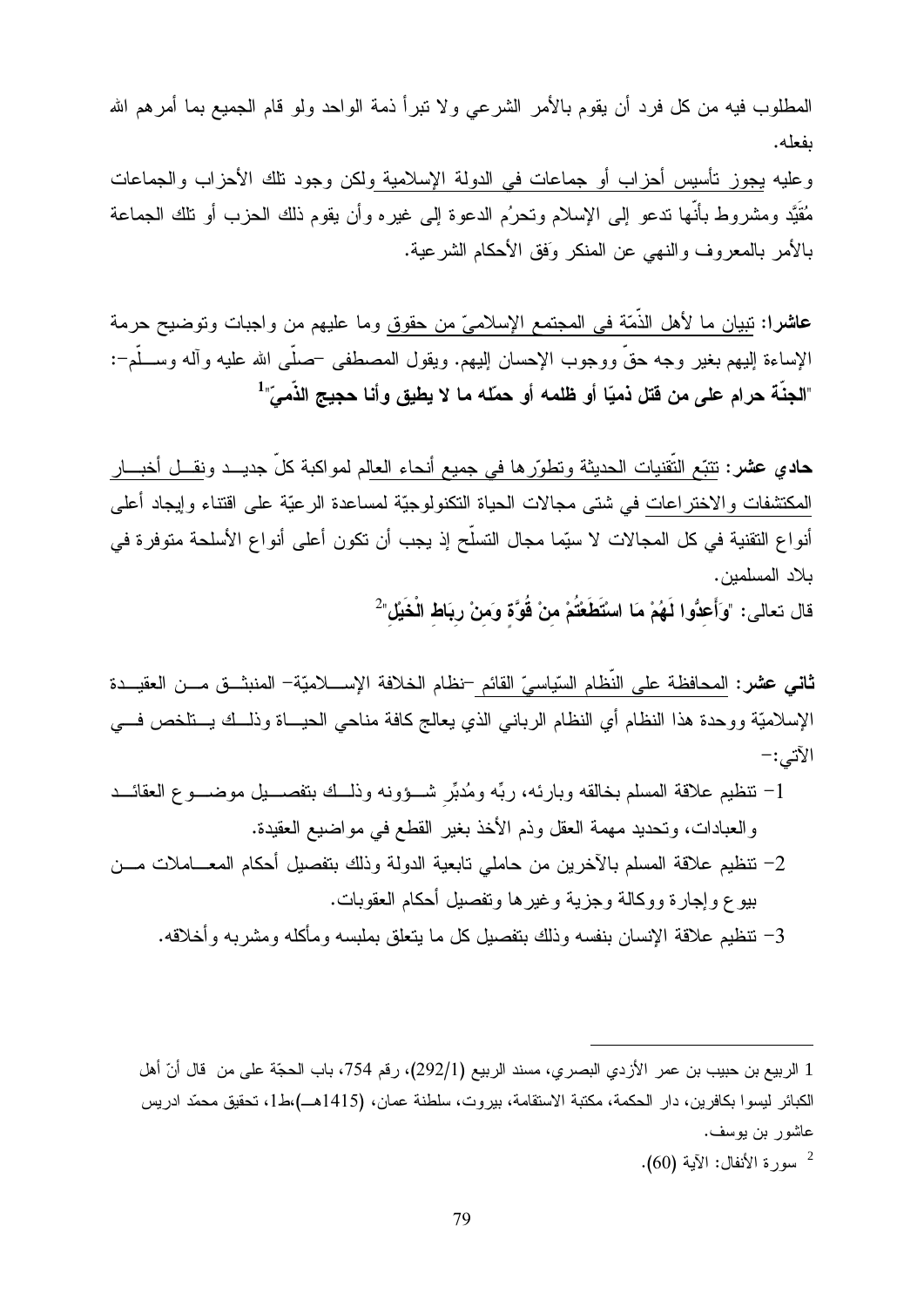المطلوب فيه من كل فرد أن يقوم بالأمر الشرعي ولا نبرأ ذمة الواحد ولو قام الجميع بما أمرهم الله ىفعلە.

وعليه بجوز نأسيس أحزاب أو جماعات في الدولة الإسلامية ولكن وجود نلك الأحزاب والجماعات مُقَيَّد ومشروط بأنَّها ندعو ٳلمى الإسلام ونحرُم الدعوة ٳلمى غيره وأن يقوم ذلك الحزب أو نلك الـجماعة بالأمر بالمعروف والنهى عن المنكر وَفق الأحكام الشرعية.

**عاشرا:** نبيان ما لأهل الذَّمّة في المجتمع الإسلاميّ من حقوق وما عليهم من واجبات وتوضيح حرمة الإساءة إليهم بغير وجه حقٌّ ووجوب الإحسان الِيهم. ويقول المصطفى –صلَّـى الله عليه وأله وســـلَّم–: "الجنَّة حرام على من قتل ذميّا أو ظلمه أو حمّله ما لا يطيق وأنا حجيج الذَّميِّ"

**حادي عشر:** تتبّع النّقنيات الحديثة وتطوّرها في جميع أنحاء العالم لمواكبة كلّ جديــد ونقـــل أخبـــار المكتشفات والاختراعات في شتى مجالات الحياة النكنولوجيّة لمساعدة الرعيّة على اقتناء وإيجاد أعلى أنواع التقنية في كل المجالات لا سيّما مجال التسلّح إذ يجب أن تكون أعلى أنواع الأسلحة متوفرة في بلاد المسلمين.

قال تعالى: "وَأَعِدُّوا لَهُمْ مَا اسْتَطَعْتُمْ منْ قُوَّة وَمنْ رِبَاط الْخَيْل"<sup>2</sup>

ثاني عشر: المحافظة على النِّظام السّياسيّ القائم –نظام الخلافة الإســــلاميّة– المنبشــق مـــن العقيـــدة الإسلاميّة ووحدة هذا النظام أي النظام الربانبي الذي يعالج كافة مناحي الحيـــاة وذلـــك يـــتلخص فــــي الآتي:–

- 1– نتظيم علاقة المسلم بخالقه وبارئه، ربِّه ومُدبِّر شــؤونه وذلــك بتفصـــيل موضـــوع العقائـــد والعبادات، وتحديد مهمة العقل وذم الأخذ بغير القطع في مواضيع العقيدة.
- 2– نتظيم علاقة المسلم بالآخرين من حاملي نابعية الدولة وذلك بتفصيل أحكام المعـــاملات مـــن بيو ع و إجار ة و وكالة و جزية و غير ها وتفصيل أحكام العقوبات.
	- 3– تتظيم علاقة الإنسان بنفسه وذلك بتفصيل كل ما بتعلق بملبسه ومأكله ومشربه وأخلاقه.

سورة الأنفال: الآية (60).

<sup>1</sup> الربيع بن حبيب بن عمر الأزدي البصري، مسند الربيع (292/1)، رقم 754، باب الحجّة على من قال أنّ أهل الكبائر ليسوا بكافرين، دار الحكمة، مكتبة الاستقامة، بيروت، سلطنة عمان، (1415هـ)،ط1، تحقيق محمّد ادريس عاشور ابن يوسف.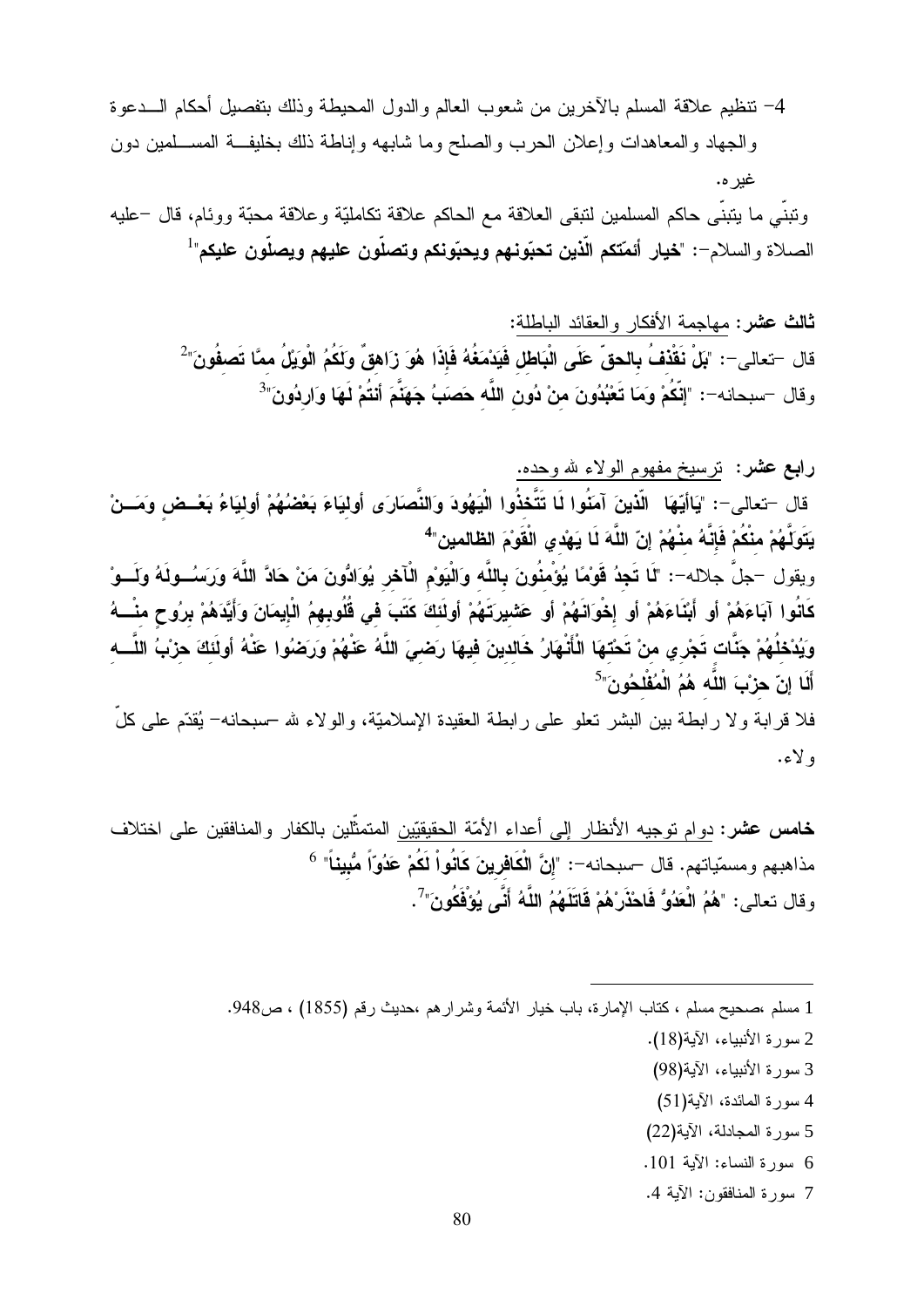ونبني ما بنبني حاكم المسلمين لنبقى العلاقة مع الحاكم علاقة نكامليّة وعلاقة محبّة ووئام، قال –عليه الصلاة والسلام-: "خيار أئمّتكم الّذين تحبّونهم ويحبّونكم وتصلّون عليهم ويصلّون عليكم"

> ثالث عشر: مهاجمة الأفكار والعقائد الباطلة: قال —تعالى—: "بَلْ نَقْدْفُ بِالحقّ عَلَى الْبَاطْل فَيَدْمَغُهُ فَإِذَا هُوَ زَاهقٌ وكَكُمُ الْوِيَلُ ممَّا تَصفُونَ"<sup>2</sup> وقال –سبحانه–: "إنَّكُمْ وَمَا تَعْبُدُونَ منْ دُون اللَّه حَصَبُ جَهَنَّمَ أنتُمْ لَهَا وَاردُونَ"<sup>3</sup>

را**بع عشر**: ترسيخ مفهوم الولاء لله وحده. قال –تعالى–: "يَاأَيّهَا ۖ الّذينَ آمَنُوا لَا تَتَّخذُوا الْيَهُودَ وَالنَّصَارَى أَوليَاءَ بَعْضُهُمْ أوليَاءُ بَعْسض وَمَسنْ يَتَوَلَّهُمْ منْكُمْ فَإِنَّهُ منْهُمْ إِنّ اللَّهَ لَا يَهْدى الْقَوْمَ الظّالمين"<sup>4</sup> ويقول –جلَّ جلاله–: "لَما تَجِدُ قَوْمًا يُؤْمِنُونَ بِاللَّه وَالْيَوْمِ الْأَحْرِ يُوَادُّونَ مَنْ حَادَّ اللَّهَ وَرَسَــولَهُ وَلَـــوْ كَانُوا آبَاءَهُمْ أَو أَبْنَاءَهُمْ أَو إخْوَانَهُمْ أَو عَشْيِرتَهُمْ أَولَئَكَ كَتَبَ في قُلُوبهمُ الْإيمَانَ وَأَيَّدَهُمْ برُوحٍ منْـــهُ وَيُدْخِلُهُمْ جَنَّات تَجْر ي منْ تَحْتهَا الْأَنْهَارُ خَالدينَ فيهَا رَضىٍ اللَّهُ عَنْهُمْ وَرَضُوا عَنْهُ أولَئكَ حرْبُ اللَّـــه أَلَا إِنّ حرْبَ اللَّه هُمُ الْمُفْلخُونَ"<sup>5</sup>

فلا قر ابـة و لا ر ابطـة بين البشر تعلو علـى ر ابطـة الـعقيدة الإسلاميّة، و الو لاء لله –سبحانـه– يُقدّم علـى كلّ و لاء.

**خامس عشر:** دوام توجيه الأنظار إلى أعداء الأمّة الحقيقيّين المتمثّلين بالكفار والمنافقين على اختلاف مذاهبهم ومسمّياتهم. قال –سبحانه–: "إنَّ الْكَافرينَ كَانُواْ لَكُمْ عَدُوّاً مُّبيناً" <sup>6</sup> وقال تعالى: "هُمُ الْعَدُوُّ فَاحْذَرْهُمْ قَاتَلَهُمُ اللَّهُ أَنَّى يُوْفَكُونَ"<sup>7</sup>.

1 مسلم ،صحيح مسلم ، كتاب الإمارة، باب خيار الأئمة وشرارهم ،حديث رقم (1855) ، ص948.

- 2 سورة الأنبياء، الآية(18).
- 3 سورة الأنبياء، الآية(98)
- 4 سورة المائدة، الآية(51)
- 5 سورة المجادلة، الآية(22)
- 6 سورة النساء: الآية 101.
- 7 سورة المنافقون: الآية 4.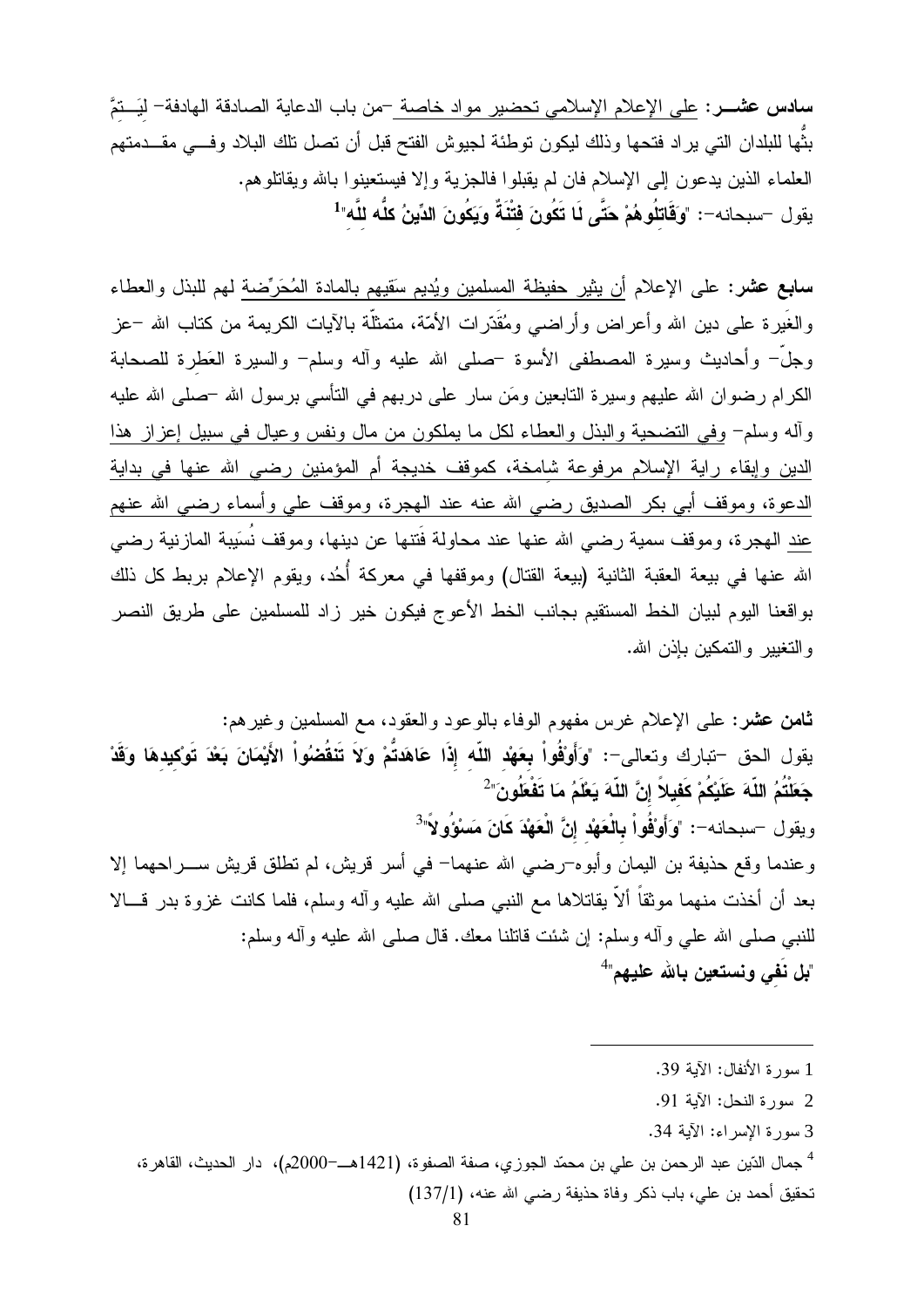بثُّها للبلدان التي يراد فتحها وذلك ليكون توطئة لجيوش الفتح قبل أن تصل تلك البلاد وفـــي مقـــدمتهم العلماء الذين يدعون إلى الإسلام فان لم يقبلوا فالجزية وإلا فيستعينوا بالله ويقاتلوهم. بِقول —سبحانه—: "وَ**قَاتِلُو هُمْ حَتَّى لَا تَكُونَ فَتْنَةً وَيَكُونَ الدِّينُ كلَّه للَّه"<sup>1</sup>** 

**سابع عشر**: على الإعلام أن يثير حفيظة المسلمين ويُديم سَقيهم بالمادة المُحَرِّضة لمهم للبذل والعطاء والغَيرة على دين الله وأعراض وأراضي ومُقَدّرات الأمّة، متمثلّة بالآيات الكريمة من كتاب الله –عز وجلَّ– وأحاديث وسيرة المصطفى الأسوة حملمي الله عليه وأله وسلم– والسيرة العَطرة للصحابة الكرام رضوان الله عليهم وسيرة التابعين ومَن سار على دربهم في النأسي برسول الله –صلى الله عليه وأله وسلم– وفي التضحية والبذل والعطاء لكل ما يملكون من مال ونفس وعيال في سبيل إعزاز هذا الدين وإبقاء راية الإسلام مرفوعة شامخة، كموقف خديجة أم المؤمنين رضيي الله عنها في بداية الدعوة، وموقف أبي بكر الصديق رضي الله عنه عند الهجرة، وموقف على وأسماء رضي الله عنهم عند الهجرة، وموقف سمية رضيي الله عنها عند محاولة فُتنها عن دينها، وموقف نُسَيبة المازنية رضي الله عنها في بيعة العقبة الثانية (بيعة القتال) وموقفها في معركة أُحُد، ويقوم الإعلام بربط كل ذلك بواقعنا اليوم لبيان الخط المستقيم بجانب الخط الأعوج فيكون خير زاد للمسلمين على طريق النصر و التغيير و التمكين بإذن الله.

ثامن عشر: علي الإعلام غرس مفهوم الوفاء بالوعود والعقود، مع المسلمين وغير هم: يقول الحق –تبارك وتعالى–: "وَأَوْقُواْ بِعَهْد اللّه إِذَا عَاهَدتُمْ وَلاَ تَنْقُضُواْ الأَيْمَانَ بَعْدَ تَوْكيدهَا وَقَدْ جَعَلْتُمُ اللَّهَ عَلَيْكُمْ كَفْيِلاً إِنَّ اللَّهَ يَعْلَمُ مَا تَفْعَلُونَ"  $^2$ ويقول –سبحانه–: "وَأَوْقُواْ بِالْعَهْد إِنَّ الْعَهْدَ كَانَ مَسَوْوٍ لاَّ" وعندما وقع حذيفة بن اليمان وأبوه¬رضي الله عنهما− في أسر قريش، لم نطلق قريش ســـراحهما إلا بعد أن أخذت منهما موثقاً ألاً بقاتلاها مع النبي صلى الله عليه وآله وسلم، فلما كانت غزوة بدر قـــالا للنبي صلَّى الله على وأله وسلَّم: إن شئت قاتلنا معك. قال صلَّى الله عليه وأله وسلَّم: "بِل نَفي ونستعين بِالله عليهم"<sup>4</sup>

- 1 سور ة الأنفال: الآية 39.
- 2 سورة النحل: الآبة 91.
- 3 سورة الإسراء: الآية 34.
- <sup>4</sup> جمال الدّين عبد الرحمن بن علي بن محمّد الجوزي، صفة الصفوة، (1421هـــ=2000م)، دار الحديث، القاهرة، تحقيق أحمد بن علي، باب ذكر وفاة حذيفة رضـي الله عنه، (137/1)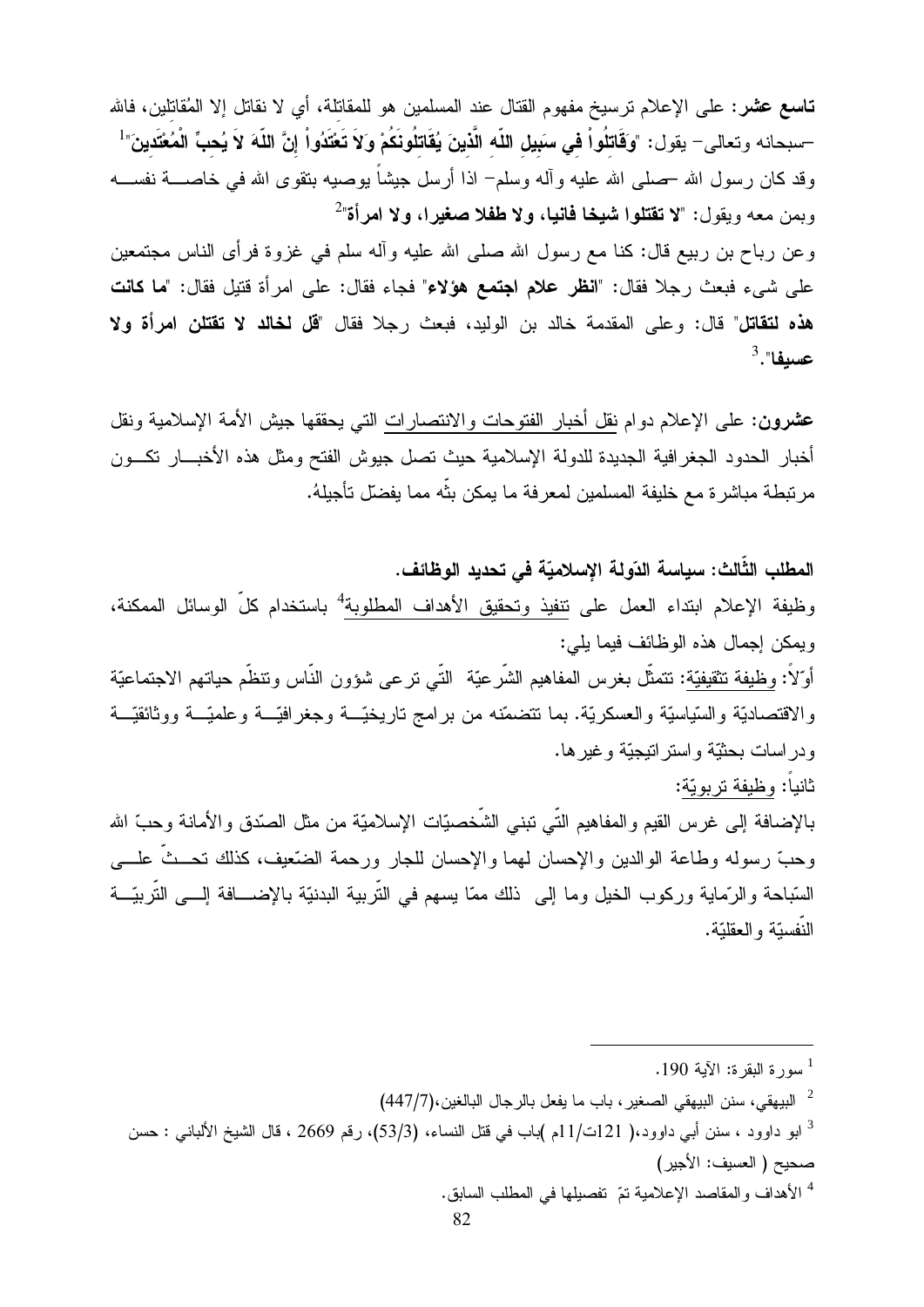تـا**سـع عشر** : علـى الإعلام نرسيخ مفهوم القتال عند المسلمين هو للمقاتلة، أي لا نقاتل إلا المُقاتلين، فالله –سبحانه وتعالى– يقول: "وَقَاتلُواْ في سَبيل اللّه الّذينَ يُقَاتلُونَكُمْ وَلاَ تَعْتَدُواْ إنَّ اللّهَ لاَ يُحبّ الْمُعْتَدينَ"<sup>1</sup> وقد كان رسول الله حملي الله عليه وأله وسلمٍ اذا أرسل جيشاً بوصيه بتقوى الله في خاصــــة نفســـه وبمن معه ويقول: "لا تقتلوا شيخا فانيا، ولا طفلا صغيرا، ولا امرأة"

وعن رباح بن ربيع قال: كنا مع رسول الله صلى الله عليه وأله سلم في غزوة فرأى الناس مجتمعين على شيء فبعث رجلا فقال: "**انظر علام اجتمع هؤلاء**" فجاء فقال: على امرأة قتيل فقال: "**ما كانت** هذه لتقاتل" قال: وعلى المقدمة خالد بن الوليد، فبعث رجلا فقال "قل لخالد لا تقتلن امرأة ولا  $^3.$ "عسيفا

عشرون: على الإعلام دوام نقل أخبار الفتوحات والانتصارات التي يحققها جيش الأمة الإسلامية ونقل أخبار الحدود الجغرافية الجديدة للدولة الإسلامية حيث تصل جيوش الفتح ومثل هذه الأخبسار نكسون مرتبطة مباشرة مع خليفة المسلمين لمعرفة ما يمكن بثّه مما يفضلّ تأجيلهُ.

المطلب الثَّالث: سياسة الدّولة الإسلاميّة في تحديد الوظائف. وظيفة الإعلام ابتداء العمل على نتفيذ وتحقيق الأهداف المطلوبة<sup>4</sup> باستخدام كلّ الوسائل الممكنة، ويمكن إجمال هذه الوظائف فيما يلي: أوّلاً: وظيفة نتقيفيّة: نتمثّل بغرس المفاهيم الشّرعيّة النّـى نرعى شؤون النّـاس وننظّم حياتهم الاجتماعيّة والاقتصاديّة والسّياسيّة والعسكريّة. بما نتضمّنه من برامج ناريخيّـــة وجغرافيّـــة وعلميّـــة ووثائقيّـــة ودر اسات بحثيّة و استر انتيجيّة و غير ها. ثانياً: وظيفة تربويّة:

بالإضافة إلى غرس القيم والمفاهيم التّـي تبنـي الشَّخصيّات الإسلاميّة من مثل الصّدق والأمانـة وحبّ الله وحبّ رسوله وطاعة الوالدين والإحسان لمهما والإحسان للجار ورحمة الضّعيف، كذلك نحـــثّ علــــي السّباحة و الرّماية وركوب الخيل وما إلى ذلك ممّا يسهم في التّربية البدنيّة بالإضــــافة إلــــى التّربيّـــة النّفستّة و العقلتّة.

<sup>4</sup> الأهداف والمقاصد الإعلامية تمّ تفصيلها في المطلب السابق.

سورة النقرة: الآية 190.  $^1$ 

<sup>&</sup>lt;sup>2</sup> البيهقي، سنن البيهقي الصغير ، باب ما يفعل بالرجال البالغين،(447/7)

<sup>&</sup>lt;sup>3</sup> ابو داوود ، سنن أبي داوود،( 121ت/11م )باب في قتل النساء، (53/3)، رقم 2669 ، قال الشيخ الألباني : حسن صحيح (العسيف: الأجير )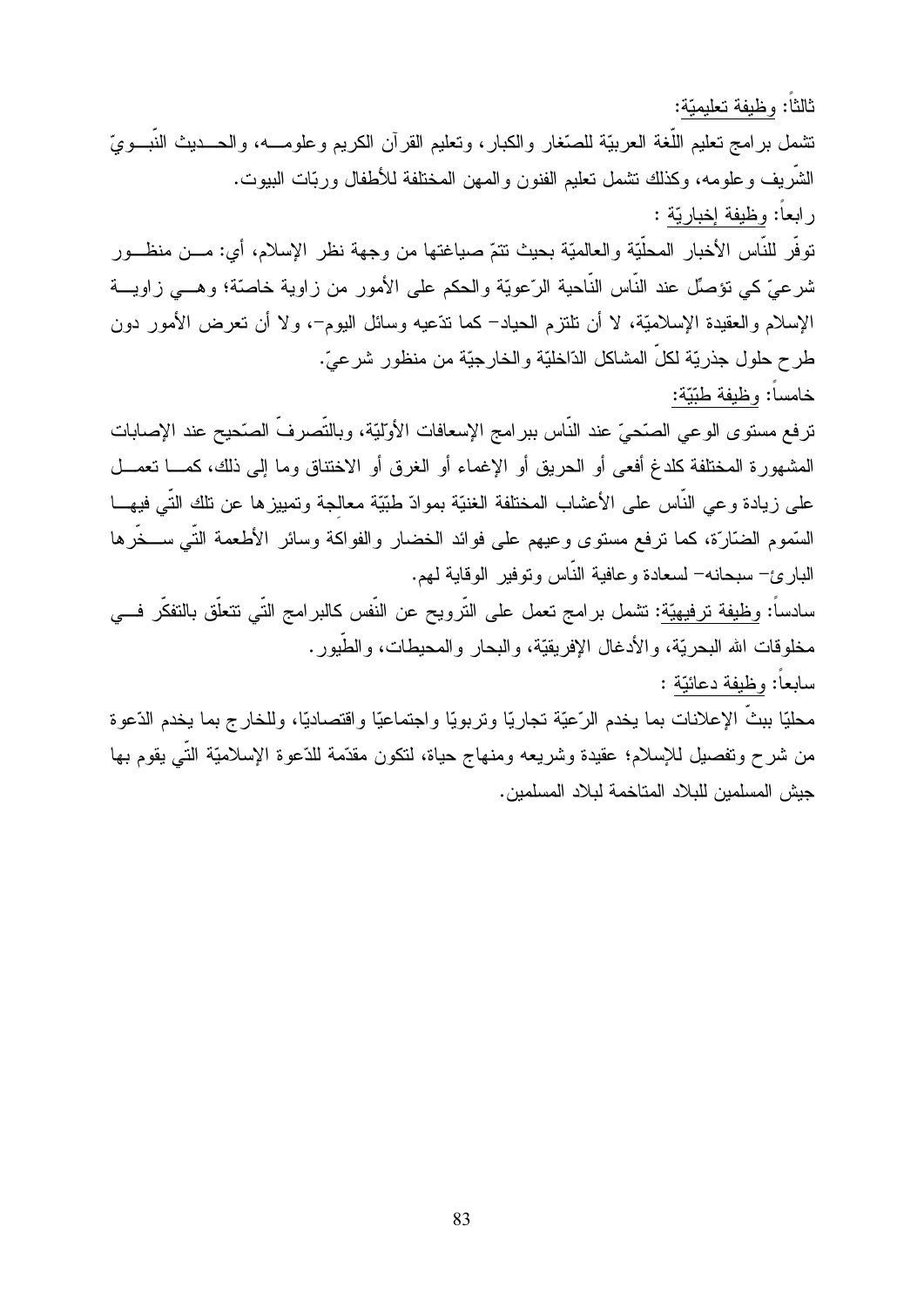ثالثًا: وظيفة تعليميّة: نتثمل برامج نعليم اللُّغة العربيّة للصّغار والكبار، ونعليم القرآن الكريم وعلومـــه، والحـــديث النّبـــويّ الشريف وعلومه، وكذلك نشمل نعليم الفنون والممهن المختلفة للأطفال وربّات البيوت. رابعاً: وظيفة إخباريّة : توفُّر للنَّاس الأخبار المحلَّيّة والعالميّة بحيث نتمّ صياغتها من وجهة نظر الإسلام، أي: مـــن منظـــور

شرعيّ كي نؤصِّل عند النَّاس النَّاحية الرِّعويّة والحكم على الأمور من زاوية خاصنّة؛ وهـــي زاويـــة الإسلام والعقيدة الإسلاميَّة، لا أن تلتزم الحياد– كما ندَّعيه وسائل اليوم–، ولا أن نـعرض الأمور دون طر ح حلو ل جذر يّة لكلّ المشاكل الدّاخليّة و الخار جيّة من منظو ر شر عيّ. خامساً: وظيفة طبّيّة:

ترفع مستوى الوعي الصّحيّ عند النّاس ببرامج الإسعافات الأولّيّة، وبالتّصرفّ الصّحيح عند الإصابات المشهورة المختلفة كلدغ أفعى أو الحريق أو الإغماء أو الغرق أو الاختناق وما إلى ذلك، كمـــا نعمـــل على زيادة وعى النَّاس على الأعشاب المختلفة الغنيَّة بموادّ طبَّيَّة معالجة وتمييزها عن تلك النِّي فيهـــا السَّموم الضَّارَّة، كما نرفع مستوى وعيهم على فوائد الخضار والفواكة وسائر الأطعمة التَّـى ســـخَّرها البارئ– سبحانه– لسعادة وعافية النّاس ونوفير الوقاية لمهم.

سادساً: وظيفة ترفيهيّة: تشمل برامج تعمل على التّرويح عن النّفس كالبرامج التّي نتعلّق بالتفكّر فـــي مخلوقات الله البحريّة، والأدغال الإفريقيّة، والبحار والمحيطات، والطّبور .

سابعاً: وظيفة دعائيّة :

محليًا ببثَّ الإعلانات بما يخدم الرّعيّة تجاريًا وتربويًا واجتماعيًا واقتصاديًا، وللخارج بما يخدم الدّعوة من شرح ونفصيل للإسلام؛ عقيدة وشريعه ومنهاج حياة، لتكون مقدّمة للدّعوة الإسلاميّة التّي يقوم بـها جيش المسلمين للبلاد المتاخمة لبلاد المسلمين.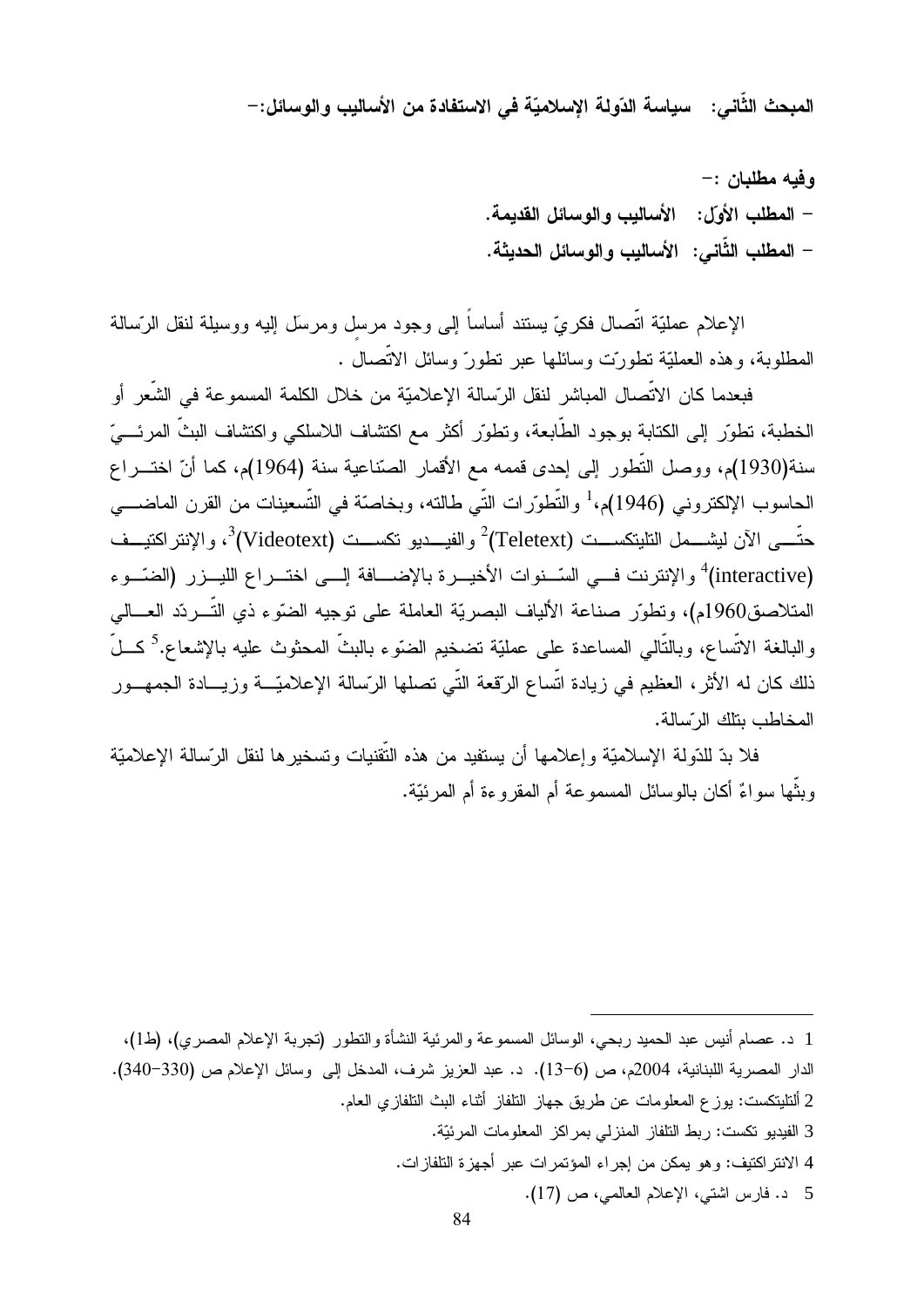المبحث الثَّاني: سياسة الدّولة الإسلاميّة في الاستفادة من الأساليب والوسائل:–

وفيه مطلبان :-– المطلب الأولِّ: الأسالب و الوسائل القديمة. – المطلب الثَّاني: الأساليب و الوسائل الحديثة.

الإعلام عمليَّة انْصال فكريَّ يستند أساسا إلى وجود مرسل ومرسل إليه ووسيلة لنقل الرّسالة المطلوبة، وهذه العمليّة نطورت وسائلها عبر نطور ّوسائل الانصال .

فبعدما كان الاتصال المباشر لنقل الرّسالة الإعلاميّة من خلال الكلمة المسموعة في الشعر أو الخطبة، نطوَّر إلى الكتابة بوجود الطابعة، ونطوَّر أكثر مع اكتشاف اللاسلكي واكتشاف البث المرئـــيَّ سنة(1930)م، ووصل التُّطور إلى إحدى قممه مع الأقمار الصّناعية سنة (1964)م، كما أنّ اختـــراع الحاسوب الإلكتروني (1946)م،<sup>1</sup> والتّطوّرات التّي طالته، وبخاصنّة في التّسعينات من القرن الماضــــي حتّـــى الآن ليشـــمل التليتكســـت (Teletext)<sup>2</sup> والفيـــديو تكســـت (Videotext)<sup>3</sup>، والإنتراكتيـــف (interactive) والإنترنت فــي السّــنوات الأخيــرة بالإضـــافة إلــي اختــراع الليــزر (الضّــوء المتلاصق1960م)، وتطوّر صناعة الألياف البصريّة العاملة على توجيه الضّوء ذي التّـــردّد العـــالـي رالبالغة الاتّساع، وبالتّالي المساعدة على عمليّة تضخيم الضنّوء بالبثّ المحثوث عليه بالإشعاع.<sup>5</sup> كـــلّ ذلك كان له الأثر ، العظيم في زيادة اتساع الرّقعة التّي تصلّها الرّسالة الإعلاميّـــة وزيــــادة الجمهـــور المخاطب يتلك الرسيالة.

فلا بدّ للدّولة الإسلاميّة وإعلامها أن يستفيد من هذه التقنيات وتسخيرها لنقل الرّسالة الإعلاميّة وبِنْها سواءٌ أكان بالوسائل المسموعة أم المقروءة أم المرئيّة.

. -

- 43%+-ال المساورة المساورة المساورة المساورة المساورة المساورة المساورة المساورة المساورة المساورة المساورة المساورة<br>المساورة المساورة المساورة المساورة المساورة المساورة المساورة المساورة المساورة المساورة المساورة المساورة ا 2 ألتليتك<br>م 3
	- ...<br>الذو المواطن بين من المساور المواطن المساور بين أن مساور المواطن  $\frac{1}{2}$  $\frac{4}{4}$

<u>.</u>

 $\pi$  ,  $\pi$  ,  $\pi$  ,  $\pi$  ,  $\pi$  ,  $\pi$  ,  $\pi$  ,  $\pi$  ,  $\pi$  ,  $\pi$  ,  $\pi$  ,  $\pi$  ,  $\pi$  ,  $\pi$  ,  $\pi$  ,  $\pi$  ,  $\pi$  ,  $\pi$  ,  $\pi$  ,  $\pi$  ,  $\pi$  ,  $\pi$  ,  $\pi$  ,  $\pi$  ,  $\pi$  ,  $\pi$  ,  $\pi$  ,  $\pi$  ,  $\pi$  ,  $\pi$  ,  $\pi$  ,  $\pi$ 4 الانتر النيف: و هو يمكن من إجراء المؤنمر ات ه<br>5 د. فارس اشتي، الإعلام العالمي، ص (17).<br>5 - $\frac{4}{\pi}$ 

 <sup>(</sup>1) (4- K0\* . <sup>1</sup> - +) +- 9M0- ?- - #? - & &-بس عبد الحميد ربحي، الوسائل المسموعه والمرتبيه النشاة والتطور (نجربه الإعلام المصري)، (ط1)،<br>اللبنانية، 2004م، ص (6–13). د. عبد العزيز شرف، المدخل إلى وسائل الإعلام ص (330–340).<br>مسطح العامل المسموع من الطالبان أثناء العزيز F8 #>- < 33- - --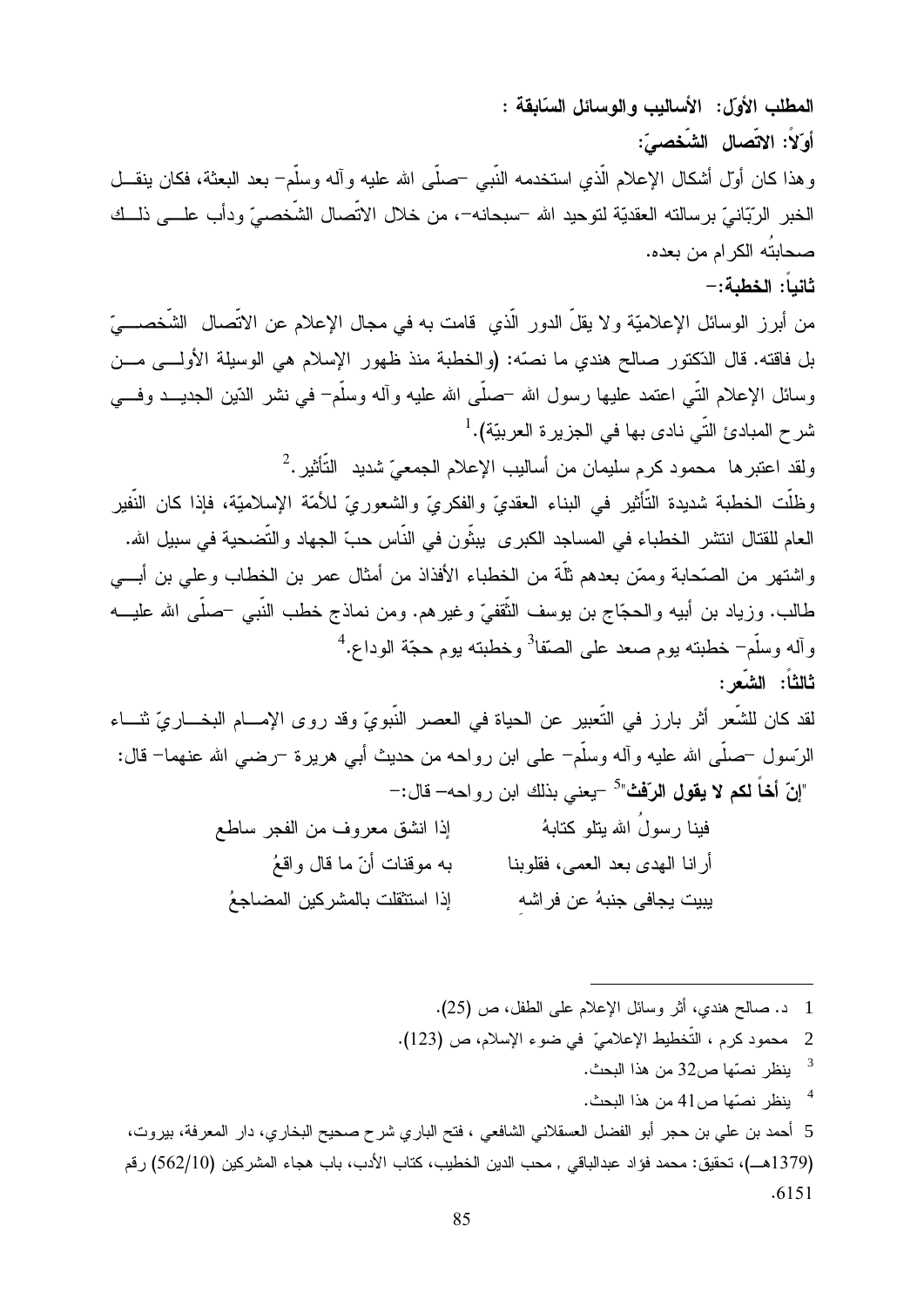المطلب الأول: الأساليب والوسائل السّابقة : أوّلاً: الاتّصال الشّخصىّ: وهذا كان أوّل أشكال الإعلام الّذي استخدمه النَّبـي –صلَّـي الله عليه وآله وسلَّم– بعد البعثة، فكان ينقـــل الخبر الرّبّانيّ برسالته العقديّة لتوحيد الله –سبحانه–، من خلال الاتّصال الشّخصـيّ ودأب علــــى ذلـــك صحابتُه الكرام من بعده. ثانباً: الخطبة:-

من أبرز الوسائل الإعلاميّة ولا يقلّ الدور الّذي قامت به في مجال الإعلام عن الاتّصال الشّخصــــيّ بل فاقته. قال الدّكتور صالح هندي ما نصّه: (والخطبة منذ ظهور الإسلام هي الوسيلة الأولـــي مـــن وسائل الإعلام النَّبي اعتمد عليها رسول الله –صلَّى الله عليه وأله وسلَّم– في نشر الدِّين الـجديـــد وفـــي شرح المبادئ التّي نادي بها في الجزيرة العربيّة).<sup>1</sup>

ولقد اعتبرها ۖ محمود كرم سليمان من أساليب الإعلام الجمعيِّ شديد ۖ التَّأثير . $^2$ 

وظلَّت الخطبة شديدة التَّأثير في البناء العقديّ والفكريّ والشعوريّ للأمّة الإسلاميّة، فإذا كان النّفير العام للقتال انتشر الخطباء في المساجد الكبرى يبثِّون في النَّاس حبِّ الجهاد والتَّضحية في سبيل الله. واشتهر من الصَّحابة وممَّن بعدهم ثلَّة من الخطباء الأفذاذ من أمثال عمر بن الخطاب وعلى بن أبـــي طالب. وزياد بن أبيه والحجّاج بن يوسف الثُّقفيّ وغيرهم. ومن نماذج خطب النَّبي –صلَّى الله عليـــه وآله وسلَّم<sup>\_</sup> خطبته بوم صعد على الصّقا<sup>3</sup> وخطبته بوم حجّة الوداع.<sup>4</sup> ثالثاً: الشَّعر :

لقد كان للشَّعر أثر بارز في التَّعبير عن الحياة في العصر النَّبويِّ وقد روى الإمـــام البخـــاريّ ثنـــاء الرّسول –صلّـي الله عليه وأله وسلَّم– علـي ابن رواحه من حديث أبـي هريرة –رضـي الله عنـهما– قال: "إنّ أخاً لكم لا يقول الرّفْتْ"<sup>5</sup> –يعني بذلك ابن رواحه– قال:–

| إذا انشق معروف من الفجر ساطع   | فينا رسول الله بتلو كتابهُ     |
|--------------------------------|--------------------------------|
| به موقنات أنّ ما قال واقعُ     | أرانا الهدى بعد العمى، فقلوبنا |
| إذا استثقلت بالمشركين المضاجعُ | يبيت يجافى جنبهُ عن فراشهِ     |

1 د. صالح هندي، أثر وسائل الإعلام على الطفل، ص (25). 2 محمود كرم ، التَّخطيط الإعلاميّ في ضوء الإسلام، ص (123).  $\overline{\mathbf{3}}$ ينظر نصّها ص32 من هذا البحث. <sup>4</sup> ينظر نصبّها ص41 من هذا البحث. 5 أحمد بن علي بن حجر أبو الفضل العسقلاني الشافعي ، فتح الباري شرح صحيح البخاري، دار المعرفة، بيروت، (1379هــ)، تحقيق: محمد فؤاد عبدالباقي , محب الدين الخطيب، كتاب الأدب، باب هجاء المشر كين (562/10) ر قم  $.6151$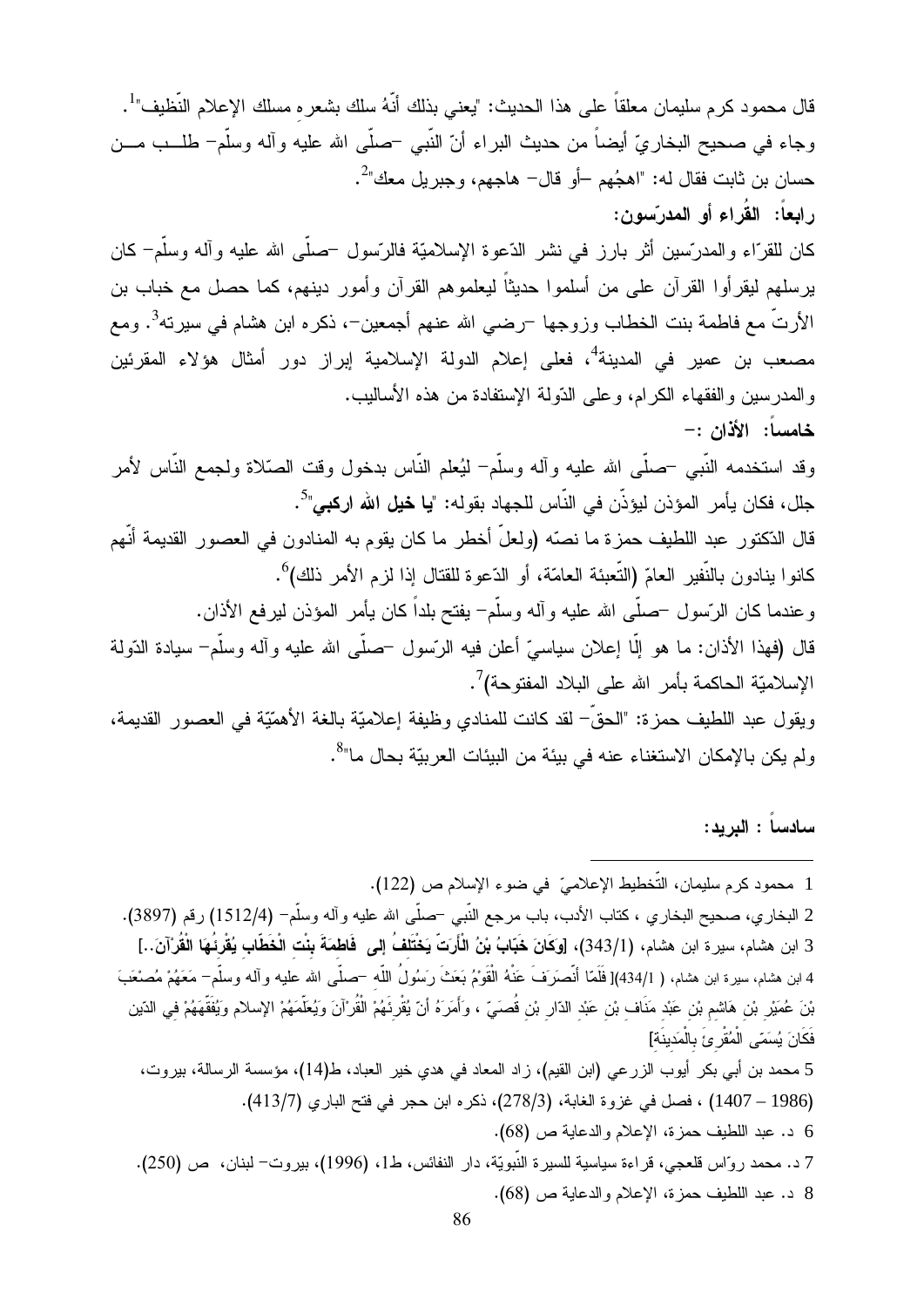قال محمود كرم سليمان معلقاً على هذا الحديث: "يعني بذلك أنَّهُ سلك بشعره مسلك الإعلام النَّظيف"<sup>1</sup>. وجاء في صحيح البخاريِّ أيضاً من حديث البراء أنّ النَّبي –صلَّى الله عليه وأله وسلَّم– طلـــب مـــن حسان بن ثابت فقال له: "اهجُهم —أو قال– هاجهم، وجبر يل معك"<sup>2</sup>. رابعاً: القُراء أو المدرّسون:

كان للقرّاء والمدرّسين أثر بارز في نشر الدّعوة الإسلاميّة فالرّسول –صلّـي الله عليه وآله وسلّم– كان يرسلهم ليقرأوا القرآن على من أسلموا حديثاً ليعلموهم القرآن وأمور دينهم، كما حصل مع خباب بن الأرتُّ مع فاطمة بنت الخطاب وزوجها ¬رضـي الله عنـهم أجمعين¬، ذكره ابن هشام فـي سيرته<sup>3</sup>. ومـع مصعب بن عمير في المدينة<sup>4</sup>، فعلى إعلام الدولة الإسلامية إبراز دور أمثال هؤلاء المقرئين والمدرسين والفقهاء الكرام، وعلى الدَّولة الإستفادة من هذه الأساليب. خامساً: الأذان :-

وقد استخدمه النَّبـي –صلَّـي الله عليه وأله وسلَّم– ليُعلم النَّاس بدخول وقت الصَّلاة ولجمع النَّاس لأمر جلّل، فكان يأمر ِ المؤذن ليؤذّن في النّاس للجهاد بقوله: "**يا خيل الله اركبي**"<sup>5</sup>. قال الدّكتور عبد اللطيف حمزة ما نصّه (ولعلّ أخطر ما كان يقوم به المنادون في العصور القديمة أنّهم كانوا بنادون بالنَّفير العامّ (التَّعبئة العامّة، أو الدّعوة للقتال إذا لزم الأمر ذلك)<sup>6</sup>. وعندما كان الرّسول –صلّـى الله عليه وأله وسلّم– يفتح بلداً كان يأمر المؤذن ليرفع الأذان. قال (فهذا الأذان: ما هو إلَّا إعلان سياسيٍّ أعلن فيه الرِّسول –صلَّى الله عليه وآله وسلَّم– سيادة الدّولة الإسلاميّة الحاكمة بأمر الله على البلاد المفتوحة)<sup>7</sup>.

ويقول عبد اللطيف حمزة: "الحقَّ– لقد كانت للمنادي وظيفة إعلاميَّة بالغة الأهمّيَّة في العصور القديمة، ولم يكن بالإمكان الاستغناء عنه في بيئة من البيئات العر بيّة بحال ما"<sup>8</sup>.

سادساً : البريد: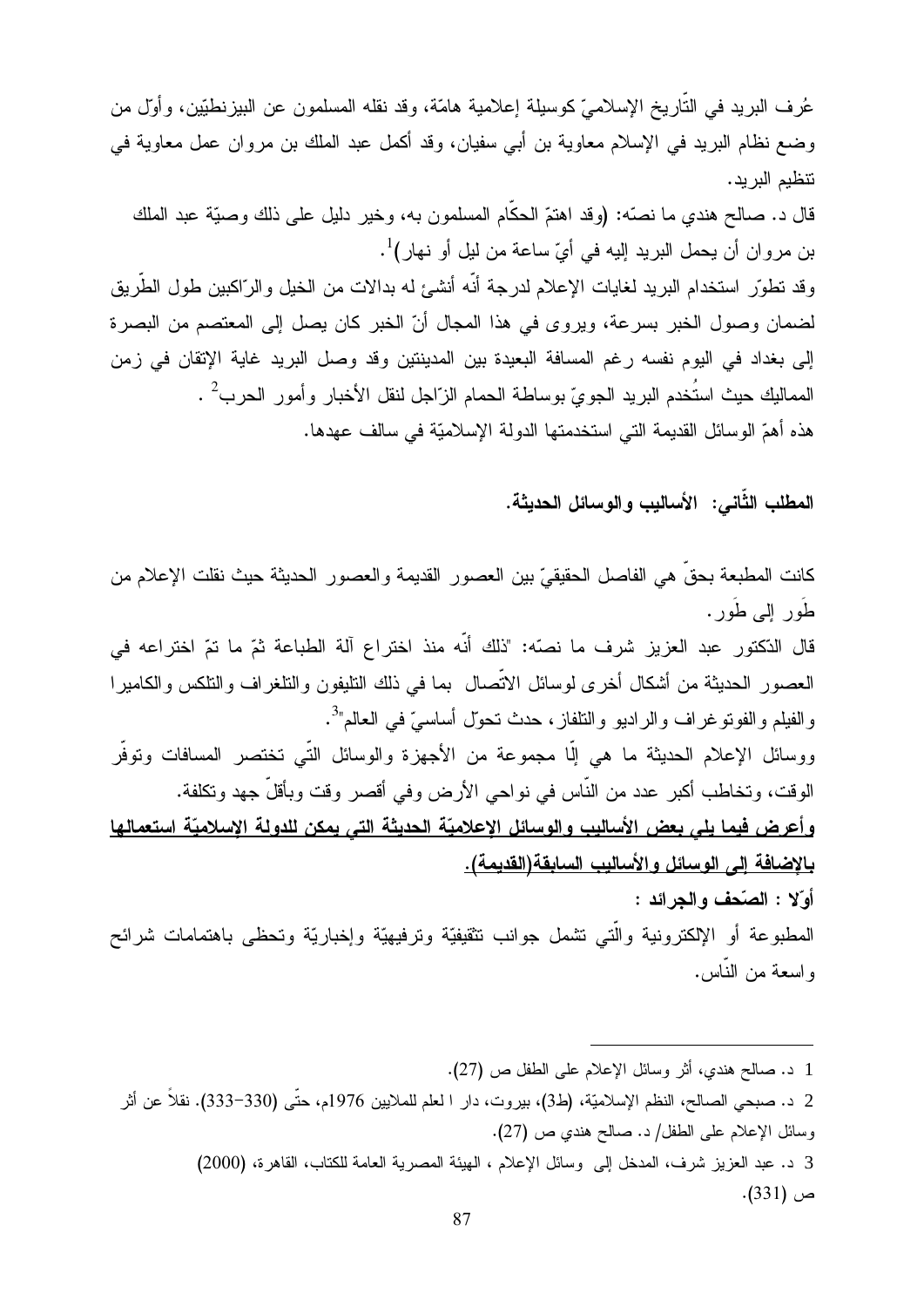عُرف البريد في التَّاريخ الإسلاميّ كوسيلة إعلامية هامّة، وقد نقله المسلمون عن البيزنطيّين، وأول من وضع نظام البريد في الإسلام معاوية بن أبي سفيان، وقد أكمل عبد الملك بن مروان عمل معاوية في نتظيم البريد.

قال د. صـالـح هندي مـا نصـّه: (وقد اهتمّ الـحكّام المسلمون بـه، وخير دليل علـى ذلك وصـيّة عبد الملك بن مروان أن يحمل البريد إليه في أيّ ساعة من ليل أو نهار )<sup>1</sup>. وقد تطوّر استخدام البريد لغايات الإعلام لدرجة أنّه أنشئ له بدالات من الخيل والرّاكبين طول الطّريق لضمان وصول الخبر بسرعة، ويروى في هذا المجال أنّ الخبر كان يصل إلى المعتصم من البصرة إلى بغداد في اليوم نفسه رغم المسافة البعيدة بين المدينتين وقد وصل البريد غاية الإتقان في زمن المماليك حيث استُخدم البريد الجويّ بوساطة الحمام الزّاجل لنقل الأخبار وأمور الحرب<sup>2</sup> . هذه أهمّ الوسائل القديمة التي استخدمتها الدولة الإسلاميّة في سالف عهدها.

المطلب الثَّاني: الأساليب والوسائل الحديثة.

كانت المطبعة بحقٍّ هي الفاصل الحقيقيِّ بين العصور القديمة والعصور الحديثة حيث نقلت الإعلام من طُور البي طُور . قال الدّكتور عبد العزيز شرف ما نصّه: "ذلك أنّه منذ اختراع آلة الطباعة ثمّ ما تمّ اختراعه في العصور الحديثة من أشكال أخرى لوسائل الاتّصال بما في ذلك التليفون والنلغراف والتلكس والكاميرا والفيلم والفونوغراف والراديو والنلفاز، حدث نحول أساسيّ في العالم"<sup>3</sup>. ووسائل الإعلام الحديثة ما هي إلَّا مجموعة من الأجهز ة والوسائل التَّبي تختصر المسافات وتوفَّر الوقت، وتخاطب أكبر عدد من النَّاس في نواحي الأرض وفي أقصر وقت وبأقلِّ جهد وتكلفة. وأعرض فيما يلي بعض الأساليب والوسائل الاعلاميّة الحديثة التي يمكن للدولة الإسلاميّة استعمالها بالاضافة إلى الوسائل والأساليب السابقة(القديمة). أوِّلا : الصّحف والجرائد : المطبوعة أو الإلكترونية والَّتى نشمل جوانب نتثقيفيَّة ونرفيهيَّة وإخباريَّة وتحظى باهتمامات شرائح و اسعة من النّاس.

| 1 د. صالح هندي، أثر وسائل الإعلام على الطفل ص (27).                                                       |
|-----------------------------------------------------------------------------------------------------------|
| 2  د. صبحي الصالح، النظم الإسلاميّة، (ط3)، بيروت، دار ا لعلم للملايين 1976م، حتّى (330–333). نقلاً عن أثر |
| وسائل الإعلام على الطفل/ د. صالح هندي ص (27).                                                             |
| 3 د. عبد العزيز شرف، المدخل إلى وسائل الإعلام ، الهيئة المصرية العامة للكتاب، القاهرة، (2000)             |
| ص (331).                                                                                                  |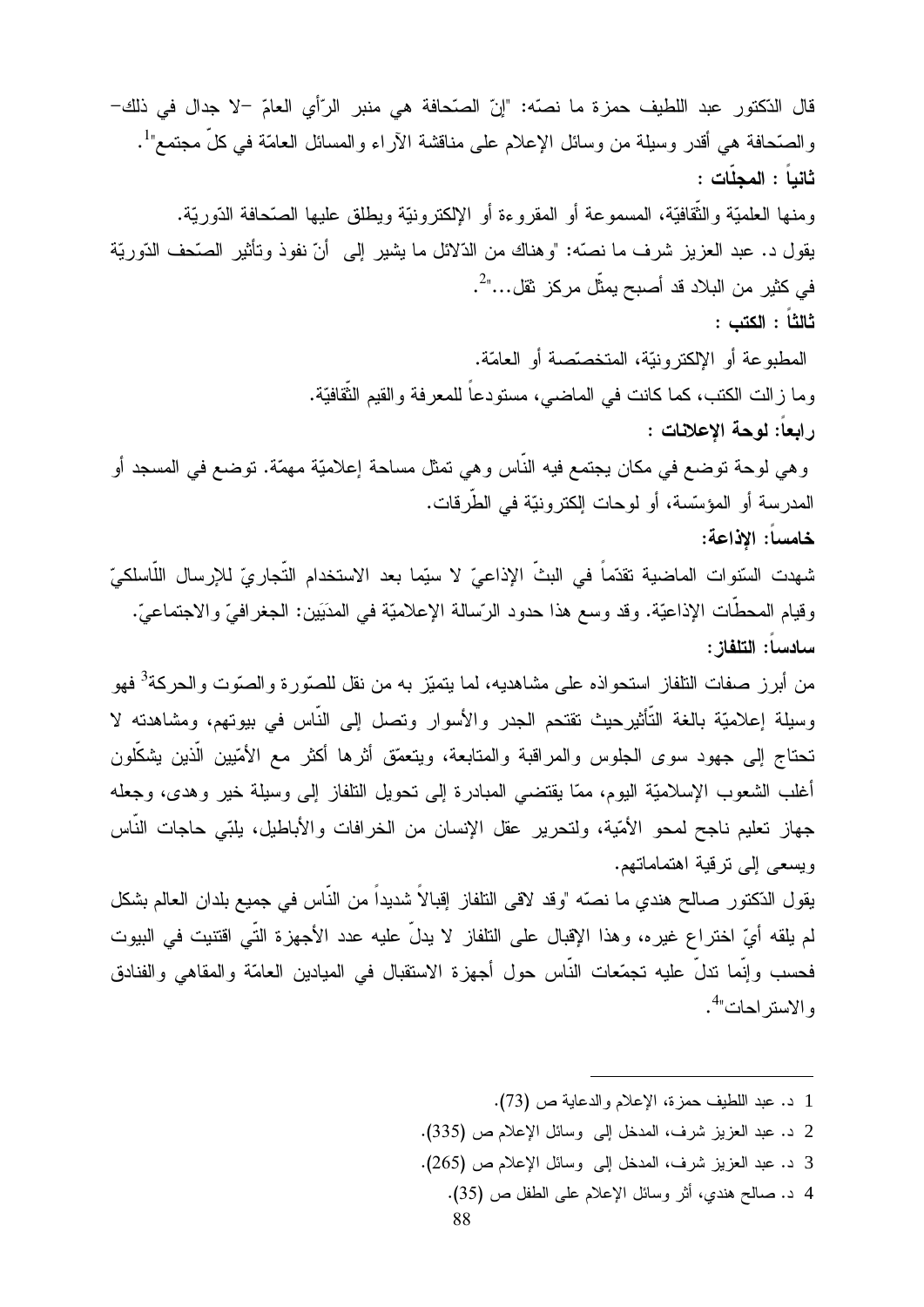قال الدّكتور عبد اللطيف حمزة ما نصّه: "إنّ الصّحافة هي منبر الرّأي العامّ –لا جدال في ذلك– والصَّحافة هي أقدر وسيلة من وسائل الإعلام على مناقشة الأراء والمسائل العامَّة في كلِّ مجتمع"<sup>1</sup>. ثانباً : المجلّات : ومنها العلميّة والثّقافيّة، المسموعة أو المقروءة أو الإلكترونيّة ويطلق عليها الصّحافة الدّوريّة. يقول د. عبد العزيز شرف ما نصّه: "وهناك من الدّلائل ما يشير إلى أنّ نفوذ وتأثير الصّحف الدّوريّة في كثير من البلاد قد أصبح يمثِّل مركز ثقل..."<sup>2</sup>. ثالثاً : الكتب : المطبوعة أو الإلكترونيَّة، المتخصَّصة أو العامَّة. وما زالت الكتب، كما كانت في الماضي، مستودعاً للمعرفة والقيم الثَّقافيَّة. رابعاً: لوحة الاعلانات : و هي لوحة توضع في مكان يجتمع فيه الناس و هي تمثَّل مساحة إعلاميَّة مهمَّة. توضع في المسجد أو المدر سة أو المؤسّسة، أو لوحات إلكتر ونيّة في الطّر قات. خامساً: الاذاعة: شهدت السّنوات الماضية تقدّماً في البثّ الإذاعيّ لا سيّما بعد الاستخدام التّجاريّ للإرسال اللّاسلكيّ وقيام المحطَّات الإذاعيَّة. وقد وسع هذا حدود الرَّسالة الإعلاميَّة في المدَيَين: الجغرافيِّ والاجتماعيِّ. سادساً: التلفاز : من أبر ز صفات التلفاز استحو اذه على مشاهديه، لما يتميّز به من نقل للصنّور ة و الصنّوت و الحركة<sup>3</sup> فهو وسيلة إعلاميّة بالغة التّأثير حيث تقتحم الجدر والأسوار وتصل إلى النّاس في بيوتهم، ومشاهدته لا تحتاج إلى جهود سوى الجلوس والمراقبة والمتابعة، ويتعمّق أثرها أكثر مع الأمّيين الّذين يشكّلون أغلب الشعوب الإسلاميّة اليوم، ممّا يقتضبي المبادرة إلى تحويل التلفاز إلى وسيلة خير وهدى، وجعله جهاز تعليم ناجح لمحو الأمّية، ولتحرير عقل الإنسان من الخرافات والأباطيل، بلبّي حاجات النّاس ويسعى إلى ترقية اهتماماتهم. يقول الدّكتور صـالح هندي ما نصّه "وقد لاقي التلفاز إقبالاً شديداً من النّاس في جميع بلدان العالم بشكل لم يلقه أيِّ اختراع غيره، وهذا الإقبال على التلفاز لا يدلُّ عليه عدد الأجهزة التَّى اقتنيت في البيوت فحسب وإنَّما ندلٌ عليه تجمّعات النَّاس حول أجهزة الاستقبال في الميادين العامّة والمقاهي والفنادق و الاستر احات"<sup>4</sup>.

- 1 د. عبد اللطيف حمزة، الإعلام والدعاية ص (73).
- 2 د. عبد العزيز شرف، المدخل إلى وسائل الإعلام ص (335).
- 3 د. عبد العزيز شرف، المدخل إلى وسائل الإعلام ص (265).
	- 4 د. صالح هندي، أثر وسائل الإعلام على الطفل ص (35).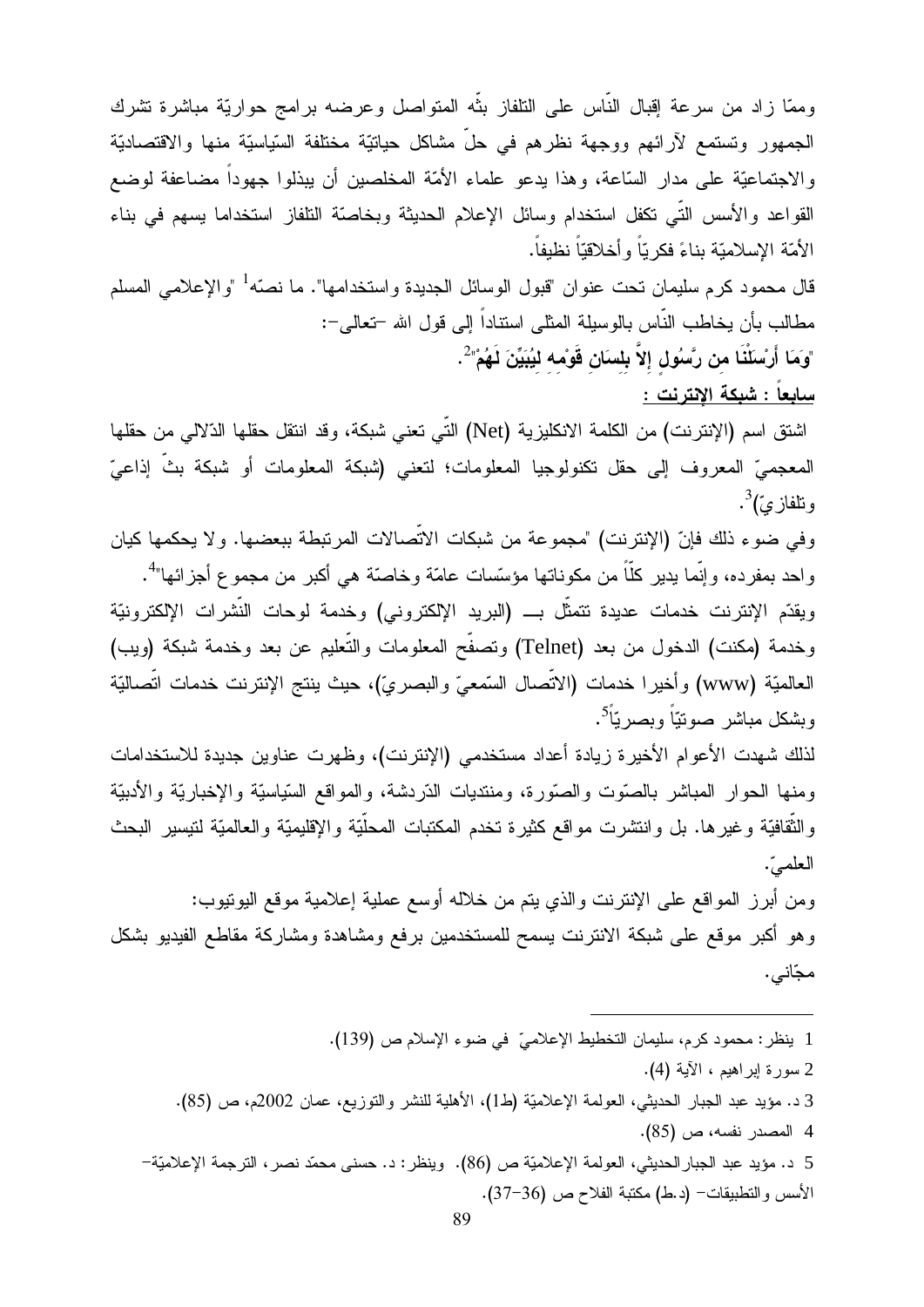وممّا زاد من سرعة إقبال النّاس على النلفاز بنّه المتواصل وعرضه برامج حواريّة مباشرة تشرك الجمهور وتستمع لأرائهم ووجهة نظرهم في حلٍّ مشاكل حياتيّة مختلفة السّياسيّة منها والاقتصاديّة والاجتماعيَّة على مدار السَّاعة، وهذا يدعو علماء الأمَّة المخلصين أن يبذلوا جهوداً مضاعفة لوضع القواعد والأسس التَّـي تكفل استخدام وسائل الإعلام الحديثة وبخاصَّة النلفاز استخداما بسهم في بناء الأُمّة الإسلاميّة بناءً فكر يّاً و أخلاقيّاً نظبفاً.

قال محمود كرم سليمان تحت عنوان "قبول الوسائل الجديدة واستخدامها". ما نصّه<sup>1</sup> "والإعلامي المسلم مطالب بأن يخاطب النَّاس بالوسيلة المثلي استناداً إلى قول الله –تعالى–: "وَمَا أَرْسَلْنَا من رَّسُول إلاَّ بِلسَان قَوْمه ليُبَيِّنَ لَهُمْ" ُ .

<u>سابعاً : شبكة الانترنت :</u>

اشتق اسم (الإنترنت) من الكلمة الانكليزية (Net) التّي تعني شبكة، وقد انتقل حقلها الدّلالي من حقلها ا المعجميِّ المعروف إلى حقل تكنولوجيا المعلومات؛ لتعني (شبكة المعلومات أو شبكة بثِّ إذاعيّ ونلفاز يٌ)<sup>3</sup>.

وفي ضوء ذلك فإنّ (الإنترنت) "مجموعة من شبكات الاتِّصالات المرتبطة ببعضها. و لا يحكمها كيان واحد بمفرده، وإنَّما يدير كلَّاً من مكوناتها مؤسَّسات عامَّة وخاصَّة هي أكبر من مجموع أجزائها"<sup>4</sup>.

ويقدّم الإنترنت خدمات عديدة تتمثّل بــــ (البريد الإلكتروني) وخدمة لوحات النّشرات الإلكترونيّة وخدمة (مكنت) الدخول من بعد (Telnet) ونصفَّح المعلومات والتَّعليم عن بعد وخدمة شبكة (ويب) العالميّة (www) وأخيرا خدمات (الاتّصال السّمعيّ والبصريّ)، حيث بنتج الإنترنت خدمات اتّصاليّة وبشكل مباشر صونتيّاً وبصريّاً<sup>5</sup>.

لذلك شهدت الأعوام الأخيرة زيادة أعداد مستخدمي (الإنترنت)، وظهرت عناوين جديدة للاستخدامات ومنها الحوار المباشر بالصّوت والصّورة، ومنتديات الدّردشة، والمواقع السّياسيّة والإخباريّة والأدبيّة والنُّقافيَّة وغيرها. بل وانتشرت مواقع كثيرة تخدم المكتبات المحلَّيَّة والإقليميَّة والعالميَّة لتيسير البحث العلميّ.

ومن أبرز المواقع على الإنترنت والذي يتم من خلاله أوسع عملية إعلامية موقع اليونيوب: وهو أكبر موقع علىي شبكة الانترنت يسمح للمستخدمين برفع ومشاهدة ومشاركة مقاطع الفيديو بشكل مجّانبي.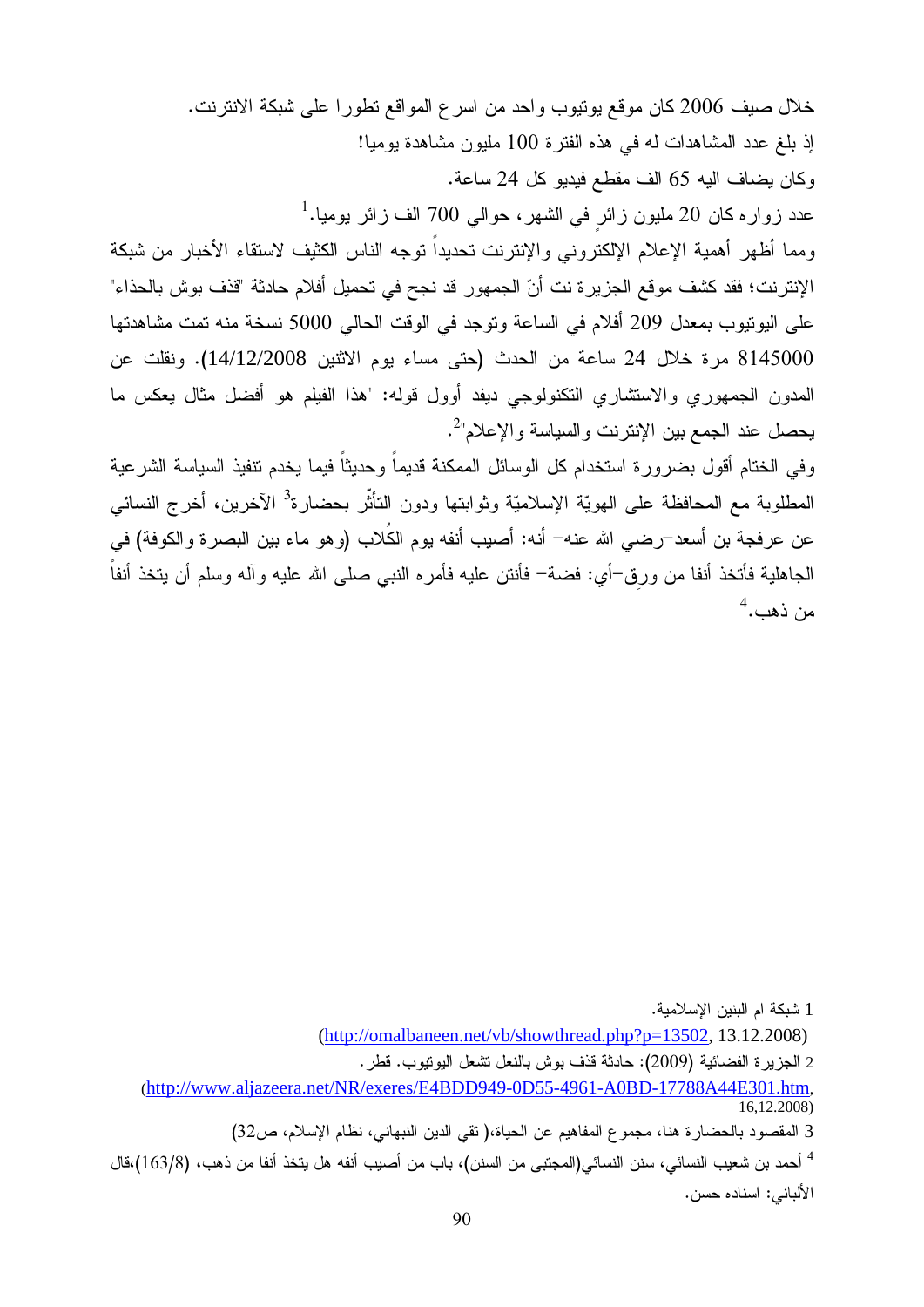خلال صيف 2006 كان موقع يوتيوب واحد من اسرع المواقع نطورا على شبكة الانترنت. إذ بلغ عدد المشاهدات له في هذه الفترة 100 مليون مشاهدة بوميا! وكان يضاف اليه 65 الف مقطع فيديو كل 24 ساعة. عدد زواره كان 20 مليون زائر في الشهر ، حوالي 700 الف زائر يوميا.<sup>1</sup> ومما أظهر أهمية الإعلام الإلكتروني والإنترنت تحديداً توجه الناس الكثيف لاستقاء الأخبار من شبكة الإنترنت؛ فقد كشف موقع الجزيرة نت أنّ الجمهور قد نجح في تحميل أفلام حادثة "قذف بوش بالحذاء" على اليونيوب بمعدل 209 أفلام في الساعة وتوجد في الوقت الحالي 5000 نسخة منه تمت مشاهدتها 8145000 مرة خلال 24 ساعة من الحدث (حتى مساء يوم الاثنين 14/12/2008). ونقلت عن المدون الجمهوري والاستشاري التكنولوجي ديفد أوول قوله: "هذا الفيلم هو أفضل مثال يعكس ما

و في الختام أقول بضر و ر ة استخدام كل الوسائل الممكنة قديماً و حديثاً فيما يخدم تنفيذ السياسة الشر عية المطلوبة مع المحافظة على الهويّة الإسلاميّة وثوابتها ودون التأثّر بحضارة<sup>3</sup> الآخرين، أخرج النسائي عن عرفجة بن أسعد–رضيي الله عنه– أنه: أصيب أنفه يوم الكُلاب (وهو ماء بين البصرة والكوفة) في الجاهلية فأتخذ أنفا من ورق–أي: فضنة– فأنتن عليه فأمره النبـى صلـى الله عليه وآله وسلم أن يتخذ أنفاً  $^4$ . دهب

بحصل عند الجمع بين الإنتر نت والسياسة والإعلام"<sup>2</sup>.

<sup>1</sup> شبكة ام البنين الإسلامبة.

<sup>(</sup>http://omalbaneen.net/vb/showthread.php?p=13502, 13.12.2008)

<sup>2</sup> الجزير ة الفضائية (2009): حادثة قذف بوش بالنعل تشعل اليونيوب. قطر .

<sup>(</sup>http://www.aljazeera.net/NR/exeres/E4BDD949-0D55-4961-A0BD-17788A44E301.htm, 16,12.2008)

<sup>3</sup> المقصود بالحضار ة هنا، مجموع المفاهيم عن الحياة،( تقى الدين النبهاني، نظام الإسلام، ص32)

<sup>&</sup>lt;sup>4</sup> أحمد بن شعيب النسائي، سنن النسائي(المجتبي من السنن)، باب من أصيب أنفه هل يتخذ أنفا من ذهب، (163/8)،قال الألباني: اسناده حسن.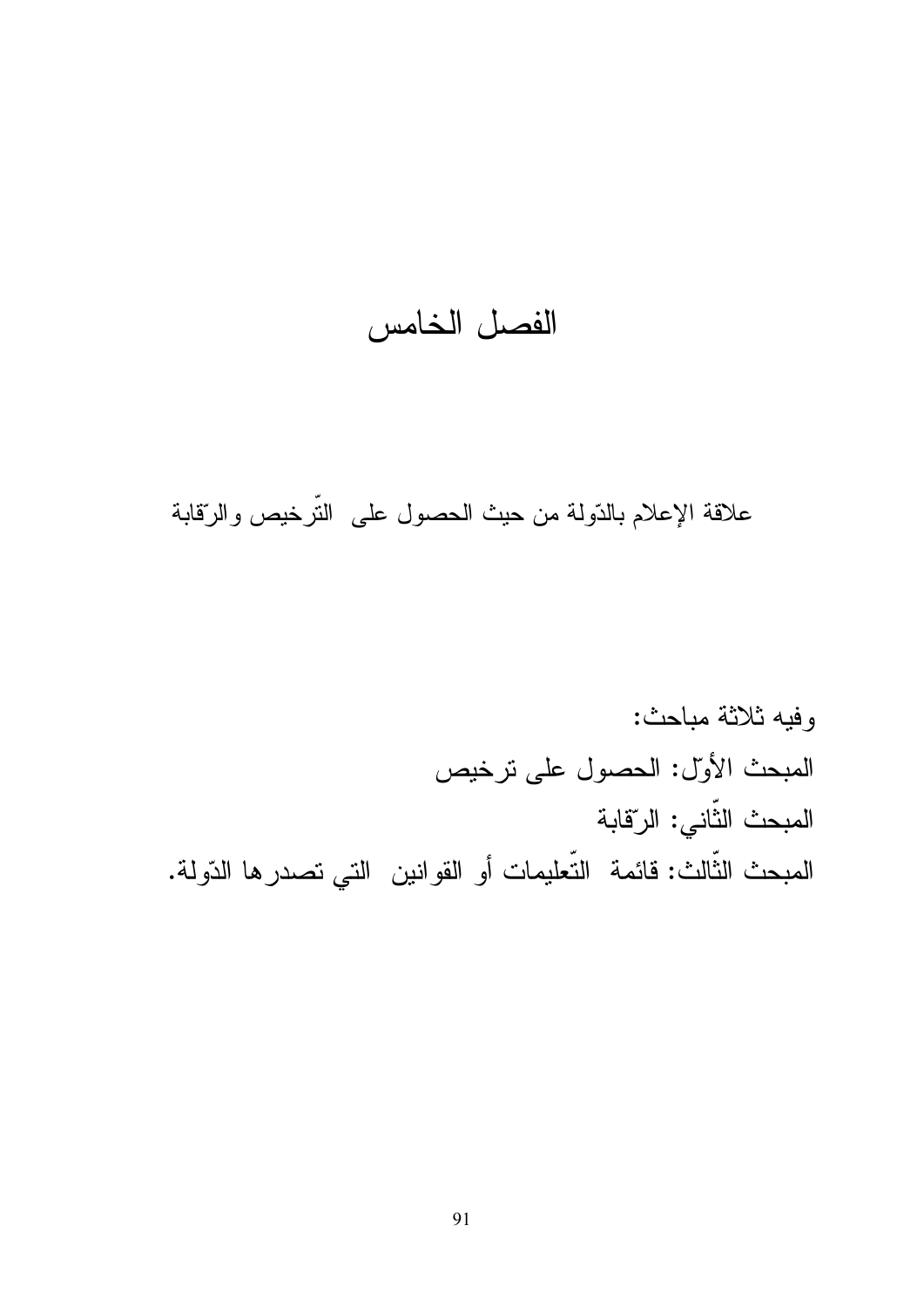# الفصل الخامس

## علاقة الإعلام بالدّولة من حيث الحصول على التّرخيص والرّقابة

وفيه ثلاثة مباحث: المبحث الأول: الحصول على ترخيص المبحث الثّانى: الرّقابة المبحث الثَّالث: فائمة التّعليمات أو القوانين التي تصدر ها الدّولة.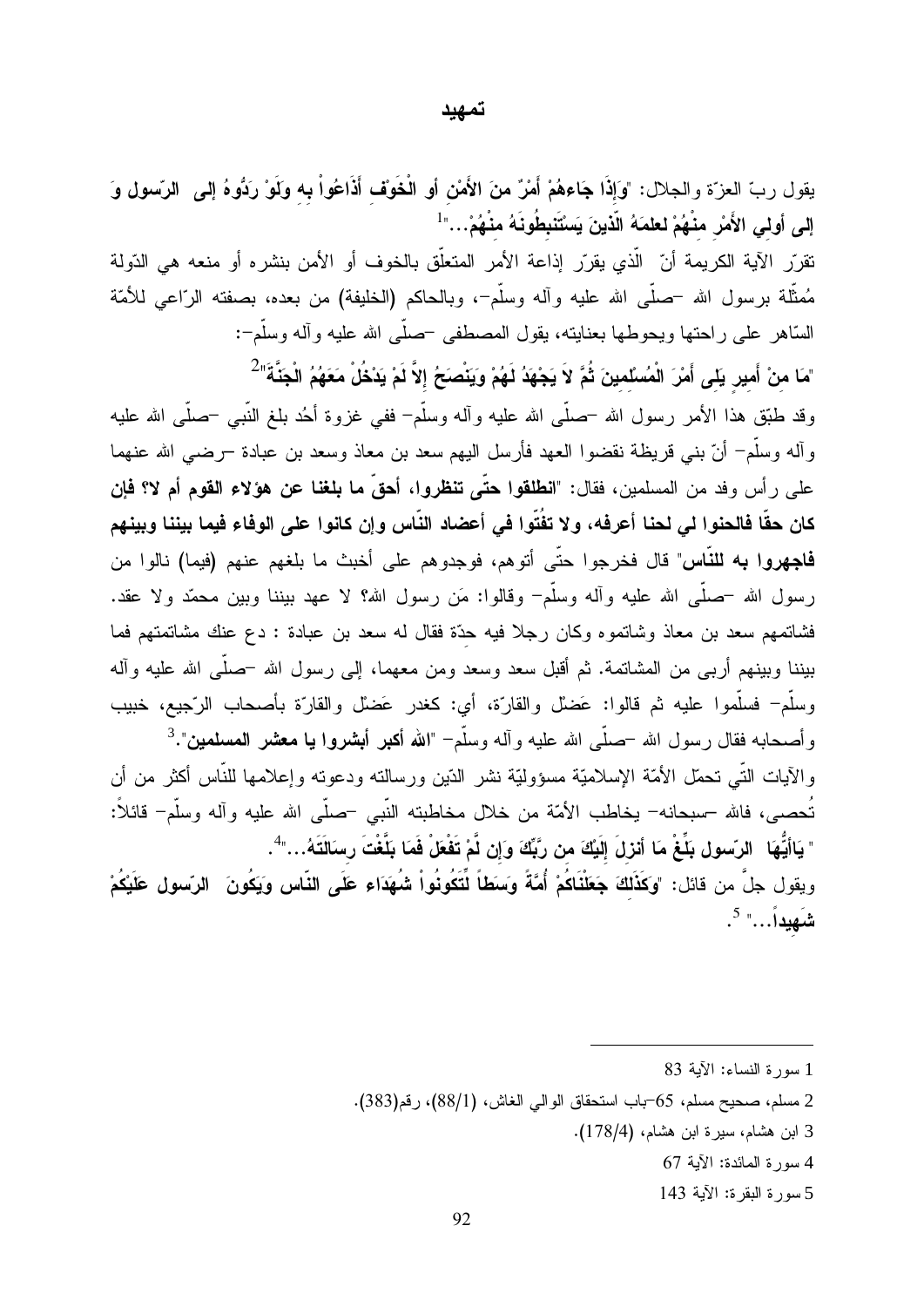#### تمهيد

يقول ربِّ العزَّة والجلال: "وَإِذَا جَاءهُمْ أَمْرٌ منَ الأَمْنِ أو الْخَوْف أَذَاعُواْ بِه وَلَوْ رَدُّوهُ إلى الرّسول وَ إلى أولى الأَمْر منْهُمْ لعلمَهُ الّذينَ يَسْتَنبِطُونَهُ منْهُمْ..."<sup>1</sup> تقرّر الآية الكريمة أنّ الّذي يقرّر إذاعة الأمر المتعلّق بالخوف أو الأمن بنشره أو منعه هي الدّولة مُمثَّلة برسول الله –صلَّى الله عليه وآله وسلَّم–، وبالحاكم (الخليفة) من بعده، بصفته الرّاعي للأمّة السَّاهر على راحتها ويحوطها بعنايته، يقول المصطفى حسلَّمي الله عليه وأله وسلَّم−: "مَا منْ أَمير يَل*ى* أَمْرَ الْمُسْلمينَ ثُمَّ لاَ يَجْهَدُ لَهُمْ وَيَنْصَحُ إلاَّ لَمْ يَدْخُلْ مَعَهُمُ الْجَنَّةَ<sup>"2</sup> وقد طَبَّق هذا الأمر رسول الله –صلَّى الله عليه وأله وسلَّم– ففي غزوة أحُد بلغ النَّبي –صلَّى الله عليه وأله وسلَّمٍ ۖ أنَّ بني قريظة نقضوا العهد فأرسل اليهم سعد بن معاذ وسعد بن عبادة –رضي الله عنهما على رأس وفد من المسلمين، فقال: "ا**نطلقوا حتّى تنظروا، أحقّ ما بلغنا عن هؤلاء القوم أم لا؟ فإن** كان حقًّا فالحنوا لي لحنا أعرفه، ولا تفُتّوا في أعضاد النّاس وإن كانوا على الوفاء فيما بيننا وبينهم **فاجهروا به للنّاس**" قال فخرجوا حتّى أتوهم، فوجدوهم على أخبث ما بلغهم عنهم (فيما) نالوا من رسول الله –صلَّـى الله عليه وأله وسلَّم– وقالوا: مَن رسول الله؟ لا عهد ببننا وببن محمَّد ولا عقد. فشاتمهم سعد بن معاذ وشاتموه وكان رجلا فيه حدّة فقال له سعد بن عبادة : دع عنك مشاتمتهم فما بيننا وبينهم أربـي من المشاتمة. ثم أقبل سعد وسعد ومن معهما، إلـي رسول الله –صلَّـي الله عليه وأله وسلَّمٍ ۖ فسلَّموا عليه ثم قالوا: عَضلْ والقارَّة، أي: كغدرٍ عَضلْ والقارَّة بأصحاب الرَّجيع، خبيب وأصحابه فقال رسول الله –صلَّى الله عليه وأله وسلَّم– "**الله أكبر أبشروا يا معشر المسلمين**".<sup>3</sup> والأيات التَّبي نحمَّل الأمَّة الإسلاميَّة مسؤوليَّة نشر الدِّين ورسالته ودعونه وإعلامها للنَّاس أكثر من أن .<br>تُحصـي، فالله –سبحانه– يخاطب الأمّة من خلال مخاطبته النّبي –صلّبي الله عليه وأله وسلّم– قائلاً: " يَاأَيُّهَا الرّسول بَلِّغْ مَا أنزلَ إلَيْكَ من رّبِّكَ وَإن لَّمْ تَفْعَلْ فَمَا بَلَّغْتَ رسَالَتَهُ…"ُ. ويقول جلَّ من قائل: "وكَذَلكَ جَعَلْنَاكُمْ أُمَّةً وَسَطَأَ لِّتَكُونُواْ شُهَدَاء عَلَى النَّاس وَيَكُونَ ۚ الرّسول عَلَيْكُمْ شَهِيداً..." <sup>5</sup>.

1 سورة النساء: الآية 83

- 2 مسلم، صحيح مسلم، 65-باب استحقاق الوالي الغاش، (88/1)، رقم(383).
	- 3 ابن هشام، سيرة ابن هشام، (178/4).
		- 4 سورة المائدة: الآية 67
		- 5 سورة البقرة: الآية 143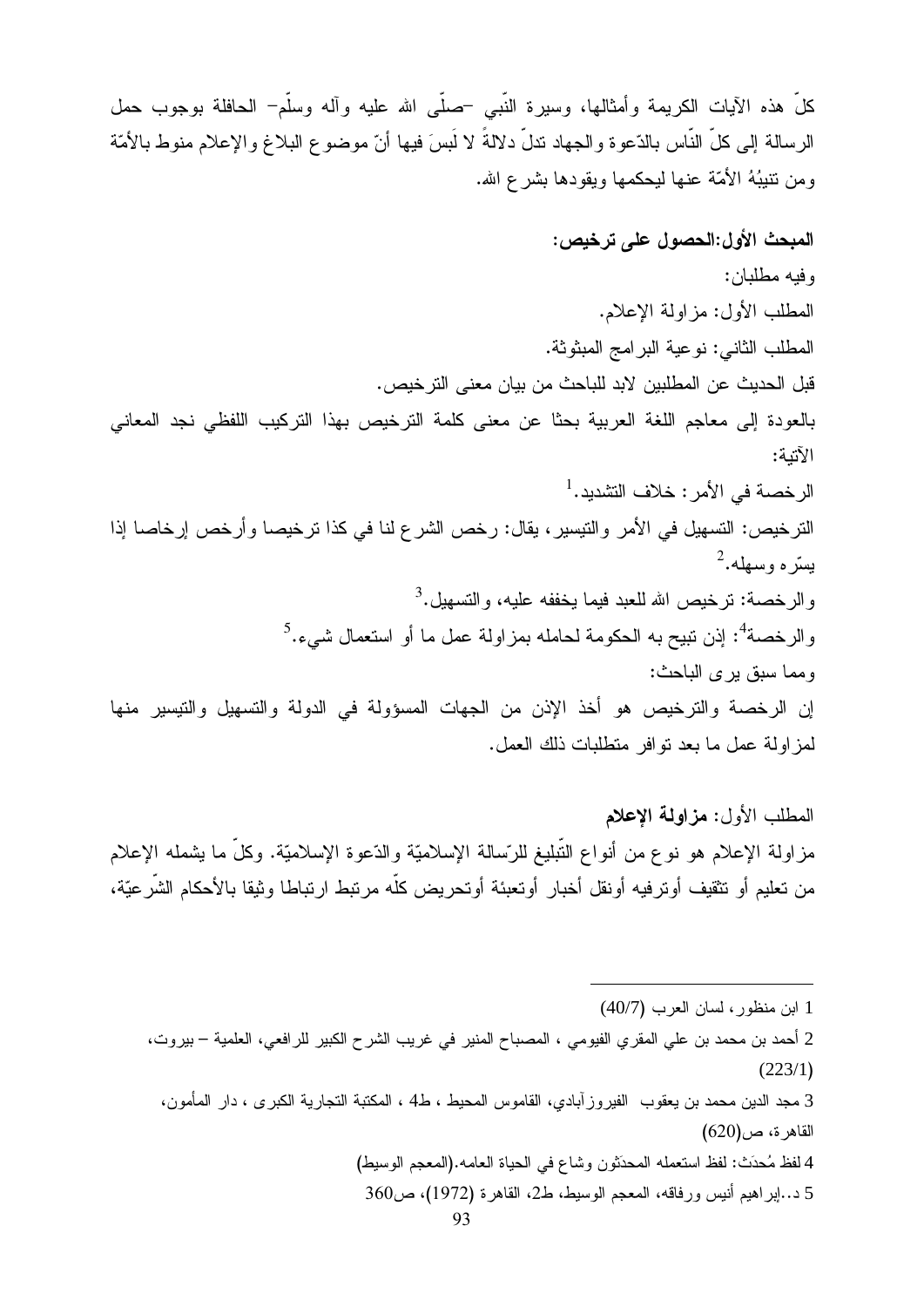كلَّ هذه الآيات الكريمة وأمثالها، وسيرة النَّبي –صلَّى الله عليه وأله وسلَّم– الحافلة بوجوب حمل الرسالة إلى كلِّ النَّاس بالدّعوة والجهاد ندلُّ دلالةً لا لَبِسَ فيها أنّ موضوع البلاغ والإعلام منوط بالأمّة ومن نتيبُهُ الأمّة عنها ليحكمها ويقودها بشرع الله.

المبحث الأول:الحصول على ترخيص: وفيه مطلبان: المطلب الأول: مز اولة الإعلام. المطلب الثاني: نوعية البرامج المبثوثة. قبل الحديث عن المطلبين لابد للباحث من بيان معنى التر خيص. بالعودة إلى معاجم اللغة العربية بحثا عن معنى كلمة الترخيص بهذا التركيب اللفظي نجد المعاني الآتنة: الرخصة في الأمر : خلاف التشديد.<sup>1</sup> الترخيص: التسهيل في الأمر والتيسير ، يقال: رخص الشر ع لنا في كذا ترخيصا وأرخص إرخاصا إذا  $2.4$ بِسرّ موسهله والرخصة: نرخيص الله للعبد فيما يخففه عليه، والتسهيل.<sup>3</sup> والرخصة<sup>4</sup>: إذن تبيح به الحكومة لحامله بمزاولة عمل ما أو استعمال شيء.<sup>5</sup> ومما سبق بر ي الباحث: إن الرخصة والترخيص هو أخذ الإذن من الجهات المسؤولة في الدولة والتسهيل والتيسير منها لمز اولة عمل ما بعد نو افر متطلبات ذلك العمل.

المطلب الأول: مزاولة الإعلام مزاولة الإعلام هو نوع من أنواع التُّبليغ للرَّسالة الإسلاميَّة والدَّعوة الإسلاميَّة. وكلَّ ما بشمله الإعلام من تعليم أو نتقيف أوترفيه أونقل أخبار أوتعبئة أوتحريض كلّه مرتبط ارتباطا وثيقا بالأحكام الشَّرعيّة،

- 4 لفظ مُحدَث: لفظ استعمله المحدَثون وشاع في الحياة العامه.(المعجم الوسيط)
	- 5 د..إبراهيم أنيس ورفاقه، المعجم الوسيط، ط2، القاهرة (1972)، ص360

<sup>1</sup> ابن منظور، لسان العرب (40/7)

<sup>2</sup> أحمد بن محمد بن علي المقري الفيومي ، المصباح المنير في غريب الشرح الكبير للرافعي، العلمية – بيروت،  $(223/1)$ 

<sup>3</sup> مجد الدين محمد بن يعقوب الفيروز آبادي، القاموس المحيط ، ط4 ، المكتبة التجارية الكبرى ، دار المأمون،  $(620)$ القاهر ة، ص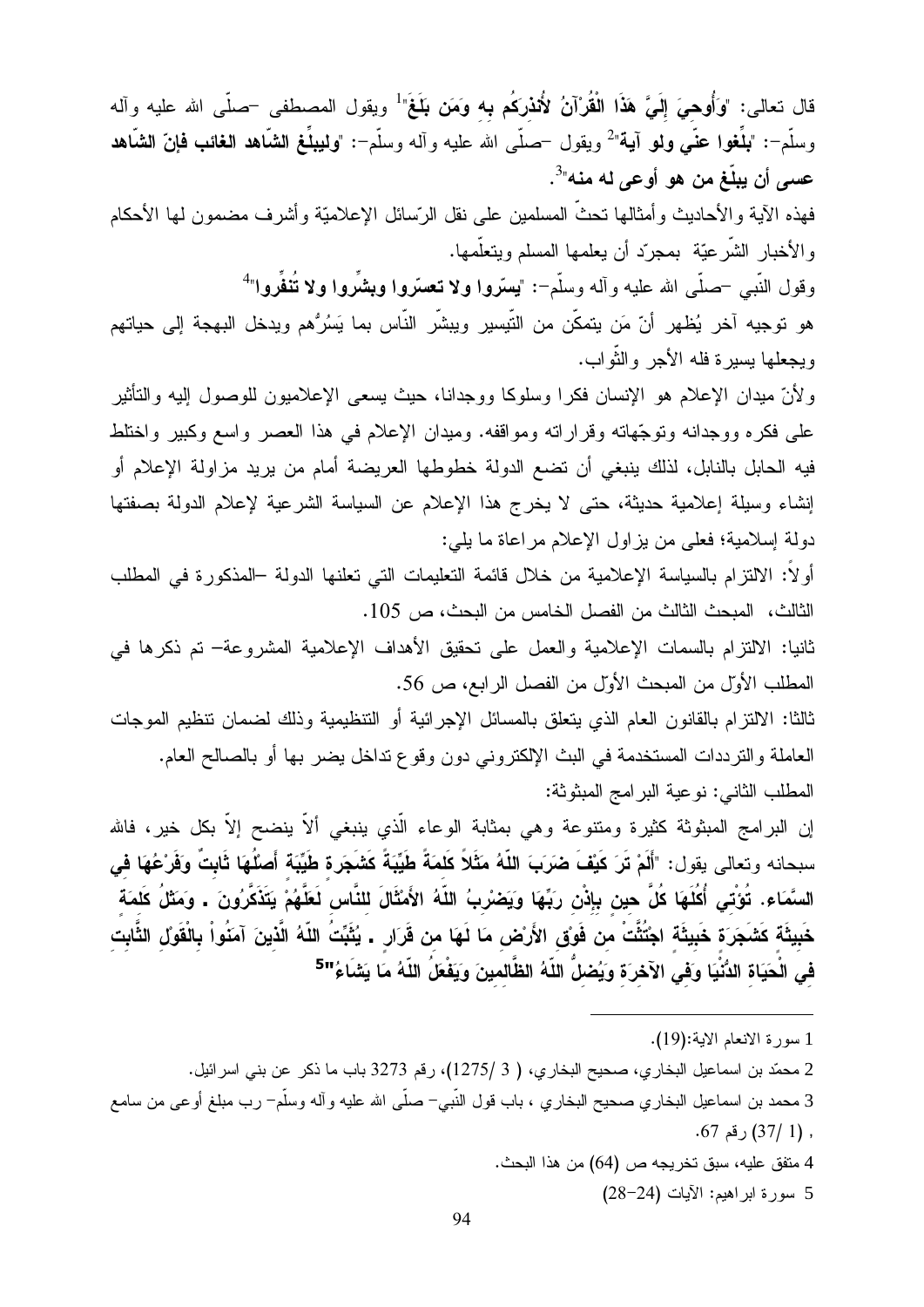قال تعالى: "وَأُوهيَ إِلَيَّ هَذَا الْقُرْآنُ لأُنذركُم به وَمَن بَلَغَ" ويقول المصطفى <sup>ــ</sup>صلّـى الله عليه وآله وسلَّم–: "**بذَفوا عنَّي ونو آية**"<sup>2</sup> ويقول —صلَّى الله عليه وآله وسلَّم–: "**وليبلِّغ الشَّاهد الغائب فإنّ الشَّاهد** عسي أن يبلّغ من هو أوعي له منه"<sup>3</sup>.

فهذه الآية والأحاديث وأمثالها نحثُّ المسلمين على نقل الرّسائل الإعلاميّة وأشرف مضمون لمها الأحكام والأخبار الشَّرعيَّة بمجرَّد أن يعلمها المسلم ويتعلَّمها.

وقول النَّبي –صلَّى الله عليه وأله وسلَّم–: "يسرُّوا ولا تعسَّروا وبشَّروا ولا تُنفَّروا"

هو توجيه آخر يُظهر أنّ مَن يتمكّن من التّيسير ويبشّر النّاس بما يَسُرُّهم ويدخل البهجة إلى حياتهم ويجعلها يسيرة فله الأجر والثَّواب.

ولأنّ ميدان الإعلام هو الإنسان فكرا وسلوكا ووجدانا، حيث يسعى الإعلاميون للوصول إليه والتأثير على فكره ووجدانه وتوجّهاته وقراراته ومواقفه. وميدان الإعلام في هذا العصر واسع وكبير واختلط فيه الحابل بالنابل، لذلك ينبغي أن نضع الدولة خطوطها العريضة أمام من يريد مزاولة الإعلام أو إنشاء وسيلة إعلامية حديثة، حتى لا يخرج هذا الإعلام عن السياسة الشرعية لإعلام الدولة بصفتها دولة إسلامية؛ فعلى من يزاول الإعلام مراعاة ما يلي:

أولاً: الالتزام بالسياسة الإعلامية من خلال قائمة التعليمات التي تعلنها الدولة –المذكورة في المطلب الثالث، المبحث الثالث من الفصل الخامس من البحث، ص 105.

ثانيا: الالنزام بالسمات الإعلامية والعمل على تحقيق الأهداف الإعلامية المشروعة– تم ذكرها في المطلب الأول من المبحث الأول من الفصل الرابع، ص 56.

ثالثا: الالتز ام بالقانون العام الذي يتعلق بالمسائل الإجر ائية أو التنظيمية وذلك لضمان تنظيم الموجات العاملة والترددات المستخدمة في البث الإلكتروني دون وقوع تداخل بضر بها أو بالصالح العام. المطلب الثاني: نوعية البرامج المبثوثة:

إن البرامج المبثوثة كثيرة ومتنوعة وهي بمثابة الوعاء الّذي ينبغي ألاّ ينضح إلاّ بكل خير، فالله سبحانه وتعالى بقول: "أَلَمْ تَرَ كَيْفَ ضَرَبَ اللَّهُ مَثَلاً كَلمَةً طَيِّبَةً كَشَجَرة طَيِّبَة أَصْلُهَا ثَابتٌ وَفَرْعُهَا فَى السَّمَاء. تُؤتْى أُكْلَهَا كُلَّ حين بإِذْن ربِّهَا ويَصْرْبُ اللّهُ الأَمْثَالَ للنَّاس لَعَلَّهُمْ يَتَذَكَّرُونَ ـ ومَثْلُ كَلمَة خَبِيثَة كَشَجَرَة خَبِيثَة اجْتُثَّتْ من فَوق الأَرْض مَا لَهَا من قَرَار . يُثَبِّتُ اللَّهُ الَّذينَ آمَنُواْ بالْقَوْل الثَّابت في الْحَيَاة الدُّنْيَا وَفي الآخرَة وَيُضلُّ اللّهُ الظَّالمينَ وَيَفْعَلُ اللّهُ مَا يَشَاءُ''<sup>5</sup>'

- 1 سورة الانعام الاية:(19).
- 2 محمّد بن اسماعيل البخاري، صحيح البخاري، ( 3 /1275)، رقم 3273 باب ما ذكر عن بني اسرائيل.

- 4 متفق عليه، سبق تخريجه ص (64) من هذا البحث.
	- 5 سورة ابراهيم: الأيات (24–28)

<sup>3</sup> محمد بن اسماعيل البخاري صحيح البخاري ، باب قول النّبي- صلّبي الله عليه وأله وسلّم- رب مبلغ أوعي من سامع  $.67$  رقم 37) , (37) .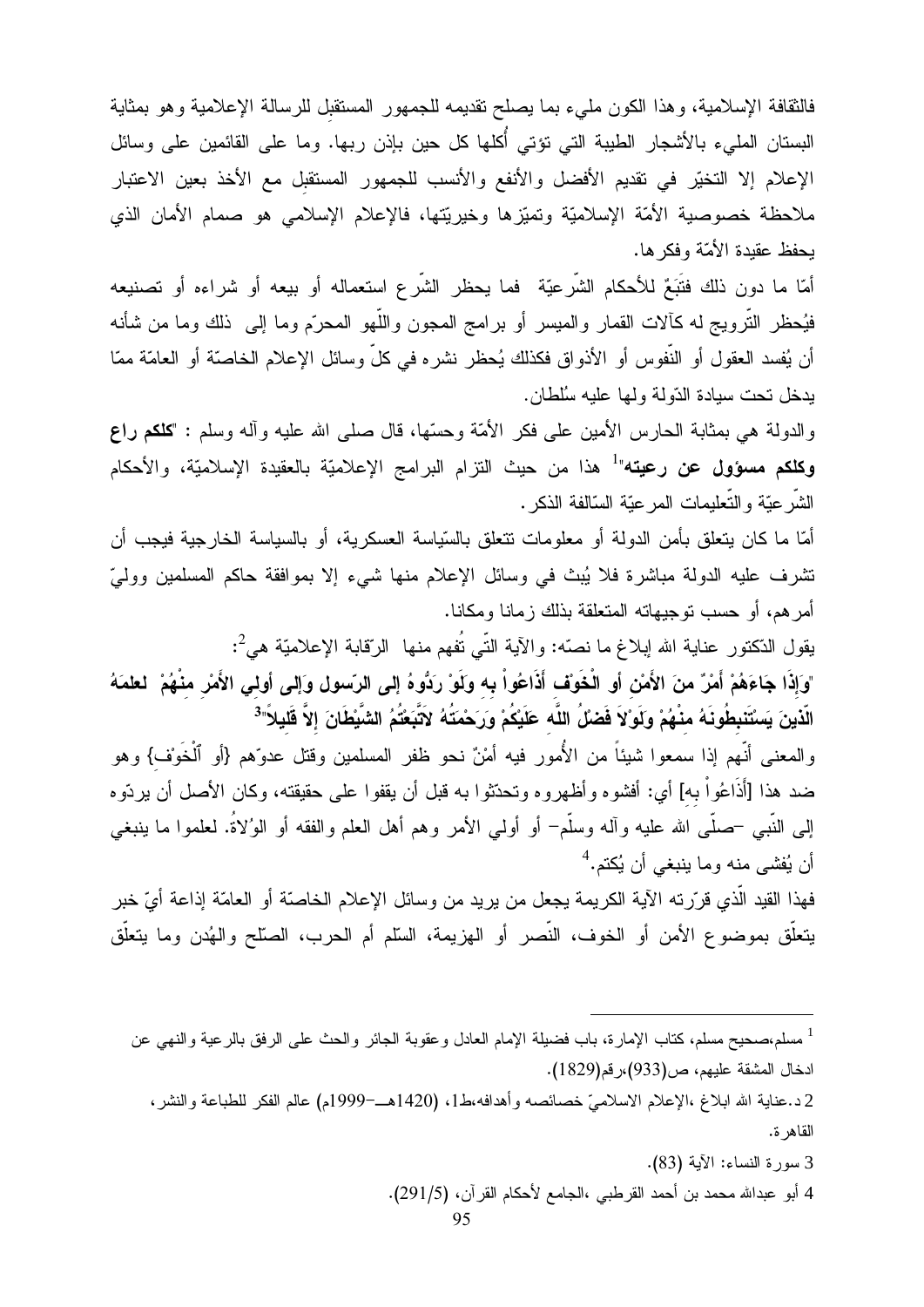فالنقافة الإسلامية، وهذا الكون مليء بما يصلح نقديمه للجمهور المستقبل للرسالة الإعلامية وهو بمثاية البستان المليء بالأشجار الطيبة التي تؤتي أكلها كل حين بإذن ربها. وما على القائمين على وسائل الإعلام إلا التخيّر في تقديم الأفضل والأنفع والأنسب للجمهور المستقبل مع الأخذ بعين الاعتبار ملاحظة خصوصية الأمّة الإسلاميّة وتميّزها وخيريّتها، فالإعلام الإسلامي هو صمام الأمان الذي يحفظ عقيدة الأمّة وفكر ها.

أمّا ما دون ذلك فتَبَعٌ للأحكام الشّرعيّة فما يحظر الشّرع استعماله أو بيعه أو شراءه أو تصنيعه فيُحظر النَّرويج له كألات القمار والميسر أو برامج المجون واللُّهو المحرّم وما إلى ذلك وما من شأنه أن يُفسد العقول أو النُّفوس أو الأذواق فكذلك يُحظر نشره في كلِّ وسائل الإعلام الخاصنَّة أو العامَّة ممّا بدخل تحت سيادة الدّولة ولمها عليه سُلطان.

والدولة هي بمثابة الحارس الأمين على فكر الأمّة وحسّها، قال صلّى الله عليه وأله وسلّم : "كلكم راع **وكلكم مسؤول عن رعيته"<sup>1</sup> هذا من حيث الن**زام البرامج الإعلاميّة بالعقيدة الإسلاميّة، والأحكام الشَّر عيَّة و التَّعليمات المر عيّة السّالفة الذكر .

أمّا ما كان يتعلق بأمن الدولة أو معلومات نتعلق بالسّياسة العسكرية، أو بالسياسة الخارجية فيجب أن تشرف عليه الدولة مباشرة فلا يُبِث في وسائل الإعلام منها شيء إلا بموافقة حاكم المسلمين ووليّ أمرهم، أو حسب توجيهاته المتعلقة بذلك زمانا ومكانا.

يقول الدّكتور عناية الله إبلاغ ما نصّه: والآية النّي نُفهم منها ۖ الرّقابة الإعلاميّة هيُّ: "وَإِذَا جَاءَهُمْ أَمْرٌ منَ الأَمْنِ أَوِ الْخَوْف أَذَاعُواْ بِه وَلَوْ رَدُّوهُ إِلى الرّسول وَإلى أولي الأَمْر منْهُمْ لطمَهُ الَّذينَ يَسْتَنبطُونَهُ منْهُمْ وَلَوْلاَ فَضلُ اللَّه عَلَيْكُمْ وَرَحْمَتُهُ لاَتَّبَعْتُمُ الشَّيْطَانَ إلاَّ قَليلاً"<sup>3</sup>

والمعنى أنَّهم إذا سمعوا شيئاً من الأُمور فيه أمْنٌ نحو ظفر المسلمين وقتل عدوِّهم {أو ٱلْخَوْف} وهو ضد هذا [أَذَاعُواْ به] أي: أفشوه وأظهروه وتحدّثوا به قبل أن يقفوا على حقيقته، وكان الأصل أن يردّوه إلى النَّبي –صلَّى الله عليه وآله وسلَّم– أو أولى الأمر وهم أهل العلم والفقه أو الوُلاةُ. لعلموا ما ينبغي أن يُفشي منه وما ينبغي أن يُكتم.<sup>4</sup>

فهذا القيد الَّذي قرَّرته الآية الكريمة يجعل من يريد من وسائل الإعلام الخاصنَّة أو العامَّة إذاعة أيّ خبر يتعلَّق بموضوع الأمن أو الخوف، النَّصر أو الهزيمة، السَّلم أم الحرب، الصلَّح والهُدن وما يتعلَّق

3 سورة النساء: الآية (83).

4 أبو عبدالله محمد بن أحمد القرطبي ،الجامع لأحكام القرآن، (291/5).

<sup>&</sup>lt;sup>1</sup> مسلم،صحيح مسلم، كتاب الإمارة، باب فضيلة الإمام العادل وعقوبة الجائر والحث على الرفق بالرعية والنهي عن ادخال المشقة عليهم، ص(933)،رقم(1829).

<sup>2</sup>د.عناية الله ابلاغ ،الإعلام الاسلاميّ خصائصه وأهدافه،ط1، (1420هـ–1999م) عالم الفكر للطباعة والنشر، القاهر ة.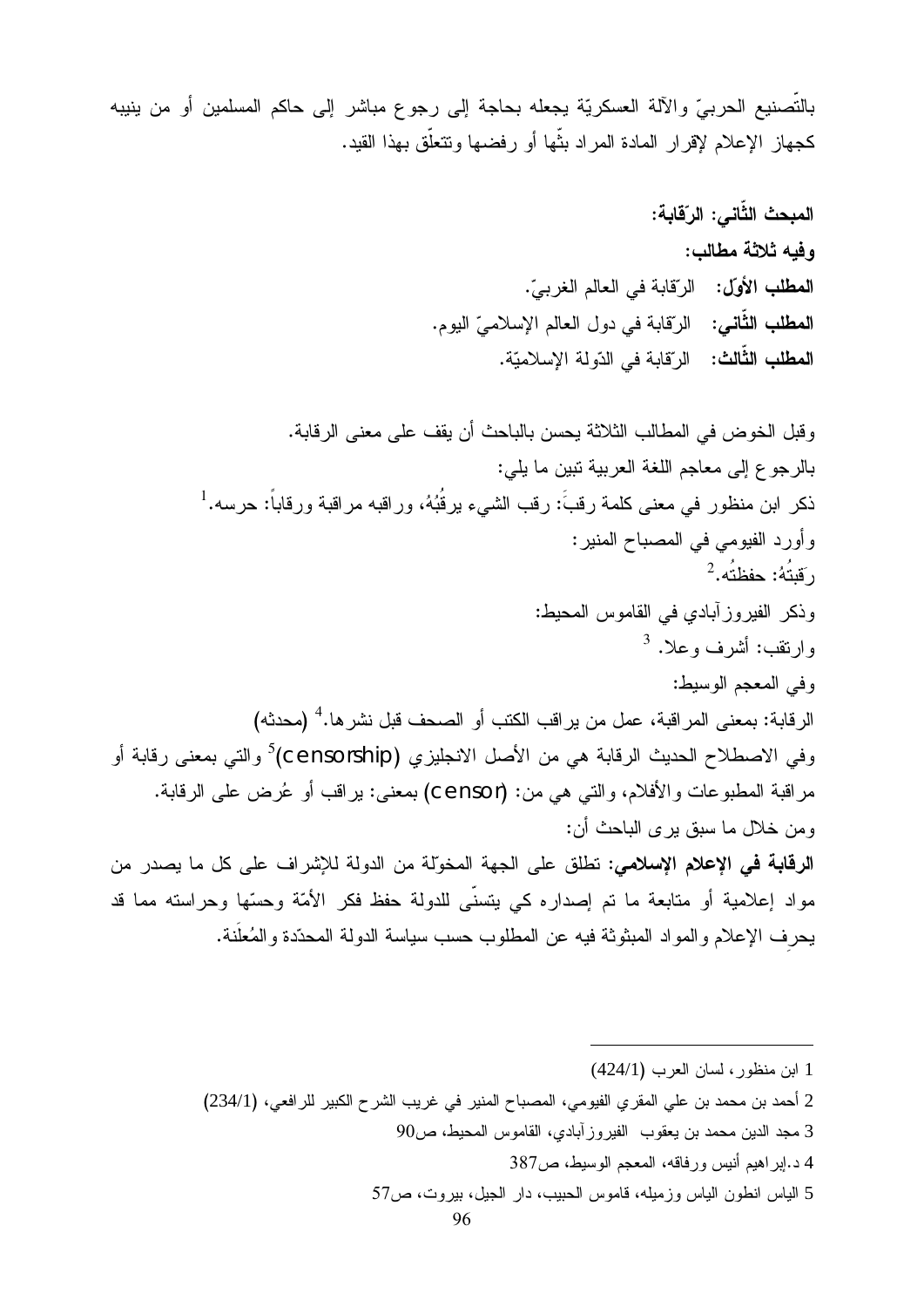بالتَّصنيع الحربيِّ والآلة العسكريَّة يجعله بحاجة إلى رجوع مباشر إلى حاكم المسلمين أو من ينيبه كجهاز الإعلام لإقرار المادة المراد بنَّها أو رفضها ونتعلَّق بهذا القيد.

المبحث الثَّانى: الرّقابة: وفيه ثلاثة مطالب: المطلب الأول: الرّقابة في العالم الغربيّ. **المطلب الثّاني:** الرّقابة في دول العالم الإسلاميّ اليوم. ا**لمطلب الثَّالث:** الر<sup>ِ</sup>قابة في الدّو لة الإسلاميّة.

و قبل الخو ض في المطالب الثلاثة بحسن بالباحث أن يقف على معنى الر قابة. بالر جو ع إلى معاجم اللغة العربية نبين ما يلي: ذكر ابن منظور في معنى كلمة رقبَّ: رقب الشيء يرقُبُهُ، وراقبه مراقبة ورقاباً: حرسه.<sup>1</sup> وأورد الفيومي في المصباح المنير :  $^2$ ، وَلَائُهُ: حفظتُه،  $^2$ وذكر الفيروز أبادي في القاموس المحيط: وارتقب: أشرف وعلا. <sup>3</sup> وفي المعجم الوسيط: الر قابة: بمعنى المر اقبة، عمل من بر اقب الكتب أو الصـحف قبل نشر ها.<sup>4</sup> (محدثه) وفي الاصطلاح الحديث الرقابة هي من الأصل الانجليزي (Censorship) والتي بمعنى رقابة أو مر اقبة المطبوعات والأفلام، والتبي هي من: (Censor) بمعنى: بر اقب أو عُرِض على الرقابة. ومن خلال ما سبق بر ي الباحث أن: ا**لرقابة في الإعلام الاسلامي:** تطلق على الجهة المخوّلة من الدولة للإشر اف على كل ما بصدر من مواد إعلامية أو متابعة ما تم إصداره كي يتسنَّى للدولة حفظ فكر الأمَّة وحسَّها وحراسته مما قد يحرف الإعلام والمواد المبثوثة فيه عن المطلوب حسب سياسة الدولة المحدّدة والمُعلَّنة.

1 ابن منظور ، لسان العرب (424/1)

2 أحمد بن محمد بن على المقرى الفيومي، المصباح المنير في غريب الشرح الكبير للرافعي، (234/1)

- 3 مجد الدين محمد بن يعقوب الفير وز آبادي، القاموس المحيط، ص90
	- 4 د.اير اهيم أنيس ور فاقه، المعجم الوسيط، ص387
- 5 الياس انطون الياس وزميله، قاموس الحبيب، دار الجيل، بيروت، ص57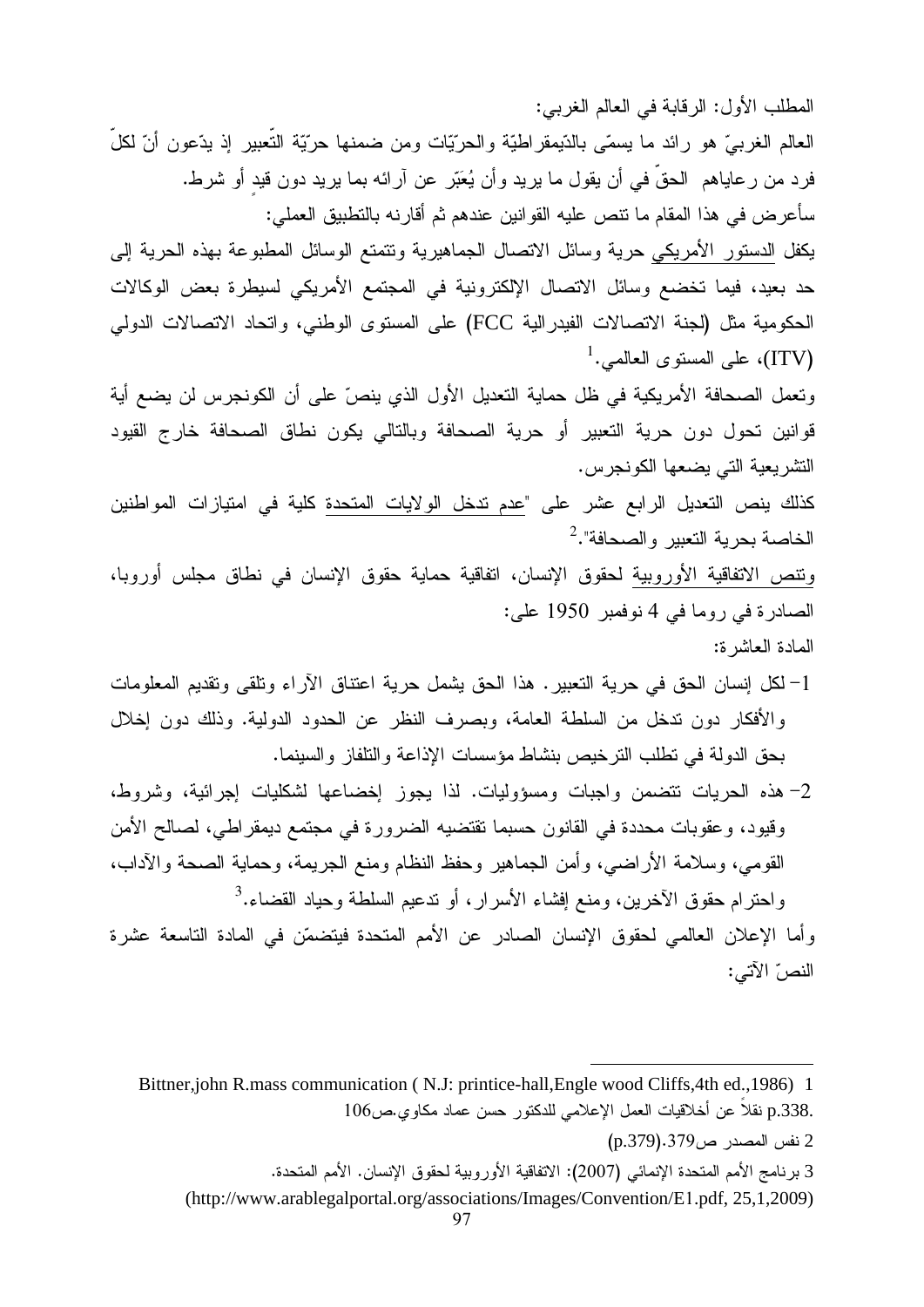المطلب الأول: الرقابة في العالم الغربي:

العالم الغربيّ هو رائد ما يسمّي بالدّيمقراطيّة والحرّيّات ومن ضمنها حرّيّة النعبير إذ يدّعون أنّ لكل فرد من رعاياهم الحقّ في أن يقول ما يريد وأن يُعبّر عن آرائه بما يريد دون قيد أو شرط. سأعرض في هذا المقام ما نتص عليه القوانين عندهم ثم أقارنه بالتطبيق العملي:

يكفل الدستور الأمريكي حرية وسائل الاتصال الجماهيرية وتتمتع الوسائل المطبوعة بهذه الحرية إلىي حد بعيد، فيما تخضع وسائل الاتصال الإلكترونية في المجتمع الأمريكي لسيطرة بعض الوكالات الحكومية مثل (لجنة الاتصالات الفيدرالية FCC) على المستوى الوطني، واتحاد الاتصالات الدولمي  $^1.$ ملى المستوى العالمى (ITV)

وتعمل الصحافة الأمريكية في ظل حماية التعديل الأول الذي ينصّ على أن الكونجرس لن يضع أية قوانين تحول دون حرية التعبير أو حرية الصحافة وبالتالي يكون نطاق الصحافة خارج القيود التشريعية التي يضعها الكونجرس.

كذلك ينص التعديل الرابع عشر على "عدم تدخل الولايات المتحدة كلية في امتيازات المواطنين الخاصة بحرية التعبير والصحافة".<sup>2</sup>

ونتص الاتفاقية الأوروبية لحقوق الإنسان، انفاقية حماية حقوق الإنسان في نطاق مجلس أوروبا، الصادرة في روما في 4 نوفمبر 1950 علي:

المادة العاشرة:

- 1– لكل إنسان الحق في حرية التعبير . هذا الحق يشمل حرية اعتناق الآراء وتلقى وتقديم المعلومات والأفكار دون ندخل من السلطة العامة، وبصرف النظر عن الحدود الدولية. وذلك دون إخلال حق الدولة في نطلب النرخيص بنشاط مؤسسات الإذاعة والنلفاز والسينما.
- \_<br>2- هذه الحريات نتضمن واجبات ومسؤوليات. لذا يجوز إخضاعها لشكليات إجرائية، وشروط، رقيود، وعقوبات محددة في القانون حسبما تقتضيه الضرورة في مجتمع ديمقراطي، لصالح الأمن القومي، وسلامة الأراضي، وأمن الجماهير وحفظ النظام ومنع الجريمة، وحماية الصحة والآداب،  $^3.$ واحترام حقوق الأخرين، ومنع إفشاء الأسرار ، أو ندعيم السلطة وحياد القضاء.

رأما الإعلان العالمي لحقوق الإنسان الصادر عن الأمم المتحدة فيتضمّن في المادة التاسعة عشرة النصّ الآتي:

 $\ddot{\phantom{a}}$  $\sim$ .p.338 نفلا عن اخلافيات العمل ا/<br>2 نفس المصدر ص379.379 (p.379)<br>2 - ذاب الأفسال المقدر الثقية الكلمة

-

.4,

Bittner,john R.mass communication (N.J: printice-hall, Engle wood Cliffs, 4th ed., 1986) 1 .p.338 نقلاً عن أخلاقيات العمل الإعلامي للدكتور حسن عماد مكاوى.ص106

<sup>2</sup> نفس المصدر ص9/ 3.4(9/ p.3)<br>3 برنامج الأمم المتحدة الإنمائي (2007): الاتفاقية الأوروبية لحقوق<br>\rg/associations/Images/Convention/E1 ndf\_25 1\_2009

<sup>3</sup> برنامج الأمم المتحدة الإنمائي (2007): الاتفاقية الأوروبية لحقوق الإنسان. الأمم المتحدة.<br>(http://www.arablegalportal.org/associations/Images/Convention/E1.pdf, 25,1,2009)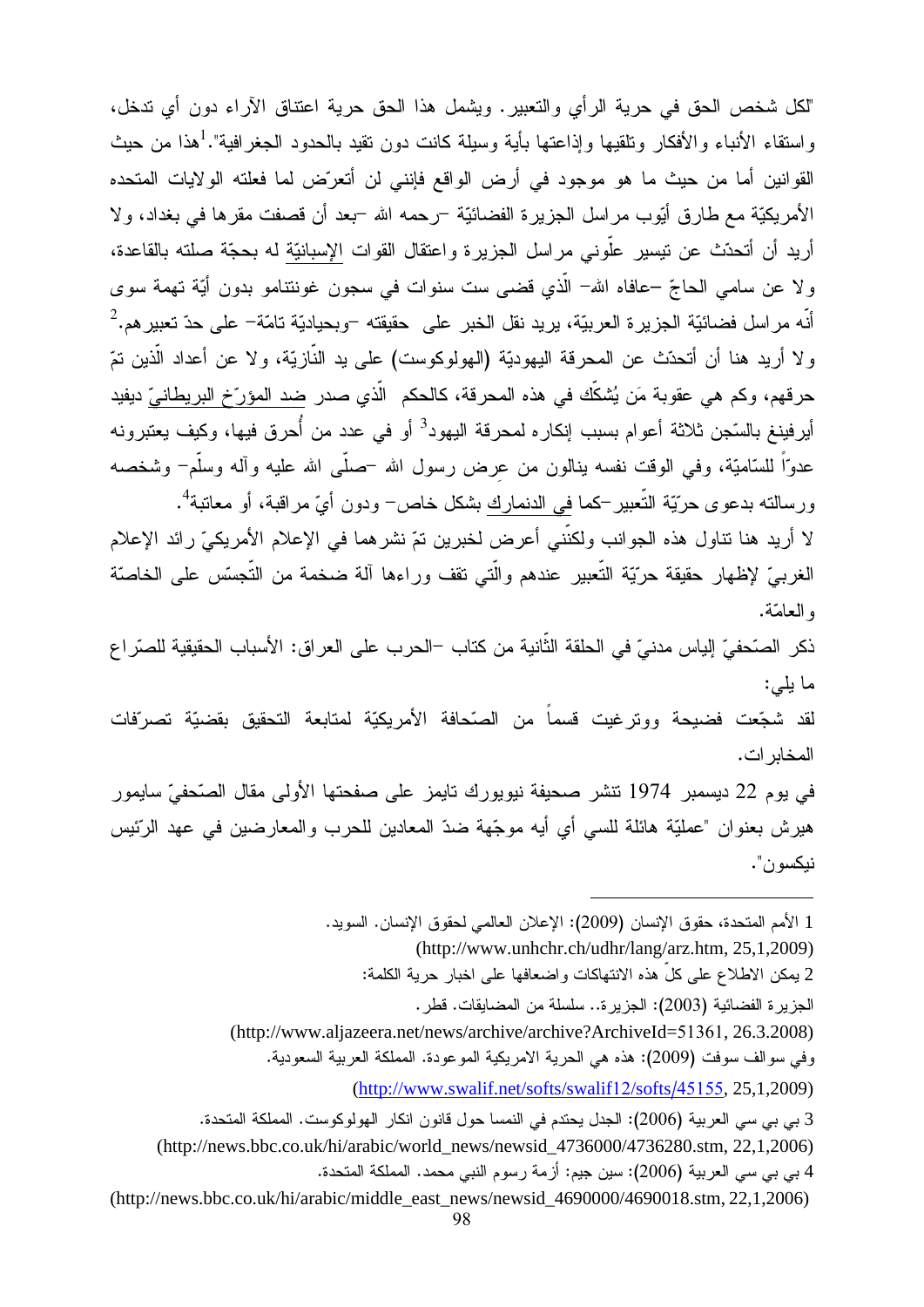"لكل شخص الحق في حرية الرأي والتعبير. ويشمل هذا الحق حرية اعتناق الآراء دون أي تدخل، واستقاء الأنباء والأفكار ونلقيها وإذاعتها بأية وسيلة كانت دون نقيد بالحدود الجغرافية".<sup>1</sup>هذا من حيث القوانين أما من حيث ما هو موجود في أرض الواقع فإنني لن أنعرَّض لما فعلته الولايات المتحده الأمريكيَّة مع طارق أيُّوب مراسل الجزيرة الفضائيَّة –رحمه الله –بعد أن قصفت مقرها في بغداد، ولا أريد أن أتحدّث عن نيسير علّوني مراسل الجزيرة واعتقال القوات الإسبانيّة له بحجّة صلته بالقاعدة، ولا عن سامي الحاجّ –عافاه الله– الَّذي قضبي ست سنوات في سجون غوننتامو بدون أيَّة تهمة سوى أنّه مراسل فضائيّة الجزيرة العربيّة، يريد نقل الخبر على حقيقته –وبحياديّة تامّة– على حدّ تعبير هم.<sup>2</sup> ولا أريد هنا أن أتحدّث عن المحرقة اليهوديّة (الهولوكوست) على يد النّازيّة، ولا عن أعداد الّذين تمّ حرقهم، وكم هي عقوبة مَن يُشكِّك في هذه المحرقة، كالحكم الَّذي صدر ضد المؤرِّخ البريطانيّ ديفيد أيرفينغ بالسّجن ثلاثة أعوام بسبب إنكاره لمحرقة اليهود<sup>3</sup> أو في عدد من أُحرق فيها، وكيف يعتبرونه عدوّاً للسّاميّة، وفي الوقت نفسه بنالون من عرض رسول الله –صلَّى الله عليه وآله وسلَّم– وشخصه ورسالته بدعوى حرّيّة التّعبير –كما في الدنمارك بشكل خاص– ودون أيّ مراقبة، أو معاتبة''.

لا أريد هنا نتاول هذه الجوانب ولكنَّني أعرض لخبرين تمّ نشرهما في الإعلام الأمريكيّ رائد الإعلام الغربيّ لإظهار حقيقة حرّيّة التّعبير عندهم والّتي نقف وراءها آلة ضخمة من التّجسّس على الخاصنّة و العامّة.

ذكر الصّحفيّ إلياس مدنيّ في الحلقة الثّانية من كتاب –الحرب على العراق: الأسباب الحقيقية للصّراع ما يلي:

لقد شجّعت فضيحة ووترغيت قسماً من الصّحافة الأمريكيّة لمتابعة التحقيق بقضيّة تصرّفات المخابر ات.

في يوم 22 ديسمبر 1974 نتشر صحيفة نيويورك تايمز على صفحتها الأولى مقال الصّحفيّ سايمور هيرش بعنوان "عمليّة هائلة للسي أي أيه موجّهة ضدّ المعادين للحرب والمعارضين في عهد الرِّئيس نيكسو ن".

1 الأمم المتحدة، حقوق الإنسان (2009): الإعلان العالمي لحقوق الإنسان. السويد.

(http://www.unhchr.ch/udhr/lang/arz.htm, 25,1,2009)

2 يمكن الاطلاع على كلٍّ هذه الانتهاكات واضعافها على اخبار حرية الكلمة:

الجزير ة الفضائية (2003): الجزير ة.. سلسلة من المضايقات. قطر .

(http://www.aljazeera.net/news/archive/archive?ArchiveId=51361, 26.3.2008)

وفي سوالف سوفت (2009): هذه هي الحرية الامريكية الموعودة. المملكة العربية السعودية.

(http://www.swalif.net/softs/swalif12/softs/45155, 25,1,2009)

3 بي بي سي العربية (2006): الجدل يحتدم في النمسا حول قانون انكار الهولوكوست. المملكة المتحدة.

(http://news.bbc.co.uk/hi/arabic/world\_news/newsid\_4736000/4736280.stm, 22,1,2006)

4 بي بي سي العربية (2006): سين جيم: أزمة رسوم النبي محمد. المملكة المتحدة.

(http://news.bbc.co.uk/hi/arabic/middle\_east\_news/newsid\_4690000/4690018.stm, 22,1,2006)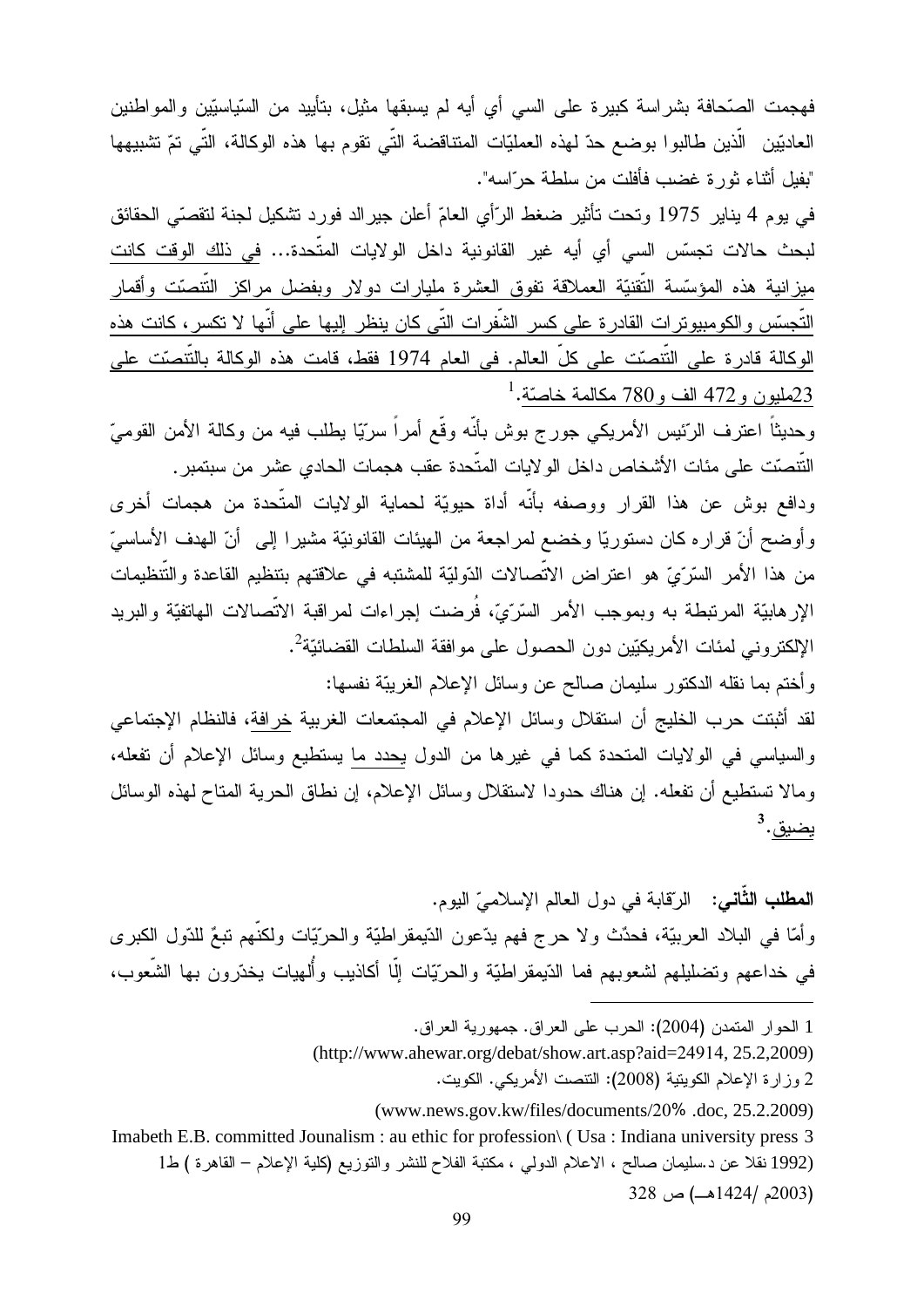فهجمت الصّحافة بشراسة كبيرة على السي أي أيه لم يسبقها مثيل، بتأييد من السّياسيّين والمواطنين العاديّين الّذين طالبوا بوضع حدّ لهذه العمليّات المتناقضة التّي نقوم بها هذه الوكالة، التّي نمّ تشبيهها "بفيل أثناء ثور ة غضب فأفلت من سلطة حر ّاسه".

في يوم 4 يناير 1975 وتحت تأثير ضغط الرّأي العامّ أعلن جيرالد فورد نشكيل لجنة لتقصّي الحقائق لبحث حالات تجسّس السي أي أيه غير القانونية داخل الولايات المتّحدة… في ذلك الوقت كانت ميزانية هذه المؤسَّسة النَّقنيَّة العملاقة تفوق العشرة مليارات دولار وبفضل مراكز النَّتصَّت وأقمار التَّجسّس والكومبيوترات القادرة على كسر الشَّفرات التَّى كان ينظر إليها على أنَّها لا تكسر ، كانت هذه الوكالة قادرة على التّنصّت على كلّ العالم. في العام 1974 <u>فقط، قامت هذه الوكالة بالتّنصّت عل</u>ى  $^1$ .كمليون و 472 الف و 780 مكالمة خاصّة $^{-1}$ 

وحديثاً اعترف الرّئيس الأمريكي جورج بوش بأنّه وقّع أمراً سرّيّا يطلب فيه من وكالة الأمن القوميّ النّتصّت على مئات الأشخاص داخل الولايات المتّحدة عقب هجمات الحادى عشر من سبتمبر .

ودافع بوش عن هذا القرار ووصفه بأنّه أداة حيويّة لحماية الولايات المتّحدة من هجمات أخرى وأوضح أنّ قراره كان دستوريّا وخضع لمراجعة من الهيئات القانونيّة مشيرا إلى أنّ الهدف الأساسيّ من هذا الأمر السّرّيّ هو اعتراض الاتّصالات الدّوليّة للمشتبه في علاقتهم بتنظيم القاعدة والتّنظيمات الإرهابيّة المرتبطة به وبموجب الأمر السّرّيّ، فُرضت إجراءات لمراقبة الاتّصالات المهاتفيّة والبريد الإلكتروني لمئات الأمريكيّين دون الحصول على موافقة السلطات القضائيّة<sup>2</sup>.

وأختم بما نقله الدكتور سليمان صالح عن وسائل الإعلام الغريبّة نفسها: لقد أثبتت حرب الخليج أن استقلال وسائل الإعلام في المجتمعات الغربية خرافة، فالنظام الإجتماعي

والسياسي في الولايات المتحدة كما في غيرها من الدول يحدد ما يستطيع وسائل الإعلام أن تفعله، ومالا تستطيع أن تفعله. إن هناك حدودا لاستقلال وسائل الإعلام، إن نطاق الحرية المتاح لهذه الوسائل <u>يضيق</u>. <sup>3</sup>

**المطلب الثَّاني:** الرّقابة في دول العالم الإسلاميّ اليوم. وأمَّا في البلاد العربيّة، فحدٌث ولا حرج فهم يدّعون الدّيمقراطيّة والحرّيّات ولكنّهم نبعٌ للدّول الكبرى في خداعهم وتضليلهم لشعوبهم فما الدّيمقراطيّة والحرّيّات إلّا أكاذيب وأُلهيات يخدّرون بها الشّعوب،

- 1 الحوار المتمدن (2004): الحرب على العراق. جمهورية العراق.
- (http://www.ahewar.org/debat/show.art.asp?aid=24914, 25.2,2009)
	- 2 وزارة الإعلام الكويتية (2008): التنصت الأمريكي. الكويت.
	- (www.news.gov.kw/files/documents/20% .doc. 25.2.2009)
- Imabeth E.B. committed Jounalism: au ethic for profession (Usa: Indiana university press 3 (1992 نقلا عن د سليمان صالح ، الاعلام الدولي ، مكتبة الفلاح للنشر والتوزيع (كلية الإعلام – القاهرة ) ط1 (2003م /1424هــ) ص 328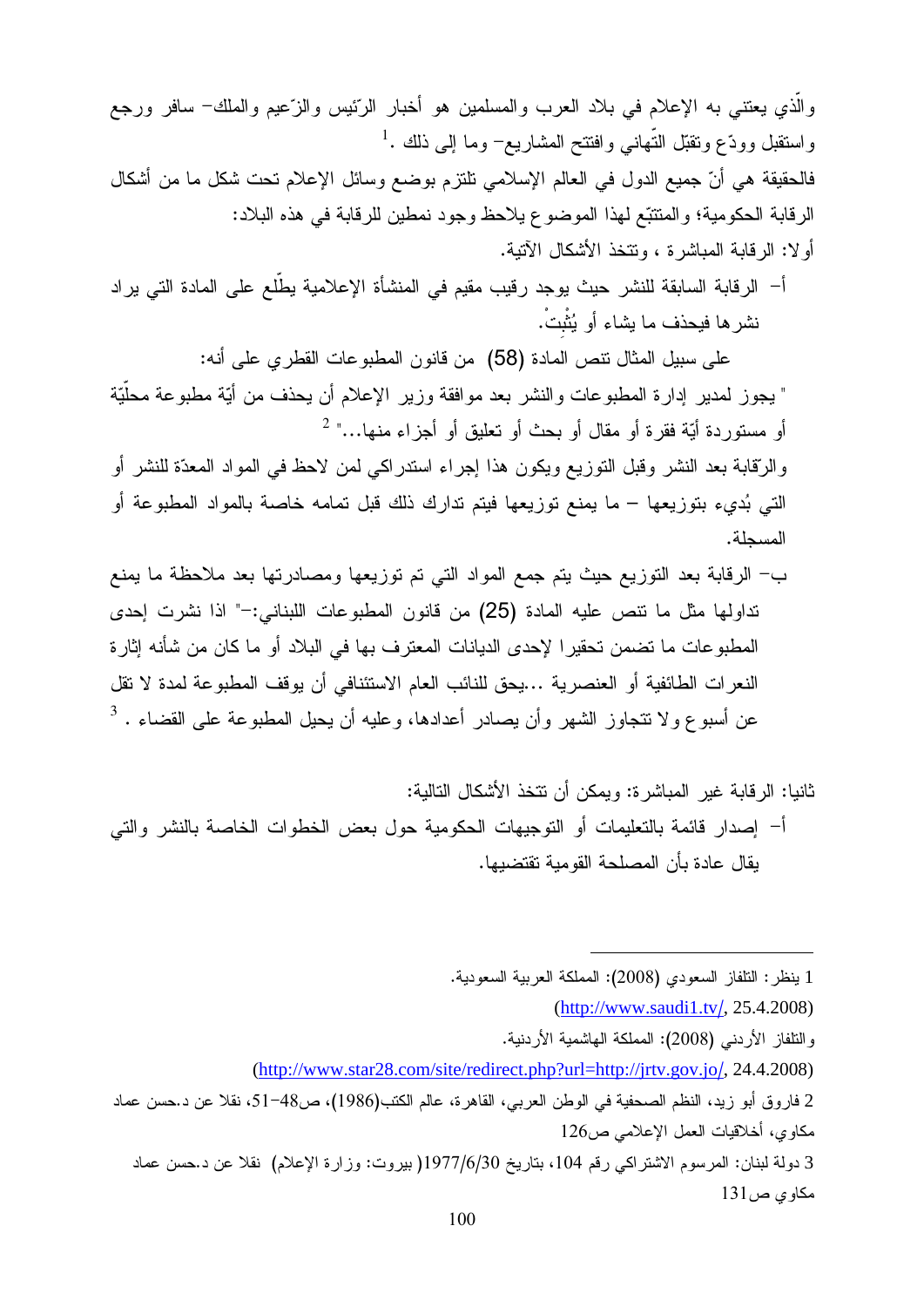والَّذي يعتني به الإعلام في بلاد العرب والمسلمين هو أخبار الرَّئيس والزَّعيم والملك– سافر ورجع واستقبل وودّع ونقبّل النّهانـي وافتتح المشاريـع− وما إلـي ذلك .<sup>1</sup> فالحقيقة هي أنّ جميع الدول في العالم الإسلامي نلتزم بوضع وسائل الإعلام نحت شكل ما من أشكال الرقابة الحكومية؛ والمنتتبع لمهذا الموضوع يلاحظ وجود نمطين للرقابة في هذه البلاد: أو لا: الر قابة المباشر ة ، وتتخذ الأشكال الآتية.

أ– الرقابة السابقة للنشر حيث يوجد رقيب مقيم في المنشأة الإعلامية يطّلع على المادة التي يراد نشر ها فيحذف ما يشاء أو يُثْبتْ.

على سبيل المثال نتص المادة (58) من قانون المطبوعات القطري على أنه: " يجوز لمدير ٳدارة المطبوعات والنشر بعد موافقة وزير الإعلام أن يحذف من أيّة مطبوعة محلّيّة أو مستوردة أيّة فقرة أو مقال أو بحث أو تعليق أو أجزاء منها..." <sup>2</sup>

والرِّقابة بعد النشر وقبل النَّوزيع ويكون هذا إجراء استدراكي لمن لاحظ في المواد المعدَّة للنشر أو التي بُديء بتوزيعها – ما يمنع توزيعها فيتم تدارك ذلك قبل تمامه خاصة بالمواد المطبوعة أو المسحلة.

ب– الرقابة بعد التوزيع حيث يتم جمع المواد التبي تم توزيعها ومصادرتها بعد ملاحظة ما يمنع نداولها مثل ما نتص عليه المادة (25) من قانون المطبوعات اللبناني:–" اذا نشرت إحدى المطبوعات ما تضمن تحقيرا لإحدى الديانات المعترف بها في البلاد أو ما كان من شأنه إثارة النعر ات الطائفية أو العنصرية ...يحق للنائب العام الاستئنافي أن يوقف المطبوعة لمدة لا تقل عن أسبو ع و لا نتجاوز الشهر وأن يصادر أعدادها، وعليه أن يحيل المطبوعة على القضاء . <sup>3</sup>

1 ينظر : النلفاز السعودي (2008): المملكة العربية السعودية.

- $(http://www.saudi1.tv/, 25.4.2008)$
- و التلفاز الأردني (2008): المملكة الماشمية الأردنية.

<sup>(</sup>http://www.star28.com/site/redirect.php?url=http://jrtv.gov.jo/, 24.4.2008)

<sup>2</sup> فاروق أبو زيد، النظم الصحفية في الوطن العربي، القاهرة، عالم الكتب(1986)، ص48–51، نقلا عن د.حسن عماد مكاوى، أخلاقيات العمل الإعلامي ص126

<sup>3</sup> دولة لبنان: المرسوم الاشتراكي رقم 104، بتاريخ 1977/6/30( بيروت: وزارة الإعلام) نقلا عن د.حسن عماد مكاوى ص131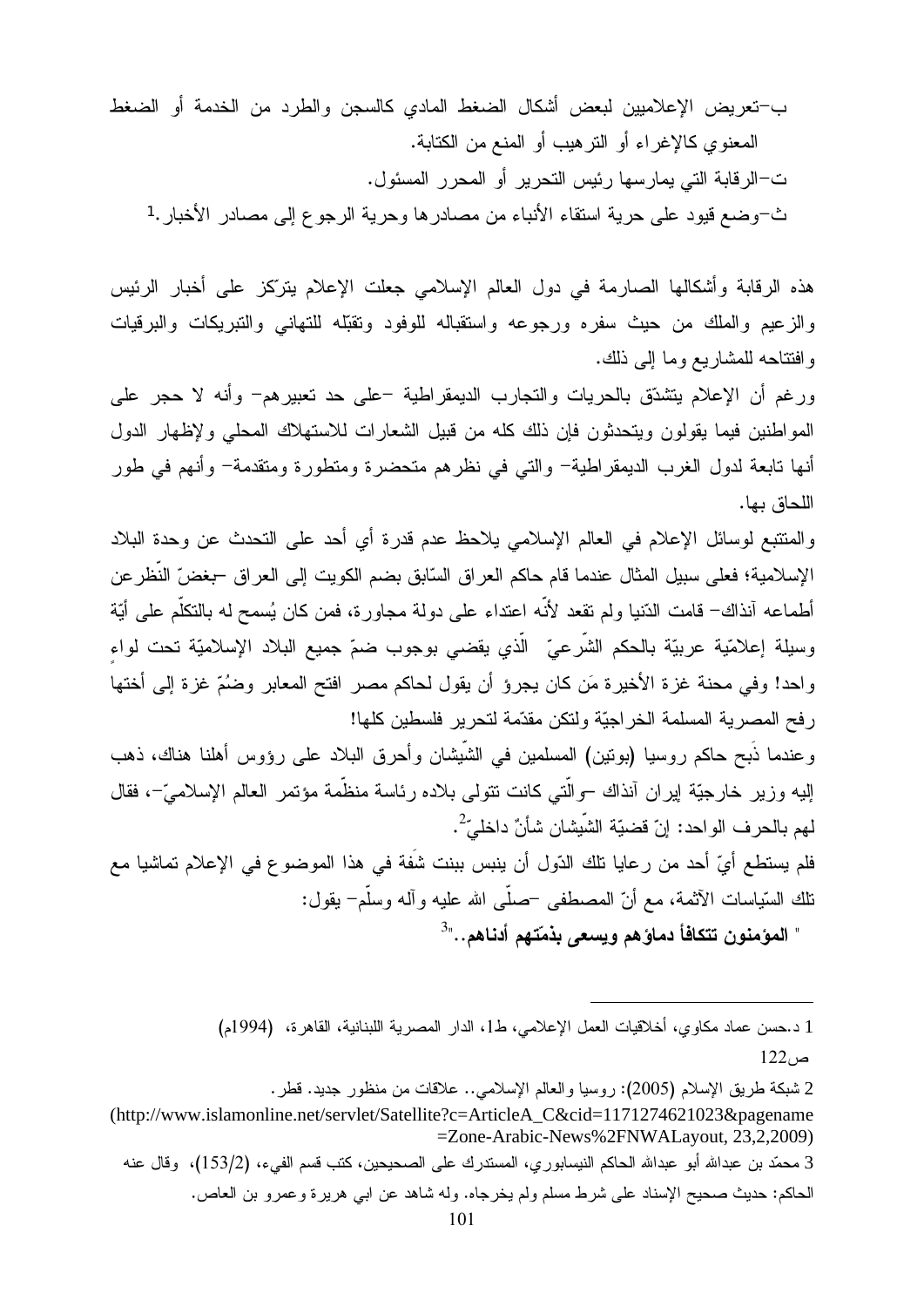ب-تعريض الإعلاميين لبعض أشكال الضغط المادي كالسجن والطرد من الخدمة أو الضغط المعنوي كالإغراء أو النزهيب أو المنع من الكتابة. ت–الرقابة التي يمارسها رئيس التحرير أو المحرر المسئول. ث-وضع قيود على حرية استقاء الأنباء من مصادرها وحرية الرجوع إلى مصادر الأخبار .1

هذه الرقابة وأشكالها الصارمة في دول العالم الإسلامي جعلت الإعلام يتركِّز على أخبار الرئيس والزعيع والملك من حيث سفره ورجوعه واستقباله للوفود ونقبله للتهاني والنبريكات والبرقيات وافتتاحه للمشاريع وما إلى ذلك.

ورغم أن الإعلام يتشدّق بالحريات والتجارب الديمقراطية –على حد تعبيرهم– وأنه لا حجر على المواطنين فيما يقولون ويتحدثون فإن ذلك كله من قبيل الشعار ات للاستهلاك المحلبي ولإظهار الدول أنها تابعة لدول الغرب الديمقراطية– والتبي في نظرهم متحضرة ومتطورة ومتقدمة– وأنهم في طور اللحاق بها.

والمنتبع لوسائل الإعلام في العالم الإسلامي يلاحظ عدم قدرة أي أحد على النحدث عن وحدة البلاد الإسلامية؛ فعلى سبيل المثال عندما قام حاكم العراق السّابق بضم الكويت إلى العراق –بغضّ النّظر عن أطماعه آنذاك– قامت الدّنيا ولم نقعد لأنّه اعتداء على دولة مجاورة، فمن كان يُسمح له بالتكلّم على أيّة وسيلة إعلامّية عربيّة بالحكم الشّرعيّ الّذي يقضى بوجوب ضمّ جميع البلاد الإسلاميّة تحت لواء واحد! وفي محنة غزة الأخيرة مَن كان يجرؤ أن يقول لحاكم مصر افتح المعابر وضُمّ غزة إلى أختها رفح المصرية المسلمة الخراجيّة ولتكن مقدّمة لتحرير فلسطين كلها!

وعندما ذُبح حاكم روسيا (بونين) المسلمين في الشَّيشان وأحرق البلاد على رؤوس أهلنا هناك، ذهب الِيه وزير خارجيَّة ايران آنذاك –والَّتي كانت نتولى بلاده رئاسة منظَّمة مؤتمر العالم الإسلاميَّ–، فقال لهم بالحر ف الو احد: إنّ قضيّة الشّيشان شأنّ داخليّ<sup>2</sup>.

فلم يستطع أيِّ أحد من رعايا تلك الدّول أن ينبس ببنت شفَة في هذا الموضوع في الإعلام تماشيا مع نلك السّياسات الآثمة، مع أنّ المصطفى –صلَّى الله عليه وآله وسلَّم– يقول: " المؤمنون تتكافأ دماؤهم ويسعى بذمّتهم أدناهم.."<sup>3</sup>

> 1 د.حسن عماد مكاوى، أخلاقيات العمل الإعلامي، ط1، الدار المصرية اللبنانية، القاهرة، (1994م)  $122<sub>i</sub>$ ص

2 شبكة طريق الإسلام (2005): روسيا والعالم الإسلامي.. علاقات من منظور جديد. قطر .

<sup>(</sup>http://www.islamonline.net/servlet/Satellite?c=ArticleA C&cid=1171274621023&pagename =Zone-Arabic-News%2FNWALayout, 23,2,2009)

<sup>3</sup> محمّد بن عبدالله أبو عبدالله الحاكم النيسابور ي، المستدر ك على الصـحيحين، كتب قسم الفيء، (153/2)، وقال عنه الحاكم: حديث صحيح الإسناد على شرط مسلم ولم يخرجاه. وله شاهد عن ابـي هريرة وعمرو بن العاص.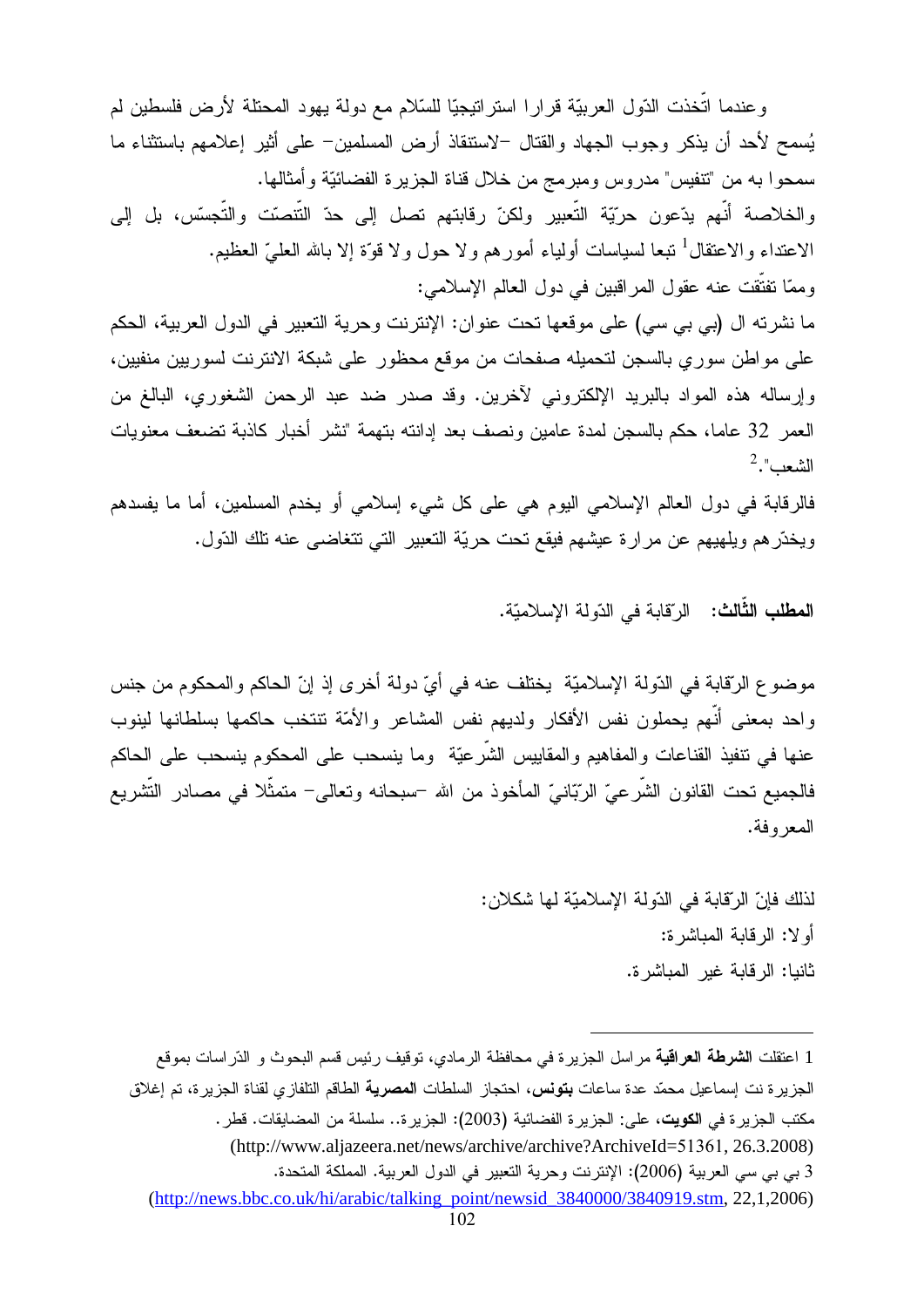وعندما اتَّخذت الدّول العربيّة قرارا استراتيجيّا للسّلام مع دولة يهود المحتلة لأرض فلسطين لم يُسمح لأحد أن يذكر وجوب الجهاد والقتال –لاستنقاذ أرض المسلمين– على أثير إعلامهم باستثناء ما سمحوا به من "تنفيس" مدروس ومبرمج من خلال قناة الجزيرة الفضائيّة وأمثالها. والخلاصة أنهم يدّعون حرّيّة النّعبير ولكنّ رقابتهم نصل إلى حدّ النّنصّت والنّجسّس، بل إلى الاعتداء والاعتقال<sup>1</sup> نبعا لسياسات أولياء أمورهم ولا حول ولا قوّة إلا بالله العلميّ العظيم. وممّا تفتّقت عنه عقول المر اقبين في دول العالم الإسلامي: ما نشرته ال (بي بي سي) على موقعها تحت عنوان: الإنترنت وحرية التعبير في الدول العربية، الحكم على مواطن سوري بالسجن لتحميله صفحات من موقع محظور على شبكة الانترنت لسوريين منفيين،

وإرساله هذه المواد بالبريد الإلكتروني لأخرين. وقد صدر ضد عبد الرحمن الشغوري، البالغ من العمر 32 عاما، حكم بالسجن لمدة عامين ونصف بعد إدانته بتهمة "نشر أخبار كاذبة تضعف معنويات  $^2$ ."الشعب

فالرقابة في دول العالم الإسلامي اليوم هي على كل شيء إسلامي أو يخدم المسلمين، أما ما يفسدهم ويخدّرهم ويلهيهم عن مرارة عيشهم فيقع نحت حريّة التعبير التي نتغاضى عنه نلك الدّول.

ا**لمطلب الثّالث:** الرّقابة في الدّولة الإسلاميّة.

موضوع الرّقابة في الدّولة الإسلاميّة يختلف عنه في أيّ دولة أخرى إذ إنّ الحاكم والمحكوم من جنس واحد بمعنى أنَّهم يحملون نفس الأفكار ولديهم نفس المشاعر والأمَّة نتتخب حاكمها بسلطانها لينوب عنها في نتفيذ القناعات والمفاهيم والمقاييس الشَّرعيَّة وما ينسحب على المحكوم ينسحب على الحاكم فالجميع تحت القانون الشَّرعيِّ الرِّبّانيِّ المأخوذ من الله –سبحانه وتعالى– متمثِّلا في مصـادر التَّشريع المعر وفة.

> لذلك فإنّ الرّقابة في الدّولة الإسلاميّة لها شكلان: أو لا: الرقابة المباشرة: ثانيا: الرقابة غير المباشرة.

1 اعتقلت **الشرطة العراقية** مراسل الجزيرة في محافظة الرمادي، توقيف رئيس قسم البحوث و الدّراسات بموقع الجزيرة نت إسماعيل محمّد عدة ساعات **بتونس،** احتجاز السلطات ا**لمصرية** الطاقم التلفازي لقناة الجزيرة، تم إغلاق مكتب الجزيرة في ا**لكويت**، على: الجزيرة الفضائية (2003): الجزيرة.. سلسلة من المضايقات. قطر . (http://www.aljazeera.net/news/archive/archive?ArchiveId=51361, 26.3.2008) 3 بي بي سي العربية (2006): الإنترنت وحرية التعبير في الدول العربية. المملكة المتحدة. (http://news.bbc.co.uk/hi/arabic/talking\_point/newsid\_3840000/3840919.stm, 22,1,2006)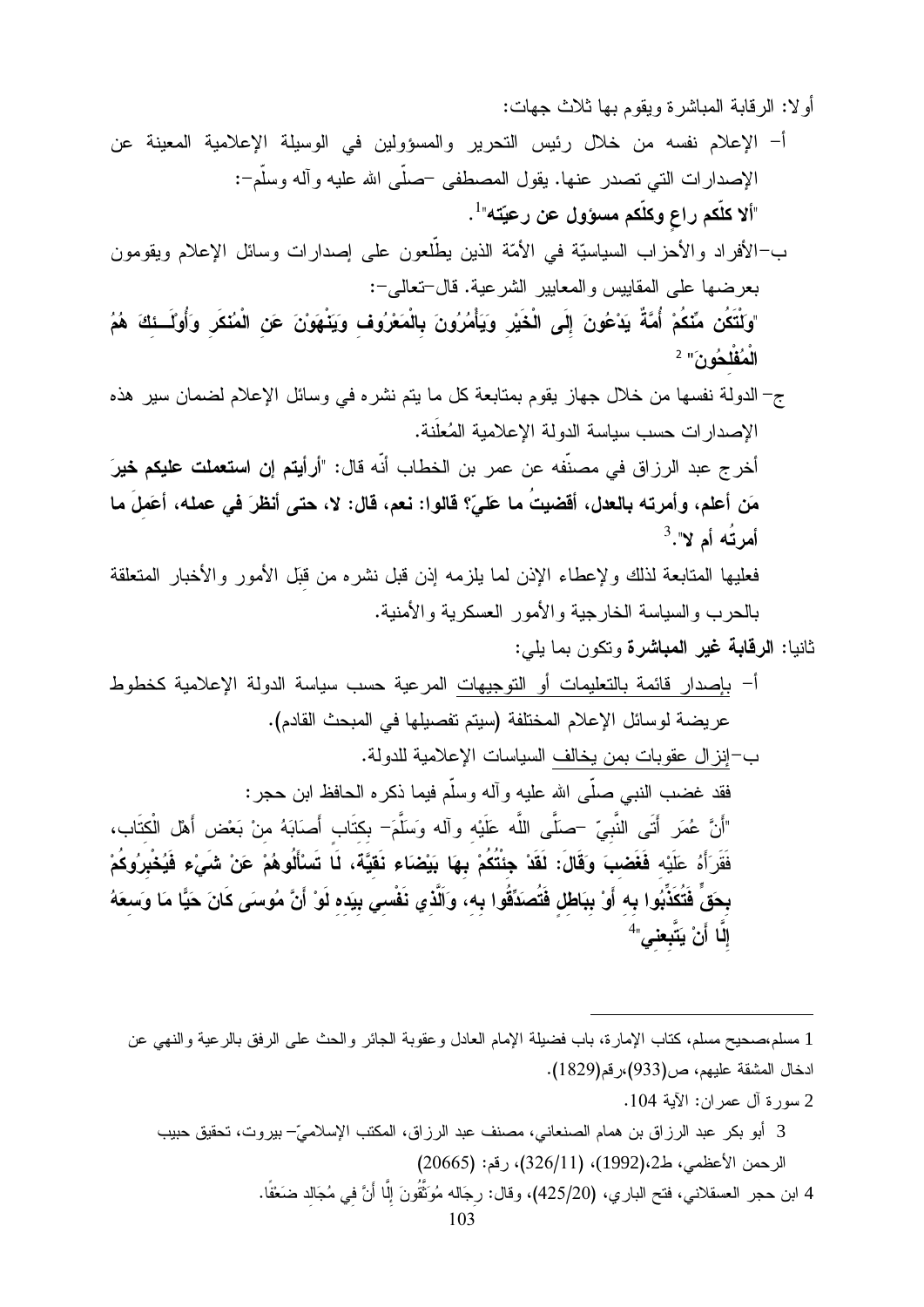أولا: الرقابة المباشرة ويقوم بها ثلاث جهات:

- أ– الإعلام نفسه من خلال رئيس التحرير والمسؤولين في الوسيلة الإعلامية المعينة عن الإصدارات التي تصدر عنها. يقول المصطفى حصلي الله عليه وأله وسلَّم-: "ألا كلَّكم راع وكلَّكم مسؤول عن رعيِّته"<sup>1</sup>.
- ب–الأفراد والأحزاب السياسيَّة في الأمَّة الذين يطَّلعون على إصدارات وسائل الإعلام ويقومون بعرضها على المقابيس والمعابير الشرعية. قال-تعالى-:
- "وكنْتَكُن مِّنَكُمْ أُمَّةً يَدْعُونَ إِلَى الْخَيْرِ وَيَأْمُرُونَ بِالْمَعْرُوف وَيَنْهَوْنَ عَنِ الْمُنْكَرِ وَأُوْلَــئِكَ هُمُ الْمُقْلَحُونَ" 2
- ج– الدولة نفسها من خلال جهاز يقوم بمتابعة كل ما يتم نشره في وسائل الإعلام لضمان سير هذه الإصدار ات حسب سياسة الدولة الإعلامية المُعلَّنة.

أخر ج عبد الرزاق في مصنّفه عن عمر بن الخطاب أنّه قال: "أ**رأيتم إن استعملت عليكم خي**رَ مَن أعلم، وأمرته بالعدل، أفضيتُ ما عَليَّ؟ قالوا: نعم، قال: لا، حتى أنظرَ في عمله، أعَملَ ما  $^3$ ."أمر تُـه أم لا

فعليها المتابعة لذلك ولإعطاء الإذن لما يلزمه إذن قبل نشره من قبل الأمور والأخبار المتعلقة بالحرب والسياسة الخارجية والأمور العسكرية والأمنية.

- ثانيا: **الرقابة غير المباشرة** وتكون بما يلي:
- أ– بإصدار قائمة بالتعليمات أو النوجيهات المرعية حسب سياسة الدولة الإعلامية كخطوط عريضة لوسائل الإعلام المختلفة (سيتم تفصيلها في المبحث القادم). ب–إنزال عقوبات بمن يخالف السياسات الإعلامية للدولة. فقد غضب النبي صلَّى الله عليه وآله وسلَّم فيما ذكره الحافظ ابن حجر : "أَنَّ عُمَرٍ أَتَى النَّبِيِّ –صَلَّى اللَّه عَلَيْه وآله وَسَلَّمَ– بكتَاب أَصَابَهُ منْ بَعْض أَهْل الْكتَاب، فَقَرَأَهُ عَلَيْه **فَغَضبَ** وَقَالَ: لَقَدْ جِنْتُكُمْ بِهَا بَيْضَاء نَقيَّةَ، لَا تَسْأَلُوهُمْ عَنْ شَ*ىْ*ء فَيُخْبِرُوكُمْ بِحَقٍّ فَتُكَذِّبُوا بِه أَوْ بِبَاطْلِ فَتُصدِّقُوا بِه، وَاَلَّذي نَفْسِي بِيَده لَوْ أَنَّ مُوسىَى كَانَ حَيًّا مَا وَسعَهُ إلَّا أَنْ يَتَّبِعنِيٍّ أَ

1 مسلم،صحيح مسلم، كتاب الإمارة، باب فضيلة الإمام العادل وعقوبة الجائر والحث على الرفق بالرعية والنهي عن ادخال المشقة عليهم، ص(933)،رقم(1829).

2 سورة آل عمر ان: الآية 104.

3 أبو بكر عبد الرزاق بن همام الصنعاني، مصنف عبد الرزاق، المكتب الإسلاميّ– بيروت، تحقيق حبيب الرحمن الأعظمي، ط2،(1992)، (326/11)، رقم: (20665) 4 ابن حجر العسقلاني، فتح الباري، (425/20)، وقال: رجَاله مُوَنَّقُونَ إلَّا أَنَّ في مُجَالد ضَعْفًا.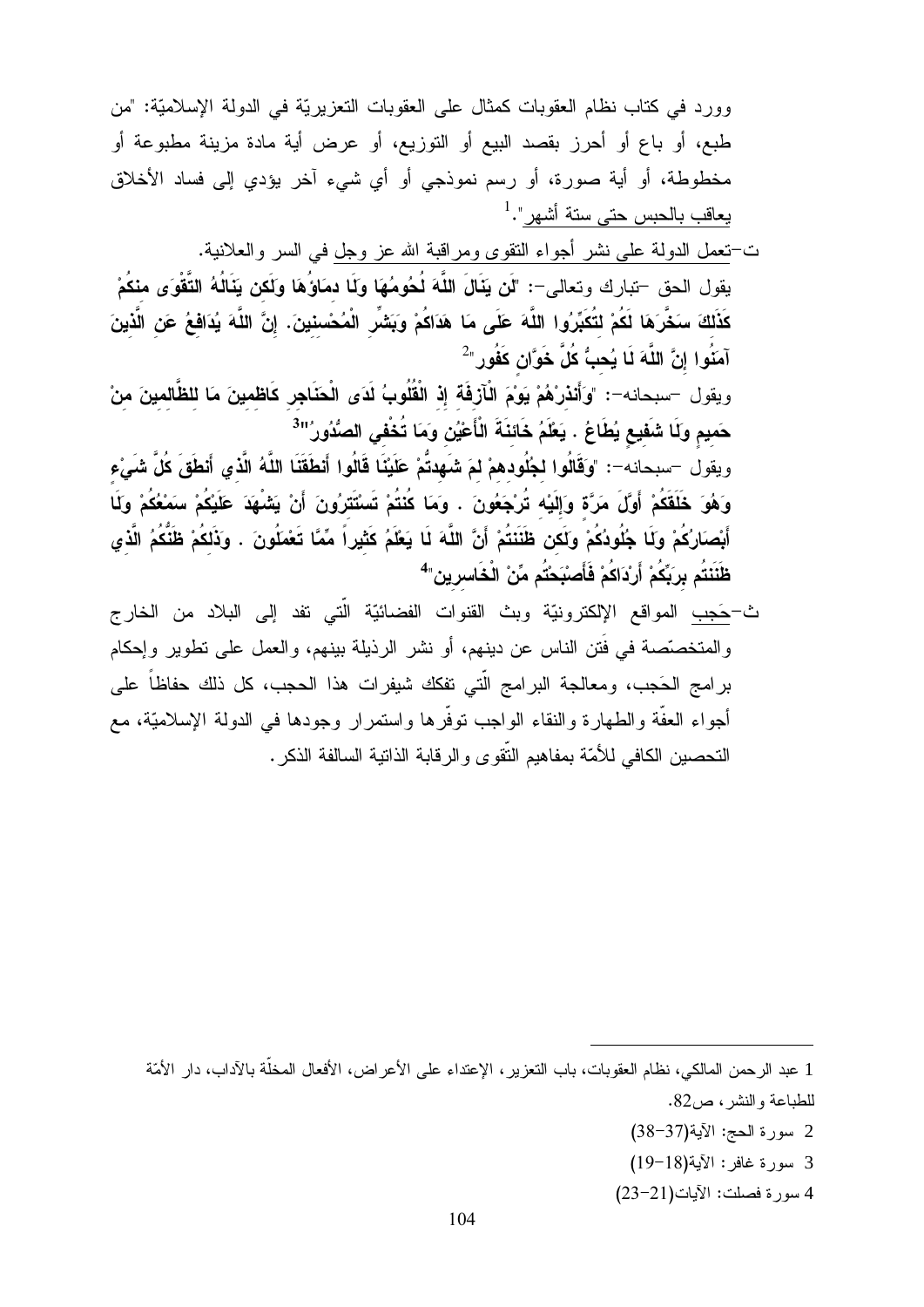وورد في كتاب نظام العقوبات كمثال على العقوبات التعزيريّة في الدولة الإسلاميّة: "من طبع، أو باع أو أحرز بقصد البيع أو التوزيع، أو عرض أية مادة مزينة مطبوعة أو مخطوطة، أو أية صورة، أو رسم نموذجي أو أي شيء آخر يؤدي إلىي فساد الأخلاق يعاقب بالحبس حتى ستة أشهر".<sup>1</sup> ت–تعمل الدولة على نشر أجواء النقوى ومراقبة الله عز وجل في السر والعلانية. يقول الحق —تبارك وتعالى—: "لَن يَنَالَ اللَّهَ لُحُومُهَا ولَا دمَاوُهَا ولَكن يَنَالُهُ التَّقْوَى منكُمْ كَذَلكَ سَخَّرَهَا لَكُمْ لتُكَبِّرُوا اللَّهَ عَلَى مَا هَدَاكُمْ وَبَشْرِ الْمُحْسِنِينَ. إِنَّ اللَّهَ يُدَافِعُ عَنِ الَّذِينَ آمَنُوا إنَّ اللَّهَ لَا يُحبُّ كُلَّ خَوَّان كَفُور<sup>ِ"2</sup> ويقول –سبحانه–: "وَأَنذرْهُمْ يَوْمَ الْأَزْفَة إِذْ الْقُلُوبُ لَدَى الْحَنَاجِرِ كَاظمينَ مَا للظَّالمينَ منْ حَميم وَلَا شَفَيع يُطَاعُ . يَعْلَمُ خَائنَةَ النَّاعَيْنِ وَمَا تُخْفي الصُّدُورُ''<sup>3</sup> ويقول –سبحانه–: "وَقَالُوا لجُلُودهمْ لمَ شَهدتُمْ عَلَيْنَا قَالُوا أَنطَقَنَا اللَّهُ الَّذي أَنطَقَ كُلَّ شَىْء وَهُوَ خَلَقَكُمْ أَوَّلَ مَرَّة وَإِلَيْه تُرْجَعُونَ . وَمَا كُنْتُمْ تَسْتَتَرُونَ أَنْ يَشْهَدَ عَلَيْكُمْ سَمْعُكُمْ وَلَا أَبْصَارُكُمْ وَلَا جُلُودُكُمْ وَلَكن ظَنَنَتُمْ أَنَّ اللَّهَ لَا يَعْلَمُ كَثْيراً مِّمَّا تَعْمَلُونَ . وَذَلِكُمْ ظَنَّكُمُ الَّذِي ظَنَنتُم بربَعُمْ أَرْدَاكُمْ فَأَصنْبَحْتُم مِّنْ الْخَاسرين<sup>"4</sup>

ث<del>-حَدِب</del> المواقع الإلكترونيّة وبث القنوات الفضائيّة الّتي تفد إلى البلاد من الخارج والمتخصَّصة في فَتن الناس عن دينهم، أو نشر الرذيلة بينهم، والعمل على تطوير وإحكام برامج الحَجب، ومعالجة البرامج الَّتي تفكك شيفرات هذا الحجب، كل ذلك حفاظاً على أجواء العفَّة والطهارة والنقاء الواجب نوفَّرها واستمرار وجودها في الدولة الإسلاميَّة، مع التحصين الكافي للأمّة بمفاهيم النّقوى و الرقابة الذاتية السالفة الذكر .

1 عبد الرحمن المالكي، نظام العقوبات، باب التعزير ، الإعتداء على الأعراض، الأفعال المخلَّة بالآداب، دار الأمَّة للطباعة والنشر ، ص82.

- 2 سورة الحج: الآية(37-38)
- 3 سورة غافر : الآية(18-19)
- 4 سورة فصلت: الأيات(21-23)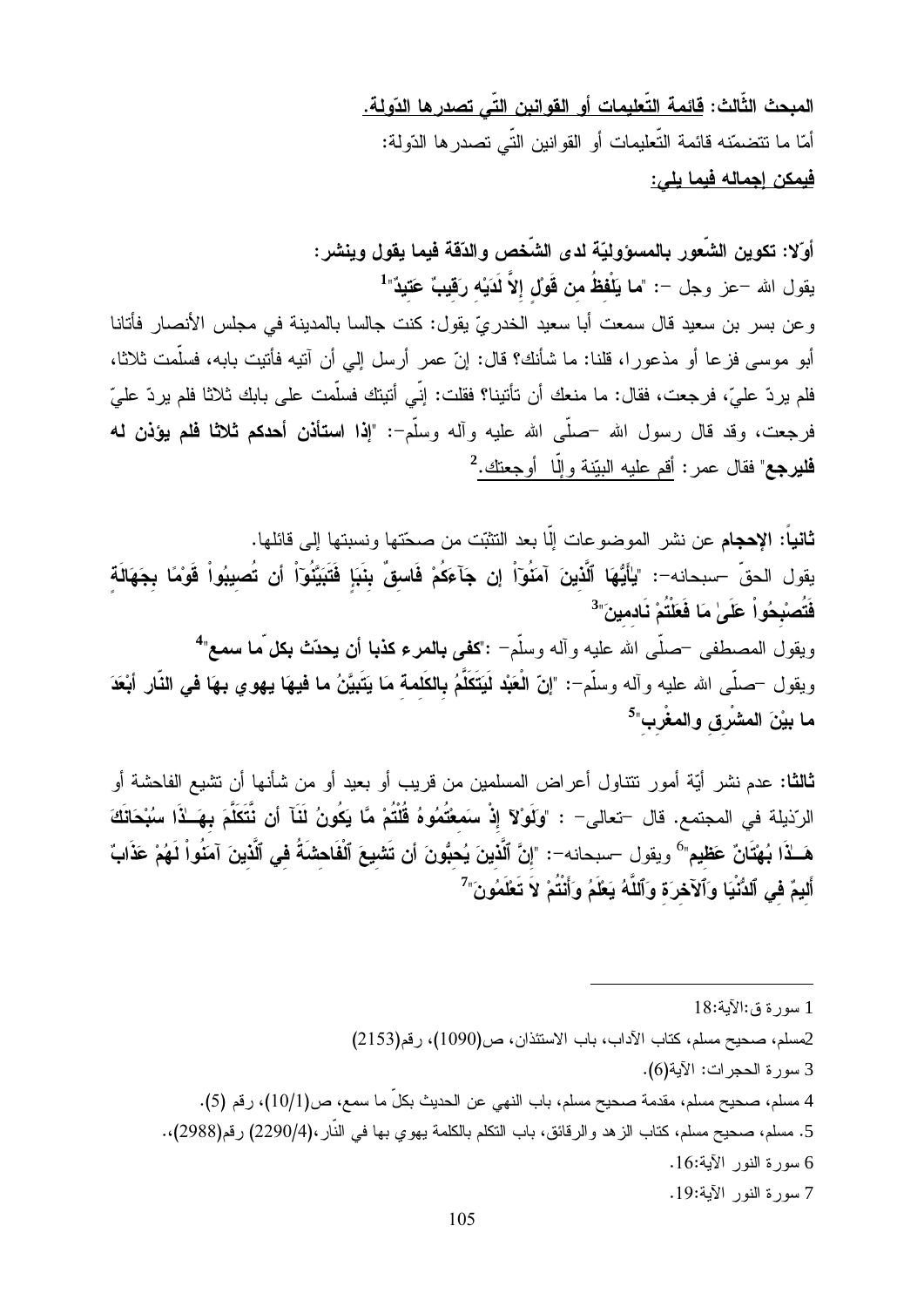المبحث الثَّالث: <u>قائمة التّعليمات أو القوا</u>نين التّي تصدر ها الدّولة. أمّا ما نتضمّنه قائمة التّعليمات أو القوانين التّي تصدر ها الدّولة: فيمكن إجماله فيما يل*ي*:

أوّلا: تكوين الشّعور بالمسؤوليّة لدى الشّخص والدّقة فيما يقول وينشر : يقول الله –عز وجل –: "**ما يَلْفظُ من قَولْ إلاَّ لَدَيْه رَقيبٌ عَتيدٌ**"<sup>1</sup> وعن بسر بن سعيد قال سمعت أبا سعيد الخدريّ يقول: كنت جالسا بالمدينة في مجلس الأنصار فأتانا أبو موسى فزعا أو مذعورا، قلنا: ما شأنك؟ قال: إنّ عمر أرسل إلى أن آنيه فأنيت بابه، فسلَّمت ثلاثا، فلم يردّ عليّ، فرجعت، فقال: ما منعك أن تأتينا؟ فقلت: إنّي أتيتك فسلّمت علي بابك ثلاثا فلم يردّ عليّ

فرجعت، وقد قال رسول الله –صلَّى الله عليه وأله وسلَّم-: "إذا ا**ستأذن أحدكم ثلاثًا فلم يؤذن له فليرجع**" فقال عمر : أقم عليه البيّنة و إلّا أو جعنك.<sup>2</sup>

**ثانياً: الإحجام** عن نشر الموضوعات إلّا بعد النثبّت من صحّتها ونسبتها إلى قائلها. يقول الحقّ –سبحانه–: "يٰأَيُّهَا ٱلَّذينَ آمَنُوٓاْ إِن جَآعَكُمْ فَاسقٌ بِنَبَإٍ فَتَبَيَّنُوٓاْ أَن تُصيبُواْ قَوْمًا بِجَهَالَة فَتُصبْحُواْ عَلَىٰ مَا فَعَلْتُمْ نَادمينَ"<sup>3</sup> ويقول المصطفى <sup>—</sup>صلّى الله عليه وأله وسلّم<sup>—</sup> :"**كفى بالمرء كذبا أن يحدّث بكل ّما سمع**"<sup>4</sup> ويقول —صلَّى الله عليه وآله وسلَّم–: "إنَّ الْعَبْد لَيَتَكَلَّمُ بِالكَلمة مَا يَتَبِيَّنُ ما فيهَا يهوي بهَا في النَّار أبْعَدَ ما بيْنَ المشْرق والمغْرب"<sup>5</sup>

**ثالثا:** عدم نشر أيّة أمور نتتاول أعراض المسلمين من قريب أو بعيد أو من شأنها أن نشيع الفاحشة أو الرّذيلة في المجتمع. قال —تعالى— : "وَلَوْلآ إِذْ سَمَعْتُمُوهُ قُلْتُمْ مَّا يَكُونُ لَثَآ أَن نَّتَكَلَّمَ بهَــٰذَا سُبْحَاتَكَ هَــلاًا بُهْتَانٌ عَظيم" ويقول –سبحانه–: "إنَّ ٱلَّذينَ يُحبُّونَ أن تَشيعَ ٱلْفَاحشَةُ في ٱلَّذينَ آمَنُواْ لَهُمْ عَذَابٌ أَليمٌ في ٱلدُّنْيَا وَٱلآخرَة وَٱللَّهُ يَعْلَمُ وَأَنْتُمْ لاَ تَعْلَمُونَ"

- 5. مسلم، صحيح مسلم، كتاب الزهد والرقائق، باب النكلم بالكلمة يهوى بها في النّار ،(2290/4) رقم(2988)،.
	- 6 سورة النور الآية:16.
	- 7 سورة النور الآية:19.

<sup>1</sup> سورة ق:الآية:18

<sup>2</sup>مسلم، صحيح مسلم، كتاب الآداب، باب الاستئذان، ص(1090)، رقم(2153)

<sup>3</sup> سورة الحجرات: الآية(6).

<sup>4</sup> مسلم، صحيح مسلم، مقدمة صحيح مسلم، باب النهي عن الحديث بكلِّ ما سمع، ص(10/1)، رقم (5).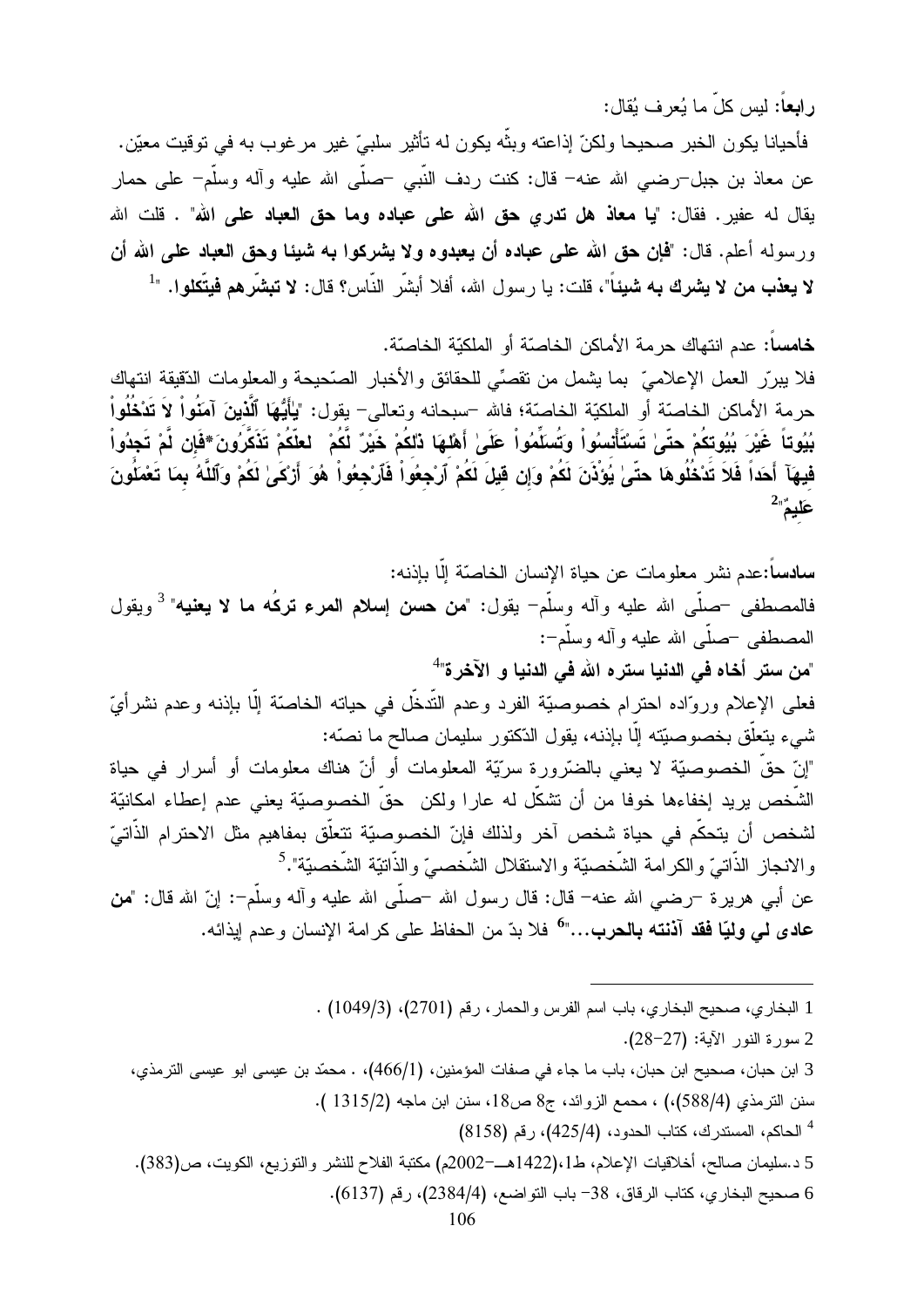رابعاً: ليس كلِّ ما يُعرف يُقال:

فأحيانا يكون الخبر صحيحا ولكنّ إذاعته وبنَّه يكون له تأثير سلبيّ غير مرغوب به في توقيت معيّن. عن معاذ بن جبل–رضـي الله عنه– قال: كنت ردف النَّبـي –صلَّـي الله عليه وأله وسلَّم– علـي حمار يقال له عفير . فقال: "**يا معاذ هل تدري حق الله على عباده وما حق العباد على الله**" . قلت الله ورسوله أعلم. قال: "فإن حق الله على عباده أن يعبدوه ولا يشركوا به شيئا وحق العباد على الله أن لا **يعذب من لا يشرك به شيئ**اً"، قلت: يا رسول الله، أفلا أبشَّر النَّاس؟ قال: لا **تبشَّرهم فيتَّكلو**ا. "<sup>1</sup>

خامساً: عدم انتهاك حر مة الأماكن الخاصّة أو الملكيّة الخاصّة.

فلا ببررٍّ العمل الإعلاميِّ بما يشمل من نقصِّي للحقائق والأخبار الصَّحيحة والمعلومات الدّقيقة انتهاك حرمة الأماكن الخاصّة أو الملكيّة الخاصّة؛ فالله –سبحانه وتعالى– يقول: "يٰأَيُّهَا ٱلَّذينَ آمَنُواْ لاَ تَدْخُلُواْ بُيُوتاً غَيْرَ بُيُوتكُمْ حتّىٰ تَسْتَأْتسُواْ وَتُسَلِّمُواْ عَلَىٰ أَهْلِهَا ذَلكُمْ خَيْرٌ لَّكُمْ ۚ لعلّكُمْ تَذَكَّرُونَ \*فَإِن لَّمْ تَجِدُواْ فِيهَآ أَحَداً فَلاَ تَدْخُلُوهَا حتّىٰ يُؤذُنَ لَكُمْ وَإِن قَيْلَ لَكُمْ ٱرْجِعُواْ فَٱرْجِعُواْ هُوَ أَرْكَىٰ لَكُمْ وَٱلنَّهُ بِمَا تَعْمَلُونَ  $2\frac{3}{4}$ عَليم

سادساً:عدم نشر معلومات عن حياة الإنسان الخاصّة إلّا بإذنه: فالمصطفى <sup>ــ</sup>صلّـى الله عليه وأله وسلّم<sup>ــ</sup> يقول: "**من حسن إسلام المرء تركُه ما لا يعنيه**" <sup>3</sup> ويقول المصطفى –صلَّى الله عليه و آله وسلَّم-: "من ستر أخاه في الدنيا ستر ه الله في الدنيا و الآخر ة"<sup>4</sup> فعلي الإعلام وروَّاده احترام خصوصيَّة الفرد وعدم النَّدخُّل في حياته الخاصَّة إلَّا بإذنه وعدم نشر أيّ شيء يتعلَّق بخصوصيَّته إلَّا بإذنه، يقول الدِّكتور سليمان صالح ما نصَّه: "إنّ حقّ الخصوصيّة لا يعني بالضّرورة سريّة المعلومات أو أنّ هناك معلومات أو أسرار في حياة الشُّخص بريد إخفاءها خوفا من أن نشكَّل له عارا ولكن حقَّ الخصوصيّة يعنى عدم إعطاء امكانيّة لشخص أن يتحكَّم في حياة شخص آخر ولذلك فإنّ الخصوصيّة تتعلَّق بمفاهيم مثل الاحترام الذَّاتيّ والانجاز الذَّاتيّ والكرامة الشَّخصيّة والاستقلال الشَّخصىيّ والذَّاتيّة الشَّخصيّة".<sup>5</sup> عن أبـي هريرة –رضـي الله عنه– قال: قال رسول الله –صلَّى الله عليه وأله وسلَّم–: إنَّ الله قال: "من **عادي لي وليّا فقد آذنته بالحرب..."<sup>6</sup> ف**لا بدّ من الحفاظ علي كر امة الإنسان و عدم ابذائه.

1 البخاري، صحيح البخاري، باب اسم الفرس والحمار ، رقم (2701)، (1049/3) . 2 سورة النور الآية: (27-28). 3 ابن حبان، صحيح ابن حبان، باب ما جاء في صفات المؤمنين، (466/1)، . محمّد بن عيسى ابو عيسى الترمذي، سنن الترمذي (588/4)،) ، محمع الزوائد، ج8 ص18، سنن ابن ماجه (1315/2). <sup>4</sup> الحاكم، المستدرك، كتاب الحدود، (425/4)، رقم (8158) 5 د.سليمان صالح، أخلاقيات الإعلام، ط1،(1422هــ=2002م) مكتبة الفلاح للنشر والتوزيع، الكويت، ص(383). 6 صحيح البخاري، كتاب الرقاق، 38– باب التواضع، (2384/4)، رقم (6137).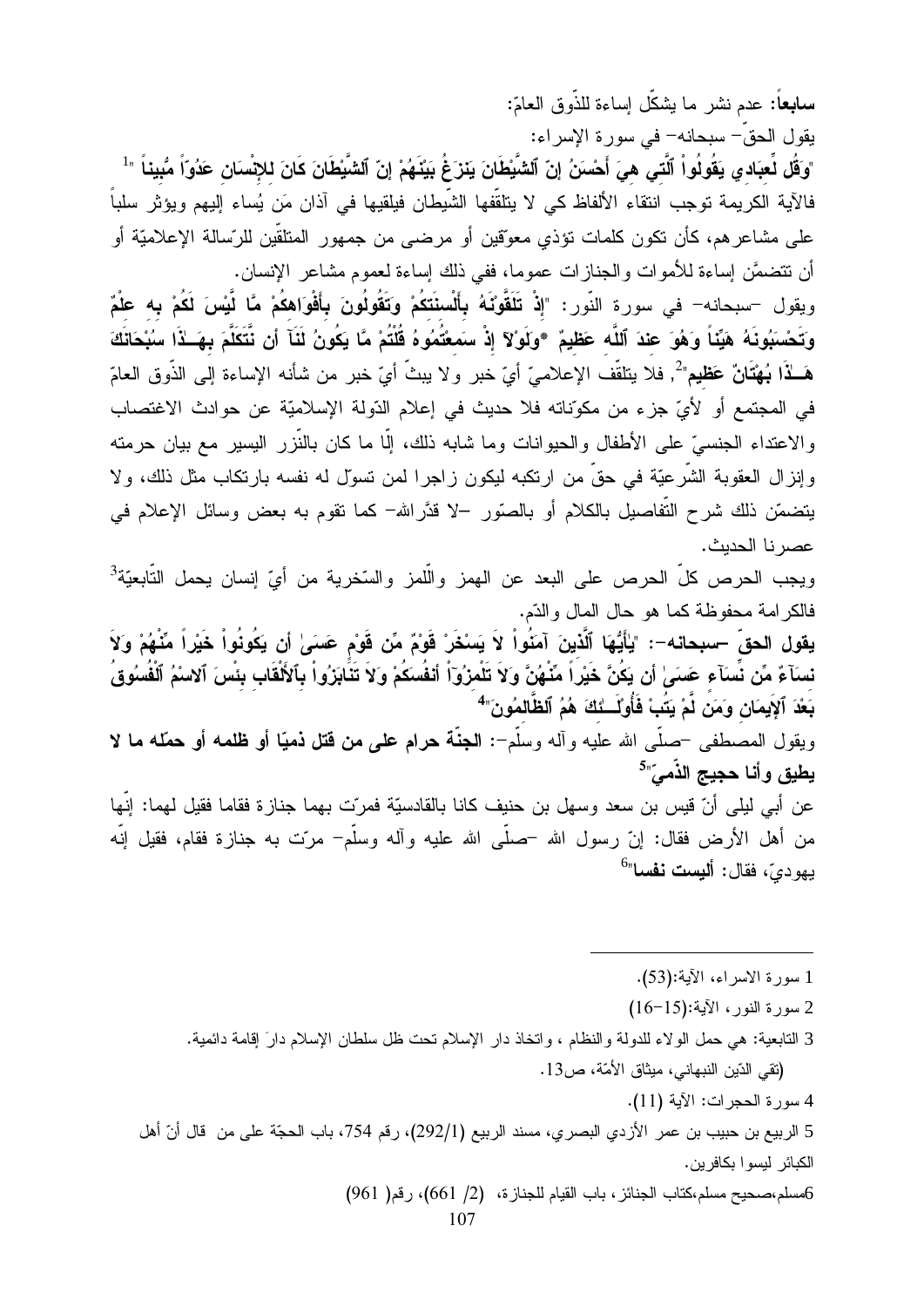**سابعاً:** عدم نشر ما بشكّل إساءة للذّوق العامّ:

.<br>يقول الحقّ– سبحانه– في سورة الإسراء: "وَقُل لِّعبَاد ي يَقُولُو اْ ٱلَّتِى هِيَ أَحْسَنُ إِنّ ٱلشَّيْطَانَ يَنْزَغُ بَيْنَهُمْ إِنّ ٱلشَّيْطَانَ كَانَ للإنْسنان عَدُوّاً مُّبِيناً "<sup>1</sup> فالآية الكريمة توجب انتقاء الألفاظ كي لا يتلقّفها الشّيطان فيلقيها في آذان مَن يُساء إليهم ويؤثر سلباً على مشاعرهم، كأن نكون كلمات نؤذي معوّقين أو مرضىي من جمهور المنلقّين للرّسالة الإعلاميّة أو أن نتضمَّن إساءة للأموات والجنازات عموما، ففي ذلك إساءة لعموم مشاعر الإنسان.

ويقول –سبحانه– في سورة النّور: "إِذْ تَلَقَّوْنَهُ بِأَلْسنَتَكُمْ وَتَقُولُونَ بِأَفْوَاهكُمْ مَّا لَّيْسَ لَكُمْ بِه علْمٌ وَتَحْسَنِوُنَهُ هَيِّنَاً وَهُوَ عِندَ ٱللَّه عَظِيمٌ \*وَلَوْلاَ إِذْ سَمعْتُمُوهُ قُلْتُمْ مَّا يَكُونُ لَثَآ أن نَّتَكَلَّمَ بِهَــٰذَا سُبْحَانَكَ هَــلاًا بُـهْتَانٌ عَظيم" ُ. فلا يتلقَّف الإعلامـيّ أيّ خبر ولا يبثّ أيّ خبر من شأنه الإساءة إلى الذّوق العامّ في المجتمع أو لأيِّ جزء من مكوِّناته فلا حديث في إعلام الدّولة الإسلاميّة عن حوادث الاغتصاب والاعتداء الجنسيّ على الأطفال والحيوانات وما شابه ذلك، إلَّا ما كان بالنَّزر اليسير مع بيان حرمته وإنزال العقوبة الشَّرعيَّة في حقَّ من ارتكبه ليكون زاجرا لمن تسوَّل له نفسه بارتكاب مثل ذلك، ولا يتضمَّن ذلك شرح التَّفاصيل بالكلام أو بالصَّور −لا قدَّرالله− كما نقوم به بعض وسائل الإعلام في عصر نا الحديث.

ويجب الحرص كلّ الحرص على البعد عن الهمز والَّلمز والسَّخرية من أيّ إنسان يحمل التَّابعيّة<sup>3</sup> فالكرامة محفوظة كما هو حال المال والدّم.

يقول الحقّ –سبحانه–: "يٰأَيُّهَا ٱلَّذينَ آمَنُواْ لاَ يَسْخَرْ قَوْمٌ مِّن قَوْم حَسَىٰ أن يَكُونُواْ خَيْراً مِّنْهُمْ وَلاَ نسدَآءٌ مِّن نِّسدَآء عَسَىٰ أن يَكُنَّ خَيْراً مِّنْهُنَّ وَلاَ تَلْمِزُوٓاْ أنفُسكُمْ وَلاَ تَذَابَرُواْ بِٱلأَلْقَابِ بِئِسَ ٱلاسْمُ ٱلْفَسُوق بَعْدَ ٱلإِيمَانِ وَمَن لَّمْ يَتُبْ فَأُوْلَـــٰئكَ هُمُ ٱلظَّالمُونَ"<sup>4</sup>

ويقول المصطفى حصلي الله عليه وأله وسلَّم-: الجنَّة حرام على من قتل ذميًّا أو ظلمه أو حمَّله ما لا يطيق وأنا حجيج الذّميّ"<sup>5</sup>

عن أبي ليلي أنّ قيس بن سعد وسهل بن حنيف كانا بالقادسيّة فمرّت بهما جنازة فقاما فقيل لهما: ٳنّها من أهل الأرض فقال: إنّ رسول الله حصلَّى الله عليه وآله وسلَّم– مرّت به جنازة فقام، فقيل اللَّه يهو ديّ، فقال: أليست نفسا"<sup>6</sup>

- 1 سورة الاسراء، الآية:(53).
- 2 سورة النور، الآية:(15-16)
- 3 النابعية: هي حمل الولاء للدولة والنظام ، وانخاذ دار الإسلام نحت ظل سلطان الإسلام دارَ إقامة دائمية. (نقى الدّين النبهاني، ميثاق الأمّة، ص13.
	- 4 سورة الحجر ات: الآية (11).

5 الربيع بن حبيب بن عمر الأزدي البصري، مسند الربيع (292/1)، رقم 754، باب الحجّة على من قال أنّ أهل الكبائر ليسوا بكافرين.

6مسلم،صحيح مسلم،كتاب الجنائز، باب القيام للجنازة، (2/ 661)، رقم( 961)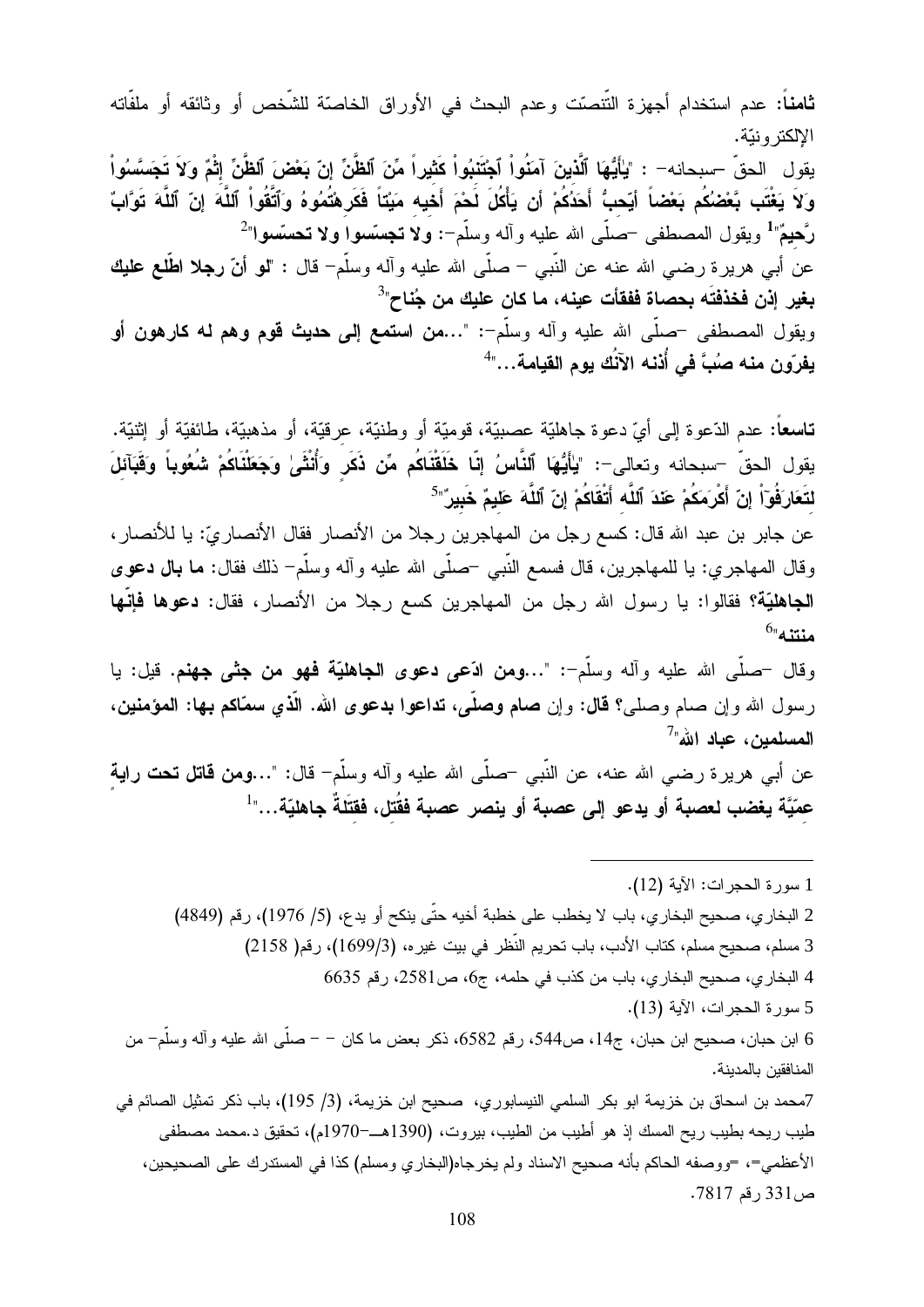**ثامناً:** عدم استخدام أجهزة التّنصّت وعدم البحث في الأوراق الخاصّة للشّخص أو وثائقه أو ملفّاته الالكتر ونتة. يقول الحقّ –سبحانه– : "يٰأَيُّهَا ٱلَّذينَ آمَنُواْ ٱجْتَنبُواْ كَثيراً مِّنَ ٱلظَّنِّ إنّ بَعْضَ ٱلظَّنِّ إثْمٌ وَلاَ تَجَسَّسُواْ وَلاَ يَغْتَب بَّعْضُكُم بَعْضاً أيّحبُّ أَحَذُكُمْ أن يَأْكُلَ لَحْمَ أَخَيه مَيْتَاً فَكَرشْتُمُوهُ وَآتَّقُواْ آللَّهَ إنّ آللَّهَ تَوَّابٌ

**رَّحيمٌ"** ويقول المصطفى <sup>ــ</sup>صلّى الله عليه وأله وسلّم<sup>\_</sup>: ولا ت**ج**سّسوا ولا تحسّسوا"<sup>2</sup> عن أبـي هريرة رضـي الله عنـه عن النَّبـي – صلَّى الله عليه وألـه وسلَّم– قال : "**لو أنّ رجلا اطَّلـع عليك** بغير إذن فخذفتَه بحصاة ففقأت عينه، ما كان عليك من جُناح"<sup>3</sup> ويقول المصطفى حصلي الله عليه وأله وسلَّمٍ : "…من ا**ستمع إلى حديث قوم وهم له كارهون أو** يفرّون منه صُبَّ في أُذنه الآنُك يوم القيامة..."

**تاسعاً**: عدم الدّعوة إلى أيّ دعوة جاهليّة عصبيّة، قوميّة أو وطنيّة، عرقيّة، أو مذهبيّة، طائفيّة أو إثنيّة. يقول الحقّ –سبحانه وتعالى–: "يٰأَيُّهَا ٱلنَّاسُ إِنَّا خَلَقْنَاكُم مِّن ذَكَرٍ وَأُنْثَىٰ وَجَعَلْنَاكُمْ شُعُوباً وَقَبَآئلَ لتَعَارَفُوٓاْ إِنّ أَعْرَمَكُمْ عَنْدَ ٱللَّه أَتْقَاكُمْ إِنّ ٱللَّهَ عَليمٌ خَبِيرٌ"<sup>5</sup>

عن جابر بن عبد الله قال: كسع رجل من المهاجرين رجلا من الأنصار فقال الأنصار يّ: يا للأنصار ، وقال المهاجري: يا للمهاجرين، قال فسمع النَّبي حصلَّى الله عليه وأله وسلَّم– ذلك فقال: ما بال دعوى الجاهليّة؟ فقالوا: يا رسول الله رجل من المهاجرين كسع رجلا من الأنصار، فقال: **دعوها فإنّها**  $^{6}$ منتنه

وقال حصلي الله عليه وأله وسلَّم-: "...ومن ادَّعي دعوى ا**لجاهليَّة فهو من جثى جهنم.** قيل: يا رسول الله وإن صام وصلَّى؟ قال: وإن صام وصلَّى، تداعوا بدعوى الله. الذي سعَّاكم بـها: المؤمنين، المسلمين، عياد الله"

عن أبـي هريرة رضـي الله عنـه، عن النَّبـي –صلَّـي الله عليه وآلـه وسلَّم– قال: "…ومن قاتل تـحت رايـة عمّيَّة يغضب لعصبة أو يدعو إلى عصبة أو ينصر عصبة فقَتل، فقتَلةً جاهليّة…"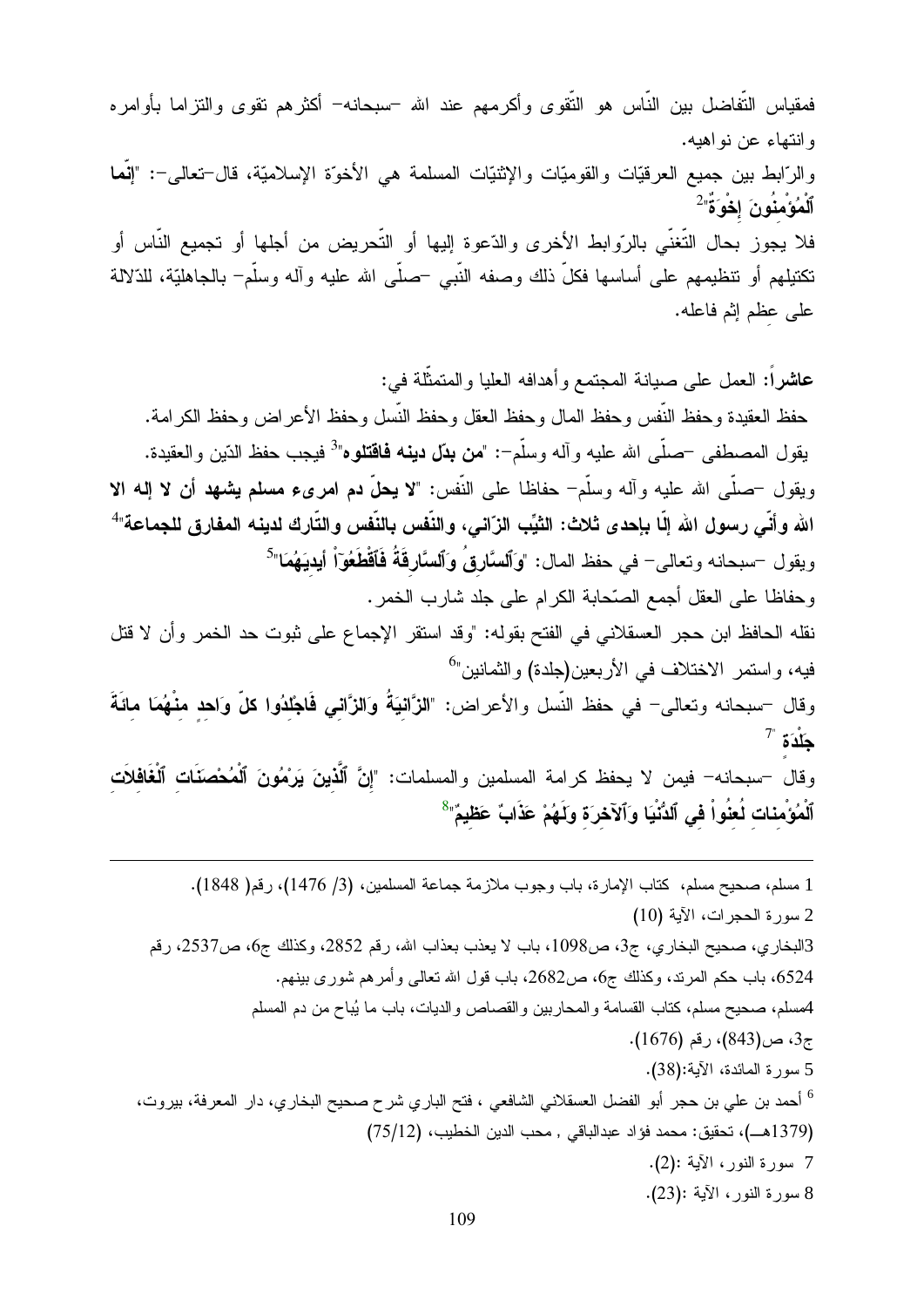فمقياس التّفاضل بين النّاس هو النّقوى وأكرمهم عند الله –سبحانه– أكثرهم تقوى والنزاما بأوامره وانتهاء عن نواهيه. والرَّابط بين جميع العرقيّات والقوميّات والإثنيّات المسلمة هي الأخوّة الإسلاميّة، قال–تعالى–: "إنَّما ٱلْمُؤْمِنُونَ إِخْوَةٌ'<sup>2</sup> فلا يجوز بحال التُّغنّي بالرّوابط الأخرى والدّعوة إليها أو التّحريض من أجلها أو تجميع النّاس أو نكتبلهم أو نتظيمهم على أساسها فكلَّ ذلك وصفه النَّبي –صلَّى الله عليه وآله وسلَّم– بالجاهليَّة، للذلالة على عظم إثم فاعله.

عاشراً: العمل على صبانة المجتمع وأهدافه العليا والمتمثَّلة في: حفظ العقيدة وحفظ النَّفس وحفظ المال وحفظ العقل وحفظ النَّسل وحفظ الأعر اض وحفظ الكر امة. يقول المصطفى <sup>ــ</sup>صلّـى الله عليه وألـه وسلّم−: "**من بدّل دينـه فافتنلوه**"<sup>3</sup> فيجب حفظ الدّين والعقيدة. ويقول حصلٌى الله عليه وأله وسلَّمٍ حفاظًا على النَّفس: "لا يعلُّ دم امرىء مسلم يشهد أن لا إله الا الله وأنّي رسول الله إلّا بإحدى ثلاث: الثيِّب الزّاني، والنّفس بالنّفس والتّارك لدينه المفارق للجماعة" ويقول –سبحانه وتعالى– في حفظ المال: "وَالسَّارِقُ وَالسَّارِقَةُ فَاَقْطَعُوّاْ أيديَهُمَا"<sup>5</sup> وحفاظا على العقل أجمع الصّحابة الكرام على جلد شارب الخمر . نقله الحافظ ابن حجر العسقلاني في الفتح بقوله: "وقد استقر الإجماع على ثبوت حد الخمر وأن لا قتل فيه، واستمر الاختلاف في الأربعين(جلدة) والثمانين"<sup>6</sup> وقال –سبحانه وتعالى– في حفظ النَّسل والأعراض: "الزَّالنيَةُ وَالزَّالى فَاجْلدُوا كلِّ وَاحد منْهُمَا مائَةَ  $7^"$  جَلْدَة وقال –سبحانه– فيمن لا يحفظ كرامة المسلمين والمسلمات: "إنَّ ٱلَّذينَ يَرْمُونَ ٱلْمُحْصِنَات ٱلْغَافَلاَت ٱلْمُؤْمِنات لُعِنُواْ فِي ٱلدُّنْيَا وَٱلآخِرَة ولَـهُمْ عَذَابٌ عَظيمٌ" $^8$ 

1 مسلم، صحيح مسلم، كتاب الإمارة، باب وجوب ملازمة جماعة المسلمين، (3/ 1476)، رقم( 1848). 2 سورة الحجرات، الآية (10) 3البخاري، صحيح البخاري، ج3، ص1098، باب لا يعذب بعذاب الله، رقم 2852، وكذلك ج6، ص2537، رقم 6524، باب حكم المرند، وكذلك ج6، ص2682، باب قول الله نعالمي وأمرهم شوري بينهم. 4مسلم، صحيح مسلم، كتاب القسامة والمحاربين والقصاص والديات، باب ما يُباح من دم المسلم ج3، ص(843)، رقم (1676). 5 سورة المائدة، الآية:(38). <sup>6</sup> أحمد بن علي بن حجر أبو الفضل العسقلاني الشافعي ، فتح الباري شرح صحيح البخاري، دار المعرفة، بيروت، (1379هـ)، تحقيق: محمد فؤاد عبدالباقي , محب الدين الخطيب، (75/12) 7 سورة النور، الآية :(2). 8 سورة النور، الآية :(23).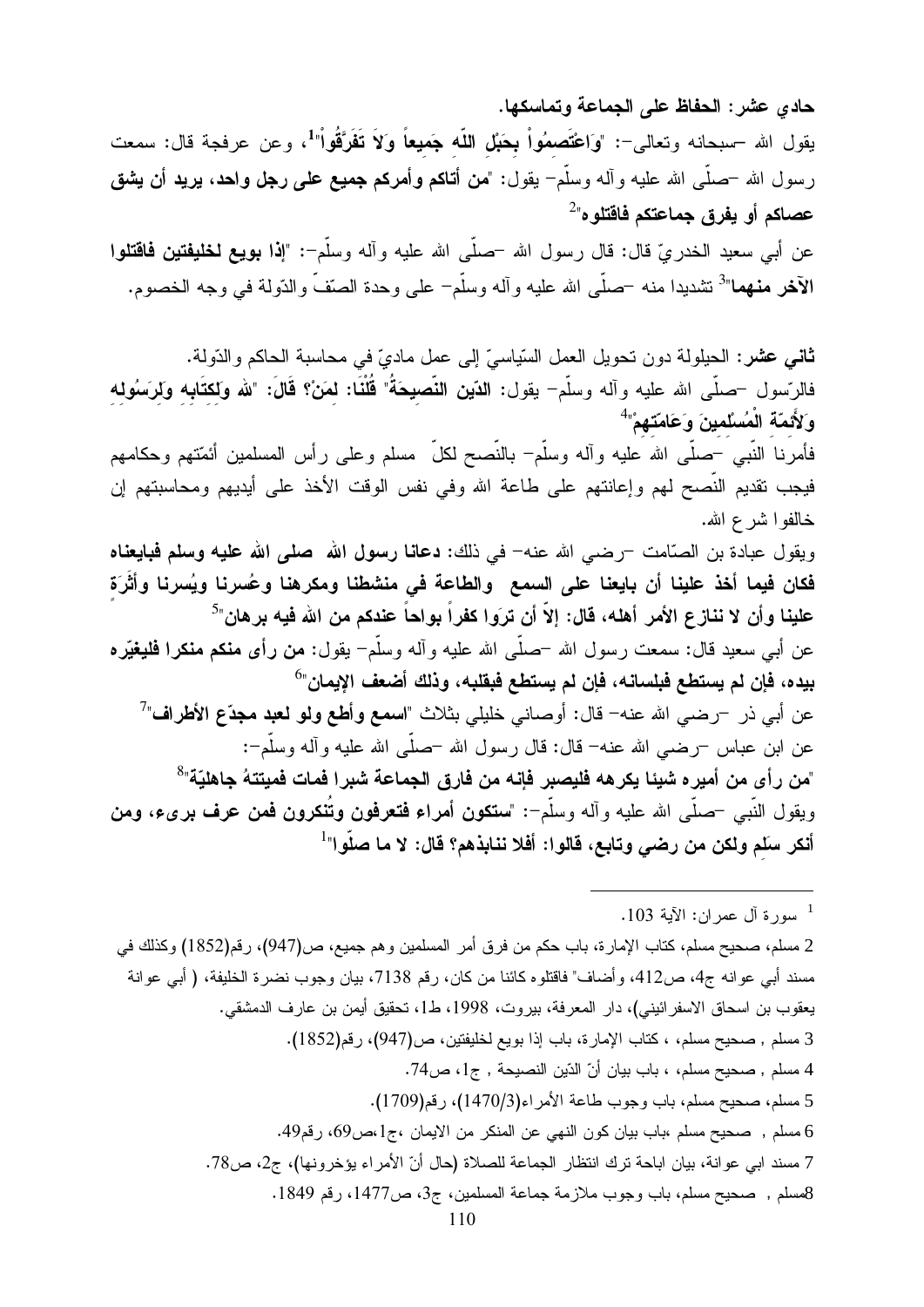حادي عشر: الحفاظ على الجماعة وتماسكها. يقول الله –سبحانه وتعالى–: "وَاعْتَصِمُواْ بِحَبْلِ اللَّه جَمِيعاً وَلاَ تَفَرَّقُواْ"، وعن عرفجة قال: سمعت رسول الله –صلَّـى الله عليه وأله وسلَّم<sup>ــ</sup> يقول: "**من أتـاكم وأمركم جميع علـى رجل واحد**، **يريد أن يشق** عصاكم أو يفرق جماعتكم فاقتلوه"<sup>2</sup> عن أبي سعيد الخدريّ قال: قال رسول الله –صلَّى الله عليه وآله وسلَّم–: "إ**ذا بويع لخليفتين فاقتلوا** الآخر منهما"<sup>3</sup> نتثديدا منه –صلَّى الله عليه وأله وسلَّم– على وحدة الصنّفّ والدّولة في وجه الخصوم.

**ثاني عشر:** الحيلولة دون نحويل العمل السّياسيّ إلى عمل ماديّ في محاسبة الحاكم والدّولة. فالرّسول –صلَّى الله عليه وآله وسلَّم– يقول: الدّين النَّصيحَةُ" قُلْنَا: لمَنْ؟ قَالَ: "لله ولكتَابه ولرَسُوله وَلأَئمّة الْمُسْلمينَ وَعَامَتَهُمْ" فأمرنا النَّبـي –صلَّـى الله عليه وأله وسلَّم– بالنَّصـح لكلَّ ۖ مسلم وعلـى رأس المسلمين أئمَتـهم وحكامهم فيجب نقديم النَّصـح لمهم وإعانتهم علـى طـاعة الله وفي نفس الوقت الأخذ علـى أيديهم ومحاسبتهم إن خالفوا شرع الله. ويقول عبادة بن الصّامت –رضبي الله عنه– في ذلك: **دعانـا رسول الله صلى الله عليه وسلم فبايعنـاه** فكان فيما أخذ علينا أن بايعنا على السمع والطاعة فى منشطنا ومكرهنا وعُسرنا ويُسرنا وأثَرَة علينا وأن لا نناز ع الأمر أهله، قال: إلاّ أن ترَوا كفراً بواحاً عندكم من الله فيه برهان"<sup>5</sup> عن أبـي سعيد قال: سمعت رسول الله <sup>ــ</sup>صلّـي الله عليه وآلـه وسلّم<sup>ــ</sup> يقول: **من رأى منكم منكرا فليغيّره** بيده، فإن لم يستطع فبلسانه، فإن لم يستطع فبقلبه، وذلك أضعف الإيمان"<sup>6</sup> عن أبي ذر —رضبي الله عنه— قال: أوصـانـي خليلـي بثلاث "ا**سمـع وأطـع ولـو لـعبد مـجدّع الأطراف**"<sup>7</sup> عن ابن عباس –رضـي الله عنه– قال: قال رسول الله –صلَّى الله عليه وألـه وسلَّم–: "من رأى من أمير ه شيئا يكرهه فليصبر. فإنه من فارق الجماعة شبرا فمات فميتتهُ جاهليّة"<sup>8</sup> ويقول النَّبـي –صلَّـي الله عليه وأله وسلَّم–: "ستكون أمراء فتعرفون وتُنكرون فمن عرف برىء، ومن

سورة آل عمر ان: الآية 103.  $^1$ 

2 مسلم، صحيح مسلم، كتاب الإمارة، باب حكم من فرق أمر المسلمين وهم جميع، ص(947)، رقم(1852) وكذلك في مسند أبي عوانه ج4، ص412، وأضاف" فاقتلوه كائنا من كان، رقم 7138، بيان وجوب نضرة الخليفة، ( أبي عوانة يعقوب بن اسحاق الاسفرائيني)، دار المعرفة، بيروت، 1998، ط1، تحقيق أيمن بن عارف الدمشقي. 3 مسلم , صحيح مسلم، ، كتاب الإمارة، باب إذا بويع لخليفتين، ص(947)، رقم(1852). 4 مسلم , صحيح مسلم، ، باب بيان أنّ الدّين النصيحة , ج1، ص74. 5 مسلم، صحيح مسلم، باب وجوب طاعة الأمر اء(1470/3)، رقم(1709). 6 مسلم , صحيح مسلم ،باب بيان كون النهي عن المنكر من الايمان ،ج1،ص69، رقم49. 7 مسند ابي عوانة، بيان اباحة ترك انتظار الجماعة للصلاة (حال أنّ الأمراء يؤخرونها)، ج2، ص78. 8مسلم , صحيح مسلم، باب وجوب ملازمة جماعة المسلمين، ج3، ص1477، رقم 1849.

أنكر سلم ولكن من رضى وتابع، قالوا: أفلا ننابذهم؟ قال: لا ما صلُّوا"<sup>1</sup>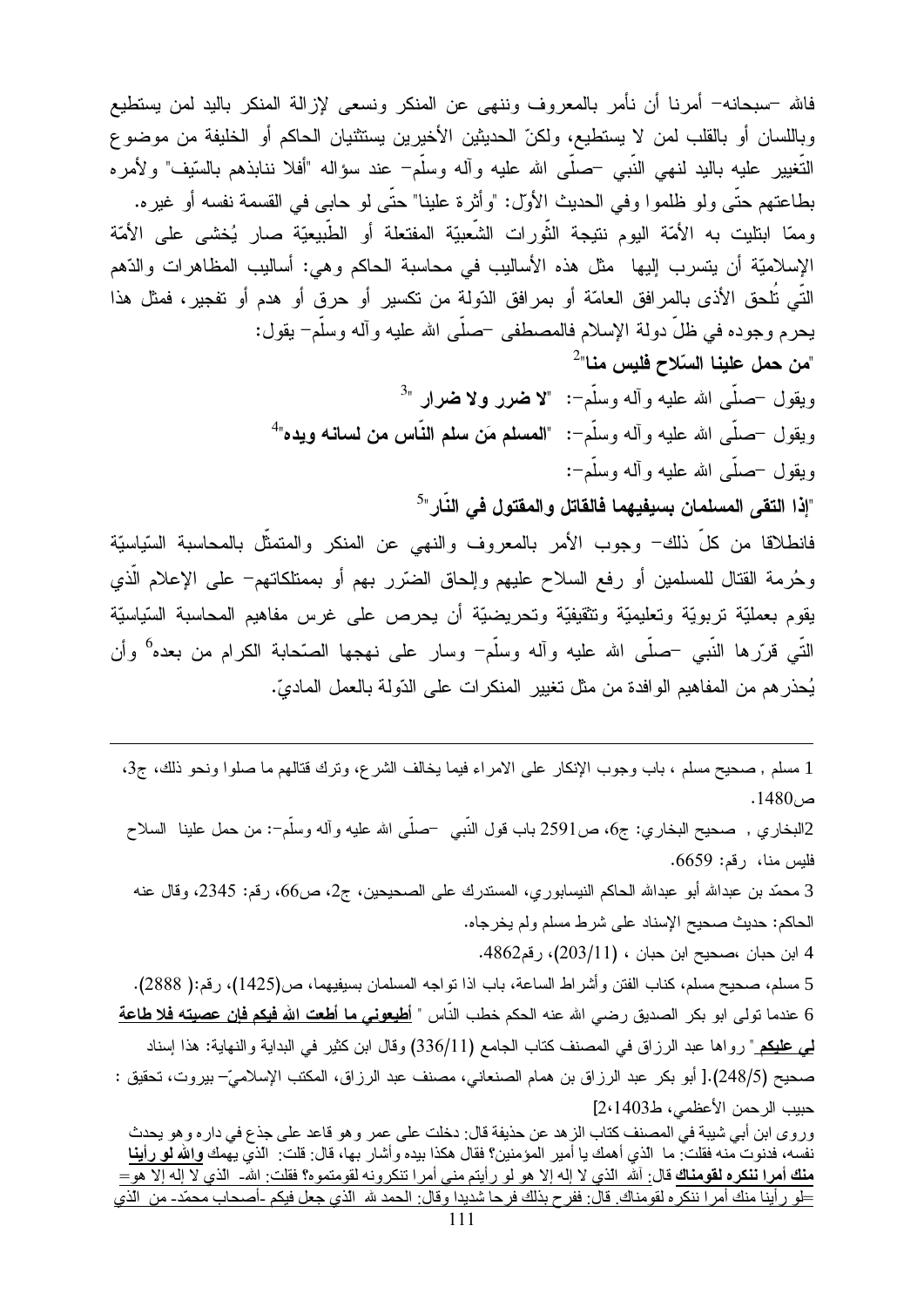فالله –سبحانه– أمرنا أن نأمر بالمعروف وننهي عن المنكر ونسعى لإزالة المنكر باليد لمن يستطيع وباللسان أو بالقلب لمن لا يستطيع، ولكنّ الحديثين الأخيرين يستثنيان الحاكم أو الخليفة من موضوع النُّغيير عليه باليد لنهي النَّبي –صلَّى الله عليه وأله وسلَّم– عند سؤاله "أفلا ننابذهم بالسَّيف" ولأمره بطاعتهم حتَّى ولو ظلموا وفي الحديث الأول: "وأثرة علينا" حتَّى لو حابي في القسمة نفسه أو غيره. وممّا ابتليت به الأمّة اليوم نتيجة الثّورات الشّعبيّة المفتعلة أو الطّبيعيّة صار يُخشى على الأمّة الإسلاميّة أن يتسرب إليها مثل هذه الأساليب في محاسبة الحاكم و هي: أساليب المظاهرات والدّهم النِّي تُلحق الأذى بالمرافق العامَّة أو بمرافق الدّولة من تكسير أو حرق أو هدم أو تفجير، فمثل هذا يحرم وجوده في ظلِّ دولة الإسلام فالمصطفى حملَمي الله عليه وآله وسلَّمٍ = يقول: "من حمل علينا السّلاح فليس منا"<sup>2</sup> وبقول -صلَّى الله عليه وأله وسلَّم-: "لا **ض**رر ولا **ض**رار "<sup>3</sup> ويقول –صلَّى الله عليه وأله وسلَّم–: "المصلَّم مَن سلَّم النَّاس من لسانه ويده"<sup>4</sup> ويقول حصلَّى الله عليه وأله وسلَّم−: "إذا التقى المسلمان بسيفيهما فالقاتل والمقتول فى النّار"<sup>5</sup> فانطلاقا من كلِّ ذلك– وجوب الأمر بالمعروف والنهي عن المنكر والمتمثِّل بالمحاسبة السّياسيّة وحُرمة القتال للمسلمين أو رفع السلاح عليهم وإلحاق الضّرر بهم أو بممتلكاتهم– على الإعلام الذي يقوم بعمليّة تربويّة وتعليميّة وتثقيفيّة وتحريضيّة أن يحرص على غرس مفاهيم المحاسبة السّياسيّة النَّبِي قرَّرِ ها النَّبِي –صلَّى الله عليه وأله وسلَّم<sup>–</sup> وسارٍ على نهجها الصَّحابة الكرام من بعده<sup>6</sup> وأن يُحذر هم من المفاهيم الوافدة من مثل تغيير المنكرات على الدّولة بالعمل الماديّ.

1 مسلم , صحيح مسلم ، باب وجوب الإنكار على الامراء فيما يخالف الشرع، وترك قتالهم ما صلوا ونحو ذلك، ج3،  $.1480$ ص

2البخاري , صـحيح البخاري: ج6، ص2591 باب قول النَّبـي حسلَّـي الله عليه وآلـه وسلَّم−: من حمل علينا السلاح فليس منا، رقم: 6659.

3 محمّد بن عبدالله أبو عبدالله الحاكم النيسابوري، المستدرك على الصحيحين، ج2، ص66، رقم: 2345، وقال عنه الحاكم: حديث صحيح الإسناد على شرط مسلم ولم يخرجاه.

4 ابن حبان ،صحيح ابن حبان ، (203/11)، رقم4862.

5 مسلم، صحيح مسلم، كناب الفتن وأشراط الساعة، باب اذا نواجه المسلمان بسيفيهما، ص(1425)، رقم:( 2888). 6 عندما تولى ابو بكر الصديق رضي الله عنه الحكم خطب النّاس " <mark>أطيعوني ما أطعت الله فيكم فإن عصيته فلا طاعة</mark> <mark>لمي عليكم</mark> " رواها عبد الرزاق في المصنف كتاب الجامع (336/11) وقال ابن كثير في البداية والنهاية: هذا إسناد صحيح (248/5).[ أبو بكر عبد الرزاق بن همام الصنعاني، مصنف عبد الرزاق، المكتب الإسلاميّ– بيروت، تحقيق : حبيب الرحمن الأعظمي، ط2،1403[ وروى ابن أبي شيبة في المصنف كتاب الزهد عن حذيفة قال: دخلت على عمر وهو قاعد على جذع في داره وهو يحدث

نفسه، فدنوت منه فقلت: ما الذي أهمك يا أمير المؤمنين؟ فقال هكذا بيده وأشار بـها، قال: قلت: الذي يـهمك والله لو رأينا <u>منك أمرا ننكره لقومناك</u> قال: ألله الذي لا إله إلا هو لو رأيتم مني أمرا تنكرونه لقومتموه؟ فقلت: الله- الذي لا إله إلا هو= طو ر أينا منك أمر ا ننكر ه لقو مناك. فال: ففر ح بذلك فر حا شديدا و قال: الحمد لله الذي جعل فيكم -أصحاب محمّد- من الذي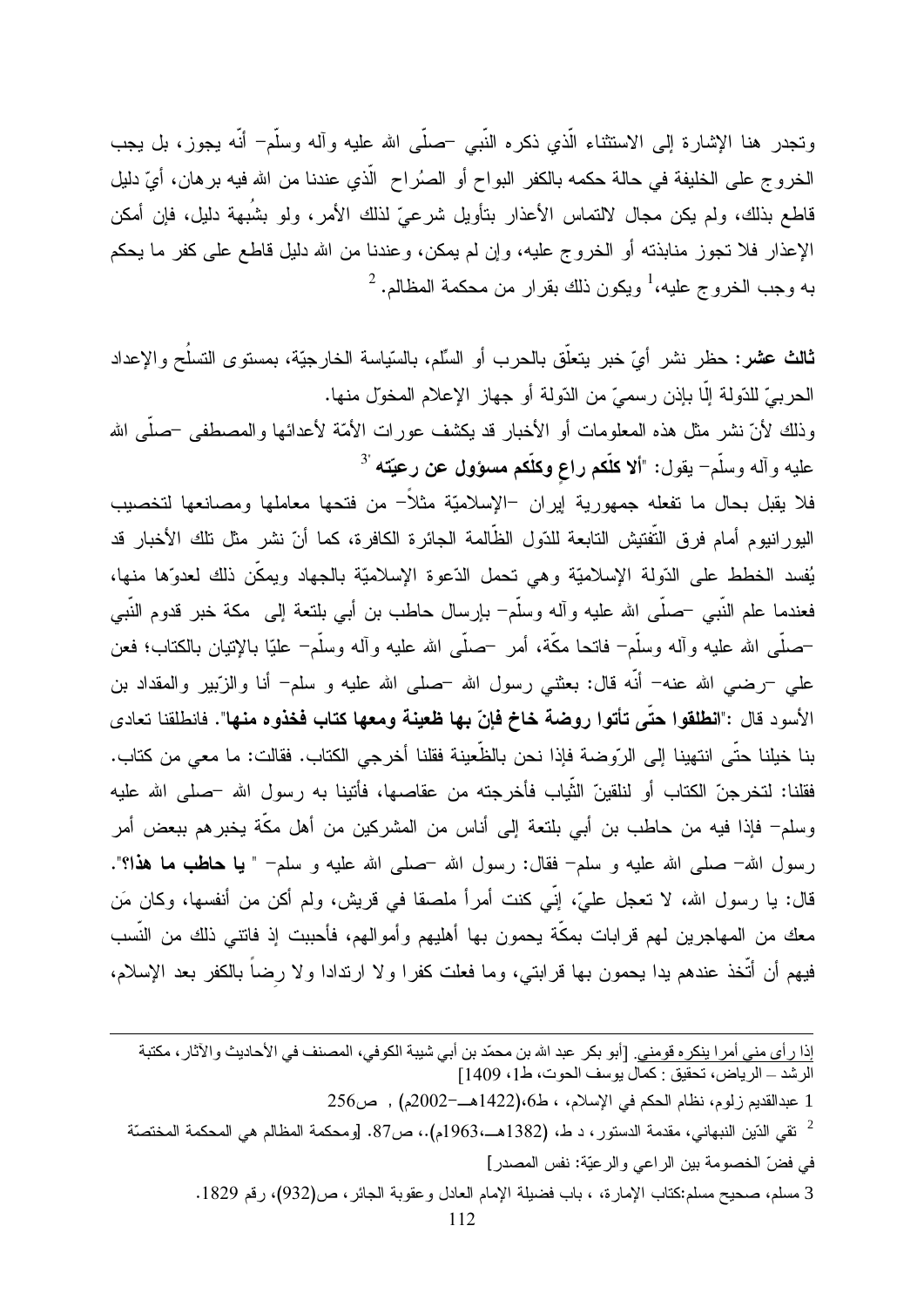ونجدر هنا الإشارة إلى الاستثناء الَّذي ذكره النَّبي –صلَّى الله عليه وأله وسلَّم– أنَّه يجوز، بل يجب الخروج على الخليفة في حالة حكمه بالكفر البواح أو الصُراح الَّذي عندنا من الله فيه برهان، أيِّ دليل قاطع بذلك، ولم يكن مجال لالتماس الأعذار بتأويل شرعيّ لذلك الأمر، ولو بشَبهة دليل، فإن أمكن الإعذار فلا نجوز منابذته أو الخروج عليه، وإن لم يمكن، وعندنا من الله دليل قاطع على كفر ما يحكم  $^2$  به وجب الخر وج عليه، $^1$  ويكون ذلك بقر ار من محكمة المظالم.  $^2$ 

ثالث عشر: حظر نشر أيّ خبر يتعلَّق بالحرب أو السِّلم، بالسَّياسة الخارجيَّة، بمستوى التسلُح والإعداد الحربيِّ للدّولة إلّا بإذن رسميٍّ من الدّولة أو جهاز الإعلام المخوّل منها. وذلك لأنّ نشر مثل هذه المعلومات أو الأخبار قد يكشف عورات الأمّة لأعدائها والمصطفى –صلّى الله عليه وآله وسلَّم<sup>\_</sup> يقول: "أ**لا كلُّكم راع وكلُّكم مسؤول عن رعيّته** <sup>3</sup>

فلا يقبل بحال ما تفعله جمهورية إيران −الإسلاميّة مثلاً− من فتحها معاملها ومصانعها لتخصيب اليور انيوم أمام فرق التَّفتيش التابعة للدّول الظَّالمة الجائرة الكافرة، كما أنّ نشر مثل تلك الأخبار قد يُفسد الخطط على الدّولة الإسلاميّة وهي تحمل الدّعوة الإسلاميّة بالجهاد ويمكّن ذلك لعدوّها منها، فعندما علم النَّبي –صلَّى الله عليه وأله وسلَّم– بإرسال حاطب بن أبي بلنعة إلى مكة خبر قدوم النَّبي –صلَّـى الله عليه وألـه وسلَّم– فاتـما مكَّة، أمر –صلَّـى الله عليه وألـه وسلَّم– عليّا بـالإتيان بـالكتاب؛ فعن علمي –رضـي الله عنه– أنَّه قال: بعثنـي رسول الله –صلـي الله عليه و سلم– أنا والزَّبير والمقداد بن الأسود قال :"انطلقوا حتَّى تأتوا روضة خاخ فإنّ بها ظعينة ومعها كتاب فخذوه منها". فانطلقنا تعادى بنا خيلنا حتَّى انتهينا إلى الرِّوضة فإذا نحن بالظِّعينة فقلنا أخرجي الكتاب. فقالت: ما معي من كتاب. فقلنا: لتخرجنّ الكتاب أو لنلقينّ الثَّياب فأخرجته من عقاصها، فأتينا به رسول الله –صلى الله عليه وسلم– فإذا فيه من حاطب بن أبي بلتعة إلى أناس من المشركين من أهل مكَّة يخبرهم ببعض أمر رسول الله– صلَّى الله عليه و سلَّمٍ– فقال: رسول الله –صلَّى الله عليه و سلَّمٍ– " **يا حاطب ما هذا؟**". قال: يا رسول الله، لا نعجل عليّ، إنّي كنت أمراً ملصقاً في قريش، ولم أكن من أنفسها، وكان مَن معك من المهاجرين لمهم قرابات بمكَّة يحمون بها أهليهم وأموالهم، فأحببت إذ فاتنى ذلك من النَّسب فيهم أن أتُخذ عندهم يدا يحمون بها قرابتي، وما فعلت كفرا ولا ارندادا ولا رضاً بالكفر بعد الإسلام،

| إذا ر أى مني أمر ا ينكر ه قومني <sub>.</sub> [أبو بكر  عبد الله بن محمّد بن أبي شيبة الكوفي، المصنف في الأحاديث و الآثار ، مكتبة |  |
|----------------------------------------------------------------------------------------------------------------------------------|--|
| الرشد ـــ الرياض، تحقيق : كمال يوسف الحوت، ط1، 1409]                                                                             |  |
| 1 عبدالقديم ز لوم، نظام الحكم في الإسلام، ، ط6،(1422هــ=2002م) ,  ص256 ]                                                         |  |

- ثقى الذين النبهاني، مقدمة الدستور ، د ط، (1382هــ،1963م).، ص87. [ومحكمة المظالم هي المحكمة المختصّة  $^2$ في فضّ الخصومة بين الراعي والرعبّة: نفس المصدر]
	- 3 مسلم، صـحيح مسلم:كتاب الإمار ة، ، باب فضيلة الإمام العادل وعقوبة الجائر ، ص(932)، رقم 1829.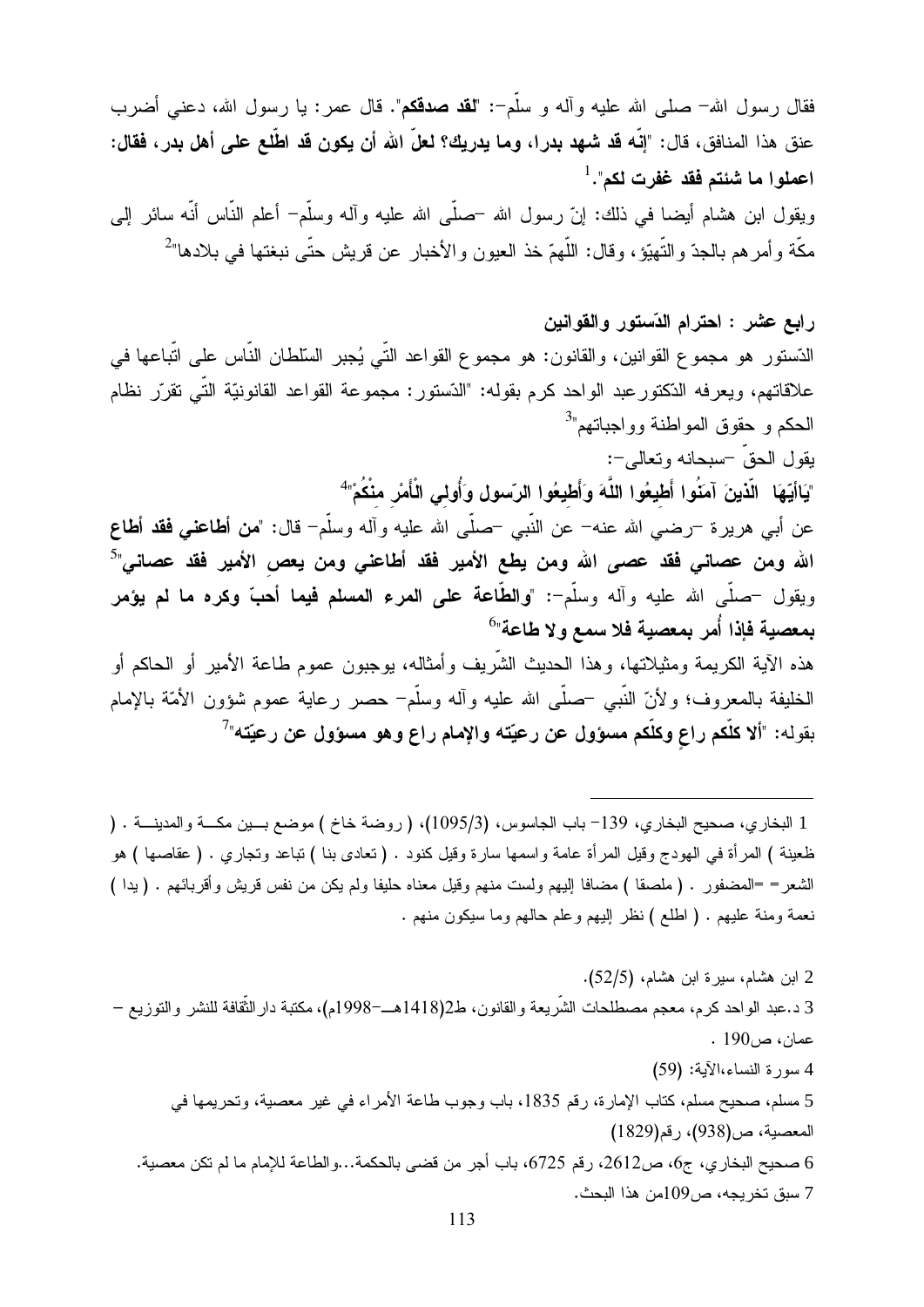فقال رسول الله– صلى الله عليه وأله و سلَّم–: "لقد صدقكم". قال عمر : يا رسول الله، دعني أضرب عنق هذا المنافق، قال: "إنَّه قد شهد بدرا، وما يدريك؟ لعلَّ الله أن يكون قد اطَّلع على أهل بدر، فقال: اعملوا ما شَئتم فَقد غفرت لكم". <sup>1</sup>

ويقول ابن هشام أيضا في ذلك: إنَّ رسول الله حصلَى الله عليه وأله وسلَّم– أعلم النَّاس أنَّه سائر إلىي مكَّة وأمرهم بالجدّ والنَّهيّؤ، وقال: اللَّهمّ خذ العيون والأخبار عن قريش حتَّى نبغتها في بلادها"<sup>2</sup>

رابع عشر : احترام الدّستور والقوانين الدّستور هو مجموع القوانين، والقانون: هو مجموع القواعد التّي يُجبر السّلطان النّاس على اتّباعها في علاقاتهم، ويعرفه الدّكتورعبد الواحد كرم بقوله: "الدّستور: مجموعة القواعد القانونيّة التّي تقرّر نظام الحكم و حقوق المواطنة وواجباتهم"<sup>3</sup> بقول الحقِّ –سبحانه وتعالى–: "يَاأَيُّهَا ۖ الَّذينَ آمَنُوا أَطْيِعُوا اللَّهَ وَأَطْيِعُوا الرّسول وَأُولى الْأَمْرِ منْكُمْ" عن أبـي هريرة <sup>ــ</sup>رضـي الله عنـه<sup>ـــ</sup> عن النَّبـي <sup>ــ</sup>صلّـي الله عليه وآلـه وسلّم<sup>ــ</sup> قال: "**من أطـاعنـي فقد أطـاع** الله ومن عصاني فقد عصى الله ومن يطع الأمير فقد أطاعني ومن يعص الأمير فقد عصاني"<sup>5</sup>

ويقول —صلَّى الله عليه وآله وسلَّم–: "والطَّاعة على المعرء المسلم فيما أهبَّ وكره ما لم يؤمر بمعصية فإذا أمر بمعصية فلا سمع ولا طاعة"<sup>6</sup> هذه الآية الكريمة ومثيلاتها، وهذا الحديث الشَّريف وأمثاله، بوجبون عموم طاعة الأمير أو الحاكم أو الخليفة بالمعروف؛ ولأنّ النَّبي –صلَّى الله عليه وأله وسلَّم– حصر رعاية عموم شؤون الأمَّة بالإمام بقوله: "ألا كلَّكم راع وكلَّكم مسؤول عن رعيّته والإمام راع وهو مسؤول عن رعيّته"

1 البخاري، صحيح البخاري، 139– باب الجاسوس، (1095/3)، ( روضة خاخ ) موضع بـــين مكـــة والمدينـــة . ( ظعينة ) المرأة في الهودج وقيل المرأة عامة واسمها سارة وقيل كنود . ( نعادى بنا ) نباعد ونجاري . ( عقاصها ) هو الشعر= =المضفور . (ملصقا ) مضافا إليهم ولست منهم وقيل معناه حليفا ولم يكن من نفس قريش وأقربائهم . (يدا ) نعمة ومنة عليهم . ( اطلع ) نظر إليهم وعلم حالهم وما سيكون منهم .

2 ابن هشام، سيرة ابن هشام، (52/5). 3 د.عبد الواحد كرم، معجم مصطلحات الشَّريعة والقانون، ط2(1418هــ–1998م)، مكتبة دار الثَّقافة للنشر والتوزيع – عمان، ص190 . 4 سورة النساء،الآية: (59) 5 مسلم، صحيح مسلم، كتاب الإمارة، رقم 1835، باب وجوب طاعة الأمراء في غير معصية، وتحريمها في المعصية، ص(938)، رقم(1829) 6 صحيح البخاري، ج6، ص2612، رقم 6725، باب أجر من قضي بالحكمة...والطاعة للإمام ما لم تكن معصية. 7 سبق تخريجه، ص901من هذا البحث.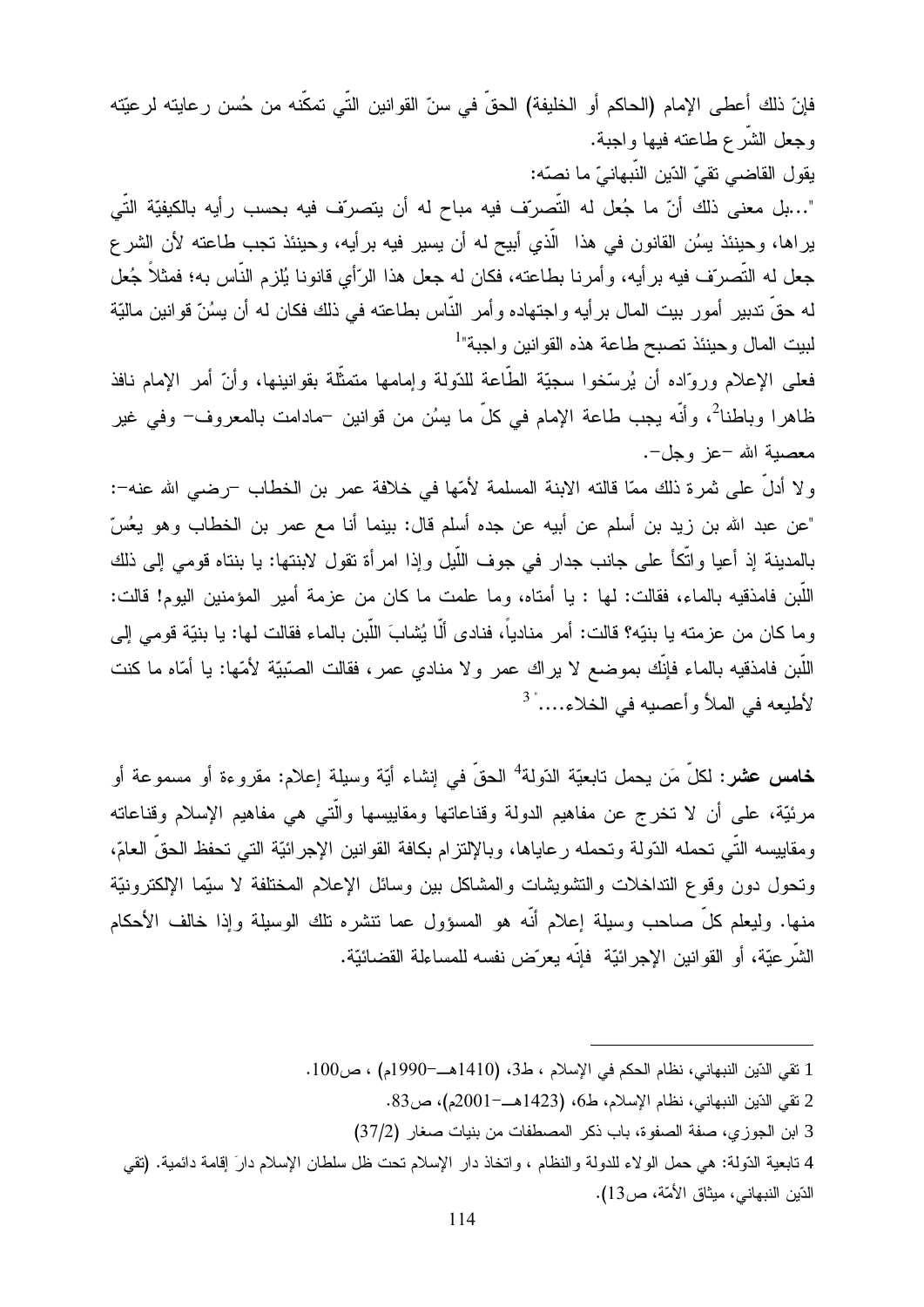فإنّ ذلك أعطى الإمام (الحاكم أو الخليفة) الحقّ في سنّ القوانين التّي تمكّنه من حُسن رعايته لرعيّته وجعل الشَّرع طـاعته فيها واجبة. يقول القاضي تقيّ الدّين النّبهانيّ ما نصّه:

"…بل معنى ذلك أنّ ما جُعل له النّصراف فيه مباح له أن يتصراف فيه بحسب رأيه بالكيفيّة النّي يراها، وحينئذ يسُن القانون في هذا الَّذي أبيح له أن يسير فيه برأيه، وحينئذ تجب طاعته لأن الشر ع جعل له التَّصريّف فيه بر أيه، وأمرنا بطاعته، فكان له جعل هذا الرّأي قانونا يُلزم النّاس به؛ فمثلاً جُعل له حقَّ ندبير أمور بيت المال برأيه واجتهاده وأمر النَّاس بطاعته في ذلك فكان له أن يسُنّ قوانين ماليّة لبيت المال وحينئذ تصبح طاعة هذه القوانين واجبة"<sup>1</sup>

فعلمي الإعلام وروَّاده أن يُرسِّخوا سجيَّة الطَّاعة للدّولة وإمامها متمثَّلة بقوانينها، وأنَّ أمر الإمام نافذ ظاهرًا وباطنا<sup>2</sup>، وأنَّه يجب طاعة الإمام في كلِّ ما يسُن من قوانين <sup>\_</sup>مادامت بالمعروف<sup>\_</sup> وفي غير معصبة الله -عز وجل-.

ولا أدلَّ على ثمرة ذلك ممّا قالته الابنة المسلمة لأمّها في خلافة عمر بن الخطاب –رضي الله عنه–: "عن عبد الله بن زيد بن أسلم عن أبيه عن جده أسلم قال: بينما أنا مع عمر بن الخطاب وهو يعُسّ بالمدينة إذ أعيا واتَّكأ على جانب جدار في جوف اللَّيل وإذا امرأة تقول لابنتها: يا بنتاه قومي إلى ذلك اللَّبن فامذقيه بالماء، فقالت: لها : يا أمتاه، وما علمت ما كان من عزمة أمير المؤمنين اليوم! قالت: وما كان من عزمته يا بنيّه؟ قالت: أمر منادياً، فنادي ألَّا يُشابَ اللَّبن بالماء فقالت لمها: يا بنيّة قومي إلى اللَّبن فامذقيه بالماء فإنَّك بموضع لا يراك عمر ولا منادي عمر، فقالت الصَّبيَّة لأمِّها: يا أمَّاه ما كنت لأطيعه في الملأ وأعصيه في الخلاء.... ً <sup>3</sup>

**خامس عشر:** لكلَّ مَن يحمل نابعيّة الدّولة<sup>4</sup> الحقّ في إنشاء أيّة وسيلة إعلام: مقروءة أو مسموعة أو مرئيّة، على أن لا نخرج عن مفاهيم الدولة وقناعاتها ومقاييسها والَّتـي هـي مفاهيم الإسلام وقناعاته ومقاييسه التِّي تحمله الدّولة وتحمله رعاياها، وبالإلتزام بكافة القوانين الإجرائيّة التي تحفظ الحقّ العامّ، ونحول دون وقوع النداخلات والنتثىويشات والمشاكل ببين وسائل الإعلام المختلفة لا سيِّما الإلكترونيَّة منها. وليعلم كلَّ صاحب وسيلة إعلام أنَّه هو المسؤول عما نتشره نلك الوسيلة وإذا خالف الأحكام الشَّرِ عيّة، أو القوانين الإجر ائيّة فإنّه يعرّض نفسه للمساءلة القضائيّة.

- 1 نقى الدّين النبهاني، نظام الحكم في الإسلام ، ط3، (1410هــ-1990م) ، ص100.
	- 2 تقى الدّين النبهاني، نظام الإسلام، ط6، (1423هــ=2001م)، ص83.
	- 3 ابن الجوزي، صفة الصفوة، باب ذكر المصطفات من بنيات صغار (37/2)

4 تابعية الدّولة: هي حمل الولاء للدولة والنظام ، واتخاذ دار الإسلام تحت ظل سلطان الإسلام دارَ إقامة دائمية. (تقي الدّين النبهاني، ميثاق الأمّة، ص13).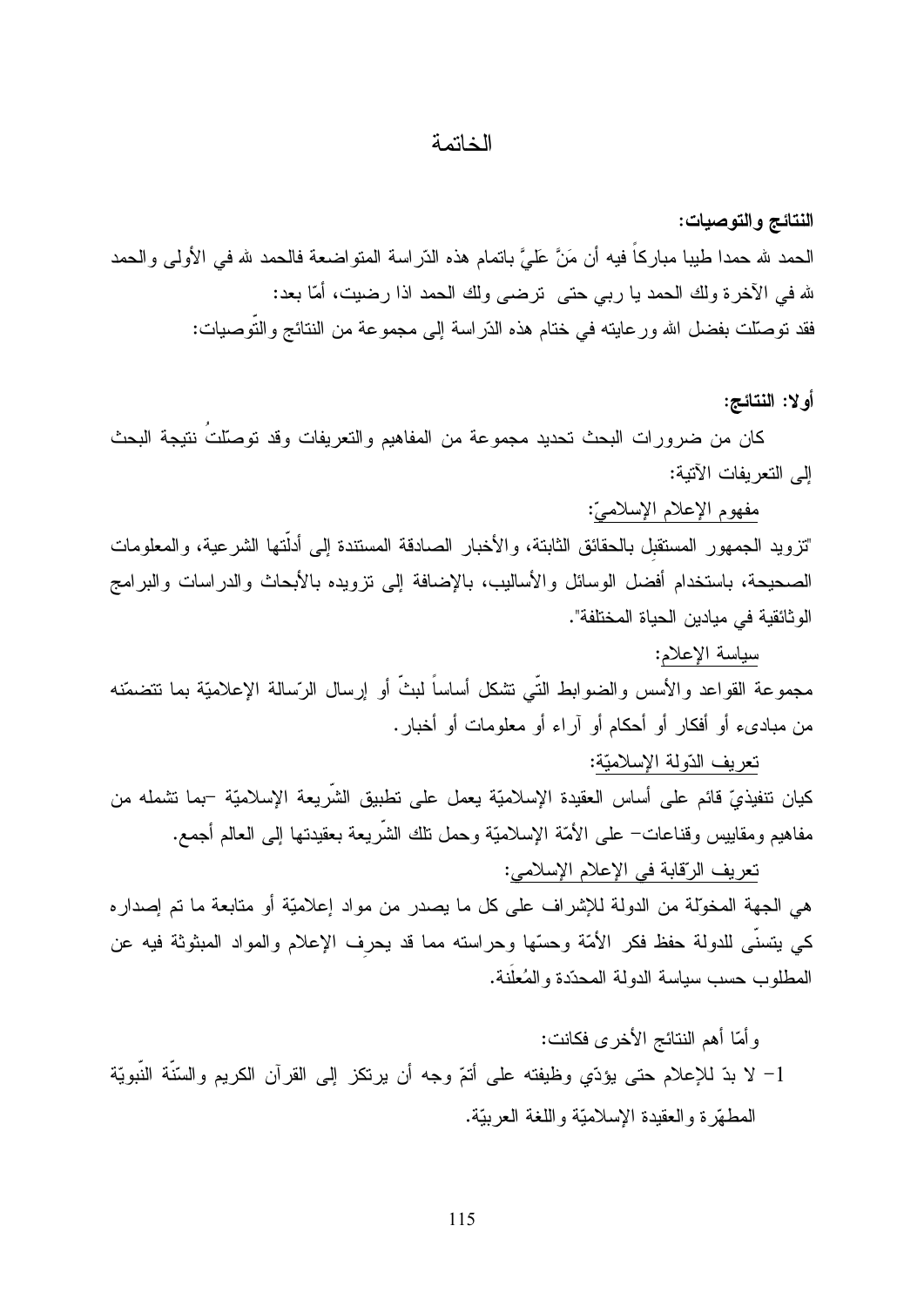#### الخاتمة

النتائج والتوصيات:

الحمد لله حمدا طيبا مباركاً فيه أن مَنَّ عَلَىَّ باتمام هذه الذّراسة المتواضعة فالحمد لله في الأولى والحمد لله في الآخرة ولك الحمد يا ربي حتى ترضي ولك الحمد اذا رضيت، أمّا بعد: فقد نوصلت بفضل الله ورعايته في ختام هذه الدّراسة إلى مجموعة من النتائج والتوصيات:

#### أو لا: النتائج:

كان من ضر و رات البحث تحديد مجموعة من المفاهيم والتعريفات وقد توصلّتَ نتيجة البحث إلى النعريفات الآتية:

مفهوم الإعلام الإسلاميّ:

"تزويد الجمهور المستقبل بالحقائق الثابتة، والأخبار الصادقة المستندة إلى أدلَّتها الشرعية، والمعلومات الصحيحة، باستخدام أفضل الوسائل والأساليب، بالإضافة إلى نزويده بالأبحاث والدراسات والبرامج الوثائقية في ميادين الحياة المختلفة".

سياسة الإعلام: مجموعة القواعد والأسس والضوابط التَّـى تشكل أساساً لبثَّ أو إرسال الرّسالة الإعلاميّة بما نتضمّنه من مبادىء أو أفكار أو أحكام أو آراء أو معلومات أو أخبار.

تعريف الدّولة الإسلاميّة:

كيان تنفيذيّ قائم على أساس العقيدة الإسلاميّة يعمل على نطبيق الشَّريعة الإسلاميّة –بما نشمله من مفاهيم ومقاييس وقناعات– على الأمّة الإسلاميّة وحمل نلك الشّريعة بعقيدتها إلى العالم أجمع.

نعريف الرِّقابة في الإعلام الإسلامي: هي الجهة المخوِّلة من الدولة للإشراف على كل ما يصدر من مواد إعلاميَّة أو متابعة ما تم إصدار ه كي يتسنَّى للدولة حفظ فكر الأمَّة وحسَّها وحراسته مما قد يحرف الإعلام والمواد المبثوثة فيه عن المطلوب حسب سياسة الدولة المحدّدة و المُعلّنة.

وِأَمَّا أهم النتائج الأخرى فكانت: 1– لا بدّ للإعلام حتى يؤدّي وظيفته على أتمّ وجه أن يرتكز إلى القرآن الكريم والسّنّة النّبويّة المطهَّر ة و العقيدة الإسلاميَّة و اللُّغة العربيَّة.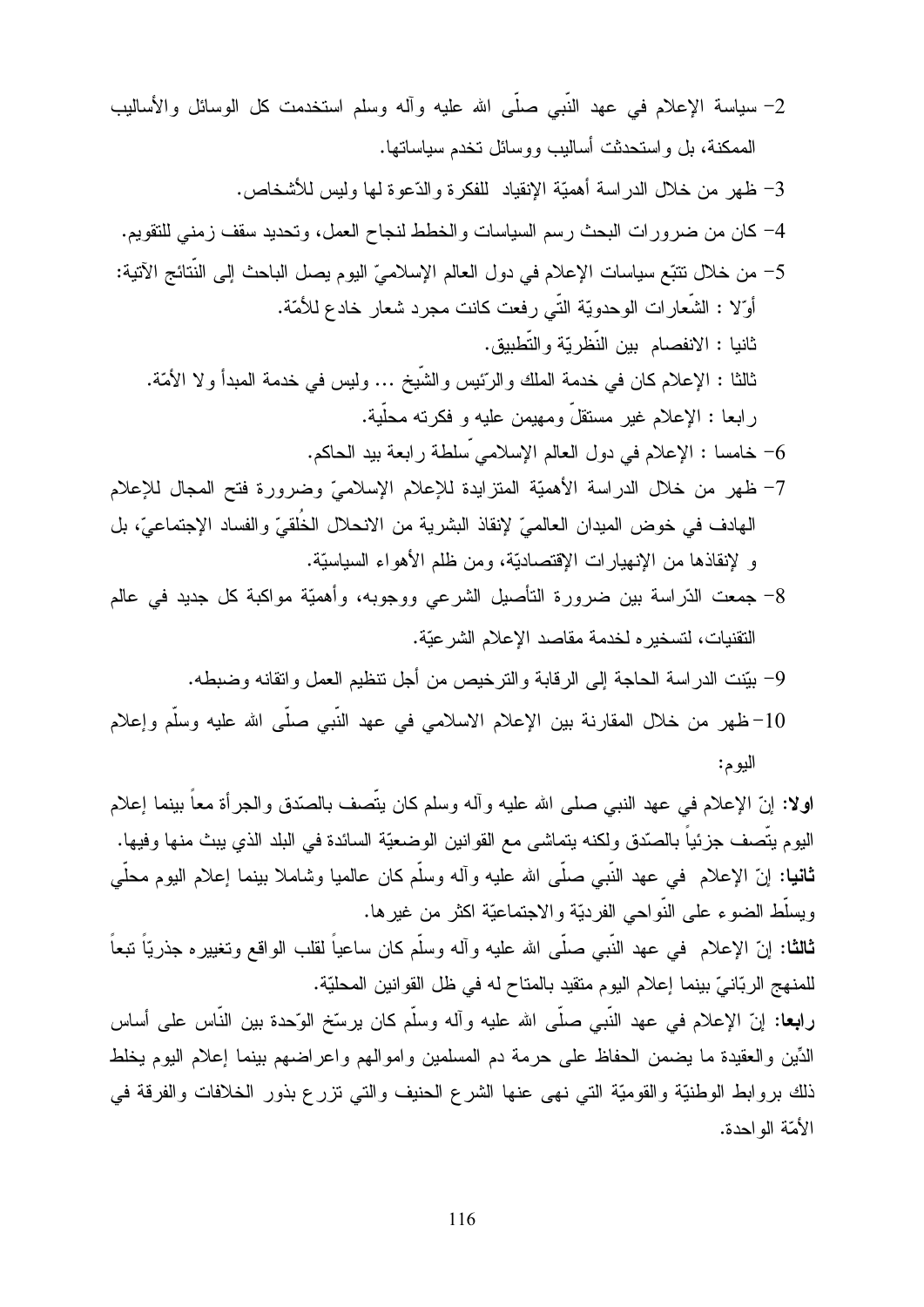- 2– سياسة الإعلام في عهد النَّبي صلَّى الله عليه وأله وسلم استخدمت كل الوسائل والأساليب الممكنة، بل و استحدثت أساليب و و سائل تخدم سياساتها.
	- 3– ظهر من خلال الدراسة أهميّة الإنقياد للفكرة والدّعوة لمها وليس للأشخاص.
	- 4– كان من ضرور ات البحث رسم السياسات والخطط لنجاح العمل، وتحديد سقف زمني للنقويم.
- 5– من خلال تتبّع سياسات الإعلام في دول العالم الإسلاميّ اليوم يصل الباحث إلى النّتائج الآتية: أوّلا : الشّعارات الوحدويّة النّـى رفعت كانت مجرد شعار خادع للأمّة. ثانيا : الانفصام بين النّظريّة والتّطبيق. ثالثا : الإعلام كان في خدمة الملك والرِّئيس والشَّيخ ... وليس في خدمة المبدأ و لا الأمَّة. ر ابعا : الإعلام غير مستقلَّ ومهيمن عليه و فكر نه محلَّية.

خامسا : الإعلام في دول العالم الإسلامي سلطة رابعة بيد الحاكم.  $\sim$ 

- 7– ظهر من خلال الدراسة الأهميّة المنزايدة للإعلام الإسلاميّ وضرورة فتح المجال للإعلام الهادف في خوض الميدان العالميّ لإنقاذ البشرية من الانحلال الخُلقيّ والفساد الإجتماعيّ، بل و لإنقاذها من الإنهيارات الإقتصاديّة، ومن ظلم الأهواء السياسيّة.
- 8– جمعت الدّراسة بين ضرورة التأصيل الشرعي ووجوبه، وأهميّة مواكبة كل جديد في عالم النقنيات، لتسخير ه لخدمة مقاصد الإعلام الشرعيّة.
	- 9- بيّنت الدراسة الحاجة إلى الرقابة والترخيص من أجل نتظيم العمل واتقانه وضبطه.
- 10-ظهر من خلال المقارنة بين الإعلام الاسلامي في عهد النَّبي صلَّى الله عليه وسلَّم وإعلام اليوم:

اولا: إنَّ الإعلام في عهد النبي صلى الله عليه وأله وسلم كان يتَّصف بالصَّدق والـجرأة معاً بينما إعلام اليوم يتَّصف جزئياً بالصّدق ولكنه يتماشى مع القوانين الوضعيّة السائدة في البلد الذي يبث منها وفيها. **ثانيا:** إنّ الإعلام في عهد النبي صلَّى الله عليه وأله وسلَّم كان عالميا وشاملا بينما إعلام اليوم محلَّى ويسلُّط الضوء على النُّواحي الفرديَّة والاجتماعيَّة اكثر من غيرها.

**ثالثا:** إنّ الإعلام فـى عـهد النَّبـى صلَّـى الله عليه وأله وسلَّم كان ساعياً لقلب الواقع وتغييره جذريّاً نبعاً للمنهج الربّانيّ بينما إعلام اليوم متقيد بالمتاح له في ظل القوانين المحليّة.

**رابعا:** إنّ الإعلام في عهد النَّبي صلَّى الله عليه وأله وسلَّم كان يرسِّخ الوّحدة بين النَّاس على أساس الدِّين والعقيدة ما يضمن الحفاظ على حرمة دم المسلمين واموالهم واعراضهم بينما إعلام اليوم يخلط ذلك بروابط الوطنيَّة والقوميَّة التبي نهي عنها الشرع الحنيف والتبي نزرع بذور الخلافات والفرقة في الأمّة الو احدة.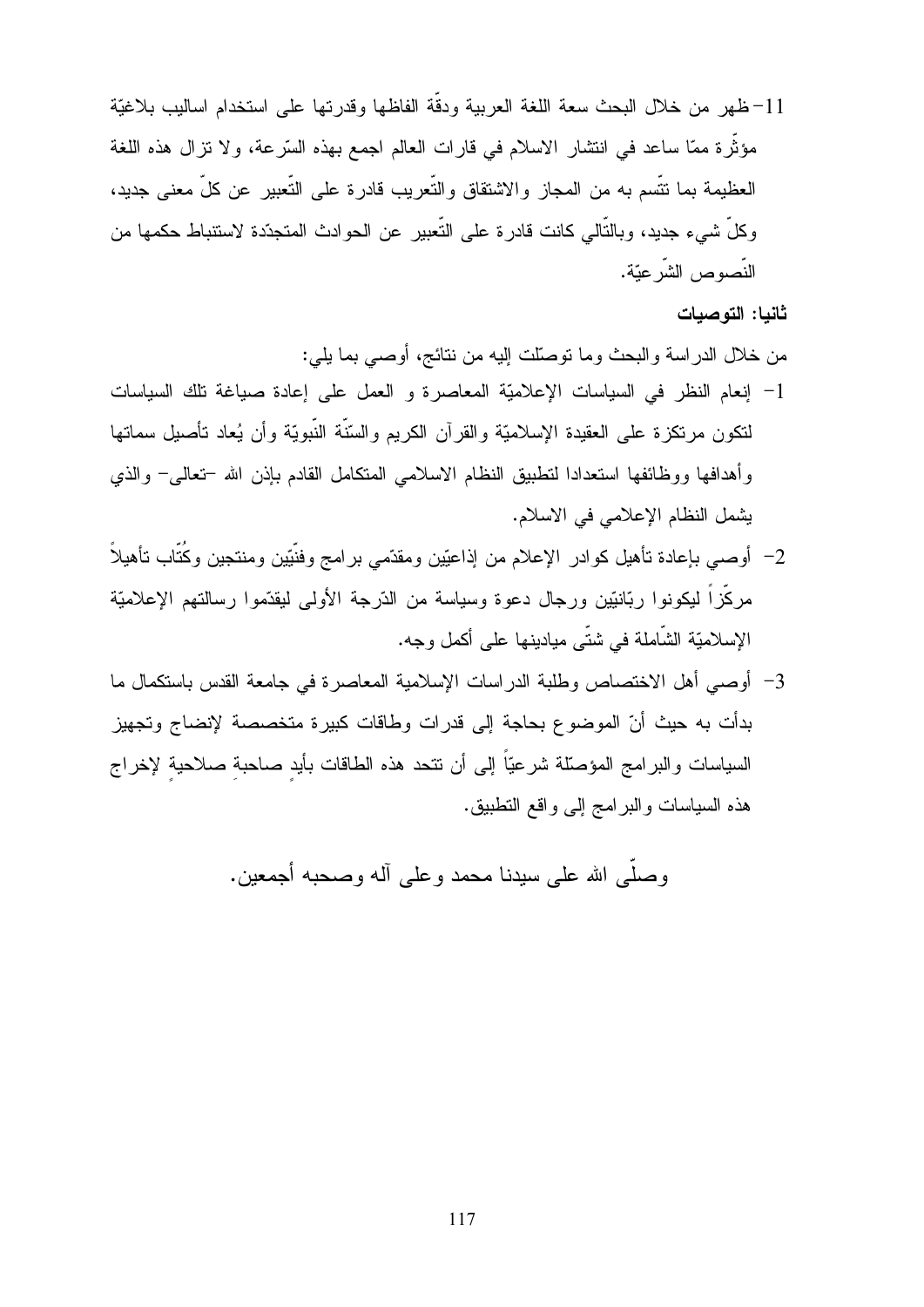11–ظهر من خلال البحث سعة اللغة العربية ودقَّة الفاظها وقدرتها على استخدام اساليب بلاغيَّة مؤثِّرة ممَّا ساعد في انتشار الاسلام في قارات العالم اجمع بهذه السَّرعة، ولا تزال هذه اللُّغة العظيمة بما نتَّسم به من المجاز والاشتقاق والتَّعريب قادرة على التَّعبير عن كلَّ معنى جديد، و كلِّ شيء جديد، و بالتَّالي كانت قادر ة علي التَّعبير عن الحو ادث المتجدّدة لاستنباط حكمها من النّصوص الشّر عبّة.

#### ثانيا: التوصيات

من خلال الدراسة والبحث وما نوصلَّت إليه من نتائج، أوصـي بما يلي:

- 1- إنعام النظر في السياسات الإعلاميّة المعاصرة و العمل على إعادة صياغة تلك السياسات لنكون مر نكز ة على العقيدة الإسلاميّة والقر آن الكريم والسّنّة النّبويّة وأن يُعاد تأصيل سماتها وأهدافها ووظائفها استعدادا لنطبيق النظام الاسلامى المتكامل القادم بإذن الله –تعالى– والذي بِشْمِلِ النظامِ الإعلاميِ في الاسلامِ.
- 2– أوصـي بإعادة نأهيل كوادر الإعلام من إذاعيّين ومقدّمى برامج وفنَيّين ومنتجين وكُتّاب نأهيلاً مركَّز!ً ليكونوا ربَّانيَّين ورجال دعوة وسياسة من الدَّرجة الأولى ليقدِّموا رسالتهم الإعلاميَّة الإسلاميّة الشّاملة في شتّى ميادينها على أكمل وجه.
- 3– أوصبي أهل الاختصاص وطلبة الدراسات الإسلامية المعاصرة في جامعة القدس باستكمال ما بدأت به حيث أنّ الموضوع بحاجة إلى قدرات وطاقات كبيرة متخصصة لإنضاج وتجهيز السياسات والبرامج المؤصَّلة شرعيّاً إلى أن نتحد هذه الطاقات بأيد صاحبة صلاحية لإخراج هذه السباسات والبر امج إلى واقع النطبيق.

وصلبي الله على سيدنا محمد و على آله وصحبه أجمعين.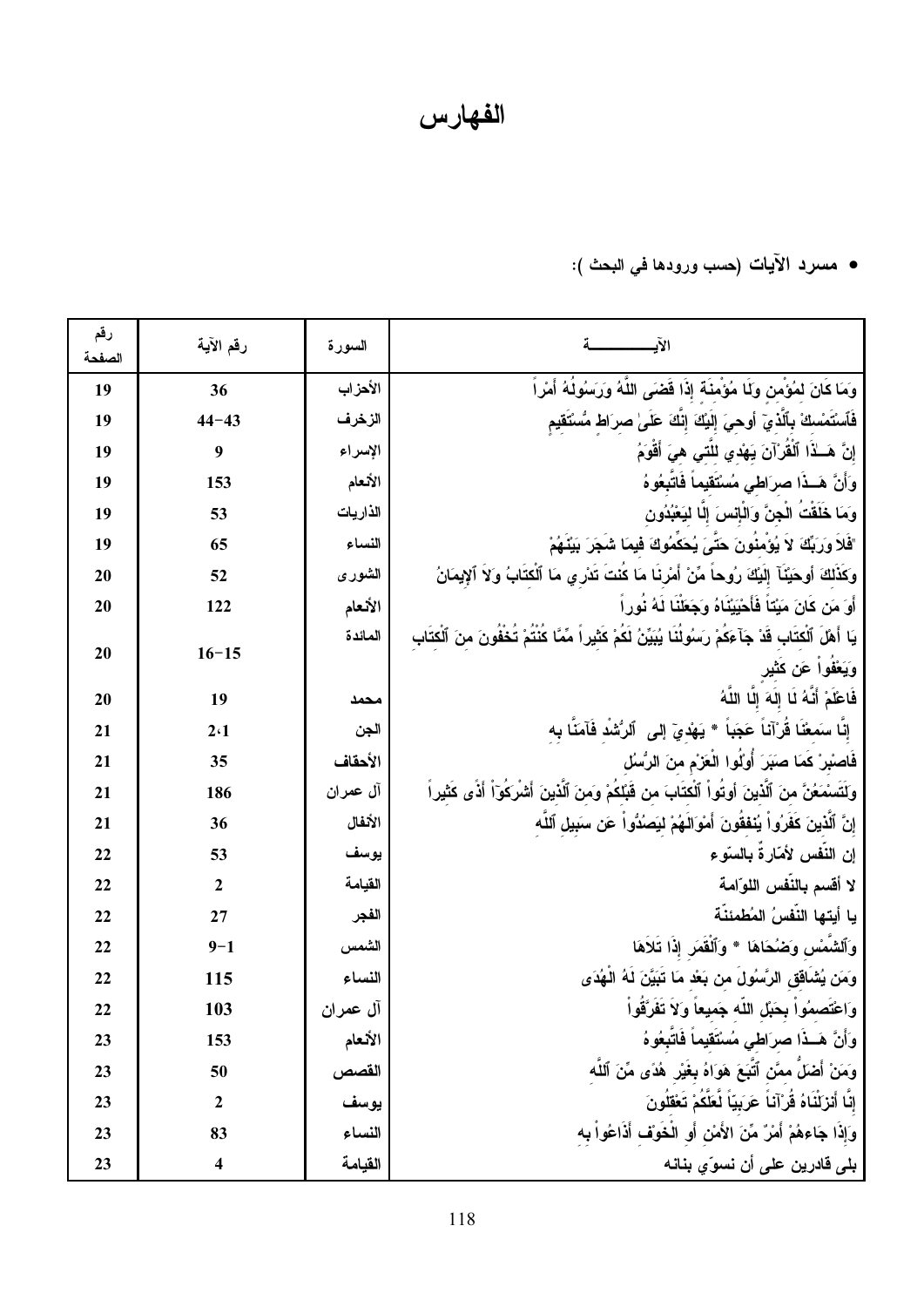الفهارس

• مسرد الآيات (حسب ورودها في البحث ):

| رقم<br>الصفحة | رقم الآية        | السورة   |                                                                                                                    |
|---------------|------------------|----------|--------------------------------------------------------------------------------------------------------------------|
| 19            | 36               | الأهزاب  | وَمَا كَانَ لَمُؤْمَنَ وَلَا مُؤْمِنَةَ إِذَا قَضَى اللَّهُ وَرَسُولُهُ أَمْرٍ أَ                                  |
| 19            | $44 - 43$        | الزخرف   | فَٱسْتَمْسكْ بِٱلَّذِيٓ أوحيَ إلَيْكَ إنَّكَ عَلَىٰ صرَاط مُسْتَقيم                                                |
| 19            | $\boldsymbol{9}$ | الإسراء  | إِنَّ هَــٰذَا ٱلْقَرْآنَ يَـهُدي للَّتَـي هيَ أَقْوَمُ                                                            |
| 19            | 153              | الأنعام  | وَأَنَّ هَــذَا صرَاطى مُسْتَقيماً فَاتَّبِعُوهُ                                                                   |
| 19            | 53               | الذاريات | وَمَا خَلَقْتُ الْجِنَّ وَالْإِنسَ إِلَّا لِيَعْبُدُون                                                             |
| 19            | 65               | النساء   | "فَلاَ وَرَبِّكَ ۚ لاَ يُؤْمِنُونَ حَتَّىَ يُحَكِّمُوكَ فَيمَا شُجَرَ بَيْنُهُمْ                                   |
| 20            | 52               | الشورى   | وكَذَٰلِكَ أَوحَيْنَآ إِلَيْكَ رُوحاً مِّنْ أَمْرِنَا مَا كَنْتَ تَدْرِي مَا ٱلْكِتَابُ وَلاَ ٱلإِيمَانُ           |
| 20            | 122              | الأنعام  | أَوَ مَن كَانَ مَيْتَاً فَأَحْيَيْنَاهُ وَجَعَنْنَا لَهُ نُوراً                                                    |
| 20            | $16 - 15$        | المائدة  | يَا أَهْلَ ٱلْكِتَابِ قَدْ جَآءَكُمْ رَسُولُنَا يُبَيِّنُ لَكُمْ كَثَيْراً مِّمَّا كُنْتُمْ تُخْفُونَ منَ ٱلْكتَاب |
|               |                  |          | وَيَعْفُواْ عَن كَثْيِر                                                                                            |
| 20            | 19               | محمد     | فَاعْلَمْ أَنَّهُ لَا إِلَهَ إِلَّا اللَّهُ                                                                        |
| 21            | 2.1              | الجن     | إِنَّا سَمَعْنَا قُرْآئـاً عَجَبَاً * يَهْدِيّ إِلَى ۚ ٱلرُّشْدِ فَآمَنَّا بِه                                     |
| 21            | 35               | الأحقاف  | فَاصْبِرْ كَمَا صَبَرَ أَوْلُوا الْعَزْمِ منَ الرُّسُلُ                                                            |
| 21            | 186              | آل عمران | وَلَتَسْمَعُنَّ منَ ٱلَّذِينَ أُوتُواْ ٱلْكَتَابَ من قَبَّلِكُمْ وَمنَ ٱلَّذِينَ أَشْرِكُوٓاْ أَذًى كَثْيِراً      |
| 21            | 36               | الأنفال  | إِنَّ ٱلَّذِينَ كَفَرُواْ يُنْفَقُونَ أَمْوَالَهُمْ لِيَصُدُّواْ عَن سَبِيلِ ٱللَّه                                |
| 22            | 53               | يوسف     | إن النّفس لأمّارةً بالسّوء                                                                                         |
| 22            | $\boldsymbol{2}$ | القيامة  | لا أقسم بالنّفس اللوّامة                                                                                           |
| 22            | 27               | الفجر    | يا أيتها النّفسُ المُطمئنّة                                                                                        |
| 22            | $9 - 1$          | الشمس    | وَٱلشَّمْس وَضُحَاهَا * وَٱلْقَمَرِ إِذَا تَلَاهَا                                                                 |
| 22            | 115              | النساء   | وَمَن يُشَاقق الرَّسُولَ من بَعْد مَا تَبَيَّنَ لَهُ الْهُدَى                                                      |
| 22            | 103              | آل عمران | وَاعْتصمُوا بِحَبْلِ اللَّه جَميعاً وَلاَ تَفَرَّقُواْ                                                             |
| 23            | 153              | الأنعام  | وَأَنَّ هَـذَا صرَاطى مُسْتَقيماً فَاتَّبِعُوهُ                                                                    |
| 23            | 50               | القصص    | وَمَنْ أَضلَّ ممَّن ٱتَّبَعَ هَوَاهُ بِغَيْرِ هُدًى مِّنَ ٱللَّه                                                   |
| 23            | 2                | يوسف     | إِنَّا أَنْزَلْنَاهُ قُرْآنَاً عَرَبِيّاً لَّعَلَّكُمْ تَعْقَلُونَ                                                 |
| 23            | 83               | النساء   | وَإِذَا جَاءهُمْ أَمْرٌ مِّنَ الأَمْنِ أَو الْخَوَف أَذَاعُواْ بِه                                                 |
| 23            | 4                | القيامة  | بلي قادرين على أن نسوّي بنانه                                                                                      |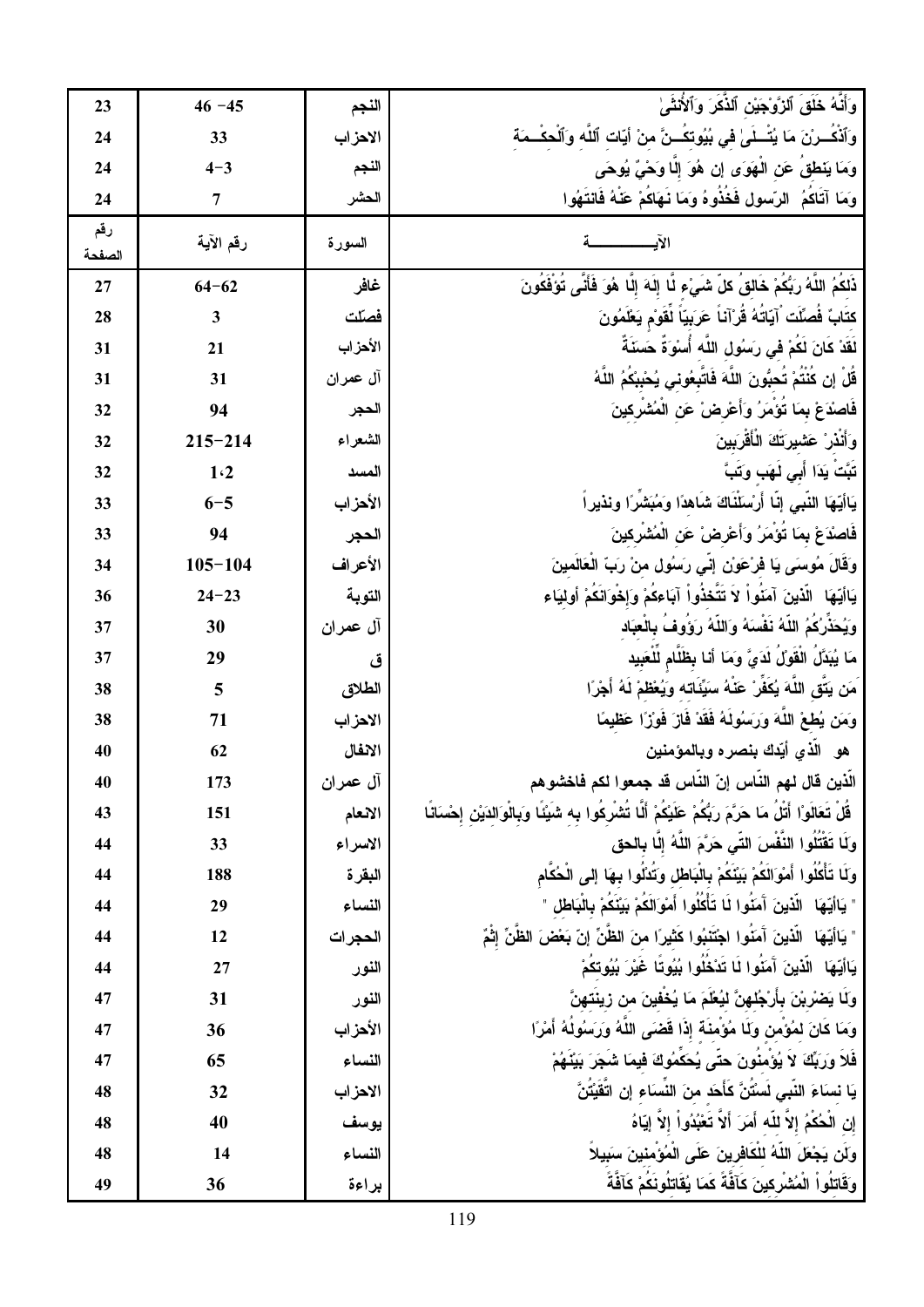| 23            | $46 - 45$               | النجم    | وَأَنَّهُ خَلَقَ ٱلزَّوْجَيْنِ ٱلذِّكَرَ وَٱلأُنْثَىٰ                                                              |
|---------------|-------------------------|----------|--------------------------------------------------------------------------------------------------------------------|
| 24            | 33                      | الاهزاب  | وَٱذْكَـــرْنَ مَا يُتَّـــلَىٰ في بُيُوتكَـــنَّ منْ أيّات ٱللّه وَٱلْحكْـــمَة                                   |
| 24            | $4 - 3$                 | النجم    | وَمَا يَنْطَقُ عَنِ الْهَوَى إِن هُوَ إِلَّا وَحْيٌ يُوحَى                                                         |
| 24            | $\overline{7}$          | الحشر    | وَمَا آتَاكُمُ ۚ الرّسولِ فَخُذُوهُ وَمَا نُـهَاكُمْ عَنْـهُ فَانتَـهُوا                                           |
| رقم<br>الصفحة | رقم الآية               | السورة   |                                                                                                                    |
| 27            | $64 - 62$               | غافر     | ذَلكُمُ اللَّهُ رَبُّكُمْ خَالقُ كلّ شَيْء لَّا إِلَهَ إِلَّا هُوَ فَأَنَّى تُوَفَّكُونَ                           |
| 28            | $\overline{\mathbf{3}}$ | فصلّت    | كتَابٌ فُصلِّكَ ۚ آيّاتُهُ قُرْآناً عَرَبِيّاً لَٰقَوْمِ يَعْلَمُونَ                                               |
| 31            | 21                      | الأحزاب  | لَقَدْ كَانَ لَكُمْ فِى رَسُولِ اللَّه أُسْوَةٌ حَسَنَةٌ ۚ                                                         |
| 31            | 31                      | آل عمران | قَلْ إِن كَنْتَمْ تَحبُّونَ اللَّهَ فَاتَّبِعُوني يُحْبِبْكَمُ اللَّهُ                                             |
| 32            | 94                      | الحجر    | فَاصْدَعْ بِمَا تُؤْمَرُ وَأَعْرِضْ عَنِ الْمُشْرِكِينَ                                                            |
| 32            | $215 - 214$             | الشعراء  | وَأَنْذَرْ عَشْيَرَتَكَ الْأَقْرَبِينَ                                                                             |
| 32            | 1.2                     | المسد    | تَبَّتُ يَدَا أَبِ <i>ي نُ</i> هَب وَتَبَّ                                                                         |
| 33            | $6 - 5$                 | الأحزاب  | يَاأَيّهَا النّبى إنّا أَرْسَلَنّاكَ شَاهدًا وَمُبَشّرًا ونذيراً                                                   |
| 33            | 94                      | الحجر    | فَاصْدَعْ بِمَا تَوْمَرُ وَأَعْرِضْ عَنِ الْمُشْرِكِينَ                                                            |
| 34            | $105 - 104$             | الأعراف  | وَقَالَ مُوسَى يَا فَرْعَوْنِ إِنِّي رَسُولِ منْ رَبِّ الْعَالَمينَ                                                |
| 36            | $24 - 23$               | التوبة   | يَاأَيُّهَا ۖ الَّذِينَ آمَنُواْ لَا تَتَّخذُواْ آبَاءكُمْ وَإِخْوَانَكُمْ أُولَيَاء                               |
| 37            | 30                      | آل عمران | وَيُحَذِّرُكُمُ اللَّهُ نَفْسَهُ وَاللَّهُ رَوَوُفَ بِالْعِبَاد                                                    |
| 37            | 29                      | ق        | مَا يُبَدَّلُ الْقُولُ لَدَيَّ وَمَا أَنا بِظُلَّامِ لَلْعَبِيد                                                    |
| 38            | 5                       | الطلاق   | َمَن يَتَّقِ اللَّهَ يُكَفِّرْ عَنْهُ سَيِّئَاته وَيُعْظَمْ لَهُ أَجْرًا                                           |
| 38            | 71                      | الاهزاب  | وَمَن يُطعْ اللَّهَ وَرَسُولَهُ فَقَدْ فَازَ فَوْزًا عَظيمًا                                                       |
| 40            | 62                      | الانفال  | هو   الذي أيّدك بنصر ه وبالمؤمنين                                                                                  |
| 40            | 173                     | آل عمران | الذين قال لهم الناس إنّ الناس قد جمعوا لكم فاخشوهم                                                                 |
| 43            | 151                     | الانعام  | ِ قُلْ تَعَالَوْا أَتْلُ مَا حَرَّمَ رَبُّكُمْ عَلَيْكُمْ أَلَّا تُشْرِكُوا بِه شَيْئًا وَبِالْوَالدَيْن إحْسَانًا |
| 44            | 33                      | الاسراء  | وَلَا تَقْتُلُوا النَّفْسَ التِّي حَرَّمَ اللَّهُ إِلَّا بِالْحق                                                   |
| 44            | 188                     | البقرة   | وَلَا تَأْكُلُوا أَمْوَالَكُمْ بَيْنَكُمْ بِالْبَاطْلِ وَتَذَلَّوا بِهَا إِلى الْحُكَام                            |
| 44            | 29                      | النساء   | " يَاأَيِّهَا ۖ الَّذِينَ آَمَنُوا لَا تَأْكُلُوا أَمْوَالَكُمْ بَيْنَكُمْ بِالْبَاطْلِ "                          |
| 44            | 12                      | الحجرات  | " يَاأَيُّهَا ۖ الَّذِينَ آَمَنُوا اجْتَنَبُوا كَثَيْرَا منَ الظَّنِّ إِنَّ بَعْضَ الظَّنِّ إِثْمٌ                 |
| 44            | 27                      | النور    | يَاأَيِّهَا ۖ الَّذِينَ آَمَنُوا لَا تَدْخُلُوا بُيُوتًا غَيْرَ بُيُوتكُمْ                                         |
| 47            | 31                      | النور    | وَلَا يَصْرِبْنَ بِأَرْجُلهِنَّ لَيُعْلَمَ مَا يُخْفينَ من زِينَتهنَّ                                              |
| 47            | 36                      | الأحزاب  | وَمَا كَانَ لَمُؤَمّنٍ وَلَا مُؤَمّنَةً إِذَا قَضَى اللّهُ وَرَسُولَهُ أَمْرًا                                     |
| 47            | 65                      | النساء   | فَلاً وَرَبِّكَ لاَ يُؤْمِنُونَ حتَّى يُحَكِّمُوكَ فيمَا شَجَرَ بَيْنُهُمْ                                         |
| 48            | 32                      | الاحزاب  | يَا نساءَ النَّبِي لَسْتَنَّ كَأَحَد منَ النِّسَاء إن اتَّقَيْتَنَّ                                                |
| 48            | 40                      | يوسف     | إن الْحُكْمُ إِلاَّ للَّه أَمَرَ أَلاَّ تَعْبُدُواْ إِلاَّ إِيّاهُ                                                 |
| 48            | 14                      | النساء   | وَلَن يَجْعَلَ اللَّهُ للْكَافِرِينَ عَلَى الْمُؤْمِنِينَ سَبِيلاً                                                 |
| 49            | 36                      | براءة    | وَقَاتِلُواْ الْمُشْرِكِينَ كَأَفَّةً كَمَا يُقَاتِلُونَكُمْ كَأَفَّةً                                             |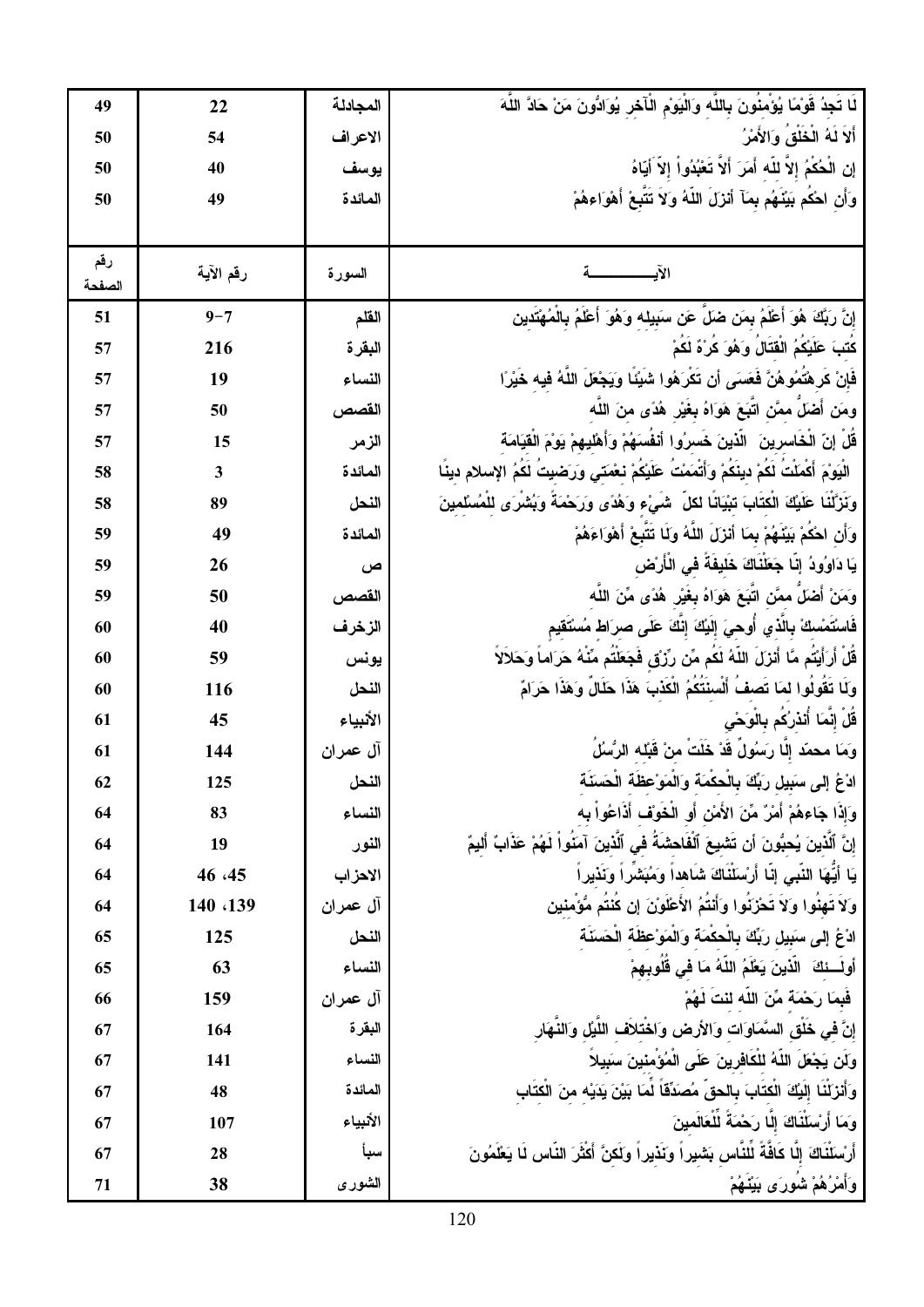| 49            | 22        | المجادلة | لَـا تَجِدُ قَوْمًا يُؤْمِنُونَ بِاللَّه وَالْيَوْمِ الْأَخْرِ يُوَادُّونَ مَنْ حَادَّ اللَّهَ        |
|---------------|-----------|----------|-------------------------------------------------------------------------------------------------------|
| 50            | 54        | الاعراف  | أَلاَ لَهُ الْخُلْقُ وَالأَمْرُ                                                                       |
| 50            | 40        | يوسف     | إن الْحُكْمُ إلاّ للّه أَمَرَ أَلاّ تَعْبُدُواْ إلاّ آيّاهُ                                           |
| 50            | 49        | المائدة  | وَأَن احْكَم بَيْنَهُم بِمَآ أَنْزَلَ اللَّهُ وَلَا تَتَّبِعْ أَهْوَاءِهُمْ                           |
|               |           |          |                                                                                                       |
| رقم<br>الصفحة | رقم الآية | السورة   |                                                                                                       |
| 51            | $9 - 7$   | الفلم    | إِنَّ رَبَّكَ هُوَ أَعْلَمُ بِمَن ضَلِّ عَنِ سَبَيلِه وَهُوَ أَعْلَمُ بِالْمُهْتَدين                  |
| 57            | 216       | البقرة   | كُتبَ عَلَيْكُمُ الْقَتَالُ وَهُوَ كُرْهٌ لَكُمْ                                                      |
| 57            | 19        | النساء   | فَإِنْ كَرِ هُتَمُوهُنَّ فَعَسَى أَن تَكْرَهُوا شَبِيَّـاً وَيَجْعَلَ اللَّهُ فَيه خَيْرًا            |
| 57            | 50        | القصص    | ومَن أَصْلَ ممَّن اتَّبَعَ هَوَاهُ بِغَيْرِ هُدًى منَ اللَّه                                          |
| 57            | 15        | الزمر    | قَلْ إنّ الْخَاسرينَ ۚ الَّذينَ خَسرُوا أَنفَسَهُمْ وَأَهْليهمْ يَوْمَ الْقِيَامَة                    |
| 58            | 3         | المائدة  | الْيَوْمَ أَكْمَلْتُ لَكُمْ دينَكُمْ وَأَتْمَمْتُ عَلَيْكُمْ نَعْمَتَى وَرَضَيتُ لَكُمُ الإسلام دينًا |
| 58            | 89        | النحل    | وَنَزَّلْنَا عَلَيْكَ الْكَتَابَ تبْيَانًا لكلِّ شَيْءٍ وَهُدًى وَرَحْمَةً وَبُشْرَى للْمُسْلمينَ     |
| 59            | 49        | المائدة  | وَأَن احْكُمْ بَيْنَهُمْ بِمَا أَنْزَلَ اللَّهُ وَلَا تَتَبِعْ أَهْوَاءَهُمْ                          |
| 59            | 26        | ص        | يَا دَاوُودُ إِنَّا جَعَلْنَاكَ خَلَيفَةً في الْأَرْض                                                 |
| 59            | 50        | القصص    | وَمَنْ أَصْلَ ممَّنْ اتَّبَعَ هَوَاهُ بِغَيْرِ هُدًى مِّنَ اللَّه                                     |
| 60            | 40        | الزخرف   | فَاسْتَمْسكْ بِالَّذْيِ أُوهِيَ إِلَيْكَ إِنَّكَ عَلَى صرَاط مُسْتَقيم                                |
| 60            | 59        | يونس     | قُلْ أَرَأَيْتُم مَّا أَنْزَلَ اللَّهُ لَكُم مِّن رِّزْقى فَجَعَلْتُم مِّنْهُ حَرَاماً وَحَلاَلاً     |
| 60            | 116       | النحل    | وَلَا تَقُولُوا لَمَا تَصفُ أَلْسِنَتَكُمُ الْكَذْبَ هَذَا حَلَالٌ وَهَذَا حَرَامٌ                    |
| 61            | 45        | الأنبياء | قُلْ إِنَّمَا أَنْذَرُكُم بِالْوَحْ <i>ي</i>                                                          |
| 61            | 144       | آل عمران | وَمَا محمّد إلّا رَسُولٌ قَدْ خَلَتْ منْ قَبْله الرُّسْلُ                                             |
| 62            | 125       | النحل    | ادْعُ إِلَى سَبِيلِ رَبِّكَ بِالْحَكَمَةَ وَالْمَوْعَظَةَ الْحَسَنَةَ                                 |
| 64            | 83        | النساء   | وَإِذَا جَاءهُمْ أَمْرٌ مِّنَ الأَمْنِ أَوِ الْخَوَفِ أَذَاعُواْ بِه                                  |
| 64            | 19        | النور    | إِنَّ ٱلَّذِينَ يُحبُّونَ أَن تَشْيِعَ ٱلْفَاحِشَةُ فِى ٱلَّذِينَ آمَنُواْ لَهُمْ عَذَابٌ أَليمٌ      |
| 64            | 46 .45    | الاهزاب  | يَا أَيِّهَا النَّبِي إِنَّا أَرْسَلَنَّاكَ شَاهداً وَمُبَشِّراً وَنَذيراً                            |
| 64            | 140 <139  | آل عمران | وَلاَ تَهِنُوا وَلاَ تَحْزَنُوا وَأَنتَمُ الأَعْلَوْنَ إِن كُنتَم مُؤْمِنين                           |
| 65            | 125       | النحل    | ادْعُ إِلَى سَبِيلٍ رَبِّكَ بِالْحكْمَةِ وَالْمَوْعِظَةِ الْحَسَنَةِ                                  |
| 65            | 63        | النساء   | أُولَـــئكَ ۖ الَّذينَ يَعْلَمُ اللَّهُ مَا فَى قُلُوبِهِمْ                                           |
| 66            | 159       | آل عمران | فَبِمَا رَحْمَةَ مِّنَ اللَّه لَنتَ لَهُمْ                                                            |
| 67            | 164       | البقرة   | إنَّ في خُلُق السَّمَاوَات وَالأرض وَاخْتلاَف اللَّيْلِ وَالنَّـهَار                                  |
| 67            | 141       | النساء   | وَلَن يَجْعَلَ اللَّهُ للْكَافِرِينَ عَلَى الْمُؤْمِنِينَ سَبِيلاً                                    |
| 67            | 48        | المائدة  | وَأَنْزَلْنَا إِلَيْكَ الْكِتَابَ بِالْحقِّ مُصَدِّقَاً لَمَا بَيْنَ يَدَيْه منَ الْكِتَابِ           |
| 67            | 107       | الأنبياء | وَمَا أَرْسَلَنَاكَ إِلَّا رَحْمَةَ لَلْعَالَمينَ                                                     |
| 67            | 28        | سبأ      | أَرْسَلْنَاكَ إِلَّا كَافَّةً لَلنَّاس بَشْيراً وَنَذْيِراً وَلَكنَّ أَكْثَرَ النَّاس لَا يَعْلَمُونَ |
| 71            | 38        | الشورى   | وَأَمْرُهُمْ شُورَى بَيْنُهُمْ                                                                        |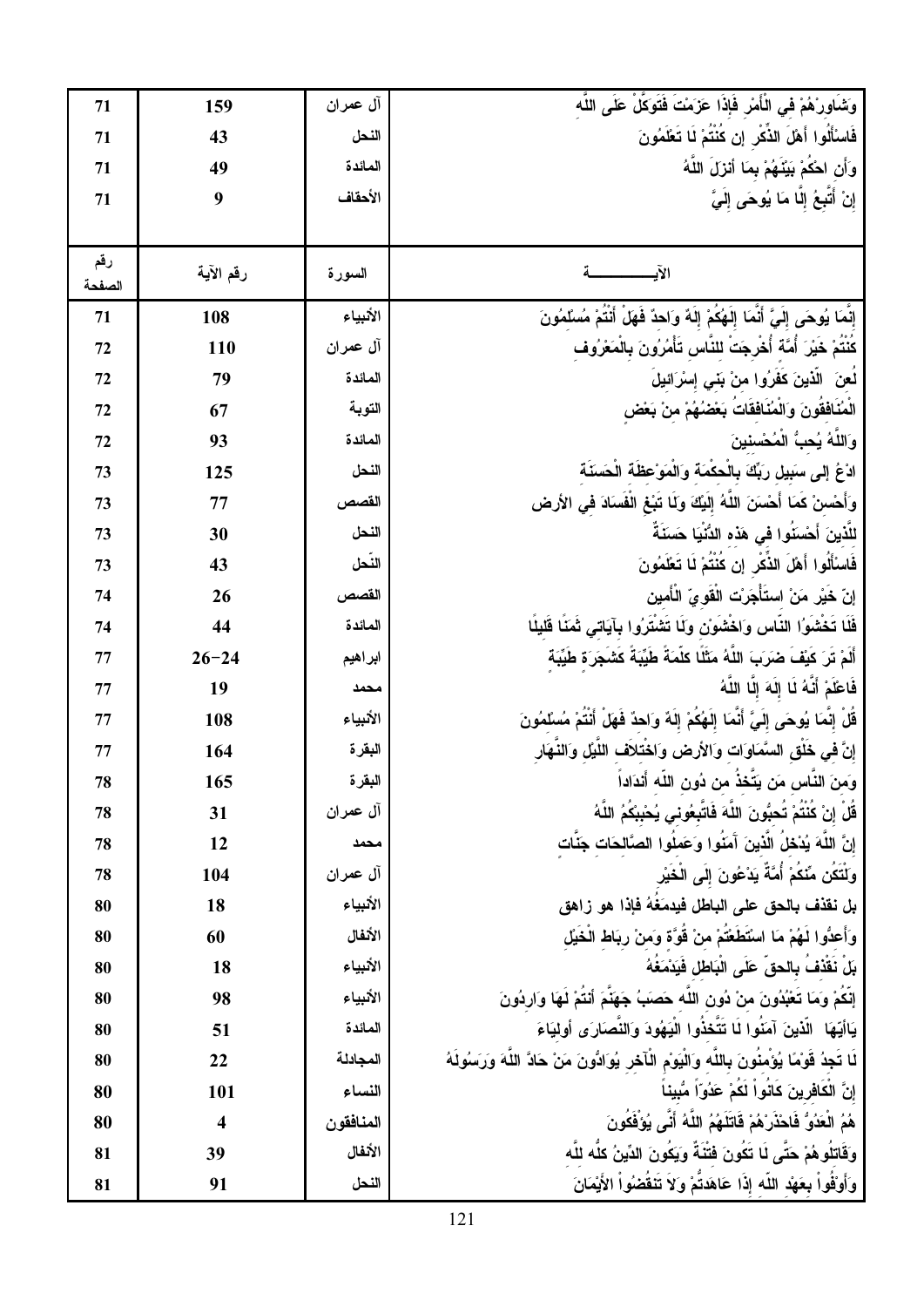| 71            | 159                     | آل عمران  | وَشَـاور ْهُمْ فـى الْأَمْرِ فَإِذَا عَزَمَتَ فَتَوَكَّلْ عَلَى اللَّه                                     |
|---------------|-------------------------|-----------|------------------------------------------------------------------------------------------------------------|
| 71            | 43                      | النحل     | فَاسْأَلُوا أَهْلَ الذِّكْرِ إن كَنْتُمْ لَا تَعْلَمُونَ                                                   |
| 71            | 49                      | المائدة   | وَأَن احْكُمْ بَيْنَهُمْ بِمَا أَنْزَلَ اللَّهُ                                                            |
| 71            | 9                       | الأحقاف   | إِنْ أَتَبِعُ إِلَّا مَا يُوحَى إِلَيَّ                                                                    |
|               |                         |           |                                                                                                            |
| رقم<br>الصفحة | رقم الآية               | السورة    | الآيب                                                                                                      |
| 71            | 108                     | الأنبياء  | إِنَّمَا يُوحَى إِلَيَّ أَنَّمَا إِلَهُكُمْ إِلَهٌ وَاحِدٌ فَهَلْ أَنْتُمْ مُسْلَمُونَ                     |
| 72            | 110                     | آل عمران  | كُنْتُمْ خَيْرَ أُمَّةَ أُخْرِجَتْ للنَّاسِ تَأْمُرُونَ بِالْمَعْرُوف                                      |
| 72            | 79                      | المائدة   | لُعنَ الَّذينَ كَفَرُوا منْ بَنِّي إِسْرَائيلَ                                                             |
| 72            | 67                      | التوبة    | الْمُنَافَقُونَ وَالْمُنَافَقَاتَ بَعْضُهُمْ منْ بَعْض                                                     |
| 72            | 93                      | المائدة   | وَاللَّهُ يُحبُّ الْمُحْسنينَ                                                                              |
| 73            | 125                     | النحل     | ادْعُ إِلَى سَبِيلٍ رَبِّكَ بِالْحكْمَةِ وَالْمَوْعِظَةِ الْحَسَنَةِ                                       |
| 73            | 77                      | القصص     | وَأَحْسنْ كَمَا أَحْسَنَ اللَّهُ إِلَيْكَ وَلَا تَبْغِ الْفَسَادَ في الأرض                                 |
| 73            | 30                      | النحل     | للَّذينَ أَحْسَنُوا في هَذه الدُّنْيَا حَسَنَةً                                                            |
| 73            | 43                      | النحل     | فَاسْأَلُوا أَهْلَ الذِّكْرِ إِن كَنْتُمْ لَا تَعْلَمُونَ                                                  |
| 74            | 26                      | القصص     | إنّ خَيْر مَنْ استَأْجَرْت الْقَوىّ الْأَمين                                                               |
| 74            | 44                      | المائدة   | فَلَا تَخْشُوُا النَّاس وَاخْشُوْنْ وَلَا تَشْتَرُوا بِآيَاتِي ثَمَنًا قَليلًا                             |
| 77            | $26 - 24$               | ابراهيم   | أَلَمْ تَرَ كَيْفَ ضَرَبَ اللَّهُ مَثَلًا كلَّمَةً طَيِّبَةً كَشَجَرَة طَيِّبَة                            |
| 77            | 19                      | محمد      | فَاعْلَمْ أَنَّهُ لَا إِلَهَ إِلَّا اللَّهُ                                                                |
| 77            | 108                     | الأنبياء  | قُلْ إِنَّمَا يُوحَى إِلَيَّ أَنَّمَا إِلَهُكُمْ إِلَهٌ وَاحدٌ فَهَلْ أَنْتُمْ مُسْلَمُونَ                 |
| 77            | 164                     | البقرة    | إِنَّ فِي خَلْقِ السَّمَاوَات وَالأرض وَاخْتلاف اللَّيْلِ وَالنَّـهَار                                     |
| 78            | 165                     | البقرة    | وَمنَ النّاس مَن يَتخذ من دُون الله أندَاداً                                                               |
| 78            | 31                      | آل عمران  | قُلْ اِنْ كُنْتُمْ تُحبُّونَ اللَّهَ فَاتَّبِعُونِي يُحْبِبْكُمُ اللَّهُ                                   |
| 78            | 12                      | محمد      | إِنَّ اللَّهَ يُدْخِلُ الَّذِينَ آَمَنُوا وَعَملُوا الصَّالحَات جَنَّات                                    |
| 78            | 104                     | آل عمران  | وَلَتَكَن مِّنْكُمْ أُمَّةً يَدْعُونَ إِلَى الْخَيْر                                                       |
| 80            | 18                      | الأنبياء  | بل نقذف بالحق على الباطل فيدمَغَهُ فإذا هو زاهق                                                            |
| 80            | 60                      | الأنفال   | وَأَعدُّوا لَـهُمْ مَا اسْتَطَعْتُمْ منْ قُوَّة وَمنْ رِبَاط الْخَيْل                                      |
| 80            | 18                      | الأنبياء  | بِلْ نَقْذِفُ بِالْحقِّ عَلَى الْبَاطْلِ فَيَدْمَغُهُ                                                      |
| 80            | 98                      | الأنبياء  | إِنَّكُمْ وَمَا تَعْبُدُونَ منْ دُونِ اللَّه حَصَبَ جَهَنَّمَ أَنْتُمْ لَهَا وَارِدُونَ                    |
| 80            | 51                      | المائدة   | يَاأَيُّهَا ۖ الَّذِينَ آمَنُوا لَا تَتَّخذُوا الْيَهُودَ وَالنَّصَارَى ۚ أُولَٰيَاءَ                      |
| 80            | 22                      | المجادلة  | لَا تَجِدُ قَوْمًا يُؤَمِّنُونَ بِاللَّه وَالْيَوْمِ الْأَخْرِ يُوَادُّونَ مَنْ حَادَّ اللَّهَ وَرَسُولَهُ |
| 80            | 101                     | النساء    | إِنَّ الْكَافْرِينَ كَانُواْ لَكُمْ عَدُوّاً مُّبِيناً                                                     |
| 80            | $\overline{\mathbf{4}}$ | المنافقون | هُمُ الْعَدُوُّ فَاحْذَر ْهُمْ قَاتَلَهُمُ اللَّهُ أَنَّى يُوَفَّكُونَ                                     |
| 81            | 39                      | الأنفال   | وَقَاتِلُوهُمْ حَتَّى لَا تَكُونَ فَتْنَةٌ وَيَكُونَ الدِّينُ كلُّه للَّه                                  |
| 81            | 91                      | النحل     | وَأَوْقُواْ بِعَهْدِ اللَّهِ إِذَا عَاهَدَتْمْ وَلاَ تَنَقُضُواْ الأَيْمَانَ                               |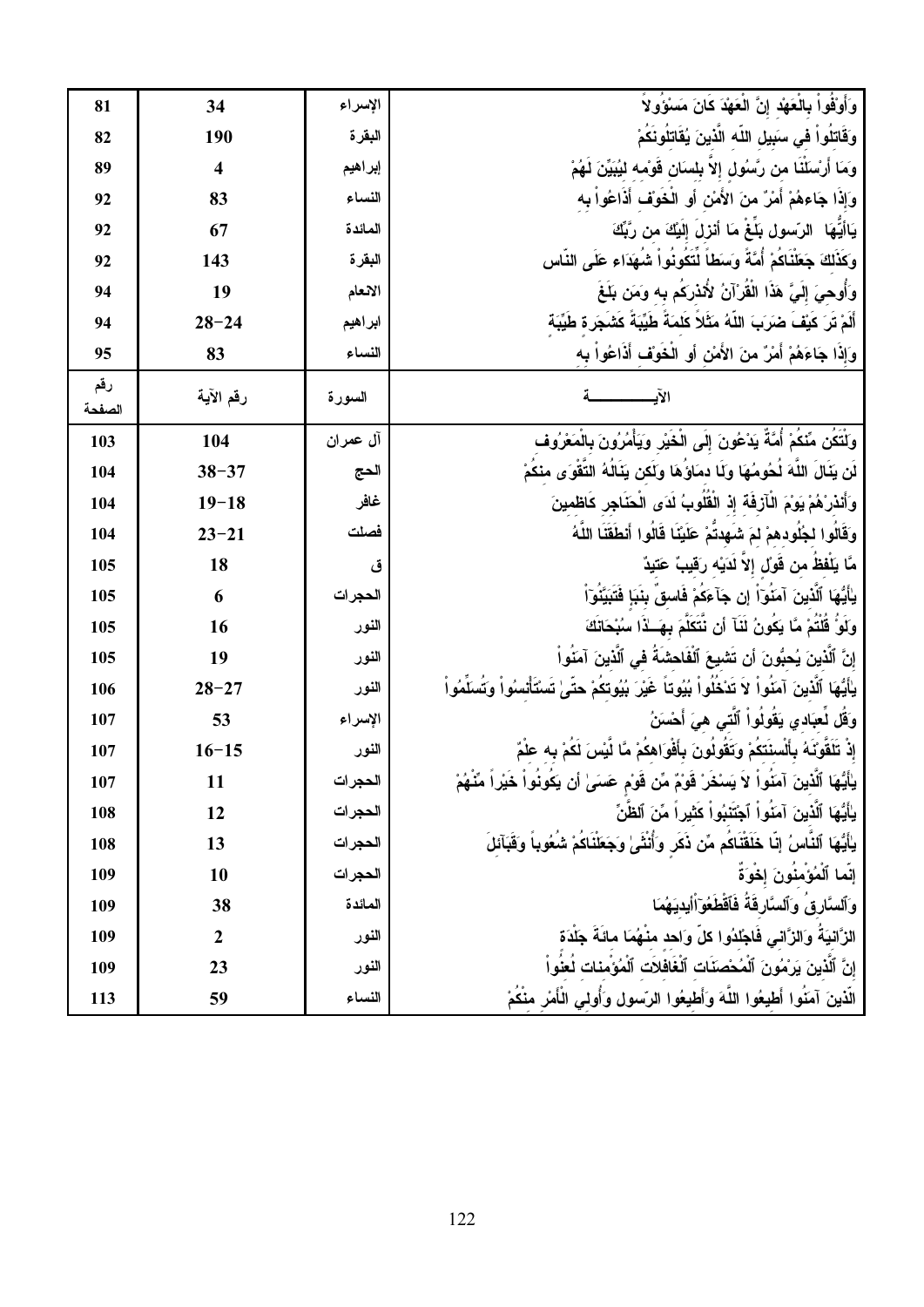| 81            | 34                      | الإسراء  | وَأَوْفُواْ بِالْعَهْد إِنَّ الْعَهْدَ كَانَ مَسْوَو لاَ                                                    |
|---------------|-------------------------|----------|-------------------------------------------------------------------------------------------------------------|
| 82            | 190                     | البقرة   | وَقَاتِلُواْ فِى سَبِيلِ اللَّهِ الَّذِينَ يُقَاتِلُونَكُمْ                                                 |
| 89            | $\overline{\mathbf{4}}$ | إبراهيم  | وَمَا أَرْسَلَنَا من رَّسُول إِلاّ بِلسَان قَوْمه ليُبَيِّنَ لَهُمْ                                         |
| 92            | 83                      | النساء   | وَإِذَا جَاءِهُمْ أَمْرٌ منَ الأَمْنِ أَوِ الْخَوَفِ أَذَاعُواْ بِه                                         |
| 92            | 67                      | المائدة  | يَاأَيُّهَا ۖ الرّسولِ بَلَغٌ مَا أَنْزِلَ إِلَيْكَ من رَّبِّكَ                                             |
| 92            | 143                     | البقر ة  | وكَذَلِكَ جَعَلْنَاكُمْ أُمَّةً وَسَطَاً لَتَكُونُواْ شُهَدَاء عَلَى النَّاس                                |
| 94            | 19                      | الانعام  | وَأُوحِيَ إِلَيَّ هَذَا الْقَرْآنُ لِأَنذَرَكُم بِه وَمَن بَلَغَ                                            |
| 94            | $28 - 24$               | ابراهيم  | أَلَمْ تَرَ كَيْفَ ضَرَبَ اللَّهُ مَثَلاً كَلمَةً طَيِّبَةً كَشَجَرة طَيِّبَة                               |
| 95            | 83                      | النساء   | وَإِذَا جَاءَهُمْ أَمْرٌ منَ الأَمْنِ أَوِ الْخَوَفِ أَذَاعُواْ بِه                                         |
| رقم<br>الصفحة | رقم الآية               | السورة   | الآيسسسسسة                                                                                                  |
| 103           | 104                     | أل عمران | وَلَتَكَن مِّنَكُمْ أُمَّةً يَدْعُونَ إِلَى الْخَيْرِ وَيَأْمُرُونَ بِالْمَعْرُوف                           |
| 104           | $38 - 37$               | الحج     | لَن بِنَالَ اللَّهَ لُحُومُهَا وَلَا دمَاوُهَا وَلَكن بِنَالُهُ التَّقْوَى منكُمْ                           |
| 104           | $19 - 18$               | غافر     | وَأَنْذَرْهُمْ يَوْمَ الْـآزِفَةَ إِذْ الْقُلُوبُ لَدَى الْحَنَاجِرِ كَاظْمِينَ                             |
| 104           | $23 - 21$               | فصلت     | وَقَالُوا لجُلُودهمْ لمَ شَهِدتُمْ عَلَيْنَا قَالُوا أَنطَقَنَا اللَّهُ                                     |
| 105           | 18                      | ق        | مَّا يَلْفظُ من قُولُ إلاّ لَدَيْه رَقيبٌ عَتيدٌ                                                            |
| 105           | 6                       | الحجرات  | يٰأَيُّهَا ٱلَّذِينَ آمَنُوٓاً إِن جَآءَكُمْ فَاسقُ بِنَبَإٍ فَتَبَيَّنُوٓاً                                |
| 105           | 16                      | النور    | وَلَوْ قُلْتُمْ مَّا يَكُونُ لَثَآ أَن نَتَكَلَّمَ بِهَــٰذَا سُبْحَانَكَ                                   |
| 105           | 19                      | النور    | إِنَّ ٱلَّذِينَ يُحبُّونَ أَن تَشْيِعَ ٱلْفَاحِشَةَ فِي ٱلَّذِينَ آمَنُواْ                                  |
| 106           | $28 - 27$               | النور    | ياٰيُّهَا ٱلَّذِينَ آمَنُواْ لاَ تَدْخُلُواْ بُيُوتاً غَيْرَ بُيُوتكُمْ حتَىٰ تَسْتَأْتسُواْ وَتُسَلَّمُواْ |
| 107           | 53                      | الإسراء  | وَقُلْ لُعِبَادِي يَقُولُواْ ٱلَّتِى هِيَ أَحْسَنُ                                                          |
| 107           | $16 - 15$               | النور    | إِذْ تَلْقَوْنَهُ بِأَلْسِنَتَكُمْ وَتَقَولُونَ بِأَفْوَاهِكُمْ مَّا لَّيْسَ لَكُمْ بِه عَلْمٌ              |
| 107           | 11                      | الحجرات  | ياأَيُّهَا ٱلَّذِينَ آمَنُوا لاَ يَسْخَرْ قَوْمٌ مِّن قَوْم عَسَىٰ أن يَكُونُواْ خَيْراً مِّنْهُمْ          |
| 108           | 12                      | الحجرات  | يٰأَيُّهَا ٱلَّذِينَ آمَنُواْ ٱجْتَنبُواْ كَثيراً مِّنَ ٱلظَّنِّ                                            |
| 108           | 13                      | الحجرات  | يٰأَيُّهَا ٱلنَّاسُ إِنَّا خَلَقْنَاكُم مِّن ذَكَر وَأَنْثَىٰ وَجَعَلْنَاكُمْ شُعُوباً وَقَبَآئلَ           |
| 109           | 10                      | الحجرات  | إِنَّمَا ٱلْمُؤْمِنُونَ إِخْوَةً                                                                            |
| 109           | 38                      | المائدة  | وَٱلسَّارِقُ وَٱلسَّارِقَةُ فَٱقْطَعُوٓ آٰأيديَهُمَا                                                        |
| 109           | $\boldsymbol{2}$        | النور    | الرَّانيَةَ وَالزَّاني فَاجْلدُوا كلِّ وَاحد منْهُمَا مائَةَ جَلْدَة                                        |
| 109           | 23                      | النور    | إِنَّ ٱلَّذِينَ يَرۡمُونَ ٱلۡمُحۡصَنَاتِ ٱلۡغَافَلاَتِ ٱلۡمُؤۡمِناتِ لَعَنُواْ                              |
| 113           | 59                      | النساء   | الَّذينَ آمَنُوا أَطيعُوا اللَّهَ وَأَطيعُوا الرّسول وَأُولى الْأَمْرِ منْكُمْ                              |
|               |                         |          |                                                                                                             |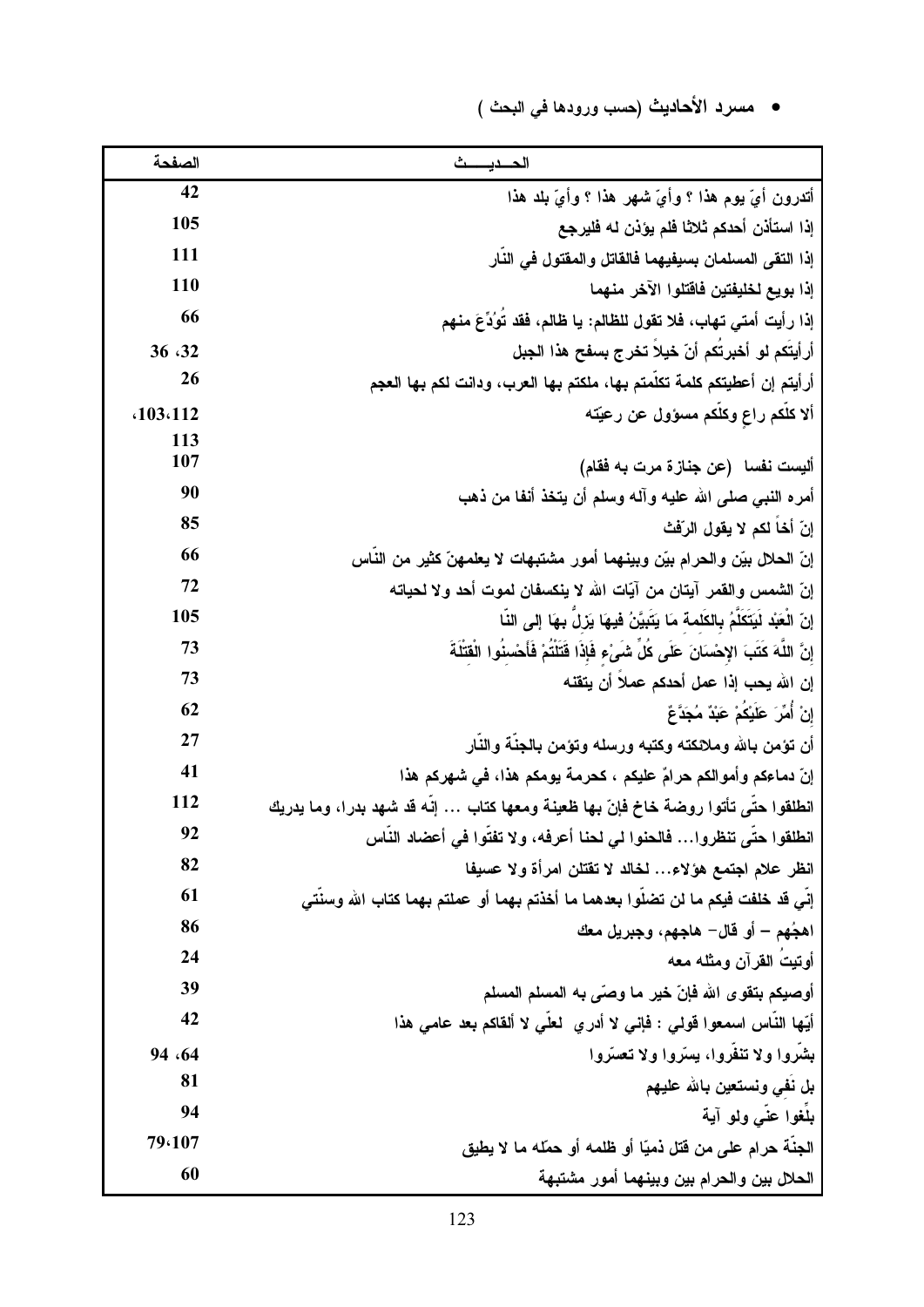# • مسرد الأحاديث (حسب ورودها في البحث )

| الصفحة     | الحديست                                                                                         |
|------------|-------------------------------------------------------------------------------------------------|
| 42         | أتدرون أيّ يوم هذا ؟ وأيّ شهر هذا ؟ وأيّ بلد هذا                                                |
| 105        | إذا استأذن أحدكم ثلاثا فلم يؤذن له فليرجع                                                       |
| 111        | إذا التقى المسلمان بسيفيهما فالقاتل والمفتول في النار                                           |
| 110        | إذا بويع لخليفتين فاقتلوا الآخر منهما                                                           |
| 66         | إذا رأيت أمتي تهاب، فلا تقول للظالم: يا ظالم، فقد تُوُدِّعَ منهم                                |
| 36 32      | أرأيتَكم لو أخبرتَكم أنّ خيلا تخرج بسفح هذا الجبل                                               |
| 26         | أرأيتم إن أعطيتكم كلمة تكلمتم بها، ملكتم بها العرب، ودانت لكم بها العجم                         |
| .103.112   | ألا كلُّكم راع وكلُّكم مسؤول عن رعيَّته                                                         |
| 113<br>107 |                                                                                                 |
| 90         | أليست نفسا   (عن جناز ة مرت به فقام)                                                            |
| 85         | أمره النبي صلى الله عليه وآله وسلم أن يتخذ أنفا من ذهب<br>إِنّ أَخا لكم لا يقول الرّفْتْ        |
| 66         | إنّ الحلال بيّن والحرام بيّن وبينهما أمور مشتبهات لا يعلمهنّ كثير من النّاس                     |
| 72         | إنّ الشمس والقمر آيتان من آيّات الله لا ينكسفان لموت أحد ولا لحياته                             |
| 105        | إِنِّ الْعَبْدِ لَيَتَكَلَّمُ بِالكَلمةِ مَا يَتَبِيَّنُ فَيهَا يَزِلَّ بِهَا إِلَى النَّا      |
| 73         | إِنَّ اللَّهَ كَتَبَ الإِحْسَانَ عَلَى كُلِّ شَيْءٍ فَإِذَا قَتَلَتُمْ فَأَحْسِنُوا الْقَتَلَةَ |
| 73         | إن الله يحب إذا عمل أحدكم عملا أن يتقنه                                                         |
| 62         | إِنْ أُمِّرَ عَلَيْكُمْ عَبْدٌ مُجَدَّعٌ                                                        |
| 27         | أن تؤمن بالله وملائكته وكتبه ورسله وتؤمن بالجنة والنار                                          |
| 41         | إنّ دماءكم وأموالكم حرامٌ عليكم ، كحرمة يومكم هذا، في شهركم هذا                                 |
| 112        | انطلقوا حتى تأتوا روضة خاخ فإنّ بها ظعينة ومعها كتاب … إنه قد شهد بدرا، وما يدريك               |
| 92         | انطلقوا حتى تنظروا… فالحنوا لي لحنا أعرفه، ولا تفتوا في أعضاد الناس                             |
| 82         | انظر علام اجتمع هؤلاء لخالد لا تقتلن امرأة ولا عسيفا                                            |
| 61         | إِنِّي قد خلفت فيكم ما لن تضلُّوا بعدهما ما أخذتم بهما أو عملتم بهما كتاب الله وسنتي            |
| 86         | اهجُهم – أو قال– هاجهم، وجبريل معك                                                              |
| 24         | أوتيت القرآن ومثله معه                                                                          |
| 39         | أوصيكم بتقوى الله فإنّ خير ما وصّى به المسلم المسلم                                             |
| 42         | أيّها النّاس اسمعوا قولمي : فإني لا أدري لعلي لا ألقاكم بعد عامي هذا                            |
| 94 .64     | بشروا ولا تنفروا، يسرّوا ولا تعسّروا                                                            |
| 81         | بل نفي ونستعين بالله عليهم                                                                      |
| 94         | بلغوا عني ولو آية                                                                               |
| 79.107     | الجنة حرام على من قتل ذميّا أو ظلمه أو حمّله ما لا يطيق                                         |
| 60         | الحلال بين والحرام بين وبينهما أمور مشتبهة                                                      |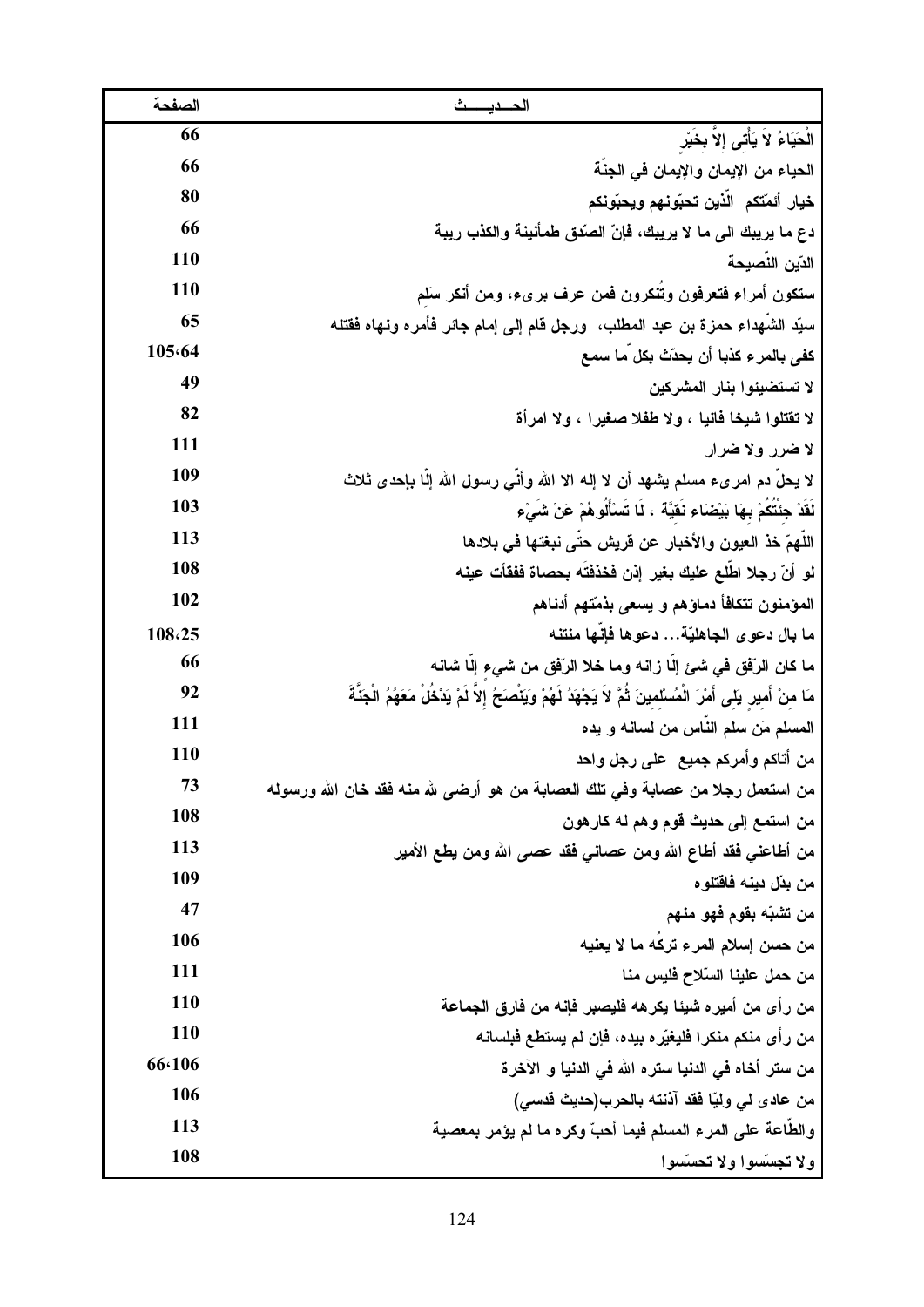| الصفحة | الحديسث                                                                                                                |
|--------|------------------------------------------------------------------------------------------------------------------------|
| 66     | الْحَيَاءُ لاَ يَأْتَى إلاَ بِخَيْر                                                                                    |
| 66     | الحياء من الإيمان والإيمان في الجنَّة                                                                                  |
| 80     | خيار أئمّتكم الذين تحبّونهم ويحبّونكم                                                                                  |
| 66     | دع ما يريبك الى ما لا يريبك، فإنّ الصّدق طمأنينة والكذب ريبة                                                           |
| 110    | الدّين النصيحة                                                                                                         |
| 110    | ستكون أمراء فتعرفون وتنكرون فمن عرف برىء، ومن أنكر سلم                                                                 |
| 65     | سبِّد الشُّهداء حمزة بن عبد المطلب، ۖ ورجل قام إلى إمام جائر فأمره ونـهاه فقتله                                        |
| 105.64 | كفي بالمرء كذبا أن يحدّث بكل ما سمع                                                                                    |
| 49     | لا تستضيئوا بنار المشركين                                                                                              |
| 82     | لا تقتلوا شيخا فانيا ، ولا طفلا صغيرا ، ولا امرأة                                                                      |
| 111    | لا ضرر ولا ضرار                                                                                                        |
| 109    | لا يحل دم امرىء مسلم يشهد أن لا إلـه الا الله وأنَّى رسول الله إلَّا بإحدى ثلاث                                        |
| 103    | لَقَدْ جِئَتَكُمْ بِهَا بَيْضَاءِ نَقَيَّةً ، لَا تَسْأَلُوهُمْ عَنْ شَىْءٍ                                            |
| 113    | اللهمّ خذ العيون والأخبار عن قريش حتّى نبغتها في بلادها                                                                |
| 108    | لو أنّ رجلا اطلع عليك بغير إذن فخذفته بحصاة ففقأت عينه                                                                 |
| 102    | المؤمنون تتكافأ دماؤهم و يسعى بذمّتهم أدناهم                                                                           |
| 108.25 | ما بال دعو ى الجاهليّة دعوها فإنها منتنه                                                                               |
| 66     | ما كان الرّفق في شئ إلـا زانـه ومـا خلا الرّفق من شيء إلـا شانـه                                                       |
| 92     | مَا منْ أُمير يَلَّى أَمْرَ الْمُسْلَمينَ ثُمَّ لاَ يَجْهَدُ لَهُمْ وَيَنْصَحَ إلاَّ لَمْ يَدْخُلُ مَعَهُمُ الْجَنَّةَ |
| 111    | المسلم مَن سلم الناس من لسانه و يده                                                                                    |
| 110    | من أتاكم وأمركم جميع  على رجل واحد                                                                                     |
| 73     | من استعمل رجلا من عصابة وفي تلك العصابة من هو أرضى لله منه فقد خان الله ورسوله                                         |
| 108    | من استمع إلى حديث قوم وهم له كارهون                                                                                    |
| 113    | من أطاعني فقد أطاع الله ومن عصاني فقد عصى الله ومن يطع الأمير                                                          |
| 109    | من بدّل دينه فاقتلوه                                                                                                   |
| 47     | من تشبّه بقوم فهو منهم                                                                                                 |
| 106    | من حسن إسلام المرء تركَه ما لا يعنيه                                                                                   |
| 111    | من حمل علينا السّلاح فليس منا                                                                                          |
| 110    | من رأى من أميره شيئا يكرهه فليصبر فإنه من فارق الجماعة                                                                 |
| 110    | من رأى منكم منكرا فليغيّره بيده، فإن لم يستطع فبلسانه                                                                  |
| 66.106 | من ستر أخاه في الدنيا ستره الله في الدنيا و الآخرة                                                                     |
| 106    | من عادى لى وليّا فقد آذنته بالحرب(حديث قدسى)                                                                           |
| 113    | والطاعة على المرء المسلم فيما أحبّ وكره ما لم يؤمر بمعصية                                                              |
| 108    | ولا تجسّسوا ولا تحسّسوا                                                                                                |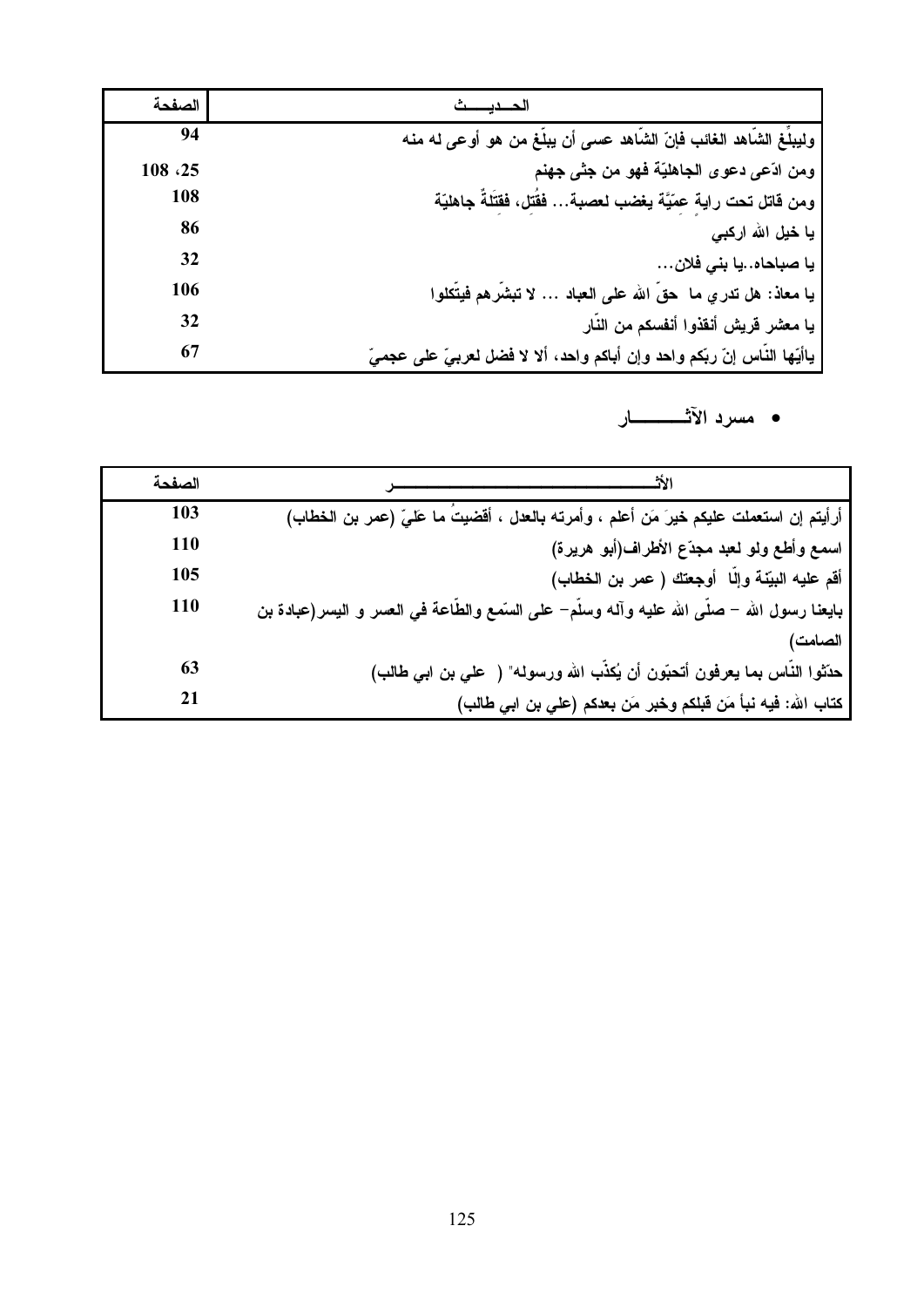| الصفحة |                                                                           |
|--------|---------------------------------------------------------------------------|
| 94     | وليبلِّغ الشَّاهد الغائب فإنّ الشَّاهد عسى أن يبلُّغ من هو أوعى له منه    |
| 108.25 | ومن ادّعي دعوى الجاهليّة فهو من جثّى جهنم                                 |
| 108    | ومن فَاتل تحت راية عِمّيَّة يغضب لعصبة فَقُتل، فَقَتَلَةٌ جاهليَّة        |
| 86     | یا خیل الله ارکب <i>ی</i>                                                 |
| 32     | يا صباحاهيا بني فلان                                                      |
| 106    | يا معاذ: هل تدري ما حقّ الله على العباد … لا تبشَّرهم فيتَّكلوا           |
| 32     | يا معشر قريش أنقذوا أنفسكم من النّار                                      |
| 67     | ياأيّها النّاس إنّ ربّكم واحد وإن أباكم واحد، ألا لا فضل لعربيّ على عجميّ |

• مسرد الآثــــــــــار

| الصفحة |                                                                                                      |
|--------|------------------------------------------------------------------------------------------------------|
| 103    | أرأيتم إن استعملت عليكم خيرَ مَن أعلم ، وأمرته بالعدل ، أقضيتَ ما عَليّ (عمر بن الخطاب)              |
| 110    | اسمع وأطع ولو لعبد مجدّع الأطراف(أبو هريرة)                                                          |
| 105    | أقم عليه البيّنة وإلّا  أوجعتك ( عمر بن الخطاب)                                                      |
| 110    | بايعنـا رسول الله – صلَّى الله عليه وألـه وسلَّم– على السَّمـع والطَّاعة فمي الـعسر و اليسر(عبادة بن |
|        | الصامت                                                                                               |
| 63     | حدِّثوا النَّاس بما يعرفون أتحبَّون أن يُكذَّب الله ورسوله" ( علي بن ابي طالب)                       |
| 21     | كتاب الله: فيه نبأ مَن قبلكم وخبر مَن بعدكم (علي بن ابي طالب)                                        |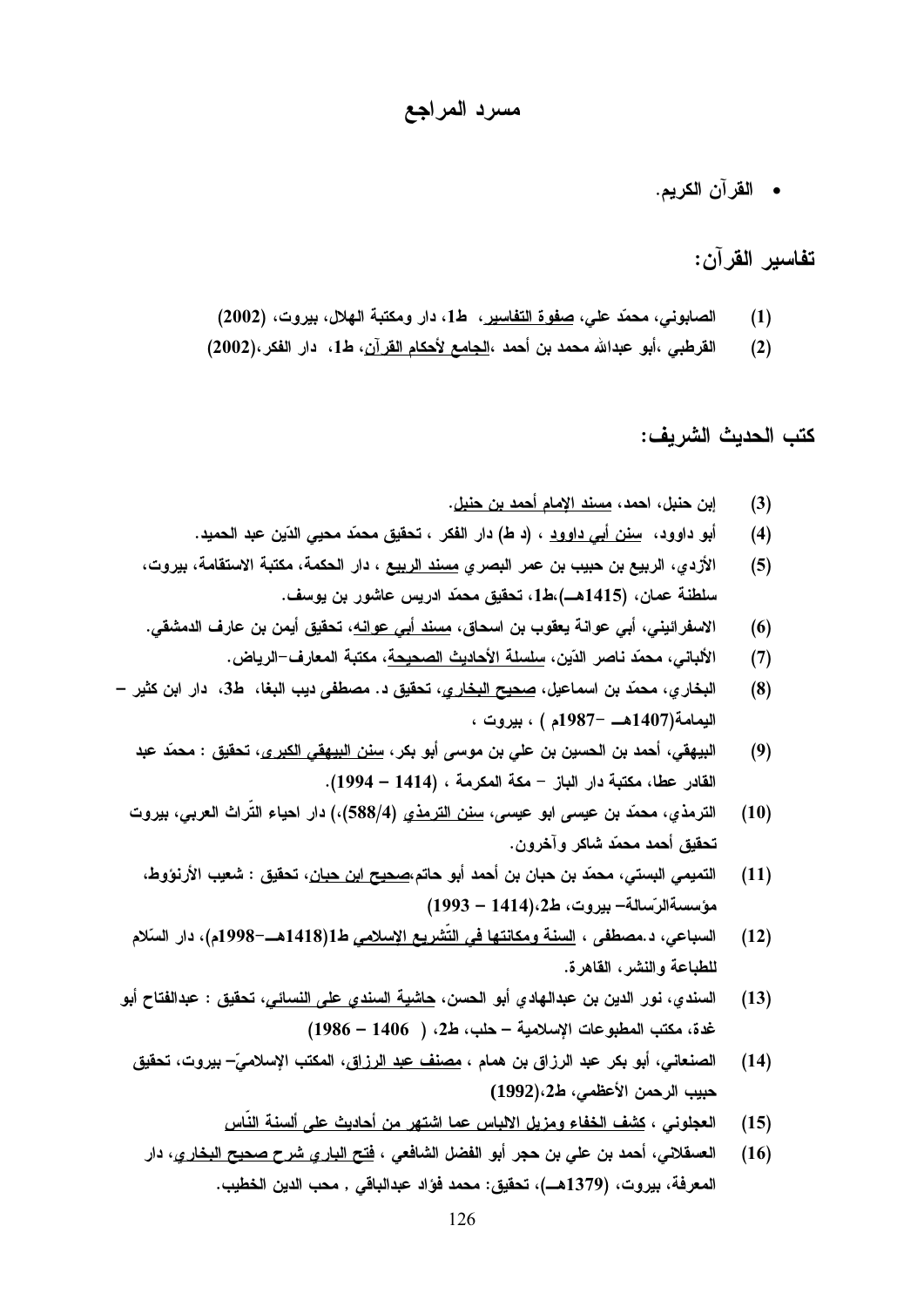## مسرد المراجع

• القرآن الكريم.

### تفاسير القرآن:

- الصابوني، محمّد على، <u>صفوة التفاسير</u>، ط1، دار ومكتبة الهلال، بيروت، (2002)  $(1)$
- القرطبي ،أبو عبدالله محمد بن أحمد ،<u>الجامع لأحكام القرآن</u>، ط1، دار الفكر،(2002)  $(2)$

كتب الحديث الشريف:

- إبن حنبل، احمد، مسند الامام أحمد بن حنبل.  $(3)$
- أبو داوود، سِنن أبي داوود ، (د ط) دار الفكر ، تحقيق محمّد محيى الدّين عبد الحميد.  $(4)$
- الأزدي، الربيع بن حبيب بن عمر البصري <u>مسند الربيع</u> ، دار الحكمة، مكتبة الاستقامة، بيروت،  $(5)$ سلطنة عمان، (1415هــ)،ط1، تحقيق محمّد ادريس عاشور بن يوسف.
- الاسفرائين*ى*، أب*ى* عوانـة يعقوب بن اسحاق، <u>مسند أب*ى* عوانـه</u>، تحقيق أيمن بن عارف الدمشقى.  $(6)$ 
	- الألباني، محمّد ناصر الدّين، سلسلة الأحاديث الصحيحة، مكتبة المعارف–الرياض.  $(7)$
- البخاري، محمّد بن اسماعيل، <u>صحيح البخاري</u>، تحقيق د. مصطفى ديب البغا، ط3، دار ابن كثير  $(8)$ اليمامة(1407هــ -1987م ) ، بيروت ،
	- البيهقي، أحمد بن الحسين بن على بن موسى أبو بكر، <u>سنن البيهقي الكبر ي</u>، تحقيق : محمّد عبد  $(9)$ القادر عطا، مكتبة دار الباز – مكة المكرمة ، (1414 – 1994).
	- الترمذي، محمّد بن عيسى ابو عيسى، <u>سنن الترمذي</u> (4/588)،) دار احياء التّراث العربي، بيروت  $(10)$ تحقيق أحمد محمّد شاكر وآخرون.
		- التميمي البستي، محمّد بن حبان بن أحمد أبو حاتم،<u>صحيح ابن حبان</u>، تحقيق : شعيب الأرنوّوط،  $(11)$ مؤسسةالرسالة- بيروت، ط2،(1414 – 1993)
	- السباعي، د.مصطفى ، <u>السنة ومكانتها في التّشريع الإسلامي</u> ط1(1418هـــ-1998م)، دار السّلام  $(12)$ للطباعة والنشر، القاهرة.
- السندي، نور الدين بن عبدالهادي أبو الحسن، <u>حاشية السندي على النسائي</u>، تحقيق : عبدالفتاح أبو  $(13)$ غدة، مكتب المطبوعات الإسلامية - حلب، ط2، ( 1406 - 1986)
	- الصنعاني، أبو بكر عبد الرزاق بن همام ، مصنف عبد الرزاق، المكتب الإسلاميّ– بيروت، تحقيق  $(14)$ حبيب الرحمن الأعظمي، ط2،(1992)
		- العجلوني ، <u>كشف الخفاء ومزيل الالباس عما اشتهر من أحاديث على ألسنة النّاس</u>  $(15)$
		- العسقلاني، أحمد بن علي بن حجر أبو الفضل الشافعي ، <u>فتح الباري شرح صحيح البخاري</u>، دار  $(16)$ المعرفة، بيروت، (1379هــ)، تحقيق: محمد فؤاد عبدالباقي , محب الدين الخطيب.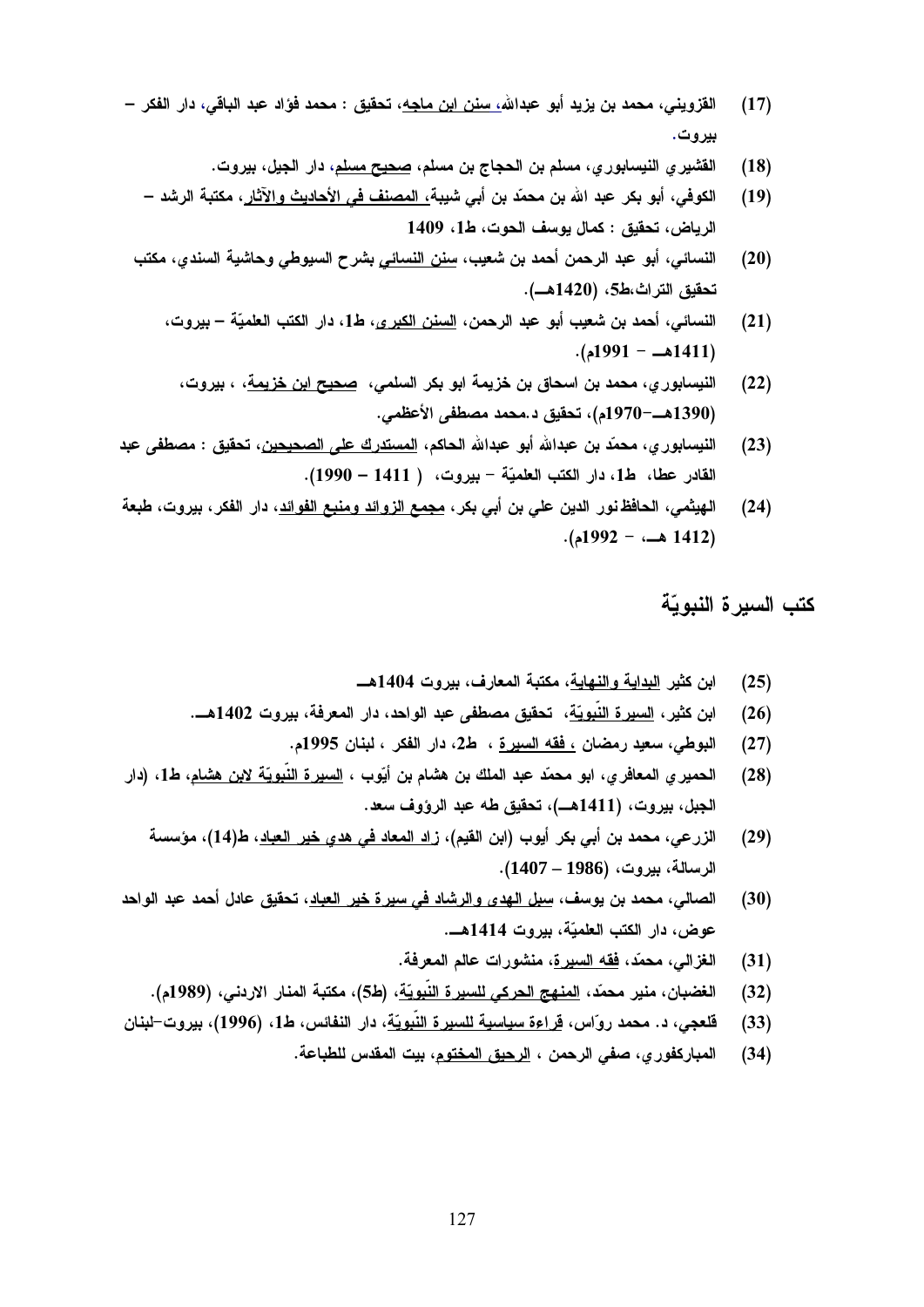- القزويني، محمد بن يزيد أبو عبدالله<u>، سنن ابن ماجه</u>، تحقيق : محمد فوّاد عبد الباقي، دار الفكر  $(17)$ بيروت.
	- القشير ي النيسابور ي، مسلم بن الحجاج بن مسلم، <u>صحي</u>ح مسلم، دار الجيل، بيروت.  $(18)$
	- الكوفي، أبو بكر عبد الله بن محمّد بن أبي شببة، المصنف في الأحاديث والآثار، مكتبة الرشد  $(19)$ الرياض، تحقيق : كمال يوسف الحوت، ط1، 1409
- النسائي، أبو عبد الرحمن أحمد بن شعيب، <u>سنن النسائي</u> بشرح السيوطي وحاشية السندي، مكتب  $(20)$ تحقيق التراث،ط5، (1420هــ).
	- النسائي، أحمد بن شعيب أبو عبد الرحمن، <u>السنن الكبر ي</u>، ط1، دار الكتب العلميّة بيروت،  $(21)$  $(1991 - 1411)$ 
		- النيسابور ي، محمد بن اسحاق بن خزيمة ابو بكر السلمي، <u>صحيح ابن خزيمة</u>، ، بيروت،  $(22)$ (1390هـــ–1970م)، تحقيق د.محمد مصطفى الأعظمى.
- النيسابور ي، محمّد بن عبدالله أبو عبدالله الحاكم، <u>المستدرك على الصحيحين</u>، تحقيق : مصطفى عبد  $(23)$ القادر عطا، ط1، دار الكتب العلميّة – بيروت، ( 1411 – 1990).
- الـهيثمـي، الـحافظ نور الدين علـي بن أبـي بكر، <u>مجمـع الزوائد ومنبـع الفوائد</u>، دار الفكر، بيروت، طبعة  $(24)$  $-1992 - 1412$ )

كتب السيرة النبويّة

- ابن كثير البداية والنهاية، مكتبة المعارف، بيروت 1404هـــ  $(25)$
- ابن كثير، <u>السيرة النّبويّ</u>ة، تحقيق مصطفى عبد الواحد، دار المعرفة، بيروت 1402هـــ.  $(26)$ 
	- البوطي، سعيد رمضان <u>، فقه السيرة</u> ، ط2، دار الفكر ، لبنان 1995م.  $(27)$
- الحمير ي المعافر ي، ابو محمّد عبد الملك بن هشام بن أيّوب ، <u>السير ة النّبويّ</u>ة لابن هشام، ط1، (دار  $(28)$ الجبل، بيروت، (1411هــ)، تحقيق طه عبد الرؤوف سعد.
	- الزرعي، محمد بن أبي بكر أيوب (ابن القيم)، <u>زاد المعاد في هدي خير العباد</u>، ط(14)، مؤسسة  $(29)$ الرسالة، بيروت، (1986 – 1407).
- الصالي، محمد بن يوسف، <u>سبل الهدي والرشاد في سير ة خير العباد</u>، تحقيق عادل أحمد عبد الواحد  $(30)$ عوض، دار الكتب العلميّة، بيروت 1414هــ.
	- الغز إلى، محمَّد، فقه السبر ة، منشور إت عالم المعرفة.  $(31)$
	- الغضبان، منير محمّد، <u>المنهج الحركي للسيرة النّبويّة</u>، (ط5)، مكتبة المنار الاردني، (1989م).  $(32)$
- قلعجي، د. محمد روّاس، فراءة سياسية للسيرة النّبويّة، دار النفائس، ط1، (1996)، بيروت-لبنان  $(33)$ 
	- المباركفور ي، صفى الرحمن ، <u>الرحيق المختوم</u>، بيت المقدس للطباعة.  $(34)$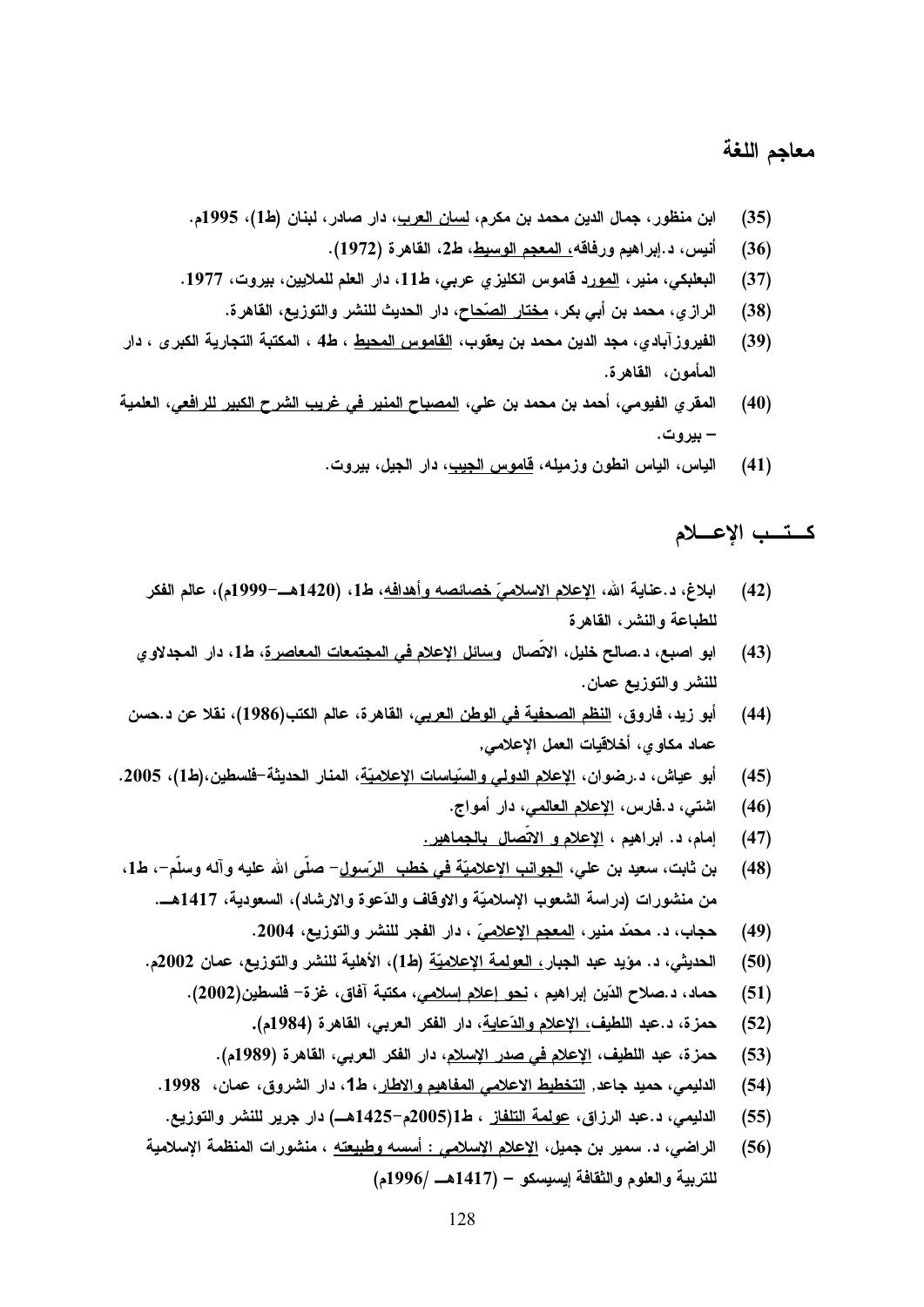# معاجم اللغة

- ابن منظور ، جمال الدين محمد بن مكرم، <u>لسان العرب</u>، دار صادر ، لبنان (ط1)، 1995م.  $(35)$ 
	- أنيس، د.إبراهيم ورفاقه<u>، المعجم الوسيط</u>، ط2، القاهرة (1972).  $(36)$
- البعلبكي، منير، المورد قاموس انكليز ي عربي، ط11، دار العلم للملايين، بيروت، 1977.  $(37)$ 
	- الرازي، محمد بن أبي بكر، <u>مختار الصّحا</u>ح، دار الحديث للنشر والتوزيع، القاهرة.  $(38)$
- الفيروز آبادي، مجد الدين محمد بن يعقوب، <u>القاموس المحيط</u> ، ط4 ، المكتبة التجارية الكبرى ، دار  $(39)$ المأمون، القاهرة.
- المقرى الفيومي، أحمد بن محمد بن علي، <u>المصباح المنير. في غريب الشرح الكبير. للرافعي</u>، العلمية  $(40)$ – ببر و ت.
	- الياس، الياس انطون وزميله، <u>قاموس الجيب</u>، دار الجيل، بيروت.  $(41)$

## كستب الإعسلام

- ابلاغ، د.عناية الله، <u>الإعلام الاسلاميّ خصائصه وأهدافه</u>، ط1، (1420هــ–1999م)، عالم الفكر  $(42)$ للطباعة والنشر، القاهرة
- ابو اصبع، د.صالح خليل، الاتِّصال وسائل الإعلا<u>م في المجتمعات المعاصر ة</u>، ط1، دار المجدلاو ي  $(43)$ للنشر والتوزيع عمان.
- أبو زيد، فاروق، <u>النظم الصحفية في الوطن العربي</u>، القاهرة، عالم الكتب(1986)، نقلا عن د.حسن  $(44)$ عماد مكاوى، أخلاقيات الـعمل الإعلامـي,
- أبو عياش، د.رضوان، الاعلام الدولي والسّياسات الاعلاميّة، المنار الحديثة-فلسطين،(ط1)، 2005.  $(45)$ 
	- اشتى، د.فارس، <u>الإعلام العالم</u>ى، دار أمواج.  $(46)$
	- إمام، د. ابراهيم ، <u>الإعلام و الاتّصال بالجماهير.</u>  $(47)$
- بن ثابت، سعيد بن علي، <u>الجوانب الإعلاميّة في خطب الرّسول</u>– صلى الله عليه وآله وسلم–، ط1،  $(48)$ من منشورات (دراسة الشعوب الإسلاميّة والاوقاف والدّعوة والارشاد)، السعودية، 1417هـــ.
	- حجاب، د. محمّد منير، المعجم الإعلاميّ ، دار الفجر للنشر والتوزيع، 2004.  $(49)$
	- الحديثي، د. مؤيد عبد الجبار<u>، العولمة الإعلاميّة</u> (ط1)، الأهلية للنشر والتوزيع، عمان 2002م.  $(50)$ 
		- حماد، د.صلاح الدّين إبراهيم ، <u>نحو إعلام إسلامي</u>، مكتبة آفاق، غزة– فلسطين(2002).  $(51)$ 
			- حمزة، د.عبد اللطيف<u>، الإعلام والدّعاية</u>، دار الفكر العربي، القاهرة (1984م).  $(52)$
			- حمزة، عبد اللطيف، الاعلام في صدر الاسلام، دار الفكر العربي، القاهرة (1989م).  $(53)$
		- الدليمي، حميد جاعد, التخطيط الاعلامي المفاهيم والاطار، ط1، دار الشروق، عمان، 1998.  $(54)$
		- الدليمي، د.عبد الرزاق، <u>عولمة التلفاز</u> ، ط1(2005م-1425هـ) دار جرير للنشر والتوزيع.  $(55)$
	- الراضي، د. سمير بن جميل، الإعلا<u>م الإسلامي : أسسه وطبيعته</u> ، منشورات المنظمة الإسلامية  $(56)$ للتربية والعلوم والثقافة إيسيسكو – (1417هـ /1996م)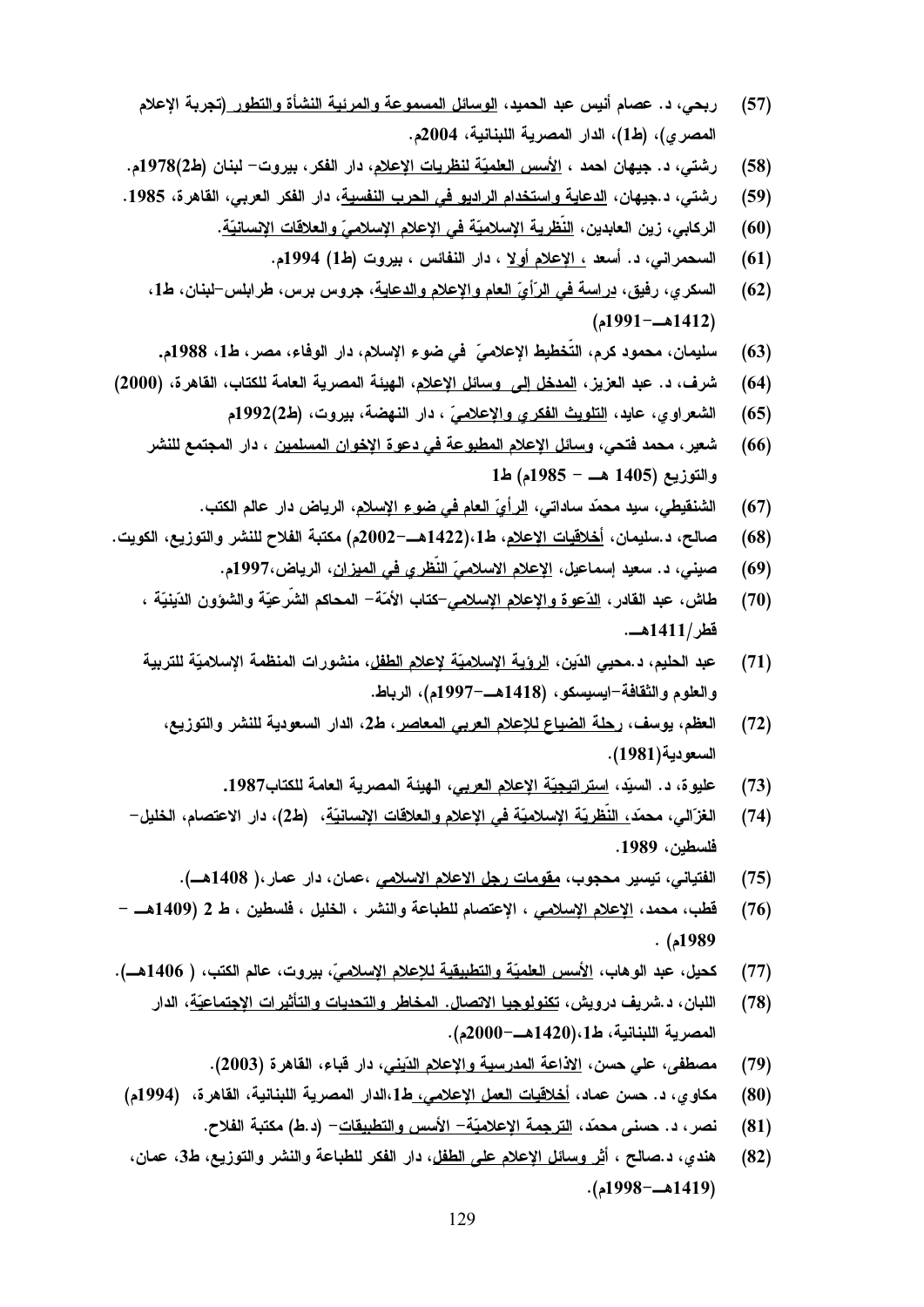- كحيل، عبد الوهاب، <u>الأسس العلميّة والتطبيقية للإعلام الإسلاميّ</u>، بيروت، عالم الكتب، ( 1406هــ).  $(77)$ 
	- اللبان، د.شريف درويش، <u>تكنولوجيا الاتصال. المخاطر والتحديات والتأثيرات الإجتماعيّة</u>، الدار  $(78)$ المصرية اللبنانية، ط1،(1420هــ-2000م).
		- مصطفى، على حسن، الاذاعة المدرسية والإعلام الدّيني، دار فباء، القاهرة (2003).  $(79)$
	- مكاوى، د. حسن عماد، <u>أخلاقيات العمل الإعلامي، ط1</u>،الدار المصرية اللبنانية، القاهرة، (1994م)  $(80)$ 
		- نصر ، د. حسنى محمّد ، <u>الترجمة الإعلاميّة الأسس والتطبيقات</u> (د.ط) مكتبة الفلاح.  $(81)$
	- هندي، د.صالح ، أ<u>ثر وسائل الإعلام على الطفل</u>، دار الفكر للطباعة والنشر والتوزيع، ط3، ع*م*ان،  $(82)$ (1419هـ-1998م).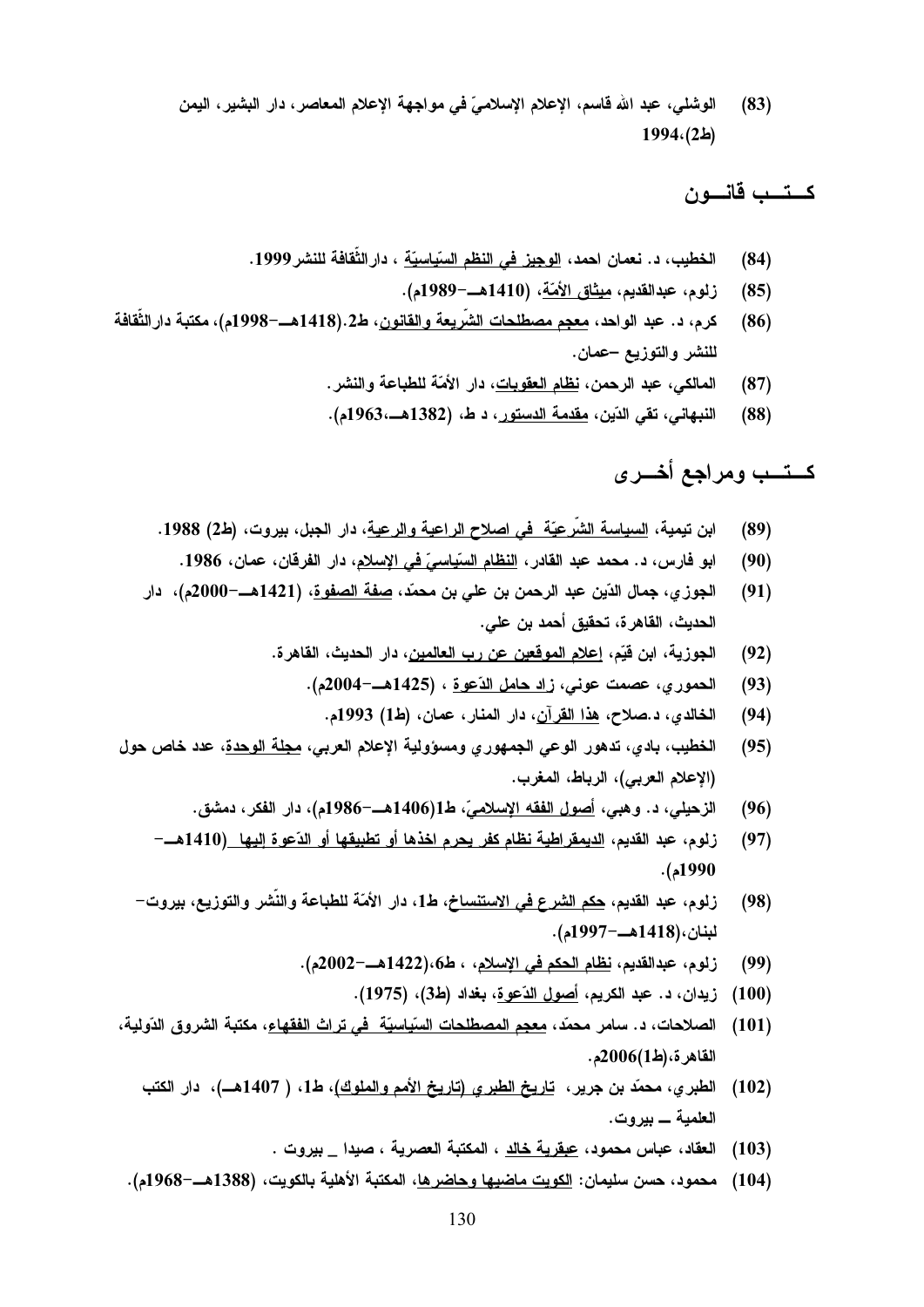الوشلي، عبد الله قاسم، الإعلام الإسلاميّ في مواجهة الإعلام المعاصر، دار البشير، اليمن  $(83)$  $1994(2)$ 

كستسب قانسون

- الخطيب، د. نعمان احمد، الوجيز في النظم السّياسيّة ، دارالثِّقافة للنشر 1999.  $(84)$ 
	- زلوم، عبدالقديم، ميثاق الأمّة، (1410هــ-1989م).  $(85)$
- كرم، د. عبد الواحد، معجم مصطلحات الشَّريعة والقانون، ط2.(1418هــ–1998م)، مكتبة دارالثَّقافة  $(86)$ للنشر والتوزيع –عمان.
	- المالكي، عبد الرحمن، <u>نظام العقوبات</u>، دار الأمّة للطباعة والنشر.  $(87)$
	- النبهاني، تقى الدّين، <u>مقدمة الدستور</u>، د ط، (1382هــ،1963م).  $(88)$

كستب ومراجع أخسرى

- ابن نيمية، <u>السياسة الشّرعيّة في اصلاح الراعية والرعي</u>ة، دار الجبل، بيروت، (ط2) 1988.  $(89)$ 
	- ابو فارس، د. محمد عبد القادر، النظام السّياسيّ في الاسلام، دار الفرقان، عمان، 1986.  $(90)$
- الجوزي، جمال الدّين عبد الرحمن بن علي بن محمّد، <u>صفة الصفوة</u>، (1421هـــ=2000م)، دار  $(91)$ الحديث، القاهرة، تحقيق أحمد بن علي.
	- الجوزية، ابن فَيِّم، <u>إعلام الموقعين عن رب العالمين</u>، دار الحديث، القاهرة.  $(92)$ 
		- الحموري، عصمت عوني، زاد حامل الدّعوة ، (1425هـــ-2004م).  $(93)$ 
			- الخالدي، د.صلاح، هذا القرآن، دار المنار، عمان، (ط1) 1993م.  $(94)$
- الخطيب، بادي، تدهور الوعي الجمهوري ومسؤولية الإعلام العربي، <u>مجلة الوحدة</u>، عدد خاص حول  $(95)$ (الإعلام العربي)، الرباط، المغرب.
	- الزحيلي، د. وهبي، أصول الفقه الإسلاميّ، ط1(1406هــ-1986م)، دار الفكر، دمشق.  $(96)$
	- زلوم، عبد القديم، الديمقراطية نظام كفر يحرم اخذها أو تطبيقها أو الدّعوة اليها (1410هــ- $(97)$  $. (4990$
	- زلوم، عبد القديم، <u>حكم الشرع في الاستنساخ</u>، ط1، دار الأمّة للطباعة والنّشر والتوزيع، بيروت—  $(98)$ لبنان،(1418هـ-1997م).
		- زلوم، عبدالقديم، <u>نظام الحكم في الإسلام</u>، ، ط6،(1422هــ-2002م).  $(99)$ 
			- زيدان، د. عبد الكريم، أصول الدّعوة، بغداد (ط3)، (1975).  $(100)$
- الصلاحات، د. سامر محمّد، <u>معجم المصطلحات السّياسيّة في تراث الفقهاء</u>، مكتبة الشروق الدّولية،  $(101)$ القاهر ة، (ط1)2006م.
	- (102) الطبري، محمّد بن جرير، تاريخ الطبري (تاريخ الأمم والملوك)، ط1، ( 1407هـ)، دار الكتب العلمية \_ بيروت.
		- (103) العقاد، عباس محمود، عبقرية خالد ، المكتبة العصرية ، صبدا \_ بيروت .
	- (104) محمود، حسن سليمان: الكويت ماضيها وحاضرها، المكتبة الأهلية بالكويت، (1388هـ-1968م).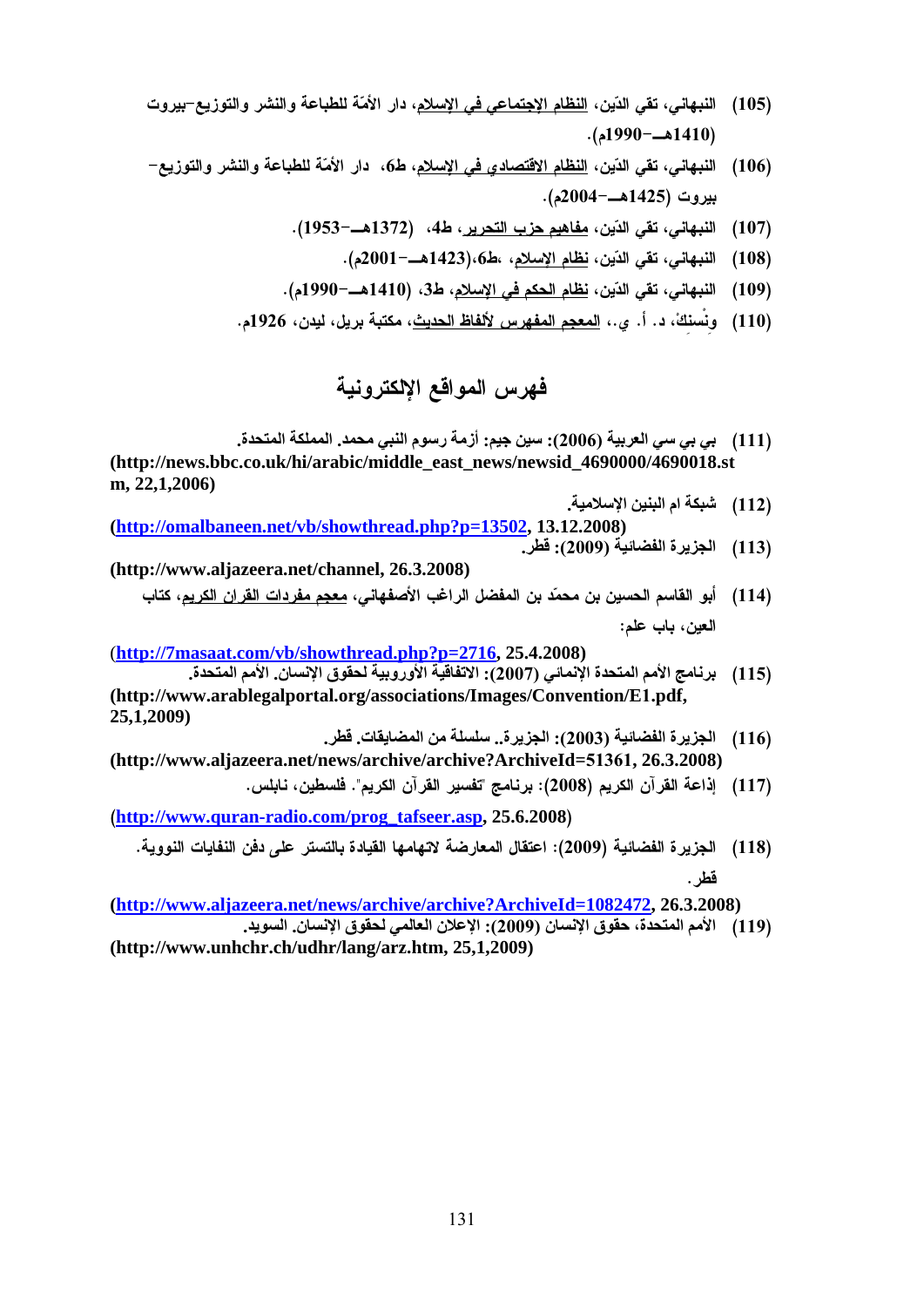- 
- - -
	-
	-

## فهرس المواقع الالكترونية

- بي سي العربية (2006): سين جيم: أزمة رسوم النبي محمد. المملكة المتحدة. **(http://news.bbc.co.uk/hi/arabic/middle\_east\_news/newsid\_4690000/4690018.st m, 22,1,2006)**
- **(http://omalbaneen.net/vb/showthread.php?p=13502, 13.12.2008)** 
	-
- **(http://www.aljazeera.net/channel, 26.3.2008)**

(**http://7masaat.com/vb/showthread.php?p=2716, 25.4.2008)** 

- [Q & o"N HN l o[& 9 oC (105) .(1990kF%1410) [16])<br>[(106) التبهاتي، على النارن، <u>النظام الاقتصادي في الإصلاح،</u> عادة دار الاد<br>(2010) - بيورون (106) - من المركز (116)<br>2011) - بيورون الأمر (108) - التباري (116)<br>(108) - القبال التباري (116) - القبل المركز (116) - التبار بيروت (1425هـ -2004م).<br>النبهاني، تقي الدّين، <u>نظام الإمليم.</u><br>النبهاني، تقي الدّين، <u>نظام الإمليم.</u><br>النبهاني، تقي الدّين، <u>نظام الا</u><br>الجزيرة الفرنيائين الإسلامية.<br>ig. 14090000/4690018.<br>ig. 14090000/4690018.<br>ig. 1409000/469 1197). (1953—1372) o4 من <u>ملائم جزء الأكد بن المسلم التي يتركز الحقار (1953</u>—1372).<br>1142). (1886—1472). (ما المسلم التي يتركز المسلم التي يتركز المسلم (1472).<br>1110). (1887). (1887). (1887). (1887). (1887). (1887). (1887). .(2001kF%1423)o6 o o"N l o[& 9 oC (108) (1990—ما 410) . فكل الطلاح الحكم في الإنسان الطلاح المراد (1990—ما 410) .<br>(1990—ما قابل التي تقدم التي تقدم التي تقدم التي تقدم التي تقدم التي تقدم التي تقدم التي تعدد التي تعدد التي ت<br>(110) . في المسلم التي تقدم التي تقد ة بريل، ليدن، 1926م.<br>ونيــة<br>ونيــة<br>.co.uk/hi/arabic/n<br>.co.uk/hi/arabic/n<br>.co.uk/hi/arabic/n<br>.co.uk/hi/arabic/n<br>.com/vb/showthre:<br>نظوق الإنســان. الأمم<br>logalportal.org/a<br>.com/proكنيدا قسم الله .com/radio.com/pro<br>.can-radio 110) وتستلقاً، د. أ. ي.، <u>المعجم المفهوس لافقاظ الحديث</u>، مكني<br>(110) وتستلقاً، د. أ. ي.، <u>المعجم المفهوس لافقح الإ</u>لكتر<br>(111) من المعربية (2006)، المسلم المعربية (2006).<br>Tread.php?p=13502, 13.12.2008)<br>(113) الجزيرة الفضائي بي (111)<br>18.st<br>بالعباد (112)<br>بالعباد (114)<br>الأم (115)<br>بالأم (118)<br>بالأم (118)<br>فطر (118)<br>فطر (118)<br>فلا (119) (112) أشبكة ام البنين الإسلامية.<br>12.2008) الجزيرة الفضائية (2009)<br>2009) أبو الفاسم الحسين بن مد<br>العين، باب علم:<br>113) أبو الفاسم المتحدة الإنما<br>2008) الجزيرة الفضائية (113)<br>116) الجزيرة الفضائية (2003)<br>2008) إذاعة القرآن ا (113) الجزيرة الفضائية (2009): قطر<br>(113) أبو القاسم الحسين بن محمّد بن<br>العين، باب علم:<br>3.4.2008)<br>7) الجزيرة الفضائية (2008): الجزيا<br>S/Convention/E1.pdf,<br>116) الجزيرة الفضائية (2003): الجزيا<br>(116): المادة الفرآن الكريم (20 (114) أبو القاسم الصدين بن معمّد بن العفضل الراغب الأصفهقي، <u>معيم مفردات الفران الذي يوم كتاب المنافسة المراكب المتحدة (116).</u><br>1917/Thussaat.com/vb/showthread.php?n=2716, 25.4.2008)<br>19. والمستخدم المستخدم المستخدم المستخد برنامج الأمم المتابية<br>1/E1.pdf,<br>1/E1.pdf,<br>أواعة القرآن الكاكر<br>إذاعة القرآن الكاكب<br>الجزيرة الفضائيا<br>2472, 26.3.20 برنامج الأمم المتحدة الإنماني (115)<br>(116) الجزيرة الفضائية (2003): الأ<br>(2003) الجزيرة الفضائية (2008): 116)<br>(2008) الجزيرة الفضائية (2009): 118)<br>118) الجزيرة الفضائية (2009): 118)<br>Ve**Id=1082472, 26.3.2008**<br>(119) الأمم ال (115) برنامج الأمم المتحدة الإنمائي (2007). الاتفاقية الأوروبية لحقوق الإنسان. الأمم المتحدة. **(http://www.arablegalportal.org/associations/Images/Convention/E**1**.pdf, 25,1,2009)**
- **(http://www.aljazeera.net/news/archive/archive?ArchiveId=**51361**, 26.3.2008)**
	-

(116) الجزيرة الفضائية (2003): الجزيرة.. سلسلة من المضايقات. فطن.<br>news/archive/archive?ArchiveId=51361, 26.3.2008)<br>news/archive/archive3-7archiveId=51361, 26.3.2008)<br>(117) المجزيرة الفضائية (2008): اعتقال المعارضة لاتفهاد ة القرآن الكريم". فلسطين، نابلس.<br>In-radio.com/prog\_tafseer.asp, 25.6.2008)<br>In-radio.com/prog\_tafseer.asp, 25.6.2008): اعتقال المعارضة لاتهامها القيادة بالتستر على دفز<br>المنحدة، حقوق الإنسان (2009): الإعلان العالمي لحقوق ال إذاع)<br>118 ألجز<br>35 فطر<br>3.2008)<br>الأمم http://www.quran-radio.com/prog\_tafseer.asp, 25.6.2008)<br>2): اعتقال المعارضة لاتهامها القيادة بالتستر على دفن النفايات النووية.<br>http://www.aliazeera.net/news/archive/archive/ArchiveIdelics.<br>سان (2009): الإعلان العالمي لحقو ة (2009): اعتقال المعارضة<br>hive?ArchiveId=1082<br>قوق الإنسان (2009): الإعلا<br>25,1,2009)<br>131 \_1S ]WH (118)

3.20<br>الأمم **(http://www.aljazeera.net/news/archive/archive?ArchiveId=1082472, 26.3.2008)**

- الأمم المتحدة، حقوق الإنسان (2009): الإعلان العالمي)<br>rz.htm, 25,1,2009)<br>131 (119) - الأمم المتحدِّق، حقوق الإنسان (2009): الإعلان العالمي لحقوق الإنسان. السويد.
- **(http://www.unhchr.ch/udhr/lang/arz.htm, 25,1,2009)**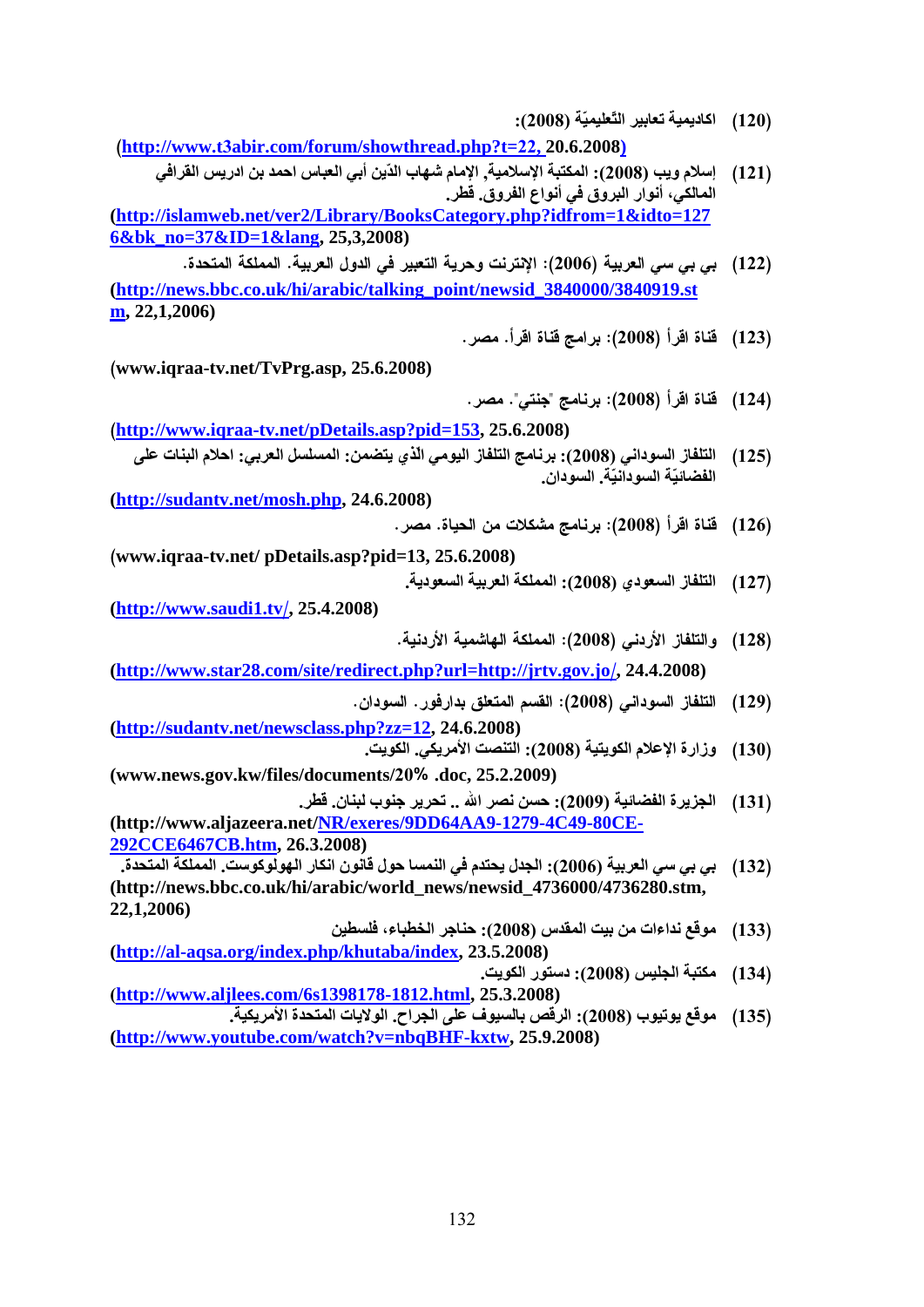(120)<br>22. 20.6.2008)<br>22. 20.6.2008)<br>22. 20.6.2008)<br>إسلام ويب (2008) بسلام ويبا (2008):<br>21) إسلام ويبا (2008):<br>21) إسلام ويبا (2008):<br>21) إسلام السلامي، أنوار البروي في أنواع (12)<br>21) إسلام السلامي، أنوار (2008):<br>23) إسلام (**http://www.tichbir.com/forum/showthread.php?t=22, 20.6.2008)**<br>(**http://www.tichbir.com/forum/showthread.php?t=22.2.0.2008)**<br>(**http://showthread.php?tiliptimary.BooksCategory.php?tilfrom=1**<br>(**http://showthread.php?tilip** (121))<br>1) إسبان ومراد (12008) وتشكيد الإسلام (12008) وتشكيد الإسلام (12008) وتشكيد المسلم الأساب (12008).<br>121 إسلامي، البحث المسلم المسلم المسلم المسلم المسلم المسلم المسلم المسلم المسلم المسلم المسلم المسلم المسلم المسلم العباس احمد بن ادريس القرافي المالكي، أنوار البروق في أنواع الفروق. قطر. **(http://islamweb.net/ver2/Library/BooksCategory.php?idfrom=1&idto=127 6&bk\_no=37&ID=1&lang, 25,3,2008)**  ة (2006): الإنترنت وهريم <u>int/newsid 3840000</u><br>في المراسج قناة اقراً.<br>11/hewsid 3840000<br>برنامج "جنتي". مصر.<br>153, 25.6.2008): برنامج التلفاز اليو<br>2008): المملكة العربية الملكيا<br>2008): المملكة العربية الملكيا<br>2008): القسم ال 122)<br>122) قناة اقرأ (122)<br>13340919.st<br>قناة اقرأ (123)<br>(2008) قناة اقرأ (124)<br>125) التلفاز السوداني<br>(126) قناة اقرأ (12008)<br>(127) والتلفاز الأردني<br>(128) والتلفاز الأردني<br>(128) والتلفاز السوداني<br>(139) الجزيرة الفضائية<br>المعن **(http://news.bbc.co.uk/hi/arabic/talking\_point/newsid\_3840000/3840919.st m, 22,1,2006)** 123) أَهَدَاةَ الَّهِراً (2008) أَمَدًّا قَالَمَ اللَّهِ (2008) أَهَدَاةَ اللَّهِ (2008) أَهَدَاةَ اللَّهِ (2008) أَهِدَّ (2008) أَهِدَّ (2008) أَهِدَّ (2008) أَهِدَّ (2008) أَهْدَاة (2008) أَهْدَاة (2008) أَهْدَاة اللَّه www.iqraa-tv.net/TvPrg.asp, 25.6.2008))<br>(http://www.iqraa-tv.net/pDetails.asp?pi<br>أو الذي يتضمن: المسلسل العربي: احلام البنان على<br>(http://sudantv.net/mosh.php, 24.6.2008)<br>(www.iqraa-tv.net/ pDetails.asp?pid=13,<br>(www.iqraa-124) [126] أَشَاةَ الْقَرْأَ (2008) [126] [126] [126] [126] [126] [126] [126] [126] [126] [126] [126] [126] [126] [126] [126] [126] [126] [126] [126] [126] [126] [126] [126] [126] [127] [127] [127] [127] [127] [128] [128] 11tp://www.iqraa-tv.net/pDetails.asp?pid=153, 25.6.2008)<br>
بارزمانج التلفلز اليومي الذي يتضمن: (المسلسل العربي: احلام البنائت على<br>
(http://sudantv.net/mosh.php. 24.6.2008)<br>
(www.iqraa-tv.net/ pDetails.asp?pid=13, 25.6.2008 125) التلفاز السوداني<br>2008) قناة اقرأ (126)<br>2008) والتلفاز السعودي<br>24.4.2008) والتلفاز الأردني<br>24.4.2008) وذارة الإعلام الذي<br>24.4.2008) وزارة الإعلام الذي<br>130) الجزيرة الفضانيا<br>2<u>5-</u><br>25- الجزيرة الفضانيا<br>36280.stm, موقع ن (2008): برنامج التلفاز اليومي الذي يتضمن: المسلسل العربي: احلام البنات على الفضائيّة السودانيّة. السودان. **(http://sudantv.net/mosh.php, 24.6.2008)** 126) قناة اقرأ (2008): برنامج ما<br>126) والتلفاز السعودي (2008): الم<br>127) والتلفاز الأردني (2008): الا $\frac{1}{2}$  (2008): الا $\frac{1}{2}$  (2008))<br>(129) التلفاز السوداني (2008): 139)<br>(130) وزارة الإعلام الكويتية (2008):<br>(2008): ا ww.iqraa-tv.net/ pDetails.asp?pid=13, 25.6.2008)<br>(التربية السعودية, أيابا السعودية, أيابا السعودية, http://www.saudil.tv/, 25.4.2008)<br>(http://www.star28.com/site/redirect.php?irz=11tp://<br>(http://sudantv.net/newsclass.php? 127) التلفاز السعودي (2008): المملكة العربية السعودية.<br>(128) والتلفاز الأردنس (2008): المملكة الهاشمية الأردنية<br>(128) والتلفاز الأردنس (2008): المملكة الهاشمية الأردنية<br>(129) وزارة الإعلام الكويتية (2008): القصر العناق بد **(http://www.saudi1.tv**<u>r (25.4.2008) m/site/redire</u><br>بدان<br>wsclass.php?<br>ب لبنان. فطر<br>es/document<br>ب لبنان. فطر<br>net/<u>NR/exer</u><br>26.3.2008)<br>s/hi/arabic/w<br>فلايات المتحدة الاسطين<br>alex.php/khut:<br>المحافيات المتحدة ال التنفاز الأردني (2008): المملك //<u>irtv.gov.jo/</u>, 24.4.2008)<br>//<u>irtv.gov.jo/,</u> 24.4.2008)<br>(129) للتنفاز السوداني (2008): القسم<br>(130) وزارة الإعلام الكويتية (2008):<br>(131) الجزيرة الفضائية (2009): الحسن<br>79-4C49-80CE-<br>الجنيس **(http://www.star28.com/site/redirect.php?url=http://jrtv.gov.jo**/, 24.4.2008)<br>| السوداني (السوداني للبعام الكو<br>| الإعلام الكو<br>| المسابقة المسابقة<br>| الجنبية الجنبية<br>| الجنبي المسابقة المجنبية<br>| المجنبي المسابقة المجنبية الجنبية<br>| المجنبية الجنبية الجنبية 129) التثفار السوداني (2008): القدم المتطق بدارفور . السودان.<br>.<u>hp?zz=12</u>, 24.6.2008)<br>(2008): التنصت الأمريكي. الكويت.<br>.pints/20% .doc, 25.2.2009)<br>.pints/20% .doc, 25.2.2009): ينابر الفضائية (2009): ينابر المتوجعين المتوج **(http://sudantv.net/newsclass.php?zz=12, 24.6.2008)** (130) وزارة الإعلام الكويتية (2008): التنصت الأمريكي<br>% .doc, 25.2.2009)<br>% .doc, 25.2.2009)<br>=(2009): الجدل يحتدم في النمس الله .:<br>DD64AA9-1279-4C49-80CE-<br>إساس الحربية (2006): الجدل يحتدم في النمس المع ..<br>news/newsid\_473600 (130) وزارة الإعلام الكويتية (2008): التنصت الأمريكي. الكويت. **(www.news.gov.kw/files/documents/**20% .doc, 25.2.2009)<br>: حسن نصر الله .. تحرير<br>:) : الجدل يحتدم في النمس<br>.س 2008-1279 .<br>.س 2008) : حناجر الخد<br>نسور الكويت .<br>المسيوف على الجر<br><u>25.3</u>.2008) .<br>يقص بالسيوف على الجر<br>.<u>Thtml</u>, 25.3.2008<br>يقص بالسيوف على الجر (131) الجزيرة الفضائية (2009): حسن نصر الله .. تحرير جنوب لبنان قطر.<br>-et<mark>/NR/exeres/9DD64AA9-1279-4C49-80CE-</mark><br>6.3.2008): الجدل يحتم في النفسا حول قافتن (2008): المجاز والتفسيم المجاز 6.3.2008)<br>- الجنوب المقدس (2008): السب **(http://www.aljazeera.net/NR/exeres/9DD64AA9-1279-4C49-80CE-292CCE6467CB.htm, 26.3.2008)** بي (132)<br>133) مو<br>234) مكة<br>135) مو بي سي العربية (2006): الجدل يحتدم في النمسا حول قانون انكار الهولوكوست. المملكة المتحدة. **(http://news.bbc.co.uk/hi/arabic/world\_news/newsid\_4736000/4736280.stm, 22,1,2006)** (133) موقع نداءات من بيت المقدس (2008): حناجر الخطباء، فلسطين (2018):<br>D<mark>/khutaba/index,</mark> 23.5.2008)<br>(2008) - الرقص بالسيوف على الجزاح. الالاءاتا<br>398178-1812.html, 25.3.2008)<br>(2008) - الرقص بالسيوف على الجزاح. الالايات<br>(20 **(http://al-aqsa.org/index.php/khutaba/index, 23.5.2008)**1<br>8 ق.ق<br>1. (134) ا\*M) 2008(: در ا&V. (**http://www.aljlees.com/6s1398178-1812.html, 25.3.2008)** رقص بالسيوف على الجراح. الولايات المتحدة الأمريكية. http://watch?v=nbqBHF-kxtw, 25.9.2008)<br>utube.com/watch?v=nbqBHF-kxtw, 25.9.2008)<br>132 **(http://www.youtube.com/watch?v=nbqBHF-kxtw, 25.9.2008)**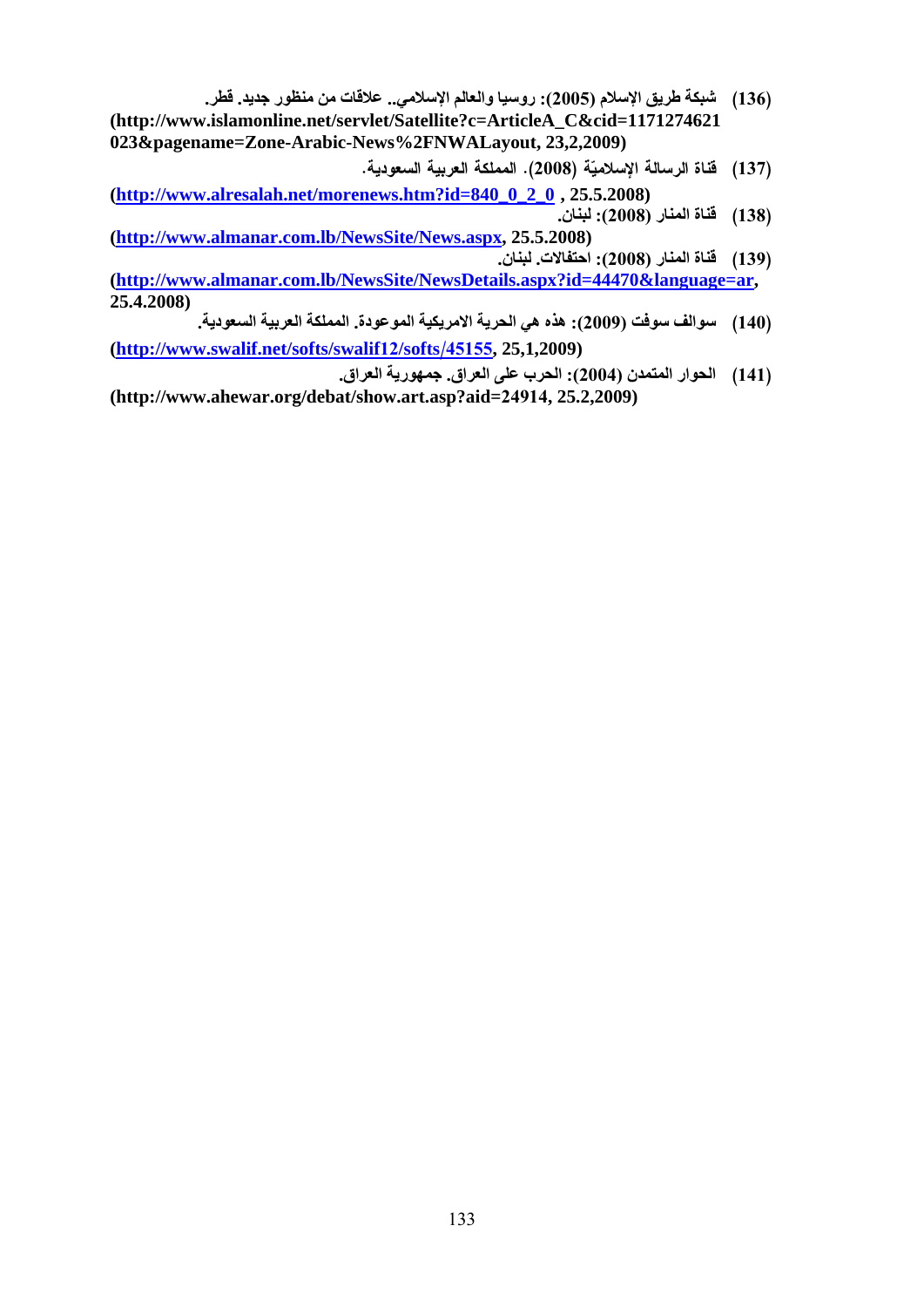- (136) المسلم المسلم المسلم المسلم المسلم المسلم المسلم المسلم المسلم المسلم المسلم المسلم المسلم المسلم المسلم المسلم المسلم المسلم المسلم المسلم المسلم المسلم المسلم المسلم المسلم المسلم المسلم المسلم المسلم المسلم المسل (136) شبكة طريق الإسلام (2005): روسبا والعالم الإسلامي.. علاقات من منظور جديد. قطر. **(http://www.islamonline.net/servlet/Satellite?c=ArticleA\_C&cid=1171274621 023&pagename=Zone-Arabic-News%2FNWALayout, 23,2,2009)**
- **(http://www.alresalah.net/morenews.htm?id=840\_0\_2\_0 , 25.5.2008)**
- **(http://www.almanar.com.lb/NewsSite/News.aspx, 25.5.2008)**
- ة (2008) .<br>10 .2 .25 .25 .25 .26 .26<br>Ipx, 25.5.2008):<br>احتفالات. لبنان.<br>2. <u>italls.aspx?id=</u><br>2. <u>iC,</u> 25,1,2009): الحرب على الـ<br>2. 2. 2. 2.4914, 25:2 137) قناة الرسال<br>[138] قناة المنار<br><u>[139] أن المارا</u><br>الصوال (140) الحوار المتر<br>[141] الحوار المتر (138) قفاة المغار (2008): لبغان.<br>008) : (139): 138)<br>138): (2008): أفغار (2008): 131<br>21. (2009): أفغار (2009): 140)<br>(2009): أبوار المتمدن (2004): (131)<br>25.2,2009)<br>25.2,2009) (139) قناة المذار (2008): احتفالات. لينان.<br><u>ils.aspx?id=44470&language=ar,</u><br>الحوار المتمدن (2009): الأحزب على الحرم<br>25,1,2009): الحوار المتمدن (2004): الحرم على الحرم<br>24914, 25.2,2009)<br>24914, 25.2,2009) **(http://www.almanar.com.lb/NewsSite/NewsDetails.aspx?id=44470&language=ar, 25.4.2008)**
- (140) سوالف سوفت (2009): هذه هي الحرية الامريكية الموعودة. المملكة العربية السعودية. **(http://www.swalif.net/softs/swalif**12**/softs**
- (140) الحوار المتمدن (2009): هذه هي<br>1,2009) الحوار المتمدن (2004): الحرب<br>2004): الحوار المتمدن (2004)<br>914, 25.2,2009) 1<mark>45155</mark>, 25,1,2009)<br>2 . الحرب على العراق.<br>23,2 .p?aid=24914, 25.2<br>3 .133 (141) | الحوار المتمدن (2004): الحرب على العراق. جمهورية العراق.<br>|14/show.art.asp?aid=24914, 25.2,2009)<br>|-<br>| 133 **(http://www.ahewar.org/debat/show.art.asp?aid=**24914**, 25.2,2009)**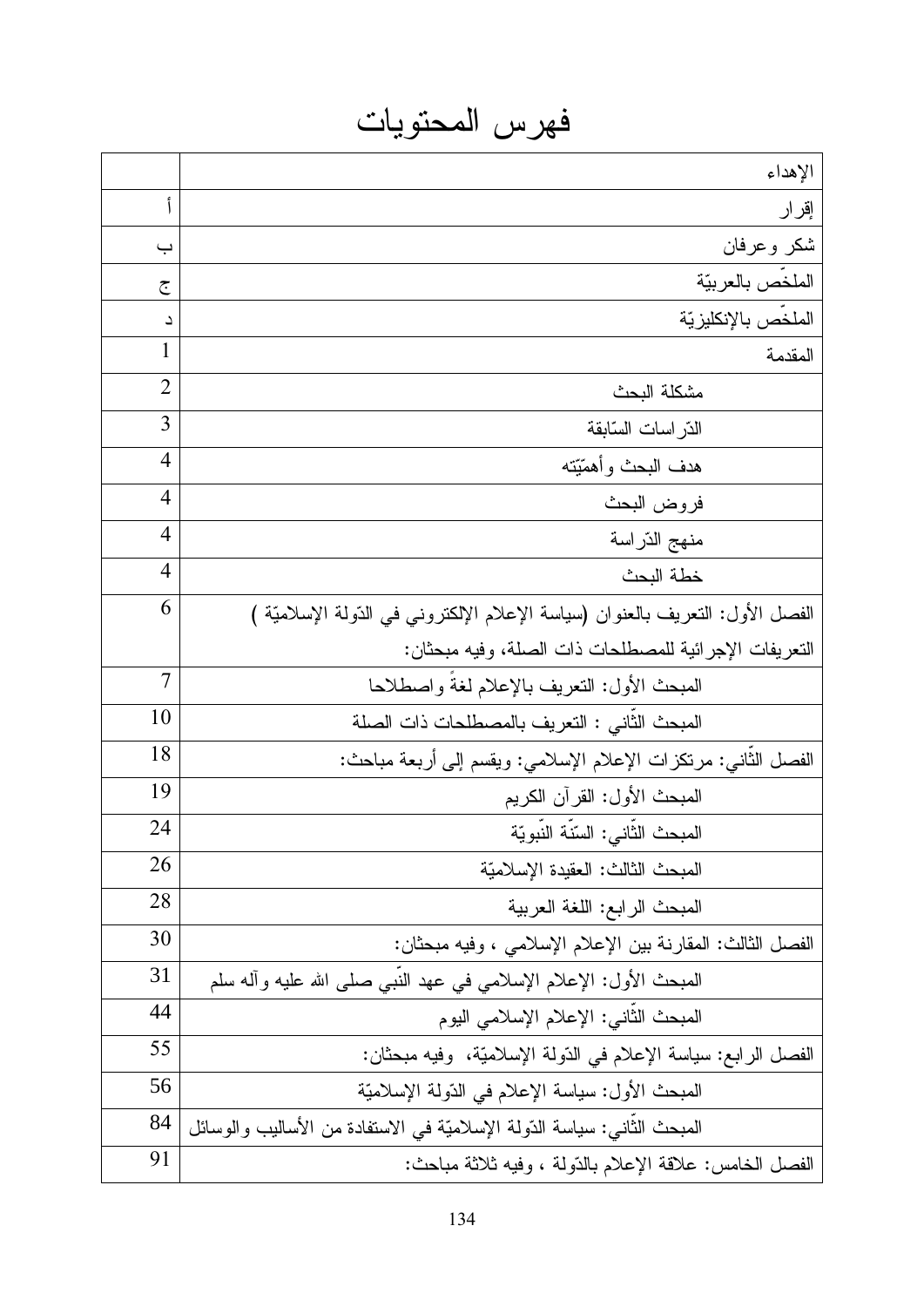فهرس المحتويات

|                | الإهداء                                                                                          |  |  |
|----------------|--------------------------------------------------------------------------------------------------|--|--|
| أ              | إقرار                                                                                            |  |  |
| ب              | شكر وعرفان                                                                                       |  |  |
| ج              | الملخص بالعربيّة                                                                                 |  |  |
| د              | الملخص بالإنكليز يّة                                                                             |  |  |
| 1              | المقدمة                                                                                          |  |  |
| 2              | مشكلة البحث                                                                                      |  |  |
| 3              | الذر اسات السّابقة                                                                               |  |  |
| 4              | هدف البحث وأهمّيّته                                                                              |  |  |
| 4              | فروض البحث                                                                                       |  |  |
| 4              | منهج الدّر اسة                                                                                   |  |  |
| 4              | خطة البحث                                                                                        |  |  |
| 6              | الْفَصْلْ الأُول: النَّعْرَيْف بْالْعَنُوانْ (سياسة الإعلام الإلكتروني في الدُّولة الإسلاميَّة ) |  |  |
|                | التعريفات الإجر ائية للمصطلحات ذات الصلة، وفيه مبحثان:                                           |  |  |
| $\overline{7}$ | المبحث الأول: النعريف بالإعلام لغة واصطلاحا                                                      |  |  |
| 10             | المبحث الثاني : التعريف بالمصطلحات ذات الصلة                                                     |  |  |
| 18             | الفصل الثانـي: مرتكزات الإعلام الإسلامـي: ويقسم إلـي أربعة مباحث:                                |  |  |
| 19             | المبحث الأول: القرآن الكريم                                                                      |  |  |
| 24             | المبحث الثاني: السّنة النبويّة                                                                   |  |  |
| 26             | المبحث الثالث: العقيدة الإسلاميّة                                                                |  |  |
| 28             | المبحث الرابع: اللغة العربية                                                                     |  |  |
| 30             | الفصل الثالث: المقارنة بين الإعلام الإسلامي ، وفيه مبحثان:                                       |  |  |
| 31             | المُبْحِثُ الأُول: الإعلام الإسلامي في عهد النَّبي صلَّى الله عليه وأله سلَّم                    |  |  |
| 44             | المبحث الثاني: الإعلام الإسلامي اليوم                                                            |  |  |
| 55             | الفصل الرابع: سياسة الإعلام في الدّولة الإسلاميّة، وفيه مبحثان:                                  |  |  |
| 56             | المبحث الأول: سياسة الإعلام في الدّولة الإسلاميّة                                                |  |  |
| 84             | المُبْحِثْ الثَّاني: سياسة الدُّولة الإسلاميَّة في الاستفادة من الأساليب والوسائل                |  |  |
| 91             | الفصل الخامس: علاقة الإعلام بالذَّولة ، وفيه ثلاثة مباحث:                                        |  |  |